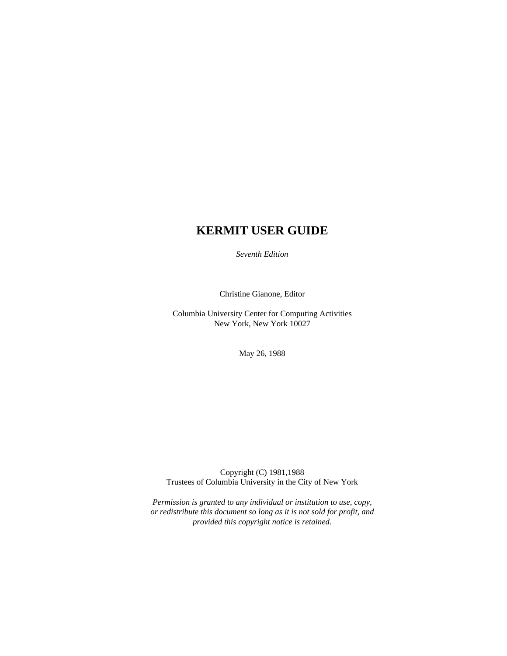# **KERMIT USER GUIDE**

*Seventh Edition*

Christine Gianone, Editor

Columbia University Center for Computing Activities New York, New York 10027

May 26, 1988

Copyright (C) 1981,1988 Trustees of Columbia University in the City of New York

*Permission is granted to any individual or institution to use, copy, or redistribute this document so long as it is not sold for profit, and provided this copyright notice is retained.*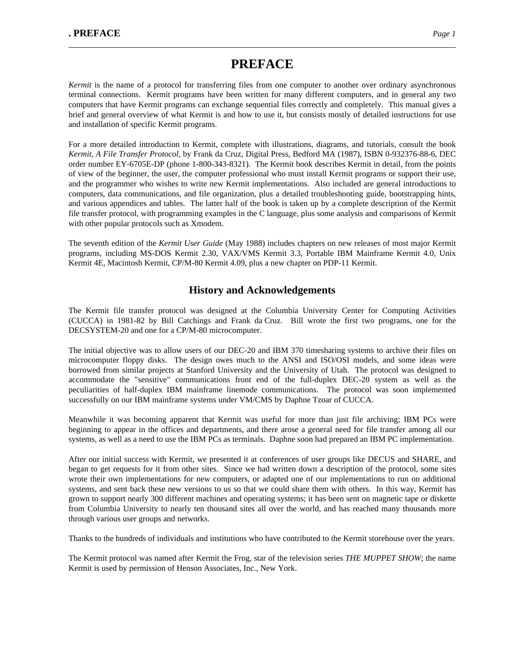# **PREFACE**

*Kermit* is the name of a protocol for transferring files from one computer to another over ordinary asynchronous terminal connections. Kermit programs have been written for many different computers, and in general any two computers that have Kermit programs can exchange sequential files correctly and completely. This manual gives a brief and general overview of what Kermit is and how to use it, but consists mostly of detailed instructions for use and installation of specific Kermit programs.

For a more detailed introduction to Kermit, complete with illustrations, diagrams, and tutorials, consult the book *Kermit, A File Transfer Protocol*, by Frank da Cruz, Digital Press, Bedford MA (1987), ISBN 0-932376-88-6, DEC order number EY-6705E-DP (phone 1-800-343-8321). The Kermit book describes Kermit in detail, from the points of view of the beginner, the user, the computer professional who must install Kermit programs or support their use, and the programmer who wishes to write new Kermit implementations. Also included are general introductions to computers, data communications, and file organization, plus a detailed troubleshooting guide, bootstrapping hints, and various appendices and tables. The latter half of the book is taken up by a complete description of the Kermit file transfer protocol, with programming examples in the C language, plus some analysis and comparisons of Kermit with other popular protocols such as Xmodem.

The seventh edition of the *Kermit User Guide* (May 1988) includes chapters on new releases of most major Kermit programs, including MS-DOS Kermit 2.30, VAX/VMS Kermit 3.3, Portable IBM Mainframe Kermit 4.0, Unix Kermit 4E, Macintosh Kermit, CP/M-80 Kermit 4.09, plus a new chapter on PDP-11 Kermit.

### **History and Acknowledgements**

The Kermit file transfer protocol was designed at the Columbia University Center for Computing Activities (CUCCA) in 1981-82 by Bill Catchings and Frank da Cruz. Bill wrote the first two programs, one for the DECSYSTEM-20 and one for a CP/M-80 microcomputer.

The initial objective was to allow users of our DEC-20 and IBM 370 timesharing systems to archive their files on microcomputer floppy disks. The design owes much to the ANSI and ISO/OSI models, and some ideas were borrowed from similar projects at Stanford University and the University of Utah. The protocol was designed to accommodate the "sensitive" communications front end of the full-duplex DEC-20 system as well as the peculiarities of half-duplex IBM mainframe linemode communications. The protocol was soon implemented successfully on our IBM mainframe systems under VM/CMS by Daphne Tzoar of CUCCA.

Meanwhile it was becoming apparent that Kermit was useful for more than just file archiving; IBM PCs were beginning to appear in the offices and departments, and there arose a general need for file transfer among all our systems, as well as a need to use the IBM PCs as terminals. Daphne soon had prepared an IBM PC implementation.

After our initial success with Kermit, we presented it at conferences of user groups like DECUS and SHARE, and began to get requests for it from other sites. Since we had written down a description of the protocol, some sites wrote their own implementations for new computers, or adapted one of our implementations to run on additional systems, and sent back these new versions to us so that we could share them with others. In this way, Kermit has grown to support nearly 300 different machines and operating systems; it has been sent on magnetic tape or diskette from Columbia University to nearly ten thousand sites all over the world, and has reached many thousands more through various user groups and networks.

Thanks to the hundreds of individuals and institutions who have contributed to the Kermit storehouse over the years.

The Kermit protocol was named after Kermit the Frog, star of the television series *THE MUPPET SHOW*; the name Kermit is used by permission of Henson Associates, Inc., New York.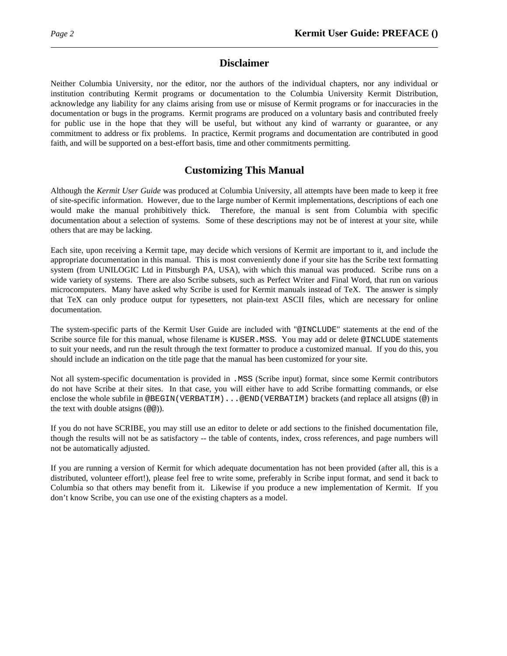### **Disclaimer**

Neither Columbia University, nor the editor, nor the authors of the individual chapters, nor any individual or institution contributing Kermit programs or documentation to the Columbia University Kermit Distribution, acknowledge any liability for any claims arising from use or misuse of Kermit programs or for inaccuracies in the documentation or bugs in the programs. Kermit programs are produced on a voluntary basis and contributed freely for public use in the hope that they will be useful, but without any kind of warranty or guarantee, or any commitment to address or fix problems. In practice, Kermit programs and documentation are contributed in good faith, and will be supported on a best-effort basis, time and other commitments permitting.

### **Customizing This Manual**

Although the *Kermit User Guide* was produced at Columbia University, all attempts have been made to keep it free of site-specific information. However, due to the large number of Kermit implementations, descriptions of each one would make the manual prohibitively thick. Therefore, the manual is sent from Columbia with specific documentation about a selection of systems. Some of these descriptions may not be of interest at your site, while others that are may be lacking.

Each site, upon receiving a Kermit tape, may decide which versions of Kermit are important to it, and include the appropriate documentation in this manual. This is most conveniently done if your site has the Scribe text formatting system (from UNILOGIC Ltd in Pittsburgh PA, USA), with which this manual was produced. Scribe runs on a wide variety of systems. There are also Scribe subsets, such as Perfect Writer and Final Word, that run on various microcomputers. Many have asked why Scribe is used for Kermit manuals instead of TeX. The answer is simply that TeX can only produce output for typesetters, not plain-text ASCII files, which are necessary for online documentation.

The system-specific parts of the Kermit User Guide are included with "@INCLUDE" statements at the end of the Scribe source file for this manual, whose filename is KUSER.MSS. You may add or delete @INCLUDE statements to suit your needs, and run the result through the text formatter to produce a customized manual. If you do this, you should include an indication on the title page that the manual has been customized for your site.

Not all system-specific documentation is provided in .MSS (Scribe input) format, since some Kermit contributors do not have Scribe at their sites. In that case, you will either have to add Scribe formatting commands, or else enclose the whole subfile in @BEGIN(VERBATIM)...@END(VERBATIM) brackets (and replace all atsigns (@) in the text with double atsigns (@@)).

If you do not have SCRIBE, you may still use an editor to delete or add sections to the finished documentation file, though the results will not be as satisfactory -- the table of contents, index, cross references, and page numbers will not be automatically adjusted.

If you are running a version of Kermit for which adequate documentation has not been provided (after all, this is a distributed, volunteer effort!), please feel free to write some, preferably in Scribe input format, and send it back to Columbia so that others may benefit from it. Likewise if you produce a new implementation of Kermit. If you don't know Scribe, you can use one of the existing chapters as a model.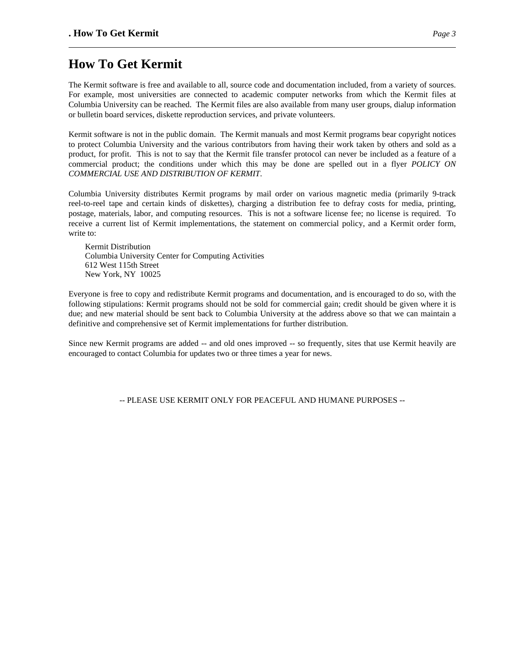# **How To Get Kermit**

The Kermit software is free and available to all, source code and documentation included, from a variety of sources. For example, most universities are connected to academic computer networks from which the Kermit files at Columbia University can be reached. The Kermit files are also available from many user groups, dialup information or bulletin board services, diskette reproduction services, and private volunteers.

Kermit software is not in the public domain. The Kermit manuals and most Kermit programs bear copyright notices to protect Columbia University and the various contributors from having their work taken by others and sold as a product, for profit. This is not to say that the Kermit file transfer protocol can never be included as a feature of a commercial product; the conditions under which this may be done are spelled out in a flyer *POLICY ON COMMERCIAL USE AND DISTRIBUTION OF KERMIT*.

Columbia University distributes Kermit programs by mail order on various magnetic media (primarily 9-track reel-to-reel tape and certain kinds of diskettes), charging a distribution fee to defray costs for media, printing, postage, materials, labor, and computing resources. This is not a software license fee; no license is required. To receive a current list of Kermit implementations, the statement on commercial policy, and a Kermit order form, write to:

Kermit Distribution Columbia University Center for Computing Activities 612 West 115th Street New York, NY 10025

Everyone is free to copy and redistribute Kermit programs and documentation, and is encouraged to do so, with the following stipulations: Kermit programs should not be sold for commercial gain; credit should be given where it is due; and new material should be sent back to Columbia University at the address above so that we can maintain a definitive and comprehensive set of Kermit implementations for further distribution.

Since new Kermit programs are added -- and old ones improved -- so frequently, sites that use Kermit heavily are encouraged to contact Columbia for updates two or three times a year for news.

-- PLEASE USE KERMIT ONLY FOR PEACEFUL AND HUMANE PURPOSES --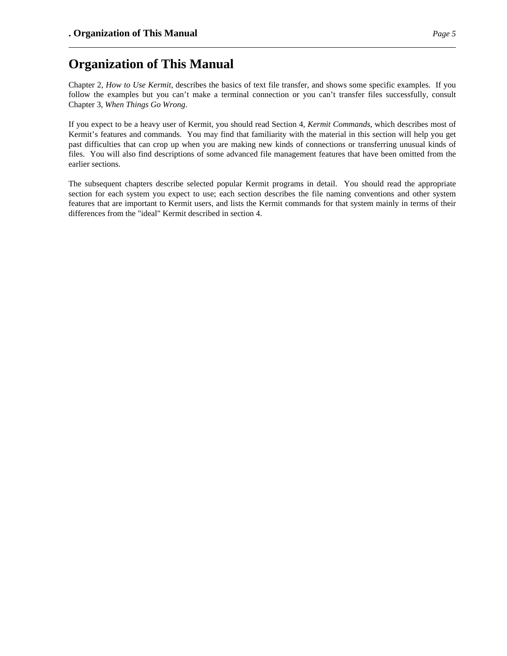# **Organization of This Manual**

Chapter 2, *How to Use Kermit*, describes the basics of text file transfer, and shows some specific examples. If you follow the examples but you can't make a terminal connection or you can't transfer files successfully, consult Chapter 3, *When Things Go Wrong*.

If you expect to be a heavy user of Kermit, you should read Section 4, *Kermit Commands*, which describes most of Kermit's features and commands. You may find that familiarity with the material in this section will help you get past difficulties that can crop up when you are making new kinds of connections or transferring unusual kinds of files. You will also find descriptions of some advanced file management features that have been omitted from the earlier sections.

The subsequent chapters describe selected popular Kermit programs in detail. You should read the appropriate section for each system you expect to use; each section describes the file naming conventions and other system features that are important to Kermit users, and lists the Kermit commands for that system mainly in terms of their differences from the "ideal" Kermit described in section 4.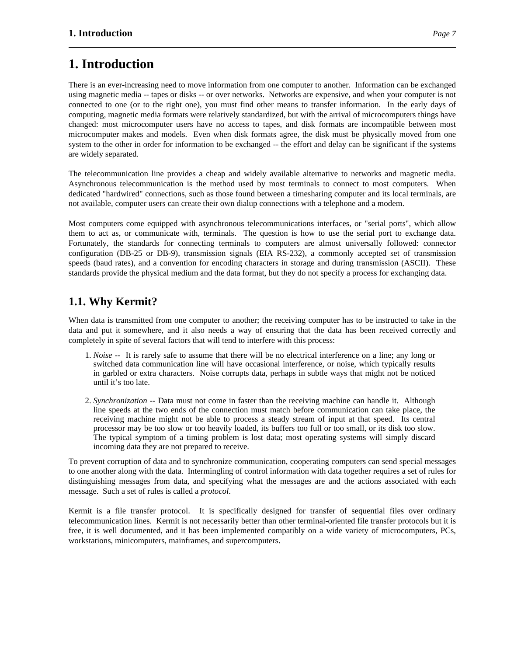# **1. Introduction**

There is an ever-increasing need to move information from one computer to another. Information can be exchanged using magnetic media -- tapes or disks -- or over networks. Networks are expensive, and when your computer is not connected to one (or to the right one), you must find other means to transfer information. In the early days of computing, magnetic media formats were relatively standardized, but with the arrival of microcomputers things have changed: most microcomputer users have no access to tapes, and disk formats are incompatible between most microcomputer makes and models. Even when disk formats agree, the disk must be physically moved from one system to the other in order for information to be exchanged -- the effort and delay can be significant if the systems are widely separated.

The telecommunication line provides a cheap and widely available alternative to networks and magnetic media. Asynchronous telecommunication is the method used by most terminals to connect to most computers. When dedicated "hardwired" connections, such as those found between a timesharing computer and its local terminals, are not available, computer users can create their own dialup connections with a telephone and a modem.

Most computers come equipped with asynchronous telecommunications interfaces, or "serial ports", which allow them to act as, or communicate with, terminals. The question is how to use the serial port to exchange data. Fortunately, the standards for connecting terminals to computers are almost universally followed: connector configuration (DB-25 or DB-9), transmission signals (EIA RS-232), a commonly accepted set of transmission speeds (baud rates), and a convention for encoding characters in storage and during transmission (ASCII). These standards provide the physical medium and the data format, but they do not specify a process for exchanging data.

# **1.1. Why Kermit?**

When data is transmitted from one computer to another; the receiving computer has to be instructed to take in the data and put it somewhere, and it also needs a way of ensuring that the data has been received correctly and completely in spite of several factors that will tend to interfere with this process:

- 1. *Noise* -- It is rarely safe to assume that there will be no electrical interference on a line; any long or switched data communication line will have occasional interference, or noise, which typically results in garbled or extra characters. Noise corrupts data, perhaps in subtle ways that might not be noticed until it's too late.
- 2. *Synchronization* -- Data must not come in faster than the receiving machine can handle it. Although line speeds at the two ends of the connection must match before communication can take place, the receiving machine might not be able to process a steady stream of input at that speed. Its central processor may be too slow or too heavily loaded, its buffers too full or too small, or its disk too slow. The typical symptom of a timing problem is lost data; most operating systems will simply discard incoming data they are not prepared to receive.

To prevent corruption of data and to synchronize communication, cooperating computers can send special messages to one another along with the data. Intermingling of control information with data together requires a set of rules for distinguishing messages from data, and specifying what the messages are and the actions associated with each message. Such a set of rules is called a *protocol*.

Kermit is a file transfer protocol. It is specifically designed for transfer of sequential files over ordinary telecommunication lines. Kermit is not necessarily better than other terminal-oriented file transfer protocols but it is free, it is well documented, and it has been implemented compatibly on a wide variety of microcomputers, PCs, workstations, minicomputers, mainframes, and supercomputers.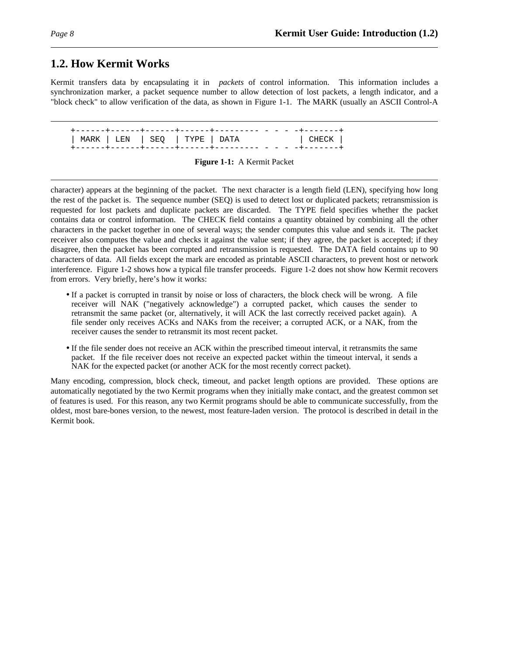## **1.2. How Kermit Works**

Kermit transfers data by encapsulating it in *packets* of control information. This information includes a synchronization marker, a packet sequence number to allow detection of lost packets, a length indicator, and a "block check" to allow verification of the data, as shown in Figure 1-1. The MARK (usually an ASCII Control-A

+------+------+------+------+--------- - - - -+-------+ | MARK | LEN | SEQ | TYPE | DATA | CHECK | +------+------+------+------+--------- - - - -+-------+

character) appears at the beginning of the packet. The next character is a length field (LEN), specifying how long the rest of the packet is. The sequence number (SEQ) is used to detect lost or duplicated packets; retransmission is requested for lost packets and duplicate packets are discarded. The TYPE field specifies whether the packet contains data or control information. The CHECK field contains a quantity obtained by combining all the other characters in the packet together in one of several ways; the sender computes this value and sends it. The packet receiver also computes the value and checks it against the value sent; if they agree, the packet is accepted; if they disagree, then the packet has been corrupted and retransmission is requested. The DATA field contains up to 90 characters of data. All fields except the mark are encoded as printable ASCII characters, to prevent host or network interference. Figure 1-2 shows how a typical file transfer proceeds. Figure 1-2 does not show how Kermit recovers from errors. Very briefly, here's how it works:

- If a packet is corrupted in transit by noise or loss of characters, the block check will be wrong. A file receiver will NAK ("negatively acknowledge") a corrupted packet, which causes the sender to retransmit the same packet (or, alternatively, it will ACK the last correctly received packet again). A file sender only receives ACKs and NAKs from the receiver; a corrupted ACK, or a NAK, from the receiver causes the sender to retransmit its most recent packet.
- If the file sender does not receive an ACK within the prescribed timeout interval, it retransmits the same packet. If the file receiver does not receive an expected packet within the timeout interval, it sends a NAK for the expected packet (or another ACK for the most recently correct packet).

Many encoding, compression, block check, timeout, and packet length options are provided. These options are automatically negotiated by the two Kermit programs when they initially make contact, and the greatest common set of features is used. For this reason, any two Kermit programs should be able to communicate successfully, from the oldest, most bare-bones version, to the newest, most feature-laden version. The protocol is described in detail in the Kermit book.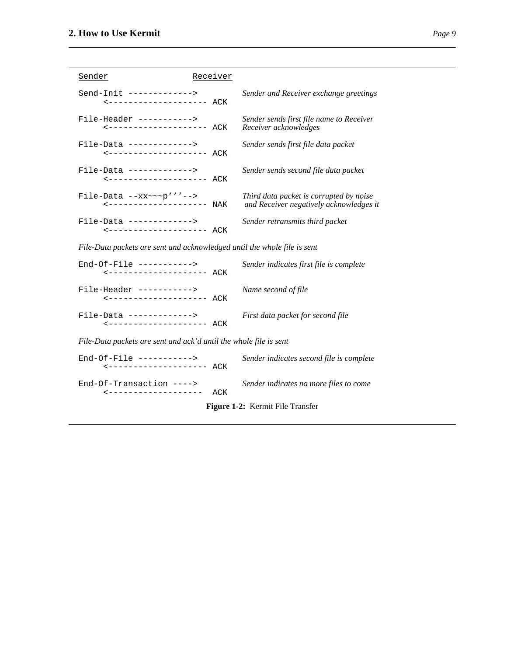| Sender<br>Receiver                                                       |                                                                                    |
|--------------------------------------------------------------------------|------------------------------------------------------------------------------------|
| Send-Init ------------->                                                 | Sender and Receiver exchange greetings                                             |
| File-Header -----------><br><------------------- ACK                     | Sender sends first file name to Receiver<br>Receiver acknowledges                  |
| File-Data ------------->                                                 | Sender sends first file data packet                                                |
| File-Data ------------->                                                 | Sender sends second file data packet                                               |
| File-Data $-xx \sim p'$ ''-->                                            | Third data packet is corrupted by noise<br>and Receiver negatively acknowledges it |
| File-Data ------------->                                                 | Sender retransmits third packet                                                    |
| File-Data packets are sent and acknowledged until the whole file is sent |                                                                                    |
| $End-Of-File$ ---------->                                                | Sender indicates first file is complete                                            |
| File-Header ----------->                                                 | Name second of file                                                                |
| $File-Data$ ------------->                                               | First data packet for second file                                                  |
| File-Data packets are sent and ack'd until the whole file is sent        |                                                                                    |
| $End-Of-File$ ----------->                                               | Sender indicates second file is complete                                           |
| $End-Of-Transaction$ ----><br>ACK<br>------------------                  | Sender indicates no more files to come                                             |
| Figure 1-2: Kermit File Transfer                                         |                                                                                    |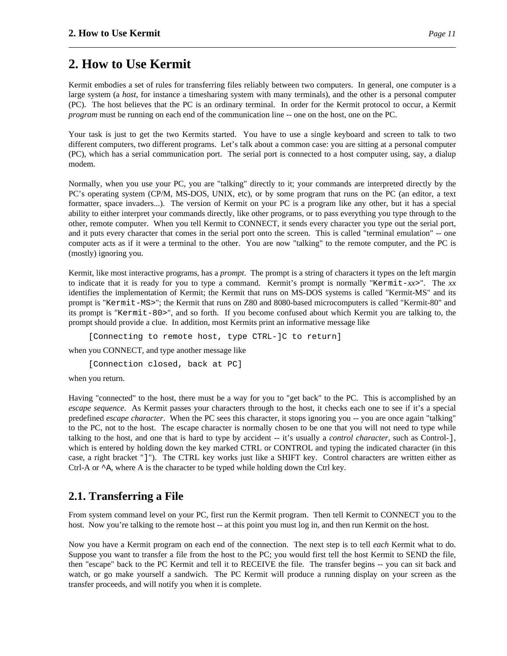# **2. How to Use Kermit**

Kermit embodies a set of rules for transferring files reliably between two computers. In general, one computer is a large system (a *host*, for instance a timesharing system with many terminals), and the other is a personal computer (PC). The host believes that the PC is an ordinary terminal. In order for the Kermit protocol to occur, a Kermit *program* must be running on each end of the communication line -- one on the host, one on the PC.

Your task is just to get the two Kermits started. You have to use a single keyboard and screen to talk to two different computers, two different programs. Let's talk about a common case: you are sitting at a personal computer (PC), which has a serial communication port. The serial port is connected to a host computer using, say, a dialup modem.

Normally, when you use your PC, you are "talking" directly to it; your commands are interpreted directly by the PC's operating system (CP/M, MS-DOS, UNIX, etc), or by some program that runs on the PC (an editor, a text formatter, space invaders...). The version of Kermit on your PC is a program like any other, but it has a special ability to either interpret your commands directly, like other programs, or to pass everything you type through to the other, remote computer. When you tell Kermit to CONNECT, it sends every character you type out the serial port, and it puts every character that comes in the serial port onto the screen. This is called "terminal emulation" -- one computer acts as if it were a terminal to the other. You are now "talking" to the remote computer, and the PC is (mostly) ignoring you.

Kermit, like most interactive programs, has a *prompt*. The prompt is a string of characters it types on the left margin to indicate that it is ready for you to type a command. Kermit's prompt is normally "Kermit-*xx*>". The *xx* identifies the implementation of Kermit; the Kermit that runs on MS-DOS systems is called "Kermit-MS" and its prompt is "Kermit-MS>"; the Kermit that runs on Z80 and 8080-based microcomputers is called "Kermit-80" and its prompt is "Kermit-80>", and so forth. If you become confused about which Kermit you are talking to, the prompt should provide a clue. In addition, most Kermits print an informative message like

[Connecting to remote host, type CTRL-]C to return]

when you CONNECT, and type another message like

[Connection closed, back at PC]

when you return.

Having "connected" to the host, there must be a way for you to "get back" to the PC. This is accomplished by an *escape sequence*. As Kermit passes your characters through to the host, it checks each one to see if it's a special predefined *escape character*. When the PC sees this character, it stops ignoring you -- you are once again "talking" to the PC, not to the host. The escape character is normally chosen to be one that you will not need to type while talking to the host, and one that is hard to type by accident -- it's usually a *control character*, such as Control-], which is entered by holding down the key marked CTRL or CONTROL and typing the indicated character (in this case, a right bracket "]"). The CTRL key works just like a SHIFT key. Control characters are written either as Ctrl-A or  $\sim$  A, where A is the character to be typed while holding down the Ctrl key.

## **2.1. Transferring a File**

From system command level on your PC, first run the Kermit program. Then tell Kermit to CONNECT you to the host. Now you're talking to the remote host -- at this point you must log in, and then run Kermit on the host.

Now you have a Kermit program on each end of the connection. The next step is to tell *each* Kermit what to do. Suppose you want to transfer a file from the host to the PC; you would first tell the host Kermit to SEND the file, then "escape" back to the PC Kermit and tell it to RECEIVE the file. The transfer begins -- you can sit back and watch, or go make yourself a sandwich. The PC Kermit will produce a running display on your screen as the transfer proceeds, and will notify you when it is complete.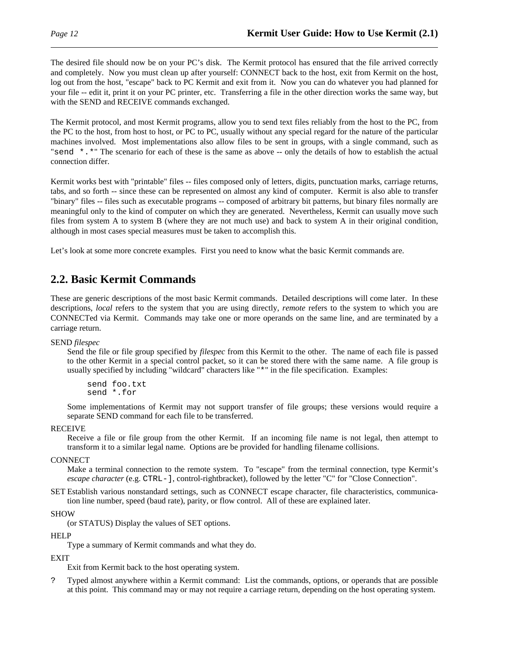The desired file should now be on your PC's disk. The Kermit protocol has ensured that the file arrived correctly and completely. Now you must clean up after yourself: CONNECT back to the host, exit from Kermit on the host, log out from the host, "escape" back to PC Kermit and exit from it. Now you can do whatever you had planned for your file -- edit it, print it on your PC printer, etc. Transferring a file in the other direction works the same way, but with the SEND and RECEIVE commands exchanged.

The Kermit protocol, and most Kermit programs, allow you to send text files reliably from the host to the PC, from the PC to the host, from host to host, or PC to PC, usually without any special regard for the nature of the particular machines involved. Most implementations also allow files to be sent in groups, with a single command, such as "send \*.\*" The scenario for each of these is the same as above -- only the details of how to establish the actual connection differ.

Kermit works best with "printable" files -- files composed only of letters, digits, punctuation marks, carriage returns, tabs, and so forth -- since these can be represented on almost any kind of computer. Kermit is also able to transfer "binary" files -- files such as executable programs -- composed of arbitrary bit patterns, but binary files normally are meaningful only to the kind of computer on which they are generated. Nevertheless, Kermit can usually move such files from system A to system B (where they are not much use) and back to system A in their original condition, although in most cases special measures must be taken to accomplish this.

Let's look at some more concrete examples. First you need to know what the basic Kermit commands are.

## **2.2. Basic Kermit Commands**

These are generic descriptions of the most basic Kermit commands. Detailed descriptions will come later. In these descriptions, *local* refers to the system that you are using directly, *remote* refers to the system to which you are CONNECTed via Kermit. Commands may take one or more operands on the same line, and are terminated by a carriage return.

SEND *filespec*

Send the file or file group specified by *filespec* from this Kermit to the other. The name of each file is passed to the other Kermit in a special control packet, so it can be stored there with the same name. A file group is usually specified by including "wildcard" characters like "\*" in the file specification. Examples:

send foo.txt send \*.for

Some implementations of Kermit may not support transfer of file groups; these versions would require a separate SEND command for each file to be transferred.

#### RECEIVE

Receive a file or file group from the other Kermit. If an incoming file name is not legal, then attempt to transform it to a similar legal name. Options are be provided for handling filename collisions.

**CONNECT** 

Make a terminal connection to the remote system. To "escape" from the terminal connection, type Kermit's *escape character* (e.g. CTRL-], control-rightbracket), followed by the letter "C" for "Close Connection".

SET Establish various nonstandard settings, such as CONNECT escape character, file characteristics, communication line number, speed (baud rate), parity, or flow control. All of these are explained later.

SHOW

(or STATUS) Display the values of SET options.

#### **HELP**

Type a summary of Kermit commands and what they do.

#### EXIT

Exit from Kermit back to the host operating system.

? Typed almost anywhere within a Kermit command: List the commands, options, or operands that are possible at this point. This command may or may not require a carriage return, depending on the host operating system.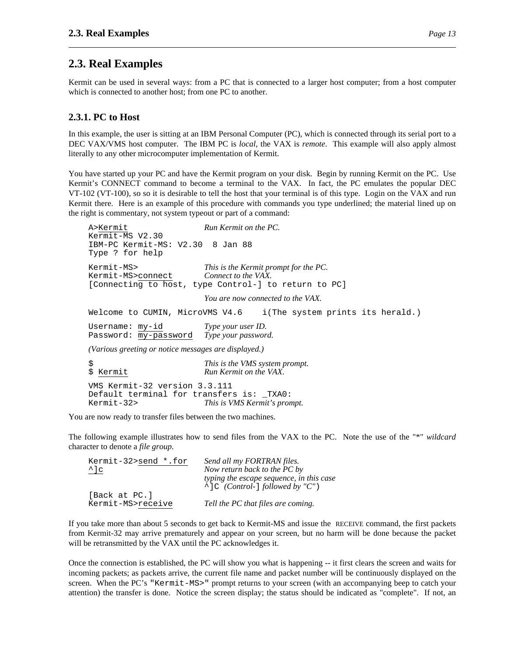## **2.3. Real Examples**

Kermit can be used in several ways: from a PC that is connected to a larger host computer; from a host computer which is connected to another host; from one PC to another.

### **2.3.1. PC to Host**

In this example, the user is sitting at an IBM Personal Computer (PC), which is connected through its serial port to a DEC VAX/VMS host computer. The IBM PC is *local*, the VAX is *remote*. This example will also apply almost literally to any other microcomputer implementation of Kermit.

You have started up your PC and have the Kermit program on your disk. Begin by running Kermit on the PC. Use Kermit's CONNECT command to become a terminal to the VAX. In fact, the PC emulates the popular DEC VT-102 (VT-100), so so it is desirable to tell the host that your terminal is of this type. Login on the VAX and run Kermit there. Here is an example of this procedure with commands you type underlined; the material lined up on the right is commentary, not system typeout or part of a command:

```
A>Kermit Run Kermit on the PC.
Kermit-MS V2.30
IBM-PC Kermit-MS: V2.30 8 Jan 88
Type ? for help
Kermit-MS> This is the Kermit prompt for the PC.
Kermit-MS>connect Connect to the VAX.
[Connecting to host, type Control-] to return to PC]
                       You are now connected to the VAX.
Welcome to CUMIN, MicroVMS V4.6 i(The system prints its herald.)
Username: my-id Type your user ID.
Password: my-password Type your password.
(Various greeting or notice messages are displayed.)
$ This is the VMS system prompt.
$ Kermit Run Kermit on the VAX.
VMS Kermit-32 version 3.3.111
Default terminal for transfers is: _TXA0:
```
Kermit-32> *This is VMS Kermit's prompt.*

You are now ready to transfer files between the two machines.

The following example illustrates how to send files from the VAX to the PC. Note the use of the "\*" *wildcard* character to denote a *file group*.

| Kermit-32>send *.for | Send all my FORTRAN files.                                                            |
|----------------------|---------------------------------------------------------------------------------------|
| $^{\wedge}$ ]c       | Now return back to the PC by                                                          |
|                      | typing the escape sequence, in this case<br>$\hat{\ }$ C (Control- ] followed by "C") |
| [Back at PC.]        |                                                                                       |
| Kermit-MS>receive    | Tell the PC that files are coming.                                                    |

If you take more than about 5 seconds to get back to Kermit-MS and issue the RECEIVE command, the first packets from Kermit-32 may arrive prematurely and appear on your screen, but no harm will be done because the packet will be retransmitted by the VAX until the PC acknowledges it.

Once the connection is established, the PC will show you what is happening -- it first clears the screen and waits for incoming packets; as packets arrive, the current file name and packet number will be continuously displayed on the screen. When the PC's "Kermit-MS>" prompt returns to your screen (with an accompanying beep to catch your attention) the transfer is done. Notice the screen display; the status should be indicated as "complete". If not, an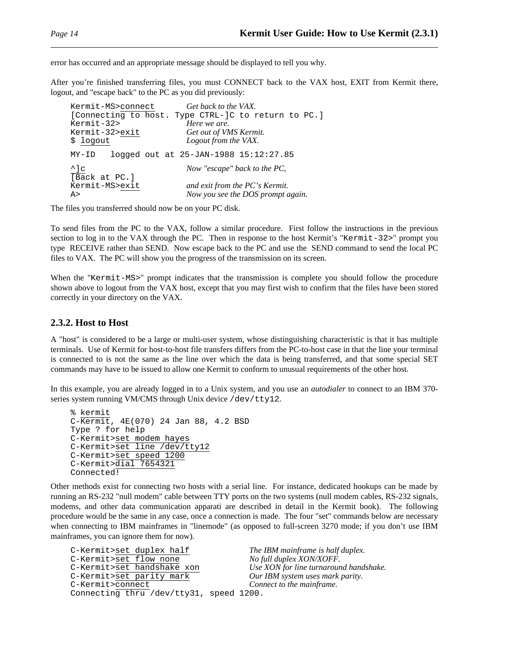error has occurred and an appropriate message should be displayed to tell you why.

After you're finished transferring files, you must CONNECT back to the VAX host, EXIT from Kermit there, logout, and "escape back" to the PC as you did previously:

| Kermit-MS>connect | Get back to the VAX.                                |
|-------------------|-----------------------------------------------------|
|                   | [Connecting to host. Type CTRL-]C to return to PC.] |
| Kermit-32>        | Here we are.                                        |
| Kermit-32>exit    | Get out of VMS Kermit.                              |
| \$ logout         | Logout from the VAX.                                |
| MY-ID             | logged out at 25-JAN-1988 15:12:27.85               |
| $^{\wedge}$ ] c   | Now "escape" back to the PC,                        |
| [Back at PC.]     |                                                     |
| Kermit-MS>exit    | and exit from the PC's Kermit.                      |
| A >               | Now you see the DOS prompt again.                   |

The files you transferred should now be on your PC disk.

To send files from the PC to the VAX, follow a similar procedure. First follow the instructions in the previous section to log in to the VAX through the PC. Then in response to the host Kermit's "Kermit-32>" prompt you type RECEIVE rather than SEND. Now escape back to the PC and use the SEND command to send the local PC files to VAX. The PC will show you the progress of the transmission on its screen.

When the "Kermit-MS>" prompt indicates that the transmission is complete you should follow the procedure shown above to logout from the VAX host, except that you may first wish to confirm that the files have been stored correctly in your directory on the VAX.

#### **2.3.2. Host to Host**

A "host" is considered to be a large or multi-user system, whose distinguishing characteristic is that it has multiple terminals. Use of Kermit for host-to-host file transfers differs from the PC-to-host case in that the line your terminal is connected to is not the same as the line over which the data is being transferred, and that some special SET commands may have to be issued to allow one Kermit to conform to unusual requirements of the other host.

In this example, you are already logged in to a Unix system, and you use an *autodialer* to connect to an IBM 370 series system running VM/CMS through Unix device /dev/tty12.

```
% kermit
C-Kermit, 4E(070) 24 Jan 88, 4.2 BSD
Type ? for help
C-Kermit>set modem hayes
C-Kermit>set line /dev/tty12
C-Kermit>set speed 1200
C-Kermit>dial 7654321
Connected!
```
Other methods exist for connecting two hosts with a serial line. For instance, dedicated hookups can be made by running an RS-232 "null modem" cable between TTY ports on the two systems (null modem cables, RS-232 signals, modems, and other data communication apparati are described in detail in the Kermit book). The following procedure would be the same in any case, once a connection is made. The four "set" commands below are necessary when connecting to IBM mainframes in "linemode" (as opposed to full-screen 3270 mode; if you don't use IBM mainframes, you can ignore them for now).

```
C-Kermit><u>set duplex half</u> The IBM mainframe is half duplex.<br>C-Kermit>set flow none No full duplex XON/XOFF.
C-Kermit>set flow none
C-Kermit>set handshake xon Use XON for line turnaround handshake.
C-Kermit>set parity mark Our IBM system uses mark parity.
C-Kermit>connect Connect to the mainframe.
Connecting thru /dev/tty31, speed 1200.
```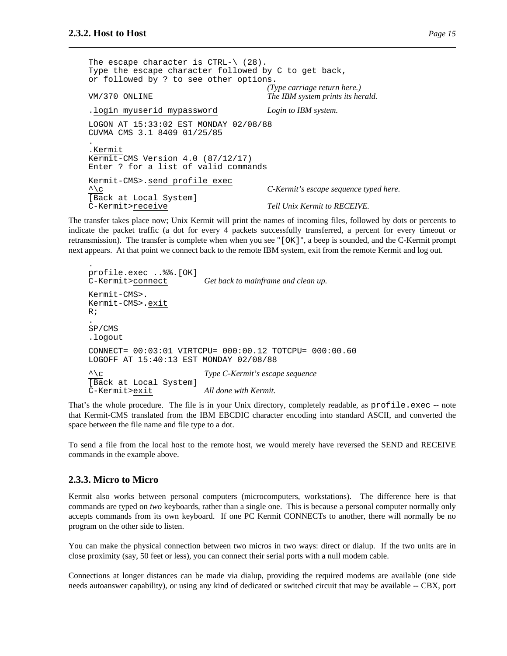```
The escape character is CTRL-\ (28).
Type the escape character followed by C to get back,
or followed by ? to see other options.
                                  (Type carriage return here.)
VM/370 ONLINE The IBM system prints its herald.
.login myuserid mypassword Login to IBM system.
LOGON AT 15:33:02 EST MONDAY 02/08/88
CUVMA CMS 3.1 8409 01/25/85
.
.Kermit
Kermit-CMS Version 4.0 (87/12/17)
Enter ? for a list of valid commands
Kermit-CMS>.send profile exec
^\c C-Kermit's escape sequence typed here.
[Back at Local System]
C-Kermit>receive Tell Unix Kermit to RECEIVE.
```
The transfer takes place now; Unix Kermit will print the names of incoming files, followed by dots or percents to indicate the packet traffic (a dot for every 4 packets successfully transferred, a percent for every timeout or retransmission). The transfer is complete when when you see "[OK]", a beep is sounded, and the C-Kermit prompt next appears. At that point we connect back to the remote IBM system, exit from the remote Kermit and log out.

```
.
profile.exec ..%%.[OK]
C-Kermit>connect Get back to mainframe and clean up.
Kermit-CMS>.
Kermit-CMS>.exit
R;
.
SP/CMS
.logout
CONNECT= 00:03:01 VIRTCPU= 000:00.12 TOTCPU= 000:00.60
LOGOFF AT 15:40:13 EST MONDAY 02/08/88
^\c Type C-Kermit's escape sequence
[Back at Local System]
C-Kermit>exit All done with Kermit.
```
That's the whole procedure. The file is in your Unix directory, completely readable, as profile.exec -- note that Kermit-CMS translated from the IBM EBCDIC character encoding into standard ASCII, and converted the space between the file name and file type to a dot.

To send a file from the local host to the remote host, we would merely have reversed the SEND and RECEIVE commands in the example above.

#### **2.3.3. Micro to Micro**

Kermit also works between personal computers (microcomputers, workstations). The difference here is that commands are typed on *two* keyboards, rather than a single one. This is because a personal computer normally only accepts commands from its own keyboard. If one PC Kermit CONNECTs to another, there will normally be no program on the other side to listen.

You can make the physical connection between two micros in two ways: direct or dialup. If the two units are in close proximity (say, 50 feet or less), you can connect their serial ports with a null modem cable.

Connections at longer distances can be made via dialup, providing the required modems are available (one side needs autoanswer capability), or using any kind of dedicated or switched circuit that may be available -- CBX, port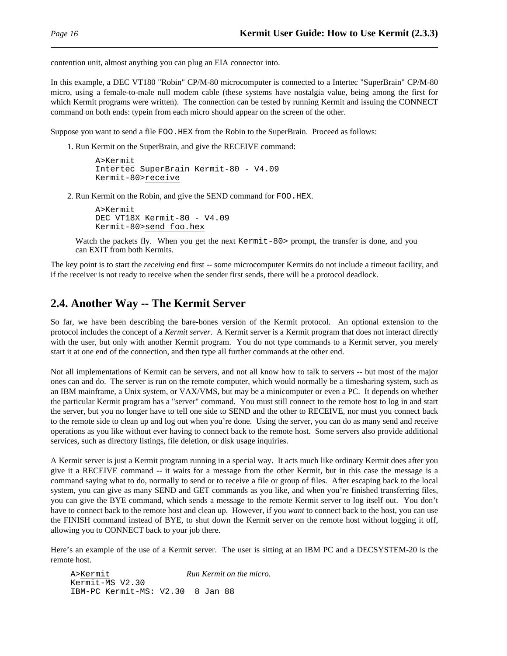contention unit, almost anything you can plug an EIA connector into.

In this example, a DEC VT180 "Robin" CP/M-80 microcomputer is connected to a Intertec "SuperBrain" CP/M-80 micro, using a female-to-male null modem cable (these systems have nostalgia value, being among the first for which Kermit programs were written). The connection can be tested by running Kermit and issuing the CONNECT command on both ends: typein from each micro should appear on the screen of the other.

Suppose you want to send a file FOO. HEX from the Robin to the SuperBrain. Proceed as follows:

1. Run Kermit on the SuperBrain, and give the RECEIVE command:

```
A>Kermit
Intertec SuperBrain Kermit-80 - V4.09
Kermit-80>receive
```
2. Run Kermit on the Robin, and give the SEND command for FOO.HEX.

```
A>Kermit
DEC VT18X Kermit-80 - V4.09
Kermit-80>send foo.hex
```
Watch the packets fly. When you get the next Kermit-80> prompt, the transfer is done, and you can EXIT from both Kermits.

The key point is to start the *receiving* end first -- some microcomputer Kermits do not include a timeout facility, and if the receiver is not ready to receive when the sender first sends, there will be a protocol deadlock.

### **2.4. Another Way -- The Kermit Server**

So far, we have been describing the bare-bones version of the Kermit protocol. An optional extension to the protocol includes the concept of a *Kermit server*. A Kermit server is a Kermit program that does not interact directly with the user, but only with another Kermit program. You do not type commands to a Kermit server, you merely start it at one end of the connection, and then type all further commands at the other end.

Not all implementations of Kermit can be servers, and not all know how to talk to servers -- but most of the major ones can and do. The server is run on the remote computer, which would normally be a timesharing system, such as an IBM mainframe, a Unix system, or VAX/VMS, but may be a minicomputer or even a PC. It depends on whether the particular Kermit program has a "server" command. You must still connect to the remote host to log in and start the server, but you no longer have to tell one side to SEND and the other to RECEIVE, nor must you connect back to the remote side to clean up and log out when you're done. Using the server, you can do as many send and receive operations as you like without ever having to connect back to the remote host. Some servers also provide additional services, such as directory listings, file deletion, or disk usage inquiries.

A Kermit server is just a Kermit program running in a special way. It acts much like ordinary Kermit does after you give it a RECEIVE command -- it waits for a message from the other Kermit, but in this case the message is a command saying what to do, normally to send or to receive a file or group of files. After escaping back to the local system, you can give as many SEND and GET commands as you like, and when you're finished transferring files, you can give the BYE command, which sends a message to the remote Kermit server to log itself out. You don't have to connect back to the remote host and clean up. However, if you *want* to connect back to the host, you can use the FINISH command instead of BYE, to shut down the Kermit server on the remote host without logging it off, allowing you to CONNECT back to your job there.

Here's an example of the use of a Kermit server. The user is sitting at an IBM PC and a DECSYSTEM-20 is the remote host.

A>Kermit *Run Kermit on the micro.* Kermit-MS V2.30 IBM-PC Kermit-MS: V2.30 8 Jan 88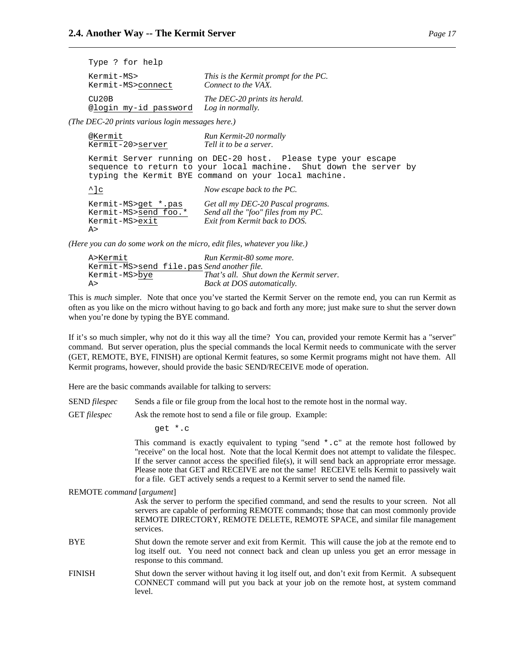| Type ? for help       |                                       |
|-----------------------|---------------------------------------|
| Kermit-MS>            | This is the Kermit prompt for the PC. |
| Kermit-MS>connect     | Connect to the VAX.                   |
| C <sub>U20B</sub>     | The DEC-20 prints its herald.         |
| @login my-id password | Log in normally.                      |

*(The DEC-20 prints various login messages here.)*

| @Kermit<br>Kermit-20>server                                          | Run Kermit-20 normally<br>Tell it to be a server.                                                                                                                                          |
|----------------------------------------------------------------------|--------------------------------------------------------------------------------------------------------------------------------------------------------------------------------------------|
|                                                                      | Kermit Server running on DEC-20 host. Please type your escape<br>sequence to return to your local machine. Shut down the server by<br>typing the Kermit BYE command on your local machine. |
| $\Delta$ c                                                           | Now escape back to the PC.                                                                                                                                                                 |
| Kermit-MS>get *.pas<br>Kermit-MS>send foo.*<br>Kermit-MS>exit<br>A > | Get all my DEC-20 Pascal programs.<br>Send all the "foo" files from my PC.<br>Exit from Kermit back to DOS.                                                                                |

*(Here you can do some work on the micro, edit files, whatever you like.)*

| A>Kermit      | Run Kermit-80 some more.                   |
|---------------|--------------------------------------------|
|               | Kermit-MS>send file.pas Send another file. |
| Kermit-MS>bye | That's all. Shut down the Kermit server.   |
| A>            | Back at DOS automatically.                 |

This is *much* simpler. Note that once you've started the Kermit Server on the remote end, you can run Kermit as often as you like on the micro without having to go back and forth any more; just make sure to shut the server down when you're done by typing the BYE command.

If it's so much simpler, why not do it this way all the time? You can, provided your remote Kermit has a "server" command. But server operation, plus the special commands the local Kermit needs to communicate with the server (GET, REMOTE, BYE, FINISH) are optional Kermit features, so some Kermit programs might not have them. All Kermit programs, however, should provide the basic SEND/RECEIVE mode of operation.

Here are the basic commands available for talking to servers:

SEND *filespec* Sends a file or file group from the local host to the remote host in the normal way.

GET *filespec* Ask the remote host to send a file or file group. Example:

get \*.c

This command is exactly equivalent to typing "send  $\star$ .c" at the remote host followed by "receive" on the local host. Note that the local Kermit does not attempt to validate the filespec. If the server cannot access the specified file(s), it will send back an appropriate error message. Please note that GET and RECEIVE are not the same! RECEIVE tells Kermit to passively wait for a file. GET actively sends a request to a Kermit server to send the named file.

REMOTE *command* [*argument*]

Ask the server to perform the specified command, and send the results to your screen. Not all servers are capable of performing REMOTE commands; those that can most commonly provide REMOTE DIRECTORY, REMOTE DELETE, REMOTE SPACE, and similar file management services.

- BYE Shut down the remote server and exit from Kermit. This will cause the job at the remote end to log itself out. You need not connect back and clean up unless you get an error message in response to this command.
- FINISH Shut down the server without having it log itself out, and don't exit from Kermit. A subsequent CONNECT command will put you back at your job on the remote host, at system command level.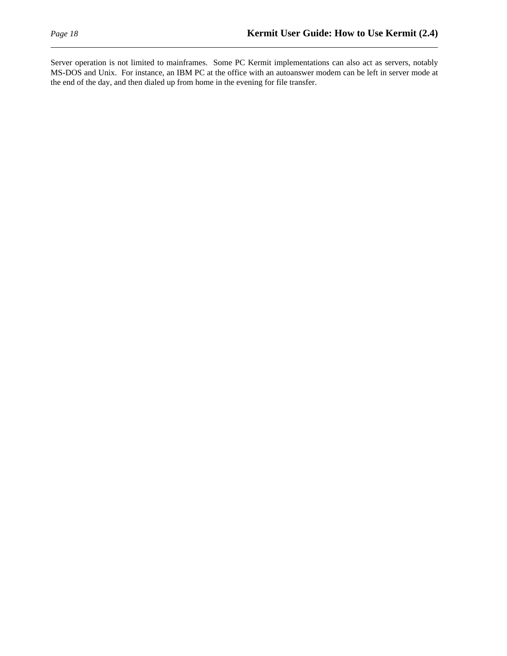Server operation is not limited to mainframes. Some PC Kermit implementations can also act as servers, notably MS-DOS and Unix. For instance, an IBM PC at the office with an autoanswer modem can be left in server mode at the end of the day, and then dialed up from home in the evening for file transfer.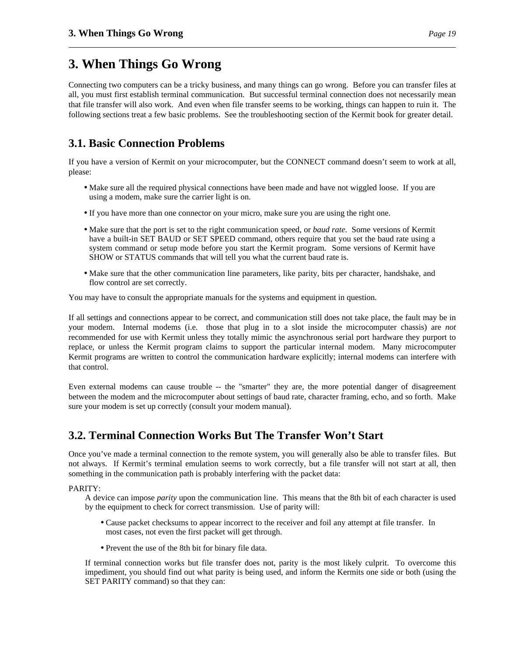# **3. When Things Go Wrong**

Connecting two computers can be a tricky business, and many things can go wrong. Before you can transfer files at all, you must first establish terminal communication. But successful terminal connection does not necessarily mean that file transfer will also work. And even when file transfer seems to be working, things can happen to ruin it. The following sections treat a few basic problems. See the troubleshooting section of the Kermit book for greater detail.

# **3.1. Basic Connection Problems**

If you have a version of Kermit on your microcomputer, but the CONNECT command doesn't seem to work at all, please:

- Make sure all the required physical connections have been made and have not wiggled loose. If you are using a modem, make sure the carrier light is on.
- If you have more than one connector on your micro, make sure you are using the right one.
- Make sure that the port is set to the right communication speed, or *baud rate*. Some versions of Kermit have a built-in SET BAUD or SET SPEED command, others require that you set the baud rate using a system command or setup mode before you start the Kermit program. Some versions of Kermit have SHOW or STATUS commands that will tell you what the current baud rate is.
- Make sure that the other communication line parameters, like parity, bits per character, handshake, and flow control are set correctly.

You may have to consult the appropriate manuals for the systems and equipment in question.

If all settings and connections appear to be correct, and communication still does not take place, the fault may be in your modem. Internal modems (i.e. those that plug in to a slot inside the microcomputer chassis) are *not* recommended for use with Kermit unless they totally mimic the asynchronous serial port hardware they purport to replace, or unless the Kermit program claims to support the particular internal modem. Many microcomputer Kermit programs are written to control the communication hardware explicitly; internal modems can interfere with that control.

Even external modems can cause trouble -- the "smarter" they are, the more potential danger of disagreement between the modem and the microcomputer about settings of baud rate, character framing, echo, and so forth. Make sure your modem is set up correctly (consult your modem manual).

## **3.2. Terminal Connection Works But The Transfer Won't Start**

Once you've made a terminal connection to the remote system, you will generally also be able to transfer files. But not always. If Kermit's terminal emulation seems to work correctly, but a file transfer will not start at all, then something in the communication path is probably interfering with the packet data:

PARITY:

A device can impose *parity* upon the communication line. This means that the 8th bit of each character is used by the equipment to check for correct transmission. Use of parity will:

- Cause packet checksums to appear incorrect to the receiver and foil any attempt at file transfer. In most cases, not even the first packet will get through.
- Prevent the use of the 8th bit for binary file data.

If terminal connection works but file transfer does not, parity is the most likely culprit. To overcome this impediment, you should find out what parity is being used, and inform the Kermits one side or both (using the SET PARITY command) so that they can: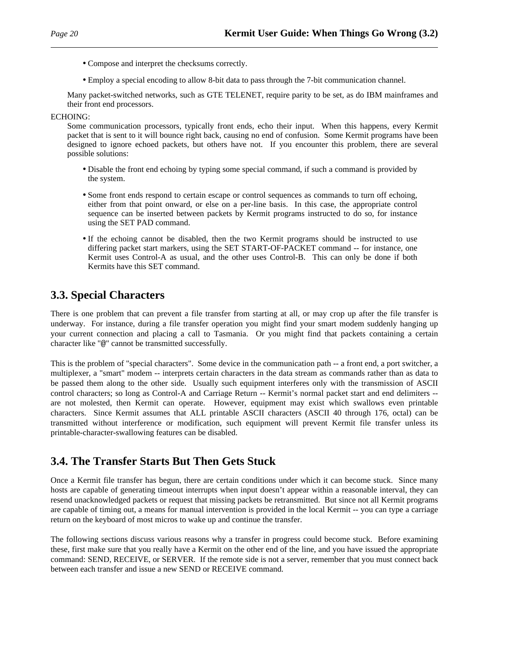- Compose and interpret the checksums correctly.
- Employ a special encoding to allow 8-bit data to pass through the 7-bit communication channel.

Many packet-switched networks, such as GTE TELENET, require parity to be set, as do IBM mainframes and their front end processors.

#### ECHOING:

Some communication processors, typically front ends, echo their input. When this happens, every Kermit packet that is sent to it will bounce right back, causing no end of confusion. Some Kermit programs have been designed to ignore echoed packets, but others have not. If you encounter this problem, there are several possible solutions:

- Disable the front end echoing by typing some special command, if such a command is provided by the system.
- Some front ends respond to certain escape or control sequences as commands to turn off echoing, either from that point onward, or else on a per-line basis. In this case, the appropriate control sequence can be inserted between packets by Kermit programs instructed to do so, for instance using the SET PAD command.
- If the echoing cannot be disabled, then the two Kermit programs should be instructed to use differing packet start markers, using the SET START-OF-PACKET command -- for instance, one Kermit uses Control-A as usual, and the other uses Control-B. This can only be done if both Kermits have this SET command.

## **3.3. Special Characters**

There is one problem that can prevent a file transfer from starting at all, or may crop up after the file transfer is underway. For instance, during a file transfer operation you might find your smart modem suddenly hanging up your current connection and placing a call to Tasmania. Or you might find that packets containing a certain character like "@" cannot be transmitted successfully.

This is the problem of "special characters". Some device in the communication path -- a front end, a port switcher, a multiplexer, a "smart" modem -- interprets certain characters in the data stream as commands rather than as data to be passed them along to the other side. Usually such equipment interferes only with the transmission of ASCII control characters; so long as Control-A and Carriage Return -- Kermit's normal packet start and end delimiters - are not molested, then Kermit can operate. However, equipment may exist which swallows even printable characters. Since Kermit assumes that ALL printable ASCII characters (ASCII 40 through 176, octal) can be transmitted without interference or modification, such equipment will prevent Kermit file transfer unless its printable-character-swallowing features can be disabled.

# **3.4. The Transfer Starts But Then Gets Stuck**

Once a Kermit file transfer has begun, there are certain conditions under which it can become stuck. Since many hosts are capable of generating timeout interrupts when input doesn't appear within a reasonable interval, they can resend unacknowledged packets or request that missing packets be retransmitted. But since not all Kermit programs are capable of timing out, a means for manual intervention is provided in the local Kermit -- you can type a carriage return on the keyboard of most micros to wake up and continue the transfer.

The following sections discuss various reasons why a transfer in progress could become stuck. Before examining these, first make sure that you really have a Kermit on the other end of the line, and you have issued the appropriate command: SEND, RECEIVE, or SERVER. If the remote side is not a server, remember that you must connect back between each transfer and issue a new SEND or RECEIVE command.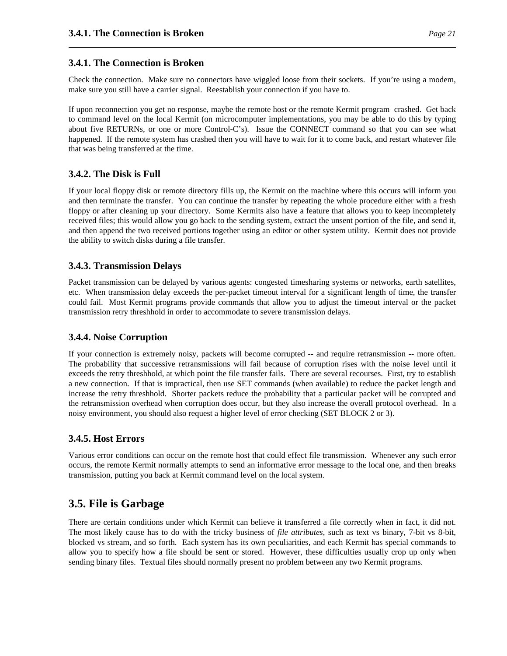### **3.4.1. The Connection is Broken**

Check the connection. Make sure no connectors have wiggled loose from their sockets. If you're using a modem, make sure you still have a carrier signal. Reestablish your connection if you have to.

If upon reconnection you get no response, maybe the remote host or the remote Kermit program crashed. Get back to command level on the local Kermit (on microcomputer implementations, you may be able to do this by typing about five RETURNs, or one or more Control-C's). Issue the CONNECT command so that you can see what happened. If the remote system has crashed then you will have to wait for it to come back, and restart whatever file that was being transferred at the time.

### **3.4.2. The Disk is Full**

If your local floppy disk or remote directory fills up, the Kermit on the machine where this occurs will inform you and then terminate the transfer. You can continue the transfer by repeating the whole procedure either with a fresh floppy or after cleaning up your directory. Some Kermits also have a feature that allows you to keep incompletely received files; this would allow you go back to the sending system, extract the unsent portion of the file, and send it, and then append the two received portions together using an editor or other system utility. Kermit does not provide the ability to switch disks during a file transfer.

### **3.4.3. Transmission Delays**

Packet transmission can be delayed by various agents: congested timesharing systems or networks, earth satellites, etc. When transmission delay exceeds the per-packet timeout interval for a significant length of time, the transfer could fail. Most Kermit programs provide commands that allow you to adjust the timeout interval or the packet transmission retry threshhold in order to accommodate to severe transmission delays.

### **3.4.4. Noise Corruption**

If your connection is extremely noisy, packets will become corrupted -- and require retransmission -- more often. The probability that successive retransmissions will fail because of corruption rises with the noise level until it exceeds the retry threshhold, at which point the file transfer fails. There are several recourses. First, try to establish a new connection. If that is impractical, then use SET commands (when available) to reduce the packet length and increase the retry threshhold. Shorter packets reduce the probability that a particular packet will be corrupted and the retransmission overhead when corruption does occur, but they also increase the overall protocol overhead. In a noisy environment, you should also request a higher level of error checking (SET BLOCK 2 or 3).

### **3.4.5. Host Errors**

Various error conditions can occur on the remote host that could effect file transmission. Whenever any such error occurs, the remote Kermit normally attempts to send an informative error message to the local one, and then breaks transmission, putting you back at Kermit command level on the local system.

### **3.5. File is Garbage**

There are certain conditions under which Kermit can believe it transferred a file correctly when in fact, it did not. The most likely cause has to do with the tricky business of *file attributes*, such as text vs binary, 7-bit vs 8-bit, blocked vs stream, and so forth. Each system has its own peculiarities, and each Kermit has special commands to allow you to specify how a file should be sent or stored. However, these difficulties usually crop up only when sending binary files. Textual files should normally present no problem between any two Kermit programs.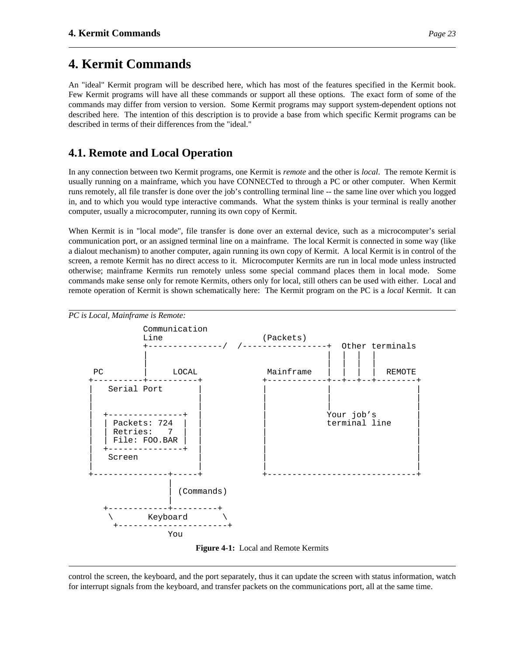# **4. Kermit Commands**

An "ideal" Kermit program will be described here, which has most of the features specified in the Kermit book. Few Kermit programs will have all these commands or support all these options. The exact form of some of the commands may differ from version to version. Some Kermit programs may support system-dependent options not described here. The intention of this description is to provide a base from which specific Kermit programs can be described in terms of their differences from the "ideal."

## **4.1. Remote and Local Operation**

In any connection between two Kermit programs, one Kermit is *remote* and the other is *local*. The remote Kermit is usually running on a mainframe, which you have CONNECTed to through a PC or other computer. When Kermit runs remotely, all file transfer is done over the job's controlling terminal line -- the same line over which you logged in, and to which you would type interactive commands. What the system thinks is your terminal is really another computer, usually a microcomputer, running its own copy of Kermit.

When Kermit is in "local mode", file transfer is done over an external device, such as a microcomputer's serial communication port, or an assigned terminal line on a mainframe. The local Kermit is connected in some way (like a dialout mechanism) to another computer, again running its own copy of Kermit. A local Kermit is in control of the screen, a remote Kermit has no direct access to it. Microcomputer Kermits are run in local mode unless instructed otherwise; mainframe Kermits run remotely unless some special command places them in local mode. Some commands make sense only for remote Kermits, others only for local, still others can be used with either. Local and remote operation of Kermit is shown schematically here: The Kermit program on the PC is a *local* Kermit. It can



**Figure 4-1:** Local and Remote Kermits

control the screen, the keyboard, and the port separately, thus it can update the screen with status information, watch for interrupt signals from the keyboard, and transfer packets on the communications port, all at the same time.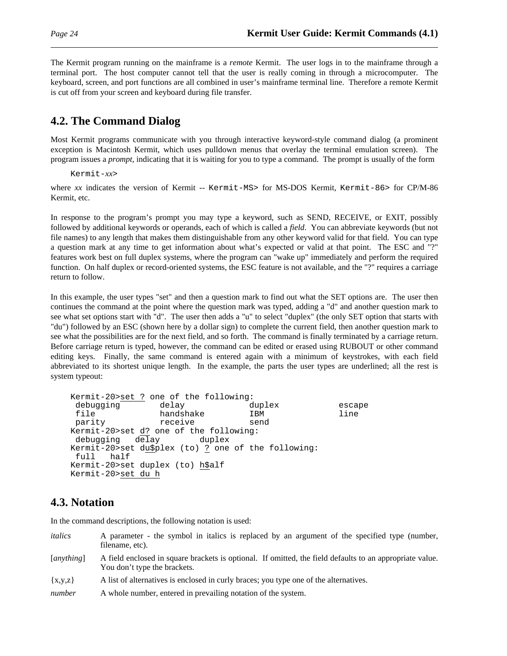The Kermit program running on the mainframe is a *remote* Kermit. The user logs in to the mainframe through a terminal port. The host computer cannot tell that the user is really coming in through a microcomputer. The keyboard, screen, and port functions are all combined in user's mainframe terminal line. Therefore a remote Kermit is cut off from your screen and keyboard during file transfer.

# **4.2. The Command Dialog**

Most Kermit programs communicate with you through interactive keyword-style command dialog (a prominent exception is Macintosh Kermit, which uses pulldown menus that overlay the terminal emulation screen). The program issues a *prompt*, indicating that it is waiting for you to type a command. The prompt is usually of the form

Kermit-*xx*>

where *xx* indicates the version of Kermit -- Kermit-MS> for MS-DOS Kermit, Kermit-86> for CP/M-86 Kermit, etc.

In response to the program's prompt you may type a keyword, such as SEND, RECEIVE, or EXIT, possibly followed by additional keywords or operands, each of which is called a *field*. You can abbreviate keywords (but not file names) to any length that makes them distinguishable from any other keyword valid for that field. You can type a question mark at any time to get information about what's expected or valid at that point. The ESC and "?" features work best on full duplex systems, where the program can "wake up" immediately and perform the required function. On half duplex or record-oriented systems, the ESC feature is not available, and the "?" requires a carriage return to follow.

In this example, the user types "set" and then a question mark to find out what the SET options are. The user then continues the command at the point where the question mark was typed, adding a "d" and another question mark to see what set options start with "d". The user then adds a "u" to select "duplex" (the only SET option that starts with "du") followed by an ESC (shown here by a dollar sign) to complete the current field, then another question mark to see what the possibilities are for the next field, and so forth. The command is finally terminated by a carriage return. Before carriage return is typed, however, the command can be edited or erased using RUBOUT or other command editing keys. Finally, the same command is entered again with a minimum of keystrokes, with each field abbreviated to its shortest unique length. In the example, the parts the user types are underlined; all the rest is system typeout:

```
Kermit-20>set ? one of the following:
debugging delay duplex escape
file handshake IBM line<br>parity receive send
parity receive
Kermit-20>set d? one of the following:
debugging delay duplex
Kermit-20>set du$plex (to) ? one of the following:
full half
Kermit-20>set duplex (to) h$alf
Kermit-20>set du h
```
## **4.3. Notation**

In the command descriptions, the following notation is used:

| italics     | A parameter - the symbol in italics is replaced by an argument of the specified type (number,<br>filename, etc).                         |
|-------------|------------------------------------------------------------------------------------------------------------------------------------------|
| [anything]  | A field enclosed in square brackets is optional. If omitted, the field defaults to an appropriate value.<br>You don't type the brackets. |
| $\{x,y,z\}$ | A list of alternatives is enclosed in curly braces; you type one of the alternatives.                                                    |

*number* A whole number, entered in prevailing notation of the system.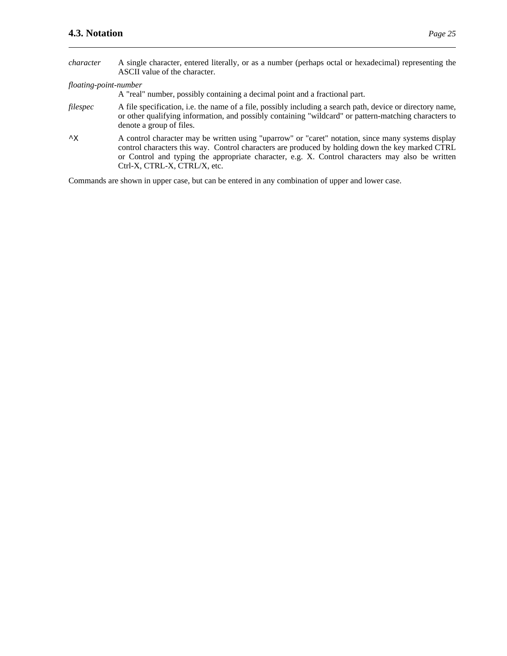- *character* A single character, entered literally, or as a number (perhaps octal or hexadecimal) representing the ASCII value of the character.
- *floating-point-number*

A "real" number, possibly containing a decimal point and a fractional part.

- *filespec* A file specification, i.e. the name of a file, possibly including a search path, device or directory name, or other qualifying information, and possibly containing "wildcard" or pattern-matching characters to denote a group of files.
- ^X A control character may be written using "uparrow" or "caret" notation, since many systems display control characters this way. Control characters are produced by holding down the key marked CTRL or Control and typing the appropriate character, e.g. X. Control characters may also be written Ctrl-X, CTRL-X, CTRL/X, etc.

Commands are shown in upper case, but can be entered in any combination of upper and lower case.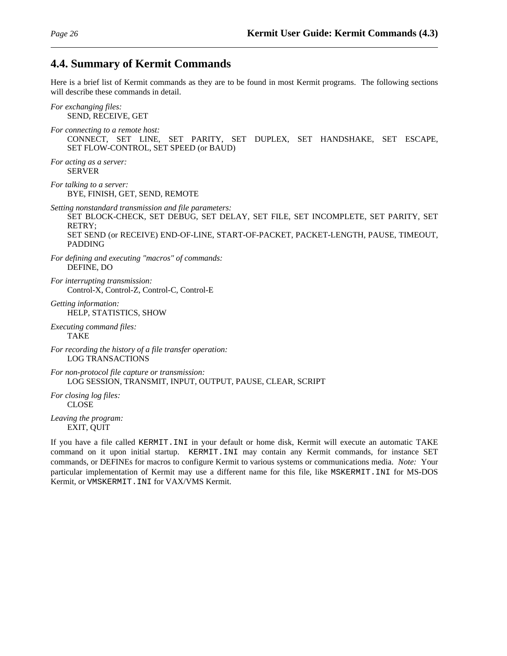## **4.4. Summary of Kermit Commands**

Here is a brief list of Kermit commands as they are to be found in most Kermit programs. The following sections will describe these commands in detail.

*For exchanging files:* SEND, RECEIVE, GET *For connecting to a remote host:* CONNECT, SET LINE, SET PARITY, SET DUPLEX, SET HANDSHAKE, SET ESCAPE, SET FLOW-CONTROL, SET SPEED (or BAUD) *For acting as a server:* SERVER *For talking to a server:* BYE, FINISH, GET, SEND, REMOTE *Setting nonstandard transmission and file parameters:* SET BLOCK-CHECK, SET DEBUG, SET DELAY, SET FILE, SET INCOMPLETE, SET PARITY, SET RETRY; SET SEND (or RECEIVE) END-OF-LINE, START-OF-PACKET, PACKET-LENGTH, PAUSE, TIMEOUT, PADDING *For defining and executing "macros" of commands:* DEFINE, DO *For interrupting transmission:* Control-X, Control-Z, Control-C, Control-E *Getting information:* HELP, STATISTICS, SHOW *Executing command files:* TAKE *For recording the history of a file transfer operation:* LOG TRANSACTIONS *For non-protocol file capture or transmission:*

LOG SESSION, TRANSMIT, INPUT, OUTPUT, PAUSE, CLEAR, SCRIPT

*For closing log files:* CLOSE

*Leaving the program:* EXIT, QUIT

If you have a file called KERMIT.INI in your default or home disk, Kermit will execute an automatic TAKE command on it upon initial startup. KERMIT.INI may contain any Kermit commands, for instance SET commands, or DEFINEs for macros to configure Kermit to various systems or communications media. *Note:* Your particular implementation of Kermit may use a different name for this file, like MSKERMIT.INI for MS-DOS Kermit, or VMSKERMIT.INI for VAX/VMS Kermit.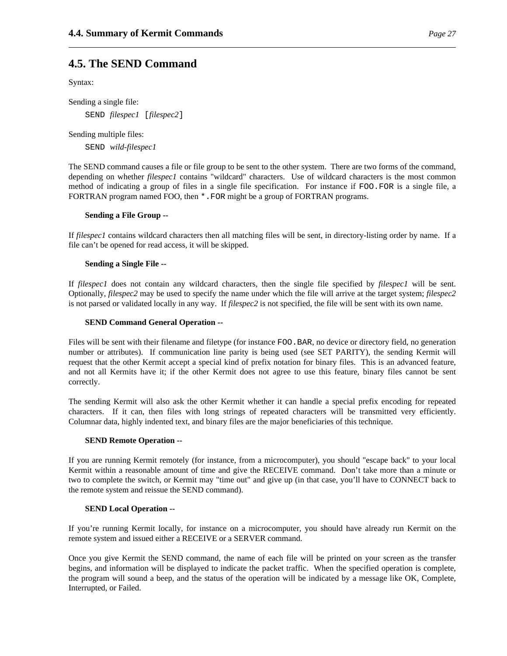## **4.5. The SEND Command**

Syntax:

Sending a single file: SEND *filespec1* [*filespec2*]

Sending multiple files:

SEND *wild-filespec1*

The SEND command causes a file or file group to be sent to the other system. There are two forms of the command, depending on whether *filespec1* contains "wildcard" characters. Use of wildcard characters is the most common method of indicating a group of files in a single file specification. For instance if FOO.FOR is a single file, a FORTRAN program named FOO, then \*.FOR might be a group of FORTRAN programs.

#### **Sending a File Group --**

If *filespec1* contains wildcard characters then all matching files will be sent, in directory-listing order by name. If a file can't be opened for read access, it will be skipped.

#### **Sending a Single File --**

If *filespec1* does not contain any wildcard characters, then the single file specified by *filespec1* will be sent. Optionally, *filespec2* may be used to specify the name under which the file will arrive at the target system; *filespec2* is not parsed or validated locally in any way. If *filespec2* is not specified, the file will be sent with its own name.

#### **SEND Command General Operation --**

Files will be sent with their filename and filetype (for instance FOO.BAR, no device or directory field, no generation number or attributes). If communication line parity is being used (see SET PARITY), the sending Kermit will request that the other Kermit accept a special kind of prefix notation for binary files. This is an advanced feature, and not all Kermits have it; if the other Kermit does not agree to use this feature, binary files cannot be sent correctly.

The sending Kermit will also ask the other Kermit whether it can handle a special prefix encoding for repeated characters. If it can, then files with long strings of repeated characters will be transmitted very efficiently. Columnar data, highly indented text, and binary files are the major beneficiaries of this technique.

#### **SEND Remote Operation --**

If you are running Kermit remotely (for instance, from a microcomputer), you should "escape back" to your local Kermit within a reasonable amount of time and give the RECEIVE command. Don't take more than a minute or two to complete the switch, or Kermit may "time out" and give up (in that case, you'll have to CONNECT back to the remote system and reissue the SEND command).

#### **SEND Local Operation --**

If you're running Kermit locally, for instance on a microcomputer, you should have already run Kermit on the remote system and issued either a RECEIVE or a SERVER command.

Once you give Kermit the SEND command, the name of each file will be printed on your screen as the transfer begins, and information will be displayed to indicate the packet traffic. When the specified operation is complete, the program will sound a beep, and the status of the operation will be indicated by a message like OK, Complete, Interrupted, or Failed.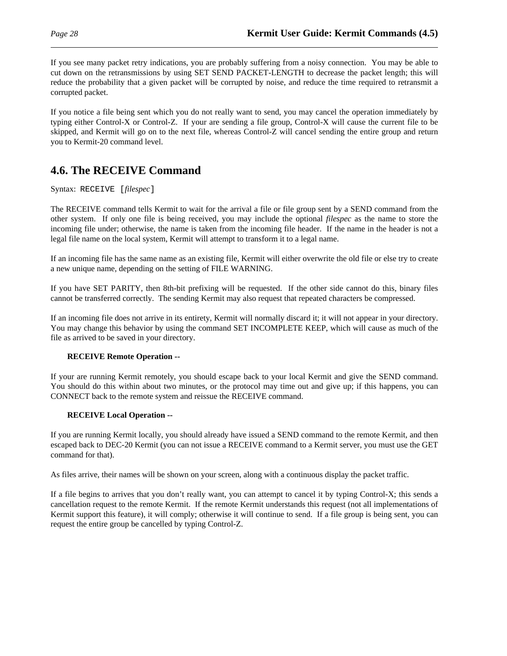If you see many packet retry indications, you are probably suffering from a noisy connection. You may be able to cut down on the retransmissions by using SET SEND PACKET-LENGTH to decrease the packet length; this will reduce the probability that a given packet will be corrupted by noise, and reduce the time required to retransmit a corrupted packet.

If you notice a file being sent which you do not really want to send, you may cancel the operation immediately by typing either Control-X or Control-Z. If your are sending a file group, Control-X will cause the current file to be skipped, and Kermit will go on to the next file, whereas Control-Z will cancel sending the entire group and return you to Kermit-20 command level.

## **4.6. The RECEIVE Command**

Syntax: RECEIVE [*filespec*]

The RECEIVE command tells Kermit to wait for the arrival a file or file group sent by a SEND command from the other system. If only one file is being received, you may include the optional *filespec* as the name to store the incoming file under; otherwise, the name is taken from the incoming file header. If the name in the header is not a legal file name on the local system, Kermit will attempt to transform it to a legal name.

If an incoming file has the same name as an existing file, Kermit will either overwrite the old file or else try to create a new unique name, depending on the setting of FILE WARNING.

If you have SET PARITY, then 8th-bit prefixing will be requested. If the other side cannot do this, binary files cannot be transferred correctly. The sending Kermit may also request that repeated characters be compressed.

If an incoming file does not arrive in its entirety, Kermit will normally discard it; it will not appear in your directory. You may change this behavior by using the command SET INCOMPLETE KEEP, which will cause as much of the file as arrived to be saved in your directory.

### **RECEIVE Remote Operation --**

If your are running Kermit remotely, you should escape back to your local Kermit and give the SEND command. You should do this within about two minutes, or the protocol may time out and give up; if this happens, you can CONNECT back to the remote system and reissue the RECEIVE command.

#### **RECEIVE Local Operation --**

If you are running Kermit locally, you should already have issued a SEND command to the remote Kermit, and then escaped back to DEC-20 Kermit (you can not issue a RECEIVE command to a Kermit server, you must use the GET command for that).

As files arrive, their names will be shown on your screen, along with a continuous display the packet traffic.

If a file begins to arrives that you don't really want, you can attempt to cancel it by typing Control-X; this sends a cancellation request to the remote Kermit. If the remote Kermit understands this request (not all implementations of Kermit support this feature), it will comply; otherwise it will continue to send. If a file group is being sent, you can request the entire group be cancelled by typing Control-Z.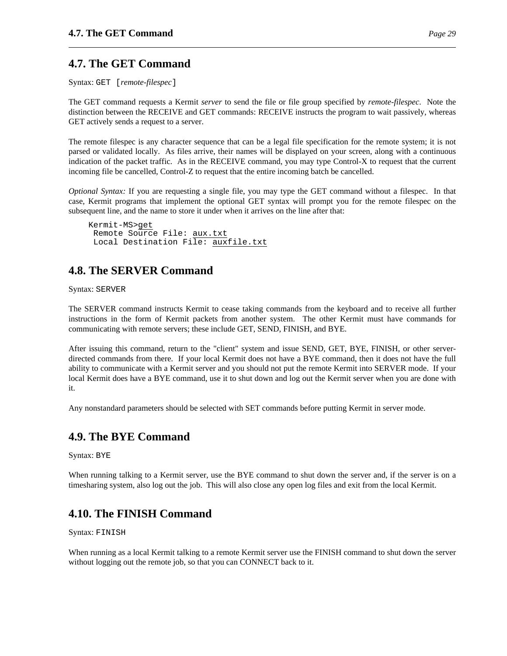## **4.7. The GET Command**

Syntax: GET [*remote-filespec*]

The GET command requests a Kermit *server* to send the file or file group specified by *remote-filespec*. Note the distinction between the RECEIVE and GET commands: RECEIVE instructs the program to wait passively, whereas GET actively sends a request to a server.

The remote filespec is any character sequence that can be a legal file specification for the remote system; it is not parsed or validated locally. As files arrive, their names will be displayed on your screen, along with a continuous indication of the packet traffic. As in the RECEIVE command, you may type Control-X to request that the current incoming file be cancelled, Control-Z to request that the entire incoming batch be cancelled.

*Optional Syntax:* If you are requesting a single file, you may type the GET command without a filespec. In that case, Kermit programs that implement the optional GET syntax will prompt you for the remote filespec on the subsequent line, and the name to store it under when it arrives on the line after that:

Kermit-MS>get Remote Source File: aux.txt Local Destination File: auxfile.txt

## **4.8. The SERVER Command**

Syntax: SERVER

The SERVER command instructs Kermit to cease taking commands from the keyboard and to receive all further instructions in the form of Kermit packets from another system. The other Kermit must have commands for communicating with remote servers; these include GET, SEND, FINISH, and BYE.

After issuing this command, return to the "client" system and issue SEND, GET, BYE, FINISH, or other serverdirected commands from there. If your local Kermit does not have a BYE command, then it does not have the full ability to communicate with a Kermit server and you should not put the remote Kermit into SERVER mode. If your local Kermit does have a BYE command, use it to shut down and log out the Kermit server when you are done with it.

Any nonstandard parameters should be selected with SET commands before putting Kermit in server mode.

## **4.9. The BYE Command**

Syntax: BYE

When running talking to a Kermit server, use the BYE command to shut down the server and, if the server is on a timesharing system, also log out the job. This will also close any open log files and exit from the local Kermit.

## **4.10. The FINISH Command**

Syntax: FINISH

When running as a local Kermit talking to a remote Kermit server use the FINISH command to shut down the server without logging out the remote job, so that you can CONNECT back to it.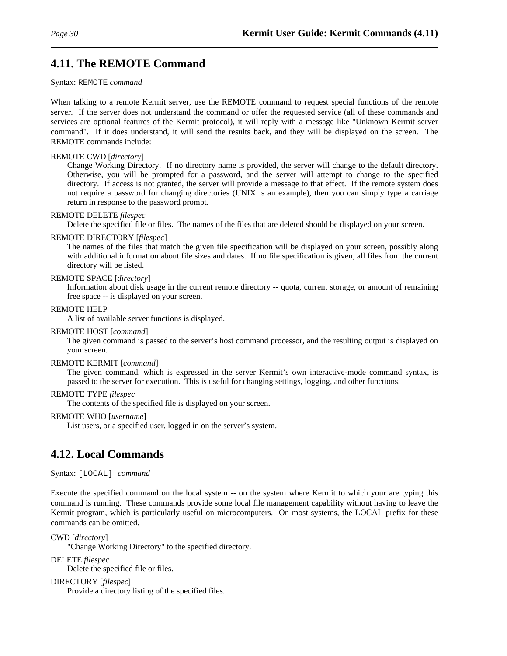## **4.11. The REMOTE Command**

#### Syntax: REMOTE *command*

When talking to a remote Kermit server, use the REMOTE command to request special functions of the remote server. If the server does not understand the command or offer the requested service (all of these commands and services are optional features of the Kermit protocol), it will reply with a message like "Unknown Kermit server command". If it does understand, it will send the results back, and they will be displayed on the screen. The REMOTE commands include:

#### REMOTE CWD [*directory*]

Change Working Directory. If no directory name is provided, the server will change to the default directory. Otherwise, you will be prompted for a password, and the server will attempt to change to the specified directory. If access is not granted, the server will provide a message to that effect. If the remote system does not require a password for changing directories (UNIX is an example), then you can simply type a carriage return in response to the password prompt.

#### REMOTE DELETE *filespec*

Delete the specified file or files. The names of the files that are deleted should be displayed on your screen.

#### REMOTE DIRECTORY [*filespec*]

The names of the files that match the given file specification will be displayed on your screen, possibly along with additional information about file sizes and dates. If no file specification is given, all files from the current directory will be listed.

#### REMOTE SPACE [*directory*]

Information about disk usage in the current remote directory -- quota, current storage, or amount of remaining free space -- is displayed on your screen.

#### REMOTE HELP

A list of available server functions is displayed.

#### REMOTE HOST [*command*]

The given command is passed to the server's host command processor, and the resulting output is displayed on your screen.

#### REMOTE KERMIT [*command*]

The given command, which is expressed in the server Kermit's own interactive-mode command syntax, is passed to the server for execution. This is useful for changing settings, logging, and other functions.

#### REMOTE TYPE *filespec*

The contents of the specified file is displayed on your screen.

#### REMOTE WHO [*username*]

List users, or a specified user, logged in on the server's system.

## **4.12. Local Commands**

Syntax: [LOCAL] *command*

Execute the specified command on the local system -- on the system where Kermit to which your are typing this command is running. These commands provide some local file management capability without having to leave the Kermit program, which is particularly useful on microcomputers. On most systems, the LOCAL prefix for these commands can be omitted.

CWD [*directory*]

"Change Working Directory" to the specified directory.

DELETE *filespec*

Delete the specified file or files.

DIRECTORY [*filespec*]

Provide a directory listing of the specified files.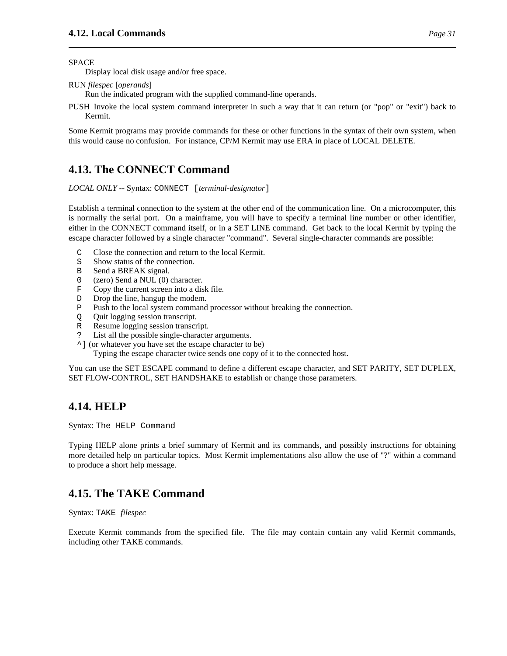SPACE

Display local disk usage and/or free space.

RUN *filespec* [*operands*]

Run the indicated program with the supplied command-line operands.

PUSH Invoke the local system command interpreter in such a way that it can return (or "pop" or "exit") back to Kermit.

Some Kermit programs may provide commands for these or other functions in the syntax of their own system, when this would cause no confusion. For instance, CP/M Kermit may use ERA in place of LOCAL DELETE.

## **4.13. The CONNECT Command**

*LOCAL ONLY* -- Syntax: CONNECT [*terminal-designator*]

Establish a terminal connection to the system at the other end of the communication line. On a microcomputer, this is normally the serial port. On a mainframe, you will have to specify a terminal line number or other identifier, either in the CONNECT command itself, or in a SET LINE command. Get back to the local Kermit by typing the escape character followed by a single character "command". Several single-character commands are possible:

- C Close the connection and return to the local Kermit.
- S Show status of the connection.
- B Send a BREAK signal.
- 0 (zero) Send a NUL (0) character.
- F Copy the current screen into a disk file.
- D Drop the line, hangup the modem.
- P Push to the local system command processor without breaking the connection.
- Q Quit logging session transcript.
- R Resume logging session transcript.
- ? List all the possible single-character arguments.
- ^] (or whatever you have set the escape character to be)

Typing the escape character twice sends one copy of it to the connected host.

You can use the SET ESCAPE command to define a different escape character, and SET PARITY, SET DUPLEX, SET FLOW-CONTROL, SET HANDSHAKE to establish or change those parameters.

## **4.14. HELP**

Syntax: The HELP Command

Typing HELP alone prints a brief summary of Kermit and its commands, and possibly instructions for obtaining more detailed help on particular topics. Most Kermit implementations also allow the use of "?" within a command to produce a short help message.

## **4.15. The TAKE Command**

Syntax: TAKE *filespec*

Execute Kermit commands from the specified file. The file may contain contain any valid Kermit commands, including other TAKE commands.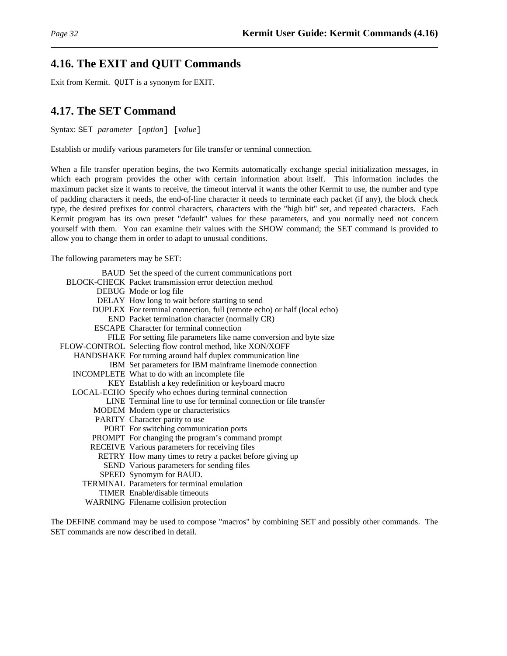### **4.16. The EXIT and QUIT Commands**

Exit from Kermit. QUIT is a synonym for EXIT.

## **4.17. The SET Command**

Syntax: SET *parameter* [*option*] [*value*]

Establish or modify various parameters for file transfer or terminal connection.

When a file transfer operation begins, the two Kermits automatically exchange special initialization messages, in which each program provides the other with certain information about itself. This information includes the maximum packet size it wants to receive, the timeout interval it wants the other Kermit to use, the number and type of padding characters it needs, the end-of-line character it needs to terminate each packet (if any), the block check type, the desired prefixes for control characters, characters with the "high bit" set, and repeated characters. Each Kermit program has its own preset "default" values for these parameters, and you normally need not concern yourself with them. You can examine their values with the SHOW command; the SET command is provided to allow you to change them in order to adapt to unusual conditions.

The following parameters may be SET:

| BAUD Set the speed of the current communications port                   |
|-------------------------------------------------------------------------|
| BLOCK-CHECK Packet transmission error detection method                  |
| DEBUG Mode or log file                                                  |
| DELAY How long to wait before starting to send                          |
| DUPLEX For terminal connection, full (remote echo) or half (local echo) |
| END Packet termination character (normally CR)                          |
| <b>ESCAPE</b> Character for terminal connection                         |
| FILE For setting file parameters like name conversion and byte size     |
| FLOW-CONTROL Selecting flow control method, like XON/XOFF               |
| HANDSHAKE For turning around half duplex communication line             |
| IBM Set parameters for IBM mainframe linemode connection                |
| INCOMPLETE What to do with an incomplete file                           |
| KEY Establish a key redefinition or keyboard macro                      |
| LOCAL-ECHO Specify who echoes during terminal connection                |
| LINE Terminal line to use for terminal connection or file transfer      |
| MODEM Modem type or characteristics                                     |
| PARITY Character parity to use                                          |
| PORT For switching communication ports                                  |
| PROMPT For changing the program's command prompt                        |
| RECEIVE Various parameters for receiving files                          |
| RETRY How many times to retry a packet before giving up                 |
| SEND Various parameters for sending files                               |
| SPEED Synomym for BAUD.                                                 |
| TERMINAL Parameters for terminal emulation                              |
| <b>TIMER</b> Enable/disable timeouts                                    |
| WARNING Filename collision protection                                   |

The DEFINE command may be used to compose "macros" by combining SET and possibly other commands. The SET commands are now described in detail.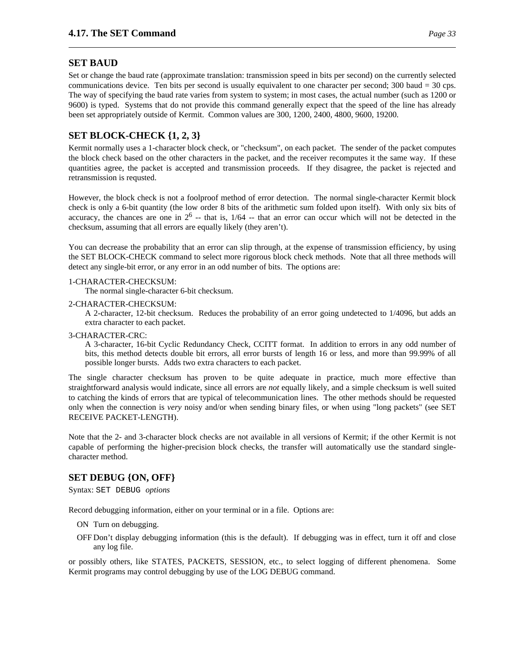#### **SET BAUD**

Set or change the baud rate (approximate translation: transmission speed in bits per second) on the currently selected communications device. Ten bits per second is usually equivalent to one character per second; 300 baud = 30 cps. The way of specifying the baud rate varies from system to system; in most cases, the actual number (such as 1200 or 9600) is typed. Systems that do not provide this command generally expect that the speed of the line has already been set appropriately outside of Kermit. Common values are 300, 1200, 2400, 4800, 9600, 19200.

### **SET BLOCK-CHECK {1, 2, 3}**

Kermit normally uses a 1-character block check, or "checksum", on each packet. The sender of the packet computes the block check based on the other characters in the packet, and the receiver recomputes it the same way. If these quantities agree, the packet is accepted and transmission proceeds. If they disagree, the packet is rejected and retransmission is requsted.

However, the block check is not a foolproof method of error detection. The normal single-character Kermit block check is only a 6-bit quantity (the low order 8 bits of the arithmetic sum folded upon itself). With only six bits of accuracy, the chances are one in  $2^6$  -- that is,  $1/64$  -- that an error can occur which will not be detected in the checksum, assuming that all errors are equally likely (they aren't).

You can decrease the probability that an error can slip through, at the expense of transmission efficiency, by using the SET BLOCK-CHECK command to select more rigorous block check methods. Note that all three methods will detect any single-bit error, or any error in an odd number of bits. The options are:

#### 1-CHARACTER-CHECKSUM:

The normal single-character 6-bit checksum.

#### 2-CHARACTER-CHECKSUM:

A 2-character, 12-bit checksum. Reduces the probability of an error going undetected to 1/4096, but adds an extra character to each packet.

#### 3-CHARACTER-CRC:

A 3-character, 16-bit Cyclic Redundancy Check, CCITT format. In addition to errors in any odd number of bits, this method detects double bit errors, all error bursts of length 16 or less, and more than 99.99% of all possible longer bursts. Adds two extra characters to each packet.

The single character checksum has proven to be quite adequate in practice, much more effective than straightforward analysis would indicate, since all errors are *not* equally likely, and a simple checksum is well suited to catching the kinds of errors that are typical of telecommunication lines. The other methods should be requested only when the connection is *very* noisy and/or when sending binary files, or when using "long packets" (see SET RECEIVE PACKET-LENGTH).

Note that the 2- and 3-character block checks are not available in all versions of Kermit; if the other Kermit is not capable of performing the higher-precision block checks, the transfer will automatically use the standard singlecharacter method.

### **SET DEBUG {ON, OFF}**

Syntax: SET DEBUG *options*

Record debugging information, either on your terminal or in a file. Options are:

- ON Turn on debugging.
- OFF Don't display debugging information (this is the default). If debugging was in effect, turn it off and close any log file.

or possibly others, like STATES, PACKETS, SESSION, etc., to select logging of different phenomena. Some Kermit programs may control debugging by use of the LOG DEBUG command.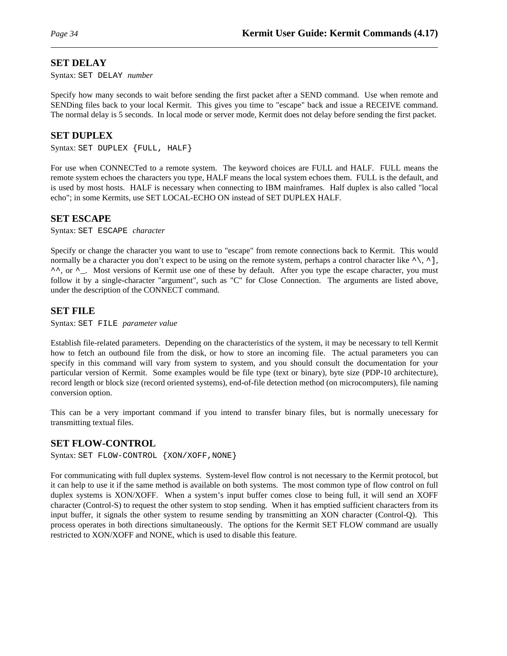### **SET DELAY**

Syntax: SET DELAY *number*

Specify how many seconds to wait before sending the first packet after a SEND command. Use when remote and SENDing files back to your local Kermit. This gives you time to "escape" back and issue a RECEIVE command. The normal delay is 5 seconds. In local mode or server mode, Kermit does not delay before sending the first packet.

### **SET DUPLEX**

Syntax: SET DUPLEX {FULL, HALF}

For use when CONNECTed to a remote system. The keyword choices are FULL and HALF. FULL means the remote system echoes the characters you type, HALF means the local system echoes them. FULL is the default, and is used by most hosts. HALF is necessary when connecting to IBM mainframes. Half duplex is also called "local echo"; in some Kermits, use SET LOCAL-ECHO ON instead of SET DUPLEX HALF.

#### **SET ESCAPE**

Syntax: SET ESCAPE *character*

Specify or change the character you want to use to "escape" from remote connections back to Kermit. This would normally be a character you don't expect to be using on the remote system, perhaps a control character like  $\land, \land$ ],  $\land \land$ , or  $\land$ \_. Most versions of Kermit use one of these by default. After you type the escape character, you must follow it by a single-character "argument", such as "C" for Close Connection. The arguments are listed above, under the description of the CONNECT command.

### **SET FILE**

Syntax: SET FILE *parameter value*

Establish file-related parameters. Depending on the characteristics of the system, it may be necessary to tell Kermit how to fetch an outbound file from the disk, or how to store an incoming file. The actual parameters you can specify in this command will vary from system to system, and you should consult the documentation for your particular version of Kermit. Some examples would be file type (text or binary), byte size (PDP-10 architecture), record length or block size (record oriented systems), end-of-file detection method (on microcomputers), file naming conversion option.

This can be a very important command if you intend to transfer binary files, but is normally unecessary for transmitting textual files.

### **SET FLOW-CONTROL**

Syntax: SET FLOW-CONTROL {XON/XOFF, NONE}

For communicating with full duplex systems. System-level flow control is not necessary to the Kermit protocol, but it can help to use it if the same method is available on both systems. The most common type of flow control on full duplex systems is XON/XOFF. When a system's input buffer comes close to being full, it will send an XOFF character (Control-S) to request the other system to stop sending. When it has emptied sufficient characters from its input buffer, it signals the other system to resume sending by transmitting an XON character (Control-Q). This process operates in both directions simultaneously. The options for the Kermit SET FLOW command are usually restricted to XON/XOFF and NONE, which is used to disable this feature.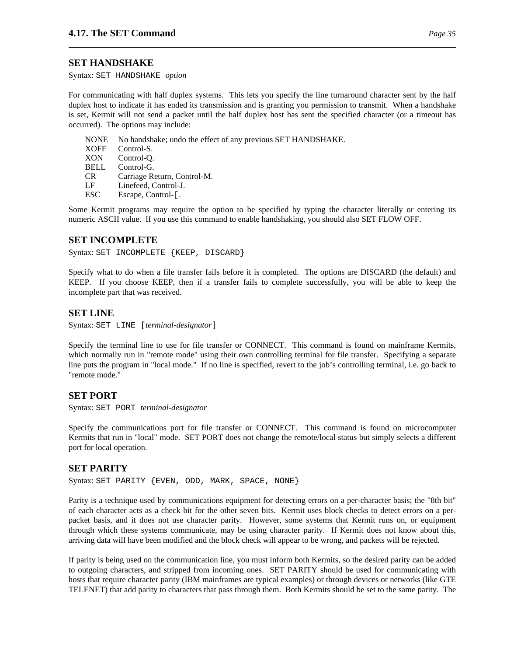#### **SET HANDSHAKE**

Syntax: SET HANDSHAKE *option*

For communicating with half duplex systems. This lets you specify the line turnaround character sent by the half duplex host to indicate it has ended its transmission and is granting you permission to transmit. When a handshake is set, Kermit will not send a packet until the half duplex host has sent the specified character (or a timeout has occurred). The options may include:

NONE No handshake; undo the effect of any previous SET HANDSHAKE. XOFF Control-S. XON Control-Q. BELL Control-G. CR Carriage Return, Control-M. LF Linefeed, Control-J. ESC Escape, Control-[.

Some Kermit programs may require the option to be specified by typing the character literally or entering its numeric ASCII value. If you use this command to enable handshaking, you should also SET FLOW OFF.

#### **SET INCOMPLETE**

Syntax: SET INCOMPLETE {KEEP, DISCARD}

Specify what to do when a file transfer fails before it is completed. The options are DISCARD (the default) and KEEP. If you choose KEEP, then if a transfer fails to complete successfully, you will be able to keep the incomplete part that was received.

#### **SET LINE**

Syntax: SET LINE [*terminal-designator*]

Specify the terminal line to use for file transfer or CONNECT. This command is found on mainframe Kermits, which normally run in "remote mode" using their own controlling terminal for file transfer. Specifying a separate line puts the program in "local mode." If no line is specified, revert to the job's controlling terminal, i.e. go back to "remote mode."

#### **SET PORT**

Syntax: SET PORT *terminal-designator*

Specify the communications port for file transfer or CONNECT. This command is found on microcomputer Kermits that run in "local" mode. SET PORT does not change the remote/local status but simply selects a different port for local operation.

#### **SET PARITY**

Syntax: SET PARITY {EVEN, ODD, MARK, SPACE, NONE}

Parity is a technique used by communications equipment for detecting errors on a per-character basis; the "8th bit" of each character acts as a check bit for the other seven bits. Kermit uses block checks to detect errors on a perpacket basis, and it does not use character parity. However, some systems that Kermit runs on, or equipment through which these systems communicate, may be using character parity. If Kermit does not know about this, arriving data will have been modified and the block check will appear to be wrong, and packets will be rejected.

If parity is being used on the communication line, you must inform both Kermits, so the desired parity can be added to outgoing characters, and stripped from incoming ones. SET PARITY should be used for communicating with hosts that require character parity (IBM mainframes are typical examples) or through devices or networks (like GTE TELENET) that add parity to characters that pass through them. Both Kermits should be set to the same parity. The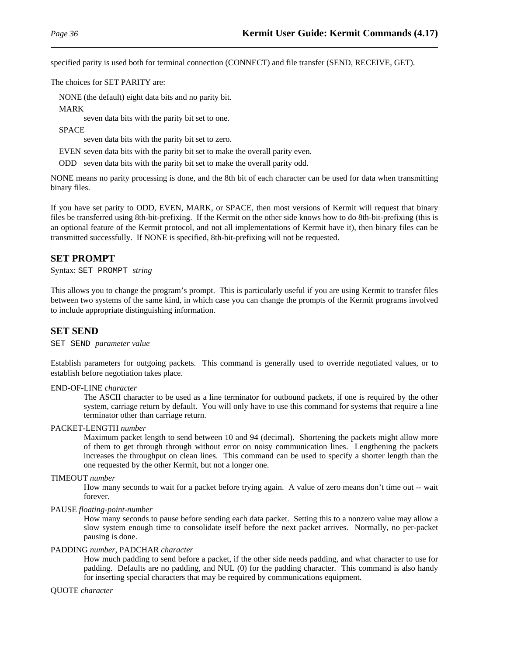specified parity is used both for terminal connection (CONNECT) and file transfer (SEND, RECEIVE, GET).

The choices for SET PARITY are:

NONE (the default) eight data bits and no parity bit.

MARK

seven data bits with the parity bit set to one.

SPACE

seven data bits with the parity bit set to zero.

EVEN seven data bits with the parity bit set to make the overall parity even.

ODD seven data bits with the parity bit set to make the overall parity odd.

NONE means no parity processing is done, and the 8th bit of each character can be used for data when transmitting binary files.

If you have set parity to ODD, EVEN, MARK, or SPACE, then most versions of Kermit will request that binary files be transferred using 8th-bit-prefixing. If the Kermit on the other side knows how to do 8th-bit-prefixing (this is an optional feature of the Kermit protocol, and not all implementations of Kermit have it), then binary files can be transmitted successfully. If NONE is specified, 8th-bit-prefixing will not be requested.

#### **SET PROMPT**

Syntax: SET PROMPT *string*

This allows you to change the program's prompt. This is particularly useful if you are using Kermit to transfer files between two systems of the same kind, in which case you can change the prompts of the Kermit programs involved to include appropriate distinguishing information.

#### **SET SEND**

SET SEND *parameter value*

Establish parameters for outgoing packets. This command is generally used to override negotiated values, or to establish before negotiation takes place.

### END-OF-LINE *character*

The ASCII character to be used as a line terminator for outbound packets, if one is required by the other system, carriage return by default. You will only have to use this command for systems that require a line terminator other than carriage return.

#### PACKET-LENGTH *number*

Maximum packet length to send between 10 and 94 (decimal). Shortening the packets might allow more of them to get through through without error on noisy communication lines. Lengthening the packets increases the throughput on clean lines. This command can be used to specify a shorter length than the one requested by the other Kermit, but not a longer one.

#### TIMEOUT *number*

How many seconds to wait for a packet before trying again. A value of zero means don't time out -- wait forever.

#### PAUSE *floating-point-number*

How many seconds to pause before sending each data packet. Setting this to a nonzero value may allow a slow system enough time to consolidate itself before the next packet arrives. Normally, no per-packet pausing is done.

#### PADDING *number*, PADCHAR *character*

How much padding to send before a packet, if the other side needs padding, and what character to use for padding. Defaults are no padding, and NUL (0) for the padding character. This command is also handy for inserting special characters that may be required by communications equipment.

#### QUOTE *character*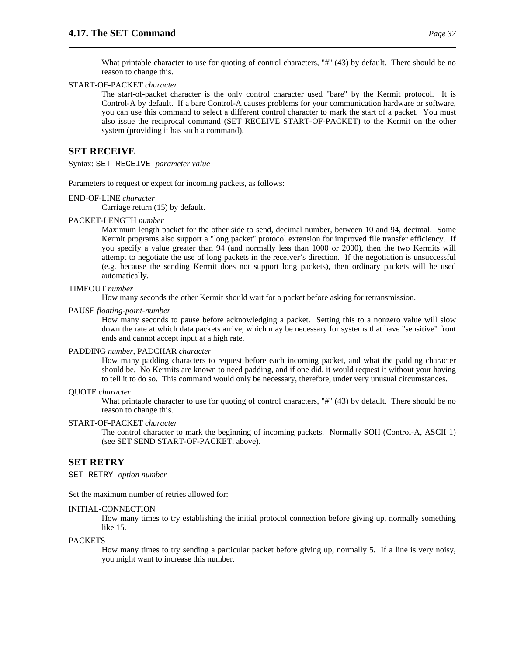What printable character to use for quoting of control characters, "#" (43) by default. There should be no reason to change this.

#### START-OF-PACKET *character*

The start-of-packet character is the only control character used "bare" by the Kermit protocol. It is Control-A by default. If a bare Control-A causes problems for your communication hardware or software, you can use this command to select a different control character to mark the start of a packet. You must also issue the reciprocal command (SET RECEIVE START-OF-PACKET) to the Kermit on the other system (providing it has such a command).

### **SET RECEIVE**

Syntax: SET RECEIVE *parameter value*

Parameters to request or expect for incoming packets, as follows:

#### END-OF-LINE *character*

Carriage return (15) by default.

#### PACKET-LENGTH *number*

Maximum length packet for the other side to send, decimal number, between 10 and 94, decimal. Some Kermit programs also support a "long packet" protocol extension for improved file transfer efficiency. If you specify a value greater than 94 (and normally less than 1000 or 2000), then the two Kermits will attempt to negotiate the use of long packets in the receiver's direction. If the negotiation is unsuccessful (e.g. because the sending Kermit does not support long packets), then ordinary packets will be used automatically.

#### TIMEOUT *number*

How many seconds the other Kermit should wait for a packet before asking for retransmission.

PAUSE *floating-point-number*

How many seconds to pause before acknowledging a packet. Setting this to a nonzero value will slow down the rate at which data packets arrive, which may be necessary for systems that have "sensitive" front ends and cannot accept input at a high rate.

#### PADDING *number*, PADCHAR *character*

How many padding characters to request before each incoming packet, and what the padding character should be. No Kermits are known to need padding, and if one did, it would request it without your having to tell it to do so. This command would only be necessary, therefore, under very unusual circumstances.

#### QUOTE *character*

What printable character to use for quoting of control characters, "#" (43) by default. There should be no reason to change this.

#### START-OF-PACKET *character*

The control character to mark the beginning of incoming packets. Normally SOH (Control-A, ASCII 1) (see SET SEND START-OF-PACKET, above).

#### **SET RETRY**

SET RETRY *option number*

Set the maximum number of retries allowed for:

#### INITIAL-CONNECTION

How many times to try establishing the initial protocol connection before giving up, normally something like 15.

#### PACKETS

How many times to try sending a particular packet before giving up, normally 5. If a line is very noisy, you might want to increase this number.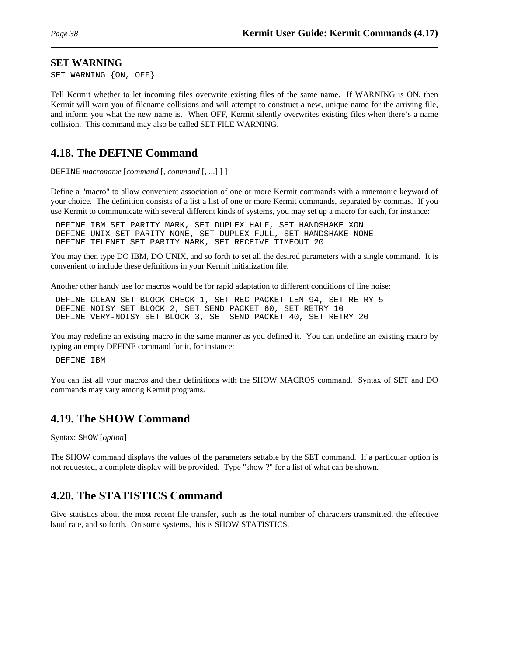#### **SET WARNING**

SET WARNING {ON, OFF}

Tell Kermit whether to let incoming files overwrite existing files of the same name. If WARNING is ON, then Kermit will warn you of filename collisions and will attempt to construct a new, unique name for the arriving file, and inform you what the new name is. When OFF, Kermit silently overwrites existing files when there's a name collision. This command may also be called SET FILE WARNING.

# **4.18. The DEFINE Command**

DEFINE *macroname* [*command* [, *command* [, ...] ] ]

Define a "macro" to allow convenient association of one or more Kermit commands with a mnemonic keyword of your choice. The definition consists of a list a list of one or more Kermit commands, separated by commas. If you use Kermit to communicate with several different kinds of systems, you may set up a macro for each, for instance:

DEFINE IBM SET PARITY MARK, SET DUPLEX HALF, SET HANDSHAKE XON DEFINE UNIX SET PARITY NONE, SET DUPLEX FULL, SET HANDSHAKE NONE DEFINE TELENET SET PARITY MARK, SET RECEIVE TIMEOUT 20

You may then type DO IBM, DO UNIX, and so forth to set all the desired parameters with a single command. It is convenient to include these definitions in your Kermit initialization file.

Another other handy use for macros would be for rapid adaptation to different conditions of line noise:

DEFINE CLEAN SET BLOCK-CHECK 1, SET REC PACKET-LEN 94, SET RETRY 5 DEFINE NOISY SET BLOCK 2, SET SEND PACKET 60, SET RETRY 10 DEFINE VERY-NOISY SET BLOCK 3, SET SEND PACKET 40, SET RETRY 20

You may redefine an existing macro in the same manner as you defined it. You can undefine an existing macro by typing an empty DEFINE command for it, for instance:

DEFINE IBM

You can list all your macros and their definitions with the SHOW MACROS command. Syntax of SET and DO commands may vary among Kermit programs.

# **4.19. The SHOW Command**

Syntax: SHOW [*option*]

The SHOW command displays the values of the parameters settable by the SET command. If a particular option is not requested, a complete display will be provided. Type "show ?" for a list of what can be shown.

# **4.20. The STATISTICS Command**

Give statistics about the most recent file transfer, such as the total number of characters transmitted, the effective baud rate, and so forth. On some systems, this is SHOW STATISTICS.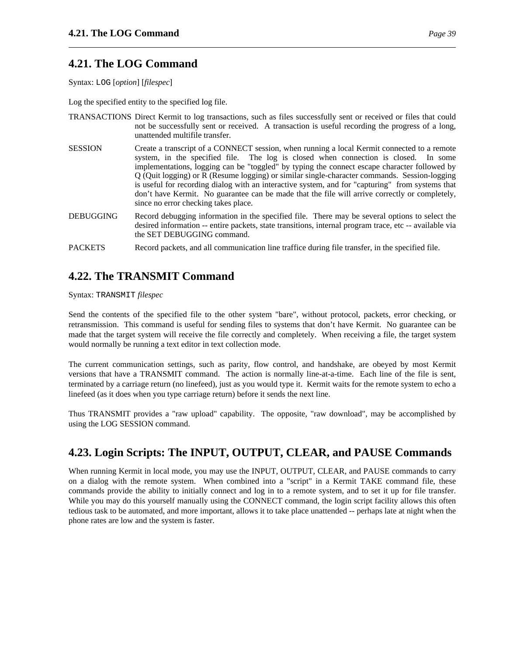# **4.21. The LOG Command**

Syntax: LOG [*option*] [*filespec*]

Log the specified entity to the specified log file.

- TRANSACTIONS Direct Kermit to log transactions, such as files successfully sent or received or files that could not be successfully sent or received. A transaction is useful recording the progress of a long, unattended multifile transfer.
- SESSION Create a transcript of a CONNECT session, when running a local Kermit connected to a remote system, in the specified file. The log is closed when connection is closed. In some implementations, logging can be "toggled" by typing the connect escape character followed by Q (Quit logging) or R (Resume logging) or similar single-character commands. Session-logging is useful for recording dialog with an interactive system, and for "capturing" from systems that don't have Kermit. No guarantee can be made that the file will arrive correctly or completely, since no error checking takes place.
- DEBUGGING Record debugging information in the specified file. There may be several options to select the desired information -- entire packets, state transitions, internal program trace, etc -- available via the SET DEBUGGING command.
- PACKETS Record packets, and all communication line traffice during file transfer, in the specified file.

# **4.22. The TRANSMIT Command**

Syntax: TRANSMIT *filespec*

Send the contents of the specified file to the other system "bare", without protocol, packets, error checking, or retransmission. This command is useful for sending files to systems that don't have Kermit. No guarantee can be made that the target system will receive the file correctly and completely. When receiving a file, the target system would normally be running a text editor in text collection mode.

The current communication settings, such as parity, flow control, and handshake, are obeyed by most Kermit versions that have a TRANSMIT command. The action is normally line-at-a-time. Each line of the file is sent, terminated by a carriage return (no linefeed), just as you would type it. Kermit waits for the remote system to echo a linefeed (as it does when you type carriage return) before it sends the next line.

Thus TRANSMIT provides a "raw upload" capability. The opposite, "raw download", may be accomplished by using the LOG SESSION command.

# **4.23. Login Scripts: The INPUT, OUTPUT, CLEAR, and PAUSE Commands**

When running Kermit in local mode, you may use the INPUT, OUTPUT, CLEAR, and PAUSE commands to carry on a dialog with the remote system. When combined into a "script" in a Kermit TAKE command file, these commands provide the ability to initially connect and log in to a remote system, and to set it up for file transfer. While you may do this yourself manually using the CONNECT command, the login script facility allows this often tedious task to be automated, and more important, allows it to take place unattended -- perhaps late at night when the phone rates are low and the system is faster.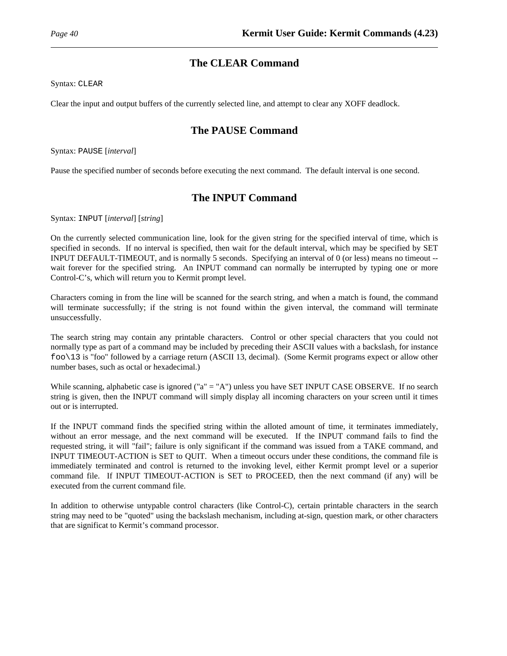# **The CLEAR Command**

Syntax: CLEAR

Clear the input and output buffers of the currently selected line, and attempt to clear any XOFF deadlock.

# **The PAUSE Command**

Syntax: PAUSE [*interval*]

Pause the specified number of seconds before executing the next command. The default interval is one second.

# **The INPUT Command**

Syntax: INPUT [*interval*] [*string*]

On the currently selected communication line, look for the given string for the specified interval of time, which is specified in seconds. If no interval is specified, then wait for the default interval, which may be specified by SET INPUT DEFAULT-TIMEOUT, and is normally 5 seconds. Specifying an interval of 0 (or less) means no timeout - wait forever for the specified string. An INPUT command can normally be interrupted by typing one or more Control-C's, which will return you to Kermit prompt level.

Characters coming in from the line will be scanned for the search string, and when a match is found, the command will terminate successfully; if the string is not found within the given interval, the command will terminate unsuccessfully.

The search string may contain any printable characters. Control or other special characters that you could not normally type as part of a command may be included by preceding their ASCII values with a backslash, for instance foo\13 is "foo" followed by a carriage return (ASCII 13, decimal). (Some Kermit programs expect or allow other number bases, such as octal or hexadecimal.)

While scanning, alphabetic case is ignored ("a" = "A") unless you have SET INPUT CASE OBSERVE. If no search string is given, then the INPUT command will simply display all incoming characters on your screen until it times out or is interrupted.

If the INPUT command finds the specified string within the alloted amount of time, it terminates immediately, without an error message, and the next command will be executed. If the INPUT command fails to find the requested string, it will "fail"; failure is only significant if the command was issued from a TAKE command, and INPUT TIMEOUT-ACTION is SET to QUIT. When a timeout occurs under these conditions, the command file is immediately terminated and control is returned to the invoking level, either Kermit prompt level or a superior command file. If INPUT TIMEOUT-ACTION is SET to PROCEED, then the next command (if any) will be executed from the current command file.

In addition to otherwise untypable control characters (like Control-C), certain printable characters in the search string may need to be "quoted" using the backslash mechanism, including at-sign, question mark, or other characters that are significat to Kermit's command processor.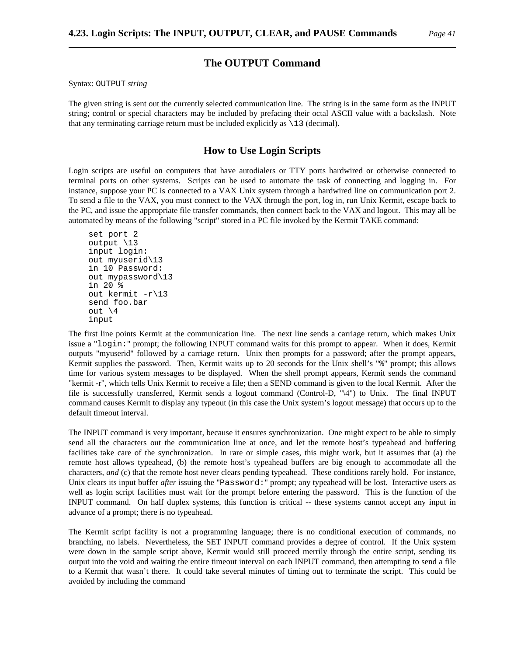## **The OUTPUT Command**

Syntax: OUTPUT *string*

The given string is sent out the currently selected communication line. The string is in the same form as the INPUT string; control or special characters may be included by prefacing their octal ASCII value with a backslash. Note that any terminating carriage return must be included explicitly as  $\setminus$ 13 (decimal).

### **How to Use Login Scripts**

Login scripts are useful on computers that have autodialers or TTY ports hardwired or otherwise connected to terminal ports on other systems. Scripts can be used to automate the task of connecting and logging in. For instance, suppose your PC is connected to a VAX Unix system through a hardwired line on communication port 2. To send a file to the VAX, you must connect to the VAX through the port, log in, run Unix Kermit, escape back to the PC, and issue the appropriate file transfer commands, then connect back to the VAX and logout. This may all be automated by means of the following "script" stored in a PC file invoked by the Kermit TAKE command:

```
set port 2
output \13
input login:
out myuserid\13
in 10 Password:
out mypassword\13
in 20 %
out kermit -r\13
send foo.bar
out \setminus4
input
```
The first line points Kermit at the communication line. The next line sends a carriage return, which makes Unix issue a "login:" prompt; the following INPUT command waits for this prompt to appear. When it does, Kermit outputs "myuserid" followed by a carriage return. Unix then prompts for a password; after the prompt appears, Kermit supplies the password. Then, Kermit waits up to 20 seconds for the Unix shell's "%" prompt; this allows time for various system messages to be displayed. When the shell prompt appears, Kermit sends the command "kermit -r", which tells Unix Kermit to receive a file; then a SEND command is given to the local Kermit. After the file is successfully transferred, Kermit sends a logout command (Control-D, "\4") to Unix. The final INPUT command causes Kermit to display any typeout (in this case the Unix system's logout message) that occurs up to the default timeout interval.

The INPUT command is very important, because it ensures synchronization. One might expect to be able to simply send all the characters out the communication line at once, and let the remote host's typeahead and buffering facilities take care of the synchronization. In rare or simple cases, this might work, but it assumes that (a) the remote host allows typeahead, (b) the remote host's typeahead buffers are big enough to accommodate all the characters, *and* (c) that the remote host never clears pending typeahead. These conditions rarely hold. For instance, Unix clears its input buffer *after* issuing the "Password:" prompt; any typeahead will be lost. Interactive users as well as login script facilities must wait for the prompt before entering the password. This is the function of the INPUT command. On half duplex systems, this function is critical -- these systems cannot accept any input in advance of a prompt; there is no typeahead.

The Kermit script facility is not a programming language; there is no conditional execution of commands, no branching, no labels. Nevertheless, the SET INPUT command provides a degree of control. If the Unix system were down in the sample script above, Kermit would still proceed merrily through the entire script, sending its output into the void and waiting the entire timeout interval on each INPUT command, then attempting to send a file to a Kermit that wasn't there. It could take several minutes of timing out to terminate the script. This could be avoided by including the command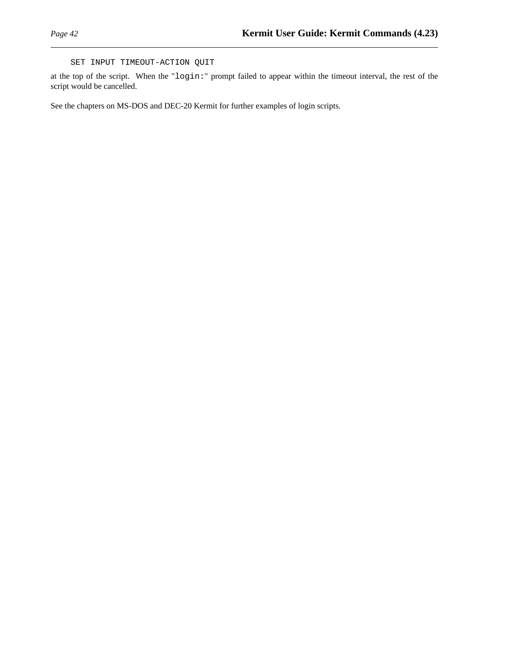SET INPUT TIMEOUT-ACTION QUIT

at the top of the script. When the "login:" prompt failed to appear within the timeout interval, the rest of the script would be cancelled.

See the chapters on MS-DOS and DEC-20 Kermit for further examples of login scripts.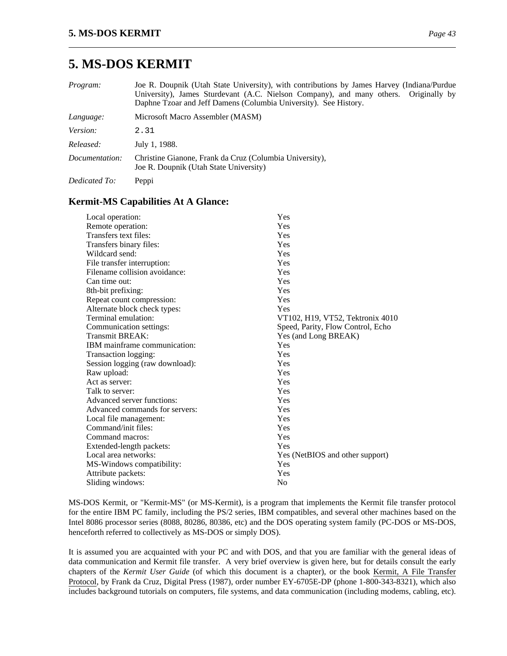# **5. MS-DOS KERMIT**

| <i>Program:</i> | Joe R. Doupnik (Utah State University), with contributions by James Harvey (Indiana/Purdue<br>University), James Sturdevant (A.C. Nielson Company), and many others. Originally by<br>Daphne Tzoar and Jeff Damens (Columbia University). See History. |
|-----------------|--------------------------------------------------------------------------------------------------------------------------------------------------------------------------------------------------------------------------------------------------------|
| Language:       | Microsoft Macro Assembler (MASM)                                                                                                                                                                                                                       |
| Version:        | 2.31                                                                                                                                                                                                                                                   |
| Released:       | July 1, 1988.                                                                                                                                                                                                                                          |
| Documentation:  | Christine Gianone, Frank da Cruz (Columbia University),<br>Joe R. Doupnik (Utah State University)                                                                                                                                                      |
| Dedicated To:   | Peppi                                                                                                                                                                                                                                                  |

## **Kermit-MS Capabilities At A Glance:**

| Local operation:                | Yes                               |
|---------------------------------|-----------------------------------|
| Remote operation:               | Yes                               |
| Transfers text files:           | Yes                               |
| Transfers binary files:         | Yes                               |
| Wildcard send:                  | Yes                               |
| File transfer interruption:     | Yes                               |
| Filename collision avoidance:   | Yes                               |
| Can time out:                   | Yes                               |
| 8th-bit prefixing:              | Yes                               |
| Repeat count compression:       | Yes                               |
| Alternate block check types:    | Yes                               |
| Terminal emulation:             | VT102, H19, VT52, Tektronix 4010  |
| Communication settings:         | Speed, Parity, Flow Control, Echo |
| Transmit BREAK:                 | Yes (and Long BREAK)              |
| IBM mainframe communication:    | Yes                               |
| Transaction logging:            | Yes                               |
| Session logging (raw download): | Yes                               |
| Raw upload:                     | Yes                               |
| Act as server:                  | Yes                               |
| Talk to server:                 | Yes                               |
| Advanced server functions:      | Yes                               |
| Advanced commands for servers:  | Yes                               |
| Local file management:          | Yes                               |
| Command/init files:             | Yes                               |
| Command macros:                 | Yes                               |
| Extended-length packets:        | Yes                               |
| Local area networks:            | Yes (NetBIOS and other support)   |
| MS-Windows compatibility:       | Yes                               |
| Attribute packets:              | Yes                               |
| Sliding windows:                | N <sub>o</sub>                    |

MS-DOS Kermit, or "Kermit-MS" (or MS-Kermit), is a program that implements the Kermit file transfer protocol for the entire IBM PC family, including the PS/2 series, IBM compatibles, and several other machines based on the Intel 8086 processor series (8088, 80286, 80386, etc) and the DOS operating system family (PC-DOS or MS-DOS, henceforth referred to collectively as MS-DOS or simply DOS).

It is assumed you are acquainted with your PC and with DOS, and that you are familiar with the general ideas of data communication and Kermit file transfer. A very brief overview is given here, but for details consult the early chapters of the *Kermit User Guide* (of which this document is a chapter), or the book Kermit, A File Transfer Protocol, by Frank da Cruz, Digital Press (1987), order number EY-6705E-DP (phone 1-800-343-8321), which also includes background tutorials on computers, file systems, and data communication (including modems, cabling, etc).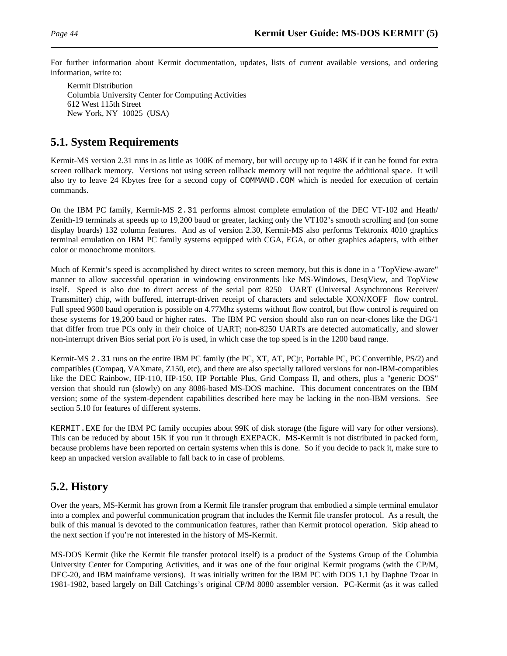For further information about Kermit documentation, updates, lists of current available versions, and ordering information, write to:

Kermit Distribution Columbia University Center for Computing Activities 612 West 115th Street New York, NY 10025 (USA)

# **5.1. System Requirements**

Kermit-MS version 2.31 runs in as little as 100K of memory, but will occupy up to 148K if it can be found for extra screen rollback memory. Versions not using screen rollback memory will not require the additional space. It will also try to leave 24 Kbytes free for a second copy of COMMAND. COM which is needed for execution of certain commands.

On the IBM PC family, Kermit-MS 2.31 performs almost complete emulation of the DEC VT-102 and Heath/ Zenith-19 terminals at speeds up to 19,200 baud or greater, lacking only the VT102's smooth scrolling and (on some display boards) 132 column features. And as of version 2.30, Kermit-MS also performs Tektronix 4010 graphics terminal emulation on IBM PC family systems equipped with CGA, EGA, or other graphics adapters, with either color or monochrome monitors.

Much of Kermit's speed is accomplished by direct writes to screen memory, but this is done in a "TopView-aware" manner to allow successful operation in windowing environments like MS-Windows, DesqView, and TopView itself. Speed is also due to direct access of the serial port 8250 UART (Universal Asynchronous Receiver/ Transmitter) chip, with buffered, interrupt-driven receipt of characters and selectable XON/XOFF flow control. Full speed 9600 baud operation is possible on 4.77Mhz systems without flow control, but flow control is required on these systems for 19,200 baud or higher rates. The IBM PC version should also run on near-clones like the DG/1 that differ from true PCs only in their choice of UART; non-8250 UARTs are detected automatically, and slower non-interrupt driven Bios serial port i/o is used, in which case the top speed is in the 1200 baud range.

Kermit-MS 2.31 runs on the entire IBM PC family (the PC, XT, AT, PCjr, Portable PC, PC Convertible, PS/2) and compatibles (Compaq, VAXmate, Z150, etc), and there are also specially tailored versions for non-IBM-compatibles like the DEC Rainbow, HP-110, HP-150, HP Portable Plus, Grid Compass II, and others, plus a "generic DOS" version that should run (slowly) on any 8086-based MS-DOS machine. This document concentrates on the IBM version; some of the system-dependent capabilities described here may be lacking in the non-IBM versions. See section 5.10 for features of different systems.

KERMIT.EXE for the IBM PC family occupies about 99K of disk storage (the figure will vary for other versions). This can be reduced by about 15K if you run it through EXEPACK. MS-Kermit is not distributed in packed form, because problems have been reported on certain systems when this is done. So if you decide to pack it, make sure to keep an unpacked version available to fall back to in case of problems.

# **5.2. History**

Over the years, MS-Kermit has grown from a Kermit file transfer program that embodied a simple terminal emulator into a complex and powerful communication program that includes the Kermit file transfer protocol. As a result, the bulk of this manual is devoted to the communication features, rather than Kermit protocol operation. Skip ahead to the next section if you're not interested in the history of MS-Kermit.

MS-DOS Kermit (like the Kermit file transfer protocol itself) is a product of the Systems Group of the Columbia University Center for Computing Activities, and it was one of the four original Kermit programs (with the CP/M, DEC-20, and IBM mainframe versions). It was initially written for the IBM PC with DOS 1.1 by Daphne Tzoar in 1981-1982, based largely on Bill Catchings's original CP/M 8080 assembler version. PC-Kermit (as it was called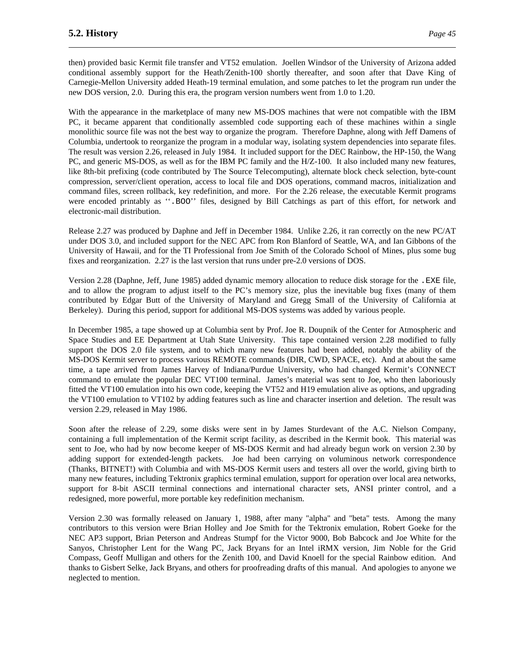then) provided basic Kermit file transfer and VT52 emulation. Joellen Windsor of the University of Arizona added conditional assembly support for the Heath/Zenith-100 shortly thereafter, and soon after that Dave King of Carnegie-Mellon University added Heath-19 terminal emulation, and some patches to let the program run under the new DOS version, 2.0. During this era, the program version numbers went from 1.0 to 1.20.

With the appearance in the marketplace of many new MS-DOS machines that were not compatible with the IBM PC, it became apparent that conditionally assembled code supporting each of these machines within a single monolithic source file was not the best way to organize the program. Therefore Daphne, along with Jeff Damens of Columbia, undertook to reorganize the program in a modular way, isolating system dependencies into separate files. The result was version 2.26, released in July 1984. It included support for the DEC Rainbow, the HP-150, the Wang PC, and generic MS-DOS, as well as for the IBM PC family and the H/Z-100. It also included many new features, like 8th-bit prefixing (code contributed by The Source Telecomputing), alternate block check selection, byte-count compression, server/client operation, access to local file and DOS operations, command macros, initialization and command files, screen rollback, key redefinition, and more. For the 2.26 release, the executable Kermit programs were encoded printably as ''.BOO'' files, designed by Bill Catchings as part of this effort, for network and electronic-mail distribution.

Release 2.27 was produced by Daphne and Jeff in December 1984. Unlike 2.26, it ran correctly on the new PC/AT under DOS 3.0, and included support for the NEC APC from Ron Blanford of Seattle, WA, and Ian Gibbons of the University of Hawaii, and for the TI Professional from Joe Smith of the Colorado School of Mines, plus some bug fixes and reorganization. 2.27 is the last version that runs under pre-2.0 versions of DOS.

Version 2.28 (Daphne, Jeff, June 1985) added dynamic memory allocation to reduce disk storage for the .EXE file, and to allow the program to adjust itself to the PC's memory size, plus the inevitable bug fixes (many of them contributed by Edgar Butt of the University of Maryland and Gregg Small of the University of California at Berkeley). During this period, support for additional MS-DOS systems was added by various people.

In December 1985, a tape showed up at Columbia sent by Prof. Joe R. Doupnik of the Center for Atmospheric and Space Studies and EE Department at Utah State University. This tape contained version 2.28 modified to fully support the DOS 2.0 file system, and to which many new features had been added, notably the ability of the MS-DOS Kermit server to process various REMOTE commands (DIR, CWD, SPACE, etc). And at about the same time, a tape arrived from James Harvey of Indiana/Purdue University, who had changed Kermit's CONNECT command to emulate the popular DEC VT100 terminal. James's material was sent to Joe, who then laboriously fitted the VT100 emulation into his own code, keeping the VT52 and H19 emulation alive as options, and upgrading the VT100 emulation to VT102 by adding features such as line and character insertion and deletion. The result was version 2.29, released in May 1986.

Soon after the release of 2.29, some disks were sent in by James Sturdevant of the A.C. Nielson Company, containing a full implementation of the Kermit script facility, as described in the Kermit book. This material was sent to Joe, who had by now become keeper of MS-DOS Kermit and had already begun work on version 2.30 by adding support for extended-length packets. Joe had been carrying on voluminous network correspondence (Thanks, BITNET!) with Columbia and with MS-DOS Kermit users and testers all over the world, giving birth to many new features, including Tektronix graphics terminal emulation, support for operation over local area networks, support for 8-bit ASCII terminal connections and international character sets, ANSI printer control, and a redesigned, more powerful, more portable key redefinition mechanism.

Version 2.30 was formally released on January 1, 1988, after many "alpha" and "beta" tests. Among the many contributors to this version were Brian Holley and Joe Smith for the Tektronix emulation, Robert Goeke for the NEC AP3 support, Brian Peterson and Andreas Stumpf for the Victor 9000, Bob Babcock and Joe White for the Sanyos, Christopher Lent for the Wang PC, Jack Bryans for an Intel iRMX version, Jim Noble for the Grid Compass, Geoff Mulligan and others for the Zenith 100, and David Knoell for the special Rainbow edition. And thanks to Gisbert Selke, Jack Bryans, and others for proofreading drafts of this manual. And apologies to anyone we neglected to mention.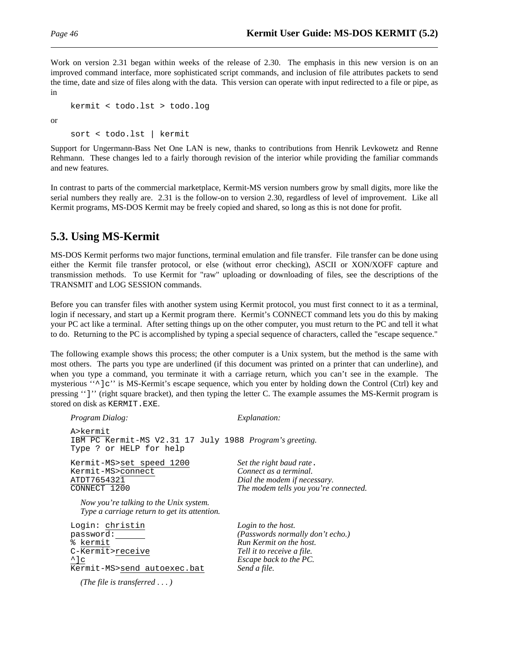Work on version 2.31 began within weeks of the release of 2.30. The emphasis in this new version is on an improved command interface, more sophisticated script commands, and inclusion of file attributes packets to send the time, date and size of files along with the data. This version can operate with input redirected to a file or pipe, as in

```
kermit < todo.lst > todo.log
```
or

sort < todo.lst | kermit

Support for Ungermann-Bass Net One LAN is new, thanks to contributions from Henrik Levkowetz and Renne Rehmann. These changes led to a fairly thorough revision of the interior while providing the familiar commands and new features.

In contrast to parts of the commercial marketplace, Kermit-MS version numbers grow by small digits, more like the serial numbers they really are. 2.31 is the follow-on to version 2.30, regardless of level of improvement. Like all Kermit programs, MS-DOS Kermit may be freely copied and shared, so long as this is not done for profit.

# **5.3. Using MS-Kermit**

MS-DOS Kermit performs two major functions, terminal emulation and file transfer. File transfer can be done using either the Kermit file transfer protocol, or else (without error checking), ASCII or XON/XOFF capture and transmission methods. To use Kermit for "raw" uploading or downloading of files, see the descriptions of the TRANSMIT and LOG SESSION commands.

Before you can transfer files with another system using Kermit protocol, you must first connect to it as a terminal, login if necessary, and start up a Kermit program there. Kermit's CONNECT command lets you do this by making your PC act like a terminal. After setting things up on the other computer, you must return to the PC and tell it what to do. Returning to the PC is accomplished by typing a special sequence of characters, called the "escape sequence."

The following example shows this process; the other computer is a Unix system, but the method is the same with most others. The parts you type are underlined (if this document was printed on a printer that can underline), and when you type a command, you terminate it with a carriage return, which you can't see in the example. The mysterious " $\degree$ ]c" is MS-Kermit's escape sequence, which you enter by holding down the Control (Ctrl) key and pressing '']'' (right square bracket), and then typing the letter C. The example assumes the MS-Kermit program is stored on disk as KERMIT.EXE.

| <i>Program Dialog:</i>                                                                                               | <i>Explanation:</i>                                                                                                                                       |
|----------------------------------------------------------------------------------------------------------------------|-----------------------------------------------------------------------------------------------------------------------------------------------------------|
| A>kermit<br>IBM PC Kermit-MS V2.31 17 July 1988 Program's greeting.<br>Type ? or HELP for help                       |                                                                                                                                                           |
| Kermit-MS>set speed 1200<br>Kermit-MS>connect<br>ATDT7654321<br>CONNECT 1200                                         | Set the right baud rate.<br>Connect as a terminal.<br>Dial the modem if necessary.<br>The modem tells you you're connected.                               |
| Now you're talking to the Unix system.<br>Type a carriage return to get its attention.                               |                                                                                                                                                           |
| Login: christin<br>password:<br>% kermit<br>C-Kermit>receive<br>$^{\wedge}$ ] $\circ$<br>Kermit-MS>send autoexec.bat | Login to the host.<br>(Passwords normally don't echo.)<br>Run Kermit on the host.<br>Tell it to receive a file.<br>Escape back to the PC.<br>Send a file. |
| (The file is transferred $\dots$ )                                                                                   |                                                                                                                                                           |
|                                                                                                                      |                                                                                                                                                           |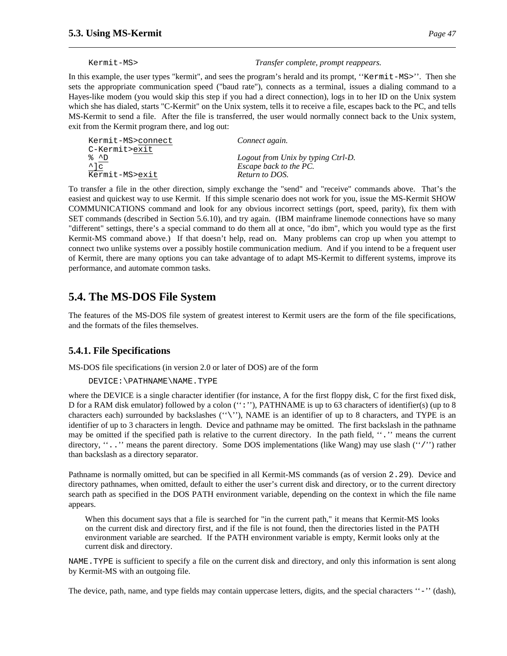Kermit-MS> *Transfer complete, prompt reappears.*

In this example, the user types "kermit", and sees the program's herald and its prompt, "Kermit-MS>". Then she sets the appropriate communication speed ("baud rate"), connects as a terminal, issues a dialing command to a Hayes-like modem (you would skip this step if you had a direct connection), logs in to her ID on the Unix system which she has dialed, starts "C-Kermit" on the Unix system, tells it to receive a file, escapes back to the PC, and tells MS-Kermit to send a file. After the file is transferred, the user would normally connect back to the Unix system, exit from the Kermit program there, and log out:

| Kermit-MS>connect                       | Connect again.                     |
|-----------------------------------------|------------------------------------|
| C-Kermit>exit                           |                                    |
| ‱ ^D                                    | Logout from Unix by typing Ctrl-D. |
| $\frac{\lambda}{\text{Kermit-MS}$ = xit | Escape back to the PC.             |
|                                         | Return to DOS.                     |

To transfer a file in the other direction, simply exchange the "send" and "receive" commands above. That's the easiest and quickest way to use Kermit. If this simple scenario does not work for you, issue the MS-Kermit SHOW COMMUNICATIONS command and look for any obvious incorrect settings (port, speed, parity), fix them with SET commands (described in Section 5.6.10), and try again. (IBM mainframe linemode connections have so many "different" settings, there's a special command to do them all at once, "do ibm", which you would type as the first Kermit-MS command above.) If that doesn't help, read on. Many problems can crop up when you attempt to connect two unlike systems over a possibly hostile communication medium. And if you intend to be a frequent user of Kermit, there are many options you can take advantage of to adapt MS-Kermit to different systems, improve its performance, and automate common tasks.

# **5.4. The MS-DOS File System**

The features of the MS-DOS file system of greatest interest to Kermit users are the form of the file specifications, and the formats of the files themselves.

# **5.4.1. File Specifications**

MS-DOS file specifications (in version 2.0 or later of DOS) are of the form

```
DEVICE:\PATHNAME\NAME.TYPE
```
where the DEVICE is a single character identifier (for instance, A for the first floppy disk, C for the first fixed disk, D for a RAM disk emulator) followed by a colon (":"), PATHNAME is up to 63 characters of identifier(s) (up to 8 characters each) surrounded by backslashes (''\''), NAME is an identifier of up to 8 characters, and TYPE is an identifier of up to 3 characters in length. Device and pathname may be omitted. The first backslash in the pathname may be omitted if the specified path is relative to the current directory. In the path field, ''.'' means the current directory, "..." means the parent directory. Some DOS implementations (like Wang) may use slash ("/") rather than backslash as a directory separator.

Pathname is normally omitted, but can be specified in all Kermit-MS commands (as of version 2.29). Device and directory pathnames, when omitted, default to either the user's current disk and directory, or to the current directory search path as specified in the DOS PATH environment variable, depending on the context in which the file name appears.

When this document says that a file is searched for "in the current path," it means that Kermit-MS looks on the current disk and directory first, and if the file is not found, then the directories listed in the PATH environment variable are searched. If the PATH environment variable is empty, Kermit looks only at the current disk and directory.

NAME.TYPE is sufficient to specify a file on the current disk and directory, and only this information is sent along by Kermit-MS with an outgoing file.

The device, path, name, and type fields may contain uppercase letters, digits, and the special characters "-" (dash),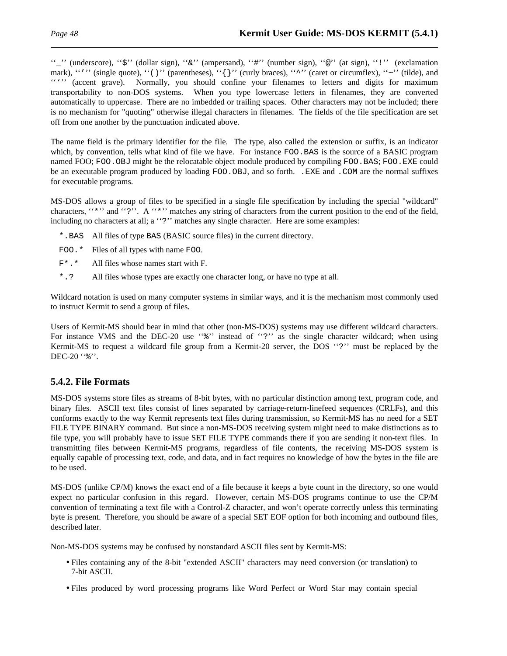''\_'' (underscore), ''\$'' (dollar sign), ''&'' (ampersand), ''#'' (number sign), ''@'' (at sign), ''!'' (exclamation mark), "''' (single quote), "'(')'' (parentheses), " $\{\}$ '' (curly braces), "^'' (caret or circumflex), "~'' (tilde), and """ (accent grave). Normally, you should confine your filenames to letters and digits for maximum transportability to non-DOS systems. When you type lowercase letters in filenames, they are converted automatically to uppercase. There are no imbedded or trailing spaces. Other characters may not be included; there is no mechanism for "quoting" otherwise illegal characters in filenames. The fields of the file specification are set off from one another by the punctuation indicated above.

The name field is the primary identifier for the file. The type, also called the extension or suffix, is an indicator which, by convention, tells what kind of file we have. For instance FOO.BAS is the source of a BASIC program named FOO; FOO.OBJ might be the relocatable object module produced by compiling FOO.BAS; FOO.EXE could be an executable program produced by loading FOO.OBJ, and so forth. .EXE and .COM are the normal suffixes for executable programs.

MS-DOS allows a group of files to be specified in a single file specification by including the special "wildcard" characters, "\*'' and "?''. A "\*'' matches any string of characters from the current position to the end of the field, including no characters at all; a "?" matches any single character. Here are some examples:

- \*.BAS All files of type BAS (BASIC source files) in the current directory.
- FOO.\* Files of all types with name FOO.
- F\*.\* All files whose names start with F.
- \*.? All files whose types are exactly one character long, or have no type at all.

Wildcard notation is used on many computer systems in similar ways, and it is the mechanism most commonly used to instruct Kermit to send a group of files.

Users of Kermit-MS should bear in mind that other (non-MS-DOS) systems may use different wildcard characters. For instance VMS and the DEC-20 use "%" instead of "?" as the single character wildcard; when using Kermit-MS to request a wildcard file group from a Kermit-20 server, the DOS ''?'' must be replaced by the DEC-20 "%".

# **5.4.2. File Formats**

MS-DOS systems store files as streams of 8-bit bytes, with no particular distinction among text, program code, and binary files. ASCII text files consist of lines separated by carriage-return-linefeed sequences (CRLFs), and this conforms exactly to the way Kermit represents text files during transmission, so Kermit-MS has no need for a SET FILE TYPE BINARY command. But since a non-MS-DOS receiving system might need to make distinctions as to file type, you will probably have to issue SET FILE TYPE commands there if you are sending it non-text files. In transmitting files between Kermit-MS programs, regardless of file contents, the receiving MS-DOS system is equally capable of processing text, code, and data, and in fact requires no knowledge of how the bytes in the file are to be used.

MS-DOS (unlike CP/M) knows the exact end of a file because it keeps a byte count in the directory, so one would expect no particular confusion in this regard. However, certain MS-DOS programs continue to use the CP/M convention of terminating a text file with a Control-Z character, and won't operate correctly unless this terminating byte is present. Therefore, you should be aware of a special SET EOF option for both incoming and outbound files, described later.

Non-MS-DOS systems may be confused by nonstandard ASCII files sent by Kermit-MS:

- Files containing any of the 8-bit "extended ASCII" characters may need conversion (or translation) to 7-bit ASCII.
- Files produced by word processing programs like Word Perfect or Word Star may contain special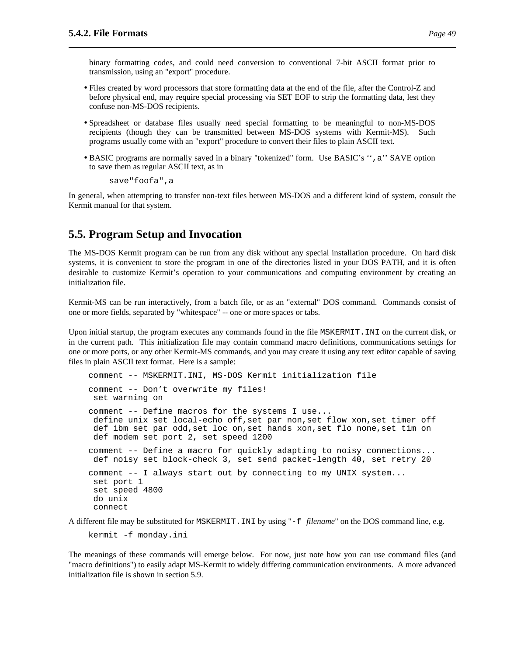binary formatting codes, and could need conversion to conventional 7-bit ASCII format prior to transmission, using an "export" procedure.

- Files created by word processors that store formatting data at the end of the file, after the Control-Z and before physical end, may require special processing via SET EOF to strip the formatting data, lest they confuse non-MS-DOS recipients.
- Spreadsheet or database files usually need special formatting to be meaningful to non-MS-DOS recipients (though they can be transmitted between MS-DOS systems with Kermit-MS). Such programs usually come with an "export" procedure to convert their files to plain ASCII text.
- BASIC programs are normally saved in a binary "tokenized" form. Use BASIC's ", a" SAVE option to save them as regular ASCII text, as in

save"foofa",a

In general, when attempting to transfer non-text files between MS-DOS and a different kind of system, consult the Kermit manual for that system.

# **5.5. Program Setup and Invocation**

The MS-DOS Kermit program can be run from any disk without any special installation procedure. On hard disk systems, it is convenient to store the program in one of the directories listed in your DOS PATH, and it is often desirable to customize Kermit's operation to your communications and computing environment by creating an initialization file.

Kermit-MS can be run interactively, from a batch file, or as an "external" DOS command. Commands consist of one or more fields, separated by "whitespace" -- one or more spaces or tabs.

Upon initial startup, the program executes any commands found in the file MSKERMIT.INI on the current disk, or in the current path. This initialization file may contain command macro definitions, communications settings for one or more ports, or any other Kermit-MS commands, and you may create it using any text editor capable of saving files in plain ASCII text format. Here is a sample:

```
comment -- MSKERMIT.INI, MS-DOS Kermit initialization file
comment -- Don't overwrite my files!
 set warning on
comment -- Define macros for the systems I use...
 define unix set local-echo off,set par non,set flow xon,set timer off
 def ibm set par odd,set loc on,set hands xon,set flo none,set tim on
 def modem set port 2, set speed 1200
comment -- Define a macro for quickly adapting to noisy connections...
 def noisy set block-check 3, set send packet-length 40, set retry 20
comment -- I always start out by connecting to my UNIX system...
 set port 1
 set speed 4800
 do unix
 connect
```
A different file may be substituted for MSKERMIT.INI by using "-f *filename*" on the DOS command line, e.g.

kermit -f monday.ini

The meanings of these commands will emerge below. For now, just note how you can use command files (and "macro definitions") to easily adapt MS-Kermit to widely differing communication environments. A more advanced initialization file is shown in section 5.9.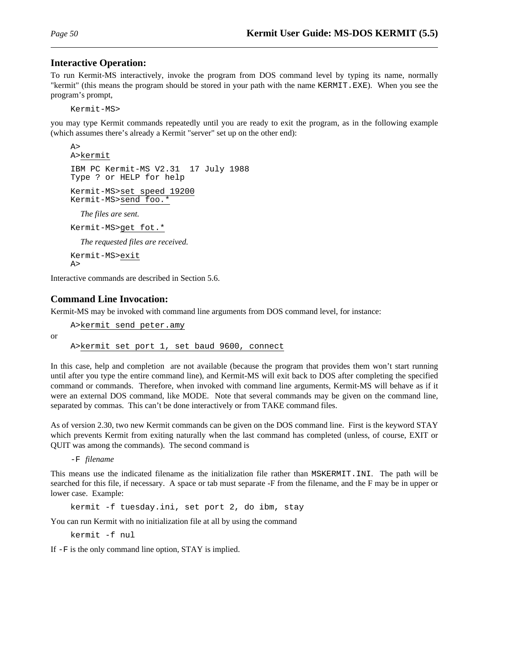### **Interactive Operation:**

To run Kermit-MS interactively, invoke the program from DOS command level by typing its name, normally "kermit" (this means the program should be stored in your path with the name KERMIT.EXE). When you see the program's prompt,

Kermit-MS>

you may type Kermit commands repeatedly until you are ready to exit the program, as in the following example (which assumes there's already a Kermit "server" set up on the other end):

```
A >A>kermit
IBM PC Kermit-MS V2.31 17 July 1988
Type ? or HELP for help
Kermit-MS>set speed 19200
Kermit-MS>send foo.*
  The files are sent.
Kermit-MS>get fot.*
  The requested files are received.
```
Kermit-MS>exit A>

Interactive commands are described in Section 5.6.

### **Command Line Invocation:**

Kermit-MS may be invoked with command line arguments from DOS command level, for instance:

or

A>kermit send peter.amy A>kermit set port 1, set baud 9600, connect

In this case, help and completion are not available (because the program that provides them won't start running until after you type the entire command line), and Kermit-MS will exit back to DOS after completing the specified command or commands. Therefore, when invoked with command line arguments, Kermit-MS will behave as if it were an external DOS command, like MODE. Note that several commands may be given on the command line, separated by commas. This can't be done interactively or from TAKE command files.

As of version 2.30, two new Kermit commands can be given on the DOS command line. First is the keyword STAY which prevents Kermit from exiting naturally when the last command has completed (unless, of course, EXIT or QUIT was among the commands). The second command is

-F *filename*

This means use the indicated filename as the initialization file rather than MSKERMIT.INI. The path will be searched for this file, if necessary. A space or tab must separate -F from the filename, and the F may be in upper or lower case. Example:

kermit -f tuesday.ini, set port 2, do ibm, stay

You can run Kermit with no initialization file at all by using the command

kermit -f nul

If -F is the only command line option, STAY is implied.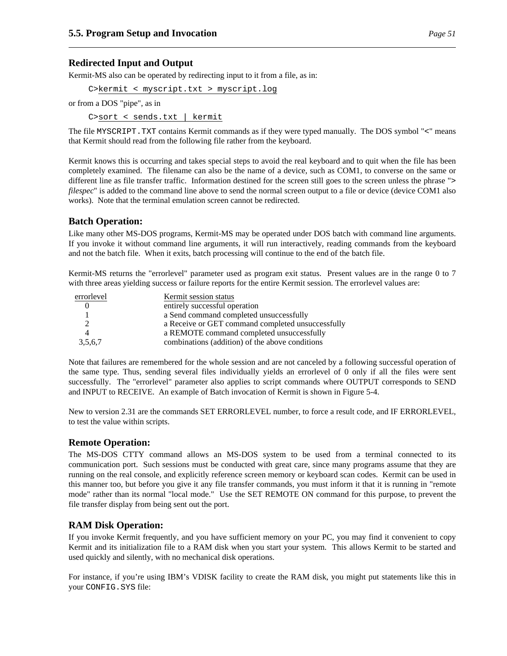## **Redirected Input and Output**

Kermit-MS also can be operated by redirecting input to it from a file, as in:

C>kermit < myscript.txt > myscript.log

or from a DOS "pipe", as in

C>sort < sends.txt | kermit

The file MYSCRIPT.TXT contains Kermit commands as if they were typed manually. The DOS symbol "<" means that Kermit should read from the following file rather from the keyboard.

Kermit knows this is occurring and takes special steps to avoid the real keyboard and to quit when the file has been completely examined. The filename can also be the name of a device, such as COM1, to converse on the same or different line as file transfer traffic. Information destined for the screen still goes to the screen unless the phrase "> *filespec*" is added to the command line above to send the normal screen output to a file or device (device COM1 also works). Note that the terminal emulation screen cannot be redirected.

## **Batch Operation:**

Like many other MS-DOS programs, Kermit-MS may be operated under DOS batch with command line arguments. If you invoke it without command line arguments, it will run interactively, reading commands from the keyboard and not the batch file. When it exits, batch processing will continue to the end of the batch file.

Kermit-MS returns the "errorlevel" parameter used as program exit status. Present values are in the range 0 to 7 with three areas yielding success or failure reports for the entire Kermit session. The errorlevel values are:

| errorlevel | Kermit session status                             |
|------------|---------------------------------------------------|
|            | entirely successful operation                     |
|            | a Send command completed unsuccessfully           |
|            | a Receive or GET command completed unsuccessfully |
|            | a REMOTE command completed unsuccessfully         |
| 3,5,6,7    | combinations (addition) of the above conditions   |

Note that failures are remembered for the whole session and are not canceled by a following successful operation of the same type. Thus, sending several files individually yields an errorlevel of 0 only if all the files were sent successfully. The "errorlevel" parameter also applies to script commands where OUTPUT corresponds to SEND and INPUT to RECEIVE. An example of Batch invocation of Kermit is shown in Figure 5-4.

New to version 2.31 are the commands SET ERRORLEVEL number, to force a result code, and IF ERRORLEVEL, to test the value within scripts.

# **Remote Operation:**

The MS-DOS CTTY command allows an MS-DOS system to be used from a terminal connected to its communication port. Such sessions must be conducted with great care, since many programs assume that they are running on the real console, and explicitly reference screen memory or keyboard scan codes. Kermit can be used in this manner too, but before you give it any file transfer commands, you must inform it that it is running in "remote mode" rather than its normal "local mode." Use the SET REMOTE ON command for this purpose, to prevent the file transfer display from being sent out the port.

# **RAM Disk Operation:**

If you invoke Kermit frequently, and you have sufficient memory on your PC, you may find it convenient to copy Kermit and its initialization file to a RAM disk when you start your system. This allows Kermit to be started and used quickly and silently, with no mechanical disk operations.

For instance, if you're using IBM's VDISK facility to create the RAM disk, you might put statements like this in your CONFIG.SYS file: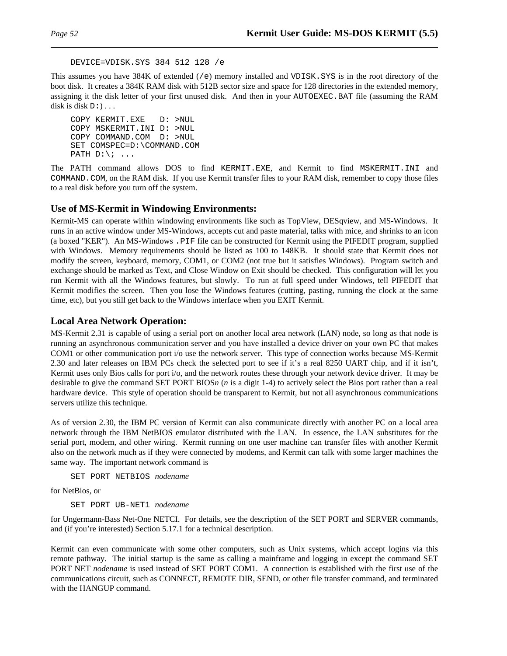```
DEVICE=VDISK.SYS 384 512 128 /e
```
This assumes you have  $384K$  of extended (/e) memory installed and VDISK. SYS is in the root directory of the boot disk. It creates a 384K RAM disk with 512B sector size and space for 128 directories in the extended memory, assigning it the disk letter of your first unused disk. And then in your AUTOEXEC.BAT file (assuming the RAM disk is disk  $D:$   $\ldots$ 

```
COPY KERMIT.EXE D: >NUL
COPY MSKERMIT.INI D: >NUL
COPY COMMAND.COM D: >NUL
SET COMSPEC=D:\COMMAND.COM
PATH D:\backslash i ...
```
The PATH command allows DOS to find KERMIT.EXE, and Kermit to find MSKERMIT.INI and COMMAND.COM, on the RAM disk. If you use Kermit transfer files to your RAM disk, remember to copy those files to a real disk before you turn off the system.

## **Use of MS-Kermit in Windowing Environments:**

Kermit-MS can operate within windowing environments like such as TopView, DESqview, and MS-Windows. It runs in an active window under MS-Windows, accepts cut and paste material, talks with mice, and shrinks to an icon (a boxed "KER"). An MS-Windows .PIF file can be constructed for Kermit using the PIFEDIT program, supplied with Windows. Memory requirements should be listed as 100 to 148KB. It should state that Kermit does not modify the screen, keyboard, memory, COM1, or COM2 (not true but it satisfies Windows). Program switch and exchange should be marked as Text, and Close Window on Exit should be checked. This configuration will let you run Kermit with all the Windows features, but slowly. To run at full speed under Windows, tell PIFEDIT that Kermit modifies the screen. Then you lose the Windows features (cutting, pasting, running the clock at the same time, etc), but you still get back to the Windows interface when you EXIT Kermit.

## **Local Area Network Operation:**

MS-Kermit 2.31 is capable of using a serial port on another local area network (LAN) node, so long as that node is running an asynchronous communication server and you have installed a device driver on your own PC that makes COM1 or other communication port i/o use the network server. This type of connection works because MS-Kermit 2.30 and later releases on IBM PCs check the selected port to see if it's a real 8250 UART chip, and if it isn't, Kermit uses only Bios calls for port i/o, and the network routes these through your network device driver. It may be desirable to give the command SET PORT BIOS*n* (*n* is a digit 1-4) to actively select the Bios port rather than a real hardware device. This style of operation should be transparent to Kermit, but not all asynchronous communications servers utilize this technique.

As of version 2.30, the IBM PC version of Kermit can also communicate directly with another PC on a local area network through the IBM NetBIOS emulator distributed with the LAN. In essence, the LAN substitutes for the serial port, modem, and other wiring. Kermit running on one user machine can transfer files with another Kermit also on the network much as if they were connected by modems, and Kermit can talk with some larger machines the same way. The important network command is

SET PORT NETBIOS *nodename*

for NetBios, or

SET PORT UB-NET1 *nodename*

for Ungermann-Bass Net-One NETCI. For details, see the description of the SET PORT and SERVER commands, and (if you're interested) Section 5.17.1 for a technical description.

Kermit can even communicate with some other computers, such as Unix systems, which accept logins via this remote pathway. The initial startup is the same as calling a mainframe and logging in except the command SET PORT NET *nodename* is used instead of SET PORT COM1. A connection is established with the first use of the communications circuit, such as CONNECT, REMOTE DIR, SEND, or other file transfer command, and terminated with the HANGUP command.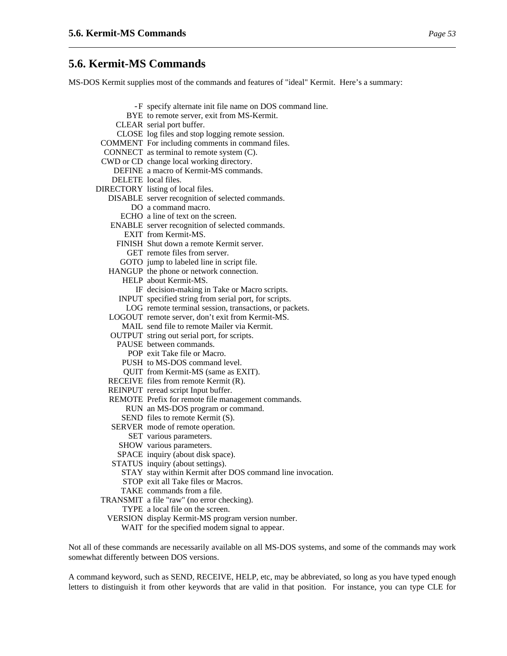# **5.6. Kermit-MS Commands**

MS-DOS Kermit supplies most of the commands and features of "ideal" Kermit. Here's a summary:

- -F specify alternate init file name on DOS command line. BYE to remote server, exit from MS-Kermit. CLEAR serial port buffer. CLOSE log files and stop logging remote session. COMMENT For including comments in command files. CONNECT as terminal to remote system (C). CWD or CD change local working directory. DEFINE a macro of Kermit-MS commands. DELETE local files. DIRECTORY listing of local files.
	- DISABLE server recognition of selected commands.
		- DO a command macro.
		- ECHO a line of text on the screen.
		- ENABLE server recognition of selected commands.
			- EXIT from Kermit-MS.
			- FINISH Shut down a remote Kermit server.
				- GET remote files from server.
			- GOTO jump to labeled line in script file.
	- HANGUP the phone or network connection.
		- HELP about Kermit-MS.
			- IF decision-making in Take or Macro scripts.
		- INPUT specified string from serial port, for scripts.
		- LOG remote terminal session, transactions, or packets.
	- LOGOUT remote server, don't exit from Kermit-MS. MAIL send file to remote Mailer via Kermit.
	-
	- OUTPUT string out serial port, for scripts.
		- PAUSE between commands.
			- POP exit Take file or Macro.
		- PUSH to MS-DOS command level.
		- QUIT from Kermit-MS (same as EXIT).
	- RECEIVE files from remote Kermit (R).
	- REINPUT reread script Input buffer.
	- REMOTE Prefix for remote file management commands.
		- RUN an MS-DOS program or command.
		- SEND files to remote Kermit (S).
	- SERVER mode of remote operation.
		- SET various parameters.
		- SHOW various parameters.
		- SPACE inquiry (about disk space).
	- STATUS inquiry (about settings).
		- STAY stay within Kermit after DOS command line invocation.
		- STOP exit all Take files or Macros.
	- TAKE commands from a file.
- TRANSMIT a file "raw" (no error checking).
	- TYPE a local file on the screen.
	- VERSION display Kermit-MS program version number.
		- WAIT for the specified modem signal to appear.

Not all of these commands are necessarily available on all MS-DOS systems, and some of the commands may work somewhat differently between DOS versions.

A command keyword, such as SEND, RECEIVE, HELP, etc, may be abbreviated, so long as you have typed enough letters to distinguish it from other keywords that are valid in that position. For instance, you can type CLE for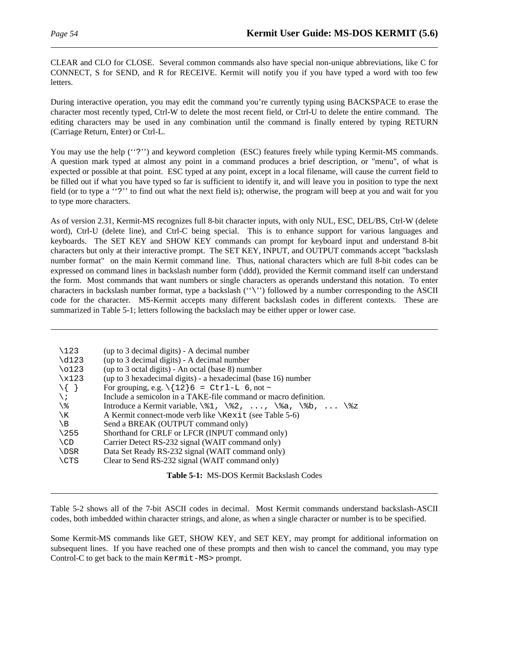CLEAR and CLO for CLOSE. Several common commands also have special non-unique abbreviations, like C for CONNECT, S for SEND, and R for RECEIVE. Kermit will notify you if you have typed a word with too few letters.

During interactive operation, you may edit the command you're currently typing using BACKSPACE to erase the character most recently typed, Ctrl-W to delete the most recent field, or Ctrl-U to delete the entire command. The editing characters may be used in any combination until the command is finally entered by typing RETURN (Carriage Return, Enter) or Ctrl-L.

You may use the help ("?") and keyword completion (ESC) features freely while typing Kermit-MS commands. A question mark typed at almost any point in a command produces a brief description, or "menu", of what is expected or possible at that point. ESC typed at any point, except in a local filename, will cause the current field to be filled out if what you have typed so far is sufficient to identify it, and will leave you in position to type the next field (or to type a ''?'' to find out what the next field is); otherwise, the program will beep at you and wait for you to type more characters.

As of version 2.31, Kermit-MS recognizes full 8-bit character inputs, with only NUL, ESC, DEL/BS, Ctrl-W (delete word), Ctrl-U (delete line), and Ctrl-C being special. This is to enhance support for various languages and keyboards. The SET KEY and SHOW KEY commands can prompt for keyboard input and understand 8-bit characters but only at their interactive prompt. The SET KEY, INPUT, and OUTPUT commands accept "backslash number format" on the main Kermit command line. Thus, national characters which are full 8-bit codes can be expressed on command lines in backslash number form (\ddd), provided the Kermit command itself can understand the form. Most commands that want numbers or single characters as operands understand this notation. To enter characters in backslash number format, type a backslash (''\'') followed by a number corresponding to the ASCII code for the character. MS-Kermit accepts many different backslash codes in different contexts. These are summarized in Table 5-1; letters following the backslach may be either upper or lower case.

| $\backslash$ 123<br>$\ddot{\text{d}123}$<br>$\setminus$ 0123<br>x123<br>$\setminus \{ \}$<br>$\setminus i$<br>$\chi$<br>\В<br>$\backslash$ 255<br>$\setminus$ CD<br>\DSR | (up to 3 decimal digits) - A decimal number<br>(up to 3 decimal digits) - A decimal number<br>(up to 3 octal digits) - An octal (base 8) number<br>(up to 3 hexadecimal digits) - a hexadecimal (base 16) number<br>For grouping, e.g. $\{12\}6 = \text{Ctrl-L } 6$ , not ~<br>Include a semicolon in a TAKE-file command or macro definition.<br>Introduce a Kermit variable, $\81, \82, \ldots$ , $\8a, \8b, \ldots$ \\\$z<br>A Kermit connect-mode verb like \Kexit (see Table 5-6)<br>Send a BREAK (OUTPUT command only)<br>Shorthand for CRLF or LFCR (INPUT command only)<br>Carrier Detect RS-232 signal (WAIT command only)<br>Data Set Ready RS-232 signal (WAIT command only) |
|--------------------------------------------------------------------------------------------------------------------------------------------------------------------------|-----------------------------------------------------------------------------------------------------------------------------------------------------------------------------------------------------------------------------------------------------------------------------------------------------------------------------------------------------------------------------------------------------------------------------------------------------------------------------------------------------------------------------------------------------------------------------------------------------------------------------------------------------------------------------------------|
|                                                                                                                                                                          |                                                                                                                                                                                                                                                                                                                                                                                                                                                                                                                                                                                                                                                                                         |
| \CTS                                                                                                                                                                     | Clear to Send RS-232 signal (WAIT command only)                                                                                                                                                                                                                                                                                                                                                                                                                                                                                                                                                                                                                                         |
|                                                                                                                                                                          |                                                                                                                                                                                                                                                                                                                                                                                                                                                                                                                                                                                                                                                                                         |

**Table 5-1:** MS-DOS Kermit Backslash Codes

Table 5-2 shows all of the 7-bit ASCII codes in decimal. Most Kermit commands understand backslash-ASCII codes, both imbedded within character strings, and alone, as when a single character or number is to be specified.

Some Kermit-MS commands like GET, SHOW KEY, and SET KEY, may prompt for additional information on subsequent lines. If you have reached one of these prompts and then wish to cancel the command, you may type Control-C to get back to the main Kermit-MS> prompt.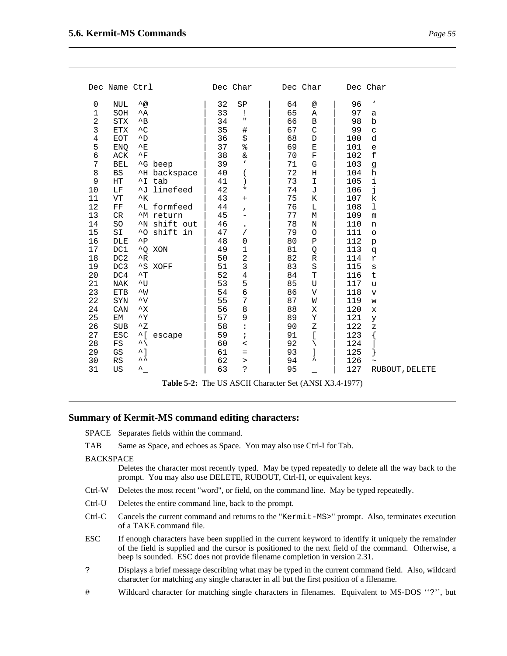| Dec                                                                                                                                                                                    | Name Ctrl                                                                                                                                                                                                                                                           |                                                                                                                                                                                                                                                                                                                            |                                                                                                                                                    | Dec                                                                                                                                                                  | Char                                                                                                                                                                                                                             | Dec                                                                                                                                                                  | Char                                                                                                                                                                                                       | Dec                                                                                                                                                                                          | Char                                                                                                                                                                                                                                                        |
|----------------------------------------------------------------------------------------------------------------------------------------------------------------------------------------|---------------------------------------------------------------------------------------------------------------------------------------------------------------------------------------------------------------------------------------------------------------------|----------------------------------------------------------------------------------------------------------------------------------------------------------------------------------------------------------------------------------------------------------------------------------------------------------------------------|----------------------------------------------------------------------------------------------------------------------------------------------------|----------------------------------------------------------------------------------------------------------------------------------------------------------------------|----------------------------------------------------------------------------------------------------------------------------------------------------------------------------------------------------------------------------------|----------------------------------------------------------------------------------------------------------------------------------------------------------------------|------------------------------------------------------------------------------------------------------------------------------------------------------------------------------------------------------------|----------------------------------------------------------------------------------------------------------------------------------------------------------------------------------------------|-------------------------------------------------------------------------------------------------------------------------------------------------------------------------------------------------------------------------------------------------------------|
| 0<br>1<br>$\sqrt{2}$<br>$\overline{3}$<br>$\bf 4$<br>5<br>6<br>7<br>8<br>9<br>10<br>11<br>12<br>13<br>14<br>15<br>16<br>17<br>18<br>19<br>20<br>21<br>23<br>22<br>24<br>25<br>26<br>27 | NUL<br>SOH<br><b>STX</b><br><b>ETX</b><br><b>EOT</b><br>ENQ<br>ACK<br>BEL<br><b>BS</b><br>HT<br>LF<br>VT<br>${\rm FF}$<br>CR<br>SO<br>SI<br>DLE<br>DC1<br>DC <sub>2</sub><br>DC3<br>DC4<br><b>NAK</b><br><b>ETB</b><br>SYN<br>CAN<br>EМ<br><b>SUB</b><br><b>ESC</b> | $\lambda_{\textcircled{a}}$<br>$^{\wedge}$ A<br>$^{\wedge}$ B<br>$^{\wedge}$ C<br>$^{\wedge}$ D<br>E<br>$^{\wedge}$ F<br>$^{\wedge}$ H<br>$\mathcal{R}_{K}$<br>$^{\wedge}P$<br>$^{\wedge}R$<br>$^{\wedge}$ T<br>$\sim_{\text{U}}$<br>$\sim_W$<br>$\mathsf{v}$<br>$\mathsf{X}$<br>$\mathbf{\upgamma}$<br>$^{\wedge}Z$<br>^[ | ^G beep<br>backspace<br>^I tab<br>^J linefeed<br><sup>^L</sup> formfeed<br>'M return<br>^N shift out<br>^0 shift in<br>^Q XON<br>^S XOFF<br>escape | 32<br>33<br>34<br>35<br>36<br>37<br>38<br>39<br>40<br>41<br>42<br>43<br>44<br>45<br>46<br>47<br>48<br>49<br>50<br>51<br>52<br>53<br>54<br>55<br>56<br>57<br>58<br>59 | SP<br>ï<br>п<br>$\#$<br>\$<br>%<br>$\delta$<br>,<br>(<br>$\mathcal{C}$<br>¥<br>+<br>$\pmb{r}$<br>-<br>$\bullet$<br>Τ<br>0<br>1<br>$\overline{c}$<br>3<br>$\overline{4}$<br>5<br>6<br>7<br>8<br>9<br>$\ddot{\cdot}$<br>$\ddot{ }$ | 64<br>65<br>66<br>67<br>68<br>69<br>70<br>71<br>72<br>73<br>74<br>75<br>76<br>77<br>78<br>79<br>80<br>81<br>82<br>83<br>84<br>85<br>86<br>87<br>88<br>89<br>90<br>91 | $^\text{\textregistered}$<br>Α<br>В<br>$\mathsf C$<br>$\mathbb D$<br>Е<br>F<br>G<br>Η<br>I<br>J<br>K<br>L<br>М<br>Ν<br>$\circ$<br>Ρ<br>Q<br>$\mathbb R$<br>$\rm S$<br>T<br>U<br>V<br>W<br>Χ<br>Υ<br>Ζ<br>[ | 96<br>97<br>98<br>99<br>100<br>101<br>102<br>103<br>104<br>105<br>106<br>107<br>108<br>109<br>110<br>111<br>112<br>113<br>114<br>115<br>116<br>117<br>118<br>119<br>120<br>121<br>122<br>123 | v<br>а<br>b<br>$\mathtt{C}$<br>d<br>e<br>$\ensuremath{\mathsf{f}}$<br>g<br>h<br>i<br>j<br>k<br>$\mathbf 1$<br>${\mathfrak m}$<br>n<br>$\circ$<br>$\mathbf{p}$<br>q<br>$\mathbf r$<br>$\mathtt{s}$<br>t<br>u<br>$\mathbf v$<br>W<br>X<br>У<br>$\overline{z}$ |
| 28<br>29<br>30<br>31                                                                                                                                                                   | FS<br>GS<br>RS<br>US                                                                                                                                                                                                                                                | $\overline{\phantom{a}}$<br>$\sim$ 1<br>ᄉᄉ<br>ᄉ                                                                                                                                                                                                                                                                            |                                                                                                                                                    | 60<br>61<br>62<br>63                                                                                                                                                 | $\,<\,$<br>$=$<br>$\, >$<br>ċ.                                                                                                                                                                                                   | 92<br>93<br>94<br>95                                                                                                                                                 | ∖<br>ᄉ                                                                                                                                                                                                     | 124<br>125<br>126<br>127                                                                                                                                                                     | RUBOUT, DELETE                                                                                                                                                                                                                                              |
|                                                                                                                                                                                        |                                                                                                                                                                                                                                                                     |                                                                                                                                                                                                                                                                                                                            | Table 5-2: The US ASCII Character Set (ANSI X3.4-1977)                                                                                             |                                                                                                                                                                      |                                                                                                                                                                                                                                  |                                                                                                                                                                      |                                                                                                                                                                                                            |                                                                                                                                                                                              |                                                                                                                                                                                                                                                             |

#### **Summary of Kermit-MS command editing characters:**

SPACE Separates fields within the command.

TAB Same as Space, and echoes as Space. You may also use Ctrl-I for Tab.

#### BACKSPACE

Deletes the character most recently typed. May be typed repeatedly to delete all the way back to the prompt. You may also use DELETE, RUBOUT, Ctrl-H, or equivalent keys.

- Ctrl-W Deletes the most recent "word", or field, on the command line. May be typed repeatedly.
- Ctrl-U Deletes the entire command line, back to the prompt.
- Ctrl-C Cancels the current command and returns to the "Kermit-MS>" prompt. Also, terminates execution of a TAKE command file.
- ESC If enough characters have been supplied in the current keyword to identify it uniquely the remainder of the field is supplied and the cursor is positioned to the next field of the command. Otherwise, a beep is sounded. ESC does not provide filename completion in version 2.31.
- ? Displays a brief message describing what may be typed in the current command field. Also, wildcard character for matching any single character in all but the first position of a filename.
- # Wildcard character for matching single characters in filenames. Equivalent to MS-DOS ''?'', but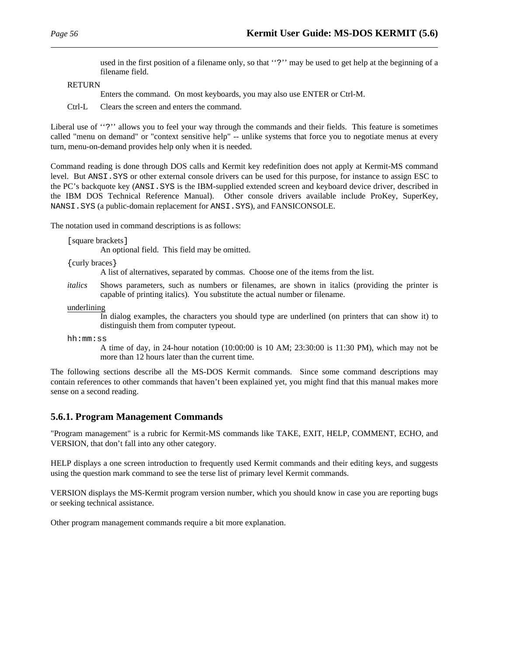used in the first position of a filename only, so that "?" may be used to get help at the beginning of a filename field.

RETURN

Enters the command. On most keyboards, you may also use ENTER or Ctrl-M.

Ctrl-L Clears the screen and enters the command.

Liberal use of "?" allows you to feel your way through the commands and their fields. This feature is sometimes called "menu on demand" or "context sensitive help" -- unlike systems that force you to negotiate menus at every turn, menu-on-demand provides help only when it is needed.

Command reading is done through DOS calls and Kermit key redefinition does not apply at Kermit-MS command level. But ANSI.SYS or other external console drivers can be used for this purpose, for instance to assign ESC to the PC's backquote key (ANSI.SYS is the IBM-supplied extended screen and keyboard device driver, described in the IBM DOS Technical Reference Manual). Other console drivers available include ProKey, SuperKey, NANSI.SYS (a public-domain replacement for ANSI.SYS), and FANSICONSOLE.

The notation used in command descriptions is as follows:

```
[square brackets]
```
An optional field. This field may be omitted.

{curly braces}

A list of alternatives, separated by commas. Choose one of the items from the list.

*italics* Shows parameters, such as numbers or filenames, are shown in italics (providing the printer is capable of printing italics). You substitute the actual number or filename.

underlining

In dialog examples, the characters you should type are underlined (on printers that can show it) to distinguish them from computer typeout.

hh:mm:ss

A time of day, in 24-hour notation (10:00:00 is 10 AM; 23:30:00 is 11:30 PM), which may not be more than 12 hours later than the current time.

The following sections describe all the MS-DOS Kermit commands. Since some command descriptions may contain references to other commands that haven't been explained yet, you might find that this manual makes more sense on a second reading.

#### **5.6.1. Program Management Commands**

"Program management" is a rubric for Kermit-MS commands like TAKE, EXIT, HELP, COMMENT, ECHO, and VERSION, that don't fall into any other category.

HELP displays a one screen introduction to frequently used Kermit commands and their editing keys, and suggests using the question mark command to see the terse list of primary level Kermit commands.

VERSION displays the MS-Kermit program version number, which you should know in case you are reporting bugs or seeking technical assistance.

Other program management commands require a bit more explanation.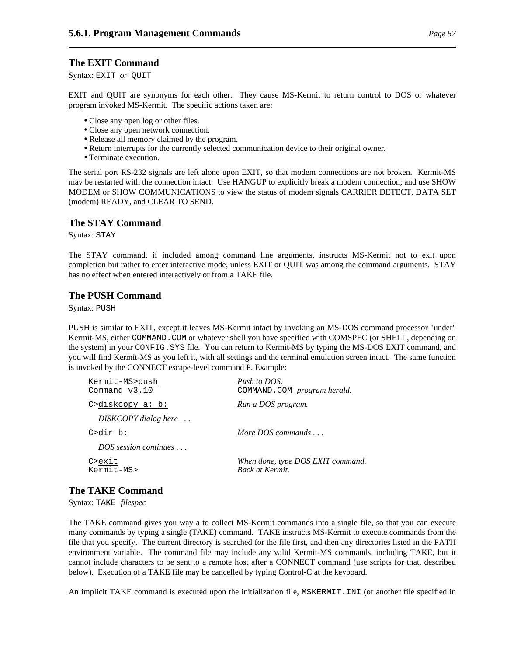## **The EXIT Command**

Syntax: EXIT *or* QUIT

EXIT and QUIT are synonyms for each other. They cause MS-Kermit to return control to DOS or whatever program invoked MS-Kermit. The specific actions taken are:

- Close any open log or other files.
- Close any open network connection.
- Release all memory claimed by the program.
- Return interrupts for the currently selected communication device to their original owner.
- Terminate execution.

The serial port RS-232 signals are left alone upon EXIT, so that modem connections are not broken. Kermit-MS may be restarted with the connection intact. Use HANGUP to explicitly break a modem connection; and use SHOW MODEM or SHOW COMMUNICATIONS to view the status of modem signals CARRIER DETECT, DATA SET (modem) READY, and CLEAR TO SEND.

## **The STAY Command**

Syntax: STAY

The STAY command, if included among command line arguments, instructs MS-Kermit not to exit upon completion but rather to enter interactive mode, unless EXIT or QUIT was among the command arguments. STAY has no effect when entered interactively or from a TAKE file.

## **The PUSH Command**

Syntax: PUSH

PUSH is similar to EXIT, except it leaves MS-Kermit intact by invoking an MS-DOS command processor "under" Kermit-MS, either COMMAND. COM or whatever shell you have specified with COMSPEC (or SHELL, depending on the system) in your CONFIG.SYS file. You can return to Kermit-MS by typing the MS-DOS EXIT command, and you will find Kermit-MS as you left it, with all settings and the terminal emulation screen intact. The same function is invoked by the CONNECT escape-level command P. Example:

| Kermit-MS>push<br>Command v3.10 | Push to DOS.<br>COMMAND. COM <i>program herald.</i> |  |  |
|---------------------------------|-----------------------------------------------------|--|--|
| C > diskcopy a: b:              | Run a DOS program.                                  |  |  |
| $DISKCOPY$ dialog here $\ldots$ |                                                     |  |  |
| $C\text{-dir } b$ :             | More DOS commands $\ldots$                          |  |  |
| DOS session continues           |                                                     |  |  |
| C>exit                          | When done, type DOS EXIT command.                   |  |  |
| $Kermit$ -MS>                   | Back at Kermit.                                     |  |  |

# **The TAKE Command**

Syntax: TAKE *filespec*

The TAKE command gives you way a to collect MS-Kermit commands into a single file, so that you can execute many commands by typing a single (TAKE) command. TAKE instructs MS-Kermit to execute commands from the file that you specify. The current directory is searched for the file first, and then any directories listed in the PATH environment variable. The command file may include any valid Kermit-MS commands, including TAKE, but it cannot include characters to be sent to a remote host after a CONNECT command (use scripts for that, described below). Execution of a TAKE file may be cancelled by typing Control-C at the keyboard.

An implicit TAKE command is executed upon the initialization file, MSKERMIT.INI (or another file specified in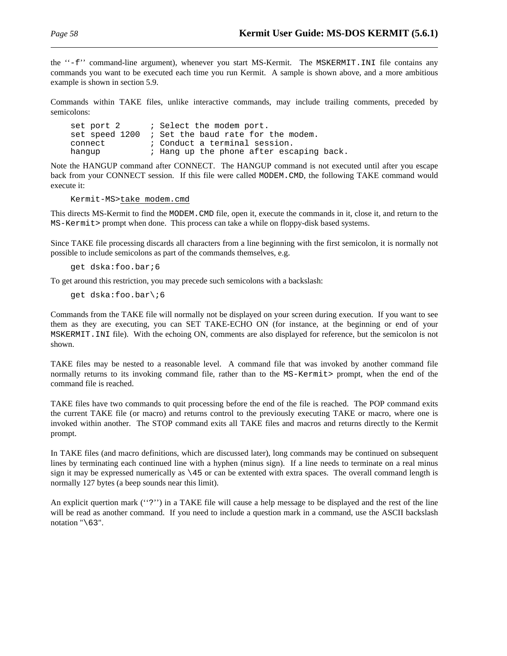the ''-f'' command-line argument), whenever you start MS-Kermit. The MSKERMIT.INI file contains any commands you want to be executed each time you run Kermit. A sample is shown above, and a more ambitious example is shown in section 5.9.

Commands within TAKE files, unlike interactive commands, may include trailing comments, preceded by semicolons:

set port 2  $\qquad$  ; Select the modem port. set speed 1200 ; Set the baud rate for the modem. connect  $\qquad i$  Conduct a terminal session. hangup  $\qquad i$  Hang up the phone after escaping back.

Note the HANGUP command after CONNECT. The HANGUP command is not executed until after you escape back from your CONNECT session. If this file were called MODEM.CMD, the following TAKE command would execute it:

Kermit-MS>take modem.cmd

This directs MS-Kermit to find the MODEM.CMD file, open it, execute the commands in it, close it, and return to the MS-Kermit> prompt when done. This process can take a while on floppy-disk based systems.

Since TAKE file processing discards all characters from a line beginning with the first semicolon, it is normally not possible to include semicolons as part of the commands themselves, e.g.

get dska:foo.bar;6

To get around this restriction, you may precede such semicolons with a backslash:

get dska:foo.bar\;6

Commands from the TAKE file will normally not be displayed on your screen during execution. If you want to see them as they are executing, you can SET TAKE-ECHO ON (for instance, at the beginning or end of your MSKERMIT.INI file). With the echoing ON, comments are also displayed for reference, but the semicolon is not shown.

TAKE files may be nested to a reasonable level. A command file that was invoked by another command file normally returns to its invoking command file, rather than to the MS-Kermit> prompt, when the end of the command file is reached.

TAKE files have two commands to quit processing before the end of the file is reached. The POP command exits the current TAKE file (or macro) and returns control to the previously executing TAKE or macro, where one is invoked within another. The STOP command exits all TAKE files and macros and returns directly to the Kermit prompt.

In TAKE files (and macro definitions, which are discussed later), long commands may be continued on subsequent lines by terminating each continued line with a hyphen (minus sign). If a line needs to terminate on a real minus sign it may be expressed numerically as  $\setminus$  45 or can be extented with extra spaces. The overall command length is normally 127 bytes (a beep sounds near this limit).

An explicit quertion mark (''?'') in a TAKE file will cause a help message to be displayed and the rest of the line will be read as another command. If you need to include a question mark in a command, use the ASCII backslash notation  $"\63".$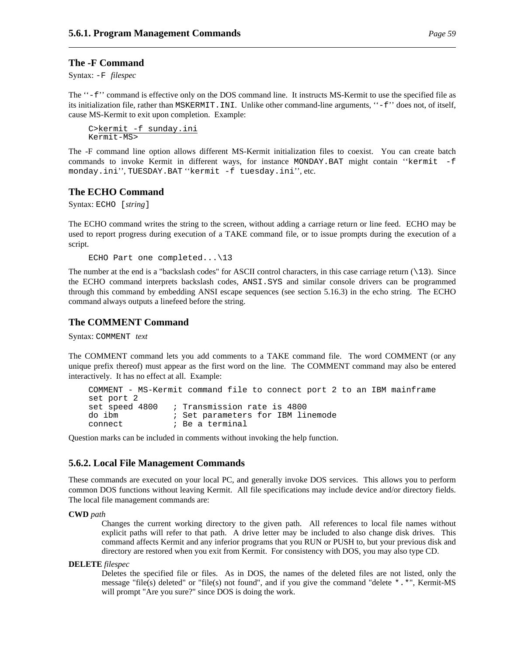### **The -F Command**

Syntax: -F *filespec*

The ''-f'' command is effective only on the DOS command line. It instructs MS-Kermit to use the specified file as its initialization file, rather than MSKERMIT.INI. Unlike other command-line arguments, ''-f'' does not, of itself, cause MS-Kermit to exit upon completion. Example:

```
C>kermit -f sunday.ini
Kermit-MS>
```
The -F command line option allows different MS-Kermit initialization files to coexist. You can create batch commands to invoke Kermit in different ways, for instance MONDAY.BAT might contain ''kermit -f monday.ini'', TUESDAY.BAT ''kermit -f tuesday.ini'', etc.

### **The ECHO Command**

Syntax: ECHO [*string*]

The ECHO command writes the string to the screen, without adding a carriage return or line feed. ECHO may be used to report progress during execution of a TAKE command file, or to issue prompts during the execution of a script.

ECHO Part one completed...\13

The number at the end is a "backslash codes" for ASCII control characters, in this case carriage return  $(\n\cdot 13)$ . Since the ECHO command interprets backslash codes, ANSI.SYS and similar console drivers can be programmed through this command by embedding ANSI escape sequences (see section 5.16.3) in the echo string. The ECHO command always outputs a linefeed before the string.

### **The COMMENT Command**

Syntax: COMMENT *text*

The COMMENT command lets you add comments to a TAKE command file. The word COMMENT (or any unique prefix thereof) must appear as the first word on the line. The COMMENT command may also be entered interactively. It has no effect at all. Example:

```
COMMENT - MS-Kermit command file to connect port 2 to an IBM mainframe
set port 2
set speed 4800 ; Transmission rate is 4800
do ibm ; Set parameters for IBM linemode
connect \qquad \qquad ; Be a terminal
```
Question marks can be included in comments without invoking the help function.

#### **5.6.2. Local File Management Commands**

These commands are executed on your local PC, and generally invoke DOS services. This allows you to perform common DOS functions without leaving Kermit. All file specifications may include device and/or directory fields. The local file management commands are:

#### **CWD** *path*

Changes the current working directory to the given path. All references to local file names without explicit paths will refer to that path. A drive letter may be included to also change disk drives. This command affects Kermit and any inferior programs that you RUN or PUSH to, but your previous disk and directory are restored when you exit from Kermit. For consistency with DOS, you may also type CD.

#### **DELETE** *filespec*

Deletes the specified file or files. As in DOS, the names of the deleted files are not listed, only the message "file(s) deleted" or "file(s) not found", and if you give the command "delete \*.\*", Kermit-MS will prompt "Are you sure?" since DOS is doing the work.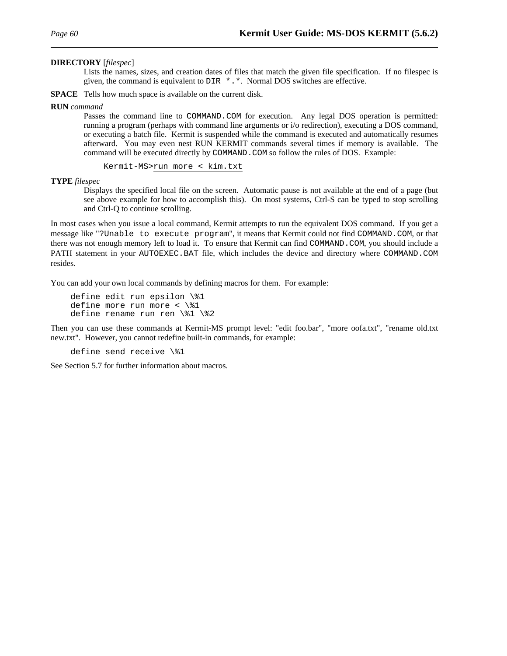#### **DIRECTORY** [*filespec*]

Lists the names, sizes, and creation dates of files that match the given file specification. If no filespec is given, the command is equivalent to DIR \*.\*. Normal DOS switches are effective.

**SPACE** Tells how much space is available on the current disk.

#### **RUN** *command*

Passes the command line to COMMAND. COM for execution. Any legal DOS operation is permitted: running a program (perhaps with command line arguments or i/o redirection), executing a DOS command, or executing a batch file. Kermit is suspended while the command is executed and automatically resumes afterward. You may even nest RUN KERMIT commands several times if memory is available. The command will be executed directly by COMMAND.COM so follow the rules of DOS. Example:

Kermit-MS>run more < kim.txt

#### **TYPE** *filespec*

Displays the specified local file on the screen. Automatic pause is not available at the end of a page (but see above example for how to accomplish this). On most systems, Ctrl-S can be typed to stop scrolling and Ctrl-Q to continue scrolling.

In most cases when you issue a local command, Kermit attempts to run the equivalent DOS command. If you get a message like "?Unable to execute program", it means that Kermit could not find COMMAND.COM, or that there was not enough memory left to load it. To ensure that Kermit can find COMMAND.COM, you should include a PATH statement in your AUTOEXEC.BAT file, which includes the device and directory where COMMAND.COM resides.

You can add your own local commands by defining macros for them. For example:

```
define edit run epsilon \%1
define more run more \langle \1
define rename run ren \%1 \%2
```
Then you can use these commands at Kermit-MS prompt level: "edit foo.bar", "more oofa.txt", "rename old.txt new.txt". However, you cannot redefine built-in commands, for example:

define send receive \%1

See Section 5.7 for further information about macros.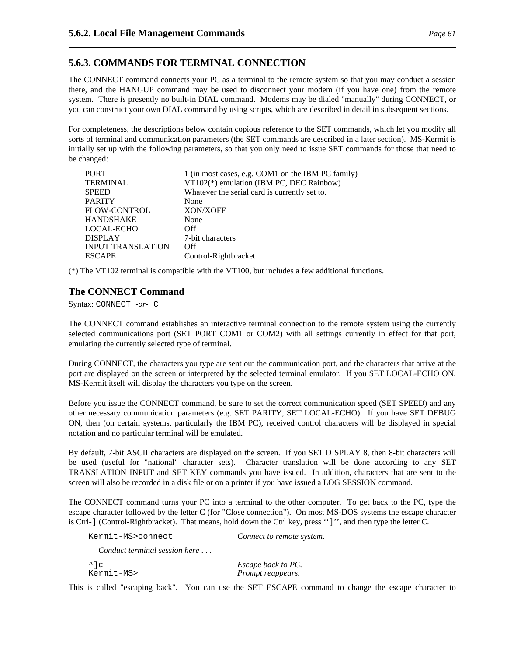# **5.6.3. COMMANDS FOR TERMINAL CONNECTION**

The CONNECT command connects your PC as a terminal to the remote system so that you may conduct a session there, and the HANGUP command may be used to disconnect your modem (if you have one) from the remote system. There is presently no built-in DIAL command. Modems may be dialed "manually" during CONNECT, or you can construct your own DIAL command by using scripts, which are described in detail in subsequent sections.

For completeness, the descriptions below contain copious reference to the SET commands, which let you modify all sorts of terminal and communication parameters (the SET commands are described in a later section). MS-Kermit is initially set up with the following parameters, so that you only need to issue SET commands for those that need to be changed:

| <b>PORT</b>              | 1 (in most cases, e.g. COM1 on the IBM PC family) |
|--------------------------|---------------------------------------------------|
| <b>TERMINAL</b>          | VT102(*) emulation (IBM PC, DEC Rainbow)          |
| <b>SPEED</b>             | Whatever the serial card is currently set to.     |
| <b>PARITY</b>            | None                                              |
| <b>FLOW-CONTROL</b>      | XON/XOFF                                          |
| <b>HANDSHAKE</b>         | None                                              |
| <b>LOCAL-ECHO</b>        | Off                                               |
| <b>DISPLAY</b>           | 7-bit characters                                  |
| <b>INPUT TRANSLATION</b> | Off                                               |
| <b>ESCAPE</b>            | Control-Rightbracket                              |

(\*) The VT102 terminal is compatible with the VT100, but includes a few additional functions.

# **The CONNECT Command**

Syntax: CONNECT *-or-* C

The CONNECT command establishes an interactive terminal connection to the remote system using the currently selected communications port (SET PORT COM1 or COM2) with all settings currently in effect for that port, emulating the currently selected type of terminal.

During CONNECT, the characters you type are sent out the communication port, and the characters that arrive at the port are displayed on the screen or interpreted by the selected terminal emulator. If you SET LOCAL-ECHO ON, MS-Kermit itself will display the characters you type on the screen.

Before you issue the CONNECT command, be sure to set the correct communication speed (SET SPEED) and any other necessary communication parameters (e.g. SET PARITY, SET LOCAL-ECHO). If you have SET DEBUG ON, then (on certain systems, particularly the IBM PC), received control characters will be displayed in special notation and no particular terminal will be emulated.

By default, 7-bit ASCII characters are displayed on the screen. If you SET DISPLAY 8, then 8-bit characters will be used (useful for "national" character sets). Character translation will be done according to any SET TRANSLATION INPUT and SET KEY commands you have issued. In addition, characters that are sent to the screen will also be recorded in a disk file or on a printer if you have issued a LOG SESSION command.

The CONNECT command turns your PC into a terminal to the other computer. To get back to the PC, type the escape character followed by the letter C (for "Close connection"). On most MS-DOS systems the escape character is Ctrl-] (Control-Rightbracket). That means, hold down the Ctrl key, press '']'', and then type the letter C.

| Kermit-MS>connect                     | Connect to remote system.               |  |  |
|---------------------------------------|-----------------------------------------|--|--|
| Conduct terminal session here $\dots$ |                                         |  |  |
| $\frac{\uparrow}{\text{Kermit-MS}}$   | Escape back to PC.<br>Prompt reappears. |  |  |

This is called "escaping back". You can use the SET ESCAPE command to change the escape character to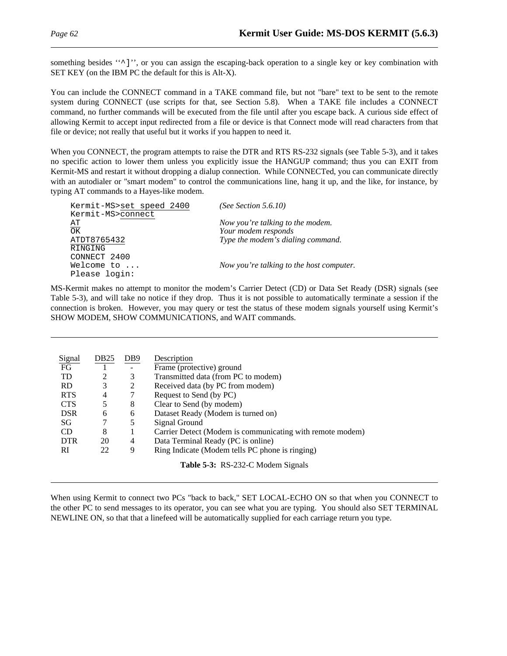something besides "<sup>^</sup>]", or you can assign the escaping-back operation to a single key or key combination with SET KEY (on the IBM PC the default for this is Alt-X).

You can include the CONNECT command in a TAKE command file, but not "bare" text to be sent to the remote system during CONNECT (use scripts for that, see Section 5.8). When a TAKE file includes a CONNECT command, no further commands will be executed from the file until after you escape back. A curious side effect of allowing Kermit to accept input redirected from a file or device is that Connect mode will read characters from that file or device; not really that useful but it works if you happen to need it.

When you CONNECT, the program attempts to raise the DTR and RTS RS-232 signals (see Table 5-3), and it takes no specific action to lower them unless you explicitly issue the HANGUP command; thus you can EXIT from Kermit-MS and restart it without dropping a dialup connection. While CONNECTed, you can communicate directly with an autodialer or "smart modem" to control the communications line, hang it up, and the like, for instance, by typing AT commands to a Hayes-like modem.

| Kermit-MS>set speed 2400 | (See Section $5.6.10$ )                  |
|--------------------------|------------------------------------------|
| Kermit-MS>connect        |                                          |
| AТ                       | Now you're talking to the modem.         |
|                          |                                          |
| ATDT8765432              | Type the modem's dialing command.        |
| RINGING                  |                                          |
| CONNECT 2400             |                                          |
| Welcome to $\ldots$      | Now you're talking to the host computer. |
| Please login:            |                                          |
| $\frac{1}{\text{OK}}$    | Your modem responds                      |

MS-Kermit makes no attempt to monitor the modem's Carrier Detect (CD) or Data Set Ready (DSR) signals (see Table 5-3), and will take no notice if they drop. Thus it is not possible to automatically terminate a session if the connection is broken. However, you may query or test the status of these modem signals yourself using Kermit's SHOW MODEM, SHOW COMMUNICATIONS, and WAIT commands.

| Signal     | DB <sub>25</sub> | DB9 | Description                                               |
|------------|------------------|-----|-----------------------------------------------------------|
| FG         |                  |     | Frame (protective) ground                                 |
| <b>TD</b>  | 2                | 3   | Transmitted data (from PC to modem)                       |
| <b>RD</b>  | 3                | 2   | Received data (by PC from modem)                          |
| <b>RTS</b> | 4                |     | Request to Send (by PC)                                   |
| <b>CTS</b> | 5                | 8   | Clear to Send (by modem)                                  |
| <b>DSR</b> | 6                | 6   | Dataset Ready (Modem is turned on)                        |
| SG         |                  | 5   | Signal Ground                                             |
| <b>CD</b>  | 8                |     | Carrier Detect (Modem is communicating with remote modem) |
| <b>DTR</b> | 20               | 4   | Data Terminal Ready (PC is online)                        |
| RI         | 22               | 9   | Ring Indicate (Modem tells PC phone is ringing)           |
|            |                  |     | <b>Table 5-3:</b> RS-232-C Modem Signals                  |

When using Kermit to connect two PCs "back to back," SET LOCAL-ECHO ON so that when you CONNECT to the other PC to send messages to its operator, you can see what you are typing. You should also SET TERMINAL NEWLINE ON, so that that a linefeed will be automatically supplied for each carriage return you type.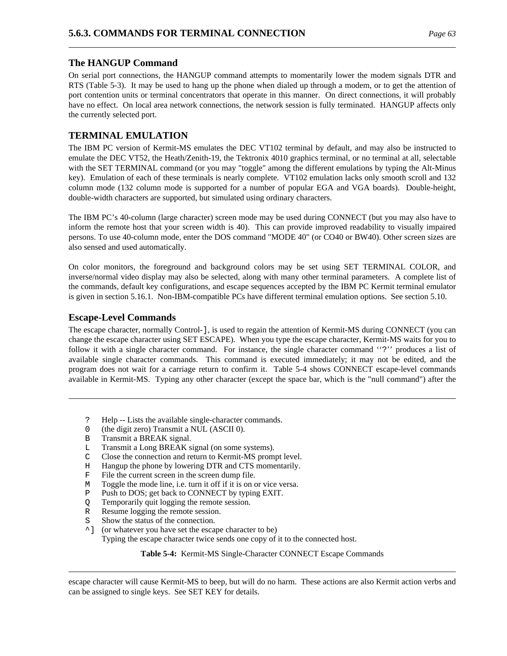# **The HANGUP Command**

On serial port connections, the HANGUP command attempts to momentarily lower the modem signals DTR and RTS (Table 5-3). It may be used to hang up the phone when dialed up through a modem, or to get the attention of port contention units or terminal concentrators that operate in this manner. On direct connections, it will probably have no effect. On local area network connections, the network session is fully terminated. HANGUP affects only the currently selected port.

# **TERMINAL EMULATION**

The IBM PC version of Kermit-MS emulates the DEC VT102 terminal by default, and may also be instructed to emulate the DEC VT52, the Heath/Zenith-19, the Tektronix 4010 graphics terminal, or no terminal at all, selectable with the SET TERMINAL command (or you may "toggle" among the different emulations by typing the Alt-Minus key). Emulation of each of these terminals is nearly complete. VT102 emulation lacks only smooth scroll and 132 column mode (132 column mode is supported for a number of popular EGA and VGA boards). Double-height, double-width characters are supported, but simulated using ordinary characters.

The IBM PC's 40-column (large character) screen mode may be used during CONNECT (but you may also have to inform the remote host that your screen width is 40). This can provide improved readability to visually impaired persons. To use 40-column mode, enter the DOS command "MODE 40" (or CO40 or BW40). Other screen sizes are also sensed and used automatically.

On color monitors, the foreground and background colors may be set using SET TERMINAL COLOR, and inverse/normal video display may also be selected, along with many other terminal parameters. A complete list of the commands, default key configurations, and escape sequences accepted by the IBM PC Kermit terminal emulator is given in section 5.16.1. Non-IBM-compatible PCs have different terminal emulation options. See section 5.10.

## **Escape-Level Commands**

The escape character, normally Control-], is used to regain the attention of Kermit-MS during CONNECT (you can change the escape character using SET ESCAPE). When you type the escape character, Kermit-MS waits for you to follow it with a single character command. For instance, the single character command ''?'' produces a list of available single character commands. This command is executed immediately; it may not be edited, and the program does not wait for a carriage return to confirm it. Table 5-4 shows CONNECT escape-level commands available in Kermit-MS. Typing any other character (except the space bar, which is the "null command") after the

- ? Help -- Lists the available single-character commands.
- 0 (the digit zero) Transmit a NUL (ASCII 0).
- B Transmit a BREAK signal.
- L Transmit a Long BREAK signal (on some systems).
- C Close the connection and return to Kermit-MS prompt level.
- H Hangup the phone by lowering DTR and CTS momentarily.
- F File the current screen in the screen dump file.
- M Toggle the mode line, i.e. turn it off if it is on or vice versa.
- P Push to DOS; get back to CONNECT by typing EXIT.
- Q Temporarily quit logging the remote session.
- R Resume logging the remote session.
- Show the status of the connection.
- ^] (or whatever you have set the escape character to be) Typing the escape character twice sends one copy of it to the connected host.

**Table 5-4:** Kermit-MS Single-Character CONNECT Escape Commands

escape character will cause Kermit-MS to beep, but will do no harm. These actions are also Kermit action verbs and can be assigned to single keys. See SET KEY for details.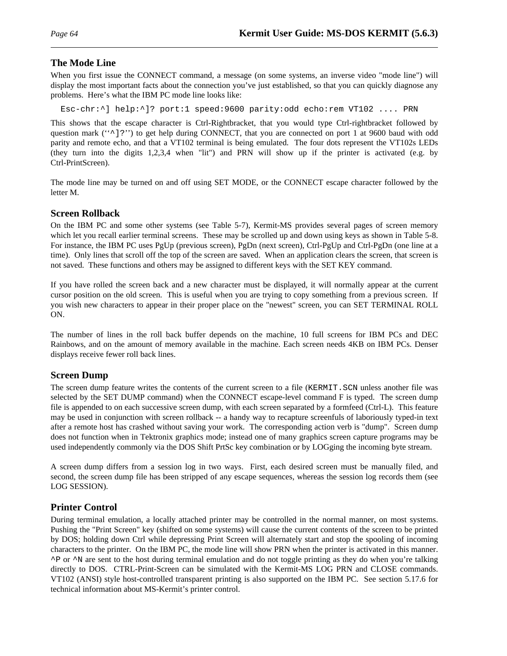# **The Mode Line**

When you first issue the CONNECT command, a message (on some systems, an inverse video "mode line") will display the most important facts about the connection you've just established, so that you can quickly diagnose any problems. Here's what the IBM PC mode line looks like:

Esc-chr:^] help:^]? port:1 speed:9600 parity:odd echo:rem VT102 .... PRN

This shows that the escape character is Ctrl-Rightbracket, that you would type Ctrl-rightbracket followed by question mark (" $\gamma$ ]?") to get help during CONNECT, that you are connected on port 1 at 9600 baud with odd parity and remote echo, and that a VT102 terminal is being emulated. The four dots represent the VT102s LEDs (they turn into the digits 1,2,3,4 when "lit") and PRN will show up if the printer is activated (e.g. by Ctrl-PrintScreen).

The mode line may be turned on and off using SET MODE, or the CONNECT escape character followed by the letter M.

# **Screen Rollback**

On the IBM PC and some other systems (see Table 5-7), Kermit-MS provides several pages of screen memory which let you recall earlier terminal screens. These may be scrolled up and down using keys as shown in Table 5-8. For instance, the IBM PC uses PgUp (previous screen), PgDn (next screen), Ctrl-PgUp and Ctrl-PgDn (one line at a time). Only lines that scroll off the top of the screen are saved. When an application clears the screen, that screen is not saved. These functions and others may be assigned to different keys with the SET KEY command.

If you have rolled the screen back and a new character must be displayed, it will normally appear at the current cursor position on the old screen. This is useful when you are trying to copy something from a previous screen. If you wish new characters to appear in their proper place on the "newest" screen, you can SET TERMINAL ROLL ON.

The number of lines in the roll back buffer depends on the machine, 10 full screens for IBM PCs and DEC Rainbows, and on the amount of memory available in the machine. Each screen needs 4KB on IBM PCs. Denser displays receive fewer roll back lines.

# **Screen Dump**

The screen dump feature writes the contents of the current screen to a file (KERMIT.SCN unless another file was selected by the SET DUMP command) when the CONNECT escape-level command F is typed. The screen dump file is appended to on each successive screen dump, with each screen separated by a formfeed (Ctrl-L). This feature may be used in conjunction with screen rollback -- a handy way to recapture screenfuls of laboriously typed-in text after a remote host has crashed without saving your work. The corresponding action verb is "dump". Screen dump does not function when in Tektronix graphics mode; instead one of many graphics screen capture programs may be used independently commonly via the DOS Shift PrtSc key combination or by LOGging the incoming byte stream.

A screen dump differs from a session log in two ways. First, each desired screen must be manually filed, and second, the screen dump file has been stripped of any escape sequences, whereas the session log records them (see LOG SESSION).

# **Printer Control**

During terminal emulation, a locally attached printer may be controlled in the normal manner, on most systems. Pushing the "Print Screen" key (shifted on some systems) will cause the current contents of the screen to be printed by DOS; holding down Ctrl while depressing Print Screen will alternately start and stop the spooling of incoming characters to the printer. On the IBM PC, the mode line will show PRN when the printer is activated in this manner. ^P or ^N are sent to the host during terminal emulation and do not toggle printing as they do when you're talking directly to DOS. CTRL-Print-Screen can be simulated with the Kermit-MS LOG PRN and CLOSE commands. VT102 (ANSI) style host-controlled transparent printing is also supported on the IBM PC. See section 5.17.6 for technical information about MS-Kermit's printer control.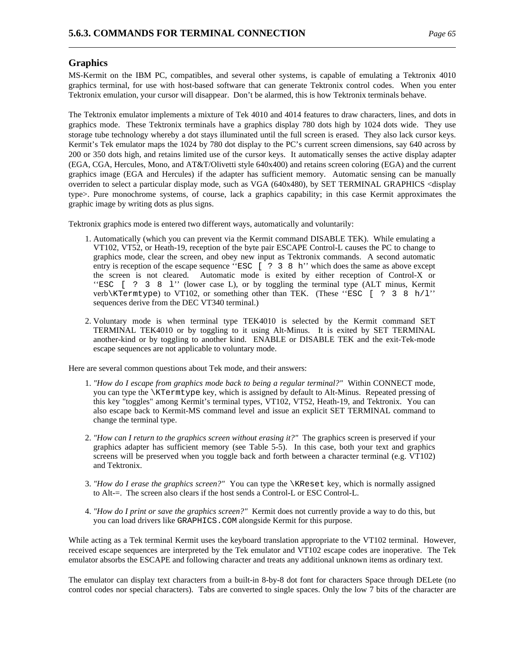## **Graphics**

MS-Kermit on the IBM PC, compatibles, and several other systems, is capable of emulating a Tektronix 4010 graphics terminal, for use with host-based software that can generate Tektronix control codes. When you enter Tektronix emulation, your cursor will disappear. Don't be alarmed, this is how Tektronix terminals behave.

The Tektronix emulator implements a mixture of Tek 4010 and 4014 features to draw characters, lines, and dots in graphics mode. These Tektronix terminals have a graphics display 780 dots high by 1024 dots wide. They use storage tube technology whereby a dot stays illuminated until the full screen is erased. They also lack cursor keys. Kermit's Tek emulator maps the 1024 by 780 dot display to the PC's current screen dimensions, say 640 across by 200 or 350 dots high, and retains limited use of the cursor keys. It automatically senses the active display adapter (EGA, CGA, Hercules, Mono, and AT&T/Olivetti style 640x400) and retains screen coloring (EGA) and the current graphics image (EGA and Hercules) if the adapter has sufficient memory. Automatic sensing can be manually overriden to select a particular display mode, such as VGA (640x480), by SET TERMINAL GRAPHICS <display type>. Pure monochrome systems, of course, lack a graphics capability; in this case Kermit approximates the graphic image by writing dots as plus signs.

Tektronix graphics mode is entered two different ways, automatically and voluntarily:

- 1. Automatically (which you can prevent via the Kermit command DISABLE TEK). While emulating a VT102, VT52, or Heath-19, reception of the byte pair ESCAPE Control-L causes the PC to change to graphics mode, clear the screen, and obey new input as Tektronix commands. A second automatic entry is reception of the escape sequence "ESC [ ? 3 8 h'' which does the same as above except the screen is not cleared. Automatic mode is exited by either reception of Control-X or ''ESC [ ? 3 8 l'' (lower case L), or by toggling the terminal type (ALT minus, Kermit verb\KTermtype) to VT102, or something other than TEK. (These "ESC  $[ ? 3 8 h/1"$ sequences derive from the DEC VT340 terminal.)
- 2. Voluntary mode is when terminal type TEK4010 is selected by the Kermit command SET TERMINAL TEK4010 or by toggling to it using Alt-Minus. It is exited by SET TERMINAL another-kind or by toggling to another kind. ENABLE or DISABLE TEK and the exit-Tek-mode escape sequences are not applicable to voluntary mode.

Here are several common questions about Tek mode, and their answers:

- 1. *"How do I escape from graphics mode back to being a regular terminal?"* Within CONNECT mode, you can type the \KTermtype key, which is assigned by default to Alt-Minus. Repeated pressing of this key "toggles" among Kermit's terminal types, VT102, VT52, Heath-19, and Tektronix. You can also escape back to Kermit-MS command level and issue an explicit SET TERMINAL command to change the terminal type.
- 2. *"How can I return to the graphics screen without erasing it?"* The graphics screen is preserved if your graphics adapter has sufficient memory (see Table 5-5). In this case, both your text and graphics screens will be preserved when you toggle back and forth between a character terminal (e.g. VT102) and Tektronix.
- 3. *"How do I erase the graphics screen?"* You can type the \KReset key, which is normally assigned to Alt-=. The screen also clears if the host sends a Control-L or ESC Control-L.
- 4. *"How do I print or save the graphics screen?"* Kermit does not currently provide a way to do this, but you can load drivers like GRAPHICS.COM alongside Kermit for this purpose.

While acting as a Tek terminal Kermit uses the keyboard translation appropriate to the VT102 terminal. However, received escape sequences are interpreted by the Tek emulator and VT102 escape codes are inoperative. The Tek emulator absorbs the ESCAPE and following character and treats any additional unknown items as ordinary text.

The emulator can display text characters from a built-in 8-by-8 dot font for characters Space through DELete (no control codes nor special characters). Tabs are converted to single spaces. Only the low 7 bits of the character are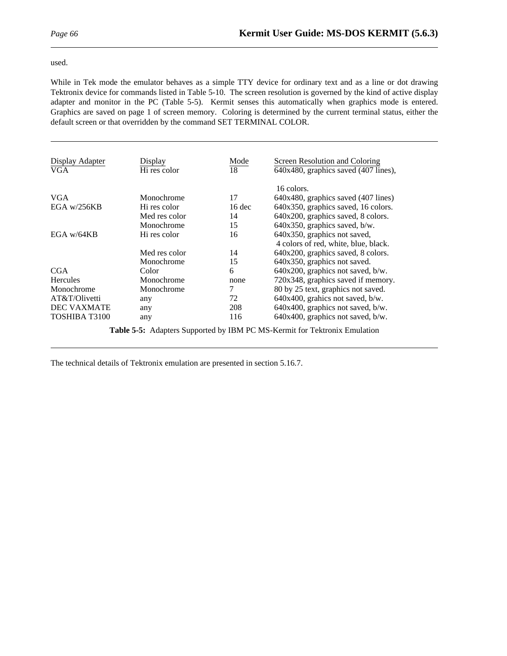#### used.

While in Tek mode the emulator behaves as a simple TTY device for ordinary text and as a line or dot drawing Tektronix device for commands listed in Table 5-10. The screen resolution is governed by the kind of active display adapter and monitor in the PC (Table 5-5). Kermit senses this automatically when graphics mode is entered. Graphics are saved on page 1 of screen memory. Coloring is determined by the current terminal status, either the default screen or that overridden by the command SET TERMINAL COLOR.

| Display Adapter<br>VGA | Display<br>Hi res color | Mode<br>18 | Screen Resolution and Coloring<br>640x480, graphics saved (407 lines), |
|------------------------|-------------------------|------------|------------------------------------------------------------------------|
| <b>VGA</b>             | Monochrome              | 17         | 16 colors.<br>$640x480$ , graphics saved $(407$ lines)                 |
| EGA $w/256KB$          | Hi res color            | $16$ dec   | 640x350, graphics saved, 16 colors.                                    |
|                        | Med res color           | 14         | 640x200, graphics saved, 8 colors.                                     |
|                        | Monochrome              | 15         | 640x350, graphics saved, b/w.                                          |
| EGA $w/64KB$           | Hi res color            | 16         | 640x350, graphics not saved,<br>4 colors of red, white, blue, black.   |
|                        | Med res color           | 14         | 640x200, graphics saved, 8 colors.                                     |
|                        | Monochrome              | 15         | 640x350, graphics not saved.                                           |
| <b>CGA</b>             | Color                   | 6          | $640x200$ , graphics not saved, b/w.                                   |
| <b>Hercules</b>        | Monochrome              | none       | 720x348, graphics saved if memory.                                     |
| Monochrome             | Monochrome              | 7          | 80 by 25 text, graphics not saved.                                     |
| AT&T/Olivetti          | any                     | 72         | 640x400, grahics not saved, b/w.                                       |
| <b>DEC VAXMATE</b>     | any                     | 208        | 640x400, graphics not saved, b/w.                                      |
| TOSHIBA T3100          | any                     | 116        | 640x400, graphics not saved, b/w.                                      |

**Table 5-5:** Adapters Supported by IBM PC MS-Kermit for Tektronix Emulation

The technical details of Tektronix emulation are presented in section 5.16.7.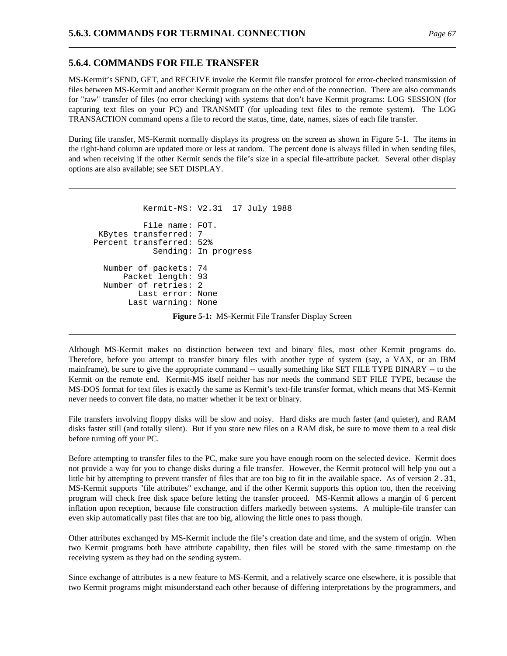## **5.6.4. COMMANDS FOR FILE TRANSFER**

MS-Kermit's SEND, GET, and RECEIVE invoke the Kermit file transfer protocol for error-checked transmission of files between MS-Kermit and another Kermit program on the other end of the connection. There are also commands for "raw" transfer of files (no error checking) with systems that don't have Kermit programs: LOG SESSION (for capturing text files on your PC) and TRANSMIT (for uploading text files to the remote system). The LOG TRANSACTION command opens a file to record the status, time, date, names, sizes of each file transfer.

During file transfer, MS-Kermit normally displays its progress on the screen as shown in Figure 5-1. The items in the right-hand column are updated more or less at random. The percent done is always filled in when sending files, and when receiving if the other Kermit sends the file's size in a special file-attribute packet. Several other display options are also available; see SET DISPLAY.

```
Kermit-MS: V2.31 17 July 1988
          File name: FOT.
KBytes transferred: 7
Percent transferred: 52%
            Sending: In progress
  Number of packets: 74
      Packet length: 93
  Number of retries: 2
         Last error: None
       Last warning: None
```
**Figure 5-1:** MS-Kermit File Transfer Display Screen

Although MS-Kermit makes no distinction between text and binary files, most other Kermit programs do. Therefore, before you attempt to transfer binary files with another type of system (say, a VAX, or an IBM mainframe), be sure to give the appropriate command -- usually something like SET FILE TYPE BINARY -- to the Kermit on the remote end. Kermit-MS itself neither has nor needs the command SET FILE TYPE, because the MS-DOS format for text files is exactly the same as Kermit's text-file transfer format, which means that MS-Kermit never needs to convert file data, no matter whether it be text or binary.

File transfers involving floppy disks will be slow and noisy. Hard disks are much faster (and quieter), and RAM disks faster still (and totally silent). But if you store new files on a RAM disk, be sure to move them to a real disk before turning off your PC.

Before attempting to transfer files to the PC, make sure you have enough room on the selected device. Kermit does not provide a way for you to change disks during a file transfer. However, the Kermit protocol will help you out a little bit by attempting to prevent transfer of files that are too big to fit in the available space. As of version 2.31, MS-Kermit supports "file attributes" exchange, and if the other Kermit supports this option too, then the receiving program will check free disk space before letting the transfer proceed. MS-Kermit allows a margin of 6 percent inflation upon reception, because file construction differs markedly between systems. A multiple-file transfer can even skip automatically past files that are too big, allowing the little ones to pass though.

Other attributes exchanged by MS-Kermit include the file's creation date and time, and the system of origin. When two Kermit programs both have attribute capability, then files will be stored with the same timestamp on the receiving system as they had on the sending system.

Since exchange of attributes is a new feature to MS-Kermit, and a relatively scarce one elsewhere, it is possible that two Kermit programs might misunderstand each other because of differing interpretations by the programmers, and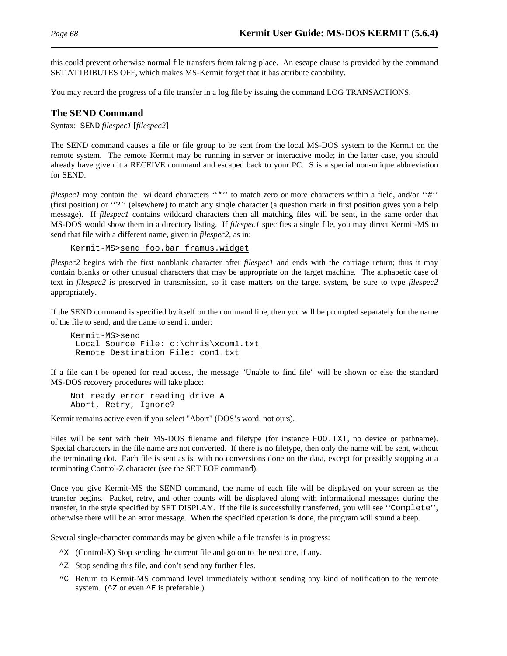this could prevent otherwise normal file transfers from taking place. An escape clause is provided by the command SET ATTRIBUTES OFF, which makes MS-Kermit forget that it has attribute capability.

You may record the progress of a file transfer in a log file by issuing the command LOG TRANSACTIONS.

### **The SEND Command**

Syntax: SEND *filespec1* [*filespec2*]

The SEND command causes a file or file group to be sent from the local MS-DOS system to the Kermit on the remote system. The remote Kermit may be running in server or interactive mode; in the latter case, you should already have given it a RECEIVE command and escaped back to your PC. S is a special non-unique abbreviation for SEND.

*filespec1* may contain the wildcard characters "\*" to match zero or more characters within a field, and/or "#" (first position) or ''?'' (elsewhere) to match any single character (a question mark in first position gives you a help message). If *filespec1* contains wildcard characters then all matching files will be sent, in the same order that MS-DOS would show them in a directory listing. If *filespec1* specifies a single file, you may direct Kermit-MS to send that file with a different name, given in *filespec2*, as in:

```
Kermit-MS>send foo.bar framus.widget
```
*filespec2* begins with the first nonblank character after *filespec1* and ends with the carriage return; thus it may contain blanks or other unusual characters that may be appropriate on the target machine. The alphabetic case of text in *filespec2* is preserved in transmission, so if case matters on the target system, be sure to type *filespec2* appropriately.

If the SEND command is specified by itself on the command line, then you will be prompted separately for the name of the file to send, and the name to send it under:

```
Kermit-MS>send
 Local Source File: c:\chris\xcom1.txt
 Remote Destination File: com1.txt
```
If a file can't be opened for read access, the message "Unable to find file" will be shown or else the standard MS-DOS recovery procedures will take place:

Not ready error reading drive A Abort, Retry, Ignore?

Kermit remains active even if you select "Abort" (DOS's word, not ours).

Files will be sent with their MS-DOS filename and filetype (for instance FOO.TXT, no device or pathname). Special characters in the file name are not converted. If there is no filetype, then only the name will be sent, without the terminating dot. Each file is sent as is, with no conversions done on the data, except for possibly stopping at a terminating Control-Z character (see the SET EOF command).

Once you give Kermit-MS the SEND command, the name of each file will be displayed on your screen as the transfer begins. Packet, retry, and other counts will be displayed along with informational messages during the transfer, in the style specified by SET DISPLAY. If the file is successfully transferred, you will see ''Complete'', otherwise there will be an error message. When the specified operation is done, the program will sound a beep.

Several single-character commands may be given while a file transfer is in progress:

- $\gamma$ X (Control-X) Stop sending the current file and go on to the next one, if any.
- $\textdegree$ Z Stop sending this file, and don't send any further files.
- ^C Return to Kermit-MS command level immediately without sending any kind of notification to the remote system. ( $\textdegree$ Z or even  $\textdegree$ E is preferable.)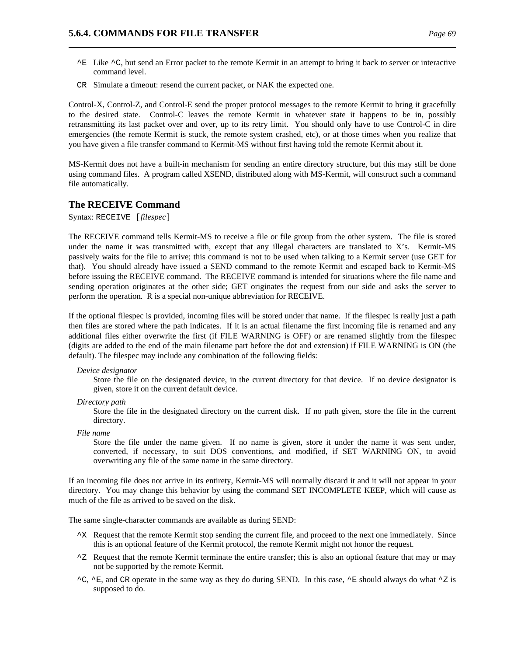- $^{\sim}$ E Like  $^{\sim}$ C, but send an Error packet to the remote Kermit in an attempt to bring it back to server or interactive command level.
- CR Simulate a timeout: resend the current packet, or NAK the expected one.

Control-X, Control-Z, and Control-E send the proper protocol messages to the remote Kermit to bring it gracefully to the desired state. Control-C leaves the remote Kermit in whatever state it happens to be in, possibly retransmitting its last packet over and over, up to its retry limit. You should only have to use Control-C in dire emergencies (the remote Kermit is stuck, the remote system crashed, etc), or at those times when you realize that you have given a file transfer command to Kermit-MS without first having told the remote Kermit about it.

MS-Kermit does not have a built-in mechanism for sending an entire directory structure, but this may still be done using command files. A program called XSEND, distributed along with MS-Kermit, will construct such a command file automatically.

## **The RECEIVE Command**

Syntax: RECEIVE [*filespec*]

The RECEIVE command tells Kermit-MS to receive a file or file group from the other system. The file is stored under the name it was transmitted with, except that any illegal characters are translated to X's. Kermit-MS passively waits for the file to arrive; this command is not to be used when talking to a Kermit server (use GET for that). You should already have issued a SEND command to the remote Kermit and escaped back to Kermit-MS before issuing the RECEIVE command. The RECEIVE command is intended for situations where the file name and sending operation originates at the other side; GET originates the request from our side and asks the server to perform the operation. R is a special non-unique abbreviation for RECEIVE.

If the optional filespec is provided, incoming files will be stored under that name. If the filespec is really just a path then files are stored where the path indicates. If it is an actual filename the first incoming file is renamed and any additional files either overwrite the first (if FILE WARNING is OFF) or are renamed slightly from the filespec (digits are added to the end of the main filename part before the dot and extension) if FILE WARNING is ON (the default). The filespec may include any combination of the following fields:

#### *Device designator*

Store the file on the designated device, in the current directory for that device. If no device designator is given, store it on the current default device.

*Directory path*

Store the file in the designated directory on the current disk. If no path given, store the file in the current directory.

*File name*

Store the file under the name given. If no name is given, store it under the name it was sent under, converted, if necessary, to suit DOS conventions, and modified, if SET WARNING ON, to avoid overwriting any file of the same name in the same directory.

If an incoming file does not arrive in its entirety, Kermit-MS will normally discard it and it will not appear in your directory. You may change this behavior by using the command SET INCOMPLETE KEEP, which will cause as much of the file as arrived to be saved on the disk.

The same single-character commands are available as during SEND:

- ^X Request that the remote Kermit stop sending the current file, and proceed to the next one immediately. Since this is an optional feature of the Kermit protocol, the remote Kermit might not honor the request.
- ^Z Request that the remote Kermit terminate the entire transfer; this is also an optional feature that may or may not be supported by the remote Kermit.
- $^{\circ}C$ ,  $^{\circ}E$ , and CR operate in the same way as they do during SEND. In this case,  $^{\circ}E$  should always do what  $^{\circ}Z$  is supposed to do.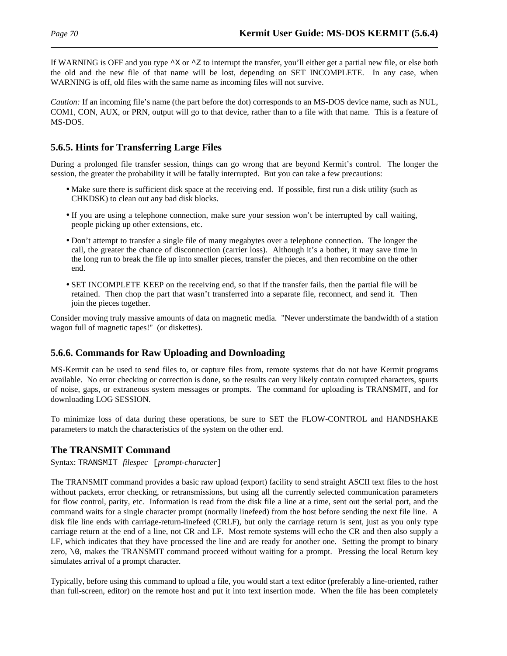If WARNING is OFF and you type  $\gamma$  or  $\gamma$  to interrupt the transfer, you'll either get a partial new file, or else both the old and the new file of that name will be lost, depending on SET INCOMPLETE. In any case, when WARNING is off, old files with the same name as incoming files will not survive.

*Caution:* If an incoming file's name (the part before the dot) corresponds to an MS-DOS device name, such as NUL, COM1, CON, AUX, or PRN, output will go to that device, rather than to a file with that name. This is a feature of MS-DOS.

## **5.6.5. Hints for Transferring Large Files**

During a prolonged file transfer session, things can go wrong that are beyond Kermit's control. The longer the session, the greater the probability it will be fatally interrupted. But you can take a few precautions:

- Make sure there is sufficient disk space at the receiving end. If possible, first run a disk utility (such as CHKDSK) to clean out any bad disk blocks.
- If you are using a telephone connection, make sure your session won't be interrupted by call waiting, people picking up other extensions, etc.
- Don't attempt to transfer a single file of many megabytes over a telephone connection. The longer the call, the greater the chance of disconnection (carrier loss). Although it's a bother, it may save time in the long run to break the file up into smaller pieces, transfer the pieces, and then recombine on the other end.
- SET INCOMPLETE KEEP on the receiving end, so that if the transfer fails, then the partial file will be retained. Then chop the part that wasn't transferred into a separate file, reconnect, and send it. Then join the pieces together.

Consider moving truly massive amounts of data on magnetic media. "Never understimate the bandwidth of a station wagon full of magnetic tapes!" (or diskettes).

# **5.6.6. Commands for Raw Uploading and Downloading**

MS-Kermit can be used to send files to, or capture files from, remote systems that do not have Kermit programs available. No error checking or correction is done, so the results can very likely contain corrupted characters, spurts of noise, gaps, or extraneous system messages or prompts. The command for uploading is TRANSMIT, and for downloading LOG SESSION.

To minimize loss of data during these operations, be sure to SET the FLOW-CONTROL and HANDSHAKE parameters to match the characteristics of the system on the other end.

## **The TRANSMIT Command**

Syntax: TRANSMIT *filespec* [*prompt-character*]

The TRANSMIT command provides a basic raw upload (export) facility to send straight ASCII text files to the host without packets, error checking, or retransmissions, but using all the currently selected communication parameters for flow control, parity, etc. Information is read from the disk file a line at a time, sent out the serial port, and the command waits for a single character prompt (normally linefeed) from the host before sending the next file line. A disk file line ends with carriage-return-linefeed (CRLF), but only the carriage return is sent, just as you only type carriage return at the end of a line, not CR and LF. Most remote systems will echo the CR and then also supply a LF, which indicates that they have processed the line and are ready for another one. Setting the prompt to binary zero,  $\setminus$ 0, makes the TRANSMIT command proceed without waiting for a prompt. Pressing the local Return key simulates arrival of a prompt character.

Typically, before using this command to upload a file, you would start a text editor (preferably a line-oriented, rather than full-screen, editor) on the remote host and put it into text insertion mode. When the file has been completely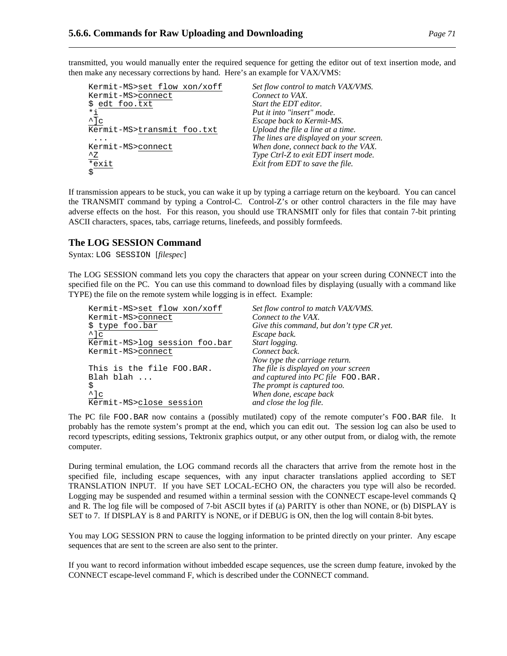transmitted, you would manually enter the required sequence for getting the editor out of text insertion mode, and then make any necessary corrections by hand. Here's an example for VAX/VMS:

| Kermit-MS>set flow xon/xoff | Set flow control to match VAX/VMS.      |
|-----------------------------|-----------------------------------------|
| Kermit-MS>connect           | Connect to VAX.                         |
| \$ edt foo.txt              | Start the EDT editor.                   |
| *i                          | Put it into "insert" mode.              |
| $\overline{\mathcal{C}}$    | Escape back to Kermit-MS.               |
| Kermit-MS>transmit foo.txt  | Upload the file a line at a time.       |
|                             | The lines are displayed on your screen. |
| Kermit-MS>connect           | When done, connect back to the VAX.     |
| $^{\wedge}$ z               | Type Ctrl-Z to exit EDT insert mode.    |
| $\overline{\ast}$ exit      | Exit from EDT to save the file.         |
| \$                          |                                         |

If transmission appears to be stuck, you can wake it up by typing a carriage return on the keyboard. You can cancel the TRANSMIT command by typing a Control-C. Control-Z's or other control characters in the file may have adverse effects on the host. For this reason, you should use TRANSMIT only for files that contain 7-bit printing ASCII characters, spaces, tabs, carriage returns, linefeeds, and possibly formfeeds.

## **The LOG SESSION Command**

Syntax: LOG SESSION [*filespec*]

The LOG SESSION command lets you copy the characters that appear on your screen during CONNECT into the specified file on the PC. You can use this command to download files by displaying (usually with a command like TYPE) the file on the remote system while logging is in effect. Example:

| Kermit-MS>set flow xon/xoff   | Set flow control to match VAX/VMS.        |
|-------------------------------|-------------------------------------------|
| Kermit-MS>connect             | Connect to the VAX.                       |
| \$ type foo.bar               | Give this command, but don't type CR yet. |
| $^{\wedge}$ ]c                | Escape back.                              |
| Kermit-MS>log session foo.bar | Start logging.                            |
| Kermit-MS>connect             | Connect back.                             |
|                               | Now type the carriage return.             |
| This is the file FOO.BAR.     | The file is displayed on your screen      |
| Blah blah                     | and captured into PC file FOO. BAR.       |
| \$                            | The prompt is captured too.               |
| $^{\wedge}$ ] c               | When done, escape back                    |
| Kermit-MS>close session       | and close the log file.                   |

The PC file FOO.BAR now contains a (possibly mutilated) copy of the remote computer's FOO.BAR file. It probably has the remote system's prompt at the end, which you can edit out. The session log can also be used to record typescripts, editing sessions, Tektronix graphics output, or any other output from, or dialog with, the remote computer.

During terminal emulation, the LOG command records all the characters that arrive from the remote host in the specified file, including escape sequences, with any input character translations applied according to SET TRANSLATION INPUT. If you have SET LOCAL-ECHO ON, the characters you type will also be recorded. Logging may be suspended and resumed within a terminal session with the CONNECT escape-level commands Q and R. The log file will be composed of 7-bit ASCII bytes if (a) PARITY is other than NONE, or (b) DISPLAY is SET to 7. If DISPLAY is 8 and PARITY is NONE, or if DEBUG is ON, then the log will contain 8-bit bytes.

You may LOG SESSION PRN to cause the logging information to be printed directly on your printer. Any escape sequences that are sent to the screen are also sent to the printer.

If you want to record information without imbedded escape sequences, use the screen dump feature, invoked by the CONNECT escape-level command F, which is described under the CONNECT command.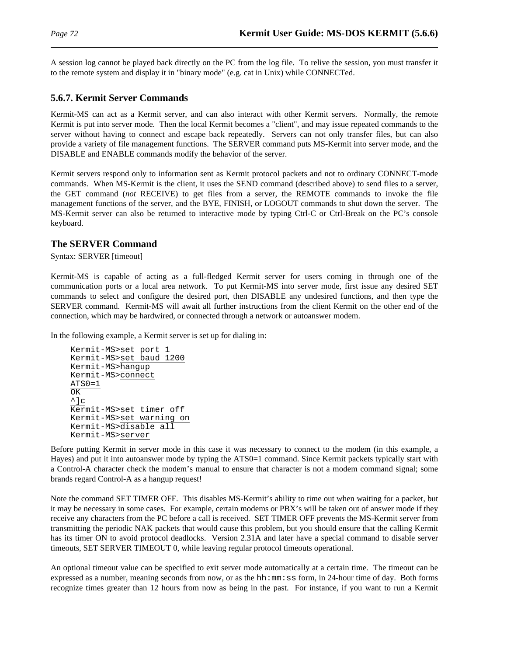A session log cannot be played back directly on the PC from the log file. To relive the session, you must transfer it to the remote system and display it in "binary mode" (e.g. cat in Unix) while CONNECTed.

# **5.6.7. Kermit Server Commands**

Kermit-MS can act as a Kermit server, and can also interact with other Kermit servers. Normally, the remote Kermit is put into server mode. Then the local Kermit becomes a "client", and may issue repeated commands to the server without having to connect and escape back repeatedly. Servers can not only transfer files, but can also provide a variety of file management functions. The SERVER command puts MS-Kermit into server mode, and the DISABLE and ENABLE commands modify the behavior of the server.

Kermit servers respond only to information sent as Kermit protocol packets and not to ordinary CONNECT-mode commands. When MS-Kermit is the client, it uses the SEND command (described above) to send files to a server, the GET command (*not* RECEIVE) to get files from a server, the REMOTE commands to invoke the file management functions of the server, and the BYE, FINISH, or LOGOUT commands to shut down the server. The MS-Kermit server can also be returned to interactive mode by typing Ctrl-C or Ctrl-Break on the PC's console keyboard.

# **The SERVER Command**

Syntax: SERVER [timeout]

Kermit-MS is capable of acting as a full-fledged Kermit server for users coming in through one of the communication ports or a local area network. To put Kermit-MS into server mode, first issue any desired SET commands to select and configure the desired port, then DISABLE any undesired functions, and then type the SERVER command. Kermit-MS will await all further instructions from the client Kermit on the other end of the connection, which may be hardwired, or connected through a network or autoanswer modem.

In the following example, a Kermit server is set up for dialing in:

Kermit-MS>set port Kermit-MS>set baud 1200 Kermit-MS>hangup Kermit-MS>connect ATS0=1 OK  $\wedge$ ]c Kermit-MS>set timer off Kermit-MS>set warning on Kermit-MS>disable all Kermit-MS>server

Before putting Kermit in server mode in this case it was necessary to connect to the modem (in this example, a Hayes) and put it into autoanswer mode by typing the ATS0=1 command. Since Kermit packets typically start with a Control-A character check the modem's manual to ensure that character is not a modem command signal; some brands regard Control-A as a hangup request!

Note the command SET TIMER OFF. This disables MS-Kermit's ability to time out when waiting for a packet, but it may be necessary in some cases. For example, certain modems or PBX's will be taken out of answer mode if they receive any characters from the PC before a call is received. SET TIMER OFF prevents the MS-Kermit server from transmitting the periodic NAK packets that would cause this problem, but you should ensure that the calling Kermit has its timer ON to avoid protocol deadlocks. Version 2.31A and later have a special command to disable server timeouts, SET SERVER TIMEOUT 0, while leaving regular protocol timeouts operational.

An optional timeout value can be specified to exit server mode automatically at a certain time. The timeout can be expressed as a number, meaning seconds from now, or as the hh:mm: ss form, in 24-hour time of day. Both forms recognize times greater than 12 hours from now as being in the past. For instance, if you want to run a Kermit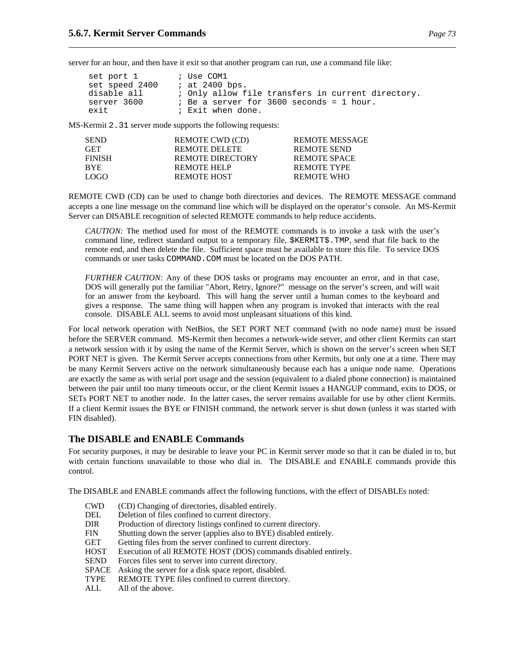server for an hour, and then have it exit so that another program can run, use a command file like:

| set port 1     | ; Use COM1                                        |
|----------------|---------------------------------------------------|
| set speed 2400 | ; at 2400 bps.                                    |
| disable all    | ; Only allow file transfers in current directory. |
| server 3600    | ; Be a server for 3600 seconds = 1 hour.          |
| exit           | ; Exit when done.                                 |

MS-Kermit 2.31 server mode supports the following requests:

| <b>SEND</b>   | REMOTE CWD (CD)      | <b>REMOTE MESSAGE</b> |
|---------------|----------------------|-----------------------|
| <b>GET</b>    | <b>REMOTE DELETE</b> | REMOTE SEND           |
| <b>FINISH</b> | REMOTE DIRECTORY     | REMOTE SPACE          |
| <b>BYE</b>    | REMOTE HELP          | REMOTE TYPE           |
| LOGO.         | REMOTE HOST          | REMOTE WHO            |

REMOTE CWD (CD) can be used to change both directories and devices. The REMOTE MESSAGE command accepts a one line message on the command line which will be displayed on the operator's console. An MS-Kermit Server can DISABLE recognition of selected REMOTE commands to help reduce accidents.

*CAUTION:* The method used for most of the REMOTE commands is to invoke a task with the user's command line, redirect standard output to a temporary file, \$KERMIT\$.TMP, send that file back to the remote end, and then delete the file. Sufficient space must be available to store this file. To service DOS commands or user tasks COMMAND.COM must be located on the DOS PATH.

*FURTHER CAUTION:* Any of these DOS tasks or programs may encounter an error, and in that case, DOS will generally put the familiar "Abort, Retry, Ignore?" message on the server's screen, and will wait for an answer from the keyboard. This will hang the server until a human comes to the keyboard and gives a response. The same thing will happen when any program is invoked that interacts with the real console. DISABLE ALL seems to avoid most unpleasant situations of this kind.

For local network operation with NetBios, the SET PORT NET command (with no node name) must be issued before the SERVER command. MS-Kermit then becomes a network-wide server, and other client Kermits can start a network session with it by using the name of the Kermit Server, which is shown on the server's screen when SET PORT NET is given. The Kermit Server accepts connections from other Kermits, but only one at a time. There may be many Kermit Servers active on the network simultaneously because each has a unique node name. Operations are exactly the same as with serial port usage and the session (equivalent to a dialed phone connection) is maintained between the pair until too many timeouts occur, or the client Kermit issues a HANGUP command, exits to DOS, or SETs PORT NET to another node. In the latter cases, the server remains available for use by other client Kermits. If a client Kermit issues the BYE or FINISH command, the network server is shut down (unless it was started with FIN disabled).

#### **The DISABLE and ENABLE Commands**

For security purposes, it may be desirable to leave your PC in Kermit server mode so that it can be dialed in to, but with certain functions unavailable to those who dial in. The DISABLE and ENABLE commands provide this control.

The DISABLE and ENABLE commands affect the following functions, with the effect of DISABLEs noted:

- CWD (CD) Changing of directories, disabled entirely.
- DEL Deletion of files confined to current directory.<br>DIR Production of directory listings confined to cur
- Production of directory listings confined to current directory.
- FIN Shutting down the server (applies also to BYE) disabled entirely.
- GET Getting files from the server confined to current directory.
- HOST Execution of all REMOTE HOST (DOS) commands disabled entirely.
- SEND Forces files sent to server into current directory.
- SPACE Asking the server for a disk space report, disabled.
- TYPE REMOTE TYPE files confined to current directory.
- ALL All of the above.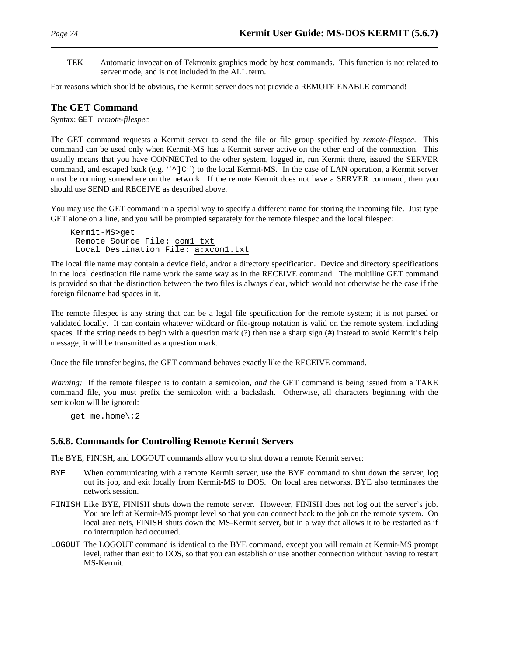TEK Automatic invocation of Tektronix graphics mode by host commands. This function is not related to server mode, and is not included in the ALL term.

For reasons which should be obvious, the Kermit server does not provide a REMOTE ENABLE command!

### **The GET Command**

Syntax: GET *remote-filespec*

The GET command requests a Kermit server to send the file or file group specified by *remote-filespec*. This command can be used only when Kermit-MS has a Kermit server active on the other end of the connection. This usually means that you have CONNECTed to the other system, logged in, run Kermit there, issued the SERVER command, and escaped back (e.g. " $\sim$ ]C'') to the local Kermit-MS. In the case of LAN operation, a Kermit server must be running somewhere on the network. If the remote Kermit does not have a SERVER command, then you should use SEND and RECEIVE as described above.

You may use the GET command in a special way to specify a different name for storing the incoming file. Just type GET alone on a line, and you will be prompted separately for the remote filespec and the local filespec:

```
Kermit-MS>get
 Remote Source File: com1 txt
 Local Destination File: a:xcom1.txt
```
The local file name may contain a device field, and/or a directory specification. Device and directory specifications in the local destination file name work the same way as in the RECEIVE command. The multiline GET command is provided so that the distinction between the two files is always clear, which would not otherwise be the case if the foreign filename had spaces in it.

The remote filespec is any string that can be a legal file specification for the remote system; it is not parsed or validated locally. It can contain whatever wildcard or file-group notation is valid on the remote system, including spaces. If the string needs to begin with a question mark (?) then use a sharp sign (#) instead to avoid Kermit's help message; it will be transmitted as a question mark.

Once the file transfer begins, the GET command behaves exactly like the RECEIVE command.

*Warning:* If the remote filespec is to contain a semicolon, *and* the GET command is being issued from a TAKE command file, you must prefix the semicolon with a backslash. Otherwise, all characters beginning with the semicolon will be ignored:

get me.home\;2

#### **5.6.8. Commands for Controlling Remote Kermit Servers**

The BYE, FINISH, and LOGOUT commands allow you to shut down a remote Kermit server:

- BYE When communicating with a remote Kermit server, use the BYE command to shut down the server, log out its job, and exit locally from Kermit-MS to DOS. On local area networks, BYE also terminates the network session.
- FINISH Like BYE, FINISH shuts down the remote server. However, FINISH does not log out the server's job. You are left at Kermit-MS prompt level so that you can connect back to the job on the remote system. On local area nets, FINISH shuts down the MS-Kermit server, but in a way that allows it to be restarted as if no interruption had occurred.
- LOGOUT The LOGOUT command is identical to the BYE command, except you will remain at Kermit-MS prompt level, rather than exit to DOS, so that you can establish or use another connection without having to restart MS-Kermit.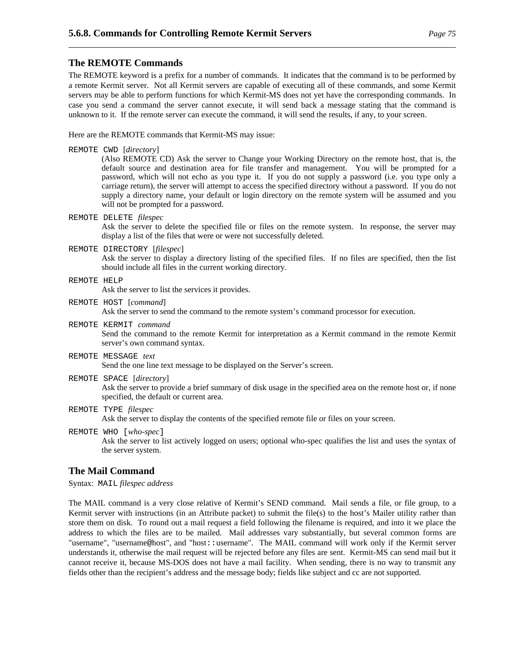#### **The REMOTE Commands**

The REMOTE keyword is a prefix for a number of commands. It indicates that the command is to be performed by a remote Kermit server. Not all Kermit servers are capable of executing all of these commands, and some Kermit servers may be able to perform functions for which Kermit-MS does not yet have the corresponding commands. In case you send a command the server cannot execute, it will send back a message stating that the command is unknown to it. If the remote server can execute the command, it will send the results, if any, to your screen.

Here are the REMOTE commands that Kermit-MS may issue:

REMOTE CWD [*directory*]

(Also REMOTE CD) Ask the server to Change your Working Directory on the remote host, that is, the default source and destination area for file transfer and management. You will be prompted for a password, which will not echo as you type it. If you do not supply a password (i.e. you type only a carriage return), the server will attempt to access the specified directory without a password. If you do not supply a directory name, your default or login directory on the remote system will be assumed and you will not be prompted for a password.

REMOTE DELETE *filespec*

Ask the server to delete the specified file or files on the remote system. In response, the server may display a list of the files that were or were not successfully deleted.

REMOTE DIRECTORY [*filespec*]

Ask the server to display a directory listing of the specified files. If no files are specified, then the list should include all files in the current working directory.

#### REMOTE HELP

Ask the server to list the services it provides.

- REMOTE HOST [*command*] Ask the server to send the command to the remote system's command processor for execution.
- REMOTE KERMIT *command* Send the command to the remote Kermit for interpretation as a Kermit command in the remote Kermit server's own command syntax.
- REMOTE MESSAGE *text* Send the one line text message to be displayed on the Server's screen.
- REMOTE SPACE [*directory*] Ask the server to provide a brief summary of disk usage in the specified area on the remote host or, if none specified, the default or current area.
- REMOTE TYPE *filespec* Ask the server to display the contents of the specified remote file or files on your screen.
- REMOTE WHO [*who-spec*] Ask the server to list actively logged on users; optional who-spec qualifies the list and uses the syntax of the server system.

# **The Mail Command**

Syntax: MAIL *filespec address*

The MAIL command is a very close relative of Kermit's SEND command. Mail sends a file, or file group, to a Kermit server with instructions (in an Attribute packet) to submit the file(s) to the host's Mailer utility rather than store them on disk. To round out a mail request a field following the filename is required, and into it we place the address to which the files are to be mailed. Mail addresses vary substantially, but several common forms are "username", "username@host", and "host::username". The MAIL command will work only if the Kermit server understands it, otherwise the mail request will be rejected before any files are sent. Kermit-MS can send mail but it cannot receive it, because MS-DOS does not have a mail facility. When sending, there is no way to transmit any fields other than the recipient's address and the message body; fields like subject and cc are not supported.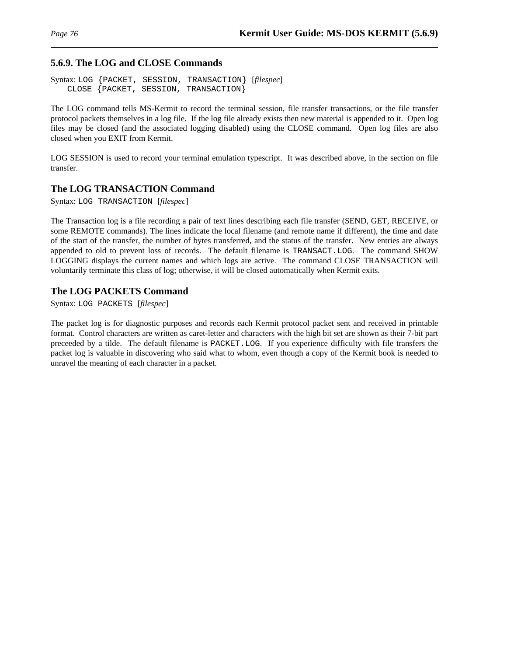# **5.6.9. The LOG and CLOSE Commands**

Syntax: LOG {PACKET, SESSION, TRANSACTION} [*filespec*] CLOSE {PACKET, SESSION, TRANSACTION}

The LOG command tells MS-Kermit to record the terminal session, file transfer transactions, or the file transfer protocol packets themselves in a log file. If the log file already exists then new material is appended to it. Open log files may be closed (and the associated logging disabled) using the CLOSE command. Open log files are also closed when you EXIT from Kermit.

LOG SESSION is used to record your terminal emulation typescript. It was described above, in the section on file transfer.

# **The LOG TRANSACTION Command**

Syntax: LOG TRANSACTION [*filespec*]

The Transaction log is a file recording a pair of text lines describing each file transfer (SEND, GET, RECEIVE, or some REMOTE commands). The lines indicate the local filename (and remote name if different), the time and date of the start of the transfer, the number of bytes transferred, and the status of the transfer. New entries are always appended to old to prevent loss of records. The default filename is TRANSACT.LOG. The command SHOW LOGGING displays the current names and which logs are active. The command CLOSE TRANSACTION will voluntarily terminate this class of log; otherwise, it will be closed automatically when Kermit exits.

# **The LOG PACKETS Command**

Syntax: LOG PACKETS [*filespec*]

The packet log is for diagnostic purposes and records each Kermit protocol packet sent and received in printable format. Control characters are written as caret-letter and characters with the high bit set are shown as their 7-bit part preceeded by a tilde. The default filename is PACKET.LOG. If you experience difficulty with file transfers the packet log is valuable in discovering who said what to whom, even though a copy of the Kermit book is needed to unravel the meaning of each character in a packet.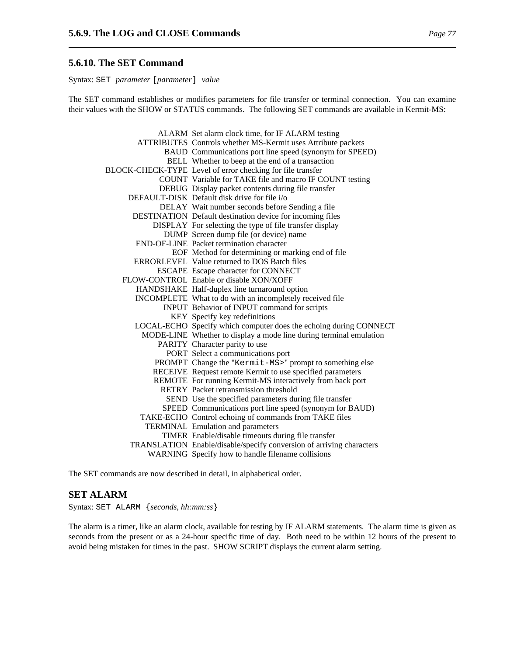#### **5.6.10. The SET Command**

Syntax: SET *parameter* [*parameter*] *value*

The SET command establishes or modifies parameters for file transfer or terminal connection. You can examine their values with the SHOW or STATUS commands. The following SET commands are available in Kermit-MS:

| ALARM Set alarm clock time, for IF ALARM testing                     |
|----------------------------------------------------------------------|
| ATTRIBUTES Controls whether MS-Kermit uses Attribute packets         |
| BAUD Communications port line speed (synonym for SPEED)              |
| BELL Whether to beep at the end of a transaction                     |
| BLOCK-CHECK-TYPE Level of error checking for file transfer           |
| COUNT Variable for TAKE file and macro IF COUNT testing              |
| DEBUG Display packet contents during file transfer                   |
| DEFAULT-DISK Default disk drive for file i/o                         |
| DELAY Wait number seconds before Sending a file                      |
| DESTINATION Default destination device for incoming files            |
| DISPLAY For selecting the type of file transfer display              |
| DUMP Screen dump file (or device) name                               |
| END-OF-LINE Packet termination character                             |
| EOF Method for determining or marking end of file                    |
| <b>ERRORLEVEL Value returned to DOS Batch files</b>                  |
| ESCAPE Escape character for CONNECT                                  |
| FLOW-CONTROL Enable or disable XON/XOFF                              |
| HANDSHAKE Half-duplex line turnaround option                         |
| INCOMPLETE What to do with an incompletely received file             |
| INPUT Behavior of INPUT command for scripts                          |
| KEY Specify key redefinitions                                        |
| LOCAL-ECHO Specify which computer does the echoing during CONNECT    |
| MODE-LINE Whether to display a mode line during terminal emulation   |
| PARITY Character parity to use                                       |
| PORT Select a communications port                                    |
| PROMPT Change the "Kermit-MS>" prompt to something else              |
| RECEIVE Request remote Kermit to use specified parameters            |
| REMOTE For running Kermit-MS interactively from back port            |
| RETRY Packet retransmission threshold                                |
| SEND Use the specified parameters during file transfer               |
| SPEED Communications port line speed (synonym for BAUD)              |
| TAKE-ECHO Control echoing of commands from TAKE files                |
| <b>TERMINAL Emulation and parameters</b>                             |
| TIMER Enable/disable timeouts during file transfer                   |
| TRANSLATION Enable/disable/specify conversion of arriving characters |
| WARNING Specify how to handle filename collisions                    |

The SET commands are now described in detail, in alphabetical order.

# **SET ALARM**

Syntax: SET ALARM {*seconds, hh:mm:ss*}

The alarm is a timer, like an alarm clock, available for testing by IF ALARM statements. The alarm time is given as seconds from the present or as a 24-hour specific time of day. Both need to be within 12 hours of the present to avoid being mistaken for times in the past. SHOW SCRIPT displays the current alarm setting.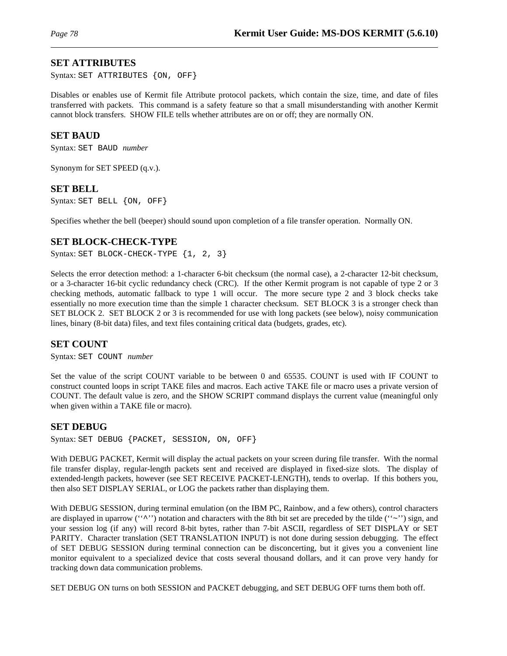# **SET ATTRIBUTES**

Syntax: SET ATTRIBUTES {ON, OFF}

Disables or enables use of Kermit file Attribute protocol packets, which contain the size, time, and date of files transferred with packets. This command is a safety feature so that a small misunderstanding with another Kermit cannot block transfers. SHOW FILE tells whether attributes are on or off; they are normally ON.

### **SET BAUD**

Syntax: SET BAUD *number*

Synonym for SET SPEED (q.v.).

### **SET BELL**

Syntax: SET BELL {ON, OFF}

Specifies whether the bell (beeper) should sound upon completion of a file transfer operation. Normally ON.

# **SET BLOCK-CHECK-TYPE**

Syntax: SET BLOCK-CHECK-TYPE  ${1, 2, 3}$ 

Selects the error detection method: a 1-character 6-bit checksum (the normal case), a 2-character 12-bit checksum, or a 3-character 16-bit cyclic redundancy check (CRC). If the other Kermit program is not capable of type 2 or 3 checking methods, automatic fallback to type 1 will occur. The more secure type 2 and 3 block checks take essentially no more execution time than the simple 1 character checksum. SET BLOCK 3 is a stronger check than SET BLOCK 2. SET BLOCK 2 or 3 is recommended for use with long packets (see below), noisy communication lines, binary (8-bit data) files, and text files containing critical data (budgets, grades, etc).

### **SET COUNT**

Syntax: SET COUNT *number*

Set the value of the script COUNT variable to be between 0 and 65535. COUNT is used with IF COUNT to construct counted loops in script TAKE files and macros. Each active TAKE file or macro uses a private version of COUNT. The default value is zero, and the SHOW SCRIPT command displays the current value (meaningful only when given within a TAKE file or macro).

#### **SET DEBUG**

Syntax: SET DEBUG {PACKET, SESSION, ON, OFF}

With DEBUG PACKET, Kermit will display the actual packets on your screen during file transfer. With the normal file transfer display, regular-length packets sent and received are displayed in fixed-size slots. The display of extended-length packets, however (see SET RECEIVE PACKET-LENGTH), tends to overlap. If this bothers you, then also SET DISPLAY SERIAL, or LOG the packets rather than displaying them.

With DEBUG SESSION, during terminal emulation (on the IBM PC, Rainbow, and a few others), control characters are displayed in uparrow (" $\sim$ ") notation and characters with the 8th bit set are preceded by the tilde (" $\sim$ ") sign, and your session log (if any) will record 8-bit bytes, rather than 7-bit ASCII, regardless of SET DISPLAY or SET PARITY. Character translation (SET TRANSLATION INPUT) is not done during session debugging. The effect of SET DEBUG SESSION during terminal connection can be disconcerting, but it gives you a convenient line monitor equivalent to a specialized device that costs several thousand dollars, and it can prove very handy for tracking down data communication problems.

SET DEBUG ON turns on both SESSION and PACKET debugging, and SET DEBUG OFF turns them both off.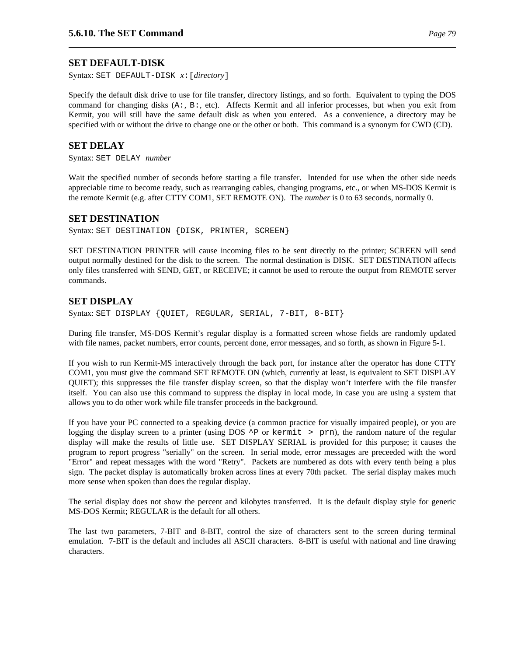Syntax: SET DEFAULT-DISK *x*:[*directory*]

Specify the default disk drive to use for file transfer, directory listings, and so forth. Equivalent to typing the DOS command for changing disks (A:, B:, etc). Affects Kermit and all inferior processes, but when you exit from Kermit, you will still have the same default disk as when you entered. As a convenience, a directory may be specified with or without the drive to change one or the other or both. This command is a synonym for CWD (CD).

# **SET DELAY**

Syntax: SET DELAY *number*

Wait the specified number of seconds before starting a file transfer. Intended for use when the other side needs appreciable time to become ready, such as rearranging cables, changing programs, etc., or when MS-DOS Kermit is the remote Kermit (e.g. after CTTY COM1, SET REMOTE ON). The *number* is 0 to 63 seconds, normally 0.

# **SET DESTINATION**

Syntax: SET DESTINATION {DISK, PRINTER, SCREEN}

SET DESTINATION PRINTER will cause incoming files to be sent directly to the printer; SCREEN will send output normally destined for the disk to the screen. The normal destination is DISK. SET DESTINATION affects only files transferred with SEND, GET, or RECEIVE; it cannot be used to reroute the output from REMOTE server commands.

# **SET DISPLAY**

Syntax: SET DISPLAY {QUIET, REGULAR, SERIAL, 7-BIT, 8-BIT}

During file transfer, MS-DOS Kermit's regular display is a formatted screen whose fields are randomly updated with file names, packet numbers, error counts, percent done, error messages, and so forth, as shown in Figure 5-1.

If you wish to run Kermit-MS interactively through the back port, for instance after the operator has done CTTY COM1, you must give the command SET REMOTE ON (which, currently at least, is equivalent to SET DISPLAY QUIET); this suppresses the file transfer display screen, so that the display won't interfere with the file transfer itself. You can also use this command to suppress the display in local mode, in case you are using a system that allows you to do other work while file transfer proceeds in the background.

If you have your PC connected to a speaking device (a common practice for visually impaired people), or you are logging the display screen to a printer (using DOS  $\uparrow$ P or kermit > prn), the random nature of the regular display will make the results of little use. SET DISPLAY SERIAL is provided for this purpose; it causes the program to report progress "serially" on the screen. In serial mode, error messages are preceeded with the word "Error" and repeat messages with the word "Retry". Packets are numbered as dots with every tenth being a plus sign. The packet display is automatically broken across lines at every 70th packet. The serial display makes much more sense when spoken than does the regular display.

The serial display does not show the percent and kilobytes transferred. It is the default display style for generic MS-DOS Kermit; REGULAR is the default for all others.

The last two parameters, 7-BIT and 8-BIT, control the size of characters sent to the screen during terminal emulation. 7-BIT is the default and includes all ASCII characters. 8-BIT is useful with national and line drawing characters.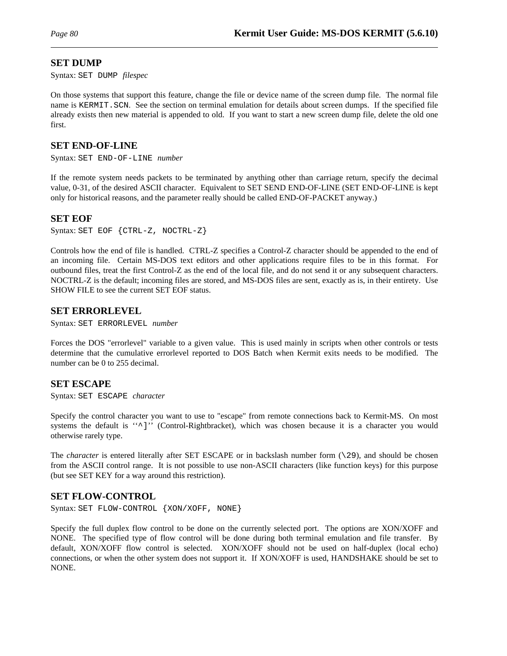### **SET DUMP**

Syntax: SET DUMP *filespec*

On those systems that support this feature, change the file or device name of the screen dump file. The normal file name is KERMIT.SCN. See the section on terminal emulation for details about screen dumps. If the specified file already exists then new material is appended to old. If you want to start a new screen dump file, delete the old one first.

### **SET END-OF-LINE**

Syntax: SET END-OF-LINE *number*

If the remote system needs packets to be terminated by anything other than carriage return, specify the decimal value, 0-31, of the desired ASCII character. Equivalent to SET SEND END-OF-LINE (SET END-OF-LINE is kept only for historical reasons, and the parameter really should be called END-OF-PACKET anyway.)

#### **SET EOF**

Syntax: SET EOF {CTRL-Z, NOCTRL-Z}

Controls how the end of file is handled. CTRL-Z specifies a Control-Z character should be appended to the end of an incoming file. Certain MS-DOS text editors and other applications require files to be in this format. For outbound files, treat the first Control-Z as the end of the local file, and do not send it or any subsequent characters. NOCTRL-Z is the default; incoming files are stored, and MS-DOS files are sent, exactly as is, in their entirety. Use SHOW FILE to see the current SET EOF status.

#### **SET ERRORLEVEL**

Syntax: SET ERRORLEVEL *number*

Forces the DOS "errorlevel" variable to a given value. This is used mainly in scripts when other controls or tests determine that the cumulative errorlevel reported to DOS Batch when Kermit exits needs to be modified. The number can be 0 to 255 decimal.

### **SET ESCAPE**

Syntax: SET ESCAPE *character*

Specify the control character you want to use to "escape" from remote connections back to Kermit-MS. On most systems the default is "<sup>^</sup>]" (Control-Rightbracket), which was chosen because it is a character you would otherwise rarely type.

The *character* is entered literally after SET ESCAPE or in backslash number form (\29), and should be chosen from the ASCII control range. It is not possible to use non-ASCII characters (like function keys) for this purpose (but see SET KEY for a way around this restriction).

# **SET FLOW-CONTROL**

Syntax: SET FLOW-CONTROL {XON/XOFF, NONE}

Specify the full duplex flow control to be done on the currently selected port. The options are XON/XOFF and NONE. The specified type of flow control will be done during both terminal emulation and file transfer. By default, XON/XOFF flow control is selected. XON/XOFF should not be used on half-duplex (local echo) connections, or when the other system does not support it. If XON/XOFF is used, HANDSHAKE should be set to NONE.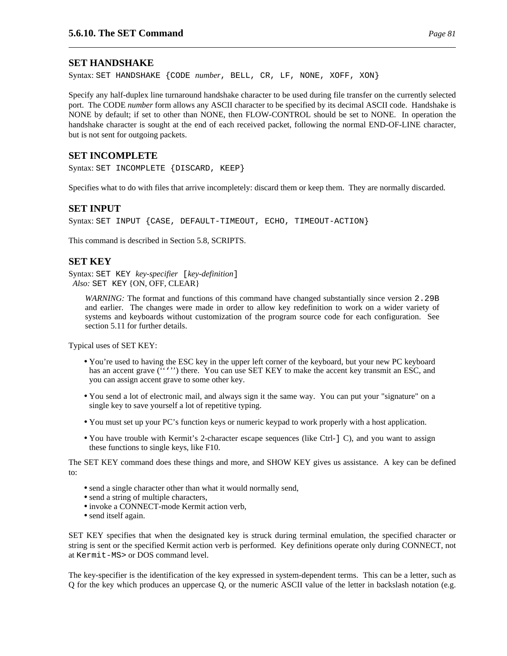### **SET HANDSHAKE**

Syntax: SET HANDSHAKE {CODE *number*, BELL, CR, LF, NONE, XOFF, XON}

Specify any half-duplex line turnaround handshake character to be used during file transfer on the currently selected port. The CODE *number* form allows any ASCII character to be specified by its decimal ASCII code. Handshake is NONE by default; if set to other than NONE, then FLOW-CONTROL should be set to NONE. In operation the handshake character is sought at the end of each received packet, following the normal END-OF-LINE character, but is not sent for outgoing packets.

# **SET INCOMPLETE**

Syntax: SET INCOMPLETE {DISCARD, KEEP}

Specifies what to do with files that arrive incompletely: discard them or keep them. They are normally discarded.

#### **SET INPUT**

Syntax: SET INPUT {CASE, DEFAULT-TIMEOUT, ECHO, TIMEOUT-ACTION}

This command is described in Section 5.8, SCRIPTS.

# **SET KEY**

Syntax: SET KEY *key-specifier* [*key-definition*] *Also:* SET KEY {ON, OFF, CLEAR}

*WARNING*: The format and functions of this command have changed substantially since version 2.29B and earlier. The changes were made in order to allow key redefinition to work on a wider variety of systems and keyboards without customization of the program source code for each configuration. See section 5.11 for further details.

Typical uses of SET KEY:

- You're used to having the ESC key in the upper left corner of the keyboard, but your new PC keyboard has an accent grave ("''') there. You can use SET KEY to make the accent key transmit an ESC, and you can assign accent grave to some other key.
- You send a lot of electronic mail, and always sign it the same way. You can put your "signature" on a single key to save yourself a lot of repetitive typing.
- You must set up your PC's function keys or numeric keypad to work properly with a host application.
- You have trouble with Kermit's 2-character escape sequences (like Ctrl-] C), and you want to assign these functions to single keys, like F10.

The SET KEY command does these things and more, and SHOW KEY gives us assistance. A key can be defined to:

- send a single character other than what it would normally send,
- send a string of multiple characters,
- invoke a CONNECT-mode Kermit action verb,
- send itself again.

SET KEY specifies that when the designated key is struck during terminal emulation, the specified character or string is sent or the specified Kermit action verb is performed. Key definitions operate only during CONNECT, not at Kermit-MS> or DOS command level.

The key-specifier is the identification of the key expressed in system-dependent terms. This can be a letter, such as Q for the key which produces an uppercase Q, or the numeric ASCII value of the letter in backslash notation (e.g.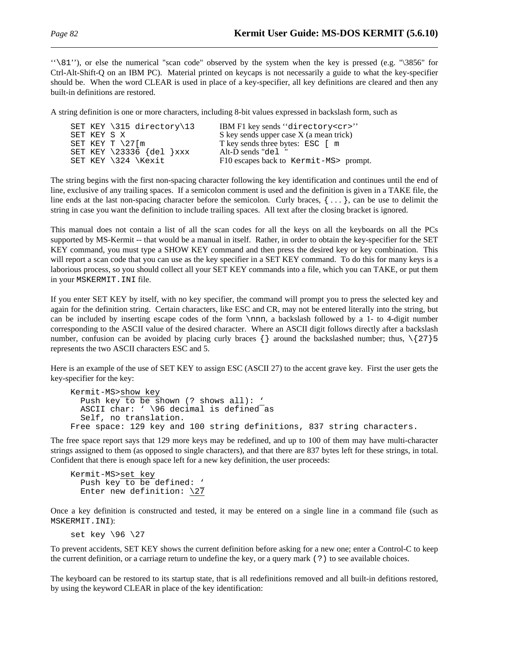''\81''), or else the numerical "scan code" observed by the system when the key is pressed (e.g. "\3856" for Ctrl-Alt-Shift-Q on an IBM PC). Material printed on keycaps is not necessarily a guide to what the key-specifier should be. When the word CLEAR is used in place of a key-specifier, all key definitions are cleared and then any built-in definitions are restored.

A string definition is one or more characters, including 8-bit values expressed in backslash form, such as

|             | SET KEY $\315$ directory 13 | IBM F1 key sends "directory <cr>"</cr>  |
|-------------|-----------------------------|-----------------------------------------|
| SET KEY S X |                             | S key sends upper case X (a mean trick) |
|             | SET KEY T $\frac{27}{m}$    | T key sends three bytes: ESC [ m        |
|             | SET KEY $\23336$ {del } xxx | Alt-D sends "del"                       |
|             | SET KEY \324 \Kexit         | F10 escapes back to Kermit-MS> prompt.  |

The string begins with the first non-spacing character following the key identification and continues until the end of line, exclusive of any trailing spaces. If a semicolon comment is used and the definition is given in a TAKE file, the line ends at the last non-spacing character before the semicolon. Curly braces,  $\{ \ldots \}$ , can be use to delimit the string in case you want the definition to include trailing spaces. All text after the closing bracket is ignored.

This manual does not contain a list of all the scan codes for all the keys on all the keyboards on all the PCs supported by MS-Kermit -- that would be a manual in itself. Rather, in order to obtain the key-specifier for the SET KEY command, you must type a SHOW KEY command and then press the desired key or key combination. This will report a scan code that you can use as the key specifier in a SET KEY command. To do this for many keys is a laborious process, so you should collect all your SET KEY commands into a file, which you can TAKE, or put them in your MSKERMIT.INI file.

If you enter SET KEY by itself, with no key specifier, the command will prompt you to press the selected key and again for the definition string. Certain characters, like ESC and CR, may not be entered literally into the string, but can be included by inserting escape codes of the form \nnn, a backslash followed by a 1- to 4-digit number corresponding to the ASCII value of the desired character. Where an ASCII digit follows directly after a backslash number, confusion can be avoided by placing curly braces  $\{\}$  around the backslashed number; thus,  $\{27\}$ 5 represents the two ASCII characters ESC and 5.

Here is an example of the use of SET KEY to assign ESC (ASCII 27) to the accent grave key. First the user gets the key-specifier for the key:

```
Kermit-MS>show key
  Push key to be shown (? shows all): '
  ASCII char: ' \96 decimal is defined as
  Self, no translation.
Free space: 129 key and 100 string definitions, 837 string characters.
```
The free space report says that 129 more keys may be redefined, and up to 100 of them may have multi-character strings assigned to them (as opposed to single characters), and that there are 837 bytes left for these strings, in total. Confident that there is enough space left for a new key definition, the user proceeds:

```
Kermit-MS>set key
  Push key to be defined: '
  Enter new definition: \sqrt{27}
```
Once a key definition is constructed and tested, it may be entered on a single line in a command file (such as MSKERMIT.INI):

```
set key \96 \27
```
To prevent accidents, SET KEY shows the current definition before asking for a new one; enter a Control-C to keep the current definition, or a carriage return to undefine the key, or a query mark (?) to see available choices.

The keyboard can be restored to its startup state, that is all redefinitions removed and all built-in defitions restored, by using the keyword CLEAR in place of the key identification: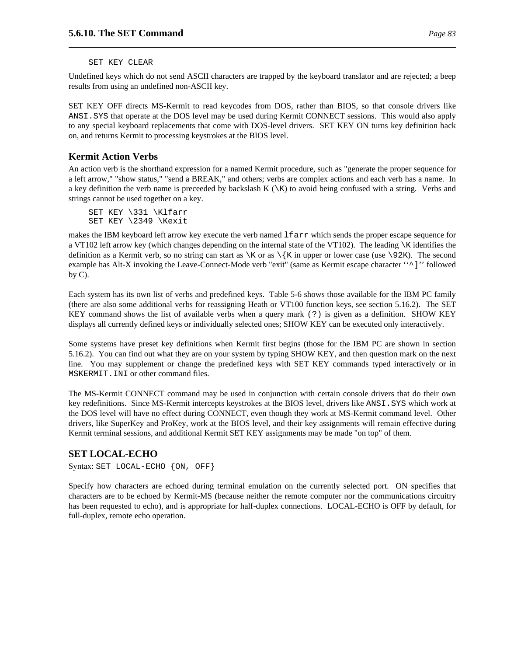#### SET KEY CLEAR

Undefined keys which do not send ASCII characters are trapped by the keyboard translator and are rejected; a beep results from using an undefined non-ASCII key.

SET KEY OFF directs MS-Kermit to read keycodes from DOS, rather than BIOS, so that console drivers like ANSI.SYS that operate at the DOS level may be used during Kermit CONNECT sessions. This would also apply to any special keyboard replacements that come with DOS-level drivers. SET KEY ON turns key definition back on, and returns Kermit to processing keystrokes at the BIOS level.

# **Kermit Action Verbs**

An action verb is the shorthand expression for a named Kermit procedure, such as "generate the proper sequence for a left arrow," "show status," "send a BREAK," and others; verbs are complex actions and each verb has a name. In a key definition the verb name is preceeded by backslash  $K(\kappa)$  to avoid being confused with a string. Verbs and strings cannot be used together on a key.

SET KEY \331 \Klfarr SET KEY \2349 \Kexit

makes the IBM keyboard left arrow key execute the verb named lfarr which sends the proper escape sequence for a VT102 left arrow key (which changes depending on the internal state of the VT102). The leading  $\kappa$  identifies the definition as a Kermit verb, so no string can start as  $\mathbb{K}$  or as  $\{K \in \mathbb{K} \mid \mathbb{K} \}$  as to lower case (use  $\mathbb{R} \setminus \{K \mid \mathbb{K} \}$ ). The second example has Alt-X invoking the Leave-Connect-Mode verb "exit" (same as Kermit escape character ''^]'' followed by C).

Each system has its own list of verbs and predefined keys. Table 5-6 shows those available for the IBM PC family (there are also some additional verbs for reassigning Heath or VT100 function keys, see section 5.16.2). The SET KEY command shows the list of available verbs when a query mark (?) is given as a definition. SHOW KEY displays all currently defined keys or individually selected ones; SHOW KEY can be executed only interactively.

Some systems have preset key definitions when Kermit first begins (those for the IBM PC are shown in section 5.16.2). You can find out what they are on your system by typing SHOW KEY, and then question mark on the next line. You may supplement or change the predefined keys with SET KEY commands typed interactively or in MSKERMIT.INI or other command files.

The MS-Kermit CONNECT command may be used in conjunction with certain console drivers that do their own key redefinitions. Since MS-Kermit intercepts keystrokes at the BIOS level, drivers like ANSI.SYS which work at the DOS level will have no effect during CONNECT, even though they work at MS-Kermit command level. Other drivers, like SuperKey and ProKey, work at the BIOS level, and their key assignments will remain effective during Kermit terminal sessions, and additional Kermit SET KEY assignments may be made "on top" of them.

# **SET LOCAL-ECHO**

Syntax: SET LOCAL-ECHO {ON, OFF}

Specify how characters are echoed during terminal emulation on the currently selected port. ON specifies that characters are to be echoed by Kermit-MS (because neither the remote computer nor the communications circuitry has been requested to echo), and is appropriate for half-duplex connections. LOCAL-ECHO is OFF by default, for full-duplex, remote echo operation.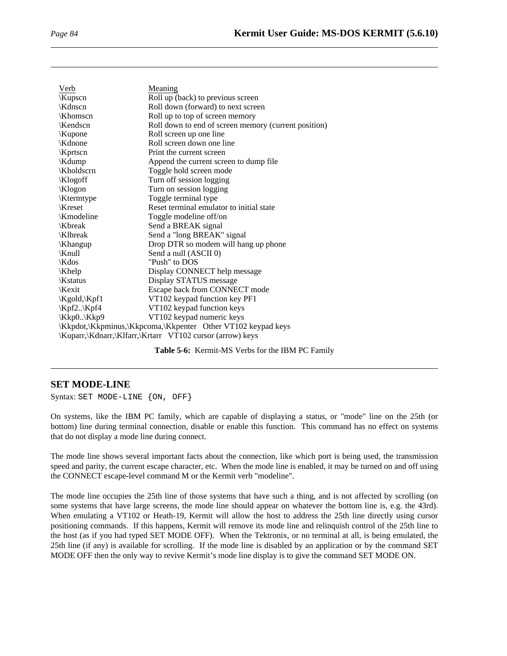| Verb          | Meaning                                                      |
|---------------|--------------------------------------------------------------|
| Kupscn        | Roll up (back) to previous screen                            |
| \Kdnscn       | Roll down (forward) to next screen                           |
| \Khomscn\     | Roll up to top of screen memory                              |
| Kendscn       | Roll down to end of screen memory (current position)         |
| <b>Kupone</b> | Roll screen up one line                                      |
| Kdnone        | Roll screen down one line                                    |
| \Kprtscn      | Print the current screen                                     |
| \Kdump        | Append the current screen to dump file                       |
| \Kholdscrn    | Toggle hold screen mode                                      |
| Klogoff       | Turn off session logging                                     |
| Klogon        | Turn on session logging                                      |
| Ktermtype     | Toggle terminal type                                         |
| Kreset        | Reset terminal emulator to initial state                     |
| \Kmodeline    | Toggle modeline off/on                                       |
| Kbreak        | Send a BREAK signal                                          |
| \Klbreak      | Send a "long BREAK" signal                                   |
| Khangup       | Drop DTR so modem will hang up phone                         |
| \Knull        | Send a null (ASCII 0)                                        |
| \Kdos         | "Push" to DOS                                                |
| \Khelp\       | Display CONNECT help message                                 |
| Kstatus       | Display STATUS message                                       |
| Kexit         | Escape back from CONNECT mode                                |
| Kgold, Kpf1   | VT102 keypad function key PF1                                |
| \Kpf2\Kpf4    | VT102 keypad function keys                                   |
| \Kkp0\Kkp9    | VT102 keypad numeric keys                                    |
|               | \Kkpdot,\Kkpminus,\Kkpcoma,\Kkpenter Other VT102 keypad keys |
|               | \Kuparr,\Kdnarr,\Klfarr,\Krtarr VT102 cursor (arrow) keys    |

**Table 5-6:** Kermit-MS Verbs for the IBM PC Family

# **SET MODE-LINE**

Syntax: SET MODE-LINE {ON, OFF}

On systems, like the IBM PC family, which are capable of displaying a status, or "mode" line on the 25th (or bottom) line during terminal connection, disable or enable this function. This command has no effect on systems that do not display a mode line during connect.

The mode line shows several important facts about the connection, like which port is being used, the transmission speed and parity, the current escape character, etc. When the mode line is enabled, it may be turned on and off using the CONNECT escape-level command M or the Kermit verb "modeline".

The mode line occupies the 25th line of those systems that have such a thing, and is not affected by scrolling (on some systems that have large screens, the mode line should appear on whatever the bottom line is, e.g. the 43rd). When emulating a VT102 or Heath-19, Kermit will allow the host to address the 25th line directly using cursor positioning commands. If this happens, Kermit will remove its mode line and relinquish control of the 25th line to the host (as if you had typed SET MODE OFF). When the Tektronix, or no terminal at all, is being emulated, the 25th line (if any) is available for scrolling. If the mode line is disabled by an application or by the command SET MODE OFF then the only way to revive Kermit's mode line display is to give the command SET MODE ON.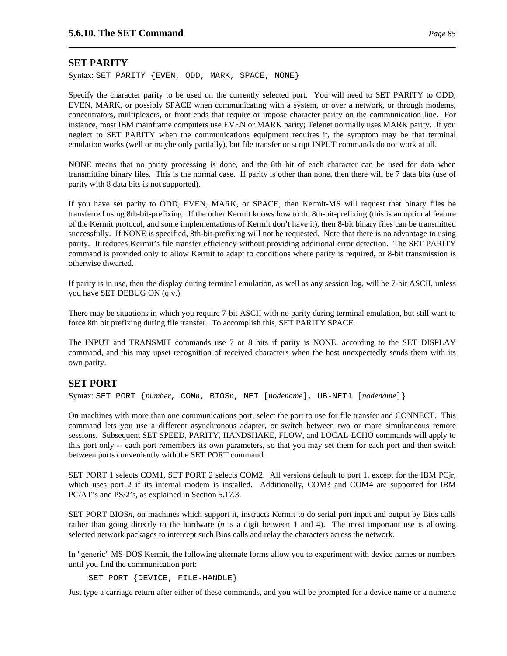### **SET PARITY**

Syntax: SET PARITY {EVEN, ODD, MARK, SPACE, NONE}

Specify the character parity to be used on the currently selected port. You will need to SET PARITY to ODD, EVEN, MARK, or possibly SPACE when communicating with a system, or over a network, or through modems, concentrators, multiplexers, or front ends that require or impose character parity on the communication line. For instance, most IBM mainframe computers use EVEN or MARK parity; Telenet normally uses MARK parity. If you neglect to SET PARITY when the communications equipment requires it, the symptom may be that terminal emulation works (well or maybe only partially), but file transfer or script INPUT commands do not work at all.

NONE means that no parity processing is done, and the 8th bit of each character can be used for data when transmitting binary files. This is the normal case. If parity is other than none, then there will be 7 data bits (use of parity with 8 data bits is not supported).

If you have set parity to ODD, EVEN, MARK, or SPACE, then Kermit-MS will request that binary files be transferred using 8th-bit-prefixing. If the other Kermit knows how to do 8th-bit-prefixing (this is an optional feature of the Kermit protocol, and some implementations of Kermit don't have it), then 8-bit binary files can be transmitted successfully. If NONE is specified, 8th-bit-prefixing will not be requested. Note that there is no advantage to using parity. It reduces Kermit's file transfer efficiency without providing additional error detection. The SET PARITY command is provided only to allow Kermit to adapt to conditions where parity is required, or 8-bit transmission is otherwise thwarted.

If parity is in use, then the display during terminal emulation, as well as any session log, will be 7-bit ASCII, unless you have SET DEBUG ON (q.v.).

There may be situations in which you require 7-bit ASCII with no parity during terminal emulation, but still want to force 8th bit prefixing during file transfer. To accomplish this, SET PARITY SPACE.

The INPUT and TRANSMIT commands use 7 or 8 bits if parity is NONE, according to the SET DISPLAY command, and this may upset recognition of received characters when the host unexpectedly sends them with its own parity.

#### **SET PORT**

Syntax: SET PORT {*number*, COM*n*, BIOS*n*, NET [*nodename*], UB-NET1 [*nodename*]}

On machines with more than one communications port, select the port to use for file transfer and CONNECT. This command lets you use a different asynchronous adapter, or switch between two or more simultaneous remote sessions. Subsequent SET SPEED, PARITY, HANDSHAKE, FLOW, and LOCAL-ECHO commands will apply to this port only -- each port remembers its own parameters, so that you may set them for each port and then switch between ports conveniently with the SET PORT command.

SET PORT 1 selects COM1, SET PORT 2 selects COM2. All versions default to port 1, except for the IBM PCjr, which uses port 2 if its internal modem is installed. Additionally, COM3 and COM4 are supported for IBM PC/AT's and PS/2's, as explained in Section 5.17.3.

SET PORT BIOS*n*, on machines which support it, instructs Kermit to do serial port input and output by Bios calls rather than going directly to the hardware (*n* is a digit between 1 and 4). The most important use is allowing selected network packages to intercept such Bios calls and relay the characters across the network.

In "generic" MS-DOS Kermit, the following alternate forms allow you to experiment with device names or numbers until you find the communication port:

SET PORT {DEVICE, FILE-HANDLE}

Just type a carriage return after either of these commands, and you will be prompted for a device name or a numeric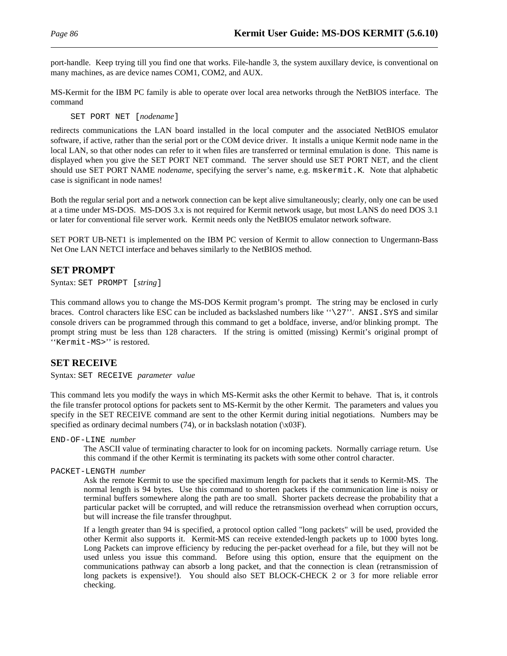port-handle. Keep trying till you find one that works. File-handle 3, the system auxillary device, is conventional on many machines, as are device names COM1, COM2, and AUX.

MS-Kermit for the IBM PC family is able to operate over local area networks through the NetBIOS interface. The command

SET PORT NET [*nodename*]

redirects communications the LAN board installed in the local computer and the associated NetBIOS emulator software, if active, rather than the serial port or the COM device driver. It installs a unique Kermit node name in the local LAN, so that other nodes can refer to it when files are transferred or terminal emulation is done. This name is displayed when you give the SET PORT NET command. The server should use SET PORT NET, and the client should use SET PORT NAME *nodename*, specifying the server's name, e.g. mskermit.K. Note that alphabetic case is significant in node names!

Both the regular serial port and a network connection can be kept alive simultaneously; clearly, only one can be used at a time under MS-DOS. MS-DOS 3.x is not required for Kermit network usage, but most LANS do need DOS 3.1 or later for conventional file server work. Kermit needs only the NetBIOS emulator network software.

SET PORT UB-NET1 is implemented on the IBM PC version of Kermit to allow connection to Ungermann-Bass Net One LAN NETCI interface and behaves similarly to the NetBIOS method.

# **SET PROMPT**

Syntax: SET PROMPT [*string*]

This command allows you to change the MS-DOS Kermit program's prompt. The string may be enclosed in curly braces. Control characters like ESC can be included as backslashed numbers like ''\27''. ANSI.SYS and similar console drivers can be programmed through this command to get a boldface, inverse, and/or blinking prompt. The prompt string must be less than 128 characters. If the string is omitted (missing) Kermit's original prompt of ''Kermit-MS>'' is restored.

# **SET RECEIVE**

Syntax: SET RECEIVE *parameter value*

This command lets you modify the ways in which MS-Kermit asks the other Kermit to behave. That is, it controls the file transfer protocol options for packets sent to MS-Kermit by the other Kermit. The parameters and values you specify in the SET RECEIVE command are sent to the other Kermit during initial negotiations. Numbers may be specified as ordinary decimal numbers  $(74)$ , or in backslash notation  $(\bar{X}03F)$ .

END-OF-LINE *number*

The ASCII value of terminating character to look for on incoming packets. Normally carriage return. Use this command if the other Kermit is terminating its packets with some other control character.

PACKET-LENGTH *number*

Ask the remote Kermit to use the specified maximum length for packets that it sends to Kermit-MS. The normal length is 94 bytes. Use this command to shorten packets if the communication line is noisy or terminal buffers somewhere along the path are too small. Shorter packets decrease the probability that a particular packet will be corrupted, and will reduce the retransmission overhead when corruption occurs, but will increase the file transfer throughput.

If a length greater than 94 is specified, a protocol option called "long packets" will be used, provided the other Kermit also supports it. Kermit-MS can receive extended-length packets up to 1000 bytes long. Long Packets can improve efficiency by reducing the per-packet overhead for a file, but they will not be used unless you issue this command. Before using this option, ensure that the equipment on the communications pathway can absorb a long packet, and that the connection is clean (retransmission of long packets is expensive!). You should also SET BLOCK-CHECK 2 or 3 for more reliable error checking.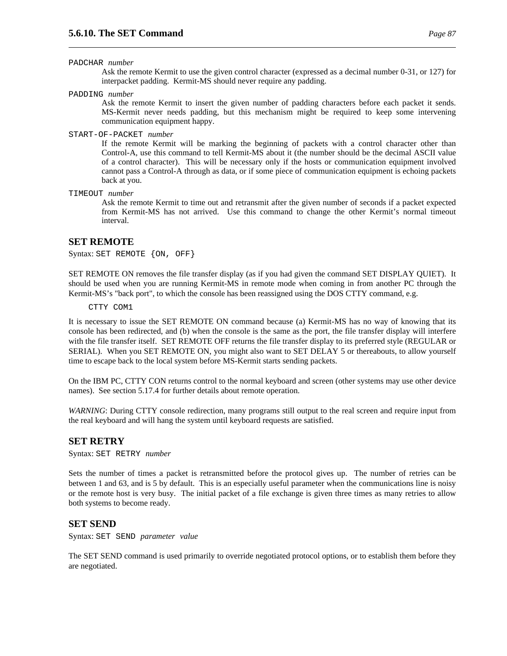#### PADCHAR *number*

Ask the remote Kermit to use the given control character (expressed as a decimal number 0-31, or 127) for interpacket padding. Kermit-MS should never require any padding.

PADDING *number*

Ask the remote Kermit to insert the given number of padding characters before each packet it sends. MS-Kermit never needs padding, but this mechanism might be required to keep some intervening communication equipment happy.

START-OF-PACKET *number*

If the remote Kermit will be marking the beginning of packets with a control character other than Control-A, use this command to tell Kermit-MS about it (the number should be the decimal ASCII value of a control character). This will be necessary only if the hosts or communication equipment involved cannot pass a Control-A through as data, or if some piece of communication equipment is echoing packets back at you.

TIMEOUT *number*

Ask the remote Kermit to time out and retransmit after the given number of seconds if a packet expected from Kermit-MS has not arrived. Use this command to change the other Kermit's normal timeout interval.

# **SET REMOTE**

Syntax: SET REMOTE {ON, OFF}

SET REMOTE ON removes the file transfer display (as if you had given the command SET DISPLAY QUIET). It should be used when you are running Kermit-MS in remote mode when coming in from another PC through the Kermit-MS's "back port", to which the console has been reassigned using the DOS CTTY command, e.g.

CTTY COM1

It is necessary to issue the SET REMOTE ON command because (a) Kermit-MS has no way of knowing that its console has been redirected, and (b) when the console is the same as the port, the file transfer display will interfere with the file transfer itself. SET REMOTE OFF returns the file transfer display to its preferred style (REGULAR or SERIAL). When you SET REMOTE ON, you might also want to SET DELAY 5 or thereabouts, to allow yourself time to escape back to the local system before MS-Kermit starts sending packets.

On the IBM PC, CTTY CON returns control to the normal keyboard and screen (other systems may use other device names). See section 5.17.4 for further details about remote operation.

*WARNING*: During CTTY console redirection, many programs still output to the real screen and require input from the real keyboard and will hang the system until keyboard requests are satisfied.

# **SET RETRY**

Syntax: SET RETRY *number*

Sets the number of times a packet is retransmitted before the protocol gives up. The number of retries can be between 1 and 63, and is 5 by default. This is an especially useful parameter when the communications line is noisy or the remote host is very busy. The initial packet of a file exchange is given three times as many retries to allow both systems to become ready.

# **SET SEND**

Syntax: SET SEND *parameter value*

The SET SEND command is used primarily to override negotiated protocol options, or to establish them before they are negotiated.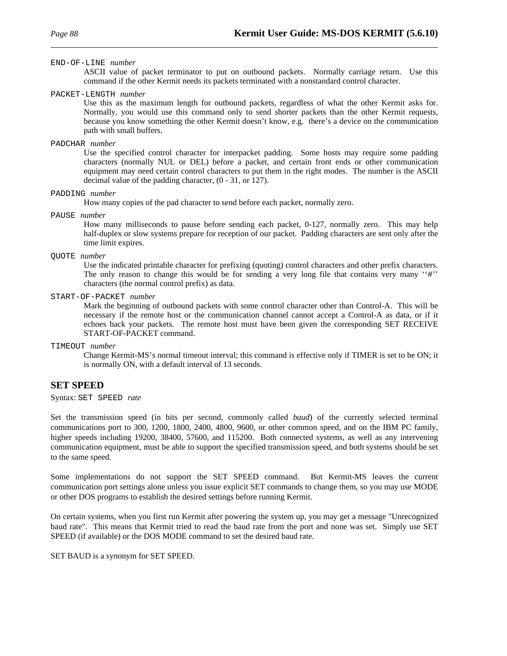#### END-OF-LINE *number*

ASCII value of packet terminator to put on outbound packets. Normally carriage return. Use this command if the other Kermit needs its packets terminated with a nonstandard control character.

#### PACKET-LENGTH *number*

Use this as the maximum length for outbound packets, regardless of what the other Kermit asks for. Normally, you would use this command only to send shorter packets than the other Kermit requests, because you know something the other Kermit doesn't know, e.g. there's a device on the communication path with small buffers.

#### PADCHAR *number*

Use the specified control character for interpacket padding. Some hosts may require some padding characters (normally NUL or DEL) before a packet, and certain front ends or other communication equipment may need certain control characters to put them in the right modes. The number is the ASCII decimal value of the padding character, (0 - 31, or 127).

#### PADDING *number*

How many copies of the pad character to send before each packet, normally zero.

#### PAUSE *number*

How many milliseconds to pause before sending each packet, 0-127, normally zero. This may help half-duplex or slow systems prepare for reception of our packet. Padding characters are sent only after the time limit expires.

#### QUOTE *number*

Use the indicated printable character for prefixing (quoting) control characters and other prefix characters. The only reason to change this would be for sending a very long file that contains very many ''#'' characters (the normal control prefix) as data.

START-OF-PACKET *number*

Mark the beginning of outbound packets with some control character other than Control-A. This will be necessary if the remote host or the communication channel cannot accept a Control-A as data, or if it echoes back your packets. The remote host must have been given the corresponding SET RECEIVE START-OF-PACKET command.

TIMEOUT *number*

Change Kermit-MS's normal timeout interval; this command is effective only if TIMER is set to be ON; it is normally ON, with a default interval of 13 seconds.

# **SET SPEED**

Syntax: SET SPEED *rate*

Set the transmission speed (in bits per second, commonly called *baud*) of the currently selected terminal communications port to 300, 1200, 1800, 2400, 4800, 9600, or other common speed, and on the IBM PC family, higher speeds including 19200, 38400, 57600, and 115200. Both connected systems, as well as any intervening communication equipment, must be able to support the specified transmission speed, and both systems should be set to the same speed.

Some implementations do not support the SET SPEED command. But Kermit-MS leaves the current communication port settings alone unless you issue explicit SET commands to change them, so you may use MODE or other DOS programs to establish the desired settings before running Kermit.

On certain systems, when you first run Kermit after powering the system up, you may get a message "Unrecognized baud rate". This means that Kermit tried to read the baud rate from the port and none was set. Simply use SET SPEED (if available) or the DOS MODE command to set the desired baud rate.

SET BAUD is a synonym for SET SPEED.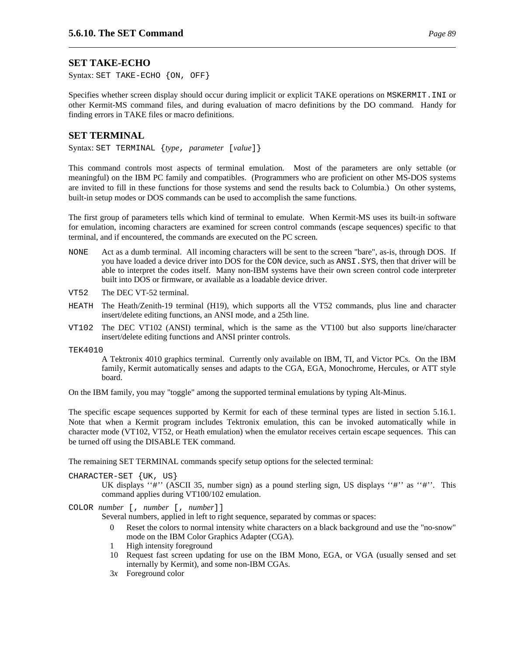# **SET TAKE-ECHO**

Syntax: SET TAKE-ECHO {ON, OFF}

Specifies whether screen display should occur during implicit or explicit TAKE operations on MSKERMIT.INI or other Kermit-MS command files, and during evaluation of macro definitions by the DO command. Handy for finding errors in TAKE files or macro definitions.

### **SET TERMINAL**

Syntax: SET TERMINAL {*type*, *parameter* [*value*]}

This command controls most aspects of terminal emulation. Most of the parameters are only settable (or meaningful) on the IBM PC family and compatibles. (Programmers who are proficient on other MS-DOS systems are invited to fill in these functions for those systems and send the results back to Columbia.) On other systems, built-in setup modes or DOS commands can be used to accomplish the same functions.

The first group of parameters tells which kind of terminal to emulate. When Kermit-MS uses its built-in software for emulation, incoming characters are examined for screen control commands (escape sequences) specific to that terminal, and if encountered, the commands are executed on the PC screen.

- NONE Act as a dumb terminal. All incoming characters will be sent to the screen "bare", as-is, through DOS. If you have loaded a device driver into DOS for the CON device, such as ANSI. SYS, then that driver will be able to interpret the codes itself. Many non-IBM systems have their own screen control code interpreter built into DOS or firmware, or available as a loadable device driver.
- VT52 The DEC VT-52 terminal.
- HEATH The Heath/Zenith-19 terminal (H19), which supports all the VT52 commands, plus line and character insert/delete editing functions, an ANSI mode, and a 25th line.
- VT102 The DEC VT102 (ANSI) terminal, which is the same as the VT100 but also supports line/character insert/delete editing functions and ANSI printer controls.

TEK4010

A Tektronix 4010 graphics terminal. Currently only available on IBM, TI, and Victor PCs. On the IBM family, Kermit automatically senses and adapts to the CGA, EGA, Monochrome, Hercules, or ATT style board.

On the IBM family, you may "toggle" among the supported terminal emulations by typing Alt-Minus.

The specific escape sequences supported by Kermit for each of these terminal types are listed in section 5.16.1. Note that when a Kermit program includes Tektronix emulation, this can be invoked automatically while in character mode (VT102, VT52, or Heath emulation) when the emulator receives certain escape sequences. This can be turned off using the DISABLE TEK command.

The remaining SET TERMINAL commands specify setup options for the selected terminal:

CHARACTER-SET {UK, US}

UK displays ''#'' (ASCII 35, number sign) as a pound sterling sign, US displays ''#'' as ''#''. This command applies during VT100/102 emulation.

COLOR *number* [, *number* [, *number*]]

Several numbers, applied in left to right sequence, separated by commas or spaces:

- 0 Reset the colors to normal intensity white characters on a black background and use the "no-snow" mode on the IBM Color Graphics Adapter (CGA).
- 1 High intensity foreground
- 10 Request fast screen updating for use on the IBM Mono, EGA, or VGA (usually sensed and set internally by Kermit), and some non-IBM CGAs.
- 3*x* Foreground color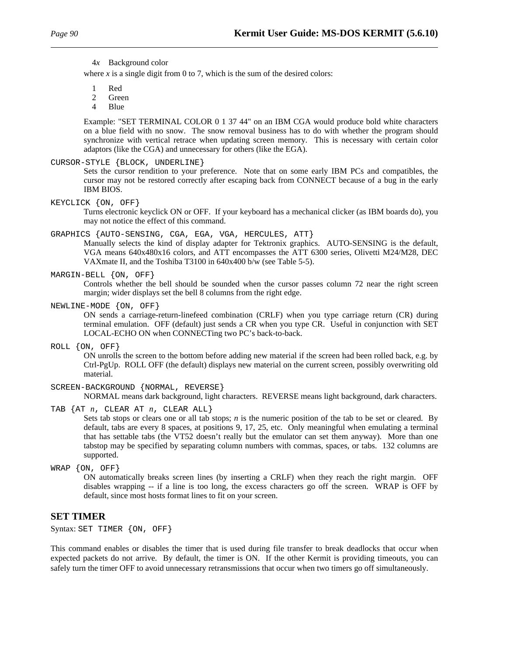4*x* Background color

where  $x$  is a single digit from 0 to 7, which is the sum of the desired colors:

1 Red

- 2 Green
- 4 Blue

Example: "SET TERMINAL COLOR 0 1 37 44" on an IBM CGA would produce bold white characters on a blue field with no snow. The snow removal business has to do with whether the program should synchronize with vertical retrace when updating screen memory. This is necessary with certain color adaptors (like the CGA) and unnecessary for others (like the EGA).

CURSOR-STYLE {BLOCK, UNDERLINE}

Sets the cursor rendition to your preference. Note that on some early IBM PCs and compatibles, the cursor may not be restored correctly after escaping back from CONNECT because of a bug in the early IBM BIOS.

KEYCLICK {ON, OFF}

Turns electronic keyclick ON or OFF. If your keyboard has a mechanical clicker (as IBM boards do), you may not notice the effect of this command.

GRAPHICS {AUTO-SENSING, CGA, EGA, VGA, HERCULES, ATT}

Manually selects the kind of display adapter for Tektronix graphics. AUTO-SENSING is the default, VGA means 640x480x16 colors, and ATT encompasses the ATT 6300 series, Olivetti M24/M28, DEC VAXmate II, and the Toshiba T3100 in 640x400 b/w (see Table 5-5).

#### MARGIN-BELL {ON, OFF}

Controls whether the bell should be sounded when the cursor passes column 72 near the right screen margin; wider displays set the bell 8 columns from the right edge.

NEWLINE-MODE {ON, OFF}

ON sends a carriage-return-linefeed combination (CRLF) when you type carriage return (CR) during terminal emulation. OFF (default) just sends a CR when you type CR. Useful in conjunction with SET LOCAL-ECHO ON when CONNECTing two PC's back-to-back.

ROLL {ON, OFF}

ON unrolls the screen to the bottom before adding new material if the screen had been rolled back, e.g. by Ctrl-PgUp. ROLL OFF (the default) displays new material on the current screen, possibly overwriting old material.

SCREEN-BACKGROUND {NORMAL, REVERSE}

NORMAL means dark background, light characters. REVERSE means light background, dark characters.

TAB {AT *n*, CLEAR AT *n*, CLEAR ALL}

Sets tab stops or clears one or all tab stops; *n* is the numeric position of the tab to be set or cleared. By default, tabs are every 8 spaces, at positions 9, 17, 25, etc. Only meaningful when emulating a terminal that has settable tabs (the VT52 doesn't really but the emulator can set them anyway). More than one tabstop may be specified by separating column numbers with commas, spaces, or tabs. 132 columns are supported.

WRAP {ON, OFF}

ON automatically breaks screen lines (by inserting a CRLF) when they reach the right margin. OFF disables wrapping -- if a line is too long, the excess characters go off the screen. WRAP is OFF by default, since most hosts format lines to fit on your screen.

# **SET TIMER**

Syntax: SET TIMER {ON, OFF}

This command enables or disables the timer that is used during file transfer to break deadlocks that occur when expected packets do not arrive. By default, the timer is ON. If the other Kermit is providing timeouts, you can safely turn the timer OFF to avoid unnecessary retransmissions that occur when two timers go off simultaneously.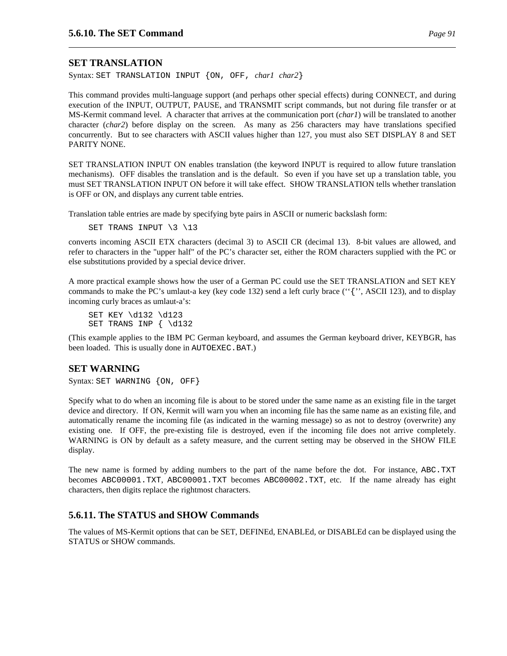# **SET TRANSLATION**

Syntax: SET TRANSLATION INPUT {ON, OFF, *char1 char2*}

This command provides multi-language support (and perhaps other special effects) during CONNECT, and during execution of the INPUT, OUTPUT, PAUSE, and TRANSMIT script commands, but not during file transfer or at MS-Kermit command level. A character that arrives at the communication port (*char1*) will be translated to another character (*char2*) before display on the screen. As many as 256 characters may have translations specified concurrently. But to see characters with ASCII values higher than 127, you must also SET DISPLAY 8 and SET PARITY NONE.

SET TRANSLATION INPUT ON enables translation (the keyword INPUT is required to allow future translation mechanisms). OFF disables the translation and is the default. So even if you have set up a translation table, you must SET TRANSLATION INPUT ON before it will take effect. SHOW TRANSLATION tells whether translation is OFF or ON, and displays any current table entries.

Translation table entries are made by specifying byte pairs in ASCII or numeric backslash form:

SET TRANS INPUT \3 \13

converts incoming ASCII ETX characters (decimal 3) to ASCII CR (decimal 13). 8-bit values are allowed, and refer to characters in the "upper half" of the PC's character set, either the ROM characters supplied with the PC or else substitutions provided by a special device driver.

A more practical example shows how the user of a German PC could use the SET TRANSLATION and SET KEY commands to make the PC's umlaut-a key (key code 132) send a left curly brace (''{'', ASCII 123), and to display incoming curly braces as umlaut-a's:

SET KEY \d132 \d123 SET TRANS INP { \d132

(This example applies to the IBM PC German keyboard, and assumes the German keyboard driver, KEYBGR, has been loaded. This is usually done in AUTOEXEC.BAT.)

# **SET WARNING**

Syntax: SET WARNING {ON, OFF}

Specify what to do when an incoming file is about to be stored under the same name as an existing file in the target device and directory. If ON, Kermit will warn you when an incoming file has the same name as an existing file, and automatically rename the incoming file (as indicated in the warning message) so as not to destroy (overwrite) any existing one. If OFF, the pre-existing file is destroyed, even if the incoming file does not arrive completely. WARNING is ON by default as a safety measure, and the current setting may be observed in the SHOW FILE display.

The new name is formed by adding numbers to the part of the name before the dot. For instance, ABC.TXT becomes ABC00001.TXT, ABC00001.TXT becomes ABC00002.TXT, etc. If the name already has eight characters, then digits replace the rightmost characters.

# **5.6.11. The STATUS and SHOW Commands**

The values of MS-Kermit options that can be SET, DEFINEd, ENABLEd, or DISABLEd can be displayed using the STATUS or SHOW commands.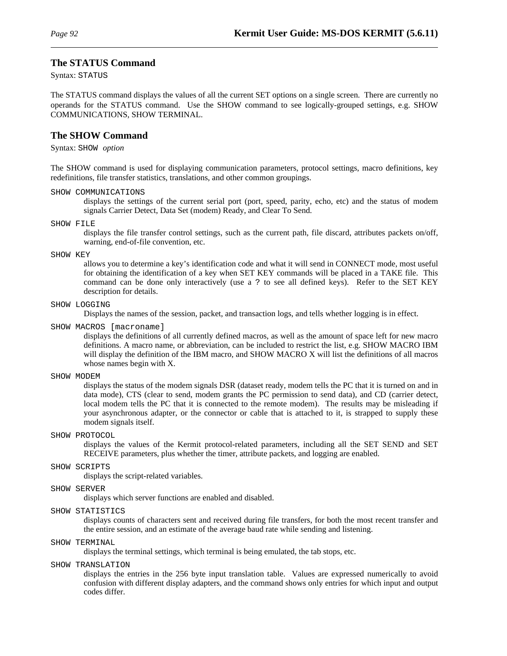### **The STATUS Command**

Syntax: STATUS

The STATUS command displays the values of all the current SET options on a single screen. There are currently no operands for the STATUS command. Use the SHOW command to see logically-grouped settings, e.g. SHOW COMMUNICATIONS, SHOW TERMINAL.

#### **The SHOW Command**

Syntax: SHOW *option*

The SHOW command is used for displaying communication parameters, protocol settings, macro definitions, key redefinitions, file transfer statistics, translations, and other common groupings.

SHOW COMMUNICATIONS

displays the settings of the current serial port (port, speed, parity, echo, etc) and the status of modem signals Carrier Detect, Data Set (modem) Ready, and Clear To Send.

SHOW FILE

displays the file transfer control settings, such as the current path, file discard, attributes packets on/off, warning, end-of-file convention, etc.

#### SHOW KEY

allows you to determine a key's identification code and what it will send in CONNECT mode, most useful for obtaining the identification of a key when SET KEY commands will be placed in a TAKE file. This command can be done only interactively (use a ? to see all defined keys). Refer to the SET KEY description for details.

#### SHOW LOGGING

Displays the names of the session, packet, and transaction logs, and tells whether logging is in effect.

SHOW MACROS [macroname]

displays the definitions of all currently defined macros, as well as the amount of space left for new macro definitions. A macro name, or abbreviation, can be included to restrict the list, e.g. SHOW MACRO IBM will display the definition of the IBM macro, and SHOW MACRO X will list the definitions of all macros whose names begin with X.

SHOW MODEM

displays the status of the modem signals DSR (dataset ready, modem tells the PC that it is turned on and in data mode), CTS (clear to send, modem grants the PC permission to send data), and CD (carrier detect, local modem tells the PC that it is connected to the remote modem). The results may be misleading if your asynchronous adapter, or the connector or cable that is attached to it, is strapped to supply these modem signals itself.

#### SHOW PROTOCOL

displays the values of the Kermit protocol-related parameters, including all the SET SEND and SET RECEIVE parameters, plus whether the timer, attribute packets, and logging are enabled.

#### SHOW SCRIPTS

displays the script-related variables.

# SHOW SERVER

displays which server functions are enabled and disabled.

#### SHOW STATISTICS

displays counts of characters sent and received during file transfers, for both the most recent transfer and the entire session, and an estimate of the average baud rate while sending and listening.

#### SHOW TERMINAL

displays the terminal settings, which terminal is being emulated, the tab stops, etc.

#### SHOW TRANSLATION

displays the entries in the 256 byte input translation table. Values are expressed numerically to avoid confusion with different display adapters, and the command shows only entries for which input and output codes differ.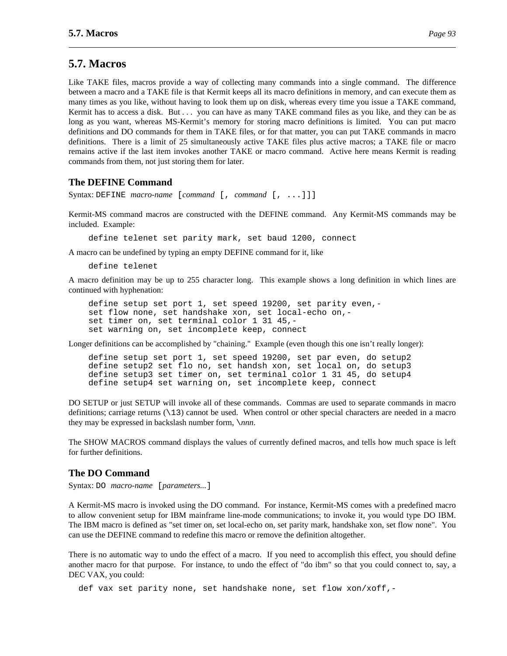# **5.7. Macros**

Like TAKE files, macros provide a way of collecting many commands into a single command. The difference between a macro and a TAKE file is that Kermit keeps all its macro definitions in memory, and can execute them as many times as you like, without having to look them up on disk, whereas every time you issue a TAKE command, Kermit has to access a disk. But . . . you can have as many TAKE command files as you like, and they can be as long as you want, whereas MS-Kermit's memory for storing macro definitions is limited. You can put macro definitions and DO commands for them in TAKE files, or for that matter, you can put TAKE commands in macro definitions. There is a limit of 25 simultaneously active TAKE files plus active macros; a TAKE file or macro remains active if the last item invokes another TAKE or macro command. Active here means Kermit is reading commands from them, not just storing them for later.

# **The DEFINE Command**

Syntax: DEFINE *macro-name* [*command* [, *command* [, ...]]]

Kermit-MS command macros are constructed with the DEFINE command. Any Kermit-MS commands may be included. Example:

define telenet set parity mark, set baud 1200, connect

A macro can be undefined by typing an empty DEFINE command for it, like

define telenet

A macro definition may be up to 255 character long. This example shows a long definition in which lines are continued with hyphenation:

define setup set port 1, set speed 19200, set parity even, set flow none, set handshake xon, set local-echo on, set timer on, set terminal color 1 31 45,set warning on, set incomplete keep, connect

Longer definitions can be accomplished by "chaining." Example (even though this one isn't really longer):

define setup set port 1, set speed 19200, set par even, do setup2 define setup2 set flo no, set handsh xon, set local on, do setup3 define setup3 set timer on, set terminal color 1 31 45, do setup4 define setup4 set warning on, set incomplete keep, connect

DO SETUP or just SETUP will invoke all of these commands. Commas are used to separate commands in macro definitions; carriage returns  $(\n\setminus 13)$  cannot be used. When control or other special characters are needed in a macro they may be expressed in backslash number form, \*nnn*.

The SHOW MACROS command displays the values of currently defined macros, and tells how much space is left for further definitions.

# **The DO Command**

Syntax: DO *macro-name* [*parameters...*]

A Kermit-MS macro is invoked using the DO command. For instance, Kermit-MS comes with a predefined macro to allow convenient setup for IBM mainframe line-mode communications; to invoke it, you would type DO IBM. The IBM macro is defined as "set timer on, set local-echo on, set parity mark, handshake xon, set flow none". You can use the DEFINE command to redefine this macro or remove the definition altogether.

There is no automatic way to undo the effect of a macro. If you need to accomplish this effect, you should define another macro for that purpose. For instance, to undo the effect of "do ibm" so that you could connect to, say, a DEC VAX, you could:

def vax set parity none, set handshake none, set flow xon/xoff,-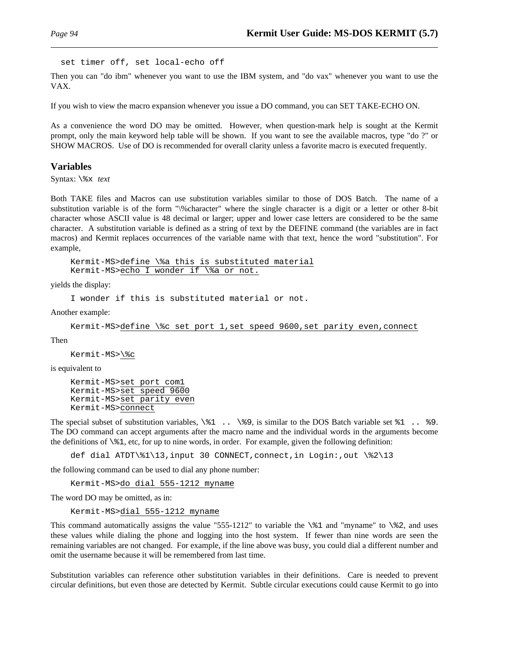set timer off, set local-echo off

Then you can "do ibm" whenever you want to use the IBM system, and "do vax" whenever you want to use the VAX.

If you wish to view the macro expansion whenever you issue a DO command, you can SET TAKE-ECHO ON.

As a convenience the word DO may be omitted. However, when question-mark help is sought at the Kermit prompt, only the main keyword help table will be shown. If you want to see the available macros, type "do ?" or SHOW MACROS. Use of DO is recommended for overall clarity unless a favorite macro is executed frequently.

# **Variables**

Syntax: \%x *text*

Both TAKE files and Macros can use substitution variables similar to those of DOS Batch. The name of a substitution variable is of the form "\%character" where the single character is a digit or a letter or other 8-bit character whose ASCII value is 48 decimal or larger; upper and lower case letters are considered to be the same character. A substitution variable is defined as a string of text by the DEFINE command (the variables are in fact macros) and Kermit replaces occurrences of the variable name with that text, hence the word "substitution". For example,

```
Kermit-MS>define \%a this is substituted material
Kermit-MS>echo I wonder if \%a or not.
```
yields the display:

I wonder if this is substituted material or not.

Another example:

```
Kermit-MS>define \%c set port 1,set speed 9600,set parity even,connect
```
Then

Kermit-MS>\%c

is equivalent to

```
Kermit-MS>set port com1
Kermit-MS>set speed 9600
Kermit-MS>set parity even
Kermit-MS>connect
```
The special subset of substitution variables,  $\$ 1..  $\$ 9, is similar to the DOS Batch variable set  $\$ 1..  $\$ 9. The DO command can accept arguments after the macro name and the individual words in the arguments become the definitions of \%1, etc, for up to nine words, in order. For example, given the following definition:

def dial ATDT\%1\13,input 30 CONNECT,connect,in Login:,out \%2\13

the following command can be used to dial any phone number:

Kermit-MS>do dial 555-1212 myname

The word DO may be omitted, as in:

Kermit-MS>dial 555-1212 myname

This command automatically assigns the value "555-1212" to variable the  $\$ 1 and "myname" to  $\$ 2, and uses these values while dialing the phone and logging into the host system. If fewer than nine words are seen the remaining variables are not changed. For example, if the line above was busy, you could dial a different number and omit the username because it will be remembered from last time.

Substitution variables can reference other substitution variables in their definitions. Care is needed to prevent circular definitions, but even those are detected by Kermit. Subtle circular executions could cause Kermit to go into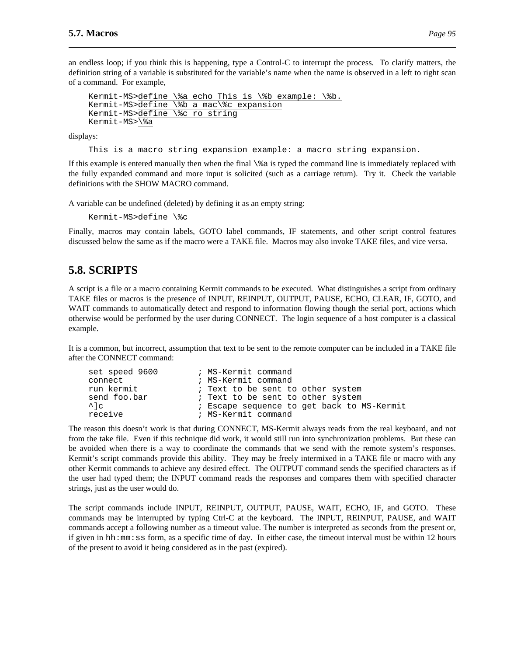an endless loop; if you think this is happening, type a Control-C to interrupt the process. To clarify matters, the definition string of a variable is substituted for the variable's name when the name is observed in a left to right scan of a command. For example,

```
Kermit-MS>define \%a echo This is \%b example: \%b.
Kermit-MS>define \%b a mac\%c expansion
Kermit-MS>define \%c ro string
Kermit-MS>\%a
```
displays:

This is a macro string expansion example: a macro string expansion.

If this example is entered manually then when the final  $\$  a is typed the command line is immediately replaced with the fully expanded command and more input is solicited (such as a carriage return). Try it. Check the variable definitions with the SHOW MACRO command.

A variable can be undefined (deleted) by defining it as an empty string:

Kermit-MS>define \%c

Finally, macros may contain labels, GOTO label commands, IF statements, and other script control features discussed below the same as if the macro were a TAKE file. Macros may also invoke TAKE files, and vice versa.

# **5.8. SCRIPTS**

A script is a file or a macro containing Kermit commands to be executed. What distinguishes a script from ordinary TAKE files or macros is the presence of INPUT, REINPUT, OUTPUT, PAUSE, ECHO, CLEAR, IF, GOTO, and WAIT commands to automatically detect and respond to information flowing though the serial port, actions which otherwise would be performed by the user during CONNECT. The login sequence of a host computer is a classical example.

It is a common, but incorrect, assumption that text to be sent to the remote computer can be included in a TAKE file after the CONNECT command:

| set speed 9600 | ; MS-Kermit command                        |
|----------------|--------------------------------------------|
| connect        | ; MS-Kermit command                        |
| run kermit     | ; Text to be sent to other system          |
| send foo.bar   | ; Text to be sent to other system          |
| $^{\wedge}$ 1c | ; Escape sequence to get back to MS-Kermit |
| receive        | ; MS-Kermit command                        |

The reason this doesn't work is that during CONNECT, MS-Kermit always reads from the real keyboard, and not from the take file. Even if this technique did work, it would still run into synchronization problems. But these can be avoided when there is a way to coordinate the commands that we send with the remote system's responses. Kermit's script commands provide this ability. They may be freely intermixed in a TAKE file or macro with any other Kermit commands to achieve any desired effect. The OUTPUT command sends the specified characters as if the user had typed them; the INPUT command reads the responses and compares them with specified character strings, just as the user would do.

The script commands include INPUT, REINPUT, OUTPUT, PAUSE, WAIT, ECHO, IF, and GOTO. These commands may be interrupted by typing Ctrl-C at the keyboard. The INPUT, REINPUT, PAUSE, and WAIT commands accept a following number as a timeout value. The number is interpreted as seconds from the present or, if given in hh:mm:ss form, as a specific time of day. In either case, the timeout interval must be within 12 hours of the present to avoid it being considered as in the past (expired).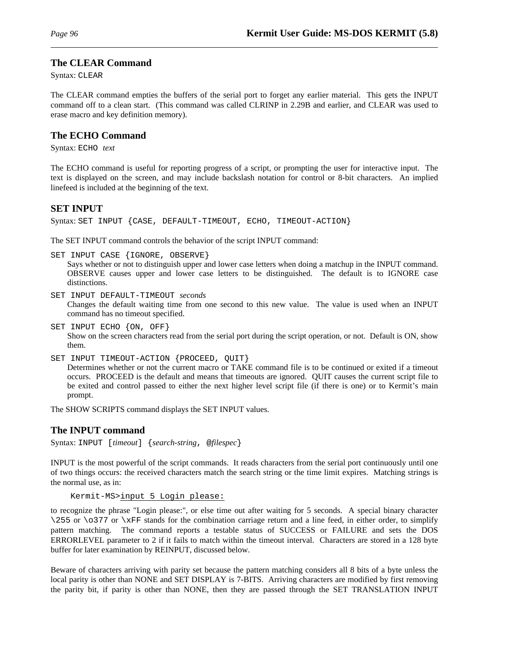# **The CLEAR Command**

Syntax: CLEAR

The CLEAR command empties the buffers of the serial port to forget any earlier material. This gets the INPUT command off to a clean start. (This command was called CLRINP in 2.29B and earlier, and CLEAR was used to erase macro and key definition memory).

# **The ECHO Command**

Syntax: ECHO *text*

The ECHO command is useful for reporting progress of a script, or prompting the user for interactive input. The text is displayed on the screen, and may include backslash notation for control or 8-bit characters. An implied linefeed is included at the beginning of the text.

# **SET INPUT**

Syntax: SET INPUT {CASE, DEFAULT-TIMEOUT, ECHO, TIMEOUT-ACTION}

The SET INPUT command controls the behavior of the script INPUT command:

SET INPUT CASE {IGNORE, OBSERVE}

Says whether or not to distinguish upper and lower case letters when doing a matchup in the INPUT command. OBSERVE causes upper and lower case letters to be distinguished. The default is to IGNORE case distinctions.

SET INPUT DEFAULT-TIMEOUT *seconds*

Changes the default waiting time from one second to this new value. The value is used when an INPUT command has no timeout specified.

- SET INPUT ECHO {ON, OFF} Show on the screen characters read from the serial port during the script operation, or not. Default is ON, show them.
- SET INPUT TIMEOUT-ACTION {PROCEED, QUIT}

Determines whether or not the current macro or TAKE command file is to be continued or exited if a timeout occurs. PROCEED is the default and means that timeouts are ignored. QUIT causes the current script file to be exited and control passed to either the next higher level script file (if there is one) or to Kermit's main prompt.

The SHOW SCRIPTS command displays the SET INPUT values.

# **The INPUT command**

Syntax: INPUT [*timeout*] {*search-string*, @*filespec*}

INPUT is the most powerful of the script commands. It reads characters from the serial port continuously until one of two things occurs: the received characters match the search string or the time limit expires. Matching strings is the normal use, as in:

Kermit-MS>input 5 Login please:

to recognize the phrase "Login please:", or else time out after waiting for 5 seconds. A special binary character  $\255$  or  $\o 377$  or  $\xFF$  stands for the combination carriage return and a line feed, in either order, to simplify pattern matching. The command reports a testable status of SUCCESS or FAILURE and sets the DOS ERRORLEVEL parameter to 2 if it fails to match within the timeout interval. Characters are stored in a 128 byte buffer for later examination by REINPUT, discussed below.

Beware of characters arriving with parity set because the pattern matching considers all 8 bits of a byte unless the local parity is other than NONE and SET DISPLAY is 7-BITS. Arriving characters are modified by first removing the parity bit, if parity is other than NONE, then they are passed through the SET TRANSLATION INPUT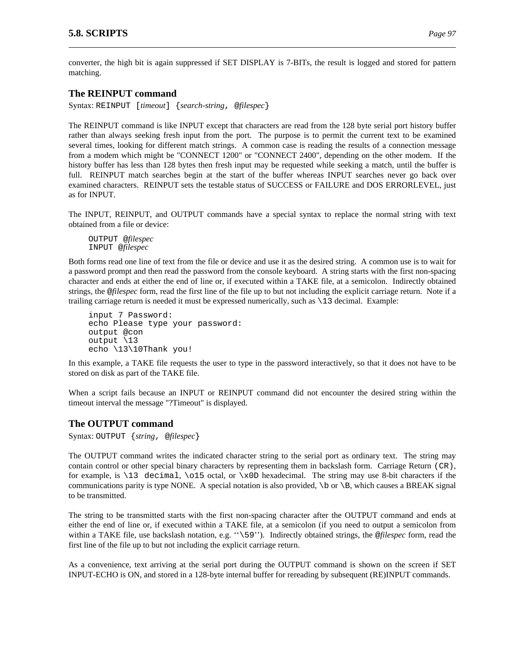converter, the high bit is again suppressed if SET DISPLAY is 7-BITs, the result is logged and stored for pattern matching.

# **The REINPUT command**

Syntax: REINPUT [*timeout*] {*search-string*, @*filespec*}

The REINPUT command is like INPUT except that characters are read from the 128 byte serial port history buffer rather than always seeking fresh input from the port. The purpose is to permit the current text to be examined several times, looking for different match strings. A common case is reading the results of a connection message from a modem which might be "CONNECT 1200" or "CONNECT 2400", depending on the other modem. If the history buffer has less than 128 bytes then fresh input may be requested while seeking a match, until the buffer is full. REINPUT match searches begin at the start of the buffer whereas INPUT searches never go back over examined characters. REINPUT sets the testable status of SUCCESS or FAILURE and DOS ERRORLEVEL, just as for INPUT.

The INPUT, REINPUT, and OUTPUT commands have a special syntax to replace the normal string with text obtained from a file or device:

OUTPUT @*filespec* INPUT @*filespec*

Both forms read one line of text from the file or device and use it as the desired string. A common use is to wait for a password prompt and then read the password from the console keyboard. A string starts with the first non-spacing character and ends at either the end of line or, if executed within a TAKE file, at a semicolon. Indirectly obtained strings, the @*filespec* form, read the first line of the file up to but not including the explicit carriage return. Note if a trailing carriage return is needed it must be expressed numerically, such as \13 decimal. Example:

input 7 Password: echo Please type your password: output @con output \13 echo \13\10Thank you!

In this example, a TAKE file requests the user to type in the password interactively, so that it does not have to be stored on disk as part of the TAKE file.

When a script fails because an INPUT or REINPUT command did not encounter the desired string within the timeout interval the message "?Timeout" is displayed.

# **The OUTPUT command**

Syntax: OUTPUT {*string*, @*filespec*}

The OUTPUT command writes the indicated character string to the serial port as ordinary text. The string may contain control or other special binary characters by representing them in backslash form. Carriage Return (CR), for example, is \13 decimal, \o15 octal, or \x0D hexadecimal. The string may use 8-bit characters if the communications parity is type NONE. A special notation is also provided,  $\b$  or  $\B$ , which causes a BREAK signal to be transmitted.

The string to be transmitted starts with the first non-spacing character after the OUTPUT command and ends at either the end of line or, if executed within a TAKE file, at a semicolon (if you need to output a semicolon from within a TAKE file, use backslash notation, e.g. ''\59''). Indirectly obtained strings, the @*filespec* form, read the first line of the file up to but not including the explicit carriage return.

As a convenience, text arriving at the serial port during the OUTPUT command is shown on the screen if SET INPUT-ECHO is ON, and stored in a 128-byte internal buffer for rereading by subsequent (RE)INPUT commands.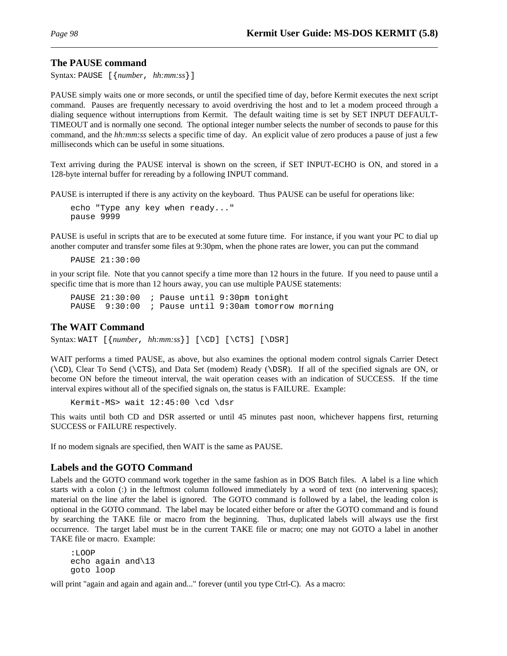# **The PAUSE command**

Syntax: PAUSE [{*number*, *hh:mm:ss*}]

PAUSE simply waits one or more seconds, or until the specified time of day, before Kermit executes the next script command. Pauses are frequently necessary to avoid overdriving the host and to let a modem proceed through a dialing sequence without interruptions from Kermit. The default waiting time is set by SET INPUT DEFAULT-TIMEOUT and is normally one second. The optional integer number selects the number of seconds to pause for this command, and the *hh:mm:ss* selects a specific time of day. An explicit value of zero produces a pause of just a few milliseconds which can be useful in some situations.

Text arriving during the PAUSE interval is shown on the screen, if SET INPUT-ECHO is ON, and stored in a 128-byte internal buffer for rereading by a following INPUT command.

PAUSE is interrupted if there is any activity on the keyboard. Thus PAUSE can be useful for operations like:

echo "Type any key when ready..." pause 9999

PAUSE is useful in scripts that are to be executed at some future time. For instance, if you want your PC to dial up another computer and transfer some files at 9:30pm, when the phone rates are lower, you can put the command

PAUSE 21:30:00

in your script file. Note that you cannot specify a time more than 12 hours in the future. If you need to pause until a specific time that is more than 12 hours away, you can use multiple PAUSE statements:

PAUSE 21:30:00 ; Pause until 9:30pm tonight<br>PAUSE 9:30:00 ; Pause until 9:30am tomorro ; Pause until 9:30am tomorrow morning

#### **The WAIT Command**

Syntax: WAIT [{*number*, *hh:mm:ss*}] [\CD] [\CTS] [\DSR]

WAIT performs a timed PAUSE, as above, but also examines the optional modem control signals Carrier Detect (\CD), Clear To Send (\CTS), and Data Set (modem) Ready (\DSR). If all of the specified signals are ON, or become ON before the timeout interval, the wait operation ceases with an indication of SUCCESS. If the time interval expires without all of the specified signals on, the status is FAILURE. Example:

```
Kermit-MS> wait 12:45:00 \cd \dsr
```
This waits until both CD and DSR asserted or until 45 minutes past noon, whichever happens first, returning SUCCESS or FAILURE respectively.

If no modem signals are specified, then WAIT is the same as PAUSE.

#### **Labels and the GOTO Command**

Labels and the GOTO command work together in the same fashion as in DOS Batch files. A label is a line which starts with a colon (:) in the leftmost column followed immediately by a word of text (no intervening spaces); material on the line after the label is ignored. The GOTO command is followed by a label, the leading colon is optional in the GOTO command. The label may be located either before or after the GOTO command and is found by searching the TAKE file or macro from the beginning. Thus, duplicated labels will always use the first occurrence. The target label must be in the current TAKE file or macro; one may not GOTO a label in another TAKE file or macro. Example:

```
:LOOP
echo again and\13
goto loop
```
will print "again and again and again and..." forever (until you type Ctrl-C). As a macro: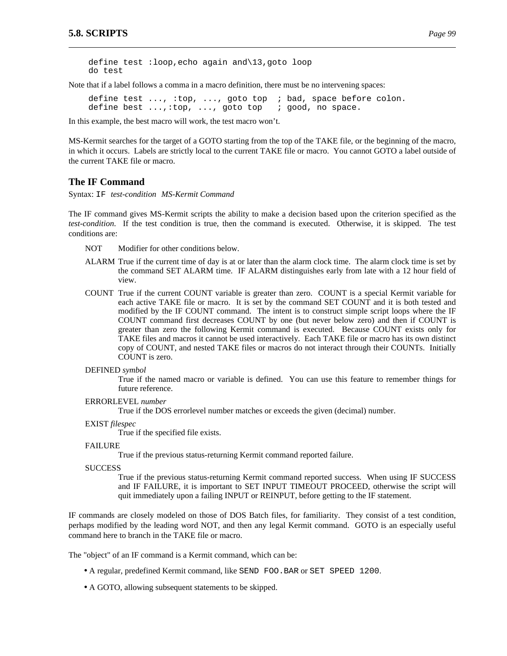define test :loop,echo again and\13,goto loop do test

Note that if a label follows a comma in a macro definition, there must be no intervening spaces:

define test ..., :top, ..., goto top ; bad, space before colon. define best ...,:top, ..., goto top ; good, no space.

In this example, the best macro will work, the test macro won't.

MS-Kermit searches for the target of a GOTO starting from the top of the TAKE file, or the beginning of the macro, in which it occurs. Labels are strictly local to the current TAKE file or macro. You cannot GOTO a label outside of the current TAKE file or macro.

### **The IF Command**

Syntax: IF *test-condition MS-Kermit Command*

The IF command gives MS-Kermit scripts the ability to make a decision based upon the criterion specified as the *test-condition*. If the test condition is true, then the command is executed. Otherwise, it is skipped. The test conditions are:

- NOT Modifier for other conditions below.
- ALARM True if the current time of day is at or later than the alarm clock time. The alarm clock time is set by the command SET ALARM time. IF ALARM distinguishes early from late with a 12 hour field of view.
- COUNT True if the current COUNT variable is greater than zero. COUNT is a special Kermit variable for each active TAKE file or macro. It is set by the command SET COUNT and it is both tested and modified by the IF COUNT command. The intent is to construct simple script loops where the IF COUNT command first decreases COUNT by one (but never below zero) and then if COUNT is greater than zero the following Kermit command is executed. Because COUNT exists only for TAKE files and macros it cannot be used interactively. Each TAKE file or macro has its own distinct copy of COUNT, and nested TAKE files or macros do not interact through their COUNTs. Initially COUNT is zero.
- DEFINED *symbol*

True if the named macro or variable is defined. You can use this feature to remember things for future reference.

ERRORLEVEL *number*

True if the DOS errorlevel number matches or exceeds the given (decimal) number.

EXIST *filespec*

True if the specified file exists.

#### FAILURE

True if the previous status-returning Kermit command reported failure.

**SUCCESS** 

True if the previous status-returning Kermit command reported success. When using IF SUCCESS and IF FAILURE, it is important to SET INPUT TIMEOUT PROCEED, otherwise the script will quit immediately upon a failing INPUT or REINPUT, before getting to the IF statement.

IF commands are closely modeled on those of DOS Batch files, for familiarity. They consist of a test condition, perhaps modified by the leading word NOT, and then any legal Kermit command. GOTO is an especially useful command here to branch in the TAKE file or macro.

The "object" of an IF command is a Kermit command, which can be:

- A regular, predefined Kermit command, like SEND FOO.BAR or SET SPEED 1200.
- A GOTO, allowing subsequent statements to be skipped.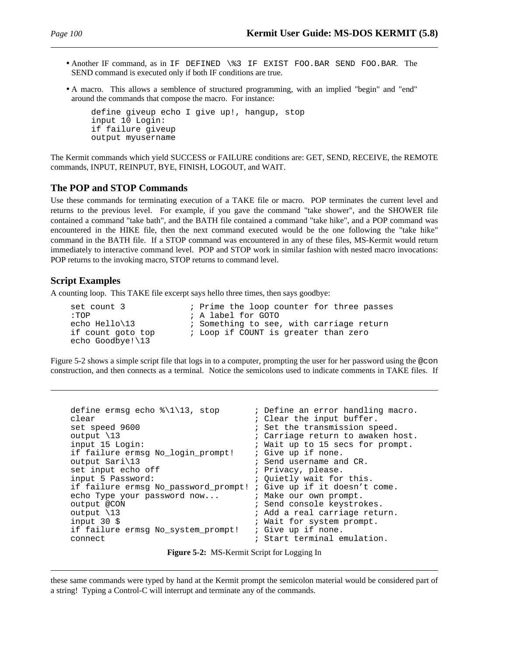- Another IF command, as in IF DEFINED \%3 IF EXIST FOO.BAR SEND FOO.BAR. The SEND command is executed only if both IF conditions are true.
- A macro. This allows a semblence of structured programming, with an implied "begin" and "end" around the commands that compose the macro. For instance:

```
define giveup echo I give up!, hangup, stop
input 10 Login:
if failure giveup
output myusername
```
The Kermit commands which yield SUCCESS or FAILURE conditions are: GET, SEND, RECEIVE, the REMOTE commands, INPUT, REINPUT, BYE, FINISH, LOGOUT, and WAIT.

#### **The POP and STOP Commands**

Use these commands for terminating execution of a TAKE file or macro. POP terminates the current level and returns to the previous level. For example, if you gave the command "take shower", and the SHOWER file contained a command "take bath", and the BATH file contained a command "take hike", and a POP command was encountered in the HIKE file, then the next command executed would be the one following the "take hike" command in the BATH file. If a STOP command was encountered in any of these files, MS-Kermit would return immediately to interactive command level. POP and STOP work in similar fashion with nested macro invocations: POP returns to the invoking macro, STOP returns to command level.

# **Script Examples**

A counting loop. This TAKE file excerpt says hello three times, then says goodbye:

```
set count 3                  ; Prime the loop counter for three passes<br>:TOP                       ; A label for GOTO
:TOP ; A label for GOTO
                         ; Something to see, with carriage return
if count goto top if COUNT is greater than zero
echo Goodbye!\13
```
Figure 5-2 shows a simple script file that logs in to a computer, prompting the user for her password using the @con construction, and then connects as a terminal. Notice the semicolons used to indicate comments in TAKE files. If

```
define ermsg echo \{\1\13, stop ; Define an error handling macro.
clear ; Clear the input buffer.<br>
set speed 9600 (set the transmission sp
set speed 9600 ; Set the transmission speed.
output \13 \qquad \qquad ; Carriage return to awaken host.<br>input 15 Login: \qquad \qquad ; Wait up to 15 secs for prompt.
                                            % Wait up to 15 secs for prompt.<br>% Give up if none.
if failure ermsg No login prompt!
output Sari\13 ; Send username and CR.<br>set input echo off ; Privacy, please.
set input echo off \begin{array}{ccc} ; & \text{Privacy, please.} \\ \text{input 5 Password:} & ; & \text{Quiethyl wait for} \end{array}; Quietly wait for this.
if failure ermsg No_password_prompt! ; Give up if it doesn't come.
echo Type your password now... \qquad \qquad ; Make our own prompt.
output @CON \qquad \qquad ; Send console keystrokes.
output \13 \qquad \qquad ; Add a real carriage return.<br>input 30 $ \qquad \qquad ; Wait for system prompt.
                                            ; Wait for system prompt.
if failure ermsg No_system_prompt! ; Give up if none.
connect \qquad \qquad ; Start terminal emulation.
```

| Figure 5-2: MS-Kermit Script for Logging In |  |  |  |  |
|---------------------------------------------|--|--|--|--|
|                                             |  |  |  |  |

these same commands were typed by hand at the Kermit prompt the semicolon material would be considered part of a string! Typing a Control-C will interrupt and terminate any of the commands.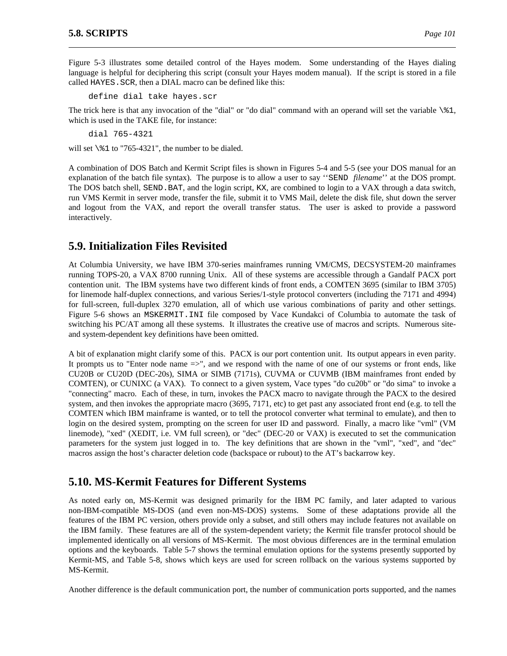Figure 5-3 illustrates some detailed control of the Hayes modem. Some understanding of the Hayes dialing language is helpful for deciphering this script (consult your Hayes modem manual). If the script is stored in a file called HAYES.SCR, then a DIAL macro can be defined like this:

define dial take hayes.scr

The trick here is that any invocation of the "dial" or "do dial" command with an operand will set the variable  $\&1$ , which is used in the TAKE file, for instance:

dial 765-4321

will set  $\&$  1 to "765-4321", the number to be dialed.

A combination of DOS Batch and Kermit Script files is shown in Figures 5-4 and 5-5 (see your DOS manual for an explanation of the batch file syntax). The purpose is to allow a user to say ''SEND *filename*'' at the DOS prompt. The DOS batch shell, SEND.BAT, and the login script, KX, are combined to login to a VAX through a data switch, run VMS Kermit in server mode, transfer the file, submit it to VMS Mail, delete the disk file, shut down the server and logout from the VAX, and report the overall transfer status. The user is asked to provide a password interactively.

# **5.9. Initialization Files Revisited**

At Columbia University, we have IBM 370-series mainframes running VM/CMS, DECSYSTEM-20 mainframes running TOPS-20, a VAX 8700 running Unix. All of these systems are accessible through a Gandalf PACX port contention unit. The IBM systems have two different kinds of front ends, a COMTEN 3695 (similar to IBM 3705) for linemode half-duplex connections, and various Series/1-style protocol converters (including the 7171 and 4994) for full-screen, full-duplex 3270 emulation, all of which use various combinations of parity and other settings. Figure 5-6 shows an MSKERMIT.INI file composed by Vace Kundakci of Columbia to automate the task of switching his PC/AT among all these systems. It illustrates the creative use of macros and scripts. Numerous siteand system-dependent key definitions have been omitted.

A bit of explanation might clarify some of this. PACX is our port contention unit. Its output appears in even parity. It prompts us to "Enter node name =>", and we respond with the name of one of our systems or front ends, like CU20B or CU20D (DEC-20s), SIMA or SIMB (7171s), CUVMA or CUVMB (IBM mainframes front ended by COMTEN), or CUNIXC (a VAX). To connect to a given system, Vace types "do cu20b" or "do sima" to invoke a "connecting" macro. Each of these, in turn, invokes the PACX macro to navigate through the PACX to the desired system, and then invokes the appropriate macro (3695, 7171, etc) to get past any associated front end (e.g. to tell the COMTEN which IBM mainframe is wanted, or to tell the protocol converter what terminal to emulate), and then to login on the desired system, prompting on the screen for user ID and password. Finally, a macro like "vml" (VM linemode), "xed" (XEDIT, i.e. VM full screen), or "dec" (DEC-20 or VAX) is executed to set the communication parameters for the system just logged in to. The key definitions that are shown in the "vml", "xed", and "dec" macros assign the host's character deletion code (backspace or rubout) to the AT's backarrow key.

# **5.10. MS-Kermit Features for Different Systems**

As noted early on, MS-Kermit was designed primarily for the IBM PC family, and later adapted to various non-IBM-compatible MS-DOS (and even non-MS-DOS) systems. Some of these adaptations provide all the features of the IBM PC version, others provide only a subset, and still others may include features not available on the IBM family. These features are all of the system-dependent variety; the Kermit file transfer protocol should be implemented identically on all versions of MS-Kermit. The most obvious differences are in the terminal emulation options and the keyboards. Table 5-7 shows the terminal emulation options for the systems presently supported by Kermit-MS, and Table 5-8, shows which keys are used for screen rollback on the various systems supported by MS-Kermit.

Another difference is the default communication port, the number of communication ports supported, and the names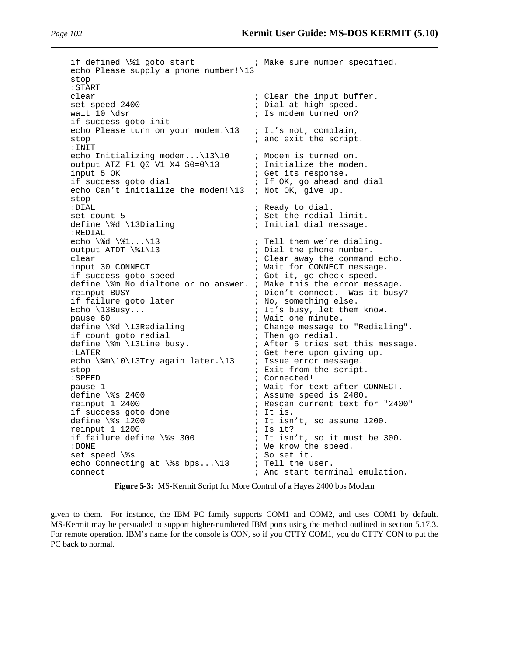if defined \%1 goto start ; Make sure number specified. echo Please supply a phone number!\13 stop :START clear  $\begin{array}{ccc} 1 & 2 & 3 \end{array}$  ; Clear the input buffer.<br>  $\begin{array}{ccc} 2 & 400 & \text{if} & \text{if} & \text{if} & \text{if} & \text{if} & \text{if} & \text{if} & \text{if} & \text{if} & \text{if} & \text{if} & \text{if} & \text{if} & \text{if} & \text{if} & \text{if} & \text{if} & \text{if} & \text{if} & \text{if} & \text{if} & \text{if} & \text{if} & \text{if} & \text{if} &$ set speed 2400  $\qquad \qquad ;$  Dial at high speed.<br>wait 10 \dsr  $\qquad \qquad ;$  Is modem turned on? ; Is modem turned on? if success goto init echo Please turn on your modem. \13 ; It's not, complain, stop  $\qquad \qquad ;$  and exit the script. :INIT echo Initializing modem... $\13\10$  ; Modem is turned on.<br>output ATZ F1 00 V1 X4 S0=0\13 ; Initialize the modem. output ATZ F1 Q0 V1 X4  $SO=0\backslash 13$  input 5 OK input 5 OK  $\begin{array}{ccc} i & j & j \\ j & k & k \end{array}$  ; Get its response.<br>If success goto dial  $\begin{array}{ccc} i & j & j \\ j & k & j \end{array}$  if OK, go ahead as ; If OK, go ahead and dial echo Can't initialize the modem! $\13$  ; Not OK, give up. stop :DIAL  $\qquad \qquad ;$  Ready to dial. set count 5  $\qquad \qquad ;$  Set the redial limit. define \%d \13Dialing  $\qquad \qquad ;$  Initial dial message. :REDIAL<br>echo \%d \%1...\13 echo \%d \%1...\13  $\qquad \qquad$  ; Tell them we're dialing.<br>output ATDT \%1\13  $\qquad \qquad$  ; Dial the phone number. ; Dial the phone number. clear  $\begin{array}{ccc} i & c & c \\ i & d & d \end{array}$  ; Clear away the command echo.<br>  $\begin{array}{ccc} i & i & d \\ i & d & d \end{array}$  input 30 CONNECT ; Wait for CONNECT message.<br>; Got it, go check speed. if success goto speed ; Got it, go check speed. define  $\%$ m No dialtone or no answer. ; Make this the error message.<br>reinput BUSY ; Didn't connect. Was it busy ; Didn't connect. Was it busy? if failure goto later ; it is bunned. We<br>Echo \13Busy... ; it's busy, let them ; It's busy, let them know. pause 60 <br>define \%d \13Redialing  $\begin{array}{ccc} \cdot & \cdot & \cdot \\ \cdot & \cdot & \cdot \\ \cdot & \cdot & \cdot \\ \cdot & \cdot & \cdot \\ \cdot & \cdot & \cdot \\ \cdot & \cdot & \cdot \\ \cdot & \cdot & \cdot \\ \cdot & \cdot & \cdot \\ \cdot & \cdot & \cdot \\ \cdot & \cdot & \cdot \\ \cdot & \cdot & \cdot \\ \cdot & \cdot & \cdot \\ \cdot & \cdot & \cdot \\ \cdot & \cdot & \cdot \\ \cdot & \cdot & \cdot \\ \cdot & \cdot & \cdot \\ \cdot & \cdot & \cdot \\ \cdot & \cdot & \cdot \\ \cdot & \cdot & \cdot \\ \cdot & \cdot & \cdot \\$ % Change message to "Redialing".<br>% Then go redial. if count goto redial<br>define \%m \l3Line busy. ; After 5 tries set this message. :LATER  $\qquad \qquad ;$  Get here upon giving up. echo \%m\10\13Try again later.\13 ; Issue error message. stop ; Exit from the script.<br>
:SPEED ; Connected! ; Connected! pause 1  $\qquad$  ; Wait for text after CONNECT.<br>
define \%s 2400  $\qquad$  ; Assume speed is 2400. define \%s 2400  $\cdot$  is assume speed is 2400.<br>
reinput 1 2400  $\cdot$  is Rescan current text f ; Rescan current text for "2400" if success goto done  $\begin{array}{ccc} i & i & i \\ i & i & i \\ k & i & j \end{array}$  if is. ; It isn't, so assume 1200.<br>; Is it? reinput 1 1200<br>if failure define \%s 300 if failure define \%s 300  $\cdot$  ; It isn't, so it must be 300.<br>: DONE : We know the speed. : DONE : DONE ; We know the speed.<br>
set speed \ \* s (set it. ; So set it. echo Connecting at  $\$ s bps... \13 ; Tell the user. connect  $\qquad \qquad ;$  And start terminal emulation.

**Figure 5-3:** MS-Kermit Script for More Control of a Hayes 2400 bps Modem

given to them. For instance, the IBM PC family supports COM1 and COM2, and uses COM1 by default. MS-Kermit may be persuaded to support higher-numbered IBM ports using the method outlined in section 5.17.3. For remote operation, IBM's name for the console is CON, so if you CTTY COM1, you do CTTY CON to put the PC back to normal.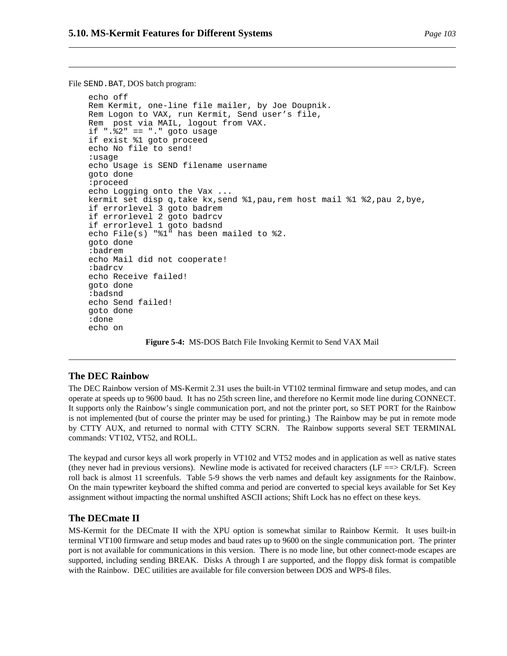File SEND. BAT, DOS batch program:

```
echo off
Rem Kermit, one-line file mailer, by Joe Doupnik.
Rem Logon to VAX, run Kermit, Send user's file,
Rem post via MAIL, logout from VAX.
if ".%2" == "." goto usage
if exist %1 goto proceed
echo No file to send!
:usage
echo Usage is SEND filename username
goto done
:proceed
echo Logging onto the Vax ...
kermit set disp q,take kx,send %1,pau,rem host mail %1 %2,pau 2,bye,
if errorlevel 3 goto badrem
if errorlevel 2 goto badrcv
if errorlevel 1 goto badsnd
echo File(s) "%1" has been mailed to %2.
goto done
:badrem
echo Mail did not cooperate!
:badrcv
echo Receive failed!
goto done
:badsnd
echo Send failed!
goto done
:done
echo on
```
**Figure 5-4:** MS-DOS Batch File Invoking Kermit to Send VAX Mail

#### **The DEC Rainbow**

The DEC Rainbow version of MS-Kermit 2.31 uses the built-in VT102 terminal firmware and setup modes, and can operate at speeds up to 9600 baud. It has no 25th screen line, and therefore no Kermit mode line during CONNECT. It supports only the Rainbow's single communication port, and not the printer port, so SET PORT for the Rainbow is not implemented (but of course the printer may be used for printing.) The Rainbow may be put in remote mode by CTTY AUX, and returned to normal with CTTY SCRN. The Rainbow supports several SET TERMINAL commands: VT102, VT52, and ROLL.

The keypad and cursor keys all work properly in VT102 and VT52 modes and in application as well as native states (they never had in previous versions). Newline mode is activated for received characters (LF  $=\gg$  CR/LF). Screen roll back is almost 11 screenfuls. Table 5-9 shows the verb names and default key assignments for the Rainbow. On the main typewriter keyboard the shifted comma and period are converted to special keys available for Set Key assignment without impacting the normal unshifted ASCII actions; Shift Lock has no effect on these keys.

### **The DECmate II**

MS-Kermit for the DECmate II with the XPU option is somewhat similar to Rainbow Kermit. It uses built-in terminal VT100 firmware and setup modes and baud rates up to 9600 on the single communication port. The printer port is not available for communications in this version. There is no mode line, but other connect-mode escapes are supported, including sending BREAK. Disks A through I are supported, and the floppy disk format is compatible with the Rainbow. DEC utilities are available for file conversion between DOS and WPS-8 files.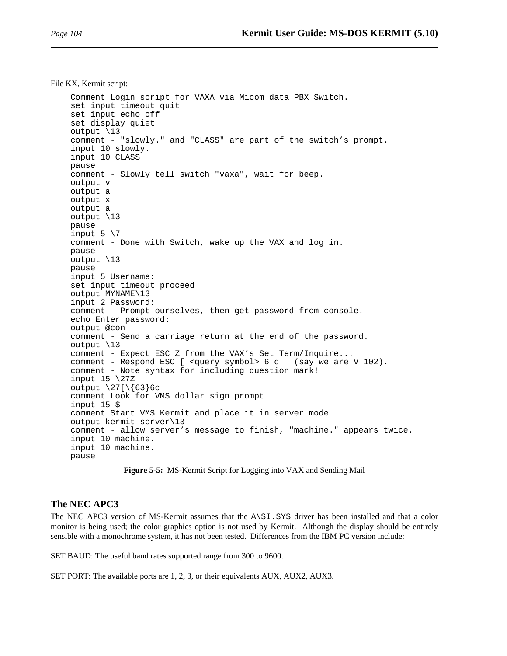File KX, Kermit script:

```
Comment Login script for VAXA via Micom data PBX Switch.
set input timeout quit
set input echo off
set display quiet
output \13
comment - "slowly." and "CLASS" are part of the switch's prompt.
input 10 slowly.
input 10 CLASS
pause
comment - Slowly tell switch "vaxa", wait for beep.
output v
output a
output x
output a
output \13
pause
input 5 \sqrt{7}comment - Done with Switch, wake up the VAX and log in.
pause
output \13
pause
input 5 Username:
set input timeout proceed
output MYNAME\13
input 2 Password:
comment - Prompt ourselves, then get password from console.
echo Enter password:
output @con
comment - Send a carriage return at the end of the password.
output \13
comment - Expect ESC Z from the VAX's Set Term/Inquire...
comment - Respond ESC [ <query symbol> 6 c (say we are VT102).
comment - Note syntax for including question mark!
input 15 \27Z
output \27[\{\63\}6c
comment Look for VMS dollar sign prompt
input 15 $
comment Start VMS Kermit and place it in server mode
output kermit server\13
comment - allow server's message to finish, "machine." appears twice.
input 10 machine.
input 10 machine.
pause
```
#### **Figure 5-5:** MS-Kermit Script for Logging into VAX and Sending Mail

#### **The NEC APC3**

The NEC APC3 version of MS-Kermit assumes that the ANSI.SYS driver has been installed and that a color monitor is being used; the color graphics option is not used by Kermit. Although the display should be entirely sensible with a monochrome system, it has not been tested. Differences from the IBM PC version include:

SET BAUD: The useful baud rates supported range from 300 to 9600.

SET PORT: The available ports are 1, 2, 3, or their equivalents AUX, AUX2, AUX3.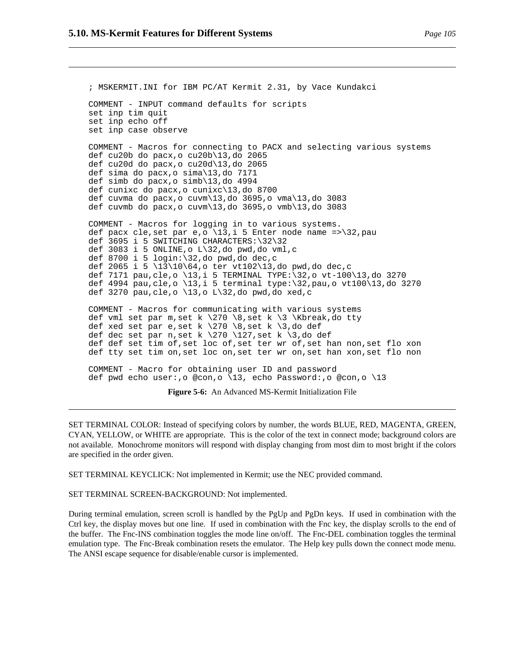; MSKERMIT.INI for IBM PC/AT Kermit 2.31, by Vace Kundakci COMMENT - INPUT command defaults for scripts set inp tim quit set inp echo off set inp case observe COMMENT - Macros for connecting to PACX and selecting various systems def cu20b do pacx,o cu20b\13,do 2065 def cu20d do pacx,o cu20d\13,do 2065 def sima do pacx,o sima\13,do 7171 def simb do pacx,o simb\13,do 4994 def cunixc do pacx,o cunixc\13,do 8700 def cuvma do pacx, o cuvm $\frac{13}{d}$ , do 3695, o vma $\frac{13}{d}$ , do 3083 def cuvmb do pacx,o cuvm\13,do 3695,o vmb\13,do 3083 COMMENT - Macros for logging in to various systems. def pacx cle, set par e, o  $\13$ , i 5 Enter node name => $\32$ , pau def 3695 i 5 SWITCHING CHARACTERS:\32\32 def 3083 i 5 ONLINE,o L\32,do pwd,do vml,c def 8700 i 5 login:\32,do pwd,do dec,c def 2065 i 5 \13\10\64,o ter vt102\13,do pwd,do dec,c def 7171 pau,cle,o \13,i 5 TERMINAL TYPE:\32,o vt-100\13,do 3270 def 4994 pau,cle,o \13,i 5 terminal type:\32,pau,o vt100\13,do 3270 def 3270 pau, cle,  $\circ$  \13,  $\circ$  L\32, do pwd, do xed, c COMMENT - Macros for communicating with various systems def vml set par m, set k  $\270 \$ 8, set k  $\3 \kappa$ break,do tty def xed set par e, set k  $\270 \ \8$ , set k  $\3$ , do def def dec set par n,set k \270 \127,set k \3,do def def def set tim of,set loc of,set ter wr of,set han non,set flo xon def tty set tim on,set loc on,set ter wr on,set han xon,set flo non COMMENT - Macro for obtaining user ID and password def pwd echo user:,o @con,o \13, echo Password:,o @con,o \13 **Figure 5-6:** An Advanced MS-Kermit Initialization File

SET TERMINAL COLOR: Instead of specifying colors by number, the words BLUE, RED, MAGENTA, GREEN, CYAN, YELLOW, or WHITE are appropriate. This is the color of the text in connect mode; background colors are not available. Monochrome monitors will respond with display changing from most dim to most bright if the colors

SET TERMINAL KEYCLICK: Not implemented in Kermit; use the NEC provided command.

SET TERMINAL SCREEN-BACKGROUND: Not implemented.

are specified in the order given.

During terminal emulation, screen scroll is handled by the PgUp and PgDn keys. If used in combination with the Ctrl key, the display moves but one line. If used in combination with the Fnc key, the display scrolls to the end of the buffer. The Fnc-INS combination toggles the mode line on/off. The Fnc-DEL combination toggles the terminal emulation type. The Fnc-Break combination resets the emulator. The Help key pulls down the connect mode menu. The ANSI escape sequence for disable/enable cursor is implemented.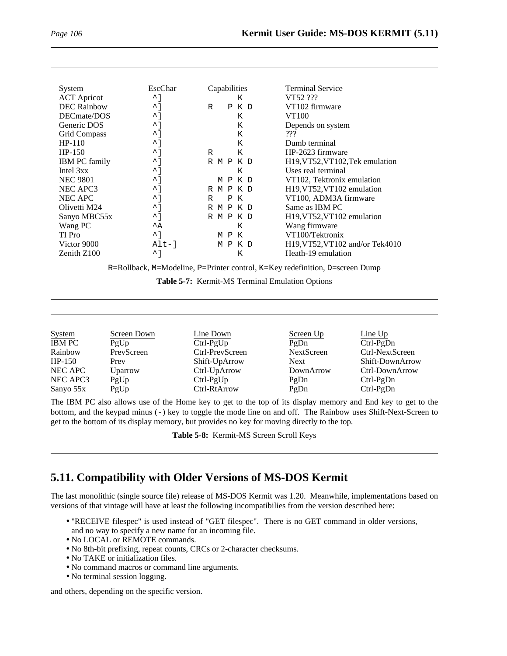| System               | EscChar                            | Capabilities             | <b>Terminal Service</b>         |
|----------------------|------------------------------------|--------------------------|---------------------------------|
| <b>ACT</b> Apricot   | $^{\sim}$ 1                        | Κ                        | VT52 ???                        |
| <b>DEC</b> Rainbow   | $\mathbin{\widehat{\phantom{1}}}}$ | R<br>P K D               | VT102 firmware                  |
| DECmate/DOS          | $\sim$ 1                           | K                        | VT100                           |
| Generic DOS          | $\sim$ 1                           | Κ                        | Depends on system               |
| Grid Compass         | $\mathbin{\widehat{\phantom{1}}}}$ | Κ                        | ???                             |
| $HP-110$             | $\mathbin{\widehat{\phantom{1}}}}$ | Κ                        | Dumb terminal                   |
| HP-150               | $\mathbin{\widehat{\phantom{1}}}}$ | K<br>R                   | HP-2623 firmware                |
| <b>IBM PC family</b> | $\sim$ 1                           | R M P K D                | H19, VT52, VT102, Tek emulation |
| Intel 3xx            | ∧ 1                                | к                        | Uses real terminal              |
| <b>NEC 9801</b>      | $\sim$ 1                           | M P K D                  | VT102, Tektronix emulation      |
| NEC APC3             | ↑1                                 | R M P K D                | H19, VT52, VT102 emulation      |
| NEC APC              | ∧ 1                                | R<br>Ρ<br>K              | VT100, ADM3A firmware           |
| Olivetti M24         | $\mathbin{\char`\^}$               | M P K D<br>R             | Same as IBM PC                  |
| Sanyo MBC55x         | ᄼ ]                                | R M P K D                | H19, VT52, VT102 emulation      |
| Wang PC              | $^{\wedge}$ A                      | K                        | Wang firmware                   |
| TI Pro               | $^{\sim}$ 1                        | $\mathbf{P}$<br>K<br>M   | VT100/Tektronix                 |
| Victor 9000          | $Alt-1$                            | K D<br>м<br>$\mathsf{P}$ | H19, VT52, VT102 and/or Tek4010 |
| Zenith $Z100$        | $\mathbin{\widehat{\phantom{1}}}}$ | K                        | Heath-19 emulation              |

R=Rollback, M=Modeline, P=Printer control, K=Key redefinition, D=screen Dump

|  | Table 5-7: Kermit-MS Terminal Emulation Options |  |  |  |
|--|-------------------------------------------------|--|--|--|
|--|-------------------------------------------------|--|--|--|

| <b>System</b> | Screen Down | Line Down       | Screen Up         | Line Up         |
|---------------|-------------|-----------------|-------------------|-----------------|
| <b>IBM PC</b> | PgUp        | $Ctrl-PgUp$     | PgDn              | $Ctrl-PgDn$     |
| Rainbow       | PrevScreen  | Ctrl-PrevScreen | <b>NextScreen</b> | Ctrl-NextScreen |
| $HP-150$      | Prev        | Shift-UpArrow   | Next              | Shift-DownArrow |
| NEC APC       | Uparrow     | Ctrl-UpArrow    | DownArrow         | Ctrl-DownArrow  |
| NEC APC3      | PgUp        | $Ctrl-PgUp$     | PgDn              | $Ctrl-PgDn$     |
| Sanyo $55x$   | PgUp        | Ctrl-RtArrow    | PgDn              | $Ctrl-PgDn$     |

The IBM PC also allows use of the Home key to get to the top of its display memory and End key to get to the bottom, and the keypad minus (-) key to toggle the mode line on and off. The Rainbow uses Shift-Next-Screen to get to the bottom of its display memory, but provides no key for moving directly to the top.

**Table 5-8:** Kermit-MS Screen Scroll Keys

# **5.11. Compatibility with Older Versions of MS-DOS Kermit**

The last monolithic (single source file) release of MS-DOS Kermit was 1.20. Meanwhile, implementations based on versions of that vintage will have at least the following incompatibilies from the version described here:

- "RECEIVE filespec" is used instead of "GET filespec". There is no GET command in older versions, and no way to specify a new name for an incoming file.
- No LOCAL or REMOTE commands.
- No 8th-bit prefixing, repeat counts, CRCs or 2-character checksums.
- No TAKE or initialization files.
- No command macros or command line arguments.
- No terminal session logging.

and others, depending on the specific version.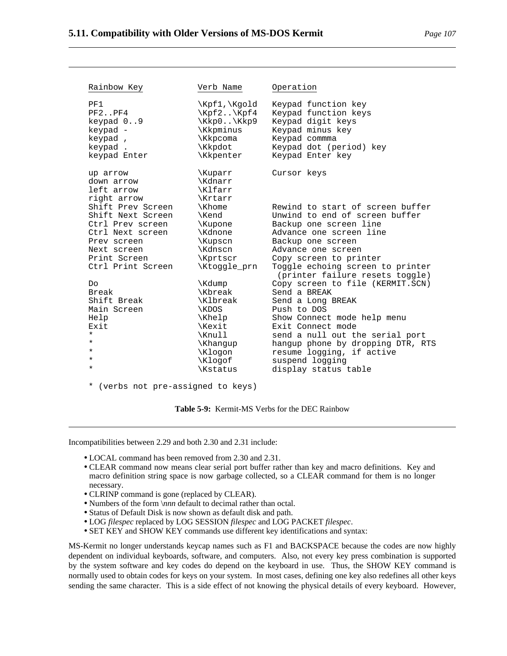| Rainbow Key                                         | Verb Name                                | Operation                                                                                     |
|-----------------------------------------------------|------------------------------------------|-----------------------------------------------------------------------------------------------|
| PF1                                                 | \Kpf1,\Kqold                             | Keypad function key                                                                           |
| PF2.                                                | $\kappa$ /Kpf2 $\kappa$ pf4              | Keypad function keys                                                                          |
| keypad $0.9$                                        | $\kappa$ $\kappa$ pe                     | Keypad digit keys                                                                             |
| keypad -                                            | \Kkpminus                                | Keypad minus key                                                                              |
| keypad,                                             | \Kkpcoma                                 | Keypad commma                                                                                 |
| keypad.                                             | \Kkpdot                                  | Keypad dot (period) key                                                                       |
| keypad Enter                                        | \Kkpenter                                | Keypad Enter key                                                                              |
| up arrow<br>down arrow<br>left arrow<br>right arrow | \Kuparr<br>\Kdnarr<br>\Klfarr<br>\Krtarr | Cursor keys                                                                                   |
| Shift Prev Screen                                   | \Khome                                   | Rewind to start of screen buffer                                                              |
| Shift Next Screen                                   | \Kend                                    | Unwind to end of screen buffer                                                                |
| Ctrl Prev screen                                    | \Kupone                                  | Backup one screen line                                                                        |
| Ctrl Next screen                                    | \Kdnone                                  | Advance one screen line                                                                       |
| Prev screen                                         | \Kupscn                                  | Backup one screen                                                                             |
| Next screen                                         | \Kdnscn                                  | Advance one screen                                                                            |
| Print Screen<br>Ctrl Print Screen                   | \Kprtscr<br>\Ktoggle_prn                 | Copy screen to printer<br>Toggle echoing screen to printer<br>(printer failure resets toggle) |
| Do.                                                 | \Kdump                                   | Copy screen to file (KERMIT.SCN)                                                              |
| Break                                               | \Kbreak                                  | Send a BREAK                                                                                  |
| Shift Break                                         | \Klbreak                                 | Send a Long BREAK                                                                             |
| Main Screen                                         | \KDOS                                    | Push to DOS                                                                                   |
| Help                                                | \Khelp                                   | Show Connect mode help menu                                                                   |
| Exit                                                | \Kexit                                   | Exit Connect mode                                                                             |
| $\star$                                             | \Knull                                   | send a null out the serial port                                                               |
| $\star$                                             | \Khangup                                 | hangup phone by dropping DTR, RTS                                                             |
| ¥                                                   | \Klogon                                  | resume logging, if active                                                                     |
| ¥                                                   | \Klogof                                  | suspend logging                                                                               |
| ¥                                                   | \Kstatus                                 | display status table                                                                          |
| *<br>(verbs not pre-assigned to keys)               |                                          |                                                                                               |

**Table 5-9:** Kermit-MS Verbs for the DEC Rainbow

Incompatibilities between 2.29 and both 2.30 and 2.31 include:

- LOCAL command has been removed from 2.30 and 2.31.
- CLEAR command now means clear serial port buffer rather than key and macro definitions. Key and macro definition string space is now garbage collected, so a CLEAR command for them is no longer necessary.
- CLRINP command is gone (replaced by CLEAR).
- Numbers of the form \*nnn* default to decimal rather than octal.
- Status of Default Disk is now shown as default disk and path.
- LOG *filespec* replaced by LOG SESSION *filespec* and LOG PACKET *filespec*.
- SET KEY and SHOW KEY commands use different key identifications and syntax:

MS-Kermit no longer understands keycap names such as F1 and BACKSPACE because the codes are now highly dependent on individual keyboards, software, and computers. Also, not every key press combination is supported by the system software and key codes do depend on the keyboard in use. Thus, the SHOW KEY command is normally used to obtain codes for keys on your system. In most cases, defining one key also redefines all other keys sending the same character. This is a side effect of not knowing the physical details of every keyboard. However,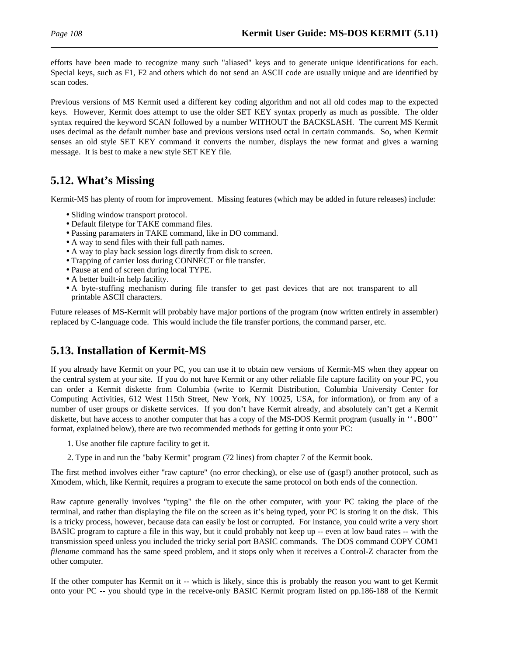efforts have been made to recognize many such "aliased" keys and to generate unique identifications for each. Special keys, such as F1, F2 and others which do not send an ASCII code are usually unique and are identified by scan codes.

Previous versions of MS Kermit used a different key coding algorithm and not all old codes map to the expected keys. However, Kermit does attempt to use the older SET KEY syntax properly as much as possible. The older syntax required the keyword SCAN followed by a number WITHOUT the BACKSLASH. The current MS Kermit uses decimal as the default number base and previous versions used octal in certain commands. So, when Kermit senses an old style SET KEY command it converts the number, displays the new format and gives a warning message. It is best to make a new style SET KEY file.

# **5.12. What's Missing**

Kermit-MS has plenty of room for improvement. Missing features (which may be added in future releases) include:

- Sliding window transport protocol.
- Default filetype for TAKE command files.
- Passing paramaters in TAKE command, like in DO command.
- A way to send files with their full path names.
- A way to play back session logs directly from disk to screen.
- Trapping of carrier loss during CONNECT or file transfer.
- Pause at end of screen during local TYPE.
- A better built-in help facility.
- A byte-stuffing mechanism during file transfer to get past devices that are not transparent to all printable ASCII characters.

Future releases of MS-Kermit will probably have major portions of the program (now written entirely in assembler) replaced by C-language code. This would include the file transfer portions, the command parser, etc.

# **5.13. Installation of Kermit-MS**

If you already have Kermit on your PC, you can use it to obtain new versions of Kermit-MS when they appear on the central system at your site. If you do not have Kermit or any other reliable file capture facility on your PC, you can order a Kermit diskette from Columbia (write to Kermit Distribution, Columbia University Center for Computing Activities, 612 West 115th Street, New York, NY 10025, USA, for information), or from any of a number of user groups or diskette services. If you don't have Kermit already, and absolutely can't get a Kermit diskette, but have access to another computer that has a copy of the MS-DOS Kermit program (usually in ". BOO" format, explained below), there are two recommended methods for getting it onto your PC:

- 1. Use another file capture facility to get it.
- 2. Type in and run the "baby Kermit" program (72 lines) from chapter 7 of the Kermit book.

The first method involves either "raw capture" (no error checking), or else use of (gasp!) another protocol, such as Xmodem, which, like Kermit, requires a program to execute the same protocol on both ends of the connection.

Raw capture generally involves "typing" the file on the other computer, with your PC taking the place of the terminal, and rather than displaying the file on the screen as it's being typed, your PC is storing it on the disk. This is a tricky process, however, because data can easily be lost or corrupted. For instance, you could write a very short BASIC program to capture a file in this way, but it could probably not keep up -- even at low baud rates -- with the transmission speed unless you included the tricky serial port BASIC commands. The DOS command COPY COM1 *filename* command has the same speed problem, and it stops only when it receives a Control-Z character from the other computer.

If the other computer has Kermit on it -- which is likely, since this is probably the reason you want to get Kermit onto your PC -- you should type in the receive-only BASIC Kermit program listed on pp.186-188 of the Kermit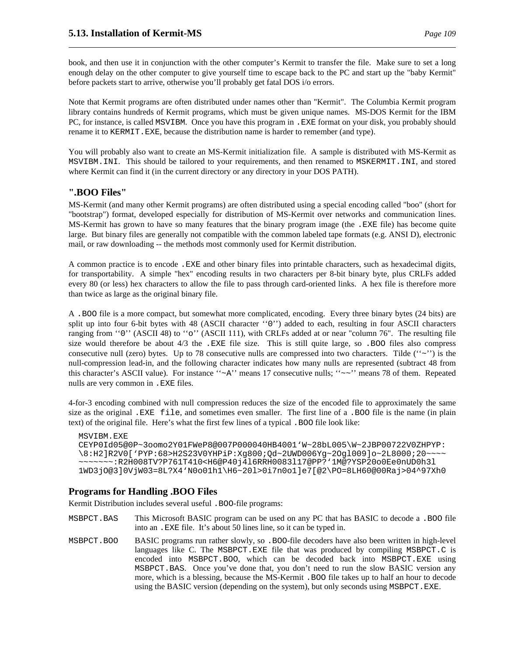book, and then use it in conjunction with the other computer's Kermit to transfer the file. Make sure to set a long enough delay on the other computer to give yourself time to escape back to the PC and start up the "baby Kermit" before packets start to arrive, otherwise you'll probably get fatal DOS i/o errors.

Note that Kermit programs are often distributed under names other than "Kermit". The Columbia Kermit program library contains hundreds of Kermit programs, which must be given unique names. MS-DOS Kermit for the IBM PC, for instance, is called MSVIBM. Once you have this program in .EXE format on your disk, you probably should rename it to KERMIT.EXE, because the distribution name is harder to remember (and type).

You will probably also want to create an MS-Kermit initialization file. A sample is distributed with MS-Kermit as MSVIBM.INI. This should be tailored to your requirements, and then renamed to MSKERMIT.INI, and stored where Kermit can find it (in the current directory or any directory in your DOS PATH).

### **".BOO Files"**

MS-Kermit (and many other Kermit programs) are often distributed using a special encoding called "boo" (short for "bootstrap") format, developed especially for distribution of MS-Kermit over networks and communication lines. MS-Kermit has grown to have so many features that the binary program image (the .EXE file) has become quite large. But binary files are generally not compatible with the common labeled tape formats (e.g. ANSI D), electronic mail, or raw downloading -- the methods most commonly used for Kermit distribution.

A common practice is to encode .EXE and other binary files into printable characters, such as hexadecimal digits, for transportability. A simple "hex" encoding results in two characters per 8-bit binary byte, plus CRLFs added every 80 (or less) hex characters to allow the file to pass through card-oriented links. A hex file is therefore more than twice as large as the original binary file.

A .BOO file is a more compact, but somewhat more complicated, encoding. Every three binary bytes (24 bits) are split up into four 6-bit bytes with 48 (ASCII character "0") added to each, resulting in four ASCII characters ranging from "0" (ASCII 48) to "0" (ASCII 111), with CRLFs added at or near "column 76". The resulting file size would therefore be about 4/3 the .EXE file size. This is still quite large, so .BOO files also compress consecutive null (zero) bytes. Up to 78 consecutive nulls are compressed into two characters. Tilde ( $\cdot\cdot\cdot$ ) is the null-compression lead-in, and the following character indicates how many nulls are represented (subtract 48 from this character's ASCII value). For instance " $~\sim A$ " means 17 consecutive nulls; " $~\sim~$ " means 78 of them. Repeated nulls are very common in .EXE files.

4-for-3 encoding combined with null compression reduces the size of the encoded file to approximately the same size as the original .EXE file, and sometimes even smaller. The first line of a .BOO file is the name (in plain text) of the original file. Here's what the first few lines of a typical .BOO file look like:

```
MSVIBM.EXE
CEYP0Id05@0P~3oomo2Y01FWeP8@007P000040HB4001'W~28bL005\W~2JBP00722V0ZHPYP:
\8:H2]R2V0['PYP:68>H2S23V0YHPiP:Xg800;Qd~2UWD006Yg~2Ogl009]o~2L8000;20~~~~
~~~~~~~:R2H008TV?P761T410<H6@P40j4l6RRH0083l17@PP?'1M@?YSP20o0Ee0nUD0h3l
1WD3jO@3]0VjW03=8L?X4'N0o01h1\H6~20l>0i7n0o1]e7[@2\PO=8LH60@00Raj>04^97Xh0
```
## **Programs for Handling .BOO Files**

Kermit Distribution includes several useful . BOO-file programs:

- MSBPCT.BAS This Microsoft BASIC program can be used on any PC that has BASIC to decode a .BOO file into an .EXE file. It's about 50 lines line, so it can be typed in.
- MSBPCT.BOO BASIC programs run rather slowly, so .BOO-file decoders have also been written in high-level languages like C. The MSBPCT.EXE file that was produced by compiling MSBPCT.C is encoded into MSBPCT.BOO, which can be decoded back into MSBPCT.EXE using MSBPCT.BAS. Once you've done that, you don't need to run the slow BASIC version any more, which is a blessing, because the MS-Kermit .BOO file takes up to half an hour to decode using the BASIC version (depending on the system), but only seconds using MSBPCT. EXE.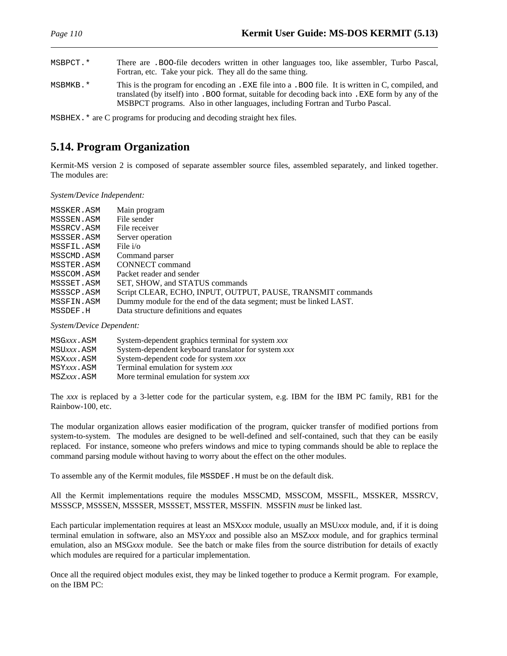| MSBPCT. * | There are . BOO-file decoders written in other languages too, like assembler, Turbo Pascal,<br>Fortran, etc. Take your pick. They all do the same thing.                                                                                                                                   |
|-----------|--------------------------------------------------------------------------------------------------------------------------------------------------------------------------------------------------------------------------------------------------------------------------------------------|
| MSBMKB.*  | This is the program for encoding an . EXE file into a . BOO file. It is written in C, compiled, and<br>translated (by itself) into . BOO format, suitable for decoding back into . EXE form by any of the<br>MSBPCT programs. Also in other languages, including Fortran and Turbo Pascal. |

MSBHEX.\* are C programs for producing and decoding straight hex files.

# **5.14. Program Organization**

Kermit-MS version 2 is composed of separate assembler source files, assembled separately, and linked together. The modules are:

*System/Device Independent:*

| MSSKER.ASM | Main program                                                       |
|------------|--------------------------------------------------------------------|
| MSSSEN.ASM | File sender                                                        |
| MSSRCV.ASM | File receiver                                                      |
| MSSSER.ASM | Server operation                                                   |
| MSSFIL.ASM | File $i$ / $\circ$                                                 |
| MSSCMD.ASM | Command parser                                                     |
| MSSTER.ASM | <b>CONNECT</b> command                                             |
| MSSCOM.ASM | Packet reader and sender                                           |
| MSSSET.ASM | SET, SHOW, and STATUS commands                                     |
| MSSSCP.ASM | Script CLEAR, ECHO, INPUT, OUTPUT, PAUSE, TRANSMIT commands        |
| MSSFIN.ASM | Dummy module for the end of the data segment; must be linked LAST. |
| MSSDEF.H   | Data structure definitions and equates                             |

*System/Device Dependent:*

| MSGxxx.ASM | System-dependent graphics terminal for system xxx   |
|------------|-----------------------------------------------------|
| MSUxxx.ASM | System-dependent keyboard translator for system xxx |
| MSXxxx.ASM | System-dependent code for system xxx                |
| MSYxxx.ASM | Terminal emulation for system xxx                   |
| MSZxxx.ASM | More terminal emulation for system xxx              |

The *xxx* is replaced by a 3-letter code for the particular system, e.g. IBM for the IBM PC family, RB1 for the Rainbow-100, etc.

The modular organization allows easier modification of the program, quicker transfer of modified portions from system-to-system. The modules are designed to be well-defined and self-contained, such that they can be easily replaced. For instance, someone who prefers windows and mice to typing commands should be able to replace the command parsing module without having to worry about the effect on the other modules.

To assemble any of the Kermit modules, file MSSDEF.H must be on the default disk.

All the Kermit implementations require the modules MSSCMD, MSSCOM, MSSFIL, MSSKER, MSSRCV, MSSSCP, MSSSEN, MSSSER, MSSSET, MSSTER, MSSFIN. MSSFIN *must* be linked last.

Each particular implementation requires at least an MSX*xxx* module, usually an MSU*xxx* module, and, if it is doing terminal emulation in software, also an MSY*xxx* and possible also an MSZ*xxx* module, and for graphics terminal emulation, also an MSG*xxx* module. See the batch or make files from the source distribution for details of exactly which modules are required for a particular implementation.

Once all the required object modules exist, they may be linked together to produce a Kermit program. For example, on the IBM PC: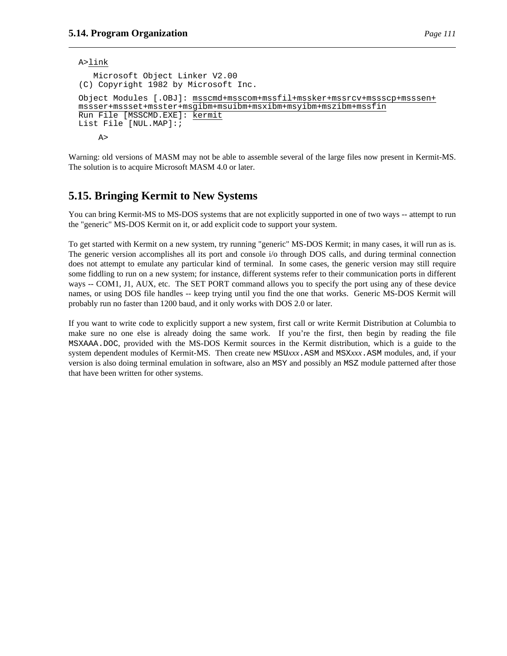```
A>link
   Microsoft Object Linker V2.00
(C) Copyright 1982 by Microsoft Inc.
Object Modules [.OBJ]: msscmd+msscom+mssfil+mssker+mssrcv+mssscp+msssen+
mssser+mssset+msster+msgibm+msuibm+msxibm+msyibm+mszibm+mssfin
Run File [MSSCMD.EXE]: kermit
List File [NUL.MAP]:;
    A>
```
Warning: old versions of MASM may not be able to assemble several of the large files now present in Kermit-MS. The solution is to acquire Microsoft MASM 4.0 or later.

# **5.15. Bringing Kermit to New Systems**

You can bring Kermit-MS to MS-DOS systems that are not explicitly supported in one of two ways -- attempt to run the "generic" MS-DOS Kermit on it, or add explicit code to support your system.

To get started with Kermit on a new system, try running "generic" MS-DOS Kermit; in many cases, it will run as is. The generic version accomplishes all its port and console i/o through DOS calls, and during terminal connection does not attempt to emulate any particular kind of terminal. In some cases, the generic version may still require some fiddling to run on a new system; for instance, different systems refer to their communication ports in different ways -- COM1, J1, AUX, etc. The SET PORT command allows you to specify the port using any of these device names, or using DOS file handles -- keep trying until you find the one that works. Generic MS-DOS Kermit will probably run no faster than 1200 baud, and it only works with DOS 2.0 or later.

If you want to write code to explicitly support a new system, first call or write Kermit Distribution at Columbia to make sure no one else is already doing the same work. If you're the first, then begin by reading the file MSXAAA.DOC, provided with the MS-DOS Kermit sources in the Kermit distribution, which is a guide to the system dependent modules of Kermit-MS. Then create new MSU*xxx*.ASM and MSX*xxx*.ASM modules, and, if your version is also doing terminal emulation in software, also an MSY and possibly an MSZ module patterned after those that have been written for other systems.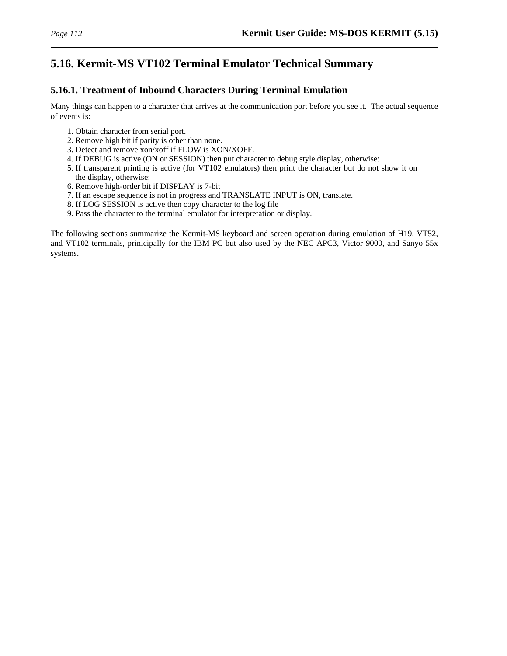# **5.16. Kermit-MS VT102 Terminal Emulator Technical Summary**

## **5.16.1. Treatment of Inbound Characters During Terminal Emulation**

Many things can happen to a character that arrives at the communication port before you see it. The actual sequence of events is:

- 1. Obtain character from serial port.
- 2. Remove high bit if parity is other than none.
- 3. Detect and remove xon/xoff if FLOW is XON/XOFF.
- 4. If DEBUG is active (ON or SESSION) then put character to debug style display, otherwise:
- 5. If transparent printing is active (for VT102 emulators) then print the character but do not show it on the display, otherwise:
- 6. Remove high-order bit if DISPLAY is 7-bit
- 7. If an escape sequence is not in progress and TRANSLATE INPUT is ON, translate.
- 8. If LOG SESSION is active then copy character to the log file
- 9. Pass the character to the terminal emulator for interpretation or display.

The following sections summarize the Kermit-MS keyboard and screen operation during emulation of H19, VT52, and VT102 terminals, prinicipally for the IBM PC but also used by the NEC APC3, Victor 9000, and Sanyo 55x systems.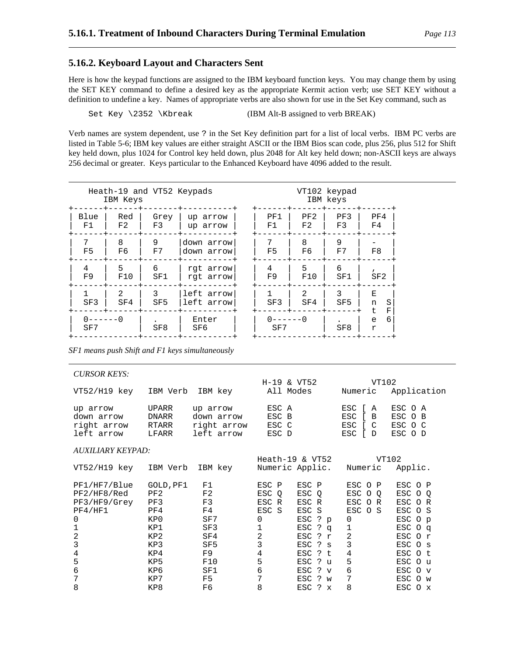### **5.16.2. Keyboard Layout and Characters Sent**

Here is how the keypad functions are assigned to the IBM keyboard function keys. You may change them by using the SET KEY command to define a desired key as the appropriate Kermit action verb; use SET KEY without a definition to undefine a key. Names of appropriate verbs are also shown for use in the Set Key command, such as

Set Key \2352 \Kbreak (IBM Alt-B assigned to verb BREAK)

Verb names are system dependent, use ? in the Set Key definition part for a list of local verbs. IBM PC verbs are listed in Table 5-6; IBM key values are either straight ASCII or the IBM Bios scan code, plus 256, plus 512 for Shift key held down, plus 1024 for Control key held down, plus 2048 for Alt key held down; non-ASCII keys are always 256 decimal or greater. Keys particular to the Enhanced Keyboard have 4096 added to the result.

| Heath-19 and VT52 Keypads<br>VT102 keypad<br>IBM keys<br>IBM Keys |                       |                      |                          |  |           |                      |                      |                        |
|-------------------------------------------------------------------|-----------------------|----------------------|--------------------------|--|-----------|----------------------|----------------------|------------------------|
| Blue<br>F1                                                        | Red<br>F <sub>2</sub> | Grey<br>F3           | up arrow<br>up arrow     |  | PF1<br>F1 | PF2<br>F2            | PF3<br>F3            | PF4<br>F4              |
| 7<br>F <sub>5</sub>                                               | 8<br>F6               | 9<br>F7              | down arrow<br>down arrow |  | 7<br>F5   | 8<br>F6              | 9<br>F7              | F8                     |
| 4<br>F <sub>9</sub>                                               | 5<br>F10              | 6<br>SF1             | rgt arrow<br>rgt arrow   |  | 4<br>F9   | 5<br>F10             | 6<br>SF1             | SF2                    |
| 1<br>SF3                                                          | $\mathcal{L}$<br>SF4  | 3<br>SF <sub>5</sub> | left arrow<br>left arrow |  | 1<br>SF3  | $\mathcal{L}$<br>SF4 | 3<br>SF <sub>5</sub> | Е<br>S<br>n<br>t.<br>F |
| $\Omega -$<br>SF7                                                 | – ∩                   | SF8                  | Enter<br>SF6             |  | SF7       | - 0                  | SF8                  | 6<br>e<br>r            |

*SF1 means push Shift and F1 keys simultaneously*

|                          | IBM key         |                                     |                              | Numeric                                                    | Application              |
|--------------------------|-----------------|-------------------------------------|------------------------------|------------------------------------------------------------|--------------------------|
| UPARR                    | up arrow        |                                     |                              | ESC [<br>Α                                                 | ESC O A                  |
| DNARR                    | down arrow      | ESC B                               |                              | ESC<br>B                                                   | ESC O B                  |
| RTARR                    |                 | ESC C                               |                              | ESC<br>$\sqrt{c}$                                          | ESC O C                  |
| LFARR                    | left arrow      | ESC D                               |                              | ESC<br>$\Box$                                              | ESC O D                  |
| <b>AUXILIARY KEYPAD:</b> |                 |                                     |                              |                                                            |                          |
|                          |                 |                                     |                              |                                                            | VT102                    |
|                          | IBM key         |                                     |                              | Numeric                                                    | Applic.                  |
| GOLD, PF1                | F1              | ESC P                               | ESC P                        | ESC O P                                                    | ESC O P                  |
| PF2                      | F <sub>2</sub>  | ESC<br>$\circ$                      | ESC O                        | ESC O Q                                                    | ESC O O                  |
| PF3                      | F3              | ESC R                               | ESC R                        | ESC OR                                                     | ESC OR                   |
| PF4                      | F4              | ESC S                               | ESC S                        | ESC O S                                                    | ESC O S                  |
| KP0                      | SF7             | $\Omega$                            | ESC ? p                      | $\Omega$                                                   | ESC O p                  |
| KP1                      | SF3             | 1                                   | ESC ?<br>$\alpha$            | 1                                                          | ESC 0 q                  |
| KP <sub>2</sub>          | SF4             | 2                                   | ESC ? r                      | $\overline{2}$                                             | ESC O r                  |
| KP3                      | SF <sub>5</sub> | 3                                   | ESC ? s                      | 3                                                          | ESC O s                  |
| KP4                      | F9              | 4                                   | ESC<br>$2 +$                 | 4                                                          | ESC O t                  |
| KP5                      | F10             | 5                                   | ESC ? u                      | 5                                                          | ESC O u                  |
| KP6                      | SF1             | 6                                   | ESC<br>- ?<br>$\overline{V}$ | 6                                                          | ESC O v                  |
| KP7                      | F <sub>5</sub>  | 7                                   | ESC ? w                      | 7                                                          | ESC O w                  |
| KP8                      | F6              | 8                                   | ESC ? x                      | 8                                                          | ESC O x                  |
|                          |                 | IBM Verb<br>right arrow<br>IBM Verb |                              | $H-19$ & $VT52$<br>All Modes<br>ESC A<br>$Heath-19$ & VT52 | VT102<br>Numeric Applic. |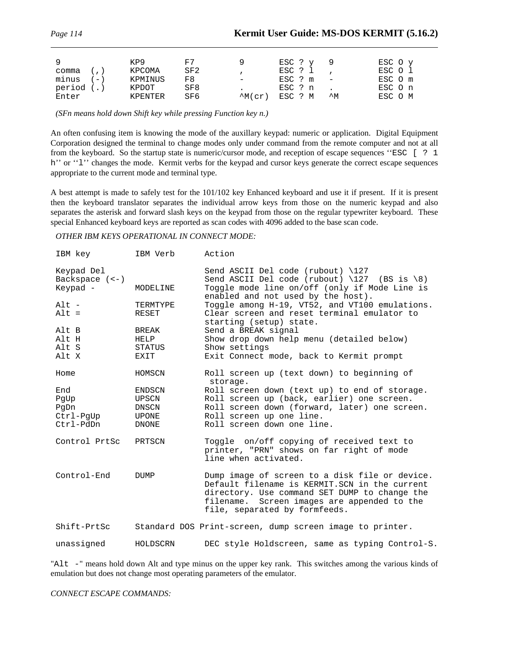| - 9           | KP9     | F7              |                   | $ESC$ ? $y$ 9        |    | ESC O y |
|---------------|---------|-----------------|-------------------|----------------------|----|---------|
| comma (, )    | KPCOMA  | SF2             |                   | ESC ? 1              |    | ESC O l |
| $minus$ $(-)$ | KPMINUS | FR.             | $\qquad \qquad -$ | $\text{ESC}$ ? m $-$ |    | ESC O m |
| period (.)    | KPDOT   | SF8             |                   | ESC ? n              |    | ESC O n |
| Enter         | KPENTER | SF <sub>6</sub> | $^{\wedge}$ M(cr) | ESC ? M              | ∧M | ESC O M |

*(SFn means hold down Shift key while pressing Function key n.)*

An often confusing item is knowing the mode of the auxillary keypad: numeric or application. Digital Equipment Corporation designed the terminal to change modes only under command from the remote computer and not at all from the keyboard. So the startup state is numeric/cursor mode, and reception of escape sequences ''ESC [ ? 1 h'' or "1" changes the mode. Kermit verbs for the keypad and cursor keys generate the correct escape sequences appropriate to the current mode and terminal type.

A best attempt is made to safely test for the 101/102 key Enhanced keyboard and use it if present. If it is present then the keyboard translator separates the individual arrow keys from those on the numeric keypad and also separates the asterisk and forward slash keys on the keypad from those on the regular typewriter keyboard. These special Enhanced keyboard keys are reported as scan codes with 4096 added to the base scan code.

#### *OTHER IBM KEYS OPERATIONAL IN CONNECT MODE:*

| IBM key                                       | IBM Verb                                          | Action                                                                                                                                                                                                                           |
|-----------------------------------------------|---------------------------------------------------|----------------------------------------------------------------------------------------------------------------------------------------------------------------------------------------------------------------------------------|
| Keypad Del<br>Backspace $(-)$<br>Keypad -     | MODELINE                                          | Send ASCII Del code (rubout) $\127$<br>Send ASCII Del code (rubout) $\127$ (BS is $\8)$<br>Toggle mode line on/off (only if Mode Line is<br>enabled and not used by the host).                                                   |
| $Alt -$<br>$Alt =$                            | TERMTYPE<br>RESET                                 | Toggle among H-19, VT52, and VT100 emulations.<br>Clear screen and reset terminal emulator to<br>starting (setup) state.                                                                                                         |
| Alt B<br>Alt H<br>Alt S<br>Alt X              | BREAK<br>HELP<br>STATUS<br>EXIT                   | Send a BREAK signal<br>Show drop down help menu (detailed below)<br>Show settings<br>Exit Connect mode, back to Kermit prompt                                                                                                    |
| Home                                          | HOMSCN                                            | Roll screen up (text down) to beginning of<br>storage.                                                                                                                                                                           |
| End<br>PaUp<br>PqDn<br>Ctrl-PqUp<br>Ctrl-PdDn | ENDSCN<br>UPSCN<br>DNSCN<br>UPONE<br><b>DNONE</b> | Roll screen down (text up) to end of storage.<br>Roll screen up (back, earlier) one screen.<br>Roll screen down (forward, later) one screen.<br>Roll screen up one line.<br>Roll screen down one line.                           |
| Control PrtSc                                 | PRTSCN                                            | Toggle on/off copying of received text to<br>printer, "PRN" shows on far right of mode<br>line when activated.                                                                                                                   |
| Control-End                                   | <b>DUMP</b>                                       | Dump image of screen to a disk file or device.<br>Default filename is KERMIT.SCN in the current<br>directory. Use command SET DUMP to change the<br>filename. Screen images are appended to the<br>file, separated by formfeeds. |
| Shift-PrtSc                                   |                                                   | Standard DOS Print-screen, dump screen image to printer.                                                                                                                                                                         |
| unassigned                                    | HOLDSCRN                                          | DEC style Holdscreen, same as typing Control-S.                                                                                                                                                                                  |

"Alt -" means hold down Alt and type minus on the upper key rank. This switches among the various kinds of emulation but does not change most operating parameters of the emulator.

*CONNECT ESCAPE COMMANDS:*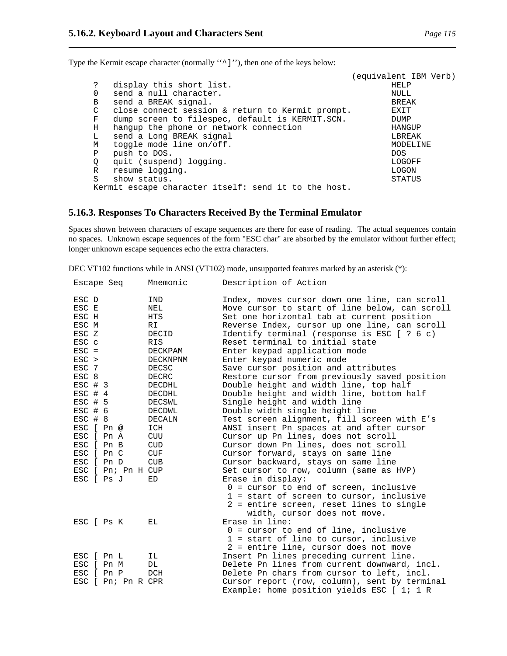Type the Kermit escape character (normally "^]''), then one of the keys below:

|    |                                                      | (equivalent IBM Verb) |
|----|------------------------------------------------------|-----------------------|
| S. | display this short list.                             | HELP                  |
| 0  | send a null character.                               | NULL                  |
| B  | send a BREAK signal.                                 | BREAK                 |
| C  | close connect session & return to Kermit prompt.     | EXIT                  |
| F  | dump screen to filespec, default is KERMIT.SCN.      | DUMP                  |
| Н  | hangup the phone or network connection               | HANGUP                |
| L  | send a Long BREAK signal                             | LBREAK                |
| М  | toggle mode line on/off.                             | MODELINE              |
| Ρ  | push to DOS.                                         | DOS.                  |
| Q  | quit (suspend) logging.                              | LOGOFF                |
| R  | resume logging.                                      | LOGON                 |
| S  | show status.                                         | <b>STATUS</b>         |
|    | Kermit escape character itself: send it to the host. |                       |

#### **5.16.3. Responses To Characters Received By the Terminal Emulator**

Spaces shown between characters of escape sequences are there for ease of reading. The actual sequences contain no spaces. Unknown escape sequences of the form "ESC char" are absorbed by the emulator without further effect; longer unknown escape sequences echo the extra characters.

DEC VT102 functions while in ANSI (VT102) mode, unsupported features marked by an asterisk (\*):

| Escape Seq              |                    | Mnemonic                 | Description of Action                                                                                                                         |
|-------------------------|--------------------|--------------------------|-----------------------------------------------------------------------------------------------------------------------------------------------|
| ESC D<br>ESC E<br>ESC H |                    | IND<br>NEL<br><b>HTS</b> | Index, moves cursor down one line, can scroll<br>Move cursor to start of line below, can scroll<br>Set one horizontal tab at current position |
| ESC M                   |                    | RI                       |                                                                                                                                               |
| ESC Z                   |                    | DECID                    | Reverse Index, cursor up one line, can scroll                                                                                                 |
| ESC c                   |                    | <b>RIS</b>               | Identify terminal (response is ESC [ ? 6 c)<br>Reset terminal to initial state                                                                |
| $\text{ESC}$ =          |                    | DECKPAM                  |                                                                                                                                               |
| $ESC$ >                 |                    | DECKNPNM                 | Enter keypad application mode                                                                                                                 |
| ESC 7                   |                    | DECSC                    | Enter keypad numeric mode                                                                                                                     |
| ESC 8                   |                    |                          | Save cursor position and attributes                                                                                                           |
| $\text{ESC}$ # 3        |                    | DECRC<br>DECDHL          | Restore cursor from previously saved position<br>Double height and width line, top half                                                       |
| $ESC$ # 4               |                    | DECDHL                   | Double height and width line, bottom half                                                                                                     |
| $ESC$ # 5               |                    | DECSWL                   | Single height and width line                                                                                                                  |
| $ESC$ # 6               |                    | DECDWL                   | Double width single height line                                                                                                               |
| $ESC$ # 8               |                    | DECALN                   | Test screen alignment, fill screen with E's                                                                                                   |
| ESC [ Pn @              |                    | ICH                      | ANSI insert Pn spaces at and after cursor                                                                                                     |
| ESC [ Pn A              |                    | CUU                      | Cursor up Pn lines, does not scroll                                                                                                           |
| ESC [ Pn B              |                    | CUD                      | Cursor down Pn lines, does not scroll                                                                                                         |
| ESC [ Pn C              |                    | CUF                      | Cursor forward, stays on same line                                                                                                            |
| ESC [ Pn D              |                    | CUB                      | Cursor backward, stays on same line                                                                                                           |
|                         | ESC [ Pn; Pn H CUP |                          | Set cursor to row, column (same as HVP)                                                                                                       |
| ESC [ Ps J              |                    | ED                       | Erase in display:                                                                                                                             |
|                         |                    |                          | $0 = 1$ cursor to end of screen, inclusive                                                                                                    |
|                         |                    |                          | $1$ = start of screen to cursor, inclusive                                                                                                    |
|                         |                    |                          | 2 = entire screen, reset lines to single                                                                                                      |
|                         |                    |                          | width, cursor does not move.                                                                                                                  |
| ESC [ Ps K              |                    | ЕL                       | Erase in line:                                                                                                                                |
|                         |                    |                          | $0 =$ cursor to end of line, inclusive                                                                                                        |
|                         |                    |                          | $1$ = start of line to cursor, inclusive                                                                                                      |
|                         |                    |                          | 2 = entire line, cursor does not move                                                                                                         |
| ESC [ Pn L              |                    | IL                       | Insert Pn lines preceding current line.                                                                                                       |
| ESC [ Pn M              |                    | DL                       | Delete Pn lines from current downward, incl.                                                                                                  |
| ESC [ Pn P              |                    | DCH                      | Delete Pn chars from cursor to left, incl.                                                                                                    |
|                         | ESC [ Pn; Pn R CPR |                          | Cursor report (row, column), sent by terminal<br>Example: home position yields ESC [ 1; 1 R                                                   |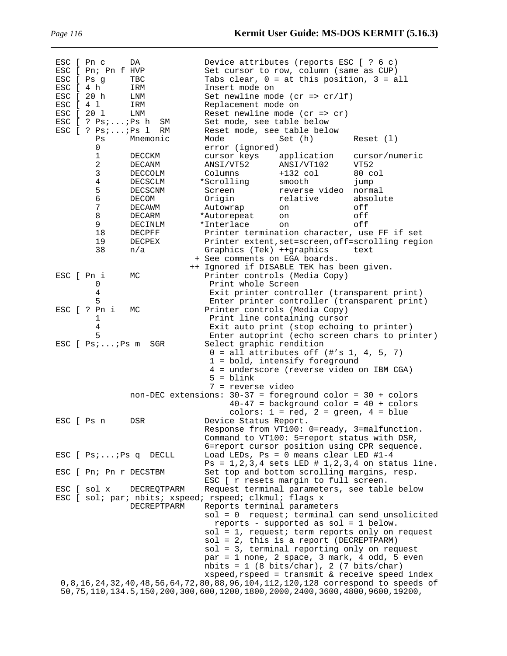| ESC [ Pn c |                         | DA                                                          | Device attributes (reports ESC [ ? 6 c)                                                   |                |
|------------|-------------------------|-------------------------------------------------------------|-------------------------------------------------------------------------------------------|----------------|
|            | ESC [ Pn; Pn f HVP      |                                                             | Set cursor to row, column (same as CUP)                                                   |                |
| ESC [ Ps g |                         | TBC                                                         | Tabs clear, $0 = at this position, 3 = all$                                               |                |
| ESC [ 4 h  |                         | IRM                                                         | Insert mode on                                                                            |                |
| ESC [ 20 h |                         | LNM                                                         | Set newline mode ( $cr$ => $cr/If$ )                                                      |                |
| ESC [ 4 1  |                         | IRM                                                         | Replacement mode on                                                                       |                |
| ESC [ 20 1 |                         | LNM                                                         | Reset newline mode $(cr \Rightarrow cr)$                                                  |                |
|            | $ESC$ [ ? $Psi$ $iPs$ h | SΜ                                                          | Set mode, see table below                                                                 |                |
|            | $ESC$ [ ? $Psi$ ; Ps 1  | RM                                                          | Reset mode, see table below                                                               |                |
|            | Ps                      | Mnemonic                                                    | Mode<br>Set (h)                                                                           | Reset (1)      |
|            | 0                       |                                                             | error (ignored)                                                                           |                |
|            | 1                       | DECCKM                                                      | cursor keys<br>application                                                                | cursor/numeric |
|            | 2                       | DECANM                                                      | ANSI/VT52<br>ANSI/VT102                                                                   | VT52           |
|            | 3                       | DECCOLM                                                     | $+132$ col<br>Columns                                                                     | 80 col         |
|            | 4                       | DECSCLM                                                     | *Scrolling<br>smooth                                                                      | jump           |
|            | 5                       | DECSCNM                                                     | Screen<br>reverse video                                                                   | normal         |
|            | 6                       | DECOM                                                       | Origin<br>relative                                                                        | absolute       |
|            | 7                       | DECAWM                                                      | Autowrap<br>on                                                                            | off            |
|            | 8                       | DECARM                                                      | *Autorepeat<br>on                                                                         | off            |
|            | 9                       | DECINLM                                                     | *Interlace<br>on                                                                          | off            |
|            | 18                      | DECPFF                                                      | Printer termination character, use FF if set                                              |                |
|            | 19                      | <b>DECPEX</b>                                               | Printer extent, set=screen, off=scrolling region                                          |                |
|            | 38                      | n/a                                                         | Graphics (Tek) ++graphics                                                                 | text           |
|            |                         |                                                             | + See comments on EGA boards.                                                             |                |
|            |                         |                                                             | ++ Ignored if DISABLE TEK has been given.                                                 |                |
| ESC [ Pn i |                         | МC                                                          | Printer controls (Media Copy)                                                             |                |
|            | 0                       |                                                             | Print whole Screen                                                                        |                |
|            | 4                       |                                                             | Exit printer controller (transparent print)                                               |                |
|            | 5                       |                                                             | Enter printer controller (transparent print)                                              |                |
|            | ESC [ ? Pn i            | MC                                                          | Printer controls (Media Copy)                                                             |                |
|            | 1                       |                                                             | Print line containing cursor                                                              |                |
|            | $\overline{4}$<br>5     |                                                             | Exit auto print (stop echoing to printer)                                                 |                |
|            |                         |                                                             | Enter autoprint (echo screen chars to printer)                                            |                |
|            | $ESC$ [ $Ps:Ps$ m       | SGR                                                         | Select graphic rendition<br>$0 = all attributes off (+'s 1, 4, 5, 7)$                     |                |
|            |                         |                                                             | 1 = bold, intensify foreground                                                            |                |
|            |                         |                                                             | 4 = underscore (reverse video on IBM CGA)                                                 |                |
|            |                         |                                                             | $5 = \text{blink}$                                                                        |                |
|            |                         |                                                             | 7 = reverse video                                                                         |                |
|            |                         |                                                             | non-DEC extensions: $30-37$ = foreground color = $30 +$ colors                            |                |
|            |                         |                                                             | $40-47$ = background color = $40 + \text{colors}$                                         |                |
|            |                         |                                                             | colors: $1 = red$ , $2 = green$ , $4 = blue$                                              |                |
| ESC [ Ps n |                         | DSR                                                         | Device Status Report.                                                                     |                |
|            |                         |                                                             | Response from VT100: 0=ready, 3=malfunction                                               |                |
|            |                         |                                                             | Command to VT100: 5=report status with DSR,                                               |                |
|            |                         |                                                             | 6=report cursor position using CPR sequence.                                              |                |
|            |                         | $\texttt{ESC}$ [ $\texttt{Psi} \ldots \texttt{IPS}$ q DECLL | Load LEDs, Ps = $0$ means clear LED #1-4                                                  |                |
|            |                         |                                                             | $Ps = 1, 2, 3, 4$ sets LED # 1, 2, 3, 4 on status line.                                   |                |
|            | ESC [ Pn; Pn r DECSTBM  |                                                             | Set top and bottom scrolling margins, resp.                                               |                |
|            |                         |                                                             | ESC [ r resets margin to full screen.                                                     |                |
|            | ESC [ sol x             | DECREOTPARM                                                 | Request terminal parameters, see table below                                              |                |
|            |                         |                                                             | ESC [ sol; par; nbits; xspeed; rspeed; clkmul; flags x                                    |                |
|            |                         | DECREPTPARM                                                 | Reports terminal parameters                                                               |                |
|            |                         |                                                             | $sol = 0$ request; terminal can send unsolicited                                          |                |
|            |                         |                                                             | reports - supported as sol = 1 below.                                                     |                |
|            |                         |                                                             | sol = 1, request; term reports only on request                                            |                |
|            |                         |                                                             | $sol = 2$ , this is a report (DECREPTPARM)                                                |                |
|            |                         |                                                             | sol = 3, terminal reporting only on request                                               |                |
|            |                         |                                                             | par = 1 none, 2 space, 3 mark, 4 odd, 5 even                                              |                |
|            |                         |                                                             | $nbits = 1 (8 bits/char), 2 (7 bits/char)$                                                |                |
|            |                         |                                                             | $xspeed, rspeed = transmit & receive speed index$                                         |                |
|            |                         |                                                             | 0,8,16,24,32,40,48,56,64,72,80,88,96,104,112,120,128 correspond to speeds of              |                |
|            |                         |                                                             | 50, 75, 110, 134. 5, 150, 200, 300, 600, 1200, 1800, 2000, 2400, 3600, 4800, 9600, 19200, |                |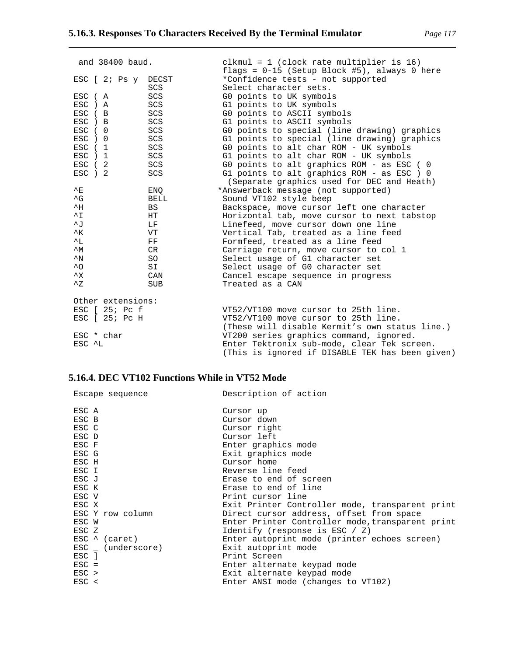| ESC                              | B                 | SCS        | GO points to ASCII symbols                      |
|----------------------------------|-------------------|------------|-------------------------------------------------|
| ESC                              | $\overline{B}$    | SCS        | G1 points to ASCII symbols                      |
| <b>ESC</b>                       | $\Omega$          | SCS        | GO points to special (line drawing) graphics    |
| ESC                              | $\Omega$          | SCS        | G1 points to special (line drawing) graphics    |
| ESC                              | 1                 | SCS        | GO points to alt char ROM - UK symbols          |
| <b>ESC</b>                       | 1                 | SCS        | G1 points to alt char ROM - UK symbols          |
| ESC                              | 2                 | SCS        | GO points to alt graphics ROM - as ESC ( 0      |
| ESC<br>$\binom{2}{}$             |                   | SCS        | G1 points to alt graphics ROM - as ESC ) 0      |
|                                  |                   |            | (Separate graphics used for DEC and Heath)      |
| 스표.                              |                   | ENO        | *Answerback message (not supported)             |
| $\mathsf{\uparrow}_{\mathsf{G}}$ |                   | BELL       | Sound VT102 style beep                          |
| $^{\wedge}$ H                    |                   | BS         | Backspace, move cursor left one character       |
| $^{\wedge}$ I                    |                   | HT.        | Horizontal tab, move cursor to next tabstop     |
| $\sim$ J                         |                   | LF         | Linefeed, move cursor down one line             |
| $^{\wedge}$ K                    |                   | VT         | Vertical Tab, treated as a line feed            |
| $^{\wedge}$ L                    |                   | FF         | Formfeed, treated as a line feed                |
| $^{\wedge}$ M                    |                   | CR         | Carriage return, move cursor to col 1           |
| $^{\wedge}{\rm N}$               |                   | SO.        | Select usage of G1 character set                |
| $^{\wedge}$ O                    |                   | SI         | Select usage of GO character set                |
| $^{\wedge}{\rm X}$               |                   | CAN        | Cancel escape sequence in progress              |
| $^{\prime}$ 7.                   |                   | <b>SUB</b> | Treated as a CAN                                |
|                                  | Other extensions: |            |                                                 |
|                                  | $ESC$ $[25; PCf]$ |            | VT52/VT100 move cursor to 25th line.            |
|                                  | $ESC$ $[25; PCH]$ |            | VT52/VT100 move cursor to 25th line.            |
|                                  |                   |            | (These will disable Kermit's own status line.)  |
| ESC * char                       |                   |            | VT200 series graphics command, ignored.         |
| ESC ^L                           |                   |            | Enter Tektronix sub-mode, clear Tek screen.     |
|                                  |                   |            | (This is ignored if DISABLE TEK has been given) |

## **5.16.4. DEC VT102 Functions While in VT52 Mode**

| Escape sequence              | Description of action                            |
|------------------------------|--------------------------------------------------|
| ESC A                        | Cursor up                                        |
| ESC B                        | Cursor down                                      |
| ESC C                        | Cursor right                                     |
| ESC D                        | Cursor left                                      |
| ESC F                        | Enter graphics mode                              |
| ESC G                        | Exit graphics mode                               |
| ESC H                        | Cursor home                                      |
| ESC I                        | Reverse line feed                                |
| ESC J                        | Erase to end of screen                           |
| ESC K                        | Erase to end of line                             |
| ESC V                        | Print cursor line                                |
| ESC X                        | Exit Printer Controller mode, transparent print  |
| ESC Y row column             | Direct cursor address, offset from space         |
| ESC W                        | Enter Printer Controller mode, transparent print |
| ESC Z                        | Identify (response is ESC $/$ Z)                 |
| $\text{ESC}$ $\land$ (caret) | Enter autoprint mode (printer echoes screen)     |
| ESC (underscore)             | Exit autoprint mode                              |
| ESC ]                        | Print Screen                                     |
| $\text{ESC}$ =               | Enter alternate keypad mode                      |
| $\text{ESC}$ >               | Exit alternate keypad mode                       |
| $\text{ESC}$ <               | Enter ANSI mode (changes to VT102)               |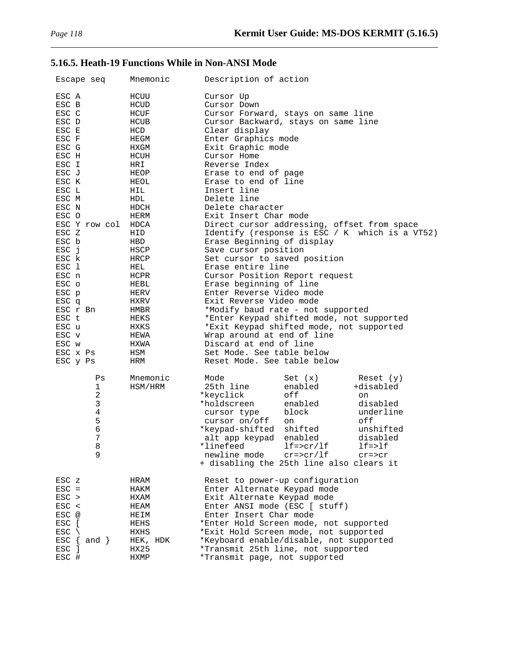# **5.16.5. Heath-19 Functions While in Non-ANSI Mode**

| Escape seq                                          | Mnemonic            | Description of action                                                                                                                                                                                                                                                                                                                                                                                                                          |  |
|-----------------------------------------------------|---------------------|------------------------------------------------------------------------------------------------------------------------------------------------------------------------------------------------------------------------------------------------------------------------------------------------------------------------------------------------------------------------------------------------------------------------------------------------|--|
| ESC A                                               | HCUU                | Cursor Up                                                                                                                                                                                                                                                                                                                                                                                                                                      |  |
| ESC B                                               | HCUD                | Cursor Down                                                                                                                                                                                                                                                                                                                                                                                                                                    |  |
| ESC C                                               | HCUF                | Cursor Forward, stays on same line                                                                                                                                                                                                                                                                                                                                                                                                             |  |
| ESC D                                               | HCUB                | Cursor Backward, stays on same line                                                                                                                                                                                                                                                                                                                                                                                                            |  |
| ESC E                                               | HCD                 | Clear display                                                                                                                                                                                                                                                                                                                                                                                                                                  |  |
| ESC F                                               | HEGM                | Enter Graphics mode                                                                                                                                                                                                                                                                                                                                                                                                                            |  |
| ESC G                                               | HXGM                | Exit Graphic mode                                                                                                                                                                                                                                                                                                                                                                                                                              |  |
| ESC H                                               | HCUH                | Cursor Home                                                                                                                                                                                                                                                                                                                                                                                                                                    |  |
| ESC I                                               | HRI                 | Reverse Index                                                                                                                                                                                                                                                                                                                                                                                                                                  |  |
| ESC J                                               | HEOP                | Erase to end of page                                                                                                                                                                                                                                                                                                                                                                                                                           |  |
| ESC K                                               | HEOL                | Erase to end of line                                                                                                                                                                                                                                                                                                                                                                                                                           |  |
| ESC L                                               | HIL                 | Insert line                                                                                                                                                                                                                                                                                                                                                                                                                                    |  |
| ESC M                                               | HDL                 | Delete line                                                                                                                                                                                                                                                                                                                                                                                                                                    |  |
| ESC N                                               | HDCH                | Delete character                                                                                                                                                                                                                                                                                                                                                                                                                               |  |
| ESC O                                               | HERM                | Exit Insert Char mode                                                                                                                                                                                                                                                                                                                                                                                                                          |  |
| ESC Y row col                                       | HDCA                | Direct cursor addressing, offset from space                                                                                                                                                                                                                                                                                                                                                                                                    |  |
| ESC Z                                               | HID                 | Identify (response is ESC / K which is a VT52)                                                                                                                                                                                                                                                                                                                                                                                                 |  |
| ESC b                                               | HBD                 | Erase Beginning of display                                                                                                                                                                                                                                                                                                                                                                                                                     |  |
| ESC j                                               | HSCP                | Save cursor position                                                                                                                                                                                                                                                                                                                                                                                                                           |  |
| ESC k                                               | HRCP                | Set cursor to saved position                                                                                                                                                                                                                                                                                                                                                                                                                   |  |
| ESC 1                                               | HEL                 | Erase entire line                                                                                                                                                                                                                                                                                                                                                                                                                              |  |
| ESC n                                               | HCPR                | Cursor Position Report request                                                                                                                                                                                                                                                                                                                                                                                                                 |  |
| ESC o                                               | HEBL                | Erase beginning of line                                                                                                                                                                                                                                                                                                                                                                                                                        |  |
| ESC p                                               | HERV                | Enter Reverse Video mode                                                                                                                                                                                                                                                                                                                                                                                                                       |  |
| ESC q                                               | HXRV                | Exit Reverse Video mode                                                                                                                                                                                                                                                                                                                                                                                                                        |  |
| ESC r Bn                                            | HMBR                | *Modify baud rate - not supported                                                                                                                                                                                                                                                                                                                                                                                                              |  |
| ESC t                                               | HEKS                | *Enter Keypad shifted mode, not supported                                                                                                                                                                                                                                                                                                                                                                                                      |  |
| ESC u                                               | HXKS                | *Exit Keypad shifted mode, not supported                                                                                                                                                                                                                                                                                                                                                                                                       |  |
| ESC v                                               | HEWA                | Wrap around at end of line                                                                                                                                                                                                                                                                                                                                                                                                                     |  |
| ESC w                                               | HXWA                | Discard at end of line                                                                                                                                                                                                                                                                                                                                                                                                                         |  |
| ESC x Ps                                            | HSM                 | Set Mode. See table below                                                                                                                                                                                                                                                                                                                                                                                                                      |  |
| ESC y Ps                                            | HRM                 | Reset Mode. See table below                                                                                                                                                                                                                                                                                                                                                                                                                    |  |
| Ps<br>1<br>2<br>3<br>$\,4$<br>5<br>6<br>7<br>8<br>9 | Mnemonic<br>HSM/HRM | Mode<br>Set(x)<br>Reset $(y)$<br>25th line<br>enabled<br>+disabled<br>*keyclick<br>off<br>on<br>*holdscreen<br>enabled<br>disabled<br>underline<br>block<br>cursor type<br>off<br>cursor on/off<br>on<br>shifted<br>unshifted<br>*keypad-shifted<br>enabled<br>disabled<br>alt app keypad<br>*linefeed<br>$l f = > l f$<br>$lf=\texttt{corr}/\texttt{lf}$<br>newline mode cr=>cr/lf<br>$cr = > cr$<br>+ disabling the 25th line also clears it |  |
| ESC z                                               | HRAM                | Reset to power-up configuration                                                                                                                                                                                                                                                                                                                                                                                                                |  |
| $\text{ESC}$ =                                      | HAKM                | Enter Alternate Keypad mode                                                                                                                                                                                                                                                                                                                                                                                                                    |  |
| $\text{ESC}$ >                                      | HXAM                | Exit Alternate Keypad mode                                                                                                                                                                                                                                                                                                                                                                                                                     |  |
| $\text{ESC}$ <                                      | HEAM                | Enter ANSI mode (ESC [ stuff)                                                                                                                                                                                                                                                                                                                                                                                                                  |  |
| ESC @                                               | HEIM                | Enter Insert Char mode                                                                                                                                                                                                                                                                                                                                                                                                                         |  |
| ESC [                                               | HEHS                | *Enter Hold Screen mode, not supported                                                                                                                                                                                                                                                                                                                                                                                                         |  |
| ESC                                                 | HXHS                | *Exit Hold Screen mode, not supported                                                                                                                                                                                                                                                                                                                                                                                                          |  |
| $\text{ESC} \{ \text{and } \}$                      | HEK, HDK            | *Keyboard enable/disable, not supported                                                                                                                                                                                                                                                                                                                                                                                                        |  |
| ESC ]                                               | HX25                | *Transmit 25th line, not supported                                                                                                                                                                                                                                                                                                                                                                                                             |  |
| ESC #                                               | HXMP                | *Transmit page, not supported                                                                                                                                                                                                                                                                                                                                                                                                                  |  |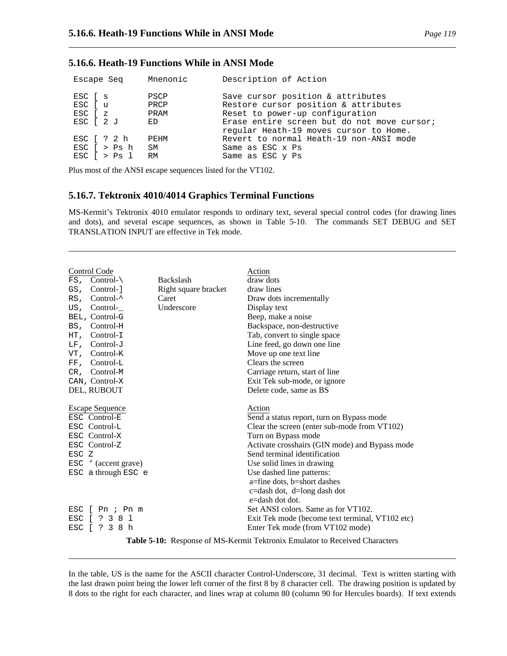## **5.16.6. Heath-19 Functions While in ANSI Mode**

| Escape Seq                                             | Mnenonic             | Description of Action                                                                                        |
|--------------------------------------------------------|----------------------|--------------------------------------------------------------------------------------------------------------|
| ESC [ s<br>ESC [ u<br>ESC [ z                          | PSCP<br>PRCP<br>PRAM | Save cursor position & attributes<br>Restore cursor position & attributes<br>Reset to power-up configuration |
| ESC [ 2 J                                              | ED                   | Erase entire screen but do not move cursor;<br>regular Heath-19 moves cursor to Home.                        |
| ESC [ ? 2 h                                            | PEHM                 | Revert to normal Heath-19 non-ANSI mode                                                                      |
| $ESC$ $\rightarrow$ Ps h<br>ESC $\lceil$ > Ps $\lceil$ | SM<br>RM             | Same as ESC x Ps<br>Same as ESC y Ps                                                                         |

Plus most of the ANSI escape sequences listed for the VT102.

### **5.16.7. Tektronix 4010/4014 Graphics Terminal Functions**

MS-Kermit's Tektronix 4010 emulator responds to ordinary text, several special control codes (for drawing lines and dots), and several escape sequences, as shown in Table 5-10. The commands SET DEBUG and SET TRANSLATION INPUT are effective in Tek mode.

|       | Control Code                     |                      | Action                                                                      |
|-------|----------------------------------|----------------------|-----------------------------------------------------------------------------|
|       | $FS$ , Control-\                 | <b>Backslash</b>     | draw dots                                                                   |
| GS,   | Control-                         | Right square bracket | draw lines                                                                  |
| RS,   | Control- $\sim$                  | Caret                | Draw dots incrementally                                                     |
| US,   | Control-                         | Underscore           | Display text                                                                |
|       | BEL, Control-G                   |                      | Beep, make a noise                                                          |
|       | BS, Control-H                    |                      | Backspace, non-destructive                                                  |
| HT,   | $Control-I$                      |                      | Tab, convert to single space                                                |
|       | $LF$ , Control-J                 |                      | Line feed, go down one line                                                 |
| VT,   | Control-K                        |                      | Move up one text line                                                       |
| FF,   | Control-L                        |                      | Clears the screen                                                           |
| CR.   | Control-M                        |                      | Carriage return, start of line                                              |
|       | CAN, Control-X                   |                      | Exit Tek sub-mode, or ignore                                                |
|       | DEL, RUBOUT                      |                      | Delete code, same as BS                                                     |
|       |                                  |                      |                                                                             |
|       | <b>Escape Sequence</b>           |                      | Action                                                                      |
|       | ESC Control-E                    |                      | Send a status report, turn on Bypass mode                                   |
|       | ESC Control-L                    |                      | Clear the screen (enter sub-mode from VT102)                                |
|       | ESC Control-X                    |                      | Turn on Bypass mode                                                         |
|       | ESC Control-Z                    |                      | Activate crosshairs (GIN mode) and Bypass mode                              |
| ESC Z |                                  |                      | Send terminal identification                                                |
|       | $\text{ESC}$ ' (accent grave)    |                      | Use solid lines in drawing                                                  |
|       | ESC a through ESC e              |                      | Use dashed line patterns:                                                   |
|       |                                  |                      | a=fine dots, b=short dashes                                                 |
|       |                                  |                      | c=dash dot, d=long dash dot                                                 |
|       |                                  |                      | e=dash dot dot.                                                             |
|       | $\text{ESC}$   Pn ; Pn m         |                      | Set ANSI colors. Same as for VT102.                                         |
| ESC [ | ? 381                            |                      | Exit Tek mode (become text terminal, VT102 etc)                             |
| ESC   | $\Box$<br>$\frac{1}{2}$ 3<br>8 h |                      | Enter Tek mode (from VT102 mode)                                            |
|       |                                  |                      | Table 5-10: Response of MS-Kermit Tektronix Emulator to Received Characters |

In the table, US is the name for the ASCII character Control-Underscore, 31 decimal. Text is written starting with the last drawn point being the lower left corner of the first 8 by 8 character cell. The drawing position is updated by 8 dots to the right for each character, and lines wrap at column 80 (column 90 for Hercules boards). If text extends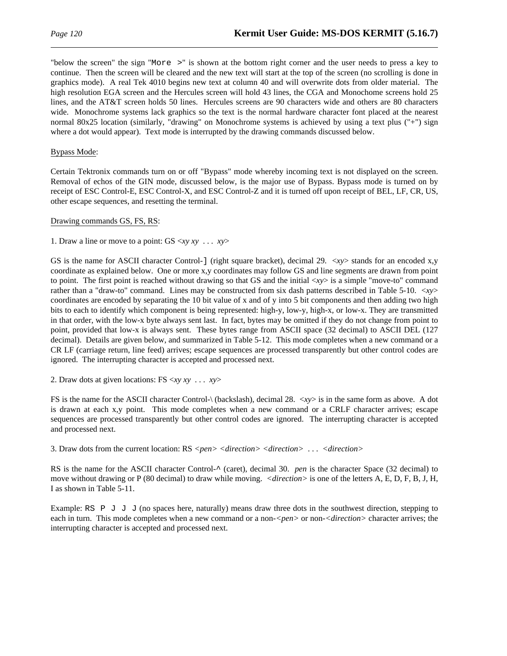"below the screen" the sign "More >" is shown at the bottom right corner and the user needs to press a key to continue. Then the screen will be cleared and the new text will start at the top of the screen (no scrolling is done in graphics mode). A real Tek 4010 begins new text at column 40 and will overwrite dots from older material. The high resolution EGA screen and the Hercules screen will hold 43 lines, the CGA and Monochome screens hold 25 lines, and the AT&T screen holds 50 lines. Hercules screens are 90 characters wide and others are 80 characters wide. Monochrome systems lack graphics so the text is the normal hardware character font placed at the nearest normal 80x25 location (similarly, "drawing" on Monochrome systems is achieved by using a text plus ("+") sign where a dot would appear). Text mode is interrupted by the drawing commands discussed below.

#### Bypass Mode:

Certain Tektronix commands turn on or off "Bypass" mode whereby incoming text is not displayed on the screen. Removal of echos of the GIN mode, discussed below, is the major use of Bypass. Bypass mode is turned on by receipt of ESC Control-E, ESC Control-X, and ESC Control-Z and it is turned off upon receipt of BEL, LF, CR, US, other escape sequences, and resetting the terminal.

Drawing commands GS, FS, RS:

1. Draw a line or move to a point: GS <*xy xy* . . . *xy*>

GS is the name for ASCII character Control-] (right square bracket), decimal 29. <*xy*> stands for an encoded x,y coordinate as explained below. One or more x,y coordinates may follow GS and line segments are drawn from point to point. The first point is reached without drawing so that GS and the initial <*xy*> is a simple "move-to" command rather than a "draw-to" command. Lines may be constructed from six dash patterns described in Table 5-10. <*xy*> coordinates are encoded by separating the 10 bit value of x and of y into 5 bit components and then adding two high bits to each to identify which component is being represented: high-y, low-y, high-x, or low-x. They are transmitted in that order, with the low-x byte always sent last. In fact, bytes may be omitted if they do not change from point to point, provided that low-x is always sent. These bytes range from ASCII space (32 decimal) to ASCII DEL (127 decimal). Details are given below, and summarized in Table 5-12. This mode completes when a new command or a CR LF (carriage return, line feed) arrives; escape sequences are processed transparently but other control codes are ignored. The interrupting character is accepted and processed next.

2. Draw dots at given locations: FS <*xy xy* . . . *xy*>

FS is the name for the ASCII character Control-\ (backslash), decimal 28. <*xy*> is in the same form as above. A dot is drawn at each x,y point. This mode completes when a new command or a CRLF character arrives; escape sequences are processed transparently but other control codes are ignored. The interrupting character is accepted and processed next.

3. Draw dots from the current location: RS *<pen> <direction> <direction>* . . . *<direction>*

RS is the name for the ASCII character Control-^ (caret), decimal 30. *pen* is the character Space (32 decimal) to move without drawing or P (80 decimal) to draw while moving. *<direction>* is one of the letters A, E, D, F, B, J, H, I as shown in Table 5-11.

Example: RS P J J J (no spaces here, naturally) means draw three dots in the southwest direction, stepping to each in turn. This mode completes when a new command or a non-*<pen>* or non-*<direction>* character arrives; the interrupting character is accepted and processed next.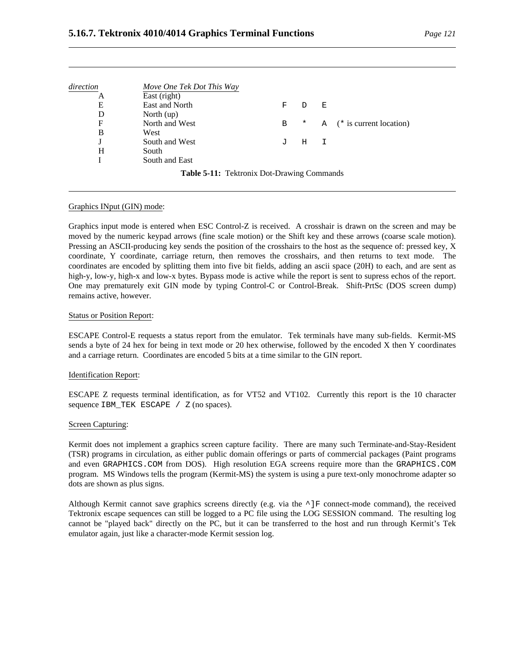| direction | Move One Tek Dot This Way                  |    |        |   |                         |
|-----------|--------------------------------------------|----|--------|---|-------------------------|
| А         | East (right)                               |    |        |   |                         |
| Е         | East and North                             | F  |        | Ε |                         |
| D         | North $(up)$                               |    |        |   |                         |
| F         | North and West                             | В  | $\ast$ | A | (* is current location) |
| B         | West                                       |    |        |   |                         |
|           | South and West                             | ٠T | Η      | I |                         |
| H         | South                                      |    |        |   |                         |
|           | South and East                             |    |        |   |                         |
|           | Table 5-11: Tektronix Dot-Drawing Commands |    |        |   |                         |

#### Graphics INput (GIN) mode:

Graphics input mode is entered when ESC Control-Z is received. A crosshair is drawn on the screen and may be moved by the numeric keypad arrows (fine scale motion) or the Shift key and these arrows (coarse scale motion). Pressing an ASCII-producing key sends the position of the crosshairs to the host as the sequence of: pressed key, X coordinate, Y coordinate, carriage return, then removes the crosshairs, and then returns to text mode. The coordinates are encoded by splitting them into five bit fields, adding an ascii space (20H) to each, and are sent as high-y, low-y, high-x and low-x bytes. Bypass mode is active while the report is sent to supress echos of the report. One may prematurely exit GIN mode by typing Control-C or Control-Break. Shift-PrtSc (DOS screen dump) remains active, however.

#### Status or Position Report:

ESCAPE Control-E requests a status report from the emulator. Tek terminals have many sub-fields. Kermit-MS sends a byte of 24 hex for being in text mode or 20 hex otherwise, followed by the encoded X then Y coordinates and a carriage return. Coordinates are encoded 5 bits at a time similar to the GIN report.

#### Identification Report:

ESCAPE Z requests terminal identification, as for VT52 and VT102. Currently this report is the 10 character sequence IBM\_TEK ESCAPE / Z (no spaces).

#### Screen Capturing:

Kermit does not implement a graphics screen capture facility. There are many such Terminate-and-Stay-Resident (TSR) programs in circulation, as either public domain offerings or parts of commercial packages (Paint programs and even GRAPHICS.COM from DOS). High resolution EGA screens require more than the GRAPHICS.COM program. MS Windows tells the program (Kermit-MS) the system is using a pure text-only monochrome adapter so dots are shown as plus signs.

Although Kermit cannot save graphics screens directly (e.g. via the  $\sim$ ]F connect-mode command), the received Tektronix escape sequences can still be logged to a PC file using the LOG SESSION command. The resulting log cannot be "played back" directly on the PC, but it can be transferred to the host and run through Kermit's Tek emulator again, just like a character-mode Kermit session log.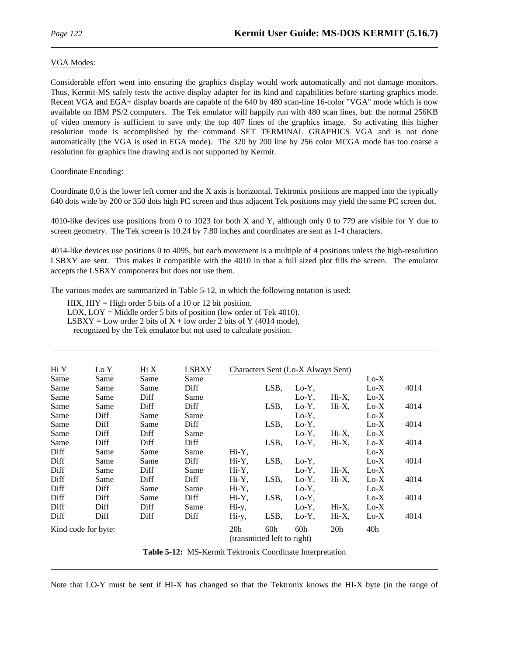#### VGA Modes:

Considerable effort went into ensuring the graphics display would work automatically and not damage monitors. Thus, Kermit-MS safely tests the active display adapter for its kind and capabilities before starting graphics mode. Recent VGA and EGA+ display boards are capable of the 640 by 480 scan-line 16-color "VGA" mode which is now available on IBM PS/2 computers. The Tek emulator will happily run with 480 scan lines, but: the normal 256KB of video memory is sufficient to save only the top 407 lines of the graphics image. So activating this higher resolution mode is accomplished by the command SET TERMINAL GRAPHICS VGA and is not done automatically (the VGA is used in EGA mode). The 320 by 200 line by 256 color MCGA mode has too coarse a resolution for graphics line drawing and is not supported by Kermit.

#### Coordinate Encoding:

Coordinate 0,0 is the lower left corner and the X axis is horizontal. Tektronix positions are mapped into the typically 640 dots wide by 200 or 350 dots high PC screen and thus adjacent Tek positions may yield the same PC screen dot.

4010-like devices use positions from 0 to 1023 for both X and Y, although only 0 to 779 are visible for Y due to screen geometry. The Tek screen is 10.24 by 7.80 inches and coordinates are sent as 1-4 characters.

4014-like devices use positions 0 to 4095, but each movement is a multiple of 4 positions unless the high-resolution LSBXY are sent. This makes it compatible with the 4010 in that a full sized plot fills the screen. The emulator accepts the LSBXY components but does not use them.

The various modes are summarized in Table 5-12, in which the following notation is used:

HIX,  $H(Y = High order 5 bits of a 10 or 12 bit position)$ .

LOX, LOY = Middle order 5 bits of position (low order of Tek 4010).

LSBXY = Low order 2 bits of  $X + low$  order 2 bits of Y (4014 mode),

recognized by the Tek emulator but not used to calculate position.

| Hi Y                        | Lo Y | Hi X | LSBXY |                 |      | Characters Sent (Lo-X Always Sent) |                 |               |      |
|-----------------------------|------|------|-------|-----------------|------|------------------------------------|-----------------|---------------|------|
| Same                        | Same | Same | Same  |                 |      |                                    |                 | $Lo-X$        |      |
| Same                        | Same | Same | Diff  |                 | LSB, | $Lo-Y$ ,                           |                 | $_{\rm Lo-X}$ | 4014 |
| Same                        | Same | Diff | Same  |                 |      | $Lo-Y$ ,                           | $Hi-X,$         | $Lo-X$        |      |
| Same                        | Same | Diff | Diff  |                 | LSB, | $Lo-Y$ ,                           | $Hi-X$ ,        | $Lo-X$        | 4014 |
| Same                        | Diff | Same | Same  |                 |      | $Lo-Y$ ,                           |                 | $Lo-X$        |      |
| Same                        | Diff | Same | Diff  |                 | LSB, | $Lo-Y$ ,                           |                 | $Lo-X$        | 4014 |
| Same                        | Diff | Diff | Same  |                 |      | $Lo-Y$ ,                           | $Hi-X$ ,        | $Lo-X$        |      |
| Same                        | Diff | Diff | Diff  |                 | LSB, | $Lo-Y$ ,                           | Hi-X,           | $Lo-X$        | 4014 |
| Diff                        | Same | Same | Same  | $Hi-Y$ ,        |      |                                    |                 | $Lo-X$        |      |
| Diff                        | Same | Same | Diff  | Hi-Y,           | LSB, | $Lo-Y$ ,                           |                 | $Lo-X$        | 4014 |
| Diff                        | Same | Diff | Same  | Hi-Y,           |      | $Lo-Y$ ,                           | $Hi-X$ ,        | $Lo-X$        |      |
| Diff                        | Same | Diff | Diff  | Hi-Y,           | LSB, | $Lo-Y$ ,                           | $Hi-X$ ,        | $Lo-X$        | 4014 |
| Diff                        | Diff | Same | Same  | Hi-Y,           |      | $Lo-Y$ ,                           |                 | $Lo-X$        |      |
| Diff                        | Diff | Same | Diff  | Hi-Y,           | LSB, | $Lo-Y$ ,                           |                 | $Lo-X$        | 4014 |
| Diff                        | Diff | Diff | Same  | Hi-y,           |      | $Lo-Y$ ,                           | $Hi-X,$         | $Lo-X$        |      |
| Diff                        | Diff | Diff | Diff  | Hi-y,           | LSB, | $Lo-Y$ ,                           | $Hi-X$ ,        | $Lo-X$        | 4014 |
| Kind code for byte:         |      |      |       | 20 <sub>h</sub> | 60h  | 60h                                | 20 <sub>h</sub> | 40h           |      |
| (transmitted left to right) |      |      |       |                 |      |                                    |                 |               |      |

**Table 5-12:** MS-Kermit Tektronix Coordinate Interpretation

Note that LO-Y must be sent if HI-X has changed so that the Tektronix knows the HI-X byte (in the range of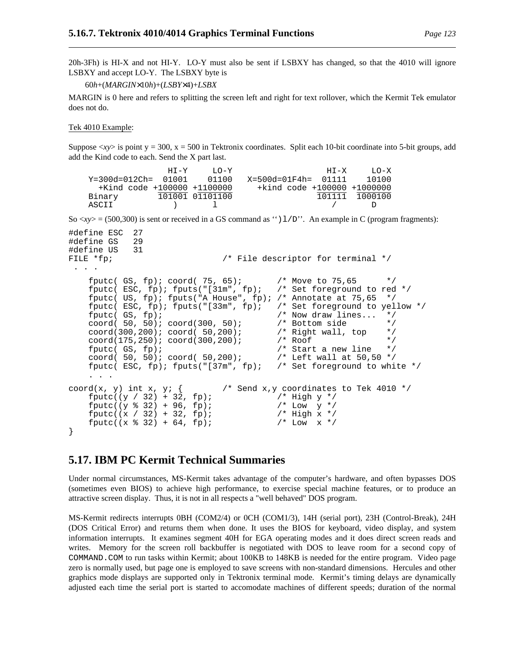20h-3Fh) is HI-X and not HI-Y. LO-Y must also be sent if LSBXY has changed, so that the 4010 will ignore LSBXY and accept LO-Y. The LSBXY byte is

60*h*+(*MARGIN*×10*h*)+(*LSBY*×4)+*LSBX*

MARGIN is 0 here and refers to splitting the screen left and right for text rollover, which the Kermit Tek emulator does not do.

#### Tek 4010 Example:

Suppose  $\langle xy \rangle$  is point y = 300, x = 500 in Tektronix coordinates. Split each 10-bit coordinate into 5-bit groups, add add the Kind code to each. Send the X part last.

```
HI-Y LO-Y HI-X LO-X
     Y=300d=012Ch= 01001 01100 X=500d=01F4h= 01111 10100
        +Kind code +100000 +1100000 +kind code +100000 +1000000
     Binary 101001 01101100 101111 1000100
     ASCII ) l / D
So \langle xy \rangle = (500,300) is sent or received in a GS command as "\langle 1/D \rangle". An example in C (program fragments):
#define ESC 27
#define GS 29
#define US 31
FILE *fp; \overline{f} /* File descriptor for terminal */
 . . .
     fputc( GS, fp); coord( 75, 65); \prime* Move to 75,65 */<br>fputc( ESC, fp); fputs("[31m", fp); /* Set foreground to red */
     fputc( ESC, fp); fputs("[31m", fp); /* Set foreground to red foutc( US, fp); fputs("A House", fp); /* Annotate at 75.65 */
     fputc( US, fp); fputs("A House", fp); /* Annotate at 75,65 */<br>fputc( ESC, fp); fputs("[33m", fp); /* Set foreground to yellow */
     fputc( ESC, fp); fputs("[33m", fp);
     fputc( GS, fp);<br>coord( 50, 50); coord(300, 50); <br>/* Bottom side */
     coord( 50, 50); coord(300, 50); /* Bottom side */
     coord(300, 200); cod(50, 200);coord(175,250); coord(300,200); <br>
foutc(GS. fp); <br>
/* Start a new line */
     fputc( GS, fp);<br>coord( 50, 50); coord( 50, 200); \overline{\phantom{0}} /* Start a new line \overline{\phantom{0}} */
     coord( 50, 50); coord( 50, 200); \qquad /* Left wall at 50, 50 */<br>fputc( ESC, fp); fputs("[37m", fp); /* Set foreground to white */
     fputc( ESC, fp); fputs("[37m", fp);
     . . .
coord(x, y) int x, y; { \prime /* Send x, y coordinates to Tek 4010 */
     fputc((y / 32) + 32, fp); <br> \frac{1}{2} /* High y */<br> fputc((y % 32) + 96, fp); <br> \frac{1}{2} /* Low y */
     fputc((y * 32) + 96, fp);<br>
fputc((x / 32) + 32, fp);<br>
fputc((x / 32) + 32, fp);<br>
fputc((x / 32) + 32, fp);fputc((x / 32) + 32, fp); <br> \frac{1}{2} /* High x */<br> fputc((x % 32) + 64, fp); <br> \frac{1}{2} /* Low x */
     fputc((x % 32) + 64, fp);}
```
# **5.17. IBM PC Kermit Technical Summaries**

Under normal circumstances, MS-Kermit takes advantage of the computer's hardware, and often bypasses DOS (sometimes even BIOS) to achieve high performance, to exercise special machine features, or to produce an attractive screen display. Thus, it is not in all respects a "well behaved" DOS program.

MS-Kermit redirects interrupts 0BH (COM2/4) or 0CH (COM1/3), 14H (serial port), 23H (Control-Break), 24H (DOS Critical Error) and returns them when done. It uses the BIOS for keyboard, video display, and system information interrupts. It examines segment 40H for EGA operating modes and it does direct screen reads and writes. Memory for the screen roll backbuffer is negotiated with DOS to leave room for a second copy of COMMAND.COM to run tasks within Kermit; about 100KB to 148KB is needed for the entire program. Video page zero is normally used, but page one is employed to save screens with non-standard dimensions. Hercules and other graphics mode displays are supported only in Tektronix terminal mode. Kermit's timing delays are dynamically adjusted each time the serial port is started to accomodate machines of different speeds; duration of the normal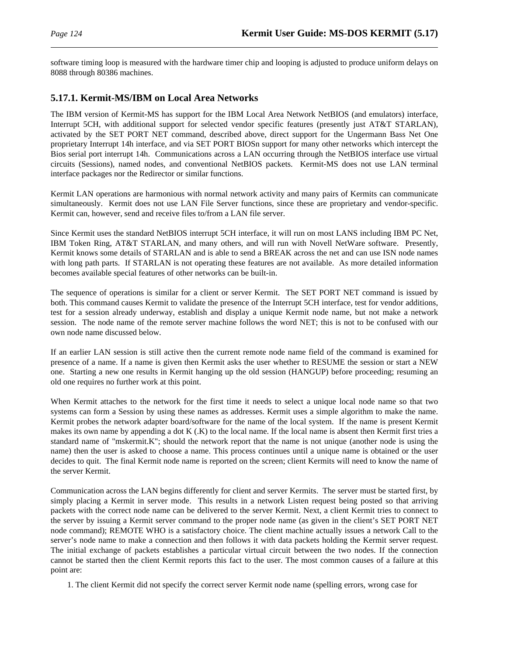software timing loop is measured with the hardware timer chip and looping is adjusted to produce uniform delays on 8088 through 80386 machines.

## **5.17.1. Kermit-MS/IBM on Local Area Networks**

The IBM version of Kermit-MS has support for the IBM Local Area Network NetBIOS (and emulators) interface, Interrupt 5CH, with additional support for selected vendor specific features (presently just AT&T STARLAN), activated by the SET PORT NET command, described above, direct support for the Ungermann Bass Net One proprietary Interrupt 14h interface, and via SET PORT BIOSn support for many other networks which intercept the Bios serial port interrupt 14h. Communications across a LAN occurring through the NetBIOS interface use virtual circuits (Sessions), named nodes, and conventional NetBIOS packets. Kermit-MS does not use LAN terminal interface packages nor the Redirector or similar functions.

Kermit LAN operations are harmonious with normal network activity and many pairs of Kermits can communicate simultaneously. Kermit does not use LAN File Server functions, since these are proprietary and vendor-specific. Kermit can, however, send and receive files to/from a LAN file server.

Since Kermit uses the standard NetBIOS interrupt 5CH interface, it will run on most LANS including IBM PC Net, IBM Token Ring, AT&T STARLAN, and many others, and will run with Novell NetWare software. Presently, Kermit knows some details of STARLAN and is able to send a BREAK across the net and can use ISN node names with long path parts. If STARLAN is not operating these features are not available. As more detailed information becomes available special features of other networks can be built-in.

The sequence of operations is similar for a client or server Kermit. The SET PORT NET command is issued by both. This command causes Kermit to validate the presence of the Interrupt 5CH interface, test for vendor additions, test for a session already underway, establish and display a unique Kermit node name, but not make a network session. The node name of the remote server machine follows the word NET; this is not to be confused with our own node name discussed below.

If an earlier LAN session is still active then the current remote node name field of the command is examined for presence of a name. If a name is given then Kermit asks the user whether to RESUME the session or start a NEW one. Starting a new one results in Kermit hanging up the old session (HANGUP) before proceeding; resuming an old one requires no further work at this point.

When Kermit attaches to the network for the first time it needs to select a unique local node name so that two systems can form a Session by using these names as addresses. Kermit uses a simple algorithm to make the name. Kermit probes the network adapter board/software for the name of the local system. If the name is present Kermit makes its own name by appending a dot K (.K) to the local name. If the local name is absent then Kermit first tries a standard name of "mskermit.K"; should the network report that the name is not unique (another node is using the name) then the user is asked to choose a name. This process continues until a unique name is obtained or the user decides to quit. The final Kermit node name is reported on the screen; client Kermits will need to know the name of the server Kermit.

Communication across the LAN begins differently for client and server Kermits. The server must be started first, by simply placing a Kermit in server mode. This results in a network Listen request being posted so that arriving packets with the correct node name can be delivered to the server Kermit. Next, a client Kermit tries to connect to the server by issuing a Kermit server command to the proper node name (as given in the client's SET PORT NET node command); REMOTE WHO is a satisfactory choice. The client machine actually issues a network Call to the server's node name to make a connection and then follows it with data packets holding the Kermit server request. The initial exchange of packets establishes a particular virtual circuit between the two nodes. If the connection cannot be started then the client Kermit reports this fact to the user. The most common causes of a failure at this point are:

1. The client Kermit did not specify the correct server Kermit node name (spelling errors, wrong case for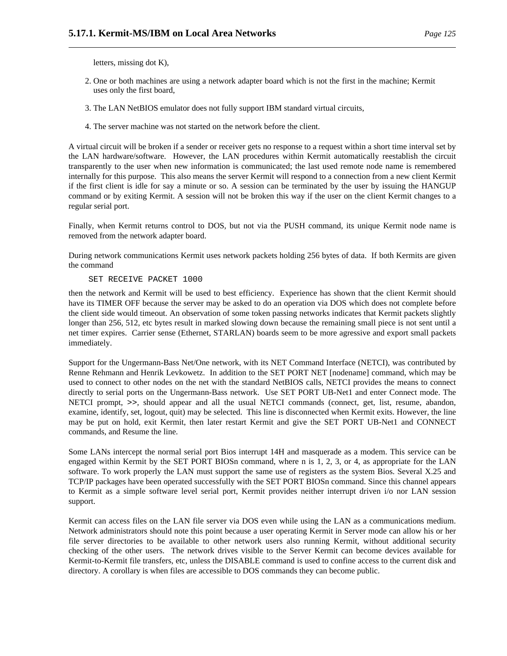letters, missing dot K),

- 2. One or both machines are using a network adapter board which is not the first in the machine; Kermit uses only the first board,
- 3. The LAN NetBIOS emulator does not fully support IBM standard virtual circuits,
- 4. The server machine was not started on the network before the client.

A virtual circuit will be broken if a sender or receiver gets no response to a request within a short time interval set by the LAN hardware/software. However, the LAN procedures within Kermit automatically reestablish the circuit transparently to the user when new information is communicated; the last used remote node name is remembered internally for this purpose. This also means the server Kermit will respond to a connection from a new client Kermit if the first client is idle for say a minute or so. A session can be terminated by the user by issuing the HANGUP command or by exiting Kermit. A session will not be broken this way if the user on the client Kermit changes to a regular serial port.

Finally, when Kermit returns control to DOS, but not via the PUSH command, its unique Kermit node name is removed from the network adapter board.

During network communications Kermit uses network packets holding 256 bytes of data. If both Kermits are given the command

#### SET RECEIVE PACKET 1000

then the network and Kermit will be used to best efficiency. Experience has shown that the client Kermit should have its TIMER OFF because the server may be asked to do an operation via DOS which does not complete before the client side would timeout. An observation of some token passing networks indicates that Kermit packets slightly longer than 256, 512, etc bytes result in marked slowing down because the remaining small piece is not sent until a net timer expires. Carrier sense (Ethernet, STARLAN) boards seem to be more agressive and export small packets immediately.

Support for the Ungermann-Bass Net/One network, with its NET Command Interface (NETCI), was contributed by Renne Rehmann and Henrik Levkowetz. In addition to the SET PORT NET [nodename] command, which may be used to connect to other nodes on the net with the standard NetBIOS calls, NETCI provides the means to connect directly to serial ports on the Ungermann-Bass network. Use SET PORT UB-Net1 and enter Connect mode. The NETCI prompt, >>, should appear and all the usual NETCI commands (connect, get, list, resume, abandon, examine, identify, set, logout, quit) may be selected. This line is disconnected when Kermit exits. However, the line may be put on hold, exit Kermit, then later restart Kermit and give the SET PORT UB-Net1 and CONNECT commands, and Resume the line.

Some LANs intercept the normal serial port Bios interrupt 14H and masquerade as a modem. This service can be engaged within Kermit by the SET PORT BIOSn command, where n is 1, 2, 3, or 4, as appropriate for the LAN software. To work properly the LAN must support the same use of registers as the system Bios. Several X.25 and TCP/IP packages have been operated successfully with the SET PORT BIOSn command. Since this channel appears to Kermit as a simple software level serial port, Kermit provides neither interrupt driven i/o nor LAN session support.

Kermit can access files on the LAN file server via DOS even while using the LAN as a communications medium. Network administrators should note this point because a user operating Kermit in Server mode can allow his or her file server directories to be available to other network users also running Kermit, without additional security checking of the other users. The network drives visible to the Server Kermit can become devices available for Kermit-to-Kermit file transfers, etc, unless the DISABLE command is used to confine access to the current disk and directory. A corollary is when files are accessible to DOS commands they can become public.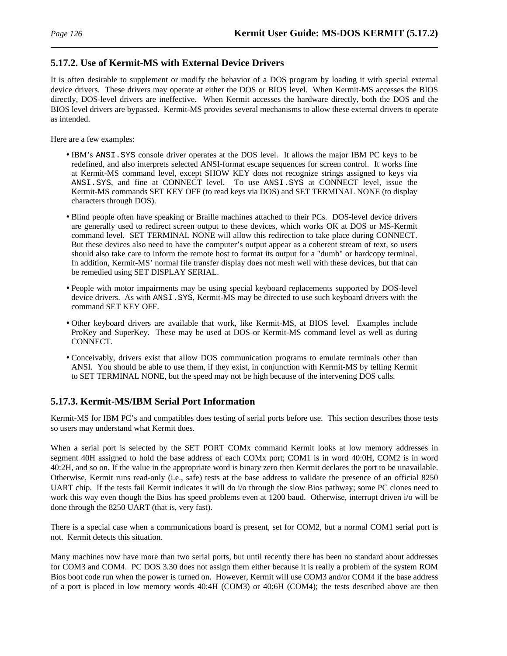## **5.17.2. Use of Kermit-MS with External Device Drivers**

It is often desirable to supplement or modify the behavior of a DOS program by loading it with special external device drivers. These drivers may operate at either the DOS or BIOS level. When Kermit-MS accesses the BIOS directly, DOS-level drivers are ineffective. When Kermit accesses the hardware directly, both the DOS and the BIOS level drivers are bypassed. Kermit-MS provides several mechanisms to allow these external drivers to operate as intended.

Here are a few examples:

- IBM's ANSI.SYS console driver operates at the DOS level. It allows the major IBM PC keys to be redefined, and also interprets selected ANSI-format escape sequences for screen control. It works fine at Kermit-MS command level, except SHOW KEY does not recognize strings assigned to keys via ANSI.SYS, and fine at CONNECT level. To use ANSI.SYS at CONNECT level, issue the Kermit-MS commands SET KEY OFF (to read keys via DOS) and SET TERMINAL NONE (to display characters through DOS).
- Blind people often have speaking or Braille machines attached to their PCs. DOS-level device drivers are generally used to redirect screen output to these devices, which works OK at DOS or MS-Kermit command level. SET TERMINAL NONE will allow this redirection to take place during CONNECT. But these devices also need to have the computer's output appear as a coherent stream of text, so users should also take care to inform the remote host to format its output for a "dumb" or hardcopy terminal. In addition, Kermit-MS' normal file transfer display does not mesh well with these devices, but that can be remedied using SET DISPLAY SERIAL.
- People with motor impairments may be using special keyboard replacements supported by DOS-level device drivers. As with ANSI. SYS, Kermit-MS may be directed to use such keyboard drivers with the command SET KEY OFF.
- Other keyboard drivers are available that work, like Kermit-MS, at BIOS level. Examples include ProKey and SuperKey. These may be used at DOS or Kermit-MS command level as well as during CONNECT.
- Conceivably, drivers exist that allow DOS communication programs to emulate terminals other than ANSI. You should be able to use them, if they exist, in conjunction with Kermit-MS by telling Kermit to SET TERMINAL NONE, but the speed may not be high because of the intervening DOS calls.

### **5.17.3. Kermit-MS/IBM Serial Port Information**

Kermit-MS for IBM PC's and compatibles does testing of serial ports before use. This section describes those tests so users may understand what Kermit does.

When a serial port is selected by the SET PORT COMx command Kermit looks at low memory addresses in segment 40H assigned to hold the base address of each COMx port; COM1 is in word 40:0H, COM2 is in word 40:2H, and so on. If the value in the appropriate word is binary zero then Kermit declares the port to be unavailable. Otherwise, Kermit runs read-only (i.e., safe) tests at the base address to validate the presence of an official 8250 UART chip. If the tests fail Kermit indicates it will do i/o through the slow Bios pathway; some PC clones need to work this way even though the Bios has speed problems even at 1200 baud. Otherwise, interrupt driven i/o will be done through the 8250 UART (that is, very fast).

There is a special case when a communications board is present, set for COM2, but a normal COM1 serial port is not. Kermit detects this situation.

Many machines now have more than two serial ports, but until recently there has been no standard about addresses for COM3 and COM4. PC DOS 3.30 does not assign them either because it is really a problem of the system ROM Bios boot code run when the power is turned on. However, Kermit will use COM3 and/or COM4 if the base address of a port is placed in low memory words 40:4H (COM3) or 40:6H (COM4); the tests described above are then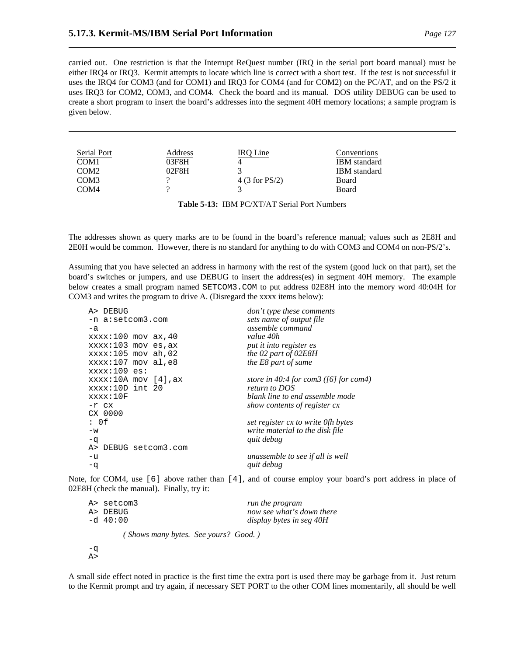carried out. One restriction is that the Interrupt ReQuest number (IRQ in the serial port board manual) must be either IRQ4 or IRQ3. Kermit attempts to locate which line is correct with a short test. If the test is not successful it uses the IRQ4 for COM3 (and for COM1) and IRQ3 for COM4 (and for COM2) on the PC/AT, and on the PS/2 it uses IRQ3 for COM2, COM3, and COM4. Check the board and its manual. DOS utility DEBUG can be used to create a short program to insert the board's addresses into the segment 40H memory locations; a sample program is given below.

| Serial Port      | Address | IRO Line                                     | Conventions         |
|------------------|---------|----------------------------------------------|---------------------|
| COM <sub>1</sub> | 03F8H   |                                              | <b>IBM</b> standard |
| COM <sub>2</sub> | 02F8H   | 2                                            | <b>IBM</b> standard |
| COM3             | റ       | 4 (3 for $PS/2$ )                            | <b>Board</b>        |
| COM <sub>4</sub> |         |                                              | <b>Board</b>        |
|                  |         | Table 5-13: IBM PC/XT/AT Serial Port Numbers |                     |

The addresses shown as query marks are to be found in the board's reference manual; values such as 2E8H and 2E0H would be common. However, there is no standard for anything to do with COM3 and COM4 on non-PS/2's.

Assuming that you have selected an address in harmony with the rest of the system (good luck on that part), set the board's switches or jumpers, and use DEBUG to insert the address(es) in segment 40H memory. The example below creates a small program named SETCOM3.COM to put address 02E8H into the memory word 40:04H for COM3 and writes the program to drive A. (Disregard the xxxx items below):

| A> DEBUG               | don't type these comments                |
|------------------------|------------------------------------------|
| -n a:setcom3.com       | sets name of output file                 |
| $-a$                   | assemble command                         |
| $xxxx:100$ mov $ax,40$ | value 40h                                |
| $xxxx:103$ mov es, ax  | put it into register es                  |
| $xxxx:105$ mov ah, 02  | the 02 part of 02E8H                     |
| $xxxx:107$ mov al, e8  | the E8 part of same                      |
| $xxxx:109$ es:         |                                          |
| $xxxx:10A$ mov [4], ax | store in 40:4 for com3 ( $[6]$ for com4) |
| xxxx:10D int 20        | return to DOS                            |
| xxxx:10F               | blank line to end assemble mode          |
| $-r$ $cx$              | show contents of register cx             |
| CX 0000                |                                          |
| : 0f                   | set register cx to write Ofh bytes       |
| $-w$                   | write material to the disk file          |
| $-q$                   | quit debug                               |
| A> DEBUG setcom3.com   |                                          |
| $-u$                   | unassemble to see if all is well         |
| $-q$                   | quit debug                               |
|                        |                                          |

Note, for COM4, use [6] above rather than [4], and of course employ your board's port address in place of 02E8H (check the manual). Finally, try it:

| A> setcom3 | run the program           |
|------------|---------------------------|
| A> DEBUG   | now see what's down there |
| -d 40:00   | display bytes in seg 40H  |
|            |                           |

*( Shows many bytes. See yours? Good. )*

-q  $A>$ 

A small side effect noted in practice is the first time the extra port is used there may be garbage from it. Just return to the Kermit prompt and try again, if necessary SET PORT to the other COM lines momentarily, all should be well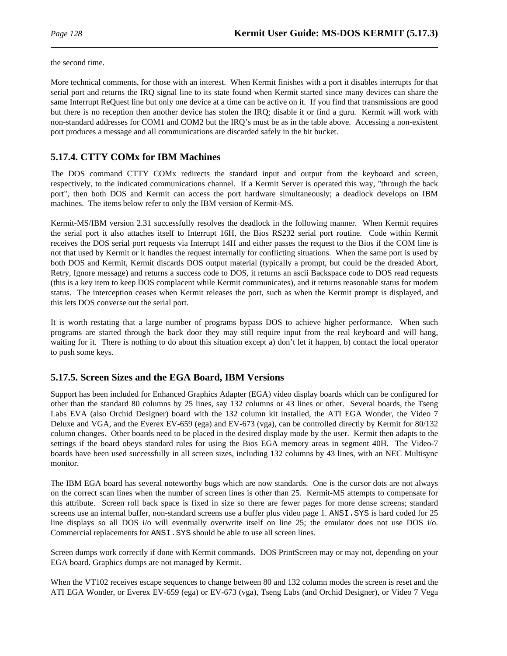the second time.

More technical comments, for those with an interest. When Kermit finishes with a port it disables interrupts for that serial port and returns the IRQ signal line to its state found when Kermit started since many devices can share the same Interrupt ReQuest line but only one device at a time can be active on it. If you find that transmissions are good but there is no reception then another device has stolen the IRQ; disable it or find a guru. Kermit will work with non-standard addresses for COM1 and COM2 but the IRQ's must be as in the table above. Accessing a non-existent port produces a message and all communications are discarded safely in the bit bucket.

## **5.17.4. CTTY COMx for IBM Machines**

The DOS command CTTY COMx redirects the standard input and output from the keyboard and screen, respectively, to the indicated communications channel. If a Kermit Server is operated this way, "through the back port", then both DOS and Kermit can access the port hardware simultaneously; a deadlock develops on IBM machines. The items below refer to only the IBM version of Kermit-MS.

Kermit-MS/IBM version 2.31 successfully resolves the deadlock in the following manner. When Kermit requires the serial port it also attaches itself to Interrupt 16H, the Bios RS232 serial port routine. Code within Kermit receives the DOS serial port requests via Interrupt 14H and either passes the request to the Bios if the COM line is not that used by Kermit or it handles the request internally for conflicting situations. When the same port is used by both DOS and Kermit, Kermit discards DOS output material (typically a prompt, but could be the dreaded Abort, Retry, Ignore message) and returns a success code to DOS, it returns an ascii Backspace code to DOS read requests (this is a key item to keep DOS complacent while Kermit communicates), and it returns reasonable status for modem status. The interception ceases when Kermit releases the port, such as when the Kermit prompt is displayed, and this lets DOS converse out the serial port.

It is worth restating that a large number of programs bypass DOS to achieve higher performance. When such programs are started through the back door they may still require input from the real keyboard and will hang, waiting for it. There is nothing to do about this situation except a) don't let it happen, b) contact the local operator to push some keys.

## **5.17.5. Screen Sizes and the EGA Board, IBM Versions**

Support has been included for Enhanced Graphics Adapter (EGA) video display boards which can be configured for other than the standard 80 columns by 25 lines, say 132 columns or 43 lines or other. Several boards, the Tseng Labs EVA (also Orchid Designer) board with the 132 column kit installed, the ATI EGA Wonder, the Video 7 Deluxe and VGA, and the Everex EV-659 (ega) and EV-673 (vga), can be controlled directly by Kermit for 80/132 column changes. Other boards need to be placed in the desired display mode by the user. Kermit then adapts to the settings if the board obeys standard rules for using the Bios EGA memory areas in segment 40H. The Video-7 boards have been used successfully in all screen sizes, including 132 columns by 43 lines, with an NEC Multisync monitor.

The IBM EGA board has several noteworthy bugs which are now standards. One is the cursor dots are not always on the correct scan lines when the number of screen lines is other than 25. Kermit-MS attempts to compensate for this attribute. Screen roll back space is fixed in size so there are fewer pages for more dense screens; standard screens use an internal buffer, non-standard screens use a buffer plus video page 1. ANSI. SYS is hard coded for 25 line displays so all DOS i/o will eventually overwrite itself on line 25; the emulator does not use DOS i/o. Commercial replacements for ANSI. SYS should be able to use all screen lines.

Screen dumps work correctly if done with Kermit commands. DOS PrintScreen may or may not, depending on your EGA board. Graphics dumps are not managed by Kermit.

When the VT102 receives escape sequences to change between 80 and 132 column modes the screen is reset and the ATI EGA Wonder, or Everex EV-659 (ega) or EV-673 (vga), Tseng Labs (and Orchid Designer), or Video 7 Vega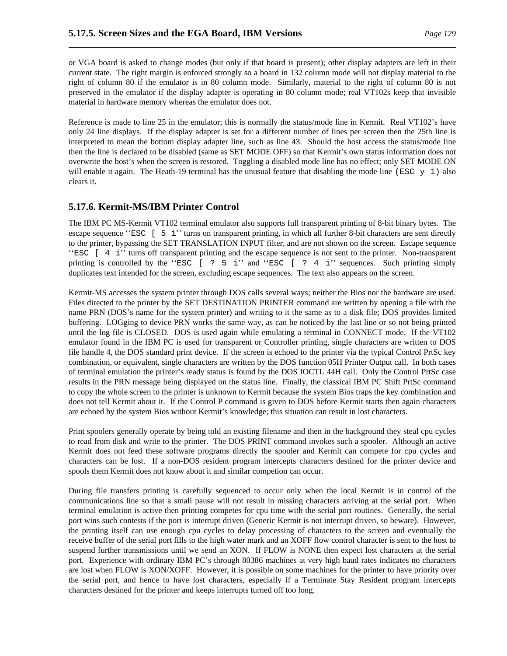or VGA board is asked to change modes (but only if that board is present); other display adapters are left in their current state. The right margin is enforced strongly so a board in 132 column mode will not display material to the right of column 80 if the emulator is in 80 column mode. Similarly, material to the right of column 80 is not preserved in the emulator if the display adapter is operating in 80 column mode; real VT102s keep that invisible material in hardware memory whereas the emulator does not.

Reference is made to line 25 in the emulator; this is normally the status/mode line in Kermit. Real VT102's have only 24 line displays. If the display adapter is set for a different number of lines per screen then the 25th line is interpreted to mean the bottom display adapter line, such as line 43. Should the host access the status/mode line then the line is declared to be disabled (same as SET MODE OFF) so that Kermit's own status information does not overwrite the host's when the screen is restored. Toggling a disabled mode line has no effect; only SET MODE ON will enable it again. The Heath-19 terminal has the unusual feature that disabling the mode line (ESC  $\gamma$  1) also clears it.

## **5.17.6. Kermit-MS/IBM Printer Control**

The IBM PC MS-Kermit VT102 terminal emulator also supports full transparent printing of 8-bit binary bytes. The escape sequence ''ESC [ 5 i'' turns on transparent printing, in which all further 8-bit characters are sent directly to the printer, bypassing the SET TRANSLATION INPUT filter, and are not shown on the screen. Escape sequence ''ESC [ 4 i'' turns off transparent printing and the escape sequence is not sent to the printer. Non-transparent printing is controlled by the ''ESC [ ? 5 i'' and ''ESC [ ? 4 i'' sequences. Such printing simply duplicates text intended for the screen, excluding escape sequences. The text also appears on the screen.

Kermit-MS accesses the system printer through DOS calls several ways; neither the Bios nor the hardware are used. Files directed to the printer by the SET DESTINATION PRINTER command are written by opening a file with the name PRN (DOS's name for the system printer) and writing to it the same as to a disk file; DOS provides limited buffering. LOGging to device PRN works the same way, as can be noticed by the last line or so not being printed until the log file is CLOSED. DOS is used again while emulating a terminal in CONNECT mode. If the VT102 emulator found in the IBM PC is used for transparent or Controller printing, single characters are written to DOS file handle 4, the DOS standard print device. If the screen is echoed to the printer via the typical Control PrtSc key combination, or equivalent, single characters are written by the DOS function 05H Printer Output call. In both cases of terminal emulation the printer's ready status is found by the DOS IOCTL 44H call. Only the Control PrtSc case results in the PRN message being displayed on the status line. Finally, the classical IBM PC Shift PrtSc command to copy the whole screen to the printer is unknown to Kermit because the system Bios traps the key combination and does not tell Kermit about it. If the Control P command is given to DOS before Kermit starts then again characters are echoed by the system Bios without Kermit's knowledge; this situation can result in lost characters.

Print spoolers generally operate by being told an existing filename and then in the background they steal cpu cycles to read from disk and write to the printer. The DOS PRINT command invokes such a spooler. Although an active Kermit does not feed these software programs directly the spooler and Kermit can compete for cpu cycles and characters can be lost. If a non-DOS resident program intercepts characters destined for the printer device and spools them Kermit does not know about it and similar competion can occur.

During file transfers printing is carefully sequenced to occur only when the local Kermit is in control of the communications line so that a small pause will not result in missing characters arriving at the serial port. When terminal emulation is active then printing competes for cpu time with the serial port routines. Generally, the serial port wins such contests if the port is interrupt driven (Generic Kermit is not interrupt driven, so beware). However, the printing itself can use enough cpu cycles to delay processing of characters to the screen and eventually the receive buffer of the serial port fills to the high water mark and an XOFF flow control character is sent to the host to suspend further transmissions until we send an XON. If FLOW is NONE then expect lost characters at the serial port. Experience with ordinary IBM PC's through 80386 machines at very high baud rates indicates no characters are lost when FLOW is XON/XOFF. However, it is possible on some machines for the printer to have priority over the serial port, and hence to have lost characters, especially if a Terminate Stay Resident program intercepts characters destined for the printer and keeps interrupts turned off too long.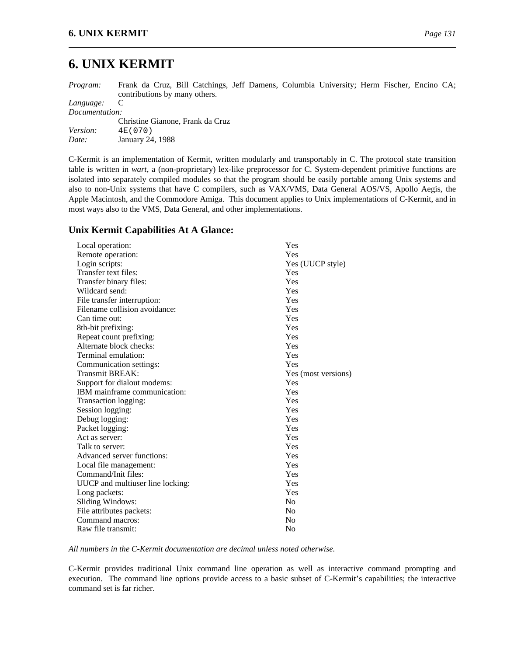# **6. UNIX KERMIT**

*Program:* Frank da Cruz, Bill Catchings, Jeff Damens, Columbia University; Herm Fischer, Encino CA; contributions by many others.

*Language:* C

*Documentation:*

|                 | Christine Gianone, Frank da Cruz |
|-----------------|----------------------------------|
| <i>Version:</i> | 4E (070)                         |
| Date:           | January 24, 1988                 |

C-Kermit is an implementation of Kermit, written modularly and transportably in C. The protocol state transition table is written in *wart*, a (non-proprietary) lex-like preprocessor for C. System-dependent primitive functions are isolated into separately compiled modules so that the program should be easily portable among Unix systems and also to non-Unix systems that have C compilers, such as VAX/VMS, Data General AOS/VS, Apollo Aegis, the Apple Macintosh, and the Commodore Amiga. This document applies to Unix implementations of C-Kermit, and in most ways also to the VMS, Data General, and other implementations.

## **Unix Kermit Capabilities At A Glance:**

| Local operation:                 | Yes                 |
|----------------------------------|---------------------|
| Remote operation:                | Yes                 |
| Login scripts:                   | Yes (UUCP style)    |
| Transfer text files:             | Yes                 |
| Transfer binary files:           | Yes                 |
| Wildcard send:                   | Yes                 |
| File transfer interruption:      | Yes                 |
| Filename collision avoidance:    | Yes                 |
| Can time out:                    | Yes                 |
| 8th-bit prefixing:               | Yes                 |
| Repeat count prefixing:          | Yes                 |
| Alternate block checks:          | Yes                 |
| Terminal emulation:              | Yes                 |
| Communication settings:          | Yes                 |
| Transmit BREAK:                  | Yes (most versions) |
| Support for dialout modems:      | Yes                 |
| IBM mainframe communication:     | Yes                 |
| Transaction logging:             | Yes                 |
| Session logging:                 | Yes                 |
| Debug logging:                   | Yes                 |
| Packet logging:                  | Yes                 |
| Act as server:                   | Yes                 |
| Talk to server:                  | Yes                 |
| Advanced server functions:       | Yes                 |
| Local file management:           | Yes                 |
| Command/Init files:              | Yes                 |
| UUCP and multiuser line locking: | Yes                 |
| Long packets:                    | Yes                 |
| Sliding Windows:                 | N <sub>0</sub>      |
| File attributes packets:         | N <sub>0</sub>      |
| Command macros:                  | No                  |
| Raw file transmit:               | N <sub>0</sub>      |

*All numbers in the C-Kermit documentation are decimal unless noted otherwise.*

C-Kermit provides traditional Unix command line operation as well as interactive command prompting and execution. The command line options provide access to a basic subset of C-Kermit's capabilities; the interactive command set is far richer.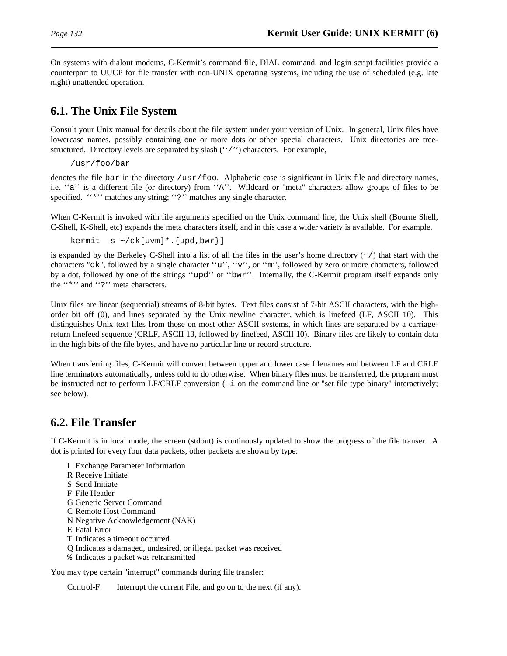On systems with dialout modems, C-Kermit's command file, DIAL command, and login script facilities provide a counterpart to UUCP for file transfer with non-UNIX operating systems, including the use of scheduled (e.g. late night) unattended operation.

# **6.1. The Unix File System**

Consult your Unix manual for details about the file system under your version of Unix. In general, Unix files have lowercase names, possibly containing one or more dots or other special characters. Unix directories are treestructured. Directory levels are separated by slash ("/") characters. For example,

/usr/foo/bar

denotes the file bar in the directory /usr/foo. Alphabetic case is significant in Unix file and directory names, i.e. ''a'' is a different file (or directory) from ''A''. Wildcard or "meta" characters allow groups of files to be specified. "\*" matches any string; "?" matches any single character.

When C-Kermit is invoked with file arguments specified on the Unix command line, the Unix shell (Bourne Shell, C-Shell, K-Shell, etc) expands the meta characters itself, and in this case a wider variety is available. For example,

kermit  $-s \sim /ck[uvw]$ \*.  $\{upd, bwr\}]$ 

is expanded by the Berkeley C-Shell into a list of all the files in the user's home directory  $(\sim)$  that start with the characters "ck", followed by a single character ''u'', ''v'', or ''m'', followed by zero or more characters, followed by a dot, followed by one of the strings ''upd'' or ''bwr''. Internally, the C-Kermit program itself expands only the "\*" and "?" meta characters.

Unix files are linear (sequential) streams of 8-bit bytes. Text files consist of 7-bit ASCII characters, with the highorder bit off (0), and lines separated by the Unix newline character, which is linefeed (LF, ASCII 10). This distinguishes Unix text files from those on most other ASCII systems, in which lines are separated by a carriagereturn linefeed sequence (CRLF, ASCII 13, followed by linefeed, ASCII 10). Binary files are likely to contain data in the high bits of the file bytes, and have no particular line or record structure.

When transferring files, C-Kermit will convert between upper and lower case filenames and between LF and CRLF line terminators automatically, unless told to do otherwise. When binary files must be transferred, the program must be instructed not to perform LF/CRLF conversion (-i on the command line or "set file type binary" interactively; see below).

# **6.2. File Transfer**

If C-Kermit is in local mode, the screen (stdout) is continously updated to show the progress of the file transer. A dot is printed for every four data packets, other packets are shown by type:

- I Exchange Parameter Information
- R Receive Initiate
- S Send Initiate
- F File Header
- G Generic Server Command
- C Remote Host Command
- N Negative Acknowledgement (NAK)
- E Fatal Error
- T Indicates a timeout occurred
- Q Indicates a damaged, undesired, or illegal packet was received
- % Indicates a packet was retransmitted

You may type certain "interrupt" commands during file transfer:

Control-F: Interrupt the current File, and go on to the next (if any).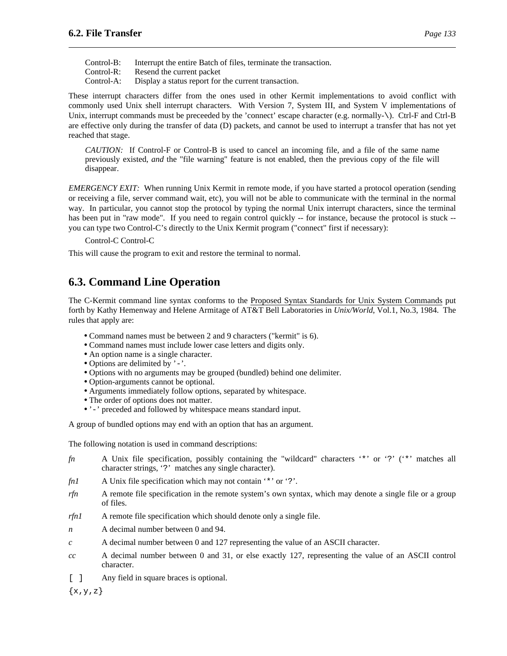| Control-B: | Interrupt the entire Batch of files, terminate the transaction. |
|------------|-----------------------------------------------------------------|
| Control-R: | Resend the current packet                                       |

Control-A: Display a status report for the current transaction.

These interrupt characters differ from the ones used in other Kermit implementations to avoid conflict with commonly used Unix shell interrupt characters. With Version 7, System III, and System V implementations of Unix, interrupt commands must be preceeded by the 'connect' escape character (e.g. normally-\). Ctrl-F and Ctrl-B are effective only during the transfer of data (D) packets, and cannot be used to interrupt a transfer that has not yet reached that stage.

*CAUTION:* If Control-F or Control-B is used to cancel an incoming file, and a file of the same name previously existed, *and* the "file warning" feature is not enabled, then the previous copy of the file will disappear.

*EMERGENCY EXIT:* When running Unix Kermit in remote mode, if you have started a protocol operation (sending or receiving a file, server command wait, etc), you will not be able to communicate with the terminal in the normal way. In particular, you cannot stop the protocol by typing the normal Unix interrupt characters, since the terminal has been put in "raw mode". If you need to regain control quickly -- for instance, because the protocol is stuck -you can type two Control-C's directly to the Unix Kermit program ("connect" first if necessary):

Control-C Control-C

This will cause the program to exit and restore the terminal to normal.

# **6.3. Command Line Operation**

The C-Kermit command line syntax conforms to the Proposed Syntax Standards for Unix System Commands put forth by Kathy Hemenway and Helene Armitage of AT&T Bell Laboratories in *Unix/World*, Vol.1, No.3, 1984. The rules that apply are:

- Command names must be between 2 and 9 characters ("kermit" is 6).
- Command names must include lower case letters and digits only.
- An option name is a single character.
- Options are delimited by '-'.
- Options with no arguments may be grouped (bundled) behind one delimiter.
- Option-arguments cannot be optional.
- Arguments immediately follow options, separated by whitespace.
- The order of options does not matter.
- '-' preceded and followed by whitespace means standard input.

A group of bundled options may end with an option that has an argument.

The following notation is used in command descriptions:

- *fn* A Unix file specification, possibly containing the "wildcard" characters '\*' or '?' ('\*' matches all character strings, '?' matches any single character).
- *fn1* A Unix file specification which may not contain '\*' or '?'.
- *rfn* A remote file specification in the remote system's own syntax, which may denote a single file or a group of files.
- *rfn1* A remote file specification which should denote only a single file.
- *n* A decimal number between 0 and 94.
- *c* A decimal number between 0 and 127 representing the value of an ASCII character.
- *cc* A decimal number between 0 and 31, or else exactly 127, representing the value of an ASCII control character.
- [ ] Any field in square braces is optional.

 $\{x,y,z\}$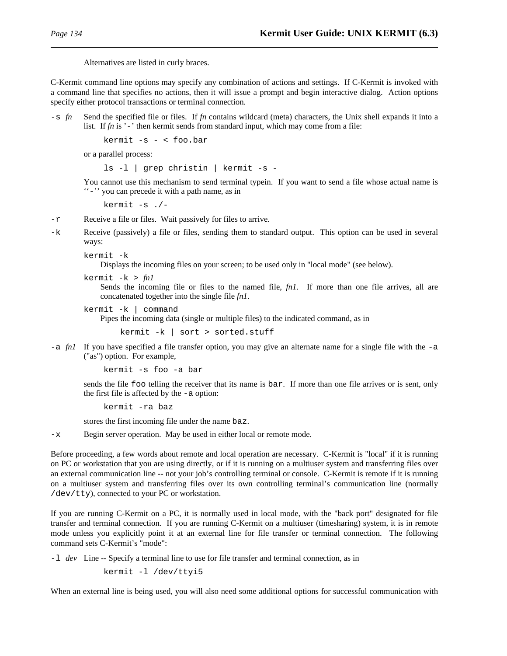Alternatives are listed in curly braces.

C-Kermit command line options may specify any combination of actions and settings. If C-Kermit is invoked with a command line that specifies no actions, then it will issue a prompt and begin interactive dialog. Action options specify either protocol transactions or terminal connection.

-s *fn* Send the specified file or files. If *fn* contains wildcard (meta) characters, the Unix shell expands it into a list. If *fn* is '-' then kermit sends from standard input, which may come from a file:

```
kermit -s - < foo.bar
```
or a parallel process:

ls -l | grep christin | kermit -s -

You cannot use this mechanism to send terminal typein. If you want to send a file whose actual name is ''-'' you can precede it with a path name, as in

kermit -s ./-

- -r Receive a file or files. Wait passively for files to arrive.
- -k Receive (passively) a file or files, sending them to standard output. This option can be used in several ways:

```
kermit -k
```
Displays the incoming files on your screen; to be used only in "local mode" (see below).

kermit -k > *fn1*

Sends the incoming file or files to the named file, *fn1*. If more than one file arrives, all are concatenated together into the single file *fn1*.

```
kermit -k | command
```
Pipes the incoming data (single or multiple files) to the indicated command, as in

kermit -k | sort > sorted.stuff

 $-a$  *fn1* If you have specified a file transfer option, you may give an alternate name for a single file with the  $-a$ ("as") option. For example,

kermit -s foo -a bar

sends the file foo telling the receiver that its name is bar. If more than one file arrives or is sent, only the first file is affected by the -a option:

kermit -ra baz

stores the first incoming file under the name baz.

-x Begin server operation. May be used in either local or remote mode.

Before proceeding, a few words about remote and local operation are necessary. C-Kermit is "local" if it is running on PC or workstation that you are using directly, or if it is running on a multiuser system and transferring files over an external communication line -- not your job's controlling terminal or console. C-Kermit is remote if it is running on a multiuser system and transferring files over its own controlling terminal's communication line (normally /dev/tty), connected to your PC or workstation.

If you are running C-Kermit on a PC, it is normally used in local mode, with the "back port" designated for file transfer and terminal connection. If you are running C-Kermit on a multiuser (timesharing) system, it is in remote mode unless you explicitly point it at an external line for file transfer or terminal connection. The following command sets C-Kermit's "mode":

-l *dev* Line -- Specify a terminal line to use for file transfer and terminal connection, as in

kermit -l /dev/ttyi5

When an external line is being used, you will also need some additional options for successful communication with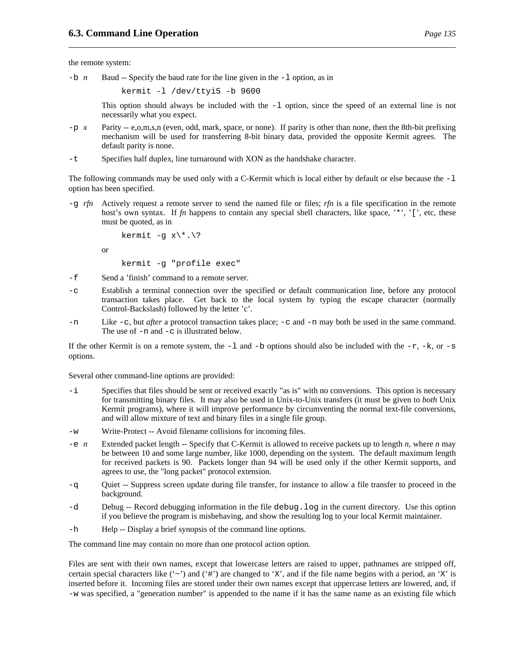the remote system:

or

 $-b$  *n* Baud -- Specify the baud rate for the line given in the  $-1$  option, as in

kermit -l /dev/ttyi5 -b 9600

This option should always be included with the  $-1$  option, since the speed of an external line is not necessarily what you expect.

- -p *x* Parity -- e,o,m,s,n (even, odd, mark, space, or none). If parity is other than none, then the 8th-bit prefixing mechanism will be used for transferring 8-bit binary data, provided the opposite Kermit agrees. The default parity is none.
- -t Specifies half duplex, line turnaround with XON as the handshake character.

The following commands may be used only with a C-Kermit which is local either by default or else because the  $-1$ option has been specified.

-g *rfn* Actively request a remote server to send the named file or files; *rfn* is a file specification in the remote host's own syntax. If *fn* happens to contain any special shell characters, like space, '\*', '[', etc, these must be quoted, as in

```
kermit -g x \rightarrow x.
kermit -g "profile exec"
```
- -f Send a 'finish' command to a remote server.
- -c Establish a terminal connection over the specified or default communication line, before any protocol transaction takes place. Get back to the local system by typing the escape character (normally Control-Backslash) followed by the letter 'c'.
- -n Like -c, but *after* a protocol transaction takes place; -c and -n may both be used in the same command. The use of -n and -c is illustrated below.

If the other Kermit is on a remote system, the  $-1$  and  $-$ b options should also be included with the  $-r$ ,  $-k$ , or  $-s$ options.

Several other command-line options are provided:

- -i Specifies that files should be sent or received exactly "as is" with no conversions. This option is necessary for transmitting binary files. It may also be used in Unix-to-Unix transfers (it must be given to *both* Unix Kermit programs), where it will improve performance by circumventing the normal text-file conversions, and will allow mixture of text and binary files in a single file group.
- -w Write-Protect -- Avoid filename collisions for incoming files.
- -e *n* Extended packet length -- Specify that C-Kermit is allowed to receive packets up to length *n*, where *n* may be between 10 and some large number, like 1000, depending on the system. The default maximum length for received packets is 90. Packets longer than 94 will be used only if the other Kermit supports, and agrees to use, the "long packet" protocol extension.
- -q Quiet -- Suppress screen update during file transfer, for instance to allow a file transfer to proceed in the background.
- -d Debug -- Record debugging information in the file debug.log in the current directory. Use this option if you believe the program is misbehaving, and show the resulting log to your local Kermit maintainer.
- -h Help -- Display a brief synopsis of the command line options.

The command line may contain no more than one protocol action option.

Files are sent with their own names, except that lowercase letters are raised to upper, pathnames are stripped off, certain special characters like  $(\sim)$  and  $(\#')$  are changed to 'X', and if the file name begins with a period, an 'X' is inserted before it. Incoming files are stored under their own names except that uppercase letters are lowered, and, if -w was specified, a "generation number" is appended to the name if it has the same name as an existing file which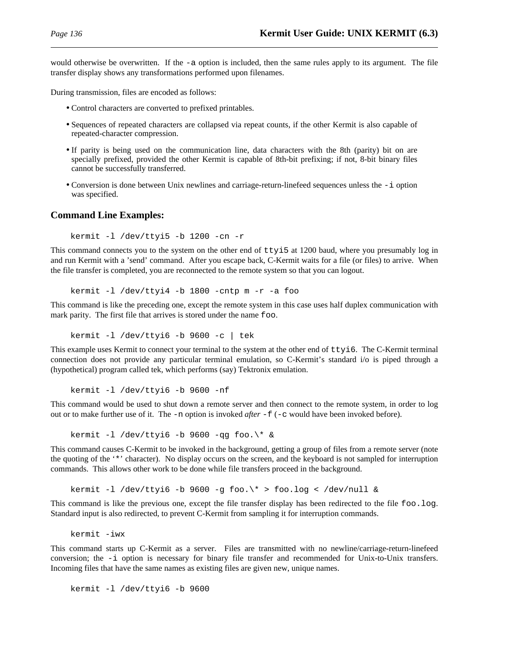would otherwise be overwritten. If the -a option is included, then the same rules apply to its argument. The file transfer display shows any transformations performed upon filenames.

During transmission, files are encoded as follows:

- Control characters are converted to prefixed printables.
- Sequences of repeated characters are collapsed via repeat counts, if the other Kermit is also capable of repeated-character compression.
- If parity is being used on the communication line, data characters with the 8th (parity) bit on are specially prefixed, provided the other Kermit is capable of 8th-bit prefixing; if not, 8-bit binary files cannot be successfully transferred.
- Conversion is done between Unix newlines and carriage-return-linefeed sequences unless the -i option was specified.

#### **Command Line Examples:**

kermit -l /dev/ttyi5 -b 1200 -cn -r

This command connects you to the system on the other end of ttyi5 at 1200 baud, where you presumably log in and run Kermit with a 'send' command. After you escape back, C-Kermit waits for a file (or files) to arrive. When the file transfer is completed, you are reconnected to the remote system so that you can logout.

kermit -l /dev/ttyi4 -b 1800 -cntp m -r -a foo

This command is like the preceding one, except the remote system in this case uses half duplex communication with mark parity. The first file that arrives is stored under the name foo.

kermit -l /dev/ttyi6 -b 9600 -c | tek

This example uses Kermit to connect your terminal to the system at the other end of  $ttyi6$ . The C-Kermit terminal connection does not provide any particular terminal emulation, so C-Kermit's standard i/o is piped through a (hypothetical) program called tek, which performs (say) Tektronix emulation.

kermit -l /dev/ttyi6 -b 9600 -nf

This command would be used to shut down a remote server and then connect to the remote system, in order to log out or to make further use of it. The -n option is invoked *after* -f (-c would have been invoked before).

kermit  $-1$  /dev/ttyi6  $-b$  9600  $-aq$  foo. $\$ \* &

This command causes C-Kermit to be invoked in the background, getting a group of files from a remote server (note the quoting of the '\*' character). No display occurs on the screen, and the keyboard is not sampled for interruption commands. This allows other work to be done while file transfers proceed in the background.

kermit -l /dev/ttyi6 -b 9600 -q foo.\\* > foo.log < /dev/null &

This command is like the previous one, except the file transfer display has been redirected to the file foo.log. Standard input is also redirected, to prevent C-Kermit from sampling it for interruption commands.

kermit -iwx

This command starts up C-Kermit as a server. Files are transmitted with no newline/carriage-return-linefeed conversion; the -i option is necessary for binary file transfer and recommended for Unix-to-Unix transfers. Incoming files that have the same names as existing files are given new, unique names.

kermit -l /dev/ttyi6 -b 9600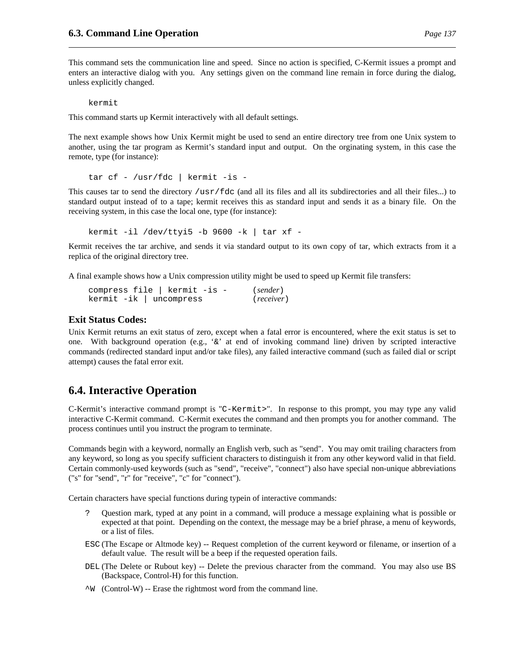This command sets the communication line and speed. Since no action is specified, C-Kermit issues a prompt and enters an interactive dialog with you. Any settings given on the command line remain in force during the dialog, unless explicitly changed.

kermit

This command starts up Kermit interactively with all default settings.

The next example shows how Unix Kermit might be used to send an entire directory tree from one Unix system to another, using the tar program as Kermit's standard input and output. On the orginating system, in this case the remote, type (for instance):

```
tar cf - /usr/fdc | kermit -is -
```
This causes tar to send the directory /usr/fdc (and all its files and all its subdirectories and all their files...) to standard output instead of to a tape; kermit receives this as standard input and sends it as a binary file. On the receiving system, in this case the local one, type (for instance):

kermit -il /dev/ttyi5 -b 9600 -k | tar xf -

Kermit receives the tar archive, and sends it via standard output to its own copy of tar, which extracts from it a replica of the original directory tree.

A final example shows how a Unix compression utility might be used to speed up Kermit file transfers:

compress file | kermit -is - (*sender*) kermit -ik | uncompress (*receiver*)

#### **Exit Status Codes:**

Unix Kermit returns an exit status of zero, except when a fatal error is encountered, where the exit status is set to one. With background operation (e.g., ' $\&$ ' at end of invoking command line) driven by scripted interactive commands (redirected standard input and/or take files), any failed interactive command (such as failed dial or script attempt) causes the fatal error exit.

# **6.4. Interactive Operation**

C-Kermit's interactive command prompt is "C-Kermit>". In response to this prompt, you may type any valid interactive C-Kermit command. C-Kermit executes the command and then prompts you for another command. The process continues until you instruct the program to terminate.

Commands begin with a keyword, normally an English verb, such as "send". You may omit trailing characters from any keyword, so long as you specify sufficient characters to distinguish it from any other keyword valid in that field. Certain commonly-used keywords (such as "send", "receive", "connect") also have special non-unique abbreviations ("s" for "send", "r" for "receive", "c" for "connect").

Certain characters have special functions during typein of interactive commands:

- ? Question mark, typed at any point in a command, will produce a message explaining what is possible or expected at that point. Depending on the context, the message may be a brief phrase, a menu of keywords, or a list of files.
- ESC (The Escape or Altmode key) -- Request completion of the current keyword or filename, or insertion of a default value. The result will be a beep if the requested operation fails.
- DEL (The Delete or Rubout key) -- Delete the previous character from the command. You may also use BS (Backspace, Control-H) for this function.
- $\sim$ W (Control-W) -- Erase the rightmost word from the command line.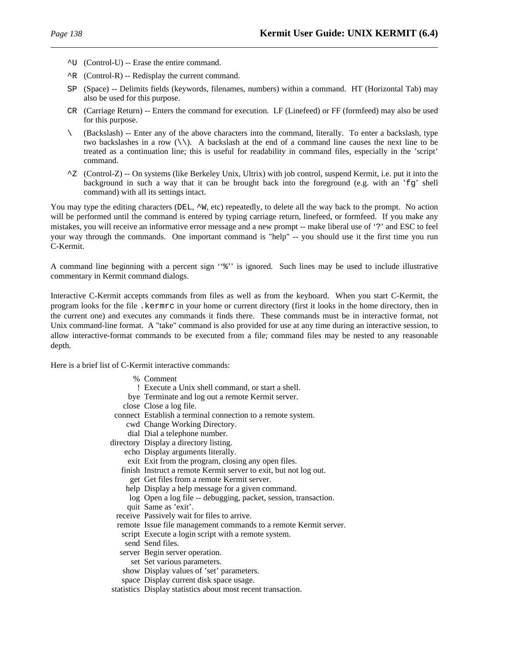- ^U (Control-U) -- Erase the entire command.
- $\hat{R}$  (Control-R) -- Redisplay the current command.
- SP (Space) -- Delimits fields (keywords, filenames, numbers) within a command. HT (Horizontal Tab) may also be used for this purpose.
- CR (Carriage Return) -- Enters the command for execution. LF (Linefeed) or FF (formfeed) may also be used for this purpose.
- \ (Backslash) -- Enter any of the above characters into the command, literally. To enter a backslash, type two backslashes in a row  $(\setminus)$ . A backslash at the end of a command line causes the next line to be treated as a continuation line; this is useful for readability in command files, especially in the 'script' command.
- ^Z (Control-Z) -- On systems (like Berkeley Unix, Ultrix) with job control, suspend Kermit, i.e. put it into the background in such a way that it can be brought back into the foreground (e.g. with an 'fg' shell command) with all its settings intact.

You may type the editing characters (DEL,  $^{\wedge}W$ , etc) repeatedly, to delete all the way back to the prompt. No action will be performed until the command is entered by typing carriage return, linefeed, or formfeed. If you make any mistakes, you will receive an informative error message and a new prompt -- make liberal use of '?' and ESC to feel your way through the commands. One important command is "help" -- you should use it the first time you run C-Kermit.

A command line beginning with a percent sign ''%'' is ignored. Such lines may be used to include illustrative commentary in Kermit command dialogs.

Interactive C-Kermit accepts commands from files as well as from the keyboard. When you start C-Kermit, the program looks for the file .kermrc in your home or current directory (first it looks in the home directory, then in the current one) and executes any commands it finds there. These commands must be in interactive format, not Unix command-line format. A "take" command is also provided for use at any time during an interactive session, to allow interactive-format commands to be executed from a file; command files may be nested to any reasonable depth.

Here is a brief list of C-Kermit interactive commands:

- % Comment
- ! Execute a Unix shell command, or start a shell.
- bye Terminate and log out a remote Kermit server.
- close Close a log file.
- connect Establish a terminal connection to a remote system.
	- cwd Change Working Directory.
	- dial Dial a telephone number.
- directory Display a directory listing.
	- echo Display arguments literally.
	- exit Exit from the program, closing any open files.
	- finish Instruct a remote Kermit server to exit, but not log out.
		- get Get files from a remote Kermit server.
	- help Display a help message for a given command.
	- log Open a log file -- debugging, packet, session, transaction.
	- quit Same as 'exit'.
	- receive Passively wait for files to arrive.
	- remote Issue file management commands to a remote Kermit server.
	- script Execute a login script with a remote system.
	- send Send files.
	- server Begin server operation.
		- set Set various parameters.
	- show Display values of 'set' parameters.
	- space Display current disk space usage.
- statistics Display statistics about most recent transaction.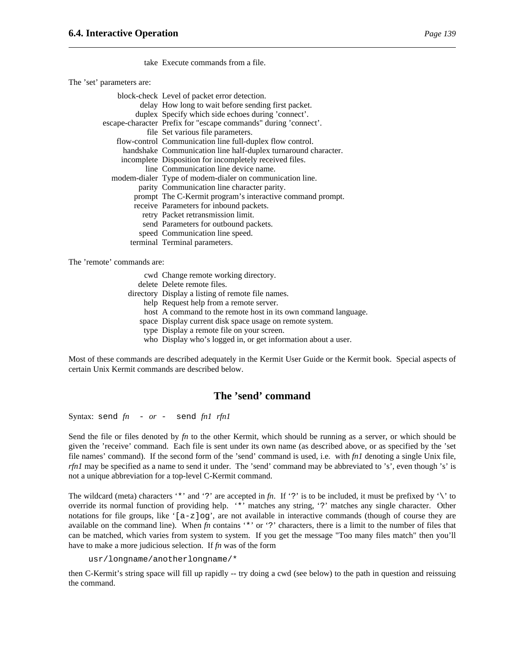take Execute commands from a file.

The 'set' parameters are:

| block-check Level of packet error detection.                    |  |
|-----------------------------------------------------------------|--|
| delay How long to wait before sending first packet.             |  |
| duplex Specify which side echoes during 'connect'.              |  |
| escape-character Prefix for "escape commands" during 'connect'. |  |
| file Set various file parameters.                               |  |
| flow-control Communication line full-duplex flow control.       |  |
| handshake Communication line half-duplex turnaround character.  |  |
| incomplete Disposition for incompletely received files.         |  |
| line Communication line device name.                            |  |
| modem-dialer Type of modem-dialer on communication line.        |  |
| parity Communication line character parity.                     |  |
| prompt The C-Kermit program's interactive command prompt.       |  |
| receive Parameters for inbound packets.                         |  |
| retry Packet retransmission limit.                              |  |
| send Parameters for outbound packets.                           |  |
| speed Communication line speed.                                 |  |
| terminal Terminal parameters.                                   |  |

The 'remote' commands are:

cwd Change remote working directory. delete Delete remote files. directory Display a listing of remote file names. help Request help from a remote server. host A command to the remote host in its own command language. space Display current disk space usage on remote system. type Display a remote file on your screen. who Display who's logged in, or get information about a user.

Most of these commands are described adequately in the Kermit User Guide or the Kermit book. Special aspects of certain Unix Kermit commands are described below.

## **The 'send' command**

Syntax: send *fn* - *or* - send *fn1 rfn1*

Send the file or files denoted by *fn* to the other Kermit, which should be running as a server, or which should be given the 'receive' command. Each file is sent under its own name (as described above, or as specified by the 'set file names' command). If the second form of the 'send' command is used, i.e. with *fn1* denoting a single Unix file, *rfn1* may be specified as a name to send it under. The 'send' command may be abbreviated to 's', even though 's' is not a unique abbreviation for a top-level C-Kermit command.

The wildcard (meta) characters '\*' and '?' are accepted in  $fn$ . If '?' is to be included, it must be prefixed by '\' to override its normal function of providing help. '\*' matches any string, '?' matches any single character. Other notations for file groups, like ' $[a-z]$ og', are not available in interactive commands (though of course they are available on the command line). When  $fn$  contains '\*' or '?' characters, there is a limit to the number of files that can be matched, which varies from system to system. If you get the message "Too many files match" then you'll have to make a more judicious selection. If *fn* was of the form

usr/longname/anotherlongname/\*

then C-Kermit's string space will fill up rapidly -- try doing a cwd (see below) to the path in question and reissuing the command.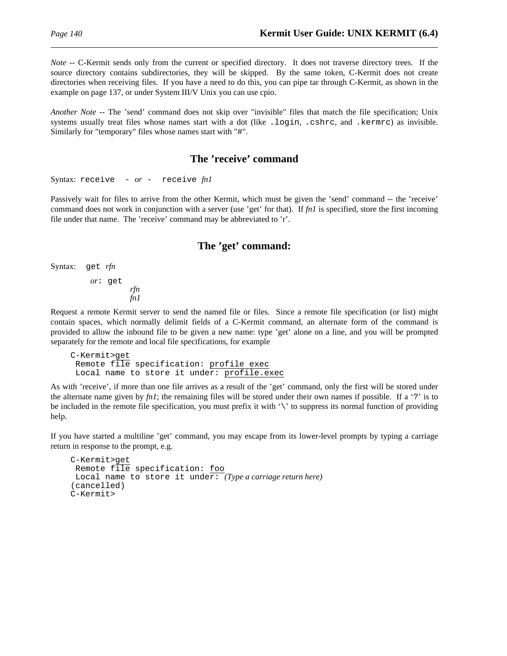*Note* -- C-Kermit sends only from the current or specified directory. It does not traverse directory trees. If the source directory contains subdirectories, they will be skipped. By the same token, C-Kermit does not create directories when receiving files. If you have a need to do this, you can pipe tar through C-Kermit, as shown in the example on page 137, or under System III/V Unix you can use cpio.

*Another Note* -- The 'send' command does not skip over "invisible" files that match the file specification; Unix systems usually treat files whose names start with a dot (like .login, .cshrc, and .kermrc) as invisible. Similarly for "temporary" files whose names start with "#".

### **The 'receive' command**

```
Syntax: receive - or - receive fn1
```
Passively wait for files to arrive from the other Kermit, which must be given the 'send' command -- the 'receive' command does not work in conjunction with a server (use 'get' for that). If *fn1* is specified, store the first incoming file under that name. The 'receive' command may be abbreviated to 'r'.

#### **The 'get' command:**

Syntax: get *rfn*

*or*: get *rfn fn1*

Request a remote Kermit server to send the named file or files. Since a remote file specification (or list) might contain spaces, which normally delimit fields of a C-Kermit command, an alternate form of the command is provided to allow the inbound file to be given a new name: type 'get' alone on a line, and you will be prompted separately for the remote and local file specifications, for example

```
C-Kermit>get
Remote file specification: profile exec
Local name to store it under: profile.exec
```
As with 'receive', if more than one file arrives as a result of the 'get' command, only the first will be stored under the alternate name given by  $fn1$ ; the remaining files will be stored under their own names if possible. If a '?' is to be included in the remote file specification, you must prefix it with '\' to suppress its normal function of providing help.

If you have started a multiline 'get' command, you may escape from its lower-level prompts by typing a carriage return in response to the prompt, e.g.

```
C-Kermit>get
Remote file specification: foo
Local name to store it under: (Type a carriage return here)
(cancelled)
C-Kermit>
```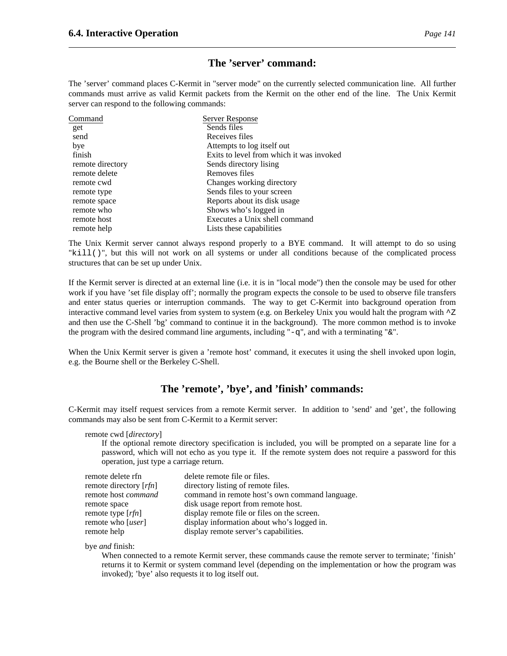## **The 'server' command:**

The 'server' command places C-Kermit in "server mode" on the currently selected communication line. All further commands must arrive as valid Kermit packets from the Kermit on the other end of the line. The Unix Kermit server can respond to the following commands:

| Server Response                          |
|------------------------------------------|
| Sends files                              |
| Receives files                           |
| Attempts to log itself out               |
| Exits to level from which it was invoked |
| Sends directory lising                   |
| Removes files                            |
| Changes working directory                |
| Sends files to your screen               |
| Reports about its disk usage             |
| Shows who's logged in                    |
| Executes a Unix shell command            |
| Lists these capabilities                 |
|                                          |

The Unix Kermit server cannot always respond properly to a BYE command. It will attempt to do so using "kill()", but this will not work on all systems or under all conditions because of the complicated process structures that can be set up under Unix.

If the Kermit server is directed at an external line (i.e. it is in "local mode") then the console may be used for other work if you have 'set file display off'; normally the program expects the console to be used to observe file transfers and enter status queries or interruption commands. The way to get C-Kermit into background operation from interactive command level varies from system to system (e.g. on Berkeley Unix you would halt the program with  $\gamma$ Z and then use the C-Shell 'bg' command to continue it in the background). The more common method is to invoke the program with the desired command line arguments, including "-q", and with a terminating "&".

When the Unix Kermit server is given a 'remote host' command, it executes it using the shell invoked upon login, e.g. the Bourne shell or the Berkeley C-Shell.

## **The 'remote', 'bye', and 'finish' commands:**

C-Kermit may itself request services from a remote Kermit server. In addition to 'send' and 'get', the following commands may also be sent from C-Kermit to a Kermit server:

remote cwd [*directory*]

If the optional remote directory specification is included, you will be prompted on a separate line for a password, which will not echo as you type it. If the remote system does not require a password for this operation, just type a carriage return.

| remote delete rfn               | delete remote file or files.                   |
|---------------------------------|------------------------------------------------|
| remote directory [ <i>rfn</i> ] | directory listing of remote files.             |
| remote host command             | command in remote host's own command language. |
| remote space                    | disk usage report from remote host.            |
| remote type $[rfn]$             | display remote file or files on the screen.    |
| remote who [ <i>user</i> ]      | display information about who's logged in.     |
| remote help                     | display remote server's capabilities.          |

bye *and* finish:

When connected to a remote Kermit server, these commands cause the remote server to terminate; 'finish' returns it to Kermit or system command level (depending on the implementation or how the program was invoked); 'bye' also requests it to log itself out.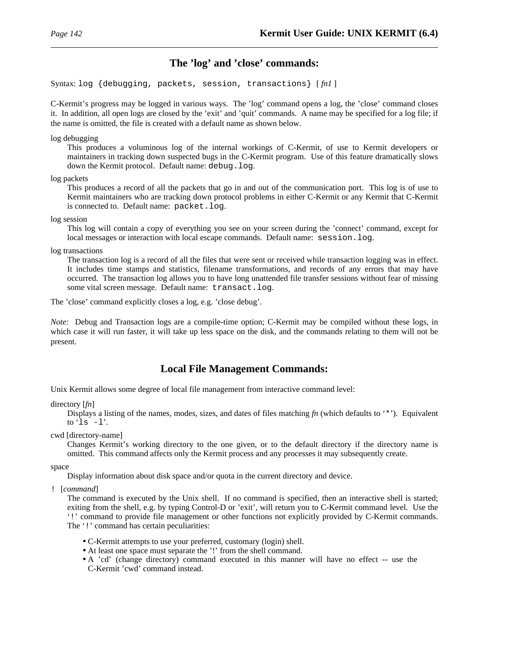## **The 'log' and 'close' commands:**

Syntax: log {debugging, packets, session, transactions} [ *fn1* ]

C-Kermit's progress may be logged in various ways. The 'log' command opens a log, the 'close' command closes it. In addition, all open logs are closed by the 'exit' and 'quit' commands. A name may be specified for a log file; if the name is omitted, the file is created with a default name as shown below.

log debugging

This produces a voluminous log of the internal workings of C-Kermit, of use to Kermit developers or maintainers in tracking down suspected bugs in the C-Kermit program. Use of this feature dramatically slows down the Kermit protocol. Default name: debug.log.

log packets

This produces a record of all the packets that go in and out of the communication port. This log is of use to Kermit maintainers who are tracking down protocol problems in either C-Kermit or any Kermit that C-Kermit is connected to. Default name: packet.log.

log session

This log will contain a copy of everything you see on your screen during the 'connect' command, except for local messages or interaction with local escape commands. Default name: session.log.

log transactions

The transaction log is a record of all the files that were sent or received while transaction logging was in effect. It includes time stamps and statistics, filename transformations, and records of any errors that may have occurred. The transaction log allows you to have long unattended file transfer sessions without fear of missing some vital screen message. Default name: transact.log.

The 'close' command explicitly closes a log, e.g. 'close debug'.

*Note:* Debug and Transaction logs are a compile-time option; C-Kermit may be compiled without these logs, in which case it will run faster, it will take up less space on the disk, and the commands relating to them will not be present.

# **Local File Management Commands:**

Unix Kermit allows some degree of local file management from interactive command level:

#### directory [*fn*]

Displays a listing of the names, modes, sizes, and dates of files matching *fn* (which defaults to '\*'). Equivalent to 'ls  $-1$ '.

#### cwd [directory-name]

Changes Kermit's working directory to the one given, or to the default directory if the directory name is omitted. This command affects only the Kermit process and any processes it may subsequently create.

space

Display information about disk space and/or quota in the current directory and device.

! [*command*]

The command is executed by the Unix shell. If no command is specified, then an interactive shell is started; exiting from the shell, e.g. by typing Control-D or 'exit', will return you to C-Kermit command level. Use the '!' command to provide file management or other functions not explicitly provided by C-Kermit commands. The '!' command has certain peculiarities:

- C-Kermit attempts to use your preferred, customary (login) shell.
- At least one space must separate the '!' from the shell command.
- A 'cd' (change directory) command executed in this manner will have no effect -- use the C-Kermit 'cwd' command instead.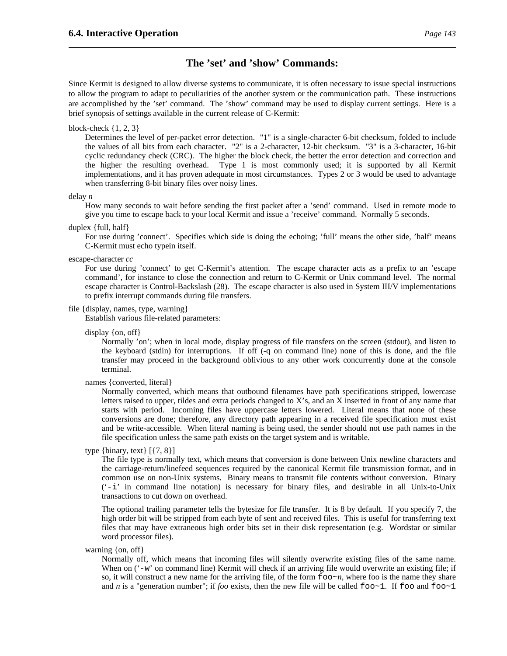### **The 'set' and 'show' Commands:**

Since Kermit is designed to allow diverse systems to communicate, it is often necessary to issue special instructions to allow the program to adapt to peculiarities of the another system or the communication path. These instructions are accomplished by the 'set' command. The 'show' command may be used to display current settings. Here is a brief synopsis of settings available in the current release of C-Kermit:

#### block-check  $\{1, 2, 3\}$

Determines the level of per-packet error detection. "1" is a single-character 6-bit checksum, folded to include the values of all bits from each character. "2" is a 2-character, 12-bit checksum. "3" is a 3-character, 16-bit cyclic redundancy check (CRC). The higher the block check, the better the error detection and correction and the higher the resulting overhead. Type 1 is most commonly used; it is supported by all Kermit implementations, and it has proven adequate in most circumstances. Types 2 or 3 would be used to advantage when transferring 8-bit binary files over noisy lines.

#### delay *n*

How many seconds to wait before sending the first packet after a 'send' command. Used in remote mode to give you time to escape back to your local Kermit and issue a 'receive' command. Normally 5 seconds.

duplex {full, half}

For use during 'connect'. Specifies which side is doing the echoing; 'full' means the other side, 'half' means C-Kermit must echo typein itself.

#### escape-character *cc*

For use during 'connect' to get C-Kermit's attention. The escape character acts as a prefix to an 'escape command', for instance to close the connection and return to C-Kermit or Unix command level. The normal escape character is Control-Backslash (28). The escape character is also used in System III/V implementations to prefix interrupt commands during file transfers.

#### file {display, names, type, warning}

Establish various file-related parameters:

display {on, off}

Normally 'on'; when in local mode, display progress of file transfers on the screen (stdout), and listen to the keyboard (stdin) for interruptions. If off (-q on command line) none of this is done, and the file transfer may proceed in the background oblivious to any other work concurrently done at the console terminal.

```
names {converted, literal}
```
Normally converted, which means that outbound filenames have path specifications stripped, lowercase letters raised to upper, tildes and extra periods changed to X's, and an X inserted in front of any name that starts with period. Incoming files have uppercase letters lowered. Literal means that none of these conversions are done; therefore, any directory path appearing in a received file specification must exist and be write-accessible. When literal naming is being used, the sender should not use path names in the file specification unless the same path exists on the target system and is writable.

```
type {binary, text} [{7, 8}]
```
The file type is normally text, which means that conversion is done between Unix newline characters and the carriage-return/linefeed sequences required by the canonical Kermit file transmission format, and in common use on non-Unix systems. Binary means to transmit file contents without conversion. Binary  $('-i')$  in command line notation) is necessary for binary files, and desirable in all Unix-to-Unix transactions to cut down on overhead.

The optional trailing parameter tells the bytesize for file transfer. It is 8 by default. If you specify 7, the high order bit will be stripped from each byte of sent and received files. This is useful for transferring text files that may have extraneous high order bits set in their disk representation (e.g. Wordstar or similar word processor files).

warning {on, off}

Normally off, which means that incoming files will silently overwrite existing files of the same name. When on  $($ '-w' on command line) Kermit will check if an arriving file would overwrite an existing file; if so, it will construct a new name for the arriving file, of the form  $f \circ \circ \neg n$ , where foo is the name they share and *n* is a "generation number"; if *foo* exists, then the new file will be called  $f \circ \circ \circ \sim 1$ . If  $f \circ \circ \circ \circ \sim 1$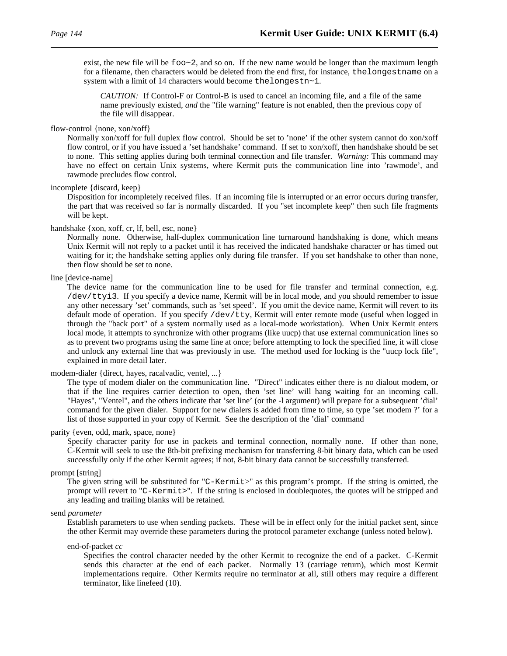exist, the new file will be  $f \circ \circ \sim 2$ , and so on. If the new name would be longer than the maximum length for a filename, then characters would be deleted from the end first, for instance, thelongestname on a system with a limit of 14 characters would become thelongestn~1.

*CAUTION:* If Control-F or Control-B is used to cancel an incoming file, and a file of the same name previously existed, *and* the "file warning" feature is not enabled, then the previous copy of the file will disappear.

#### flow-control {none, xon/xoff}

Normally xon/xoff for full duplex flow control. Should be set to 'none' if the other system cannot do xon/xoff flow control, or if you have issued a 'set handshake' command. If set to xon/xoff, then handshake should be set to none. This setting applies during both terminal connection and file transfer. *Warning:* This command may have no effect on certain Unix systems, where Kermit puts the communication line into 'rawmode', and rawmode precludes flow control.

#### incomplete {discard, keep}

Disposition for incompletely received files. If an incoming file is interrupted or an error occurs during transfer, the part that was received so far is normally discarded. If you "set incomplete keep" then such file fragments will be kept.

### handshake {xon, xoff, cr, lf, bell, esc, none}

Normally none. Otherwise, half-duplex communication line turnaround handshaking is done, which means Unix Kermit will not reply to a packet until it has received the indicated handshake character or has timed out waiting for it; the handshake setting applies only during file transfer. If you set handshake to other than none, then flow should be set to none.

#### line [device-name]

The device name for the communication line to be used for file transfer and terminal connection, e.g. /dev/ttyi3. If you specify a device name, Kermit will be in local mode, and you should remember to issue any other necessary 'set' commands, such as 'set speed'. If you omit the device name, Kermit will revert to its default mode of operation. If you specify /dev/tty, Kermit will enter remote mode (useful when logged in through the "back port" of a system normally used as a local-mode workstation). When Unix Kermit enters local mode, it attempts to synchronize with other programs (like uucp) that use external communication lines so as to prevent two programs using the same line at once; before attempting to lock the specified line, it will close and unlock any external line that was previously in use. The method used for locking is the "uucp lock file", explained in more detail later.

#### modem-dialer {direct, hayes, racalvadic, ventel, ...}

The type of modem dialer on the communication line. "Direct" indicates either there is no dialout modem, or that if the line requires carrier detection to open, then 'set line' will hang waiting for an incoming call. "Hayes", "Ventel", and the others indicate that 'set line' (or the -l argument) will prepare for a subsequent 'dial' command for the given dialer. Support for new dialers is added from time to time, so type 'set modem ?' for a list of those supported in your copy of Kermit. See the description of the 'dial' command

#### parity {even, odd, mark, space, none}

Specify character parity for use in packets and terminal connection, normally none. If other than none, C-Kermit will seek to use the 8th-bit prefixing mechanism for transferring 8-bit binary data, which can be used successfully only if the other Kermit agrees; if not, 8-bit binary data cannot be successfully transferred.

#### prompt [string]

The given string will be substituted for "C-Kermit>" as this program's prompt. If the string is omitted, the prompt will revert to "C-Kermit>". If the string is enclosed in doublequotes, the quotes will be stripped and any leading and trailing blanks will be retained.

#### send *parameter*

Establish parameters to use when sending packets. These will be in effect only for the initial packet sent, since the other Kermit may override these parameters during the protocol parameter exchange (unless noted below).

#### end-of-packet *cc*

Specifies the control character needed by the other Kermit to recognize the end of a packet. C-Kermit sends this character at the end of each packet. Normally 13 (carriage return), which most Kermit implementations require. Other Kermits require no terminator at all, still others may require a different terminator, like linefeed (10).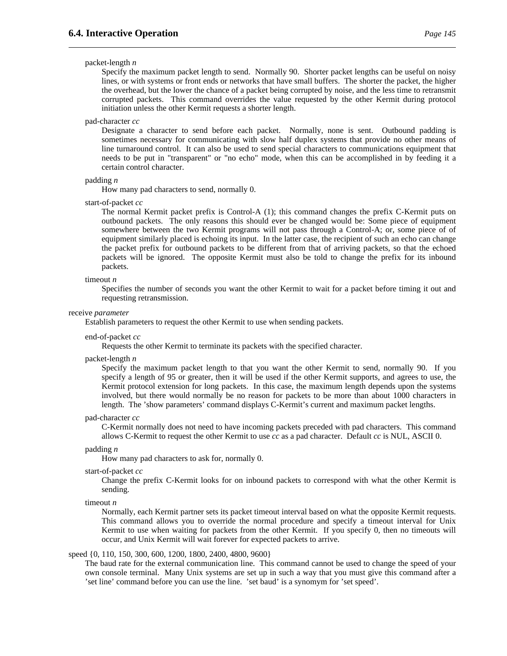#### packet-length *n*

Specify the maximum packet length to send. Normally 90. Shorter packet lengths can be useful on noisy lines, or with systems or front ends or networks that have small buffers. The shorter the packet, the higher the overhead, but the lower the chance of a packet being corrupted by noise, and the less time to retransmit corrupted packets. This command overrides the value requested by the other Kermit during protocol initiation unless the other Kermit requests a shorter length.

#### pad-character *cc*

Designate a character to send before each packet. Normally, none is sent. Outbound padding is sometimes necessary for communicating with slow half duplex systems that provide no other means of line turnaround control. It can also be used to send special characters to communications equipment that needs to be put in "transparent" or "no echo" mode, when this can be accomplished in by feeding it a certain control character.

#### padding *n*

How many pad characters to send, normally 0.

#### start-of-packet *cc*

The normal Kermit packet prefix is Control-A (1); this command changes the prefix C-Kermit puts on outbound packets. The only reasons this should ever be changed would be: Some piece of equipment somewhere between the two Kermit programs will not pass through a Control-A; or, some piece of of equipment similarly placed is echoing its input. In the latter case, the recipient of such an echo can change the packet prefix for outbound packets to be different from that of arriving packets, so that the echoed packets will be ignored. The opposite Kermit must also be told to change the prefix for its inbound packets.

#### timeout *n*

Specifies the number of seconds you want the other Kermit to wait for a packet before timing it out and requesting retransmission.

#### receive *parameter*

Establish parameters to request the other Kermit to use when sending packets.

#### end-of-packet *cc*

Requests the other Kermit to terminate its packets with the specified character.

#### packet-length *n*

Specify the maximum packet length to that you want the other Kermit to send, normally 90. If you specify a length of 95 or greater, then it will be used if the other Kermit supports, and agrees to use, the Kermit protocol extension for long packets. In this case, the maximum length depends upon the systems involved, but there would normally be no reason for packets to be more than about 1000 characters in length. The 'show parameters' command displays C-Kermit's current and maximum packet lengths.

#### pad-character *cc*

C-Kermit normally does not need to have incoming packets preceded with pad characters. This command allows C-Kermit to request the other Kermit to use *cc* as a pad character. Default *cc* is NUL, ASCII 0.

#### padding *n*

How many pad characters to ask for, normally 0.

#### start-of-packet *cc*

Change the prefix C-Kermit looks for on inbound packets to correspond with what the other Kermit is sending.

#### timeout *n*

Normally, each Kermit partner sets its packet timeout interval based on what the opposite Kermit requests. This command allows you to override the normal procedure and specify a timeout interval for Unix Kermit to use when waiting for packets from the other Kermit. If you specify 0, then no timeouts will occur, and Unix Kermit will wait forever for expected packets to arrive.

#### speed {0, 110, 150, 300, 600, 1200, 1800, 2400, 4800, 9600}

The baud rate for the external communication line. This command cannot be used to change the speed of your own console terminal. Many Unix systems are set up in such a way that you must give this command after a 'set line' command before you can use the line. 'set baud' is a synomym for 'set speed'.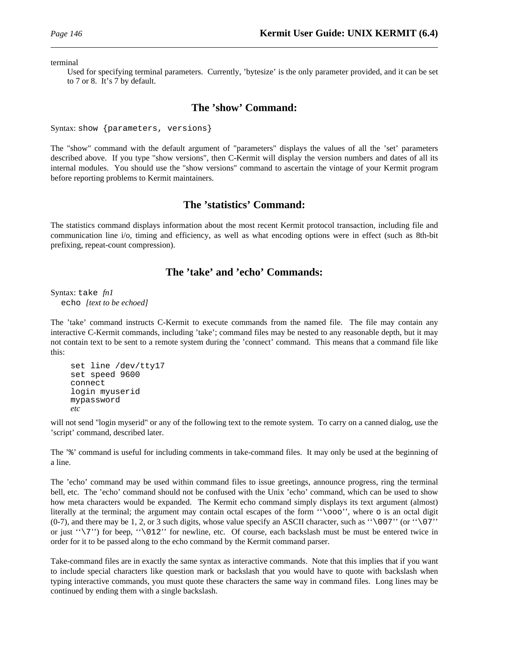terminal

Used for specifying terminal parameters. Currently, 'bytesize' is the only parameter provided, and it can be set to 7 or 8. It's 7 by default.

### **The 'show' Command:**

Syntax: show {parameters, versions}

The "show" command with the default argument of "parameters" displays the values of all the 'set' parameters described above. If you type "show versions", then C-Kermit will display the version numbers and dates of all its internal modules. You should use the "show versions" command to ascertain the vintage of your Kermit program before reporting problems to Kermit maintainers.

### **The 'statistics' Command:**

The statistics command displays information about the most recent Kermit protocol transaction, including file and communication line i/o, timing and efficiency, as well as what encoding options were in effect (such as 8th-bit prefixing, repeat-count compression).

### **The 'take' and 'echo' Commands:**

Syntax: take *fn1* echo *[text to be echoed]*

The 'take' command instructs C-Kermit to execute commands from the named file. The file may contain any interactive C-Kermit commands, including 'take'; command files may be nested to any reasonable depth, but it may not contain text to be sent to a remote system during the 'connect' command. This means that a command file like this:

```
set line /dev/tty17
set speed 9600
connect
login myuserid
mypassword
etc
```
will not send "login myserid" or any of the following text to the remote system. To carry on a canned dialog, use the 'script' command, described later.

The '%' command is useful for including comments in take-command files. It may only be used at the beginning of a line.

The 'echo' command may be used within command files to issue greetings, announce progress, ring the terminal bell, etc. The 'echo' command should not be confused with the Unix 'echo' command, which can be used to show how meta characters would be expanded. The Kermit echo command simply displays its text argument (almost) literally at the terminal; the argument may contain octal escapes of the form ''\ooo'', where o is an octal digit (0-7), and there may be 1, 2, or 3 such digits, whose value specify an ASCII character, such as " $\007$ " (or " $\07$ ") or just ''\7'') for beep, ''\012'' for newline, etc. Of course, each backslash must be must be entered twice in order for it to be passed along to the echo command by the Kermit command parser.

Take-command files are in exactly the same syntax as interactive commands. Note that this implies that if you want to include special characters like question mark or backslash that you would have to quote with backslash when typing interactive commands, you must quote these characters the same way in command files. Long lines may be continued by ending them with a single backslash.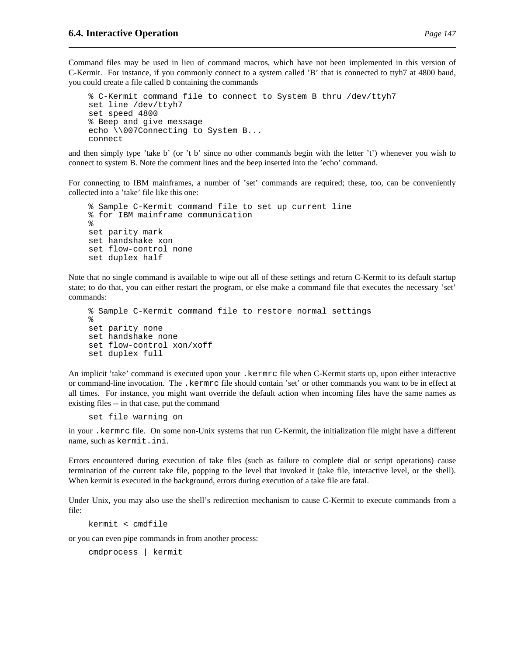Command files may be used in lieu of command macros, which have not been implemented in this version of C-Kermit. For instance, if you commonly connect to a system called 'B' that is connected to ttyh7 at 4800 baud, you could create a file called b containing the commands

```
% C-Kermit command file to connect to System B thru /dev/ttyh7
set line /dev/ttyh7
set speed 4800
% Beep and give message
echo \\007Connecting to System B...
connect
```
and then simply type 'take b' (or 't b' since no other commands begin with the letter 't') whenever you wish to connect to system B. Note the comment lines and the beep inserted into the 'echo' command.

For connecting to IBM mainframes, a number of 'set' commands are required; these, too, can be conveniently collected into a 'take' file like this one:

```
% Sample C-Kermit command file to set up current line
% for IBM mainframe communication
%
set parity mark
set handshake xon
set flow-control none
set duplex half
```
Note that no single command is available to wipe out all of these settings and return C-Kermit to its default startup state; to do that, you can either restart the program, or else make a command file that executes the necessary 'set' commands:

```
% Sample C-Kermit command file to restore normal settings
\epsilonset parity none
set handshake none
set flow-control xon/xoff
set duplex full
```
An implicit 'take' command is executed upon your .kermrc file when C-Kermit starts up, upon either interactive or command-line invocation. The .kermrc file should contain 'set' or other commands you want to be in effect at all times. For instance, you might want override the default action when incoming files have the same names as existing files -- in that case, put the command

set file warning on

in your .kermrc file. On some non-Unix systems that run C-Kermit, the initialization file might have a different name, such as kermit.ini.

Errors encountered during execution of take files (such as failure to complete dial or script operations) cause termination of the current take file, popping to the level that invoked it (take file, interactive level, or the shell). When kermit is executed in the background, errors during execution of a take file are fatal.

Under Unix, you may also use the shell's redirection mechanism to cause C-Kermit to execute commands from a file:

kermit < cmdfile

or you can even pipe commands in from another process:

cmdprocess | kermit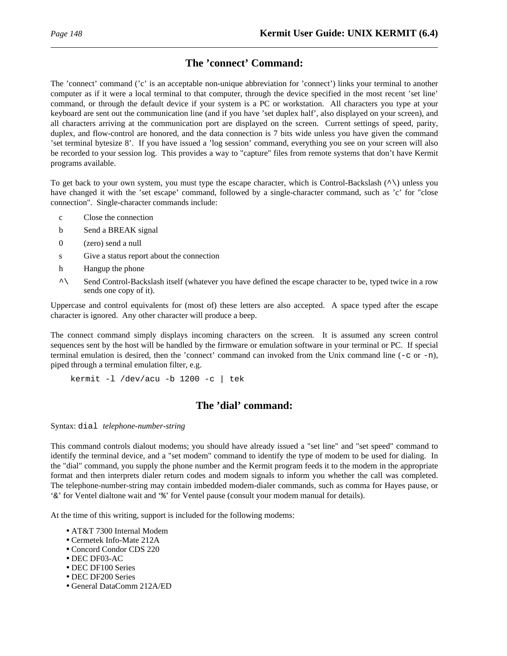### **The 'connect' Command:**

The 'connect' command ('c' is an acceptable non-unique abbreviation for 'connect') links your terminal to another computer as if it were a local terminal to that computer, through the device specified in the most recent 'set line' command, or through the default device if your system is a PC or workstation. All characters you type at your keyboard are sent out the communication line (and if you have 'set duplex half', also displayed on your screen), and all characters arriving at the communication port are displayed on the screen. Current settings of speed, parity, duplex, and flow-control are honored, and the data connection is 7 bits wide unless you have given the command 'set terminal bytesize 8'. If you have issued a 'log session' command, everything you see on your screen will also be recorded to your session log. This provides a way to "capture" files from remote systems that don't have Kermit programs available.

To get back to your own system, you must type the escape character, which is Control-Backslash (^\) unless you have changed it with the 'set escape' command, followed by a single-character command, such as 'c' for "close connection". Single-character commands include:

- c Close the connection
- b Send a BREAK signal
- 0 (zero) send a null
- s Give a status report about the connection
- h Hangup the phone
- ^\ Send Control-Backslash itself (whatever you have defined the escape character to be, typed twice in a row sends one copy of it).

Uppercase and control equivalents for (most of) these letters are also accepted. A space typed after the escape character is ignored. Any other character will produce a beep.

The connect command simply displays incoming characters on the screen. It is assumed any screen control sequences sent by the host will be handled by the firmware or emulation software in your terminal or PC. If special terminal emulation is desired, then the 'connect' command can invoked from the Unix command line  $(-c$  or  $-n)$ , piped through a terminal emulation filter, e.g.

kermit -l /dev/acu -b 1200 -c | tek

### **The 'dial' command:**

Syntax: dial *telephone-number-string*

This command controls dialout modems; you should have already issued a "set line" and "set speed" command to identify the terminal device, and a "set modem" command to identify the type of modem to be used for dialing. In the "dial" command, you supply the phone number and the Kermit program feeds it to the modem in the appropriate format and then interprets dialer return codes and modem signals to inform you whether the call was completed. The telephone-number-string may contain imbedded modem-dialer commands, such as comma for Hayes pause, or '&' for Ventel dialtone wait and '%' for Ventel pause (consult your modem manual for details).

At the time of this writing, support is included for the following modems:

- AT&T 7300 Internal Modem
- Cermetek Info-Mate 212A
- Concord Condor CDS 220
- DEC DF03-AC
- DEC DF100 Series
- DEC DF200 Series
- General DataComm 212A/ED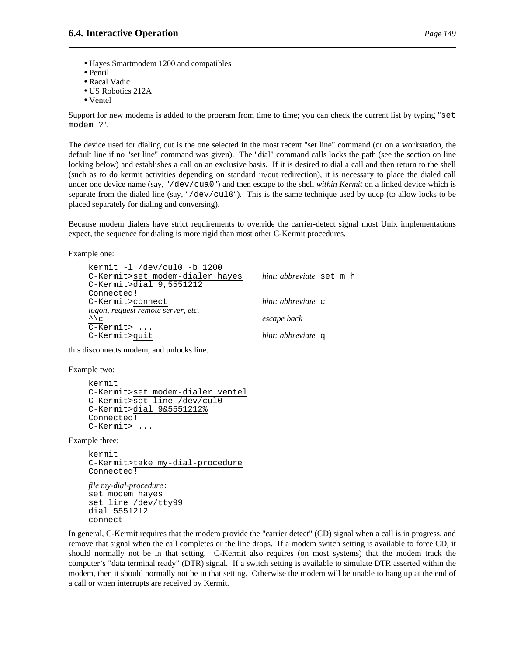- Hayes Smartmodem 1200 and compatibles
- Penril
- Racal Vadic
- US Robotics 212A
- Ventel

Support for new modems is added to the program from time to time; you can check the current list by typing "set modem ?".

The device used for dialing out is the one selected in the most recent "set line" command (or on a workstation, the default line if no "set line" command was given). The "dial" command calls locks the path (see the section on line locking below) and establishes a call on an exclusive basis. If it is desired to dial a call and then return to the shell (such as to do kermit activities depending on standard in/out redirection), it is necessary to place the dialed call under one device name (say, "/dev/cua0") and then escape to the shell *within Kermit* on a linked device which is separate from the dialed line (say, "/dev/cul0"). This is the same technique used by uucp (to allow locks to be placed separately for dialing and conversing).

Because modem dialers have strict requirements to override the carrier-detect signal most Unix implementations expect, the sequence for dialing is more rigid than most other C-Kermit procedures.

Example one:

| kermit -1 /dev/cul0 -b 1200        |                          |  |
|------------------------------------|--------------------------|--|
| C-Kermit>set modem-dialer hayes    | hint: abbreviate set m h |  |
| C-Kermit>dial 9,5551212            |                          |  |
| Connected!                         |                          |  |
| C-Kermit>connect                   | hint: abbreviate c       |  |
| logon, request remote server, etc. |                          |  |
| $\sqrt{\frac{c}{c}}$               | escape back              |  |
| $\overline{C-K}$ ermit>            |                          |  |
| C-Kermit>quit                      | hint: abbreviate q       |  |
|                                    |                          |  |

this disconnects modem, and unlocks line.

Example two:

```
kermit
C-Kermit>set modem-dialer ventel
C-Kermit>set line /dev/cul0
C-Kermit>dial 9&5551212%
Connected!
C-Kermit> ...
```
Example three:

kermit C-Kermit>take my-dial-procedure Connected!

*file my-dial-procedure*: set modem hayes set line /dev/tty99 dial 5551212 connect

In general, C-Kermit requires that the modem provide the "carrier detect" (CD) signal when a call is in progress, and remove that signal when the call completes or the line drops. If a modem switch setting is available to force CD, it should normally not be in that setting. C-Kermit also requires (on most systems) that the modem track the computer's "data terminal ready" (DTR) signal. If a switch setting is available to simulate DTR asserted within the modem, then it should normally not be in that setting. Otherwise the modem will be unable to hang up at the end of a call or when interrupts are received by Kermit.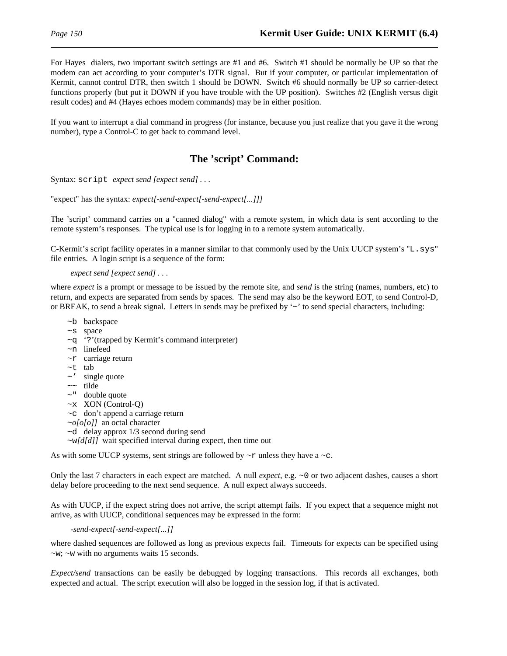For Hayes dialers, two important switch settings are #1 and #6. Switch #1 should be normally be UP so that the modem can act according to your computer's DTR signal. But if your computer, or particular implementation of Kermit, cannot control DTR, then switch 1 should be DOWN. Switch #6 should normally be UP so carrier-detect functions properly (but put it DOWN if you have trouble with the UP position). Switches #2 (English versus digit result codes) and #4 (Hayes echoes modem commands) may be in either position.

If you want to interrupt a dial command in progress (for instance, because you just realize that you gave it the wrong number), type a Control-C to get back to command level.

### **The 'script' Command:**

Syntax: script *expect send [expect send] . . .*

"expect" has the syntax: *expect[-send-expect[-send-expect[...]]]*

The 'script' command carries on a "canned dialog" with a remote system, in which data is sent according to the remote system's responses. The typical use is for logging in to a remote system automatically.

C-Kermit's script facility operates in a manner similar to that commonly used by the Unix UUCP system's "L.sys" file entries. A login script is a sequence of the form:

#### *expect send [expect send] . . .*

where *expect* is a prompt or message to be issued by the remote site, and *send* is the string (names, numbers, etc) to return, and expects are separated from sends by spaces. The send may also be the keyword EOT, to send Control-D, or BREAK, to send a break signal. Letters in sends may be prefixed by '~' to send special characters, including:

- ~b backspace
- ~s space
- ~q '?'(trapped by Kermit's command interpreter)
- ~n linefeed
- $~\sim$ r carriage return
- ~t tab
- $\sim$  ' single quote
- ~~ tilde
- $\sim$ " double quote
- $~\sim$ x XON (Control-Q)
- ~c don't append a carriage return
- ~*o[o[o]]* an octal character
- ~d delay approx 1/3 second during send
- ~w*[d[d]]* wait specified interval during expect, then time out

As with some UUCP systems, sent strings are followed by  $\sim r$  unless they have a  $\sim c$ .

Only the last 7 characters in each expect are matched. A null *expect*, e.g. ~0 or two adjacent dashes, causes a short delay before proceeding to the next send sequence. A null expect always succeeds.

As with UUCP, if the expect string does not arrive, the script attempt fails. If you expect that a sequence might not arrive, as with UUCP, conditional sequences may be expressed in the form:

*-send-expect[-send-expect[...]]*

where dashed sequences are followed as long as previous expects fail. Timeouts for expects can be specified using  $\sim w$ ;  $\sim w$  with no arguments waits 15 seconds.

*Expect/send* transactions can be easily be debugged by logging transactions. This records all exchanges, both expected and actual. The script execution will also be logged in the session log, if that is activated.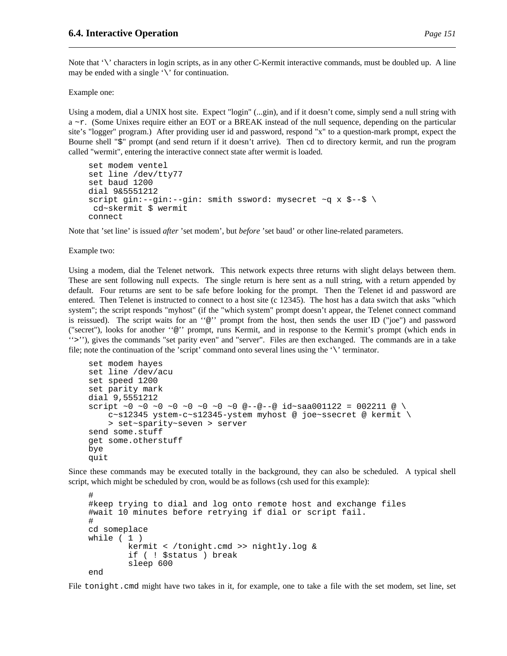Note that '\' characters in login scripts, as in any other C-Kermit interactive commands, must be doubled up. A line may be ended with a single  $\sqrt{\ }$  for continuation.

Example one:

Using a modem, dial a UNIX host site. Expect "login" (...gin), and if it doesn't come, simply send a null string with a ~r. (Some Unixes require either an EOT or a BREAK instead of the null sequence, depending on the particular site's "logger" program.) After providing user id and password, respond "x" to a question-mark prompt, expect the Bourne shell "\$" prompt (and send return if it doesn't arrive). Then cd to directory kermit, and run the program called "wermit", entering the interactive connect state after wermit is loaded.

```
set modem ventel
set line /dev/tty77
set baud 1200
dial 9&5551212
script gin:--gin:--gin: smith ssword: mysecret ~q x $--$ \
 cd~skermit $ wermit
connect
```
Note that 'set line' is issued *after* 'set modem', but *before* 'set baud' or other line-related parameters.

Example two:

Using a modem, dial the Telenet network. This network expects three returns with slight delays between them. These are sent following null expects. The single return is here sent as a null string, with a return appended by default. Four returns are sent to be safe before looking for the prompt. Then the Telenet id and password are entered. Then Telenet is instructed to connect to a host site (c 12345). The host has a data switch that asks "which system"; the script responds "myhost" (if the "which system" prompt doesn't appear, the Telenet connect command is reissued). The script waits for an ''@'' prompt from the host, then sends the user ID ("joe") and password ("secret"), looks for another ''@'' prompt, runs Kermit, and in response to the Kermit's prompt (which ends in ''>''), gives the commands "set parity even" and "server". Files are then exchanged. The commands are in a take file; note the continuation of the 'script' command onto several lines using the  $\Diamond$  terminator.

```
set modem hayes
set line /dev/acu
set speed 1200
set parity mark
dial 9,5551212
script ~0 ~0 ~0 ~0 ~0 ~0 ~0 @--@--@ id~saa001122 = 002211 @ \
    c~s12345 ystem-c~s12345-ystem myhost @ joe~ssecret @ kermit \
    > set~sparity~seven > server
send some.stuff
get some.otherstuff
bye
quit
```
Since these commands may be executed totally in the background, they can also be scheduled. A typical shell script, which might be scheduled by cron, would be as follows (csh used for this example):

```
#
#keep trying to dial and log onto remote host and exchange files
#wait 10 minutes before retrying if dial or script fail.
#
cd someplace
while ( 1 )
        kermit < /tonight.cmd >> nightly.log &
        if ( ! $status ) break
        sleep 600
end
```
File tonight.cmd might have two takes in it, for example, one to take a file with the set modem, set line, set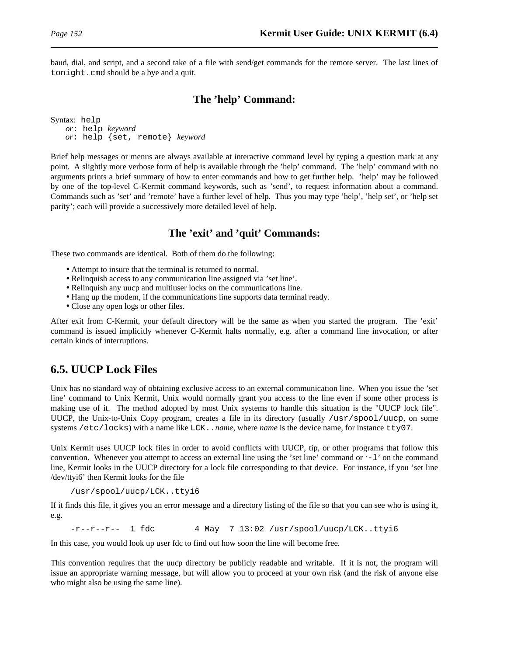baud, dial, and script, and a second take of a file with send/get commands for the remote server. The last lines of tonight.cmd should be a bye and a quit.

### **The 'help' Command:**

Syntax: help *or*: help *keyword or*: help {set, remote} *keyword*

Brief help messages or menus are always available at interactive command level by typing a question mark at any point. A slightly more verbose form of help is available through the 'help' command. The 'help' command with no arguments prints a brief summary of how to enter commands and how to get further help. 'help' may be followed by one of the top-level C-Kermit command keywords, such as 'send', to request information about a command. Commands such as 'set' and 'remote' have a further level of help. Thus you may type 'help', 'help set', or 'help set parity'; each will provide a successively more detailed level of help.

### **The 'exit' and 'quit' Commands:**

These two commands are identical. Both of them do the following:

- Attempt to insure that the terminal is returned to normal.
- Relinquish access to any communication line assigned via 'set line'.
- Relinquish any uucp and multiuser locks on the communications line.
- Hang up the modem, if the communications line supports data terminal ready.
- Close any open logs or other files.

After exit from C-Kermit, your default directory will be the same as when you started the program. The 'exit' command is issued implicitly whenever C-Kermit halts normally, e.g. after a command line invocation, or after certain kinds of interruptions.

# **6.5. UUCP Lock Files**

Unix has no standard way of obtaining exclusive access to an external communication line. When you issue the 'set line' command to Unix Kermit, Unix would normally grant you access to the line even if some other process is making use of it. The method adopted by most Unix systems to handle this situation is the "UUCP lock file". UUCP, the Unix-to-Unix Copy program, creates a file in its directory (usually /usr/spool/uucp, on some systems /etc/locks) with a name like LCK..*name*, where *name* is the device name, for instance tty07.

Unix Kermit uses UUCP lock files in order to avoid conflicts with UUCP, tip, or other programs that follow this convention. Whenever you attempt to access an external line using the 'set line' command or  $-1$ ' on the command line, Kermit looks in the UUCP directory for a lock file corresponding to that device. For instance, if you 'set line /dev/ttyi6' then Kermit looks for the file

/usr/spool/uucp/LCK..ttyi6

If it finds this file, it gives you an error message and a directory listing of the file so that you can see who is using it, e.g.

 $-r-r-r-1$  fdc 4 May 7 13:02 /usr/spool/uucp/LCK..ttyi6

In this case, you would look up user fdc to find out how soon the line will become free.

This convention requires that the uucp directory be publicly readable and writable. If it is not, the program will issue an appropriate warning message, but will allow you to proceed at your own risk (and the risk of anyone else who might also be using the same line).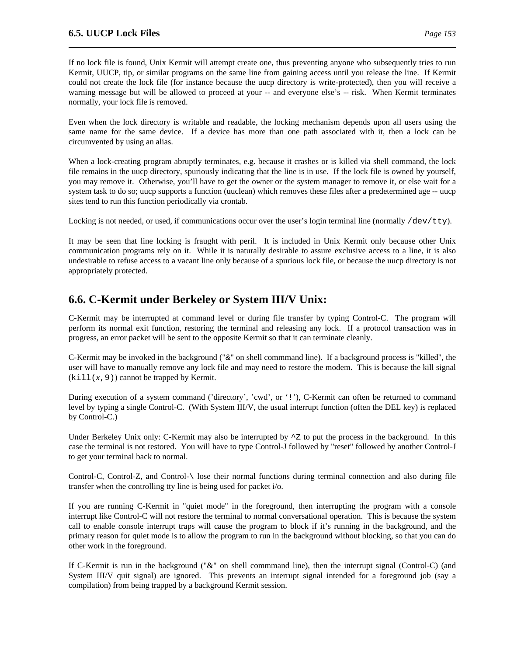If no lock file is found, Unix Kermit will attempt create one, thus preventing anyone who subsequently tries to run Kermit, UUCP, tip, or similar programs on the same line from gaining access until you release the line. If Kermit could not create the lock file (for instance because the uucp directory is write-protected), then you will receive a warning message but will be allowed to proceed at your -- and everyone else's -- risk. When Kermit terminates normally, your lock file is removed.

Even when the lock directory is writable and readable, the locking mechanism depends upon all users using the same name for the same device. If a device has more than one path associated with it, then a lock can be circumvented by using an alias.

When a lock-creating program abruptly terminates, e.g. because it crashes or is killed via shell command, the lock file remains in the uucp directory, spuriously indicating that the line is in use. If the lock file is owned by yourself, you may remove it. Otherwise, you'll have to get the owner or the system manager to remove it, or else wait for a system task to do so; uucp supports a function (uuclean) which removes these files after a predetermined age -- uucp sites tend to run this function periodically via crontab.

Locking is not needed, or used, if communications occur over the user's login terminal line (normally  $/$ dev/tty).

It may be seen that line locking is fraught with peril. It is included in Unix Kermit only because other Unix communication programs rely on it. While it is naturally desirable to assure exclusive access to a line, it is also undesirable to refuse access to a vacant line only because of a spurious lock file, or because the uucp directory is not appropriately protected.

# **6.6. C-Kermit under Berkeley or System III/V Unix:**

C-Kermit may be interrupted at command level or during file transfer by typing Control-C. The program will perform its normal exit function, restoring the terminal and releasing any lock. If a protocol transaction was in progress, an error packet will be sent to the opposite Kermit so that it can terminate cleanly.

C-Kermit may be invoked in the background ("&" on shell commmand line). If a background process is "killed", the user will have to manually remove any lock file and may need to restore the modem. This is because the kill signal  $(kill(x,9))$  cannot be trapped by Kermit.

During execution of a system command ('directory', 'cwd', or '!'), C-Kermit can often be returned to command level by typing a single Control-C. (With System III/V, the usual interrupt function (often the DEL key) is replaced by Control-C.)

Under Berkeley Unix only: C-Kermit may also be interrupted by  $\sim$  z to put the process in the background. In this case the terminal is not restored. You will have to type Control-J followed by "reset" followed by another Control-J to get your terminal back to normal.

Control-C, Control-Z, and Control-\ lose their normal functions during terminal connection and also during file transfer when the controlling tty line is being used for packet i/o.

If you are running C-Kermit in "quiet mode" in the foreground, then interrupting the program with a console interrupt like Control-C will not restore the terminal to normal conversational operation. This is because the system call to enable console interrupt traps will cause the program to block if it's running in the background, and the primary reason for quiet mode is to allow the program to run in the background without blocking, so that you can do other work in the foreground.

If C-Kermit is run in the background ("&" on shell commmand line), then the interrupt signal (Control-C) (and System III/V quit signal) are ignored. This prevents an interrupt signal intended for a foreground job (say a compilation) from being trapped by a background Kermit session.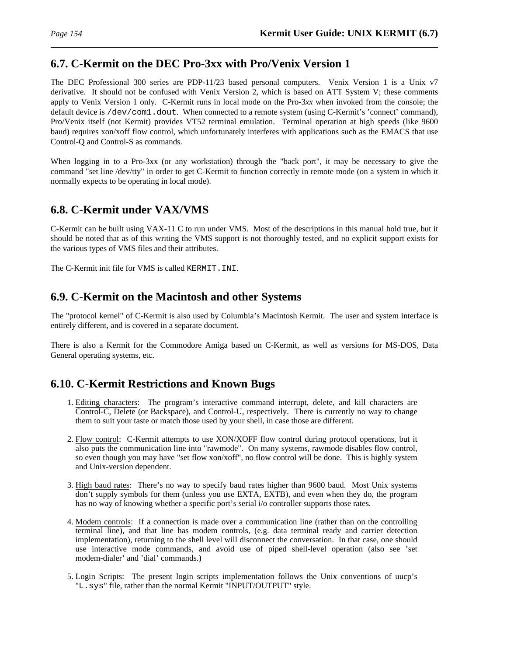### **6.7. C-Kermit on the DEC Pro-3xx with Pro/Venix Version 1**

The DEC Professional 300 series are PDP-11/23 based personal computers. Venix Version 1 is a Unix v7 derivative. It should not be confused with Venix Version 2, which is based on ATT System V; these comments apply to Venix Version 1 only. C-Kermit runs in local mode on the Pro-3*xx* when invoked from the console; the default device is /dev/com1.dout. When connected to a remote system (using C-Kermit's 'connect' command), Pro/Venix itself (not Kermit) provides VT52 terminal emulation. Terminal operation at high speeds (like 9600 baud) requires xon/xoff flow control, which unfortunately interferes with applications such as the EMACS that use Control-Q and Control-S as commands.

When logging in to a Pro-3xx (or any workstation) through the "back port", it may be necessary to give the command "set line /dev/tty" in order to get C-Kermit to function correctly in remote mode (on a system in which it normally expects to be operating in local mode).

# **6.8. C-Kermit under VAX/VMS**

C-Kermit can be built using VAX-11 C to run under VMS. Most of the descriptions in this manual hold true, but it should be noted that as of this writing the VMS support is not thoroughly tested, and no explicit support exists for the various types of VMS files and their attributes.

The C-Kermit init file for VMS is called KERMIT.INI.

### **6.9. C-Kermit on the Macintosh and other Systems**

The "protocol kernel" of C-Kermit is also used by Columbia's Macintosh Kermit. The user and system interface is entirely different, and is covered in a separate document.

There is also a Kermit for the Commodore Amiga based on C-Kermit, as well as versions for MS-DOS, Data General operating systems, etc.

# **6.10. C-Kermit Restrictions and Known Bugs**

- 1. Editing characters: The program's interactive command interrupt, delete, and kill characters are Control-C, Delete (or Backspace), and Control-U, respectively. There is currently no way to change them to suit your taste or match those used by your shell, in case those are different.
- 2. Flow control: C-Kermit attempts to use XON/XOFF flow control during protocol operations, but it also puts the communication line into "rawmode". On many systems, rawmode disables flow control, so even though you may have "set flow xon/xoff", no flow control will be done. This is highly system and Unix-version dependent.
- 3. High baud rates: There's no way to specify baud rates higher than 9600 baud. Most Unix systems don't supply symbols for them (unless you use EXTA, EXTB), and even when they do, the program has no way of knowing whether a specific port's serial i/o controller supports those rates.
- 4. Modem controls: If a connection is made over a communication line (rather than on the controlling terminal line), and that line has modem controls, (e.g. data terminal ready and carrier detection implementation), returning to the shell level will disconnect the conversation. In that case, one should use interactive mode commands, and avoid use of piped shell-level operation (also see 'set modem-dialer' and 'dial' commands.)
- 5. Login Scripts: The present login scripts implementation follows the Unix conventions of uucp's "L. sys" file, rather than the normal Kermit "INPUT/OUTPUT" style.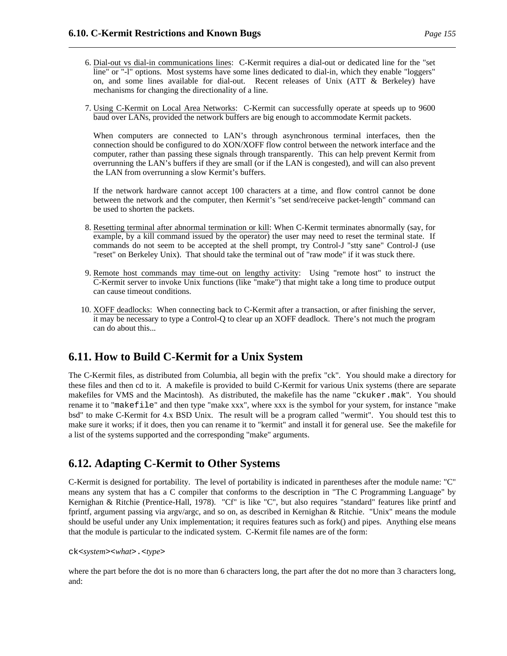- 6. Dial-out vs dial-in communications lines: C-Kermit requires a dial-out or dedicated line for the "set line" or "-l" options. Most systems have some lines dedicated to dial-in, which they enable "loggers" on, and some lines available for dial-out. Recent releases of Unix (ATT & Berkeley) have mechanisms for changing the directionality of a line.
- 7. Using C-Kermit on Local Area Networks: C-Kermit can successfully operate at speeds up to 9600 baud over LANs, provided the network buffers are big enough to accommodate Kermit packets.

When computers are connected to LAN's through asynchronous terminal interfaces, then the connection should be configured to do XON/XOFF flow control between the network interface and the computer, rather than passing these signals through transparently. This can help prevent Kermit from overrunning the LAN's buffers if they are small (or if the LAN is congested), and will can also prevent the LAN from overrunning a slow Kermit's buffers.

If the network hardware cannot accept 100 characters at a time, and flow control cannot be done between the network and the computer, then Kermit's "set send/receive packet-length" command can be used to shorten the packets.

- 8. Resetting terminal after abnormal termination or kill: When C-Kermit terminates abnormally (say, for example, by a kill command issued by the operator) the user may need to reset the terminal state. If commands do not seem to be accepted at the shell prompt, try Control-J "stty sane" Control-J (use "reset" on Berkeley Unix). That should take the terminal out of "raw mode" if it was stuck there.
- 9. Remote host commands may time-out on lengthy activity: Using "remote host" to instruct the C-Kermit server to invoke Unix functions (like "make") that might take a long time to produce output can cause timeout conditions.
- 10. XOFF deadlocks: When connecting back to C-Kermit after a transaction, or after finishing the server, it may be necessary to type a Control-Q to clear up an XOFF deadlock. There's not much the program can do about this...

# **6.11. How to Build C-Kermit for a Unix System**

The C-Kermit files, as distributed from Columbia, all begin with the prefix "ck". You should make a directory for these files and then cd to it. A makefile is provided to build C-Kermit for various Unix systems (there are separate makefiles for VMS and the Macintosh). As distributed, the makefile has the name "ckuker.mak". You should rename it to "makefile" and then type "make xxx", where xxx is the symbol for your system, for instance "make bsd" to make C-Kermit for 4.x BSD Unix. The result will be a program called "wermit". You should test this to make sure it works; if it does, then you can rename it to "kermit" and install it for general use. See the makefile for a list of the systems supported and the corresponding "make" arguments.

# **6.12. Adapting C-Kermit to Other Systems**

C-Kermit is designed for portability. The level of portability is indicated in parentheses after the module name: "C" means any system that has a C compiler that conforms to the description in "The C Programming Language" by Kernighan & Ritchie (Prentice-Hall, 1978). "Cf" is like "C", but also requires "standard" features like printf and fprintf, argument passing via argv/argc, and so on, as described in Kernighan & Ritchie. "Unix" means the module should be useful under any Unix implementation; it requires features such as fork() and pipes. Anything else means that the module is particular to the indicated system. C-Kermit file names are of the form:

```
ck<system><what>.<type>
```
where the part before the dot is no more than 6 characters long, the part after the dot no more than 3 characters long, and: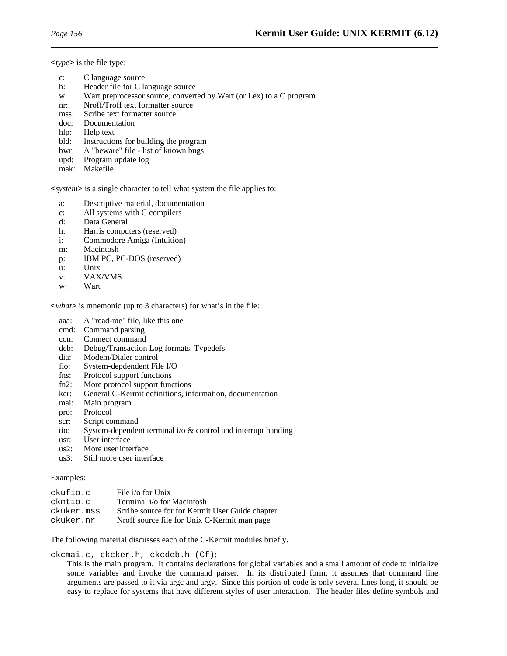<*type*> is the file type:

| $\mathbf{c}$ : | C language source                                                   |
|----------------|---------------------------------------------------------------------|
| h:             | Header file for C language source                                   |
| W:             | Wart preprocessor source, converted by Wart (or Lex) to a C program |
| nr:            | Nroff/Troff text formatter source                                   |
| mss:           | Scribe text formatter source                                        |
| doc:           | Documentation                                                       |
| hlp:           | Help text                                                           |
| bld:           | Instructions for building the program                               |
| bwr:           | A "beware" file - list of known bugs                                |
| upd:           | Program update log                                                  |

mak: Makefile

<*system*> is a single character to tell what system the file applies to:

- a: Descriptive material, documentation
- c: All systems with C compilers
- d: Data General
- h: Harris computers (reserved)
- i: Commodore Amiga (Intuition)
- m: Macintosh
- p: IBM PC, PC-DOS (reserved)
- u: Unix
- v: VAX/VMS
- w: Wart

<*what*> is mnemonic (up to 3 characters) for what's in the file:

- aaa: A "read-me" file, like this one
- cmd: Command parsing
- con: Connect command
- deb: Debug/Transaction Log formats, Typedefs
- dia: Modem/Dialer control
- fio: System-depdendent File I/O
- fns: Protocol support functions
- fn2: More protocol support functions
- ker: General C-Kermit definitions, information, documentation
- mai: Main program
- pro: Protocol
- scr: Script command
- tio: System-dependent terminal i/o & control and interrupt handing
- usr: User interface
- us2: More user interface
- us3: Still more user interface

#### Examples:

| ckufio.c   | File i/o for Unix                               |
|------------|-------------------------------------------------|
| ckmtio.c   | Terminal i/o for Macintosh                      |
| ckuker.mss | Scribe source for for Kermit User Guide chapter |
| ckuker.nr  | Nroff source file for Unix C-Kermit man page    |

The following material discusses each of the C-Kermit modules briefly.

ckcmai.c, ckcker.h, ckcdeb.h (Cf):

This is the main program. It contains declarations for global variables and a small amount of code to initialize some variables and invoke the command parser. In its distributed form, it assumes that command line arguments are passed to it via argc and argv. Since this portion of code is only several lines long, it should be easy to replace for systems that have different styles of user interaction. The header files define symbols and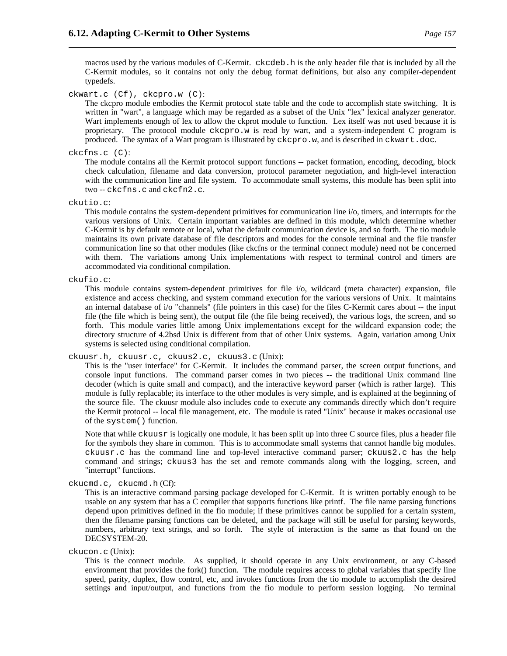macros used by the various modules of C-Kermit. ckcdeb.h is the only header file that is included by all the C-Kermit modules, so it contains not only the debug format definitions, but also any compiler-dependent typedefs.

ckwart.c (Cf), ckcpro.w (C):

The ckcpro module embodies the Kermit protocol state table and the code to accomplish state switching. It is written in "wart", a language which may be regarded as a subset of the Unix "lex" lexical analyzer generator. Wart implements enough of lex to allow the ckprot module to function. Lex itself was not used because it is proprietary. The protocol module ckcpro.w is read by wart, and a system-independent C program is produced. The syntax of a Wart program is illustrated by ckcpro.w, and is described in ckwart.doc.

#### ckcfns.c (C):

The module contains all the Kermit protocol support functions -- packet formation, encoding, decoding, block check calculation, filename and data conversion, protocol parameter negotiation, and high-level interaction with the communication line and file system. To accommodate small systems, this module has been split into two -- ckcfns.c and ckcfn2.c.

ckutio.c:

This module contains the system-dependent primitives for communication line i/o, timers, and interrupts for the various versions of Unix. Certain important variables are defined in this module, which determine whether C-Kermit is by default remote or local, what the default communication device is, and so forth. The tio module maintains its own private database of file descriptors and modes for the console terminal and the file transfer communication line so that other modules (like ckcfns or the terminal connect module) need not be concerned with them. The variations among Unix implementations with respect to terminal control and timers are accommodated via conditional compilation.

ckufio.c:

This module contains system-dependent primitives for file i/o, wildcard (meta character) expansion, file existence and access checking, and system command execution for the various versions of Unix. It maintains an internal database of i/o "channels" (file pointers in this case) for the files C-Kermit cares about -- the input file (the file which is being sent), the output file (the file being received), the various logs, the screen, and so forth. This module varies little among Unix implementations except for the wildcard expansion code; the directory structure of 4.2bsd Unix is different from that of other Unix systems. Again, variation among Unix systems is selected using conditional compilation.

ckuusr.h, ckuusr.c, ckuus2.c, ckuus3.c (Unix):

This is the "user interface" for C-Kermit. It includes the command parser, the screen output functions, and console input functions. The command parser comes in two pieces -- the traditional Unix command line decoder (which is quite small and compact), and the interactive keyword parser (which is rather large). This module is fully replacable; its interface to the other modules is very simple, and is explained at the beginning of the source file. The ckuusr module also includes code to execute any commands directly which don't require the Kermit protocol -- local file management, etc. The module is rated "Unix" because it makes occasional use of the system() function.

Note that while ckuusr is logically one module, it has been split up into three C source files, plus a header file for the symbols they share in common. This is to accommodate small systems that cannot handle big modules. ckuusr.c has the command line and top-level interactive command parser; ckuus2.c has the help command and strings; ckuus3 has the set and remote commands along with the logging, screen, and "interrupt" functions.

ckucmd.c, ckucmd.h (Cf):

This is an interactive command parsing package developed for C-Kermit. It is written portably enough to be usable on any system that has a C compiler that supports functions like printf. The file name parsing functions depend upon primitives defined in the fio module; if these primitives cannot be supplied for a certain system, then the filename parsing functions can be deleted, and the package will still be useful for parsing keywords, numbers, arbitrary text strings, and so forth. The style of interaction is the same as that found on the DECSYSTEM-20.

ckucon.c (Unix):

This is the connect module. As supplied, it should operate in any Unix environment, or any C-based environment that provides the fork() function. The module requires access to global variables that specify line speed, parity, duplex, flow control, etc, and invokes functions from the tio module to accomplish the desired settings and input/output, and functions from the fio module to perform session logging. No terminal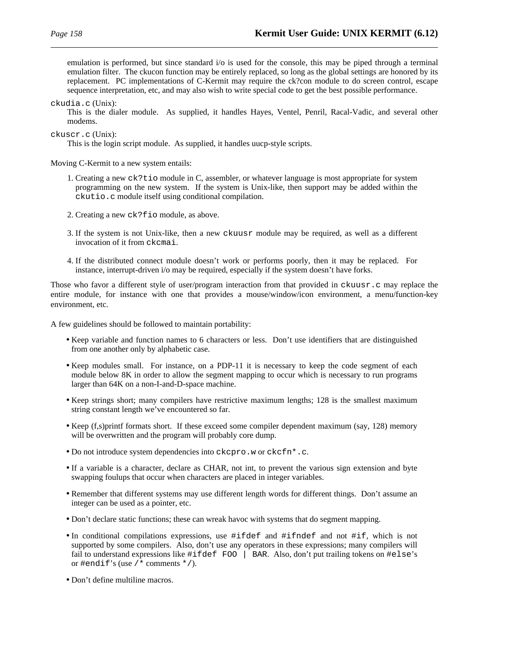emulation is performed, but since standard i/o is used for the console, this may be piped through a terminal emulation filter. The ckucon function may be entirely replaced, so long as the global settings are honored by its replacement. PC implementations of C-Kermit may require the ck?con module to do screen control, escape sequence interpretation, etc, and may also wish to write special code to get the best possible performance.

ckudia.c (Unix):

This is the dialer module. As supplied, it handles Hayes, Ventel, Penril, Racal-Vadic, and several other modems.

ckuscr.c (Unix):

This is the login script module. As supplied, it handles uucp-style scripts.

Moving C-Kermit to a new system entails:

- 1. Creating a new ck?tio module in C, assembler, or whatever language is most appropriate for system programming on the new system. If the system is Unix-like, then support may be added within the ckutio.c module itself using conditional compilation.
- 2. Creating a new ck?fio module, as above.
- 3. If the system is not Unix-like, then a new ckuusr module may be required, as well as a different invocation of it from ckcmai.
- 4. If the distributed connect module doesn't work or performs poorly, then it may be replaced. For instance, interrupt-driven i/o may be required, especially if the system doesn't have forks.

Those who favor a different style of user/program interaction from that provided in ckuusr.c may replace the entire module, for instance with one that provides a mouse/window/icon environment, a menu/function-key environment, etc.

A few guidelines should be followed to maintain portability:

- Keep variable and function names to 6 characters or less. Don't use identifiers that are distinguished from one another only by alphabetic case.
- Keep modules small. For instance, on a PDP-11 it is necessary to keep the code segment of each module below 8K in order to allow the segment mapping to occur which is necessary to run programs larger than 64K on a non-I-and-D-space machine.
- Keep strings short; many compilers have restrictive maximum lengths; 128 is the smallest maximum string constant length we've encountered so far.
- Keep (f,s)printf formats short. If these exceed some compiler dependent maximum (say, 128) memory will be overwritten and the program will probably core dump.
- Do not introduce system dependencies into ckcpro.w or ckcfn\*.c.
- If a variable is a character, declare as CHAR, not int, to prevent the various sign extension and byte swapping foulups that occur when characters are placed in integer variables.
- Remember that different systems may use different length words for different things. Don't assume an integer can be used as a pointer, etc.
- Don't declare static functions; these can wreak havoc with systems that do segment mapping.
- In conditional compilations expressions, use #ifdef and #ifndef and not #if, which is not supported by some compilers. Also, don't use any operators in these expressions; many compilers will fail to understand expressions like #ifdef FOO | BAR. Also, don't put trailing tokens on #else's or #endif's (use  $/*$  comments  $*/$ ).
- Don't define multiline macros.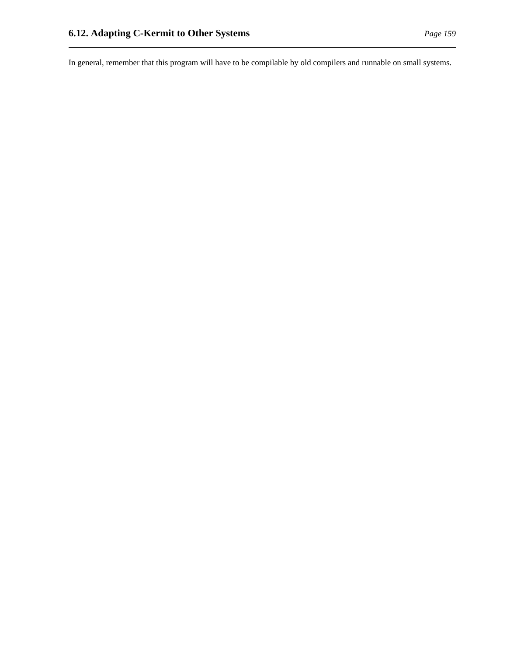In general, remember that this program will have to be compilable by old compilers and runnable on small systems.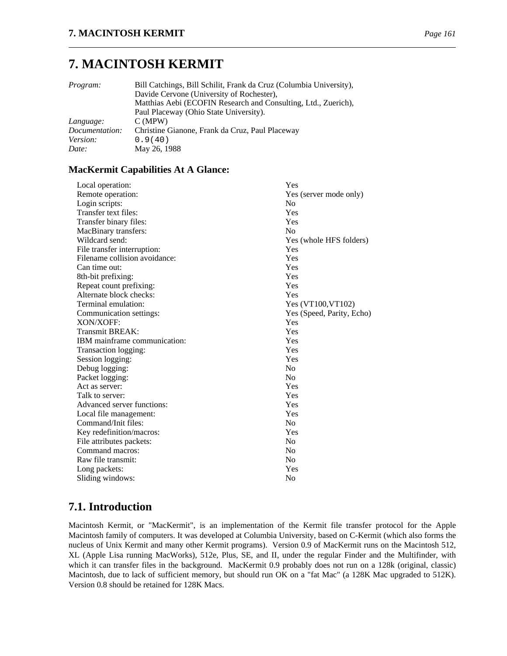# **7. MACINTOSH KERMIT**

| <i>Program:</i> | Bill Catchings, Bill Schilit, Frank da Cruz (Columbia University),<br>Davide Cervone (University of Rochester), |
|-----------------|-----------------------------------------------------------------------------------------------------------------|
|                 | Matthias Aebi (ECOFIN Research and Consulting, Ltd., Zuerich),                                                  |
|                 | Paul Placeway (Ohio State University).                                                                          |
| Language:       | C(MPW)                                                                                                          |
| Documentation:  | Christine Gianone, Frank da Cruz, Paul Placeway                                                                 |
| <i>Version:</i> | 0.9(40)                                                                                                         |
| Date:           | May 26, 1988                                                                                                    |

### **MacKermit Capabilities At A Glance:**

| Local operation:              | Yes                       |
|-------------------------------|---------------------------|
| Remote operation:             | Yes (server mode only)    |
| Login scripts:                | No                        |
| Transfer text files:          | Yes                       |
| Transfer binary files:        | Yes                       |
| MacBinary transfers:          | N <sub>0</sub>            |
| Wildcard send:                | Yes (whole HFS folders)   |
| File transfer interruption:   | Yes                       |
| Filename collision avoidance: | Yes                       |
| Can time out:                 | Yes                       |
| 8th-bit prefixing:            | Yes                       |
| Repeat count prefixing:       | Yes                       |
| Alternate block checks:       | Yes                       |
| Terminal emulation:           | Yes (VT100, VT102)        |
| Communication settings:       | Yes (Speed, Parity, Echo) |
| XON/XOFF:                     | Yes                       |
| <b>Transmit BREAK:</b>        | Yes                       |
| IBM mainframe communication:  | Yes                       |
| Transaction logging:          | Yes                       |
| Session logging:              | Yes                       |
| Debug logging:                | N <sub>0</sub>            |
| Packet logging:               | N <sub>0</sub>            |
| Act as server:                | Yes                       |
| Talk to server:               | Yes                       |
| Advanced server functions:    | Yes                       |
| Local file management:        | Yes                       |
| Command/Init files:           | No                        |
| Key redefinition/macros:      | Yes                       |
| File attributes packets:      | No                        |
| Command macros:               | No                        |
| Raw file transmit:            | N <sub>0</sub>            |
| Long packets:                 | Yes                       |
| Sliding windows:              | No                        |
|                               |                           |

# **7.1. Introduction**

Macintosh Kermit, or "MacKermit", is an implementation of the Kermit file transfer protocol for the Apple Macintosh family of computers. It was developed at Columbia University, based on C-Kermit (which also forms the nucleus of Unix Kermit and many other Kermit programs). Version 0.9 of MacKermit runs on the Macintosh 512, XL (Apple Lisa running MacWorks), 512e, Plus, SE, and II, under the regular Finder and the Multifinder, with which it can transfer files in the background. MacKermit 0.9 probably does not run on a 128k (original, classic) Macintosh, due to lack of sufficient memory, but should run OK on a "fat Mac" (a 128K Mac upgraded to 512K). Version 0.8 should be retained for 128K Macs.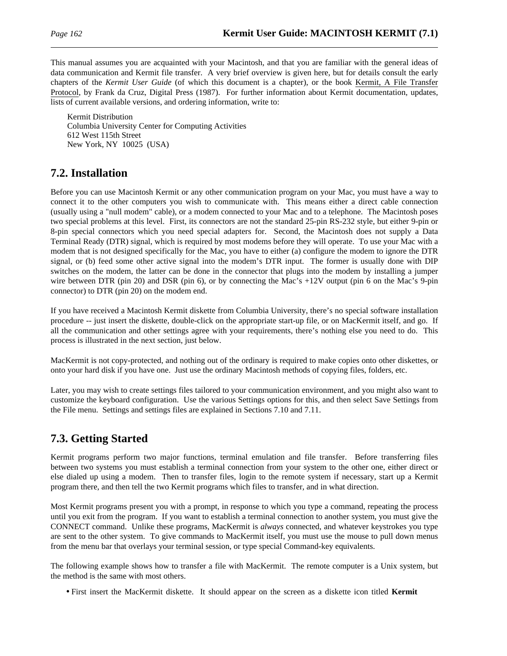This manual assumes you are acquainted with your Macintosh, and that you are familiar with the general ideas of data communication and Kermit file transfer. A very brief overview is given here, but for details consult the early chapters of the *Kermit User Guide* (of which this document is a chapter), or the book Kermit, A File Transfer Protocol, by Frank da Cruz, Digital Press (1987). For further information about Kermit documentation, updates, lists of current available versions, and ordering information, write to:

Kermit Distribution Columbia University Center for Computing Activities 612 West 115th Street New York, NY 10025 (USA)

# **7.2. Installation**

Before you can use Macintosh Kermit or any other communication program on your Mac, you must have a way to connect it to the other computers you wish to communicate with. This means either a direct cable connection (usually using a "null modem" cable), or a modem connected to your Mac and to a telephone. The Macintosh poses two special problems at this level. First, its connectors are not the standard 25-pin RS-232 style, but either 9-pin or 8-pin special connectors which you need special adapters for. Second, the Macintosh does not supply a Data Terminal Ready (DTR) signal, which is required by most modems before they will operate. To use your Mac with a modem that is not designed specifically for the Mac, you have to either (a) configure the modem to ignore the DTR signal, or (b) feed some other active signal into the modem's DTR input. The former is usually done with DIP switches on the modem, the latter can be done in the connector that plugs into the modem by installing a jumper wire between DTR (pin 20) and DSR (pin 6), or by connecting the Mac's +12V output (pin 6 on the Mac's 9-pin connector) to DTR (pin 20) on the modem end.

If you have received a Macintosh Kermit diskette from Columbia University, there's no special software installation procedure -- just insert the diskette, double-click on the appropriate start-up file, or on MacKermit itself, and go. If all the communication and other settings agree with your requirements, there's nothing else you need to do. This process is illustrated in the next section, just below.

MacKermit is not copy-protected, and nothing out of the ordinary is required to make copies onto other diskettes, or onto your hard disk if you have one. Just use the ordinary Macintosh methods of copying files, folders, etc.

Later, you may wish to create settings files tailored to your communication environment, and you might also want to customize the keyboard configuration. Use the various Settings options for this, and then select Save Settings from the File menu. Settings and settings files are explained in Sections 7.10 and 7.11.

# **7.3. Getting Started**

Kermit programs perform two major functions, terminal emulation and file transfer. Before transferring files between two systems you must establish a terminal connection from your system to the other one, either direct or else dialed up using a modem. Then to transfer files, login to the remote system if necessary, start up a Kermit program there, and then tell the two Kermit programs which files to transfer, and in what direction.

Most Kermit programs present you with a prompt, in response to which you type a command, repeating the process until you exit from the program. If you want to establish a terminal connection to another system, you must give the CONNECT command. Unlike these programs, MacKermit is *always* connected, and whatever keystrokes you type are sent to the other system. To give commands to MacKermit itself, you must use the mouse to pull down menus from the menu bar that overlays your terminal session, or type special Command-key equivalents.

The following example shows how to transfer a file with MacKermit. The remote computer is a Unix system, but the method is the same with most others.

• First insert the MacKermit diskette. It should appear on the screen as a diskette icon titled **Kermit**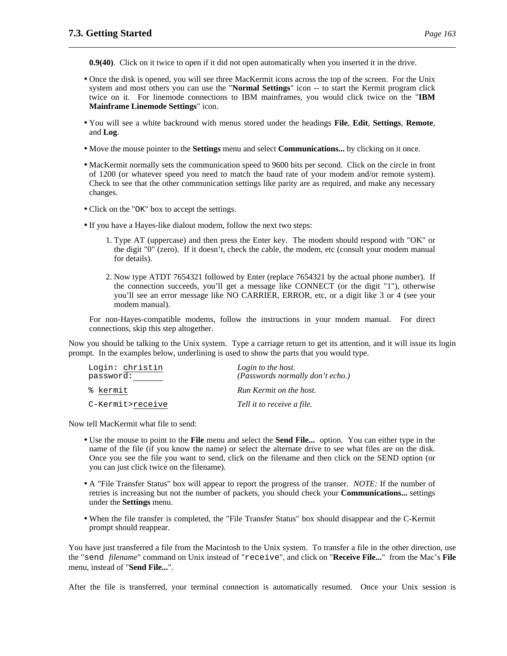**0.9(40)**. Click on it twice to open if it did not open automatically when you inserted it in the drive.

- Once the disk is opened, you will see three MacKermit icons across the top of the screen. For the Unix system and most others you can use the "**Normal Settings**" icon -- to start the Kermit program click twice on it. For linemode connections to IBM mainframes, you would click twice on the "**IBM Mainframe Linemode Settings**" icon.
- You will see a white backround with menus stored under the headings **File**, **Edit**, **Settings**, **Remote**, and **Log**.
- Move the mouse pointer to the **Settings** menu and select **Communications...** by clicking on it once.
- MacKermit normally sets the communication speed to 9600 bits per second. Click on the circle in front of 1200 (or whatever speed you need to match the baud rate of your modem and/or remote system). Check to see that the other communication settings like parity are as required, and make any necessary changes.
- Click on the "OK" box to accept the settings.
- If you have a Hayes-like dialout modem, follow the next two steps:
	- 1. Type AT (uppercase) and then press the Enter key. The modem should respond with "OK" or the digit "0" (zero). If it doesn't, check the cable, the modem, etc (consult your modem manual for details).
	- 2. Now type ATDT 7654321 followed by Enter (replace 7654321 by the actual phone number). If the connection succeeds, you'll get a message like CONNECT (or the digit "1"), otherwise you'll see an error message like NO CARRIER, ERROR, etc, or a digit like 3 or 4 (see your modem manual).

For non-Hayes-compatible modems, follow the instructions in your modem manual. For direct connections, skip this step altogether.

Now you should be talking to the Unix system. Type a carriage return to get its attention, and it will issue its login prompt. In the examples below, underlining is used to show the parts that you would type.

| Login: christin  | Login to the host.               |
|------------------|----------------------------------|
| password:        | (Passwords normally don't echo.) |
| % kermit         | Run Kermit on the host.          |
| C-Kermit>receive | Tell it to receive a file.       |

Now tell MacKermit what file to send:

- Use the mouse to point to the **File** menu and select the **Send File...** option. You can either type in the name of the file (if you know the name) or select the alternate drive to see what files are on the disk. Once you see the file you want to send, click on the filename and then click on the SEND option (or you can just click twice on the filename).
- A "File Transfer Status" box will appear to report the progress of the transer. *NOTE:* If the number of retries is increasing but not the number of packets, you should check your **Communications...** settings under the **Settings** menu.
- When the file transfer is completed, the "File Transfer Status" box should disappear and the C-Kermit prompt should reappear.

You have just transferred a file from the Macintosh to the Unix system. To transfer a file in the other direction, use the "send *filename*" command on Unix instead of "receive", and click on "**Receive File...**" from the Mac's **File** menu, instead of "**Send File...**".

After the file is transferred, your terminal connection is automatically resumed. Once your Unix session is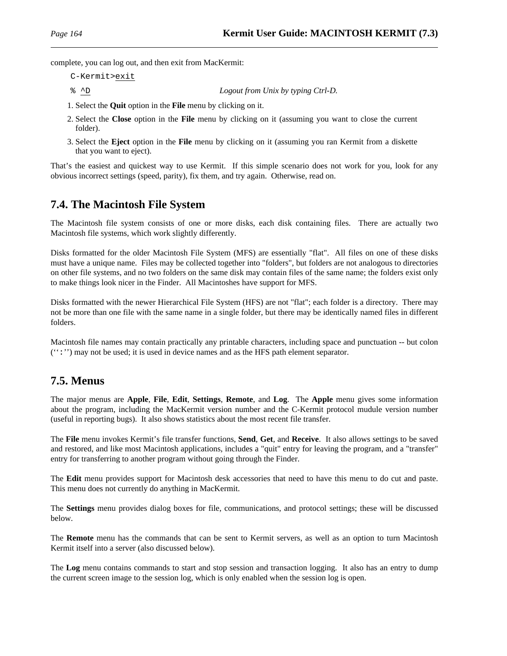complete, you can log out, and then exit from MacKermit:

- C-Kermit>exit
- % ^D *Logout from Unix by typing Ctrl-D.*
- 1. Select the **Quit** option in the **File** menu by clicking on it.
- 2. Select the **Close** option in the **File** menu by clicking on it (assuming you want to close the current folder).
- 3. Select the **Eject** option in the **File** menu by clicking on it (assuming you ran Kermit from a diskette that you want to eject).

That's the easiest and quickest way to use Kermit. If this simple scenario does not work for you, look for any obvious incorrect settings (speed, parity), fix them, and try again. Otherwise, read on.

# **7.4. The Macintosh File System**

The Macintosh file system consists of one or more disks, each disk containing files. There are actually two Macintosh file systems, which work slightly differently.

Disks formatted for the older Macintosh File System (MFS) are essentially "flat". All files on one of these disks must have a unique name. Files may be collected together into "folders", but folders are not analogous to directories on other file systems, and no two folders on the same disk may contain files of the same name; the folders exist only to make things look nicer in the Finder. All Macintoshes have support for MFS.

Disks formatted with the newer Hierarchical File System (HFS) are not "flat"; each folder is a directory. There may not be more than one file with the same name in a single folder, but there may be identically named files in different folders.

Macintosh file names may contain practically any printable characters, including space and punctuation -- but colon  $('':')$  may not be used; it is used in device names and as the HFS path element separator.

# **7.5. Menus**

The major menus are **Apple**, **File**, **Edit**, **Settings**, **Remote**, and **Log**. The **Apple** menu gives some information about the program, including the MacKermit version number and the C-Kermit protocol mudule version number (useful in reporting bugs). It also shows statistics about the most recent file transfer.

The **File** menu invokes Kermit's file transfer functions, **Send**, **Get**, and **Receive**. It also allows settings to be saved and restored, and like most Macintosh applications, includes a "quit" entry for leaving the program, and a "transfer" entry for transferring to another program without going through the Finder.

The **Edit** menu provides support for Macintosh desk accessories that need to have this menu to do cut and paste. This menu does not currently do anything in MacKermit.

The **Settings** menu provides dialog boxes for file, communications, and protocol settings; these will be discussed below.

The **Remote** menu has the commands that can be sent to Kermit servers, as well as an option to turn Macintosh Kermit itself into a server (also discussed below).

The **Log** menu contains commands to start and stop session and transaction logging. It also has an entry to dump the current screen image to the session log, which is only enabled when the session log is open.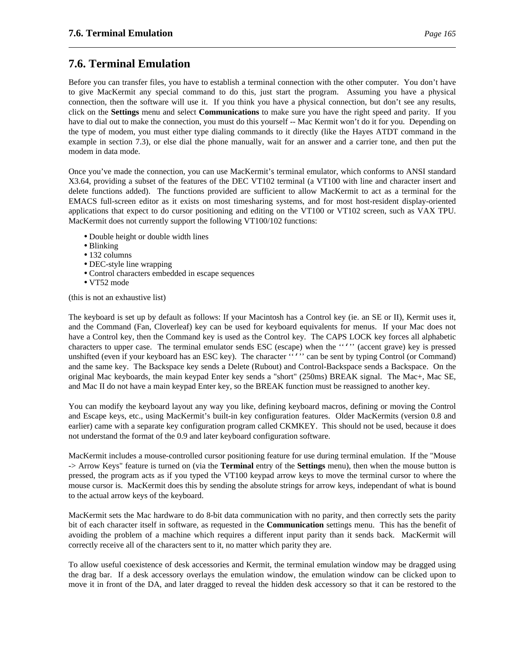# **7.6. Terminal Emulation**

Before you can transfer files, you have to establish a terminal connection with the other computer. You don't have to give MacKermit any special command to do this, just start the program. Assuming you have a physical connection, then the software will use it. If you think you have a physical connection, but don't see any results, click on the **Settings** menu and select **Communications** to make sure you have the right speed and parity. If you have to dial out to make the connection, you must do this yourself -- Mac Kermit won't do it for you. Depending on the type of modem, you must either type dialing commands to it directly (like the Hayes ATDT command in the example in section 7.3), or else dial the phone manually, wait for an answer and a carrier tone, and then put the modem in data mode.

Once you've made the connection, you can use MacKermit's terminal emulator, which conforms to ANSI standard X3.64, providing a subset of the features of the DEC VT102 terminal (a VT100 with line and character insert and delete functions added). The functions provided are sufficient to allow MacKermit to act as a terminal for the EMACS full-screen editor as it exists on most timesharing systems, and for most host-resident display-oriented applications that expect to do cursor positioning and editing on the VT100 or VT102 screen, such as VAX TPU. MacKermit does not currently support the following VT100/102 functions:

- Double height or double width lines
- Blinking
- 132 columns
- DEC-style line wrapping
- Control characters embedded in escape sequences
- VT52 mode

(this is not an exhaustive list)

The keyboard is set up by default as follows: If your Macintosh has a Control key (ie. an SE or II), Kermit uses it, and the Command (Fan, Cloverleaf) key can be used for keyboard equivalents for menus. If your Mac does not have a Control key, then the Command key is used as the Control key. The CAPS LOCK key forces all alphabetic characters to upper case. The terminal emulator sends ESC (escape) when the ''''' (accent grave) key is pressed unshifted (even if your keyboard has an ESC key). The character ""' can be sent by typing Control (or Command) and the same key. The Backspace key sends a Delete (Rubout) and Control-Backspace sends a Backspace. On the original Mac keyboards, the main keypad Enter key sends a "short" (250ms) BREAK signal. The Mac+, Mac SE, and Mac II do not have a main keypad Enter key, so the BREAK function must be reassigned to another key.

You can modify the keyboard layout any way you like, defining keyboard macros, defining or moving the Control and Escape keys, etc., using MacKermit's built-in key configuration features. Older MacKermits (version 0.8 and earlier) came with a separate key configuration program called CKMKEY. This should not be used, because it does not understand the format of the 0.9 and later keyboard configuration software.

MacKermit includes a mouse-controlled cursor positioning feature for use during terminal emulation. If the "Mouse -> Arrow Keys" feature is turned on (via the **Terminal** entry of the **Settings** menu), then when the mouse button is pressed, the program acts as if you typed the VT100 keypad arrow keys to move the terminal cursor to where the mouse cursor is. MacKermit does this by sending the absolute strings for arrow keys, independant of what is bound to the actual arrow keys of the keyboard.

MacKermit sets the Mac hardware to do 8-bit data communication with no parity, and then correctly sets the parity bit of each character itself in software, as requested in the **Communication** settings menu. This has the benefit of avoiding the problem of a machine which requires a different input parity than it sends back. MacKermit will correctly receive all of the characters sent to it, no matter which parity they are.

To allow useful coexistence of desk accessories and Kermit, the terminal emulation window may be dragged using the drag bar. If a desk accessory overlays the emulation window, the emulation window can be clicked upon to move it in front of the DA, and later dragged to reveal the hidden desk accessory so that it can be restored to the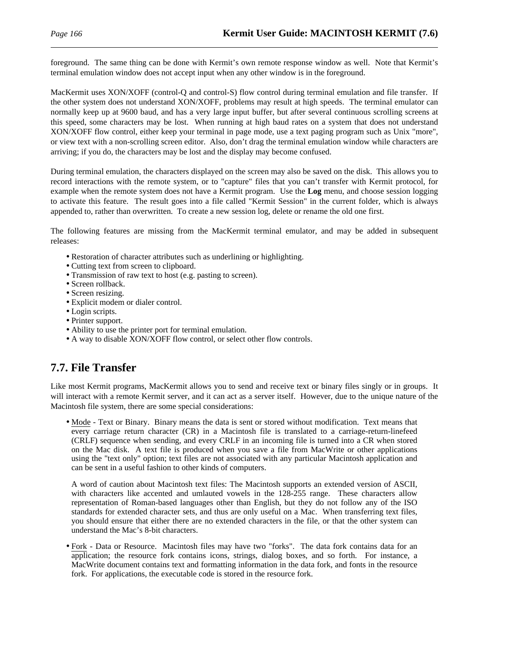foreground. The same thing can be done with Kermit's own remote response window as well. Note that Kermit's terminal emulation window does not accept input when any other window is in the foreground.

MacKermit uses XON/XOFF (control-Q and control-S) flow control during terminal emulation and file transfer. If the other system does not understand XON/XOFF, problems may result at high speeds. The terminal emulator can normally keep up at 9600 baud, and has a very large input buffer, but after several continuous scrolling screens at this speed, some characters may be lost. When running at high baud rates on a system that does not understand XON/XOFF flow control, either keep your terminal in page mode, use a text paging program such as Unix "more", or view text with a non-scrolling screen editor. Also, don't drag the terminal emulation window while characters are arriving; if you do, the characters may be lost and the display may become confused.

During terminal emulation, the characters displayed on the screen may also be saved on the disk. This allows you to record interactions with the remote system, or to "capture" files that you can't transfer with Kermit protocol, for example when the remote system does not have a Kermit program. Use the **Log** menu, and choose session logging to activate this feature. The result goes into a file called "Kermit Session" in the current folder, which is always appended to, rather than overwritten. To create a new session log, delete or rename the old one first.

The following features are missing from the MacKermit terminal emulator, and may be added in subsequent releases:

- Restoration of character attributes such as underlining or highlighting.
- Cutting text from screen to clipboard.
- Transmission of raw text to host (e.g. pasting to screen).
- Screen rollback.
- Screen resizing.
- Explicit modem or dialer control.
- Login scripts.
- Printer support.
- Ability to use the printer port for terminal emulation.
- A way to disable XON/XOFF flow control, or select other flow controls.

# **7.7. File Transfer**

Like most Kermit programs, MacKermit allows you to send and receive text or binary files singly or in groups. It will interact with a remote Kermit server, and it can act as a server itself. However, due to the unique nature of the Macintosh file system, there are some special considerations:

• Mode - Text or Binary. Binary means the data is sent or stored without modification. Text means that every carriage return character (CR) in a Macintosh file is translated to a carriage-return-linefeed (CRLF) sequence when sending, and every CRLF in an incoming file is turned into a CR when stored on the Mac disk. A text file is produced when you save a file from MacWrite or other applications using the "text only" option; text files are not associated with any particular Macintosh application and can be sent in a useful fashion to other kinds of computers.

A word of caution about Macintosh text files: The Macintosh supports an extended version of ASCII, with characters like accented and umlauted vowels in the 128-255 range. These characters allow representation of Roman-based languages other than English, but they do not follow any of the ISO standards for extended character sets, and thus are only useful on a Mac. When transferring text files, you should ensure that either there are no extended characters in the file, or that the other system can understand the Mac's 8-bit characters.

• Fork - Data or Resource. Macintosh files may have two "forks". The data fork contains data for an application; the resource fork contains icons, strings, dialog boxes, and so forth. For instance, a MacWrite document contains text and formatting information in the data fork, and fonts in the resource fork. For applications, the executable code is stored in the resource fork.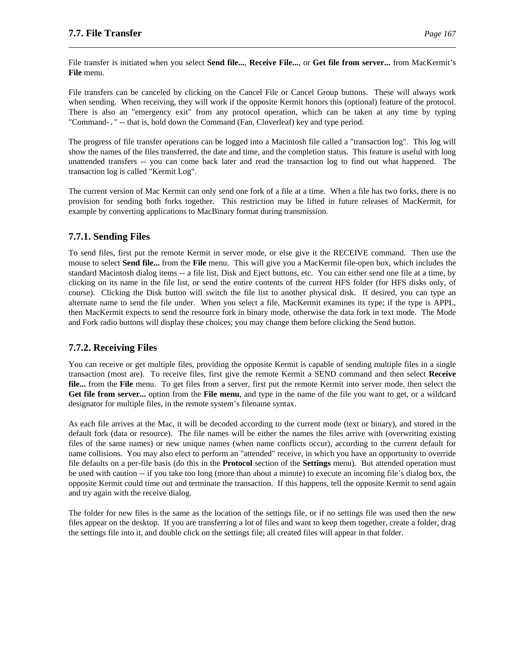File transfer is initiated when you select **Send file...**, **Receive File...**, or **Get file from server...** from MacKermit's **File** menu.

File transfers can be canceled by clicking on the Cancel File or Cancel Group buttons. These will always work when sending. When receiving, they will work if the opposite Kermit honors this (optional) feature of the protocol. There is also an "emergency exit" from any protocol operation, which can be taken at any time by typing "Command-." -- that is, hold down the Command (Fan, Cloverleaf) key and type period.

The progress of file transfer operations can be logged into a Macintosh file called a "transaction log". This log will show the names of the files transferred, the date and time, and the completion status. This feature is useful with long unattended transfers -- you can come back later and read the transaction log to find out what happened. The transaction log is called "Kermit Log".

The current version of Mac Kermit can only send one fork of a file at a time. When a file has two forks, there is no provision for sending both forks together. This restriction may be lifted in future releases of MacKermit, for example by converting applications to MacBinary format during transmission.

### **7.7.1. Sending Files**

To send files, first put the remote Kermit in server mode, or else give it the RECEIVE command. Then use the mouse to select **Send file...** from the **File** menu. This will give you a MacKermit file-open box, which includes the standard Macintosh dialog items -- a file list, Disk and Eject buttons, etc. You can either send one file at a time, by clicking on its name in the file list, or send the entire contents of the current HFS folder (for HFS disks only, of course). Clicking the Disk button will switch the file list to another physical disk. If desired, you can type an alternate name to send the file under. When you select a file, MacKermit examines its type; if the type is APPL, then MacKermit expects to send the resource fork in binary mode, otherwise the data fork in text mode. The Mode and Fork radio buttons will display these choices; you may change them before clicking the Send button.

### **7.7.2. Receiving Files**

You can receive or get multiple files, providing the opposite Kermit is capable of sending multiple files in a single transaction (most are). To receive files, first give the remote Kermit a SEND command and then select **Receive file...** from the **File** menu. To get files from a server, first put the remote Kermit into server mode, then select the **Get file from server...** option from the **File menu**, and type in the name of the file you want to get, or a wildcard designator for multiple files, in the remote system's filename syntax.

As each file arrives at the Mac, it will be decoded according to the current mode (text or binary), and stored in the default fork (data or resource). The file names will be either the names the files arrive with (overwriting existing files of the same names) or new unique names (when name conflicts occur), according to the current default for name collisions. You may also elect to perform an "attended" receive, in which you have an opportunity to override file defaults on a per-file basis (do this in the **Protocol** section of the **Settings** menu). But attended operation must be used with caution -- if you take too long (more than about a minute) to execute an incoming file's dialog box, the opposite Kermit could time out and terminate the transaction. If this happens, tell the opposite Kermit to send again and try again with the receive dialog.

The folder for new files is the same as the location of the settings file, or if no settings file was used then the new files appear on the desktop. If you are transferring a lot of files and want to keep them together, create a folder, drag the settings file into it, and double click on the settings file; all created files will appear in that folder.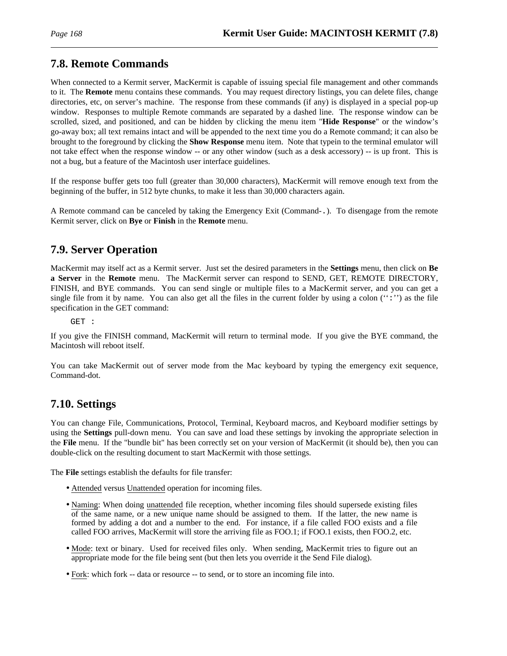# **7.8. Remote Commands**

When connected to a Kermit server, MacKermit is capable of issuing special file management and other commands to it. The **Remote** menu contains these commands. You may request directory listings, you can delete files, change directories, etc, on server's machine. The response from these commands (if any) is displayed in a special pop-up window. Responses to multiple Remote commands are separated by a dashed line. The response window can be scrolled, sized, and positioned, and can be hidden by clicking the menu item "**Hide Response**" or the window's go-away box; all text remains intact and will be appended to the next time you do a Remote command; it can also be brought to the foreground by clicking the **Show Response** menu item. Note that typein to the terminal emulator will not take effect when the response window -- or any other window (such as a desk accessory) -- is up front. This is not a bug, but a feature of the Macintosh user interface guidelines.

If the response buffer gets too full (greater than 30,000 characters), MacKermit will remove enough text from the beginning of the buffer, in 512 byte chunks, to make it less than 30,000 characters again.

A Remote command can be canceled by taking the Emergency Exit (Command-.). To disengage from the remote Kermit server, click on **Bye** or **Finish** in the **Remote** menu.

# **7.9. Server Operation**

MacKermit may itself act as a Kermit server. Just set the desired parameters in the **Settings** menu, then click on **Be a Server** in the **Remote** menu. The MacKermit server can respond to SEND, GET, REMOTE DIRECTORY, FINISH, and BYE commands. You can send single or multiple files to a MacKermit server, and you can get a single file from it by name. You can also get all the files in the current folder by using a colon  $(``:')$  as the file specification in the GET command:

GET :

If you give the FINISH command, MacKermit will return to terminal mode. If you give the BYE command, the Macintosh will reboot itself.

You can take MacKermit out of server mode from the Mac keyboard by typing the emergency exit sequence, Command-dot.

# **7.10. Settings**

You can change File, Communications, Protocol, Terminal, Keyboard macros, and Keyboard modifier settings by using the **Settings** pull-down menu. You can save and load these settings by invoking the appropriate selection in the **File** menu. If the "bundle bit" has been correctly set on your version of MacKermit (it should be), then you can double-click on the resulting document to start MacKermit with those settings.

The **File** settings establish the defaults for file transfer:

- Attended versus Unattended operation for incoming files.
- Naming: When doing unattended file reception, whether incoming files should supersede existing files of the same name, or a new unique name should be assigned to them. If the latter, the new name is formed by adding a dot and a number to the end. For instance, if a file called FOO exists and a file called FOO arrives, MacKermit will store the arriving file as FOO.1; if FOO.1 exists, then FOO.2, etc.
- Mode: text or binary. Used for received files only. When sending, MacKermit tries to figure out an appropriate mode for the file being sent (but then lets you override it the Send File dialog).
- Fork: which fork -- data or resource -- to send, or to store an incoming file into.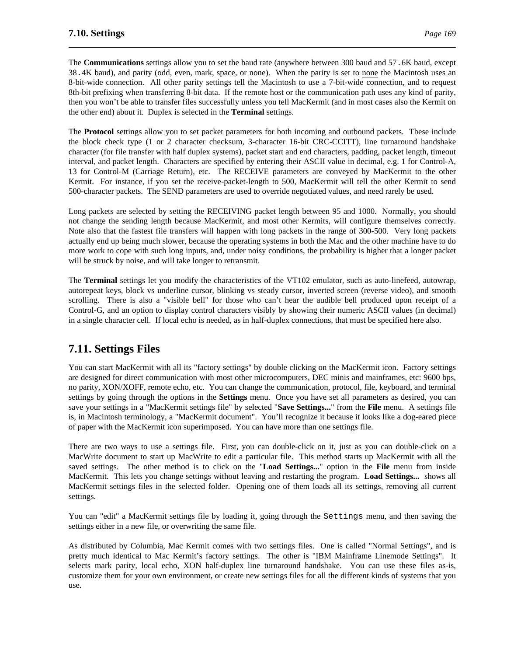The **Communications** settings allow you to set the baud rate (anywhere between 300 baud and 57.6K baud, except 38.4K baud), and parity (odd, even, mark, space, or none). When the parity is set to none the Macintosh uses an 8-bit-wide connection. All other parity settings tell the Macintosh to use a 7-bit-wide connection, and to request 8th-bit prefixing when transferring 8-bit data. If the remote host or the communication path uses any kind of parity, then you won't be able to transfer files successfully unless you tell MacKermit (and in most cases also the Kermit on the other end) about it. Duplex is selected in the **Terminal** settings.

The **Protocol** settings allow you to set packet parameters for both incoming and outbound packets. These include the block check type (1 or 2 character checksum, 3-character 16-bit CRC-CCITT), line turnaround handshake character (for file transfer with half duplex systems), packet start and end characters, padding, packet length, timeout interval, and packet length. Characters are specified by entering their ASCII value in decimal, e.g. 1 for Control-A, 13 for Control-M (Carriage Return), etc. The RECEIVE parameters are conveyed by MacKermit to the other Kermit. For instance, if you set the receive-packet-length to 500, MacKermit will tell the other Kermit to send 500-character packets. The SEND parameters are used to override negotiated values, and need rarely be used.

Long packets are selected by setting the RECEIVING packet length between 95 and 1000. Normally, you should not change the sending length because MacKermit, and most other Kermits, will configure themselves correctly. Note also that the fastest file transfers will happen with long packets in the range of 300-500. Very long packets actually end up being much slower, because the operating systems in both the Mac and the other machine have to do more work to cope with such long inputs, and, under noisy conditions, the probability is higher that a longer packet will be struck by noise, and will take longer to retransmit.

The **Terminal** settings let you modify the characteristics of the VT102 emulator, such as auto-linefeed, autowrap, autorepeat keys, block vs underline cursor, blinking vs steady cursor, inverted screen (reverse video), and smooth scrolling. There is also a "visible bell" for those who can't hear the audible bell produced upon receipt of a Control-G, and an option to display control characters visibly by showing their numeric ASCII values (in decimal) in a single character cell. If local echo is needed, as in half-duplex connections, that must be specified here also.

# **7.11. Settings Files**

You can start MacKermit with all its "factory settings" by double clicking on the MacKermit icon. Factory settings are designed for direct communication with most other microcomputers, DEC minis and mainframes, etc: 9600 bps, no parity, XON/XOFF, remote echo, etc. You can change the communication, protocol, file, keyboard, and terminal settings by going through the options in the **Settings** menu. Once you have set all parameters as desired, you can save your settings in a "MacKermit settings file" by selected "**Save Settings...**" from the **File** menu. A settings file is, in Macintosh terminology, a "MacKermit document". You'll recognize it because it looks like a dog-eared piece of paper with the MacKermit icon superimposed. You can have more than one settings file.

There are two ways to use a settings file. First, you can double-click on it, just as you can double-click on a MacWrite document to start up MacWrite to edit a particular file. This method starts up MacKermit with all the saved settings. The other method is to click on the "**Load Settings...**" option in the **File** menu from inside MacKermit. This lets you change settings without leaving and restarting the program. **Load Settings...** shows all MacKermit settings files in the selected folder. Opening one of them loads all its settings, removing all current settings.

You can "edit" a MacKermit settings file by loading it, going through the Settings menu, and then saving the settings either in a new file, or overwriting the same file.

As distributed by Columbia, Mac Kermit comes with two settings files. One is called "Normal Settings", and is pretty much identical to Mac Kermit's factory settings. The other is "IBM Mainframe Linemode Settings". It selects mark parity, local echo, XON half-duplex line turnaround handshake. You can use these files as-is, customize them for your own environment, or create new settings files for all the different kinds of systems that you use.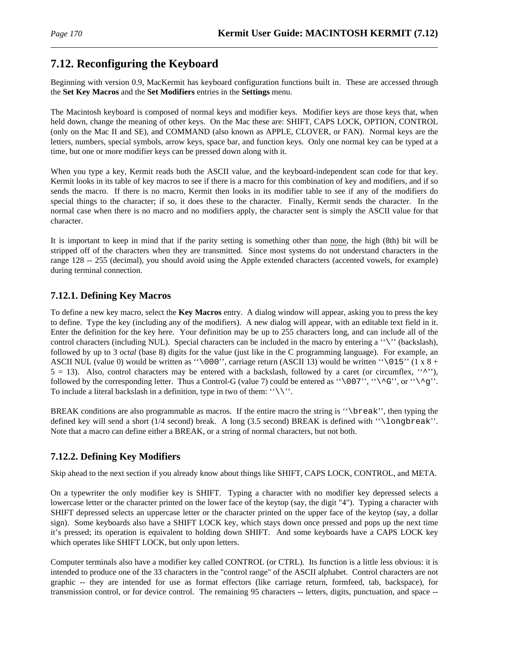# **7.12. Reconfiguring the Keyboard**

Beginning with version 0.9, MacKermit has keyboard configuration functions built in. These are accessed through the **Set Key Macros** and the **Set Modifiers** entries in the **Settings** menu.

The Macintosh keyboard is composed of normal keys and modifier keys. Modifier keys are those keys that, when held down, change the meaning of other keys. On the Mac these are: SHIFT, CAPS LOCK, OPTION, CONTROL (only on the Mac II and SE), and COMMAND (also known as APPLE, CLOVER, or FAN). Normal keys are the letters, numbers, special symbols, arrow keys, space bar, and function keys. Only one normal key can be typed at a time, but one or more modifier keys can be pressed down along with it.

When you type a key, Kermit reads both the ASCII value, and the keyboard-independent scan code for that key. Kermit looks in its table of key macros to see if there is a macro for this combination of key and modifiers, and if so sends the macro. If there is no macro, Kermit then looks in its modifier table to see if any of the modifiers do special things to the character; if so, it does these to the character. Finally, Kermit sends the character. In the normal case when there is no macro and no modifiers apply, the character sent is simply the ASCII value for that character.

It is important to keep in mind that if the parity setting is something other than none, the high (8th) bit will be stripped off of the characters when they are transmitted. Since most systems do not understand characters in the range 128 -- 255 (decimal), you should avoid using the Apple extended characters (accented vowels, for example) during terminal connection.

### **7.12.1. Defining Key Macros**

To define a new key macro, select the **Key Macros** entry. A dialog window will appear, asking you to press the key to define. Type the key (including any of the modifiers). A new dialog will appear, with an editable text field in it. Enter the definition for the key here. Your definition may be up to 255 characters long, and can include all of the control characters (including NUL). Special characters can be included in the macro by entering a ''\'' (backslash), followed by up to 3 *octal* (base 8) digits for the value (just like in the C programming language). For example, an ASCII NUL (value 0) would be written as " $\000$ ", carriage return (ASCII 13) would be written " $\015$ " (1 x 8 +  $5 = 13$ ). Also, control characters may be entered with a backslash, followed by a caret (or circumflex,  $\langle \cdot, \cdot \rangle$ ), followed by the corresponding letter. Thus a Control-G (value 7) could be entered as "\007", "\^G", or "\^g". To include a literal backslash in a definition, type in two of them:  $"\rangle\$ .

BREAK conditions are also programmable as macros. If the entire macro the string is "\break'', then typing the defined key will send a short (1/4 second) break. A long (3.5 second) BREAK is defined with ''\longbreak''. Note that a macro can define either a BREAK, or a string of normal characters, but not both.

### **7.12.2. Defining Key Modifiers**

Skip ahead to the next section if you already know about things like SHIFT, CAPS LOCK, CONTROL, and META.

On a typewriter the only modifier key is SHIFT. Typing a character with no modifier key depressed selects a lowercase letter or the character printed on the lower face of the keytop (say, the digit "4"). Typing a character with SHIFT depressed selects an uppercase letter or the character printed on the upper face of the keytop (say, a dollar sign). Some keyboards also have a SHIFT LOCK key, which stays down once pressed and pops up the next time it's pressed; its operation is equivalent to holding down SHIFT. And some keyboards have a CAPS LOCK key which operates like SHIFT LOCK, but only upon letters.

Computer terminals also have a modifier key called CONTROL (or CTRL). Its function is a little less obvious: it is intended to produce one of the 33 characters in the "control range" of the ASCII alphabet. Control characters are not graphic -- they are intended for use as format effectors (like carriage return, formfeed, tab, backspace), for transmission control, or for device control. The remaining 95 characters -- letters, digits, punctuation, and space --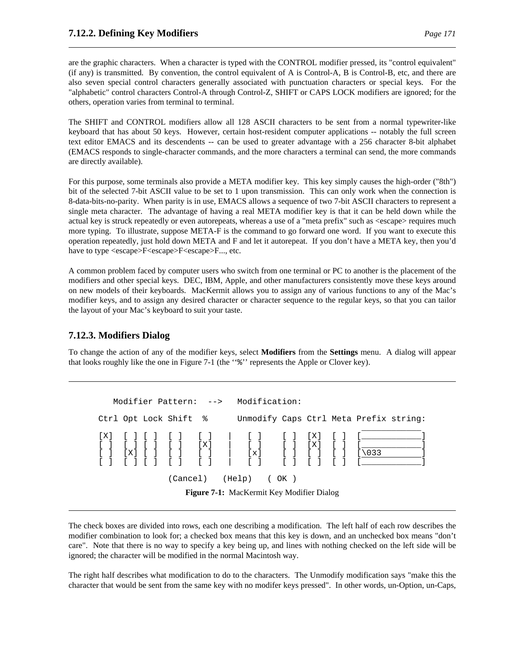are the graphic characters. When a character is typed with the CONTROL modifier pressed, its "control equivalent" (if any) is transmitted. By convention, the control equivalent of A is Control-A, B is Control-B, etc, and there are also seven special control characters generally associated with punctuation characters or special keys. For the "alphabetic" control characters Control-A through Control-Z, SHIFT or CAPS LOCK modifiers are ignored; for the others, operation varies from terminal to terminal.

The SHIFT and CONTROL modifiers allow all 128 ASCII characters to be sent from a normal typewriter-like keyboard that has about 50 keys. However, certain host-resident computer applications -- notably the full screen text editor EMACS and its descendents -- can be used to greater advantage with a 256 character 8-bit alphabet (EMACS responds to single-character commands, and the more characters a terminal can send, the more commands are directly available).

For this purpose, some terminals also provide a META modifier key. This key simply causes the high-order ("8th") bit of the selected 7-bit ASCII value to be set to 1 upon transmission. This can only work when the connection is 8-data-bits-no-parity. When parity is in use, EMACS allows a sequence of two 7-bit ASCII characters to represent a single meta character. The advantage of having a real META modifier key is that it can be held down while the actual key is struck repeatedly or even autorepeats, whereas a use of a "meta prefix" such as <escape> requires much more typing. To illustrate, suppose META-F is the command to go forward one word. If you want to execute this operation repeatedly, just hold down META and F and let it autorepeat. If you don't have a META key, then you'd have to type <escape>F<escape>F<escape>F..., etc.

A common problem faced by computer users who switch from one terminal or PC to another is the placement of the modifiers and other special keys. DEC, IBM, Apple, and other manufacturers consistently move these keys around on new models of their keyboards. MacKermit allows you to assign any of various functions to any of the Mac's modifier keys, and to assign any desired character or character sequence to the regular keys, so that you can tailor the layout of your Mac's keyboard to suit your taste.

### **7.12.3. Modifiers Dialog**

To change the action of any of the modifier keys, select **Modifiers** from the **Settings** menu. A dialog will appear that looks roughly like the one in Figure 7-1 (the ''%'' represents the Apple or Clover key).

```
Modifier Pattern: --> Modification:
Ctrl Opt Lock Shift % Unmodify Caps Ctrl Meta Prefix string:
                                                         \overline{\phantom{a}}[X] [ ] [ ] [ ] [ ] | [ ] [ ] [X] [ ] [____________]
[ ] [ ] [ ] [ ] [ ] [ ] [ [ X ] ] [ ] [ [ X ] ] [ ] [ [ X ] ] [ ] [ \underline{\hspace{1.5cm}} [ ] [ \ldots ] ] [ ] [ [ X ] ] [ ] [ ] [ ] [ ] [ ] ][ ] [X] [ ] [ ] [ ] | [x] [ ] [ ] [ ] [\033 ]
[ ] [ ] [ ] [ ] [ ] | [ ] [ ] [ ] [ ] [____________]
               (Cancel) (Help) ( OK )
```
**Figure 7-1:** MacKermit Key Modifier Dialog

The check boxes are divided into rows, each one describing a modification. The left half of each row describes the modifier combination to look for; a checked box means that this key is down, and an unchecked box means "don't care". Note that there is no way to specify a key being up, and lines with nothing checked on the left side will be ignored; the character will be modified in the normal Macintosh way.

The right half describes what modification to do to the characters. The Unmodify modification says "make this the character that would be sent from the same key with no modifer keys pressed". In other words, un-Option, un-Caps,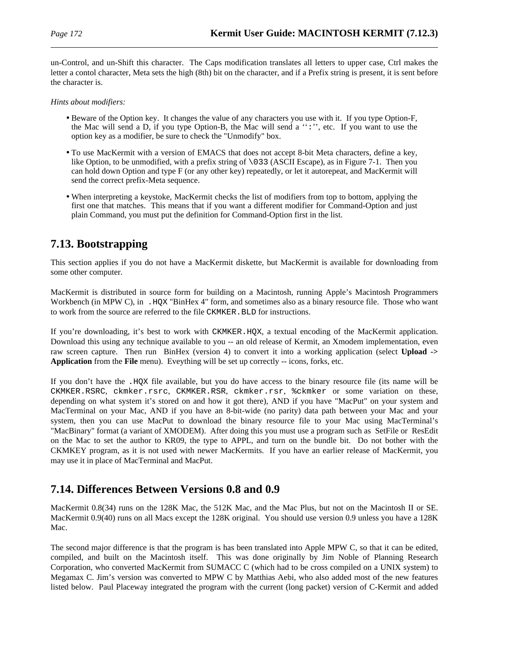un-Control, and un-Shift this character. The Caps modification translates all letters to upper case, Ctrl makes the letter a contol character, Meta sets the high (8th) bit on the character, and if a Prefix string is present, it is sent before the character is.

*Hints about modifiers:*

- Beware of the Option key. It changes the value of any characters you use with it. If you type Option-F, the Mac will send a D, if you type Option-B, the Mac will send a '':'', etc. If you want to use the option key as a modifier, be sure to check the "Unmodify" box.
- To use MacKermit with a version of EMACS that does not accept 8-bit Meta characters, define a key, like Option, to be unmodified, with a prefix string of \033 (ASCII Escape), as in Figure 7-1. Then you can hold down Option and type F (or any other key) repeatedly, or let it autorepeat, and MacKermit will send the correct prefix-Meta sequence.
- When interpreting a keystoke, MacKermit checks the list of modifiers from top to bottom, applying the first one that matches. This means that if you want a different modifier for Command-Option and just plain Command, you must put the definition for Command-Option first in the list.

# **7.13. Bootstrapping**

This section applies if you do not have a MacKermit diskette, but MacKermit is available for downloading from some other computer.

MacKermit is distributed in source form for building on a Macintosh, running Apple's Macintosh Programmers Workbench (in MPW C), in . HQX "BinHex 4" form, and sometimes also as a binary resource file. Those who want to work from the source are referred to the file CKMKER. BLD for instructions.

If you're downloading, it's best to work with CKMKER.HQX, a textual encoding of the MacKermit application. Download this using any technique available to you -- an old release of Kermit, an Xmodem implementation, even raw screen capture. Then run BinHex (version 4) to convert it into a working application (select **Upload -> Application** from the **File** menu). Eveything will be set up correctly -- icons, forks, etc.

If you don't have the .HQX file available, but you do have access to the binary resource file (its name will be CKMKER.RSRC, ckmker.rsrc, CKMKER.RSR, ckmker.rsr, %ckmker or some variation on these, depending on what system it's stored on and how it got there), AND if you have "MacPut" on your system and MacTerminal on your Mac, AND if you have an 8-bit-wide (no parity) data path between your Mac and your system, then you can use MacPut to download the binary resource file to your Mac using MacTerminal's "MacBinary" format (a variant of XMODEM). After doing this you must use a program such as SetFile or ResEdit on the Mac to set the author to KR09, the type to APPL, and turn on the bundle bit. Do not bother with the CKMKEY program, as it is not used with newer MacKermits. If you have an earlier release of MacKermit, you may use it in place of MacTerminal and MacPut.

# **7.14. Differences Between Versions 0.8 and 0.9**

MacKermit 0.8(34) runs on the 128K Mac, the 512K Mac, and the Mac Plus, but not on the Macintosh II or SE. MacKermit 0.9(40) runs on all Macs except the 128K original. You should use version 0.9 unless you have a 128K Mac.

The second major difference is that the program is has been translated into Apple MPW C, so that it can be edited, compiled, and built on the Macintosh itself. This was done originally by Jim Noble of Planning Research Corporation, who converted MacKermit from SUMACC C (which had to be cross compiled on a UNIX system) to Megamax C. Jim's version was converted to MPW C by Matthias Aebi, who also added most of the new features listed below. Paul Placeway integrated the program with the current (long packet) version of C-Kermit and added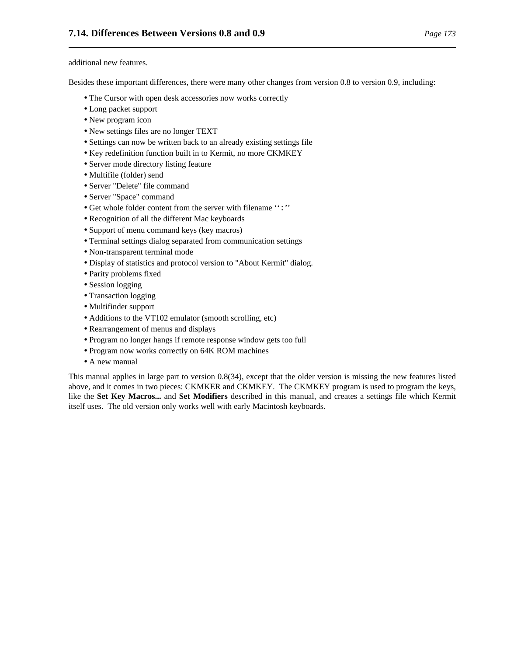additional new features.

Besides these important differences, there were many other changes from version 0.8 to version 0.9, including:

- The Cursor with open desk accessories now works correctly
- Long packet support
- New program icon
- New settings files are no longer TEXT
- Settings can now be written back to an already existing settings file
- Key redefinition function built in to Kermit, no more CKMKEY
- Server mode directory listing feature
- Multifile (folder) send
- Server "Delete" file command
- Server "Space" command
- Get whole folder content from the server with filename '':''
- Recognition of all the different Mac keyboards
- Support of menu command keys (key macros)
- Terminal settings dialog separated from communication settings
- Non-transparent terminal mode
- Display of statistics and protocol version to "About Kermit" dialog.
- Parity problems fixed
- Session logging
- Transaction logging
- Multifinder support
- Additions to the VT102 emulator (smooth scrolling, etc)
- Rearrangement of menus and displays
- Program no longer hangs if remote response window gets too full
- Program now works correctly on 64K ROM machines
- A new manual

This manual applies in large part to version 0.8(34), except that the older version is missing the new features listed above, and it comes in two pieces: CKMKER and CKMKEY. The CKMKEY program is used to program the keys, like the **Set Key Macros...** and **Set Modifiers** described in this manual, and creates a settings file which Kermit itself uses. The old version only works well with early Macintosh keyboards.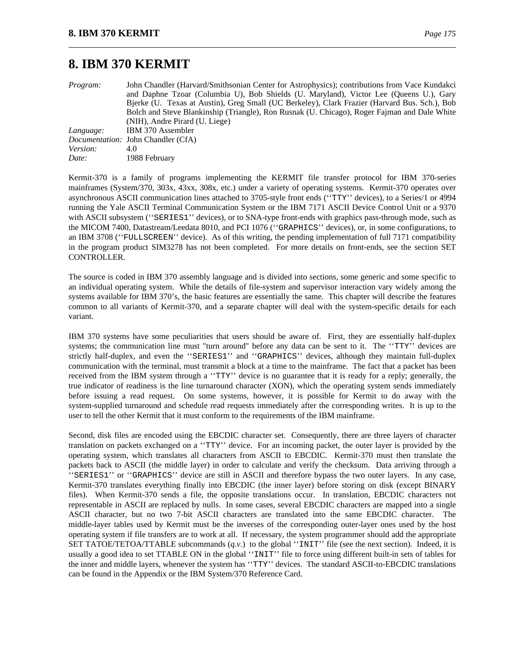# **8. IBM 370 KERMIT**

*Program:* John Chandler (Harvard/Smithsonian Center for Astrophysics); contributions from Vace Kundakci and Daphne Tzoar (Columbia U), Bob Shields (U. Maryland), Victor Lee (Queens U.), Gary Bjerke (U. Texas at Austin), Greg Small (UC Berkeley), Clark Frazier (Harvard Bus. Sch.), Bob Bolch and Steve Blankinship (Triangle), Ron Rusnak (U. Chicago), Roger Fajman and Dale White (NIH), Andre Pirard (U. Liege) *Language:* IBM 370 Assembler *Documentation:* John Chandler (CfA) *Version:* 4.0 *Date:* 1988 February

Kermit-370 is a family of programs implementing the KERMIT file transfer protocol for IBM 370-series mainframes (System/370, 303x, 43xx, 308x, etc.) under a variety of operating systems. Kermit-370 operates over asynchronous ASCII communication lines attached to 3705-style front ends (''TTY'' devices), to a Series/1 or 4994 running the Yale ASCII Terminal Communication System or the IBM 7171 ASCII Device Control Unit or a 9370 with ASCII subsystem ("SERIES1" devices), or to SNA-type front-ends with graphics pass-through mode, such as the MICOM 7400, Datastream/Leedata 8010, and PCI 1076 (''GRAPHICS'' devices), or, in some configurations, to an IBM 3708 (''FULLSCREEN'' device). As of this writing, the pending implementation of full 7171 compatibility in the program product SIM3278 has not been completed. For more details on front-ends, see the section SET CONTROLLER.

The source is coded in IBM 370 assembly language and is divided into sections, some generic and some specific to an individual operating system. While the details of file-system and supervisor interaction vary widely among the systems available for IBM 370's, the basic features are essentially the same. This chapter will describe the features common to all variants of Kermit-370, and a separate chapter will deal with the system-specific details for each variant.

IBM 370 systems have some peculiarities that users should be aware of. First, they are essentially half-duplex systems; the communication line must "turn around" before any data can be sent to it. The ''TTY'' devices are strictly half-duplex, and even the ''SERIES1'' and ''GRAPHICS'' devices, although they maintain full-duplex communication with the terminal, must transmit a block at a time to the mainframe. The fact that a packet has been received from the IBM system through a "TTY" device is no guarantee that it is ready for a reply; generally, the true indicator of readiness is the line turnaround character (XON), which the operating system sends immediately before issuing a read request. On some systems, however, it is possible for Kermit to do away with the system-supplied turnaround and schedule read requests immediately after the corresponding writes. It is up to the user to tell the other Kermit that it must conform to the requirements of the IBM mainframe.

Second, disk files are encoded using the EBCDIC character set. Consequently, there are three layers of character translation on packets exchanged on a ''TTY'' device. For an incoming packet, the outer layer is provided by the operating system, which translates all characters from ASCII to EBCDIC. Kermit-370 must then translate the packets back to ASCII (the middle layer) in order to calculate and verify the checksum. Data arriving through a ''SERIES1'' or ''GRAPHICS'' device are still in ASCII and therefore bypass the two outer layers. In any case, Kermit-370 translates everything finally into EBCDIC (the inner layer) before storing on disk (except BINARY files). When Kermit-370 sends a file, the opposite translations occur. In translation, EBCDIC characters not representable in ASCII are replaced by nulls. In some cases, several EBCDIC characters are mapped into a single ASCII character, but no two 7-bit ASCII characters are translated into the same EBCDIC character. The middle-layer tables used by Kermit must be the inverses of the corresponding outer-layer ones used by the host operating system if file transfers are to work at all. If necessary, the system programmer should add the appropriate SET TATOE/TETOA/TTABLE subcommands  $(q, v)$  to the global "INIT" file (see the next section). Indeed, it is usually a good idea to set TTABLE ON in the global ''INIT'' file to force using different built-in sets of tables for the inner and middle layers, whenever the system has ''TTY'' devices. The standard ASCII-to-EBCDIC translations can be found in the Appendix or the IBM System/370 Reference Card.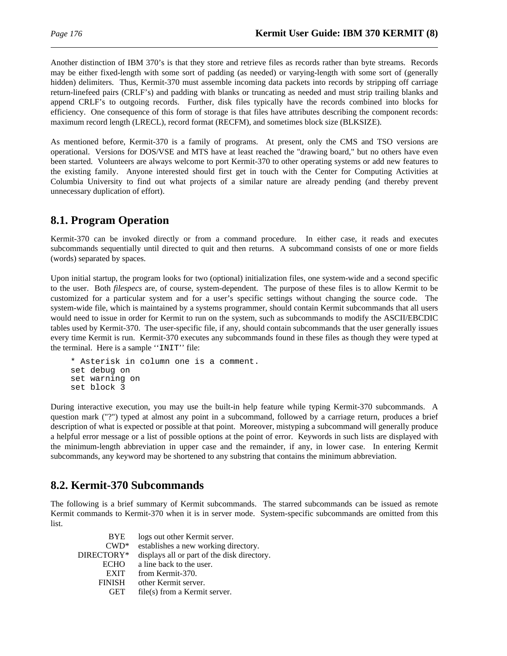Another distinction of IBM 370's is that they store and retrieve files as records rather than byte streams. Records may be either fixed-length with some sort of padding (as needed) or varying-length with some sort of (generally hidden) delimiters. Thus, Kermit-370 must assemble incoming data packets into records by stripping off carriage return-linefeed pairs (CRLF's) and padding with blanks or truncating as needed and must strip trailing blanks and append CRLF's to outgoing records. Further, disk files typically have the records combined into blocks for efficiency. One consequence of this form of storage is that files have attributes describing the component records: maximum record length (LRECL), record format (RECFM), and sometimes block size (BLKSIZE).

As mentioned before, Kermit-370 is a family of programs. At present, only the CMS and TSO versions are operational. Versions for DOS/VSE and MTS have at least reached the "drawing board," but no others have even been started. Volunteers are always welcome to port Kermit-370 to other operating systems or add new features to the existing family. Anyone interested should first get in touch with the Center for Computing Activities at Columbia University to find out what projects of a similar nature are already pending (and thereby prevent unnecessary duplication of effort).

# **8.1. Program Operation**

Kermit-370 can be invoked directly or from a command procedure. In either case, it reads and executes subcommands sequentially until directed to quit and then returns. A subcommand consists of one or more fields (words) separated by spaces.

Upon initial startup, the program looks for two (optional) initialization files, one system-wide and a second specific to the user. Both *filespecs* are, of course, system-dependent. The purpose of these files is to allow Kermit to be customized for a particular system and for a user's specific settings without changing the source code. The system-wide file, which is maintained by a systems programmer, should contain Kermit subcommands that all users would need to issue in order for Kermit to run on the system, such as subcommands to modify the ASCII/EBCDIC tables used by Kermit-370. The user-specific file, if any, should contain subcommands that the user generally issues every time Kermit is run. Kermit-370 executes any subcommands found in these files as though they were typed at the terminal. Here is a sample ''INIT'' file:

```
* Asterisk in column one is a comment.
set debug on
set warning on
set block 3
```
During interactive execution, you may use the built-in help feature while typing Kermit-370 subcommands. A question mark ("?") typed at almost any point in a subcommand, followed by a carriage return, produces a brief description of what is expected or possible at that point. Moreover, mistyping a subcommand will generally produce a helpful error message or a list of possible options at the point of error. Keywords in such lists are displayed with the minimum-length abbreviation in upper case and the remainder, if any, in lower case. In entering Kermit subcommands, any keyword may be shortened to any substring that contains the minimum abbreviation.

# **8.2. Kermit-370 Subcommands**

The following is a brief summary of Kermit subcommands. The starred subcommands can be issued as remote Kermit commands to Kermit-370 when it is in server mode. System-specific subcommands are omitted from this list.

| logs out other Kermit server.               |
|---------------------------------------------|
| establishes a new working directory.        |
| displays all or part of the disk directory. |
| a line back to the user.                    |
| from Kermit-370.                            |
| other Kermit server.                        |
| file(s) from a Kermit server.               |
|                                             |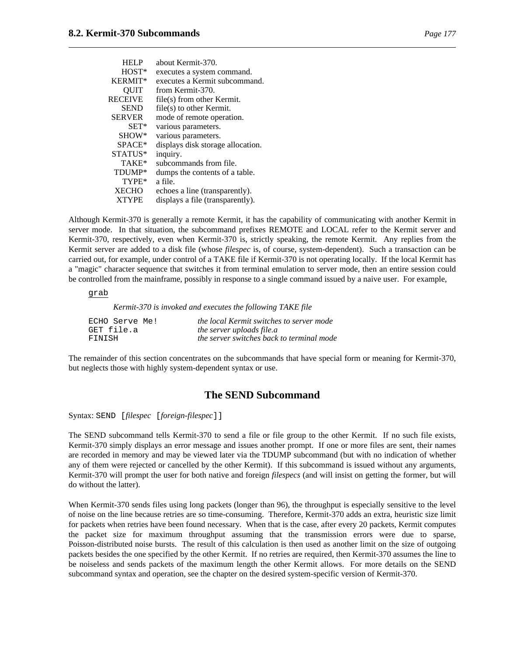| <b>HELP</b>    | about Kermit-370.                 |
|----------------|-----------------------------------|
| HOST*          | executes a system command.        |
| <b>KERMIT*</b> | executes a Kermit subcommand.     |
| <b>OUIT</b>    | from Kermit-370.                  |
| RECEIVE        | file(s) from other Kermit.        |
| <b>SEND</b>    | $file(s)$ to other Kermit.        |
| <b>SERVER</b>  | mode of remote operation.         |
| $SET*$         | various parameters.               |
| SHOW*          | various parameters.               |
| $SPACE*$       | displays disk storage allocation. |
| STATUS*        | inquiry.                          |
| TAKE*          | subcommands from file.            |
| TDUMP*         | dumps the contents of a table.    |
| TYPE*          | a file.                           |
| <b>XECHO</b>   | echoes a line (transparently).    |
| <b>XTYPE</b>   | displays a file (transparently).  |

Although Kermit-370 is generally a remote Kermit, it has the capability of communicating with another Kermit in server mode. In that situation, the subcommand prefixes REMOTE and LOCAL refer to the Kermit server and Kermit-370, respectively, even when Kermit-370 is, strictly speaking, the remote Kermit. Any replies from the Kermit server are added to a disk file (whose *filespec* is, of course, system-dependent). Such a transaction can be carried out, for example, under control of a TAKE file if Kermit-370 is not operating locally. If the local Kermit has a "magic" character sequence that switches it from terminal emulation to server mode, then an entire session could be controlled from the mainframe, possibly in response to a single command issued by a naive user. For example,

#### grab

*Kermit-370 is invoked and executes the following TAKE file*

| ECHO Serve Me! | the local Kermit switches to server mode  |
|----------------|-------------------------------------------|
| GET file.a     | the server uploads file.a                 |
| FINISH         | the server switches back to terminal mode |

The remainder of this section concentrates on the subcommands that have special form or meaning for Kermit-370, but neglects those with highly system-dependent syntax or use.

### **The SEND Subcommand**

Syntax: SEND [*filespec* [*foreign-filespec*]]

The SEND subcommand tells Kermit-370 to send a file or file group to the other Kermit. If no such file exists, Kermit-370 simply displays an error message and issues another prompt. If one or more files are sent, their names are recorded in memory and may be viewed later via the TDUMP subcommand (but with no indication of whether any of them were rejected or cancelled by the other Kermit). If this subcommand is issued without any arguments, Kermit-370 will prompt the user for both native and foreign *filespecs* (and will insist on getting the former, but will do without the latter).

When Kermit-370 sends files using long packets (longer than 96), the throughput is especially sensitive to the level of noise on the line because retries are so time-consuming. Therefore, Kermit-370 adds an extra, heuristic size limit for packets when retries have been found necessary. When that is the case, after every 20 packets, Kermit computes the packet size for maximum throughput assuming that the transmission errors were due to sparse, Poisson-distributed noise bursts. The result of this calculation is then used as another limit on the size of outgoing packets besides the one specified by the other Kermit. If no retries are required, then Kermit-370 assumes the line to be noiseless and sends packets of the maximum length the other Kermit allows. For more details on the SEND subcommand syntax and operation, see the chapter on the desired system-specific version of Kermit-370.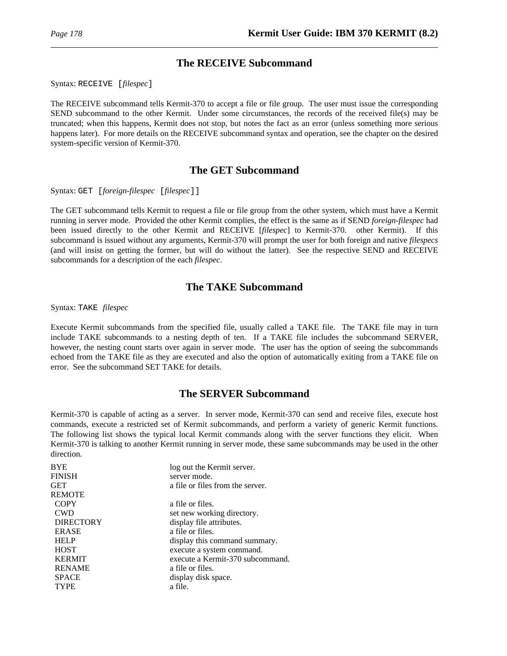### **The RECEIVE Subcommand**

Syntax: RECEIVE [*filespec*]

The RECEIVE subcommand tells Kermit-370 to accept a file or file group. The user must issue the corresponding SEND subcommand to the other Kermit. Under some circumstances, the records of the received file(s) may be truncated; when this happens, Kermit does not stop, but notes the fact as an error (unless something more serious happens later). For more details on the RECEIVE subcommand syntax and operation, see the chapter on the desired system-specific version of Kermit-370.

### **The GET Subcommand**

Syntax: GET [*foreign-filespec* [*filespec*]]

The GET subcommand tells Kermit to request a file or file group from the other system, which must have a Kermit running in server mode. Provided the other Kermit complies, the effect is the same as if SEND *foreign-filespec* had been issued directly to the other Kermit and RECEIVE [*filespec*] to Kermit-370. other Kermit). If this subcommand is issued without any arguments, Kermit-370 will prompt the user for both foreign and native *filespecs* (and will insist on getting the former, but will do without the latter). See the respective SEND and RECEIVE subcommands for a description of the each *filespec*.

### **The TAKE Subcommand**

Syntax: TAKE *filespec*

Execute Kermit subcommands from the specified file, usually called a TAKE file. The TAKE file may in turn include TAKE subcommands to a nesting depth of ten. If a TAKE file includes the subcommand SERVER, however, the nesting count starts over again in server mode. The user has the option of seeing the subcommands echoed from the TAKE file as they are executed and also the option of automatically exiting from a TAKE file on error. See the subcommand SET TAKE for details.

### **The SERVER Subcommand**

Kermit-370 is capable of acting as a server. In server mode, Kermit-370 can send and receive files, execute host commands, execute a restricted set of Kermit subcommands, and perform a variety of generic Kermit functions. The following list shows the typical local Kermit commands along with the server functions they elicit. When Kermit-370 is talking to another Kermit running in server mode, these same subcommands may be used in the other direction.

| <b>BYE</b>       | log out the Kermit server.       |
|------------------|----------------------------------|
| <b>FINISH</b>    | server mode.                     |
| GET              | a file or files from the server. |
| <b>REMOTE</b>    |                                  |
| <b>COPY</b>      | a file or files.                 |
| <b>CWD</b>       | set new working directory.       |
| <b>DIRECTORY</b> | display file attributes.         |
| <b>ERASE</b>     | a file or files.                 |
| <b>HELP</b>      | display this command summary.    |
| <b>HOST</b>      | execute a system command.        |
| <b>KERMIT</b>    | execute a Kermit-370 subcommand. |
| <b>RENAME</b>    | a file or files.                 |
| <b>SPACE</b>     | display disk space.              |
| <b>TYPE</b>      | a file.                          |
|                  |                                  |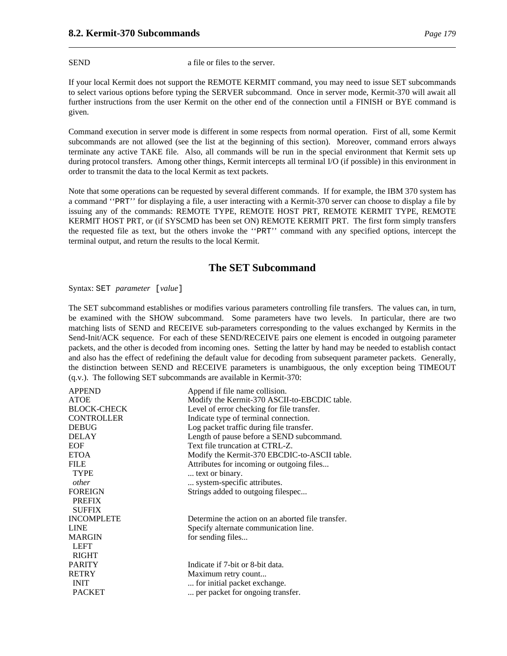SEND a file or files to the server.

If your local Kermit does not support the REMOTE KERMIT command, you may need to issue SET subcommands to select various options before typing the SERVER subcommand. Once in server mode, Kermit-370 will await all further instructions from the user Kermit on the other end of the connection until a FINISH or BYE command is given.

Command execution in server mode is different in some respects from normal operation. First of all, some Kermit subcommands are not allowed (see the list at the beginning of this section). Moreover, command errors always terminate any active TAKE file. Also, all commands will be run in the special environment that Kermit sets up during protocol transfers. Among other things, Kermit intercepts all terminal I/O (if possible) in this environment in order to transmit the data to the local Kermit as text packets.

Note that some operations can be requested by several different commands. If for example, the IBM 370 system has a command ''PRT'' for displaying a file, a user interacting with a Kermit-370 server can choose to display a file by issuing any of the commands: REMOTE TYPE, REMOTE HOST PRT, REMOTE KERMIT TYPE, REMOTE KERMIT HOST PRT, or (if SYSCMD has been set ON) REMOTE KERMIT PRT. The first form simply transfers the requested file as text, but the others invoke the ''PRT'' command with any specified options, intercept the terminal output, and return the results to the local Kermit.

### **The SET Subcommand**

Syntax: SET *parameter* [*value*]

The SET subcommand establishes or modifies various parameters controlling file transfers. The values can, in turn, be examined with the SHOW subcommand. Some parameters have two levels. In particular, there are two matching lists of SEND and RECEIVE sub-parameters corresponding to the values exchanged by Kermits in the Send-Init/ACK sequence. For each of these SEND/RECEIVE pairs one element is encoded in outgoing parameter packets, and the other is decoded from incoming ones. Setting the latter by hand may be needed to establish contact and also has the effect of redefining the default value for decoding from subsequent parameter packets. Generally, the distinction between SEND and RECEIVE parameters is unambiguous, the only exception being TIMEOUT (q.v.). The following SET subcommands are available in Kermit-370:

| <b>APPEND</b><br><b>ATOE</b><br><b>BLOCK-CHECK</b><br><b>CONTROLLER</b> | Append if file name collision.<br>Modify the Kermit-370 ASCII-to-EBCDIC table.<br>Level of error checking for file transfer.<br>Indicate type of terminal connection. |
|-------------------------------------------------------------------------|-----------------------------------------------------------------------------------------------------------------------------------------------------------------------|
| <b>DEBUG</b><br><b>DELAY</b><br><b>EOF</b>                              | Log packet traffic during file transfer.<br>Length of pause before a SEND subcommand.<br>Text file truncation at CTRL-Z.                                              |
| <b>ETOA</b><br><b>FILE</b><br><b>TYPE</b><br>other                      | Modify the Kermit-370 EBCDIC-to-ASCII table.<br>Attributes for incoming or outgoing files<br>text or binary.<br>system-specific attributes.                           |
| <b>FOREIGN</b><br><b>PREFIX</b><br><b>SUFFIX</b>                        | Strings added to outgoing filespec                                                                                                                                    |
| <b>INCOMPLETE</b><br><b>LINE</b><br><b>MARGIN</b><br><b>LEFT</b>        | Determine the action on an aborted file transfer.<br>Specify alternate communication line.<br>for sending files                                                       |
| <b>RIGHT</b><br><b>PARITY</b><br><b>RETRY</b><br><b>INIT</b>            | Indicate if 7-bit or 8-bit data.<br>Maximum retry count<br>for initial packet exchange.                                                                               |
| <b>PACKET</b>                                                           | per packet for ongoing transfer.                                                                                                                                      |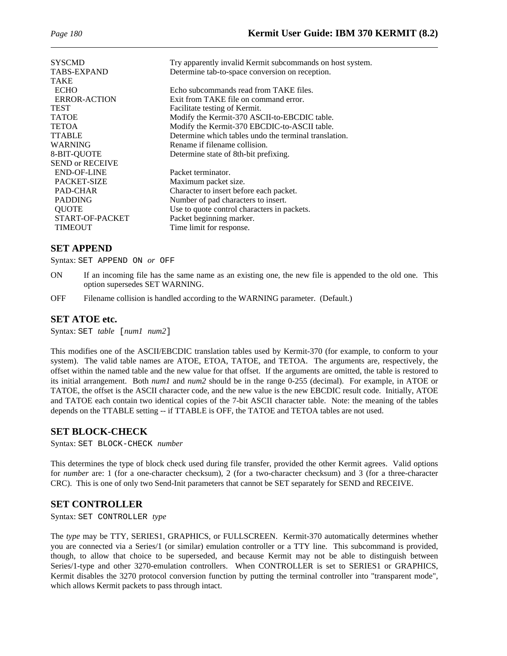| <b>SYSCMD</b><br><b>TABS-EXPAND</b><br><b>TAKE</b> | Try apparently invalid Kermit subcommands on host system.<br>Determine tab-to-space conversion on reception. |
|----------------------------------------------------|--------------------------------------------------------------------------------------------------------------|
| <b>ECHO</b>                                        | Echo subcommands read from TAKE files.                                                                       |
| ERROR-ACTION                                       | Exit from TAKE file on command error.                                                                        |
| <b>TEST</b>                                        | Facilitate testing of Kermit.                                                                                |
| <b>TATOE</b>                                       | Modify the Kermit-370 ASCII-to-EBCDIC table.                                                                 |
| <b>TETOA</b>                                       | Modify the Kermit-370 EBCDIC-to-ASCII table.                                                                 |
| <b>TTABLE</b>                                      | Determine which tables undo the terminal translation.                                                        |
| <b>WARNING</b>                                     | Rename if filename collision.                                                                                |
| 8-BIT-QUOTE                                        | Determine state of 8th-bit prefixing.                                                                        |
| <b>SEND or RECEIVE</b>                             |                                                                                                              |
| <b>END-OF-LINE</b>                                 | Packet terminator.                                                                                           |
| <b>PACKET-SIZE</b>                                 | Maximum packet size.                                                                                         |
| PAD-CHAR                                           | Character to insert before each packet.                                                                      |
| <b>PADDING</b>                                     | Number of pad characters to insert.                                                                          |
| <b>QUOTE</b>                                       | Use to quote control characters in packets.                                                                  |
| START-OF-PACKET                                    | Packet beginning marker.                                                                                     |
| <b>TIMEOUT</b>                                     | Time limit for response.                                                                                     |
|                                                    |                                                                                                              |

### **SET APPEND**

Syntax: SET APPEND ON *or* OFF

- ON If an incoming file has the same name as an existing one, the new file is appended to the old one. This option supersedes SET WARNING.
- OFF Filename collision is handled according to the WARNING parameter. (Default.)

### **SET ATOE etc.**

Syntax: SET *table* [*num1 num2*]

This modifies one of the ASCII/EBCDIC translation tables used by Kermit-370 (for example, to conform to your system). The valid table names are ATOE, ETOA, TATOE, and TETOA. The arguments are, respectively, the offset within the named table and the new value for that offset. If the arguments are omitted, the table is restored to its initial arrangement. Both *num1* and *num2* should be in the range 0-255 (decimal). For example, in ATOE or TATOE, the offset is the ASCII character code, and the new value is the new EBCDIC result code. Initially, ATOE and TATOE each contain two identical copies of the 7-bit ASCII character table. Note: the meaning of the tables depends on the TTABLE setting -- if TTABLE is OFF, the TATOE and TETOA tables are not used.

### **SET BLOCK-CHECK**

Syntax: SET BLOCK-CHECK *number*

This determines the type of block check used during file transfer, provided the other Kermit agrees. Valid options for *number* are: 1 (for a one-character checksum), 2 (for a two-character checksum) and 3 (for a three-character CRC). This is one of only two Send-Init parameters that cannot be SET separately for SEND and RECEIVE.

### **SET CONTROLLER**

Syntax: SET CONTROLLER *type*

The *type* may be TTY, SERIES1, GRAPHICS, or FULLSCREEN. Kermit-370 automatically determines whether you are connected via a Series/1 (or similar) emulation controller or a TTY line. This subcommand is provided, though, to allow that choice to be superseded, and because Kermit may not be able to distinguish between Series/1-type and other 3270-emulation controllers. When CONTROLLER is set to SERIES1 or GRAPHICS, Kermit disables the 3270 protocol conversion function by putting the terminal controller into "transparent mode", which allows Kermit packets to pass through intact.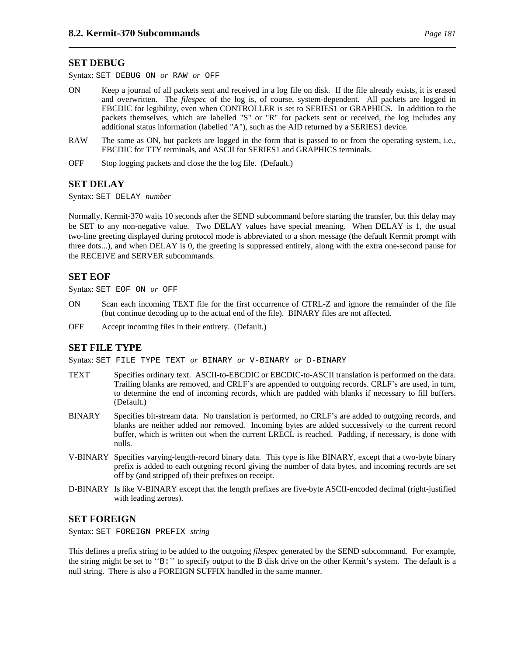#### **SET DEBUG**

Syntax: SET DEBUG ON *or* RAW *or* OFF

- ON Keep a journal of all packets sent and received in a log file on disk. If the file already exists, it is erased and overwritten. The *filespec* of the log is, of course, system-dependent. All packets are logged in EBCDIC for legibility, even when CONTROLLER is set to SERIES1 or GRAPHICS. In addition to the packets themselves, which are labelled "S" or "R" for packets sent or received, the log includes any additional status information (labelled "A"), such as the AID returned by a SERIES1 device.
- RAW The same as ON, but packets are logged in the form that is passed to or from the operating system, i.e., EBCDIC for TTY terminals, and ASCII for SERIES1 and GRAPHICS terminals.
- OFF Stop logging packets and close the the log file. (Default.)

### **SET DELAY**

Syntax: SET DELAY *number*

Normally, Kermit-370 waits 10 seconds after the SEND subcommand before starting the transfer, but this delay may be SET to any non-negative value. Two DELAY values have special meaning. When DELAY is 1, the usual two-line greeting displayed during protocol mode is abbreviated to a short message (the default Kermit prompt with three dots...), and when DELAY is 0, the greeting is suppressed entirely, along with the extra one-second pause for the RECEIVE and SERVER subcommands.

### **SET EOF**

Syntax: SET EOF ON *or* OFF

- ON Scan each incoming TEXT file for the first occurrence of CTRL-Z and ignore the remainder of the file (but continue decoding up to the actual end of the file). BINARY files are not affected.
- OFF Accept incoming files in their entirety. (Default.)

### **SET FILE TYPE**

Syntax: SET FILE TYPE TEXT *or* BINARY *or* V-BINARY *or* D-BINARY

- TEXT Specifies ordinary text. ASCII-to-EBCDIC or EBCDIC-to-ASCII translation is performed on the data. Trailing blanks are removed, and CRLF's are appended to outgoing records. CRLF's are used, in turn, to determine the end of incoming records, which are padded with blanks if necessary to fill buffers. (Default.)
- BINARY Specifies bit-stream data. No translation is performed, no CRLF's are added to outgoing records, and blanks are neither added nor removed. Incoming bytes are added successively to the current record buffer, which is written out when the current LRECL is reached. Padding, if necessary, is done with nulls.
- V-BINARY Specifies varying-length-record binary data. This type is like BINARY, except that a two-byte binary prefix is added to each outgoing record giving the number of data bytes, and incoming records are set off by (and stripped of) their prefixes on receipt.
- D-BINARY Is like V-BINARY except that the length prefixes are five-byte ASCII-encoded decimal (right-justified with leading zeroes).

#### **SET FOREIGN**

Syntax: SET FOREIGN PREFIX *string*

This defines a prefix string to be added to the outgoing *filespec* generated by the SEND subcommand. For example, the string might be set to ''B:'' to specify output to the B disk drive on the other Kermit's system. The default is a null string. There is also a FOREIGN SUFFIX handled in the same manner.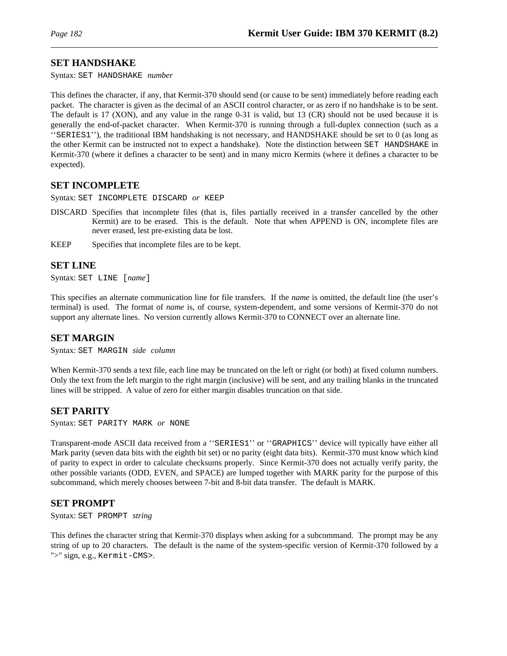#### **SET HANDSHAKE**

Syntax: SET HANDSHAKE *number*

This defines the character, if any, that Kermit-370 should send (or cause to be sent) immediately before reading each packet. The character is given as the decimal of an ASCII control character, or as zero if no handshake is to be sent. The default is 17 (XON), and any value in the range 0-31 is valid, but 13 (CR) should not be used because it is generally the end-of-packet character. When Kermit-370 is running through a full-duplex connection (such as a ''SERIES1''), the traditional IBM handshaking is not necessary, and HANDSHAKE should be set to 0 (as long as the other Kermit can be instructed not to expect a handshake). Note the distinction between SET HANDSHAKE in Kermit-370 (where it defines a character to be sent) and in many micro Kermits (where it defines a character to be expected).

#### **SET INCOMPLETE**

Syntax: SET INCOMPLETE DISCARD *or* KEEP

- DISCARD Specifies that incomplete files (that is, files partially received in a transfer cancelled by the other Kermit) are to be erased. This is the default. Note that when APPEND is ON, incomplete files are never erased, lest pre-existing data be lost.
- KEEP Specifies that incomplete files are to be kept.

#### **SET LINE**

Syntax: SET LINE [*name*]

This specifies an alternate communication line for file transfers. If the *name* is omitted, the default line (the user's terminal) is used. The format of *name* is, of course, system-dependent, and some versions of Kermit-370 do not support any alternate lines. No version currently allows Kermit-370 to CONNECT over an alternate line.

#### **SET MARGIN**

Syntax: SET MARGIN *side column*

When Kermit-370 sends a text file, each line may be truncated on the left or right (or both) at fixed column numbers. Only the text from the left margin to the right margin (inclusive) will be sent, and any trailing blanks in the truncated lines will be stripped. A value of zero for either margin disables truncation on that side.

#### **SET PARITY**

Syntax: SET PARITY MARK *or* NONE

Transparent-mode ASCII data received from a ''SERIES1'' or ''GRAPHICS'' device will typically have either all Mark parity (seven data bits with the eighth bit set) or no parity (eight data bits). Kermit-370 must know which kind of parity to expect in order to calculate checksums properly. Since Kermit-370 does not actually verify parity, the other possible variants (ODD, EVEN, and SPACE) are lumped together with MARK parity for the purpose of this subcommand, which merely chooses between 7-bit and 8-bit data transfer. The default is MARK.

#### **SET PROMPT**

Syntax: SET PROMPT *string*

This defines the character string that Kermit-370 displays when asking for a subcommand. The prompt may be any string of up to 20 characters. The default is the name of the system-specific version of Kermit-370 followed by a ">" sign, e.g., Kermit-CMS>.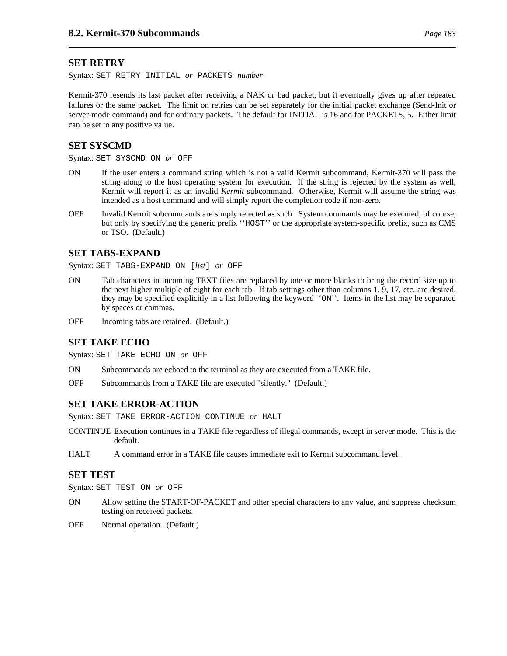#### **SET RETRY**

Syntax: SET RETRY INITIAL *or* PACKETS *number*

Kermit-370 resends its last packet after receiving a NAK or bad packet, but it eventually gives up after repeated failures or the same packet. The limit on retries can be set separately for the initial packet exchange (Send-Init or server-mode command) and for ordinary packets. The default for INITIAL is 16 and for PACKETS, 5. Either limit can be set to any positive value.

#### **SET SYSCMD**

Syntax: SET SYSCMD ON *or* OFF

- ON If the user enters a command string which is not a valid Kermit subcommand, Kermit-370 will pass the string along to the host operating system for execution. If the string is rejected by the system as well, Kermit will report it as an invalid *Kermit* subcommand. Otherwise, Kermit will assume the string was intended as a host command and will simply report the completion code if non-zero.
- OFF Invalid Kermit subcommands are simply rejected as such. System commands may be executed, of course, but only by specifying the generic prefix ''HOST'' or the appropriate system-specific prefix, such as CMS or TSO. (Default.)

#### **SET TABS-EXPAND**

Syntax: SET TABS-EXPAND ON [*list*] *or* OFF

- ON Tab characters in incoming TEXT files are replaced by one or more blanks to bring the record size up to the next higher multiple of eight for each tab. If tab settings other than columns 1, 9, 17, etc. are desired, they may be specified explicitly in a list following the keyword ''ON''. Items in the list may be separated by spaces or commas.
- OFF Incoming tabs are retained. (Default.)

#### **SET TAKE ECHO**

Syntax: SET TAKE ECHO ON *or* OFF

- ON Subcommands are echoed to the terminal as they are executed from a TAKE file.
- OFF Subcommands from a TAKE file are executed "silently." (Default.)

#### **SET TAKE ERROR-ACTION**

Syntax: SET TAKE ERROR-ACTION CONTINUE *or* HALT

- CONTINUE Execution continues in a TAKE file regardless of illegal commands, except in server mode. This is the default.
- HALT A command error in a TAKE file causes immediate exit to Kermit subcommand level.

#### **SET TEST**

Syntax: SET TEST ON *or* OFF

- ON Allow setting the START-OF-PACKET and other special characters to any value, and suppress checksum testing on received packets.
- OFF Normal operation. (Default.)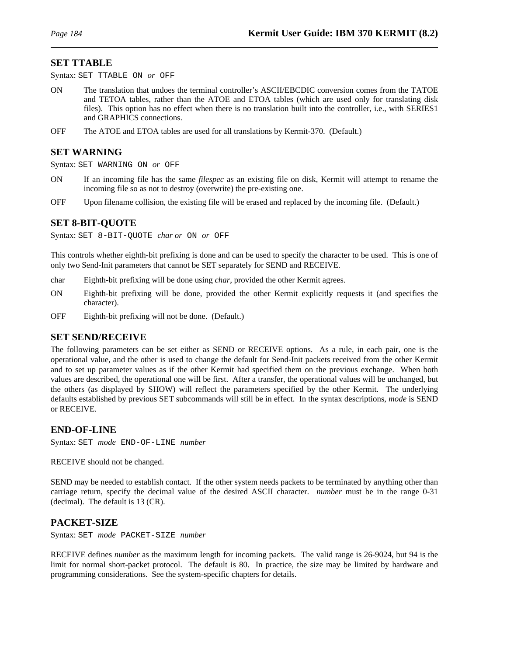#### **SET TTABLE**

Syntax: SET TTABLE ON *or* OFF

- ON The translation that undoes the terminal controller's ASCII/EBCDIC conversion comes from the TATOE and TETOA tables, rather than the ATOE and ETOA tables (which are used only for translating disk files). This option has no effect when there is no translation built into the controller, i.e., with SERIES1 and GRAPHICS connections.
- OFF The ATOE and ETOA tables are used for all translations by Kermit-370. (Default.)

#### **SET WARNING**

Syntax: SET WARNING ON *or* OFF

- ON If an incoming file has the same *filespec* as an existing file on disk, Kermit will attempt to rename the incoming file so as not to destroy (overwrite) the pre-existing one.
- OFF Upon filename collision, the existing file will be erased and replaced by the incoming file. (Default.)

#### **SET 8-BIT-QUOTE**

Syntax: SET 8-BIT-QUOTE *char or* ON *or* OFF

This controls whether eighth-bit prefixing is done and can be used to specify the character to be used. This is one of only two Send-Init parameters that cannot be SET separately for SEND and RECEIVE.

- char Eighth-bit prefixing will be done using *char*, provided the other Kermit agrees.
- ON Eighth-bit prefixing will be done, provided the other Kermit explicitly requests it (and specifies the character).
- OFF Eighth-bit prefixing will not be done. (Default.)

#### **SET SEND/RECEIVE**

The following parameters can be set either as SEND or RECEIVE options. As a rule, in each pair, one is the operational value, and the other is used to change the default for Send-Init packets received from the other Kermit and to set up parameter values as if the other Kermit had specified them on the previous exchange. When both values are described, the operational one will be first. After a transfer, the operational values will be unchanged, but the others (as displayed by SHOW) will reflect the parameters specified by the other Kermit. The underlying defaults established by previous SET subcommands will still be in effect. In the syntax descriptions, *mode* is SEND or RECEIVE.

#### **END-OF-LINE**

Syntax: SET *mode* END-OF-LINE *number*

RECEIVE should not be changed.

SEND may be needed to establish contact. If the other system needs packets to be terminated by anything other than carriage return, specify the decimal value of the desired ASCII character. *number* must be in the range 0-31 (decimal). The default is 13 (CR).

#### **PACKET-SIZE**

Syntax: SET *mode* PACKET-SIZE *number*

RECEIVE defines *number* as the maximum length for incoming packets. The valid range is 26-9024, but 94 is the limit for normal short-packet protocol. The default is 80. In practice, the size may be limited by hardware and programming considerations. See the system-specific chapters for details.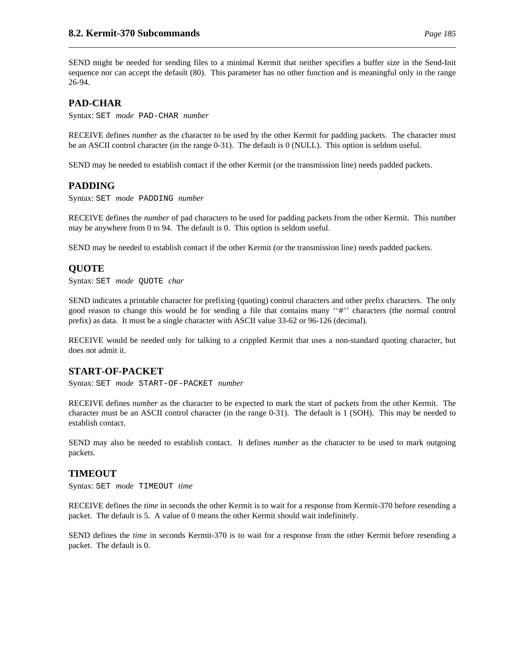SEND might be needed for sending files to a minimal Kermit that neither specifies a buffer size in the Send-Init sequence nor can accept the default (80). This parameter has no other function and is meaningful only in the range 26-94.

## **PAD-CHAR**

Syntax: SET *mode* PAD-CHAR *number*

RECEIVE defines *number* as the character to be used by the other Kermit for padding packets. The character must be an ASCII control character (in the range 0-31). The default is 0 (NULL). This option is seldom useful.

SEND may be needed to establish contact if the other Kermit (or the transmission line) needs padded packets.

### **PADDING**

Syntax: SET *mode* PADDING *number*

RECEIVE defines the *number* of pad characters to be used for padding packets from the other Kermit. This number may be anywhere from 0 to 94. The default is 0. This option is seldom useful.

SEND may be needed to establish contact if the other Kermit (or the transmission line) needs padded packets.

## **QUOTE**

Syntax: SET *mode* QUOTE *char*

SEND indicates a printable character for prefixing (quoting) control characters and other prefix characters. The only good reason to change this would be for sending a file that contains many ''#'' characters (the normal control prefix) as data. It must be a single character with ASCII value 33-62 or 96-126 (decimal).

RECEIVE would be needed only for talking to a crippled Kermit that uses a non-standard quoting character, but does not admit it.

### **START-OF-PACKET**

Syntax: SET *mode* START-OF-PACKET *number*

RECEIVE defines *number* as the character to be expected to mark the start of packets from the other Kermit. The character must be an ASCII control character (in the range 0-31). The default is 1 (SOH). This may be needed to establish contact.

SEND may also be needed to establish contact. It defines *number* as the character to be used to mark outgoing packets.

### **TIMEOUT**

Syntax: SET *mode* TIMEOUT *time*

RECEIVE defines the *time* in seconds the other Kermit is to wait for a response from Kermit-370 before resending a packet. The default is 5. A value of 0 means the other Kermit should wait indefinitely.

SEND defines the *time* in seconds Kermit-370 is to wait for a response from the other Kermit before resending a packet. The default is 0.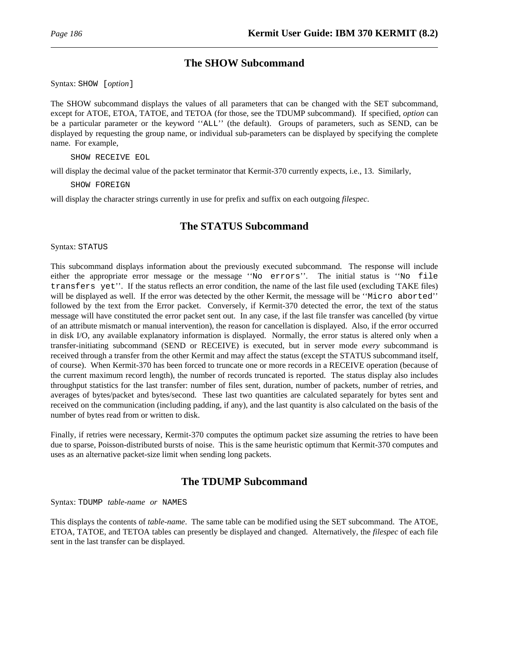## **The SHOW Subcommand**

Syntax: SHOW [*option*]

The SHOW subcommand displays the values of all parameters that can be changed with the SET subcommand, except for ATOE, ETOA, TATOE, and TETOA (for those, see the TDUMP subcommand). If specified, *option* can be a particular parameter or the keyword ''ALL'' (the default). Groups of parameters, such as SEND, can be displayed by requesting the group name, or individual sub-parameters can be displayed by specifying the complete name. For example,

SHOW RECEIVE EOL

will display the decimal value of the packet terminator that Kermit-370 currently expects, i.e., 13. Similarly,

SHOW FOREIGN

will display the character strings currently in use for prefix and suffix on each outgoing *filespec*.

## **The STATUS Subcommand**

Syntax: STATUS

This subcommand displays information about the previously executed subcommand. The response will include either the appropriate error message or the message ''No errors''. The initial status is ''No file transfers yet''. If the status reflects an error condition, the name of the last file used (excluding TAKE files) will be displayed as well. If the error was detected by the other Kermit, the message will be ''Micro aborted'' followed by the text from the Error packet. Conversely, if Kermit-370 detected the error, the text of the status message will have constituted the error packet sent out. In any case, if the last file transfer was cancelled (by virtue of an attribute mismatch or manual intervention), the reason for cancellation is displayed. Also, if the error occurred in disk I/O, any available explanatory information is displayed. Normally, the error status is altered only when a transfer-initiating subcommand (SEND or RECEIVE) is executed, but in server mode *every* subcommand is received through a transfer from the other Kermit and may affect the status (except the STATUS subcommand itself, of course). When Kermit-370 has been forced to truncate one or more records in a RECEIVE operation (because of the current maximum record length), the number of records truncated is reported. The status display also includes throughput statistics for the last transfer: number of files sent, duration, number of packets, number of retries, and averages of bytes/packet and bytes/second. These last two quantities are calculated separately for bytes sent and received on the communication (including padding, if any), and the last quantity is also calculated on the basis of the number of bytes read from or written to disk.

Finally, if retries were necessary, Kermit-370 computes the optimum packet size assuming the retries to have been due to sparse, Poisson-distributed bursts of noise. This is the same heuristic optimum that Kermit-370 computes and uses as an alternative packet-size limit when sending long packets.

## **The TDUMP Subcommand**

Syntax: TDUMP *table-name or* NAMES

This displays the contents of *table-name*. The same table can be modified using the SET subcommand. The ATOE, ETOA, TATOE, and TETOA tables can presently be displayed and changed. Alternatively, the *filespec* of each file sent in the last transfer can be displayed.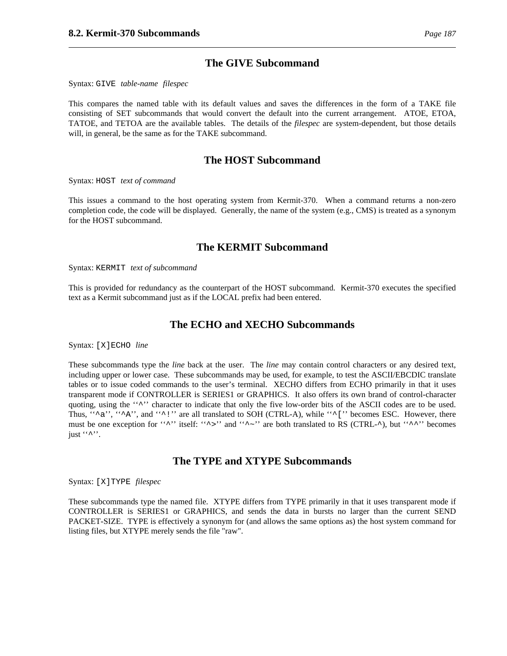### **The GIVE Subcommand**

Syntax: GIVE *table-name filespec*

This compares the named table with its default values and saves the differences in the form of a TAKE file consisting of SET subcommands that would convert the default into the current arrangement. ATOE, ETOA, TATOE, and TETOA are the available tables. The details of the *filespec* are system-dependent, but those details will, in general, be the same as for the TAKE subcommand.

### **The HOST Subcommand**

Syntax: HOST *text of command*

This issues a command to the host operating system from Kermit-370. When a command returns a non-zero completion code, the code will be displayed. Generally, the name of the system (e.g., CMS) is treated as a synonym for the HOST subcommand.

### **The KERMIT Subcommand**

Syntax: KERMIT *text of subcommand*

This is provided for redundancy as the counterpart of the HOST subcommand. Kermit-370 executes the specified text as a Kermit subcommand just as if the LOCAL prefix had been entered.

### **The ECHO and XECHO Subcommands**

Syntax: [X]ECHO *line*

These subcommands type the *line* back at the user. The *line* may contain control characters or any desired text, including upper or lower case. These subcommands may be used, for example, to test the ASCII/EBCDIC translate tables or to issue coded commands to the user's terminal. XECHO differs from ECHO primarily in that it uses transparent mode if CONTROLLER is SERIES1 or GRAPHICS. It also offers its own brand of control-character quoting, using the """ character to indicate that only the five low-order bits of the ASCII codes are to be used. Thus, " $\alpha$ ", " $\alpha$ ", and " $\gamma$ !" are all translated to SOH (CTRL-A), while " $\gamma$ ['' becomes ESC. However, there must be one exception for ''^'' itself: ''^>'' and ''^~'' are both translated to RS (CTRL-^), but ''^^'' becomes just  $``^{\prime\prime\prime\prime}$ .

## **The TYPE and XTYPE Subcommands**

Syntax: [X]TYPE *filespec*

These subcommands type the named file. XTYPE differs from TYPE primarily in that it uses transparent mode if CONTROLLER is SERIES1 or GRAPHICS, and sends the data in bursts no larger than the current SEND PACKET-SIZE. TYPE is effectively a synonym for (and allows the same options as) the host system command for listing files, but XTYPE merely sends the file "raw".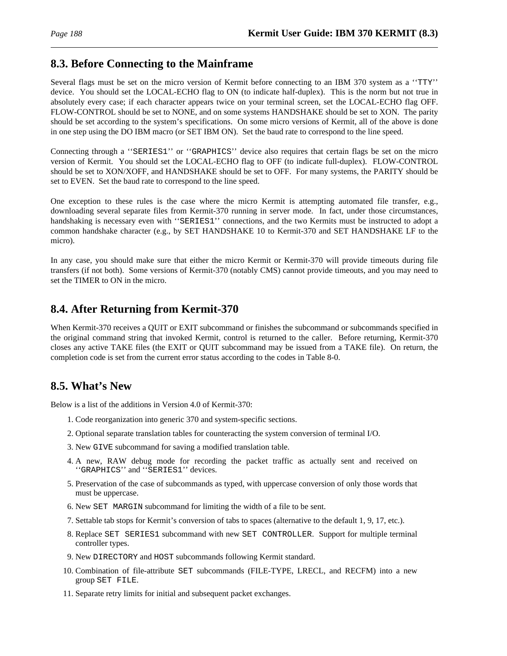# **8.3. Before Connecting to the Mainframe**

Several flags must be set on the micro version of Kermit before connecting to an IBM 370 system as a ''TTY'' device. You should set the LOCAL-ECHO flag to ON (to indicate half-duplex). This is the norm but not true in absolutely every case; if each character appears twice on your terminal screen, set the LOCAL-ECHO flag OFF. FLOW-CONTROL should be set to NONE, and on some systems HANDSHAKE should be set to XON. The parity should be set according to the system's specifications. On some micro versions of Kermit, all of the above is done in one step using the DO IBM macro (or SET IBM ON). Set the baud rate to correspond to the line speed.

Connecting through a ''SERIES1'' or ''GRAPHICS'' device also requires that certain flags be set on the micro version of Kermit. You should set the LOCAL-ECHO flag to OFF (to indicate full-duplex). FLOW-CONTROL should be set to XON/XOFF, and HANDSHAKE should be set to OFF. For many systems, the PARITY should be set to EVEN. Set the baud rate to correspond to the line speed.

One exception to these rules is the case where the micro Kermit is attempting automated file transfer, e.g., downloading several separate files from Kermit-370 running in server mode. In fact, under those circumstances, handshaking is necessary even with ''SERIES1'' connections, and the two Kermits must be instructed to adopt a common handshake character (e.g., by SET HANDSHAKE 10 to Kermit-370 and SET HANDSHAKE LF to the micro).

In any case, you should make sure that either the micro Kermit or Kermit-370 will provide timeouts during file transfers (if not both). Some versions of Kermit-370 (notably CMS) cannot provide timeouts, and you may need to set the TIMER to ON in the micro.

# **8.4. After Returning from Kermit-370**

When Kermit-370 receives a QUIT or EXIT subcommand or finishes the subcommand or subcommands specified in the original command string that invoked Kermit, control is returned to the caller. Before returning, Kermit-370 closes any active TAKE files (the EXIT or QUIT subcommand may be issued from a TAKE file). On return, the completion code is set from the current error status according to the codes in Table 8-0.

# **8.5. What's New**

Below is a list of the additions in Version 4.0 of Kermit-370:

- 1. Code reorganization into generic 370 and system-specific sections.
- 2. Optional separate translation tables for counteracting the system conversion of terminal I/O.
- 3. New GIVE subcommand for saving a modified translation table.
- 4. A new, RAW debug mode for recording the packet traffic as actually sent and received on ''GRAPHICS'' and ''SERIES1'' devices.
- 5. Preservation of the case of subcommands as typed, with uppercase conversion of only those words that must be uppercase.
- 6. New SET MARGIN subcommand for limiting the width of a file to be sent.
- 7. Settable tab stops for Kermit's conversion of tabs to spaces (alternative to the default 1, 9, 17, etc.).
- 8. Replace SET SERIES1 subcommand with new SET CONTROLLER. Support for multiple terminal controller types.
- 9. New DIRECTORY and HOST subcommands following Kermit standard.
- 10. Combination of file-attribute SET subcommands (FILE-TYPE, LRECL, and RECFM) into a new group SET FILE.
- 11. Separate retry limits for initial and subsequent packet exchanges.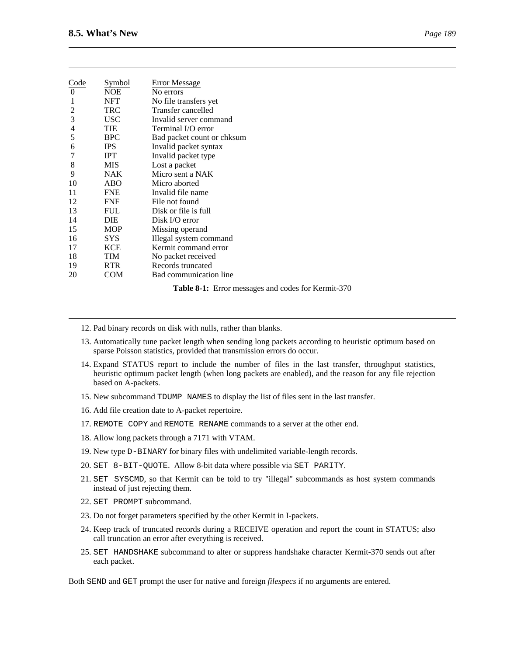| $\boldsymbol{\rho}$ | 89             |
|---------------------|----------------|
| 71 Q                | $\overline{ }$ |

| Code<br>$\theta$ | Symbol<br><b>NOE</b> | <b>Error Message</b><br>No errors |
|------------------|----------------------|-----------------------------------|
| 1                | NFT                  | No file transfers yet             |
| 2                | <b>TRC</b>           | Transfer cancelled                |
| 3                | <b>USC</b>           | Invalid server command            |
| 4                | TIE                  | Terminal I/O error                |
| 5                | <b>BPC</b>           | Bad packet count or chksum        |
| 6                | <b>IPS</b>           | Invalid packet syntax             |
|                  | <b>IPT</b>           | Invalid packet type               |
| 8                | MIS                  | Lost a packet                     |
| 9                | <b>NAK</b>           | Micro sent a NAK                  |
| 10               | ABO                  | Micro aborted                     |
| 11               | <b>FNE</b>           | Invalid file name                 |
| 12               | <b>FNF</b>           | File not found                    |
| 13               | <b>FUL</b>           | Disk or file is full              |
| 14               | DIE                  | Disk I/O error                    |
| 15               | <b>MOP</b>           | Missing operand                   |
| 16               | <b>SYS</b>           | Illegal system command            |
| 17               | <b>KCE</b>           | Kermit command error              |
| 18               | TIM                  | No packet received                |
| 19               | <b>RTR</b>           | Records truncated                 |
| 20               | COM                  | Bad communication line            |

**Table 8-1:** Error messages and codes for Kermit-370

- 12. Pad binary records on disk with nulls, rather than blanks.
- 13. Automatically tune packet length when sending long packets according to heuristic optimum based on sparse Poisson statistics, provided that transmission errors do occur.
- 14. Expand STATUS report to include the number of files in the last transfer, throughput statistics, heuristic optimum packet length (when long packets are enabled), and the reason for any file rejection based on A-packets.
- 15. New subcommand TDUMP NAMES to display the list of files sent in the last transfer.
- 16. Add file creation date to A-packet repertoire.
- 17. REMOTE COPY and REMOTE RENAME commands to a server at the other end.
- 18. Allow long packets through a 7171 with VTAM.
- 19. New type D-BINARY for binary files with undelimited variable-length records.
- 20. SET 8-BIT-QUOTE. Allow 8-bit data where possible via SET PARITY.
- 21. SET SYSCMD, so that Kermit can be told to try "illegal" subcommands as host system commands instead of just rejecting them.
- 22. SET PROMPT subcommand.
- 23. Do not forget parameters specified by the other Kermit in I-packets.
- 24. Keep track of truncated records during a RECEIVE operation and report the count in STATUS; also call truncation an error after everything is received.
- 25. SET HANDSHAKE subcommand to alter or suppress handshake character Kermit-370 sends out after each packet.

Both SEND and GET prompt the user for native and foreign *filespecs* if no arguments are entered.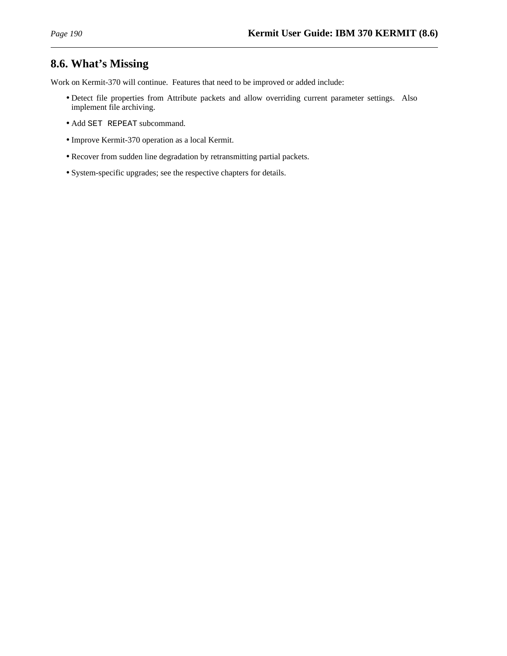# **8.6. What's Missing**

Work on Kermit-370 will continue. Features that need to be improved or added include:

- Detect file properties from Attribute packets and allow overriding current parameter settings. Also implement file archiving.
- Add SET REPEAT subcommand.
- Improve Kermit-370 operation as a local Kermit.
- Recover from sudden line degradation by retransmitting partial packets.
- System-specific upgrades; see the respective chapters for details.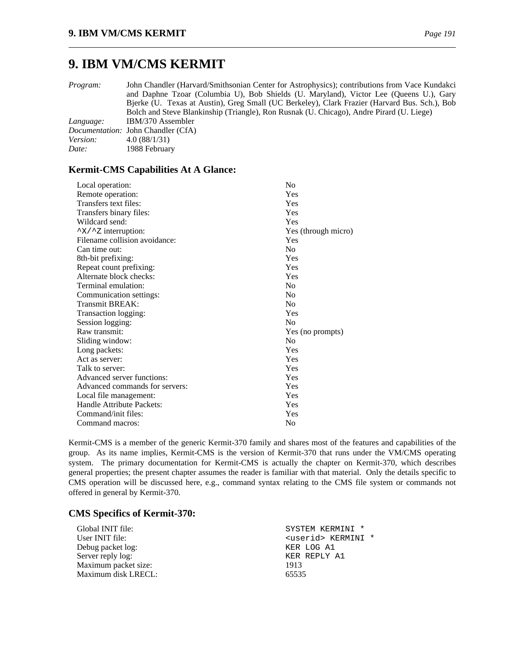# **9. IBM VM/CMS KERMIT**

*Program:* John Chandler (Harvard/Smithsonian Center for Astrophysics); contributions from Vace Kundakci and Daphne Tzoar (Columbia U), Bob Shields (U. Maryland), Victor Lee (Queens U.), Gary Bjerke (U. Texas at Austin), Greg Small (UC Berkeley), Clark Frazier (Harvard Bus. Sch.), Bob Bolch and Steve Blankinship (Triangle), Ron Rusnak (U. Chicago), Andre Pirard (U. Liege) *Language:* IBM/370 Assembler *Documentation:* John Chandler (CfA) *Version:* 4.0 (88/1/31)

*Date:* 1988 February

### **Kermit-CMS Capabilities At A Glance:**

| Local operation:                     | N <sub>0</sub>      |
|--------------------------------------|---------------------|
| Remote operation:                    | Yes                 |
| Transfers text files:                | Yes                 |
| Transfers binary files:              | Yes                 |
| Wildcard send:                       | Yes                 |
| $\gamma$ X/ $\gamma$ z interruption: | Yes (through micro) |
| Filename collision avoidance:        | Yes                 |
| Can time out:                        | No                  |
| 8th-bit prefixing:                   | Yes                 |
| Repeat count prefixing:              | Yes                 |
| Alternate block checks:              | Yes                 |
| Terminal emulation:                  | N <sub>0</sub>      |
| Communication settings:              | N <sub>0</sub>      |
| Transmit BREAK:                      | N <sub>0</sub>      |
| Transaction logging:                 | Yes                 |
| Session logging:                     | N <sub>0</sub>      |
| Raw transmit:                        | Yes (no prompts)    |
| Sliding window:                      | N <sub>0</sub>      |
| Long packets:                        | Yes                 |
| Act as server:                       | Yes                 |
| Talk to server:                      | Yes                 |
| Advanced server functions:           | Yes                 |
| Advanced commands for servers:       | Yes                 |
| Local file management:               | Yes                 |
| Handle Attribute Packets:            | Yes                 |
| Command/init files:                  | Yes                 |
| Command macros:                      | N <sub>0</sub>      |

Kermit-CMS is a member of the generic Kermit-370 family and shares most of the features and capabilities of the group. As its name implies, Kermit-CMS is the version of Kermit-370 that runs under the VM/CMS operating system. The primary documentation for Kermit-CMS is actually the chapter on Kermit-370, which describes general properties; the present chapter assumes the reader is familiar with that material. Only the details specific to CMS operation will be discussed here, e.g., command syntax relating to the CMS file system or commands not offered in general by Kermit-370.

#### **CMS Specifics of Kermit-370:**

| Global INIT file:    | SYSTEM KERMINI *            |
|----------------------|-----------------------------|
| User INIT file:      | <userid> KERMINI *</userid> |
| Debug packet log:    | KER LOG A1                  |
| Server reply log:    | KER REPLY A1                |
| Maximum packet size: | 1913                        |
| Maximum disk LRECL:  | 65535                       |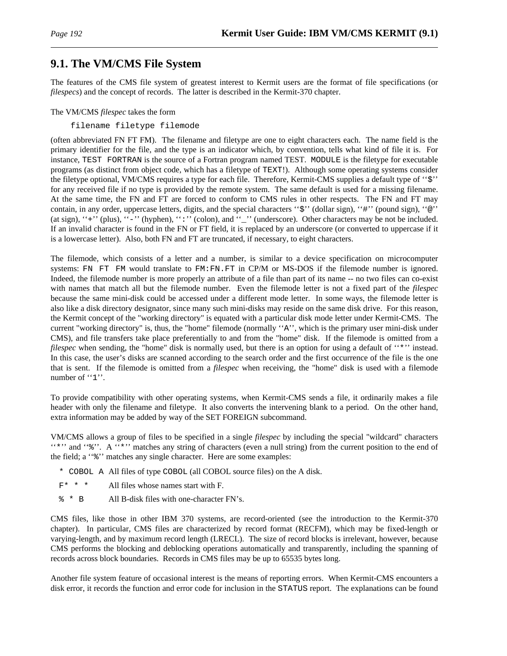# **9.1. The VM/CMS File System**

The features of the CMS file system of greatest interest to Kermit users are the format of file specifications (or *filespecs*) and the concept of records. The latter is described in the Kermit-370 chapter.

#### The VM/CMS *filespec* takes the form

filename filetype filemode

(often abbreviated FN FT FM). The filename and filetype are one to eight characters each. The name field is the primary identifier for the file, and the type is an indicator which, by convention, tells what kind of file it is. For instance, TEST FORTRAN is the source of a Fortran program named TEST. MODULE is the filetype for executable programs (as distinct from object code, which has a filetype of TEXT!). Although some operating systems consider the filetype optional, VM/CMS requires a type for each file. Therefore, Kermit-CMS supplies a default type of ''\$'' for any received file if no type is provided by the remote system. The same default is used for a missing filename. At the same time, the FN and FT are forced to conform to CMS rules in other respects. The FN and FT may contain, in any order, uppercase letters, digits, and the special characters ''\$'' (dollar sign), ''#'' (pound sign), ''@'' (at sign), "+" (plus), "-" (hyphen), ":" (colon), and "\_" (underscore). Other characters may be not be included. If an invalid character is found in the FN or FT field, it is replaced by an underscore (or converted to uppercase if it is a lowercase letter). Also, both FN and FT are truncated, if necessary, to eight characters.

The filemode, which consists of a letter and a number, is similar to a device specification on microcomputer systems: FN FT FM would translate to FM:FN.FT in CP/M or MS-DOS if the filemode number is ignored. Indeed, the filemode number is more properly an attribute of a file than part of its name -- no two files can co-exist with names that match all but the filemode number. Even the filemode letter is not a fixed part of the *filespec* because the same mini-disk could be accessed under a different mode letter. In some ways, the filemode letter is also like a disk directory designator, since many such mini-disks may reside on the same disk drive. For this reason, the Kermit concept of the "working directory" is equated with a particular disk mode letter under Kermit-CMS. The current "working directory" is, thus, the "home" filemode (normally ''A'', which is the primary user mini-disk under CMS), and file transfers take place preferentially to and from the "home" disk. If the filemode is omitted from a *filespec* when sending, the "home" disk is normally used, but there is an option for using a default of "\*" instead. In this case, the user's disks are scanned according to the search order and the first occurrence of the file is the one that is sent. If the filemode is omitted from a *filespec* when receiving, the "home" disk is used with a filemode number of "1".

To provide compatibility with other operating systems, when Kermit-CMS sends a file, it ordinarily makes a file header with only the filename and filetype. It also converts the intervening blank to a period. On the other hand, extra information may be added by way of the SET FOREIGN subcommand.

VM/CMS allows a group of files to be specified in a single *filespec* by including the special "wildcard" characters ''\*'' and ''%''. A ''\*'' matches any string of characters (even a null string) from the current position to the end of the field; a ''%'' matches any single character. Here are some examples:

- \* COBOL A All files of type COBOL (all COBOL source files) on the A disk.
- $F^*$  \* \* All files whose names start with F.
- % \* B All B-disk files with one-character FN's.

CMS files, like those in other IBM 370 systems, are record-oriented (see the introduction to the Kermit-370 chapter). In particular, CMS files are characterized by record format (RECFM), which may be fixed-length or varying-length, and by maximum record length (LRECL). The size of record blocks is irrelevant, however, because CMS performs the blocking and deblocking operations automatically and transparently, including the spanning of records across block boundaries. Records in CMS files may be up to 65535 bytes long.

Another file system feature of occasional interest is the means of reporting errors. When Kermit-CMS encounters a disk error, it records the function and error code for inclusion in the STATUS report. The explanations can be found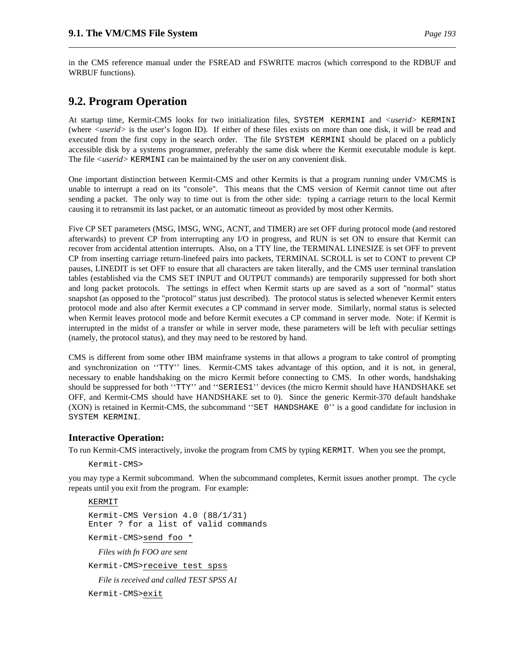in the CMS reference manual under the FSREAD and FSWRITE macros (which correspond to the RDBUF and WRBUF functions).

# **9.2. Program Operation**

At startup time, Kermit-CMS looks for two initialization files, SYSTEM KERMINI and *<userid>* KERMINI (where *<userid>* is the user's logon ID). If either of these files exists on more than one disk, it will be read and executed from the first copy in the search order. The file SYSTEM KERMINI should be placed on a publicly accessible disk by a systems programmer, preferably the same disk where the Kermit executable module is kept. The file *<userid>* KERMINI can be maintained by the user on any convenient disk.

One important distinction between Kermit-CMS and other Kermits is that a program running under VM/CMS is unable to interrupt a read on its "console". This means that the CMS version of Kermit cannot time out after sending a packet. The only way to time out is from the other side: typing a carriage return to the local Kermit causing it to retransmit its last packet, or an automatic timeout as provided by most other Kermits.

Five CP SET parameters (MSG, IMSG, WNG, ACNT, and TIMER) are set OFF during protocol mode (and restored afterwards) to prevent CP from interrupting any I/O in progress, and RUN is set ON to ensure that Kermit can recover from accidental attention interrupts. Also, on a TTY line, the TERMINAL LINESIZE is set OFF to prevent CP from inserting carriage return-linefeed pairs into packets, TERMINAL SCROLL is set to CONT to prevent CP pauses, LINEDIT is set OFF to ensure that all characters are taken literally, and the CMS user terminal translation tables (established via the CMS SET INPUT and OUTPUT commands) are temporarily suppressed for both short and long packet protocols. The settings in effect when Kermit starts up are saved as a sort of "normal" status snapshot (as opposed to the "protocol" status just described). The protocol status is selected whenever Kermit enters protocol mode and also after Kermit executes a CP command in server mode. Similarly, normal status is selected when Kermit leaves protocol mode and before Kermit executes a CP command in server mode. Note: if Kermit is interrupted in the midst of a transfer or while in server mode, these parameters will be left with peculiar settings (namely, the protocol status), and they may need to be restored by hand.

CMS is different from some other IBM mainframe systems in that allows a program to take control of prompting and synchronization on ''TTY'' lines. Kermit-CMS takes advantage of this option, and it is not, in general, necessary to enable handshaking on the micro Kermit before connecting to CMS. In other words, handshaking should be suppressed for both ''TTY'' and ''SERIES1'' devices (the micro Kermit should have HANDSHAKE set OFF, and Kermit-CMS should have HANDSHAKE set to 0). Since the generic Kermit-370 default handshake (XON) is retained in Kermit-CMS, the subcommand ''SET HANDSHAKE 0'' is a good candidate for inclusion in SYSTEM KERMINI.

### **Interactive Operation:**

To run Kermit-CMS interactively, invoke the program from CMS by typing KERMIT. When you see the prompt,

Kermit-CMS>

you may type a Kermit subcommand. When the subcommand completes, Kermit issues another prompt. The cycle repeats until you exit from the program. For example:

KERMIT

Kermit-CMS Version 4.0 (88/1/31) Enter ? for a list of valid commands

Kermit-CMS>send foo \*

*Files with fn FOO are sent*

Kermit-CMS>receive test spss

*File is received and called TEST SPSS A1*

```
Kermit-CMS>exit
```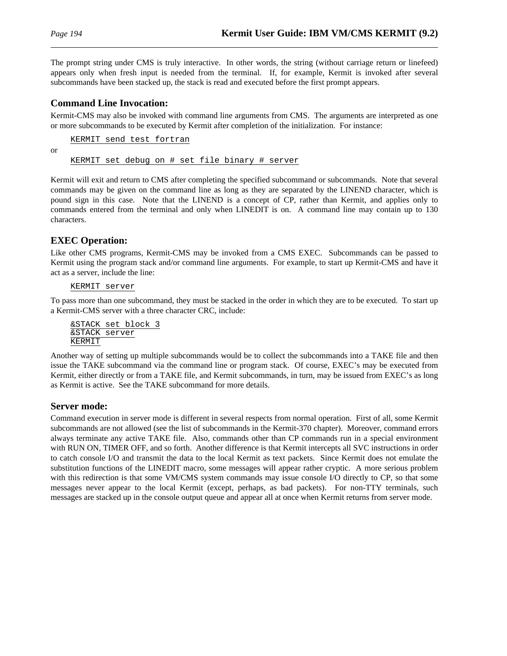or

The prompt string under CMS is truly interactive. In other words, the string (without carriage return or linefeed) appears only when fresh input is needed from the terminal. If, for example, Kermit is invoked after several subcommands have been stacked up, the stack is read and executed before the first prompt appears.

#### **Command Line Invocation:**

Kermit-CMS may also be invoked with command line arguments from CMS. The arguments are interpreted as one or more subcommands to be executed by Kermit after completion of the initialization. For instance:

KERMIT send test fortran KERMIT set debug on # set file binary # server

Kermit will exit and return to CMS after completing the specified subcommand or subcommands. Note that several commands may be given on the command line as long as they are separated by the LINEND character, which is pound sign in this case. Note that the LINEND is a concept of CP, rather than Kermit, and applies only to commands entered from the terminal and only when LINEDIT is on. A command line may contain up to 130 characters.

### **EXEC Operation:**

Like other CMS programs, Kermit-CMS may be invoked from a CMS EXEC. Subcommands can be passed to Kermit using the program stack and/or command line arguments. For example, to start up Kermit-CMS and have it act as a server, include the line:

KERMIT server

To pass more than one subcommand, they must be stacked in the order in which they are to be executed. To start up a Kermit-CMS server with a three character CRC, include:

&STACK set block 3 &STACK server KERMIT

Another way of setting up multiple subcommands would be to collect the subcommands into a TAKE file and then issue the TAKE subcommand via the command line or program stack. Of course, EXEC's may be executed from Kermit, either directly or from a TAKE file, and Kermit subcommands, in turn, may be issued from EXEC's as long as Kermit is active. See the TAKE subcommand for more details.

#### **Server mode:**

Command execution in server mode is different in several respects from normal operation. First of all, some Kermit subcommands are not allowed (see the list of subcommands in the Kermit-370 chapter). Moreover, command errors always terminate any active TAKE file. Also, commands other than CP commands run in a special environment with RUN ON, TIMER OFF, and so forth. Another difference is that Kermit intercepts all SVC instructions in order to catch console I/O and transmit the data to the local Kermit as text packets. Since Kermit does not emulate the substitution functions of the LINEDIT macro, some messages will appear rather cryptic. A more serious problem with this redirection is that some VM/CMS system commands may issue console I/O directly to CP, so that some messages never appear to the local Kermit (except, perhaps, as bad packets). For non-TTY terminals, such messages are stacked up in the console output queue and appear all at once when Kermit returns from server mode.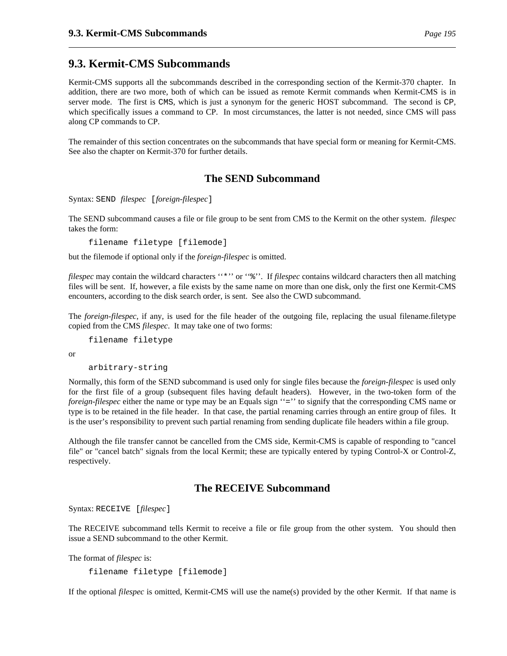## **9.3. Kermit-CMS Subcommands**

Kermit-CMS supports all the subcommands described in the corresponding section of the Kermit-370 chapter. In addition, there are two more, both of which can be issued as remote Kermit commands when Kermit-CMS is in server mode. The first is CMS, which is just a synonym for the generic HOST subcommand. The second is CP, which specifically issues a command to CP. In most circumstances, the latter is not needed, since CMS will pass along CP commands to CP.

The remainder of this section concentrates on the subcommands that have special form or meaning for Kermit-CMS. See also the chapter on Kermit-370 for further details.

## **The SEND Subcommand**

Syntax: SEND *filespec* [*foreign-filespec*]

The SEND subcommand causes a file or file group to be sent from CMS to the Kermit on the other system. *filespec* takes the form:

filename filetype [filemode]

but the filemode if optional only if the *foreign-filespec* is omitted.

*filespec* may contain the wildcard characters ''\*'' or ''%''. If *filespec* contains wildcard characters then all matching files will be sent. If, however, a file exists by the same name on more than one disk, only the first one Kermit-CMS encounters, according to the disk search order, is sent. See also the CWD subcommand.

The *foreign-filespec*, if any, is used for the file header of the outgoing file, replacing the usual filename.filetype copied from the CMS *filespec*. It may take one of two forms:

```
filename filetype
```
or

```
arbitrary-string
```
Normally, this form of the SEND subcommand is used only for single files because the *foreign-filespec* is used only for the first file of a group (subsequent files having default headers). However, in the two-token form of the *foreign-filespec* either the name or type may be an Equals sign "=" to signify that the corresponding CMS name or type is to be retained in the file header. In that case, the partial renaming carries through an entire group of files. It is the user's responsibility to prevent such partial renaming from sending duplicate file headers within a file group.

Although the file transfer cannot be cancelled from the CMS side, Kermit-CMS is capable of responding to "cancel file" or "cancel batch" signals from the local Kermit; these are typically entered by typing Control-X or Control-Z, respectively.

### **The RECEIVE Subcommand**

Syntax: RECEIVE [*filespec*]

The RECEIVE subcommand tells Kermit to receive a file or file group from the other system. You should then issue a SEND subcommand to the other Kermit.

The format of *filespec* is:

filename filetype [filemode]

If the optional *filespec* is omitted, Kermit-CMS will use the name(s) provided by the other Kermit. If that name is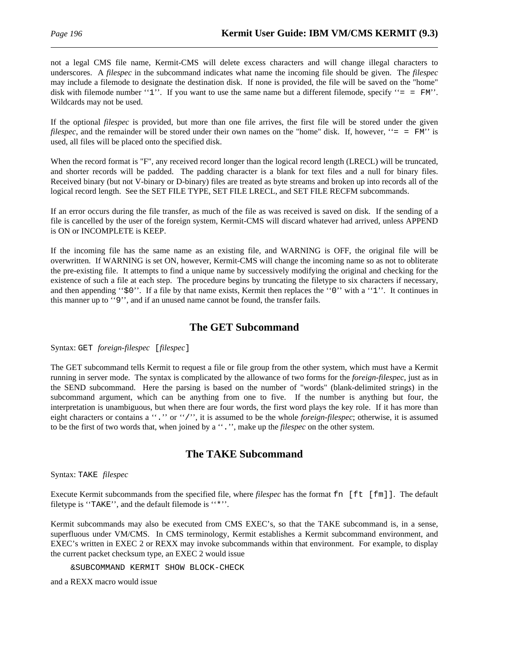not a legal CMS file name, Kermit-CMS will delete excess characters and will change illegal characters to underscores. A *filespec* in the subcommand indicates what name the incoming file should be given. The *filespec* may include a filemode to designate the destination disk. If none is provided, the file will be saved on the "home" disk with filemode number "1". If you want to use the same name but a different filemode, specify "=  $=$   $F/M$ ". Wildcards may not be used.

If the optional *filespec* is provided, but more than one file arrives, the first file will be stored under the given *filespec*, and the remainder will be stored under their own names on the "home" disk. If, however, "= = FM' is used, all files will be placed onto the specified disk.

When the record format is "F", any received record longer than the logical record length (LRECL) will be truncated, and shorter records will be padded. The padding character is a blank for text files and a null for binary files. Received binary (but not V-binary or D-binary) files are treated as byte streams and broken up into records all of the logical record length. See the SET FILE TYPE, SET FILE LRECL, and SET FILE RECFM subcommands.

If an error occurs during the file transfer, as much of the file as was received is saved on disk. If the sending of a file is cancelled by the user of the foreign system, Kermit-CMS will discard whatever had arrived, unless APPEND is ON or INCOMPLETE is KEEP.

If the incoming file has the same name as an existing file, and WARNING is OFF, the original file will be overwritten. If WARNING is set ON, however, Kermit-CMS will change the incoming name so as not to obliterate the pre-existing file. It attempts to find a unique name by successively modifying the original and checking for the existence of such a file at each step. The procedure begins by truncating the filetype to six characters if necessary, and then appending " $\circ$ 0". If a file by that name exists, Kermit then replaces the "0" with a "1". It continues in this manner up to ''9'', and if an unused name cannot be found, the transfer fails.

## **The GET Subcommand**

Syntax: GET *foreign-filespec* [*filespec*]

The GET subcommand tells Kermit to request a file or file group from the other system, which must have a Kermit running in server mode. The syntax is complicated by the allowance of two forms for the *foreign-filespec*, just as in the SEND subcommand. Here the parsing is based on the number of "words" (blank-delimited strings) in the subcommand argument, which can be anything from one to five. If the number is anything but four, the interpretation is unambiguous, but when there are four words, the first word plays the key role. If it has more than eight characters or contains a ''.'' or ''/'', it is assumed to be the whole *foreign-filespec*; otherwise, it is assumed to be the first of two words that, when joined by a ''.'', make up the *filespec* on the other system.

## **The TAKE Subcommand**

#### Syntax: TAKE *filespec*

Execute Kermit subcommands from the specified file, where *filespec* has the format fn [ft [fm]]. The default filetype is ''TAKE'', and the default filemode is ''\*''.

Kermit subcommands may also be executed from CMS EXEC's, so that the TAKE subcommand is, in a sense, superfluous under VM/CMS. In CMS terminology, Kermit establishes a Kermit subcommand environment, and EXEC's written in EXEC 2 or REXX may invoke subcommands within that environment. For example, to display the current packet checksum type, an EXEC 2 would issue

&SUBCOMMAND KERMIT SHOW BLOCK-CHECK

and a REXX macro would issue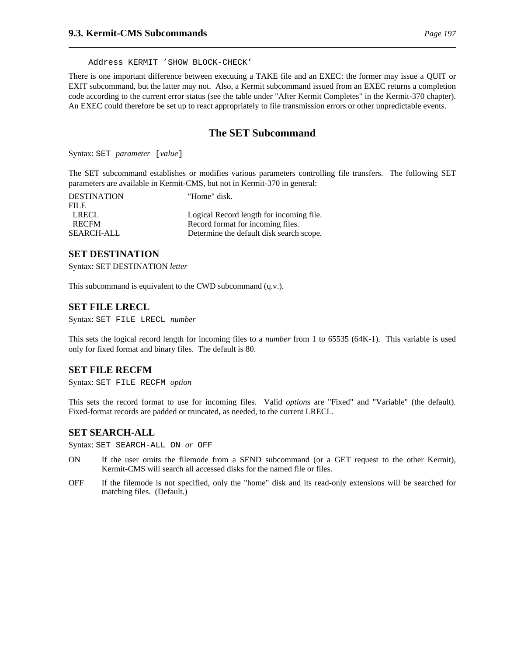Address KERMIT 'SHOW BLOCK-CHECK'

There is one important difference between executing a TAKE file and an EXEC: the former may issue a QUIT or EXIT subcommand, but the latter may not. Also, a Kermit subcommand issued from an EXEC returns a completion code according to the current error status (see the table under "After Kermit Completes" in the Kermit-370 chapter). An EXEC could therefore be set up to react appropriately to file transmission errors or other unpredictable events.

### **The SET Subcommand**

Syntax: SET *parameter* [*value*]

The SET subcommand establishes or modifies various parameters controlling file transfers. The following SET parameters are available in Kermit-CMS, but not in Kermit-370 in general:

| <b>DESTINATION</b> | "Home" disk.                             |
|--------------------|------------------------------------------|
| <b>FILE</b>        |                                          |
| <b>LRECL</b>       | Logical Record length for incoming file. |
| <b>RECEM</b>       | Record format for incoming files.        |
| <b>SEARCH-ALL</b>  | Determine the default disk search scope. |

#### **SET DESTINATION**

Syntax: SET DESTINATION *letter*

This subcommand is equivalent to the CWD subcommand (q.v.).

#### **SET FILE LRECL**

Syntax: SET FILE LRECL *number*

This sets the logical record length for incoming files to a *number* from 1 to 65535 (64K-1). This variable is used only for fixed format and binary files. The default is 80.

#### **SET FILE RECFM**

Syntax: SET FILE RECFM *option*

This sets the record format to use for incoming files. Valid *option*s are "Fixed" and "Variable" (the default). Fixed-format records are padded or truncated, as needed, to the current LRECL.

#### **SET SEARCH-ALL**

Syntax: SET SEARCH-ALL ON *or* OFF

- ON If the user omits the filemode from a SEND subcommand (or a GET request to the other Kermit), Kermit-CMS will search all accessed disks for the named file or files.
- OFF If the filemode is not specified, only the "home" disk and its read-only extensions will be searched for matching files. (Default.)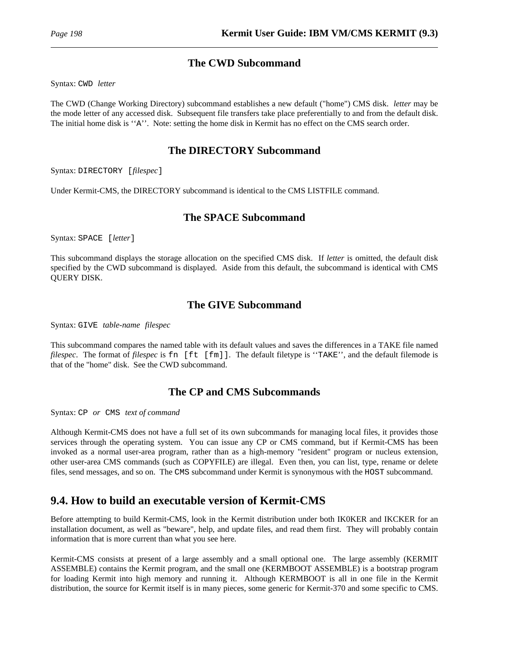## **The CWD Subcommand**

Syntax: CWD *letter*

The CWD (Change Working Directory) subcommand establishes a new default ("home") CMS disk. *letter* may be the mode letter of any accessed disk. Subsequent file transfers take place preferentially to and from the default disk. The initial home disk is ''A''. Note: setting the home disk in Kermit has no effect on the CMS search order.

## **The DIRECTORY Subcommand**

Syntax: DIRECTORY [*filespec*]

Under Kermit-CMS, the DIRECTORY subcommand is identical to the CMS LISTFILE command.

## **The SPACE Subcommand**

Syntax: SPACE [*letter*]

This subcommand displays the storage allocation on the specified CMS disk. If *letter* is omitted, the default disk specified by the CWD subcommand is displayed. Aside from this default, the subcommand is identical with CMS QUERY DISK.

## **The GIVE Subcommand**

Syntax: GIVE *table-name filespec*

This subcommand compares the named table with its default values and saves the differences in a TAKE file named *filespec*. The format of *filespec* is fn [ft [fm]]. The default filetype is ''TAKE'', and the default filemode is that of the "home" disk. See the CWD subcommand.

## **The CP and CMS Subcommands**

Syntax: CP *or* CMS *text of command*

Although Kermit-CMS does not have a full set of its own subcommands for managing local files, it provides those services through the operating system. You can issue any CP or CMS command, but if Kermit-CMS has been invoked as a normal user-area program, rather than as a high-memory "resident" program or nucleus extension, other user-area CMS commands (such as COPYFILE) are illegal. Even then, you can list, type, rename or delete files, send messages, and so on. The CMS subcommand under Kermit is synonymous with the HOST subcommand.

# **9.4. How to build an executable version of Kermit-CMS**

Before attempting to build Kermit-CMS, look in the Kermit distribution under both IK0KER and IKCKER for an installation document, as well as "beware", help, and update files, and read them first. They will probably contain information that is more current than what you see here.

Kermit-CMS consists at present of a large assembly and a small optional one. The large assembly (KERMIT ASSEMBLE) contains the Kermit program, and the small one (KERMBOOT ASSEMBLE) is a bootstrap program for loading Kermit into high memory and running it. Although KERMBOOT is all in one file in the Kermit distribution, the source for Kermit itself is in many pieces, some generic for Kermit-370 and some specific to CMS.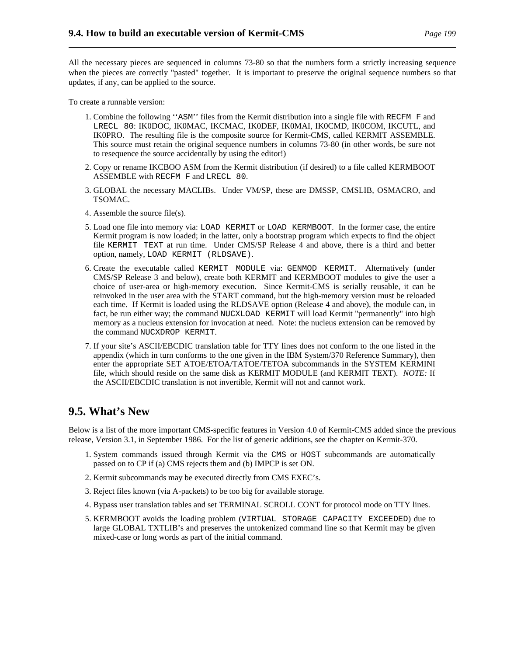All the necessary pieces are sequenced in columns 73-80 so that the numbers form a strictly increasing sequence when the pieces are correctly "pasted" together. It is important to preserve the original sequence numbers so that updates, if any, can be applied to the source.

To create a runnable version:

- 1. Combine the following ''ASM'' files from the Kermit distribution into a single file with RECFM F and LRECL 80: IK0DOC, IK0MAC, IKCMAC, IK0DEF, IK0MAI, IK0CMD, IK0COM, IKCUTL, and IK0PRO. The resulting file is the composite source for Kermit-CMS, called KERMIT ASSEMBLE. This source must retain the original sequence numbers in columns 73-80 (in other words, be sure not to resequence the source accidentally by using the editor!)
- 2. Copy or rename IKCBOO ASM from the Kermit distribution (if desired) to a file called KERMBOOT ASSEMBLE with RECFM F and LRECL 80.
- 3. GLOBAL the necessary MACLIBs. Under VM/SP, these are DMSSP, CMSLIB, OSMACRO, and TSOMAC.
- 4. Assemble the source file(s).
- 5. Load one file into memory via: LOAD KERMIT or LOAD KERMBOOT. In the former case, the entire Kermit program is now loaded; in the latter, only a bootstrap program which expects to find the object file KERMIT TEXT at run time. Under CMS/SP Release 4 and above, there is a third and better option, namely, LOAD KERMIT (RLDSAVE).
- 6. Create the executable called KERMIT MODULE via: GENMOD KERMIT. Alternatively (under CMS/SP Release 3 and below), create both KERMIT and KERMBOOT modules to give the user a choice of user-area or high-memory execution. Since Kermit-CMS is serially reusable, it can be reinvoked in the user area with the START command, but the high-memory version must be reloaded each time. If Kermit is loaded using the RLDSAVE option (Release 4 and above), the module can, in fact, be run either way; the command NUCXLOAD KERMIT will load Kermit "permanently" into high memory as a nucleus extension for invocation at need. Note: the nucleus extension can be removed by the command NUCXDROP KERMIT.
- 7. If your site's ASCII/EBCDIC translation table for TTY lines does not conform to the one listed in the appendix (which in turn conforms to the one given in the IBM System/370 Reference Summary), then enter the appropriate SET ATOE/ETOA/TATOE/TETOA subcommands in the SYSTEM KERMINI file, which should reside on the same disk as KERMIT MODULE (and KERMIT TEXT). *NOTE:* If the ASCII/EBCDIC translation is not invertible, Kermit will not and cannot work.

## **9.5. What's New**

Below is a list of the more important CMS-specific features in Version 4.0 of Kermit-CMS added since the previous release, Version 3.1, in September 1986. For the list of generic additions, see the chapter on Kermit-370.

- 1. System commands issued through Kermit via the CMS or HOST subcommands are automatically passed on to CP if (a) CMS rejects them and (b) IMPCP is set ON.
- 2. Kermit subcommands may be executed directly from CMS EXEC's.
- 3. Reject files known (via A-packets) to be too big for available storage.
- 4. Bypass user translation tables and set TERMINAL SCROLL CONT for protocol mode on TTY lines.
- 5. KERMBOOT avoids the loading problem (VIRTUAL STORAGE CAPACITY EXCEEDED) due to large GLOBAL TXTLIB's and preserves the untokenized command line so that Kermit may be given mixed-case or long words as part of the initial command.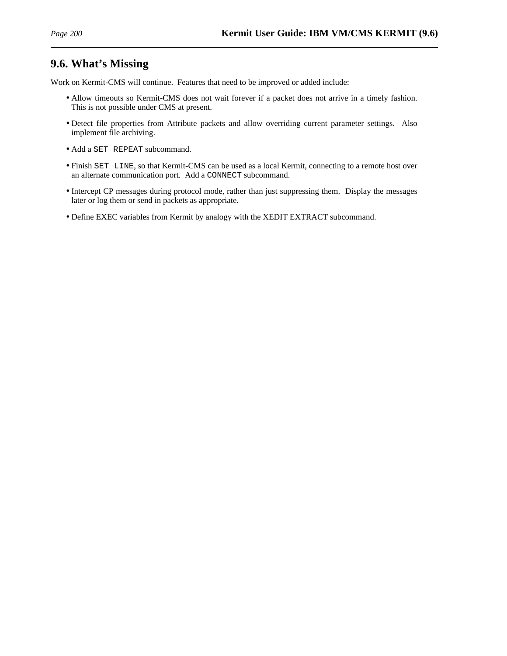# **9.6. What's Missing**

Work on Kermit-CMS will continue. Features that need to be improved or added include:

- Allow timeouts so Kermit-CMS does not wait forever if a packet does not arrive in a timely fashion. This is not possible under CMS at present.
- Detect file properties from Attribute packets and allow overriding current parameter settings. Also implement file archiving.
- Add a SET REPEAT subcommand.
- Finish SET LINE, so that Kermit-CMS can be used as a local Kermit, connecting to a remote host over an alternate communication port. Add a CONNECT subcommand.
- Intercept CP messages during protocol mode, rather than just suppressing them. Display the messages later or log them or send in packets as appropriate.
- Define EXEC variables from Kermit by analogy with the XEDIT EXTRACT subcommand.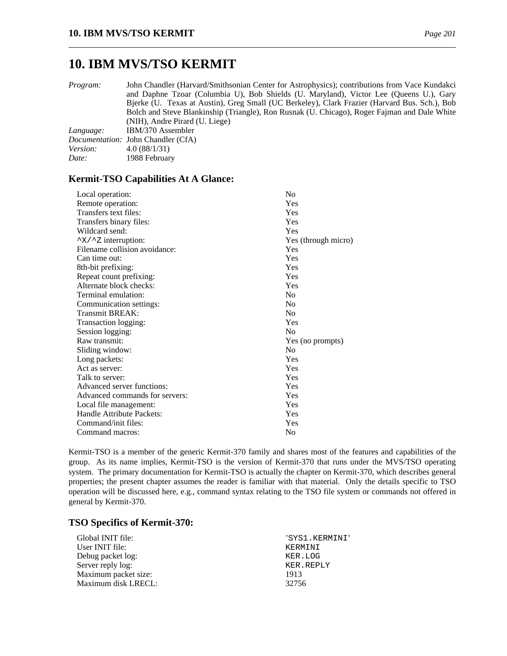*Program:* John Chandler (Harvard/Smithsonian Center for Astrophysics); contributions from Vace Kundakci and Daphne Tzoar (Columbia U), Bob Shields (U. Maryland), Victor Lee (Queens U.), Gary Bjerke (U. Texas at Austin), Greg Small (UC Berkeley), Clark Frazier (Harvard Bus. Sch.), Bob Bolch and Steve Blankinship (Triangle), Ron Rusnak (U. Chicago), Roger Fajman and Dale White (NIH), Andre Pirard (U. Liege)

| Language:       | IBM/370 Assembler                         |
|-----------------|-------------------------------------------|
|                 | <i>Documentation:</i> John Chandler (CfA) |
| <i>Version:</i> | 4.0(88/1/31)                              |
| Date:           | 1988 February                             |

#### **Kermit-TSO Capabilities At A Glance:**

| Local operation:               | No                  |
|--------------------------------|---------------------|
| Remote operation:              | Yes                 |
| Transfers text files:          | Yes                 |
| Transfers binary files:        | Yes                 |
| Wildcard send:                 | Yes                 |
| ^X/^Z interruption:            | Yes (through micro) |
| Filename collision avoidance:  | Yes                 |
| Can time out:                  | Yes                 |
| 8th-bit prefixing:             | Yes                 |
| Repeat count prefixing:        | Yes                 |
| Alternate block checks:        | Yes                 |
| Terminal emulation:            | N <sub>0</sub>      |
| Communication settings:        | No                  |
| Transmit BREAK:                | N <sub>0</sub>      |
| Transaction logging:           | Yes                 |
| Session logging:               | N <sub>0</sub>      |
| Raw transmit:                  | Yes (no prompts)    |
| Sliding window:                | N <sub>0</sub>      |
| Long packets:                  | Yes                 |
| Act as server:                 | Yes                 |
| Talk to server:                | Yes                 |
| Advanced server functions:     | Yes                 |
| Advanced commands for servers: | Yes                 |
| Local file management:         | Yes                 |
| Handle Attribute Packets:      | Yes                 |
| Command/init files:            | Yes                 |
| Command macros:                | No                  |
|                                |                     |

Kermit-TSO is a member of the generic Kermit-370 family and shares most of the features and capabilities of the group. As its name implies, Kermit-TSO is the version of Kermit-370 that runs under the MVS/TSO operating system. The primary documentation for Kermit-TSO is actually the chapter on Kermit-370, which describes general properties; the present chapter assumes the reader is familiar with that material. Only the details specific to TSO operation will be discussed here, e.g., command syntax relating to the TSO file system or commands not offered in general by Kermit-370.

#### **TSO Specifics of Kermit-370:**

| Global INIT file:    | 'SYS1.KERMINI' |
|----------------------|----------------|
| User INIT file:      | KERMINT        |
| Debug packet log:    | KER.LOG        |
| Server reply log:    | KER.REPLY      |
| Maximum packet size: | 1913           |
| Maximum disk LRECL:  | 32756          |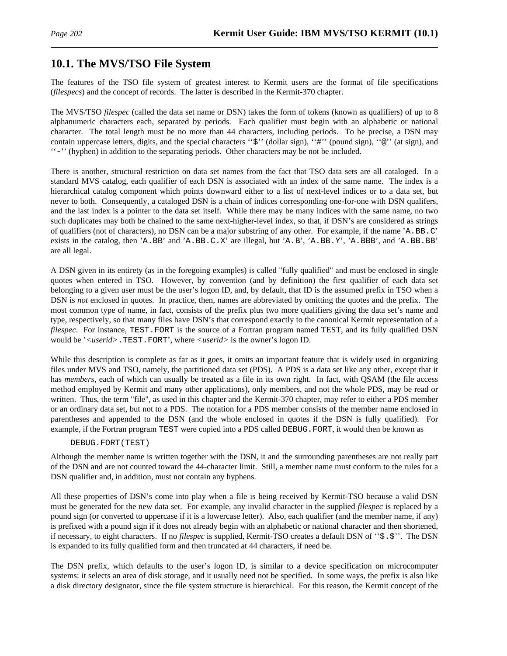# **10.1. The MVS/TSO File System**

The features of the TSO file system of greatest interest to Kermit users are the format of file specifications (*filespecs*) and the concept of records. The latter is described in the Kermit-370 chapter.

The MVS/TSO *filespec* (called the data set name or DSN) takes the form of tokens (known as qualifiers) of up to 8 alphanumeric characters each, separated by periods. Each qualifier must begin with an alphabetic or national character. The total length must be no more than 44 characters, including periods. To be precise, a DSN may contain uppercase letters, digits, and the special characters " $\hat{s}$ " (dollar sign), "#" (pound sign), " $\circ$ " (at sign), and ''-'' (hyphen) in addition to the separating periods. Other characters may be not be included.

There is another, structural restriction on data set names from the fact that TSO data sets are all cataloged. In a standard MVS catalog, each qualifier of each DSN is associated with an index of the same name. The index is a hierarchical catalog component which points downward either to a list of next-level indices or to a data set, but never to both. Consequently, a cataloged DSN is a chain of indices corresponding one-for-one with DSN qualifers, and the last index is a pointer to the data set itself. While there may be many indices with the same name, no two such duplicates may both be chained to the same next-higher-level index, so that, if DSN's are considered as strings of qualifiers (not of characters), no DSN can be a major substring of any other. For example, if the name 'A.BB.C' exists in the catalog, then 'A.BB' and 'A.BB.C.X' are illegal, but 'A.B', 'A.BB.Y', 'A.BBB', and 'A.BB.BB' are all legal.

A DSN given in its entirety (as in the foregoing examples) is called "fully qualified" and must be enclosed in single quotes when entered in TSO. However, by convention (and by definition) the first qualifier of each data set belonging to a given user must be the user's logon ID, and, by default, that ID is the assumed prefix in TSO when a DSN is *not* enclosed in quotes. In practice, then, names are abbreviated by omitting the quotes and the prefix. The most common type of name, in fact, consists of the prefix plus two more qualifiers giving the data set's name and type, respectively, so that many files have DSN's that correspond exactly to the canonical Kermit representation of a *filespec.* For instance, TEST. FORT is the source of a Fortran program named TEST, and its fully qualified DSN would be '*<userid>*.TEST.FORT', where *<userid>* is the owner's logon ID.

While this description is complete as far as it goes, it omits an important feature that is widely used in organizing files under MVS and TSO, namely, the partitioned data set (PDS). A PDS is a data set like any other, except that it has *members*, each of which can usually be treated as a file in its own right. In fact, with QSAM (the file access method employed by Kermit and many other applications), only members, and not the whole PDS, may be read or written. Thus, the term "file", as used in this chapter and the Kermit-370 chapter, may refer to either a PDS member or an ordinary data set, but not to a PDS. The notation for a PDS member consists of the member name enclosed in parentheses and appended to the DSN (and the whole enclosed in quotes if the DSN is fully qualified). For example, if the Fortran program TEST were copied into a PDS called DEBUG.FORT, it would then be known as

#### DEBUG.FORT(TEST)

Although the member name is written together with the DSN, it and the surrounding parentheses are not really part of the DSN and are not counted toward the 44-character limit. Still, a member name must conform to the rules for a DSN qualifier and, in addition, must not contain any hyphens.

All these properties of DSN's come into play when a file is being received by Kermit-TSO because a valid DSN must be generated for the new data set. For example, any invalid character in the supplied *filespec* is replaced by a pound sign (or converted to uppercase if it is a lowercase letter). Also, each qualifier (and the member name, if any) is prefixed with a pound sign if it does not already begin with an alphabetic or national character and then shortened, if necessary, to eight characters. If no *filespec* is supplied, Kermit-TSO creates a default DSN of ''\$.\$''. The DSN is expanded to its fully qualified form and then truncated at 44 characters, if need be.

The DSN prefix, which defaults to the user's logon ID, is similar to a device specification on microcomputer systems: it selects an area of disk storage, and it usually need not be specified. In some ways, the prefix is also like a disk directory designator, since the file system structure is hierarchical. For this reason, the Kermit concept of the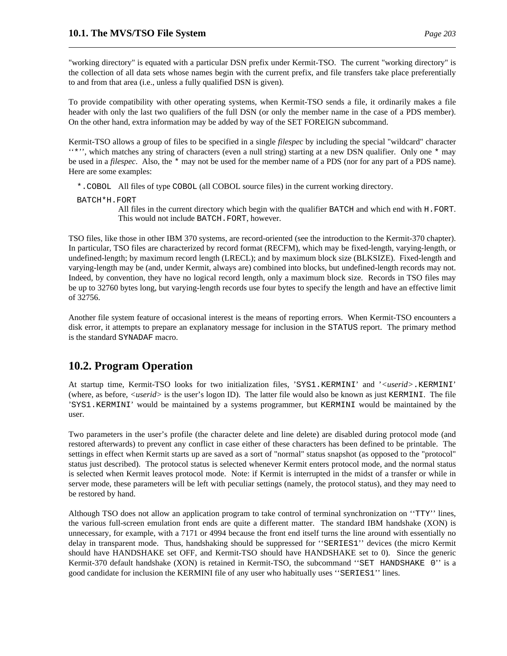"working directory" is equated with a particular DSN prefix under Kermit-TSO. The current "working directory" is the collection of all data sets whose names begin with the current prefix, and file transfers take place preferentially to and from that area (i.e., unless a fully qualified DSN is given).

To provide compatibility with other operating systems, when Kermit-TSO sends a file, it ordinarily makes a file header with only the last two qualifiers of the full DSN (or only the member name in the case of a PDS member). On the other hand, extra information may be added by way of the SET FOREIGN subcommand.

Kermit-TSO allows a group of files to be specified in a single *filespec* by including the special "wildcard" character ''\*'', which matches any string of characters (even a null string) starting at a new DSN qualifier. Only one \* may be used in a *filespec*. Also, the \* may not be used for the member name of a PDS (nor for any part of a PDS name). Here are some examples:

- \*.COBOL All files of type COBOL (all COBOL source files) in the current working directory.
- BATCH\*H.FORT

All files in the current directory which begin with the qualifier BATCH and which end with H.FORT. This would not include BATCH. FORT, however.

TSO files, like those in other IBM 370 systems, are record-oriented (see the introduction to the Kermit-370 chapter). In particular, TSO files are characterized by record format (RECFM), which may be fixed-length, varying-length, or undefined-length; by maximum record length (LRECL); and by maximum block size (BLKSIZE). Fixed-length and varying-length may be (and, under Kermit, always are) combined into blocks, but undefined-length records may not. Indeed, by convention, they have no logical record length, only a maximum block size. Records in TSO files may be up to 32760 bytes long, but varying-length records use four bytes to specify the length and have an effective limit of 32756.

Another file system feature of occasional interest is the means of reporting errors. When Kermit-TSO encounters a disk error, it attempts to prepare an explanatory message for inclusion in the STATUS report. The primary method is the standard SYNADAF macro.

# **10.2. Program Operation**

At startup time, Kermit-TSO looks for two initialization files, 'SYS1.KERMINI' and '*<userid>*.KERMINI' (where, as before, *<userid>* is the user's logon ID). The latter file would also be known as just KERMINI. The file 'SYS1.KERMINI' would be maintained by a systems programmer, but KERMINI would be maintained by the user.

Two parameters in the user's profile (the character delete and line delete) are disabled during protocol mode (and restored afterwards) to prevent any conflict in case either of these characters has been defined to be printable. The settings in effect when Kermit starts up are saved as a sort of "normal" status snapshot (as opposed to the "protocol" status just described). The protocol status is selected whenever Kermit enters protocol mode, and the normal status is selected when Kermit leaves protocol mode. Note: if Kermit is interrupted in the midst of a transfer or while in server mode, these parameters will be left with peculiar settings (namely, the protocol status), and they may need to be restored by hand.

Although TSO does not allow an application program to take control of terminal synchronization on ''TTY'' lines, the various full-screen emulation front ends are quite a different matter. The standard IBM handshake (XON) is unnecessary, for example, with a 7171 or 4994 because the front end itself turns the line around with essentially no delay in transparent mode. Thus, handshaking should be suppressed for ''SERIES1'' devices (the micro Kermit should have HANDSHAKE set OFF, and Kermit-TSO should have HANDSHAKE set to 0). Since the generic Kermit-370 default handshake (XON) is retained in Kermit-TSO, the subcommand ''SET HANDSHAKE 0'' is a good candidate for inclusion the KERMINI file of any user who habitually uses ''SERIES1'' lines.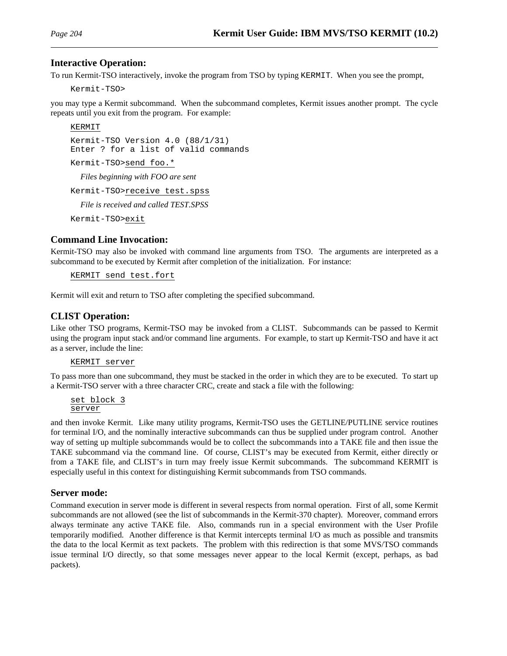#### **Interactive Operation:**

To run Kermit-TSO interactively, invoke the program from TSO by typing KERMIT. When you see the prompt,

Kermit-TSO>

you may type a Kermit subcommand. When the subcommand completes, Kermit issues another prompt. The cycle repeats until you exit from the program. For example:

#### KERMIT

Kermit-TSO Version 4.0 (88/1/31) Enter ? for a list of valid commands Kermit-TSO>send foo.\* *Files beginning with FOO are sent* Kermit-TSO>receive test.spss

*File is received and called TEST.SPSS*

Kermit-TSO>exit

#### **Command Line Invocation:**

Kermit-TSO may also be invoked with command line arguments from TSO. The arguments are interpreted as a subcommand to be executed by Kermit after completion of the initialization. For instance:

KERMIT send test.fort

Kermit will exit and return to TSO after completing the specified subcommand.

#### **CLIST Operation:**

Like other TSO programs, Kermit-TSO may be invoked from a CLIST. Subcommands can be passed to Kermit using the program input stack and/or command line arguments. For example, to start up Kermit-TSO and have it act as a server, include the line:

#### KERMIT server

To pass more than one subcommand, they must be stacked in the order in which they are to be executed. To start up a Kermit-TSO server with a three character CRC, create and stack a file with the following:

set block 3 server

and then invoke Kermit. Like many utility programs, Kermit-TSO uses the GETLINE/PUTLINE service routines for terminal I/O, and the nominally interactive subcommands can thus be supplied under program control. Another way of setting up multiple subcommands would be to collect the subcommands into a TAKE file and then issue the TAKE subcommand via the command line. Of course, CLIST's may be executed from Kermit, either directly or from a TAKE file, and CLIST's in turn may freely issue Kermit subcommands. The subcommand KERMIT is especially useful in this context for distinguishing Kermit subcommands from TSO commands.

#### **Server mode:**

Command execution in server mode is different in several respects from normal operation. First of all, some Kermit subcommands are not allowed (see the list of subcommands in the Kermit-370 chapter). Moreover, command errors always terminate any active TAKE file. Also, commands run in a special environment with the User Profile temporarily modified. Another difference is that Kermit intercepts terminal I/O as much as possible and transmits the data to the local Kermit as text packets. The problem with this redirection is that some MVS/TSO commands issue terminal I/O directly, so that some messages never appear to the local Kermit (except, perhaps, as bad packets).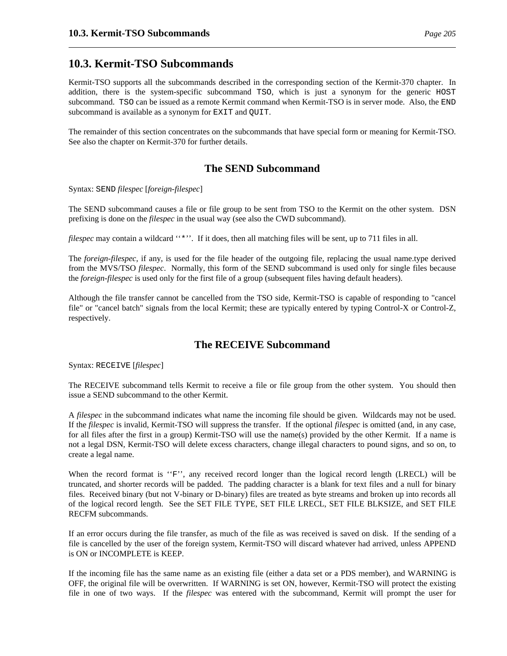## **10.3. Kermit-TSO Subcommands**

Kermit-TSO supports all the subcommands described in the corresponding section of the Kermit-370 chapter. In addition, there is the system-specific subcommand TSO, which is just a synonym for the generic HOST subcommand. TSO can be issued as a remote Kermit command when Kermit-TSO is in server mode. Also, the END subcommand is available as a synonym for EXIT and QUIT.

The remainder of this section concentrates on the subcommands that have special form or meaning for Kermit-TSO. See also the chapter on Kermit-370 for further details.

## **The SEND Subcommand**

Syntax: SEND *filespec* [*foreign-filespec*]

The SEND subcommand causes a file or file group to be sent from TSO to the Kermit on the other system. DSN prefixing is done on the *filespec* in the usual way (see also the CWD subcommand).

*filespec* may contain a wildcard "\*". If it does, then all matching files will be sent, up to 711 files in all.

The *foreign-filespec*, if any, is used for the file header of the outgoing file, replacing the usual name.type derived from the MVS/TSO *filespec*. Normally, this form of the SEND subcommand is used only for single files because the *foreign-filespec* is used only for the first file of a group (subsequent files having default headers).

Although the file transfer cannot be cancelled from the TSO side, Kermit-TSO is capable of responding to "cancel file" or "cancel batch" signals from the local Kermit; these are typically entered by typing Control-X or Control-Z, respectively.

## **The RECEIVE Subcommand**

Syntax: RECEIVE [*filespec*]

The RECEIVE subcommand tells Kermit to receive a file or file group from the other system. You should then issue a SEND subcommand to the other Kermit.

A *filespec* in the subcommand indicates what name the incoming file should be given. Wildcards may not be used. If the *filespec* is invalid, Kermit-TSO will suppress the transfer. If the optional *filespec* is omitted (and, in any case, for all files after the first in a group) Kermit-TSO will use the name(s) provided by the other Kermit. If a name is not a legal DSN, Kermit-TSO will delete excess characters, change illegal characters to pound signs, and so on, to create a legal name.

When the record format is "F", any received record longer than the logical record length (LRECL) will be truncated, and shorter records will be padded. The padding character is a blank for text files and a null for binary files. Received binary (but not V-binary or D-binary) files are treated as byte streams and broken up into records all of the logical record length. See the SET FILE TYPE, SET FILE LRECL, SET FILE BLKSIZE, and SET FILE RECFM subcommands.

If an error occurs during the file transfer, as much of the file as was received is saved on disk. If the sending of a file is cancelled by the user of the foreign system, Kermit-TSO will discard whatever had arrived, unless APPEND is ON or INCOMPLETE is KEEP.

If the incoming file has the same name as an existing file (either a data set or a PDS member), and WARNING is OFF, the original file will be overwritten. If WARNING is set ON, however, Kermit-TSO will protect the existing file in one of two ways. If the *filespec* was entered with the subcommand, Kermit will prompt the user for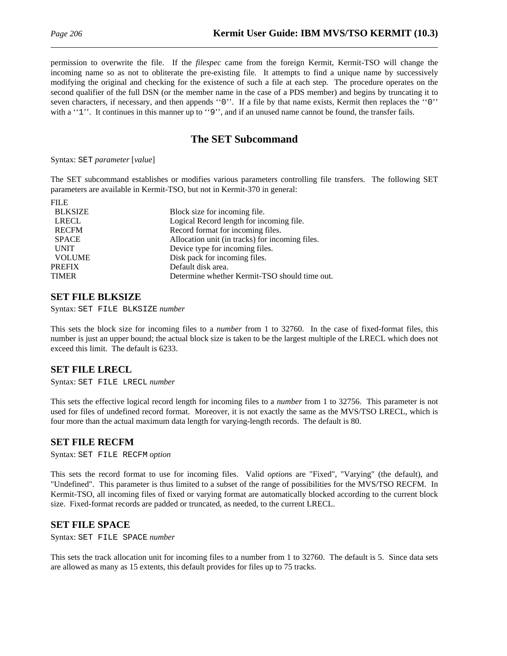permission to overwrite the file. If the *filespec* came from the foreign Kermit, Kermit-TSO will change the incoming name so as not to obliterate the pre-existing file. It attempts to find a unique name by successively modifying the original and checking for the existence of such a file at each step. The procedure operates on the second qualifier of the full DSN (or the member name in the case of a PDS member) and begins by truncating it to seven characters, if necessary, and then appends ''0''. If a file by that name exists, Kermit then replaces the ''0'' with a "1". It continues in this manner up to "9", and if an unused name cannot be found, the transfer fails.

## **The SET Subcommand**

Syntax: SET *parameter* [*value*]

The SET subcommand establishes or modifies various parameters controlling file transfers. The following SET parameters are available in Kermit-TSO, but not in Kermit-370 in general:

| Block size for incoming file.                   |
|-------------------------------------------------|
| Logical Record length for incoming file.        |
| Record format for incoming files.               |
| Allocation unit (in tracks) for incoming files. |
| Device type for incoming files.                 |
| Disk pack for incoming files.                   |
| Default disk area.                              |
| Determine whether Kermit-TSO should time out.   |
|                                                 |

### **SET FILE BLKSIZE**

Syntax: SET FILE BLKSIZE *number*

This sets the block size for incoming files to a *number* from 1 to 32760. In the case of fixed-format files, this number is just an upper bound; the actual block size is taken to be the largest multiple of the LRECL which does not exceed this limit. The default is 6233.

### **SET FILE LRECL**

Syntax: SET FILE LRECL *number*

This sets the effective logical record length for incoming files to a *number* from 1 to 32756. This parameter is not used for files of undefined record format. Moreover, it is not exactly the same as the MVS/TSO LRECL, which is four more than the actual maximum data length for varying-length records. The default is 80.

#### **SET FILE RECFM**

Syntax: SET FILE RECFM *option*

This sets the record format to use for incoming files. Valid *option*s are "Fixed", "Varying" (the default), and "Undefined". This parameter is thus limited to a subset of the range of possibilities for the MVS/TSO RECFM. In Kermit-TSO, all incoming files of fixed or varying format are automatically blocked according to the current block size. Fixed-format records are padded or truncated, as needed, to the current LRECL.

### **SET FILE SPACE**

Syntax: SET FILE SPACE *number*

This sets the track allocation unit for incoming files to a number from 1 to 32760. The default is 5. Since data sets are allowed as many as 15 extents, this default provides for files up to 75 tracks.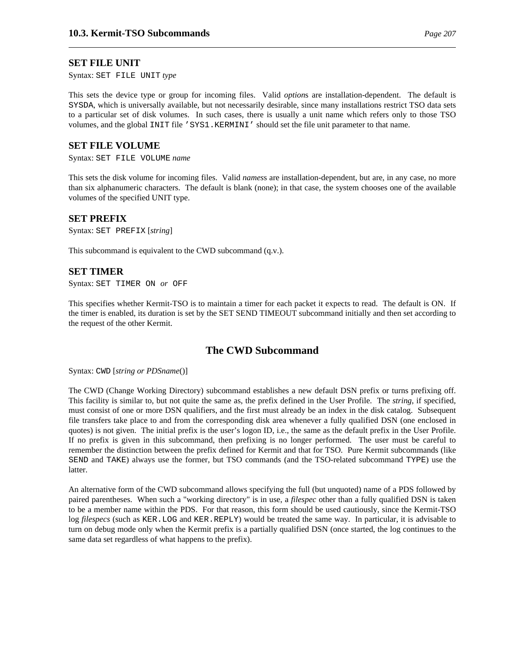#### **SET FILE UNIT**

Syntax: SET FILE UNIT *type*

This sets the device type or group for incoming files. Valid *option*s are installation-dependent. The default is SYSDA, which is universally available, but not necessarily desirable, since many installations restrict TSO data sets to a particular set of disk volumes. In such cases, there is usually a unit name which refers only to those TSO volumes, and the global INIT file 'SYS1.KERMINI' should set the file unit parameter to that name.

#### **SET FILE VOLUME**

Syntax: SET FILE VOLUME *name*

This sets the disk volume for incoming files. Valid *names*s are installation-dependent, but are, in any case, no more than six alphanumeric characters. The default is blank (none); in that case, the system chooses one of the available volumes of the specified UNIT type.

#### **SET PREFIX**

Syntax: SET PREFIX [*string*]

This subcommand is equivalent to the CWD subcommand (q.v.).

#### **SET TIMER**

Syntax: SET TIMER ON *or* OFF

This specifies whether Kermit-TSO is to maintain a timer for each packet it expects to read. The default is ON. If the timer is enabled, its duration is set by the SET SEND TIMEOUT subcommand initially and then set according to the request of the other Kermit.

### **The CWD Subcommand**

Syntax: CWD [*string or PDSname*()]

The CWD (Change Working Directory) subcommand establishes a new default DSN prefix or turns prefixing off. This facility is similar to, but not quite the same as, the prefix defined in the User Profile. The *string*, if specified, must consist of one or more DSN qualifiers, and the first must already be an index in the disk catalog. Subsequent file transfers take place to and from the corresponding disk area whenever a fully qualified DSN (one enclosed in quotes) is not given. The initial prefix is the user's logon ID, i.e., the same as the default prefix in the User Profile. If no prefix is given in this subcommand, then prefixing is no longer performed. The user must be careful to remember the distinction between the prefix defined for Kermit and that for TSO. Pure Kermit subcommands (like SEND and TAKE) always use the former, but TSO commands (and the TSO-related subcommand TYPE) use the latter.

An alternative form of the CWD subcommand allows specifying the full (but unquoted) name of a PDS followed by paired parentheses. When such a "working directory" is in use, a *filespec* other than a fully qualified DSN is taken to be a member name within the PDS. For that reason, this form should be used cautiously, since the Kermit-TSO log *filespecs* (such as KER.LOG and KER.REPLY) would be treated the same way. In particular, it is advisable to turn on debug mode only when the Kermit prefix is a partially qualified DSN (once started, the log continues to the same data set regardless of what happens to the prefix).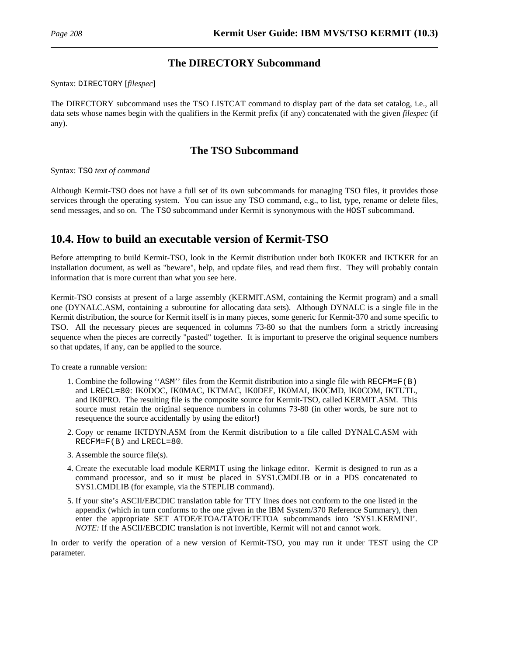## **The DIRECTORY Subcommand**

Syntax: DIRECTORY [*filespec*]

The DIRECTORY subcommand uses the TSO LISTCAT command to display part of the data set catalog, i.e., all data sets whose names begin with the qualifiers in the Kermit prefix (if any) concatenated with the given *filespec* (if any).

## **The TSO Subcommand**

Syntax: TSO *text of command*

Although Kermit-TSO does not have a full set of its own subcommands for managing TSO files, it provides those services through the operating system. You can issue any TSO command, e.g., to list, type, rename or delete files, send messages, and so on. The TSO subcommand under Kermit is synonymous with the HOST subcommand.

# **10.4. How to build an executable version of Kermit-TSO**

Before attempting to build Kermit-TSO, look in the Kermit distribution under both IK0KER and IKTKER for an installation document, as well as "beware", help, and update files, and read them first. They will probably contain information that is more current than what you see here.

Kermit-TSO consists at present of a large assembly (KERMIT.ASM, containing the Kermit program) and a small one (DYNALC.ASM, containing a subroutine for allocating data sets). Although DYNALC is a single file in the Kermit distribution, the source for Kermit itself is in many pieces, some generic for Kermit-370 and some specific to TSO. All the necessary pieces are sequenced in columns 73-80 so that the numbers form a strictly increasing sequence when the pieces are correctly "pasted" together. It is important to preserve the original sequence numbers so that updates, if any, can be applied to the source.

To create a runnable version:

- 1. Combine the following ''ASM'' files from the Kermit distribution into a single file with RECFM=F(B) and LRECL=80: IK0DOC, IK0MAC, IKTMAC, IK0DEF, IK0MAI, IK0CMD, IK0COM, IKTUTL, and IK0PRO. The resulting file is the composite source for Kermit-TSO, called KERMIT.ASM. This source must retain the original sequence numbers in columns 73-80 (in other words, be sure not to resequence the source accidentally by using the editor!)
- 2. Copy or rename IKTDYN.ASM from the Kermit distribution to a file called DYNALC.ASM with RECFM=F(B) and LRECL=80.
- 3. Assemble the source file(s).
- 4. Create the executable load module KERMIT using the linkage editor. Kermit is designed to run as a command processor, and so it must be placed in SYS1.CMDLIB or in a PDS concatenated to SYS1.CMDLIB (for example, via the STEPLIB command).
- 5. If your site's ASCII/EBCDIC translation table for TTY lines does not conform to the one listed in the appendix (which in turn conforms to the one given in the IBM System/370 Reference Summary), then enter the appropriate SET ATOE/ETOA/TATOE/TETOA subcommands into 'SYS1.KERMINI'. *NOTE:* If the ASCII/EBCDIC translation is not invertible, Kermit will not and cannot work.

In order to verify the operation of a new version of Kermit-TSO, you may run it under TEST using the CP parameter.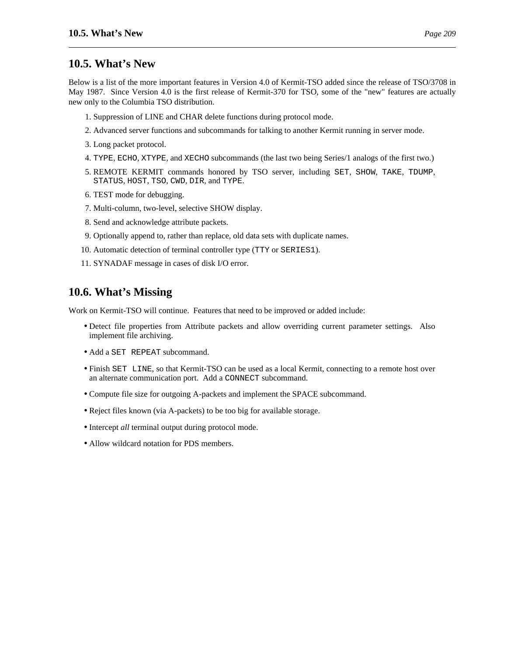Below is a list of the more important features in Version 4.0 of Kermit-TSO added since the release of TSO/3708 in May 1987. Since Version 4.0 is the first release of Kermit-370 for TSO, some of the "new" features are actually new only to the Columbia TSO distribution.

- 1. Suppression of LINE and CHAR delete functions during protocol mode.
- 2. Advanced server functions and subcommands for talking to another Kermit running in server mode.
- 3. Long packet protocol.
- 4. TYPE, ECHO, XTYPE, and XECHO subcommands (the last two being Series/1 analogs of the first two.)
- 5. REMOTE KERMIT commands honored by TSO server, including SET, SHOW, TAKE, TDUMP, STATUS, HOST, TSO, CWD, DIR, and TYPE.
- 6. TEST mode for debugging.
- 7. Multi-column, two-level, selective SHOW display.
- 8. Send and acknowledge attribute packets.
- 9. Optionally append to, rather than replace, old data sets with duplicate names.
- 10. Automatic detection of terminal controller type (TTY or SERIES1).
- 11. SYNADAF message in cases of disk I/O error.

# **10.6. What's Missing**

Work on Kermit-TSO will continue. Features that need to be improved or added include:

- Detect file properties from Attribute packets and allow overriding current parameter settings. Also implement file archiving.
- Add a SET REPEAT subcommand.
- Finish SET LINE, so that Kermit-TSO can be used as a local Kermit, connecting to a remote host over an alternate communication port. Add a CONNECT subcommand.
- Compute file size for outgoing A-packets and implement the SPACE subcommand.
- Reject files known (via A-packets) to be too big for available storage.
- Intercept *all* terminal output during protocol mode.
- Allow wildcard notation for PDS members.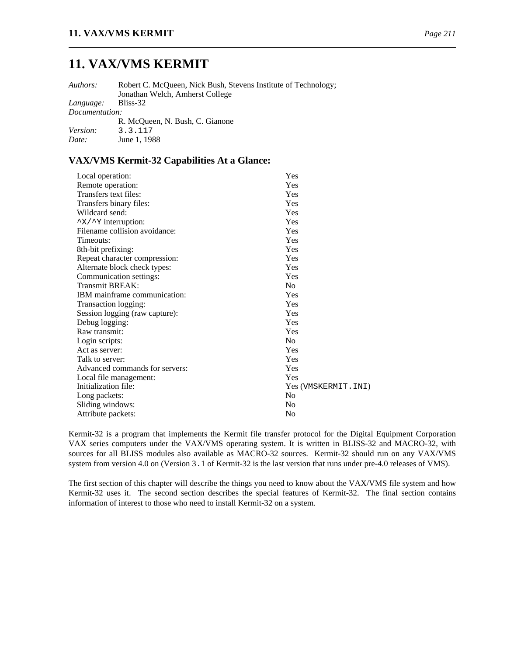# **11. VAX/VMS KERMIT**

*Authors:* Robert C. McQueen, Nick Bush, Stevens Institute of Technology; Jonathan Welch, Amherst College

*Language:* Bliss-32 *Documentation:* R. McQueen, N. Bush, C. Gianone

|                 | R. MCOUCCH, IN. DUSH, C. ORAHOH |
|-----------------|---------------------------------|
| <i>Version:</i> | 3.3.117                         |
| Date:           | June 1, 1988                    |

### **VAX/VMS Kermit-32 Capabilities At a Glance:**

| Local operation:                           | Yes                  |
|--------------------------------------------|----------------------|
| Remote operation:                          | Yes                  |
| Transfers text files:                      | Yes                  |
| Transfers binary files:                    | Yes                  |
| Wildcard send:                             | Yes                  |
| $\gamma$ $\times$ / $\gamma$ interruption: | <b>Yes</b>           |
| Filename collision avoidance:              | Yes                  |
| Timeouts:                                  | Yes                  |
| 8th-bit prefixing:                         | <b>Yes</b>           |
| Repeat character compression:              | Yes                  |
| Alternate block check types:               | Yes                  |
| Communication settings:                    | Yes                  |
| Transmit BREAK:                            | No                   |
| IBM mainframe communication:               | <b>Yes</b>           |
| Transaction logging:                       | Yes                  |
| Session logging (raw capture):             | Yes                  |
| Debug logging:                             | Yes                  |
| Raw transmit:                              | Yes                  |
| Login scripts:                             | No.                  |
| Act as server:                             | <b>Yes</b>           |
| Talk to server:                            | Yes                  |
| Advanced commands for servers:             | Yes                  |
| Local file management:                     | Yes                  |
| Initialization file:                       | Yes (VMSKERMIT. INI) |
| Long packets:                              | N <sub>0</sub>       |
| Sliding windows:                           | No                   |
| Attribute packets:                         | No                   |
|                                            |                      |

Kermit-32 is a program that implements the Kermit file transfer protocol for the Digital Equipment Corporation VAX series computers under the VAX/VMS operating system. It is written in BLISS-32 and MACRO-32, with sources for all BLISS modules also available as MACRO-32 sources. Kermit-32 should run on any VAX/VMS system from version 4.0 on (Version 3.1 of Kermit-32 is the last version that runs under pre-4.0 releases of VMS).

The first section of this chapter will describe the things you need to know about the VAX/VMS file system and how Kermit-32 uses it. The second section describes the special features of Kermit-32. The final section contains information of interest to those who need to install Kermit-32 on a system.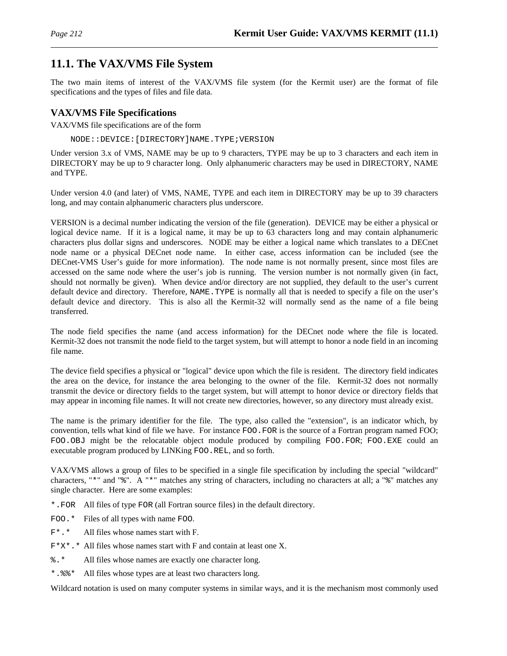# **11.1. The VAX/VMS File System**

The two main items of interest of the VAX/VMS file system (for the Kermit user) are the format of file specifications and the types of files and file data.

## **VAX/VMS File Specifications**

VAX/VMS file specifications are of the form

NODE::DEVICE:[DIRECTORY]NAME.TYPE;VERSION

Under version 3.x of VMS, NAME may be up to 9 characters, TYPE may be up to 3 characters and each item in DIRECTORY may be up to 9 character long. Only alphanumeric characters may be used in DIRECTORY, NAME and TYPE.

Under version 4.0 (and later) of VMS, NAME, TYPE and each item in DIRECTORY may be up to 39 characters long, and may contain alphanumeric characters plus underscore.

VERSION is a decimal number indicating the version of the file (generation). DEVICE may be either a physical or logical device name. If it is a logical name, it may be up to 63 characters long and may contain alphanumeric characters plus dollar signs and underscores. NODE may be either a logical name which translates to a DECnet node name or a physical DECnet node name. In either case, access information can be included (see the DECnet-VMS User's guide for more information). The node name is not normally present, since most files are accessed on the same node where the user's job is running. The version number is not normally given (in fact, should not normally be given). When device and/or directory are not supplied, they default to the user's current default device and directory. Therefore, NAME.TYPE is normally all that is needed to specify a file on the user's default device and directory. This is also all the Kermit-32 will normally send as the name of a file being transferred.

The node field specifies the name (and access information) for the DECnet node where the file is located. Kermit-32 does not transmit the node field to the target system, but will attempt to honor a node field in an incoming file name.

The device field specifies a physical or "logical" device upon which the file is resident. The directory field indicates the area on the device, for instance the area belonging to the owner of the file. Kermit-32 does not normally transmit the device or directory fields to the target system, but will attempt to honor device or directory fields that may appear in incoming file names. It will not create new directories, however, so any directory must already exist.

The name is the primary identifier for the file. The type, also called the "extension", is an indicator which, by convention, tells what kind of file we have. For instance FOO.FOR is the source of a Fortran program named FOO; FOO.OBJ might be the relocatable object module produced by compiling FOO.FOR; FOO.EXE could an executable program produced by LINKing FOO.REL, and so forth.

VAX/VMS allows a group of files to be specified in a single file specification by including the special "wildcard" characters, "\*" and "%". A "\*" matches any string of characters, including no characters at all; a "%" matches any single character. Here are some examples:

\*.FOR All files of type FOR (all Fortran source files) in the default directory.

- FOO.\* Files of all types with name FOO.
- F\*.\* All files whose names start with F.
- $F^*X^*$ . \* All files whose names start with F and contain at least one X.
- %.\* All files whose names are exactly one character long.
- \*.%%\* All files whose types are at least two characters long.

Wildcard notation is used on many computer systems in similar ways, and it is the mechanism most commonly used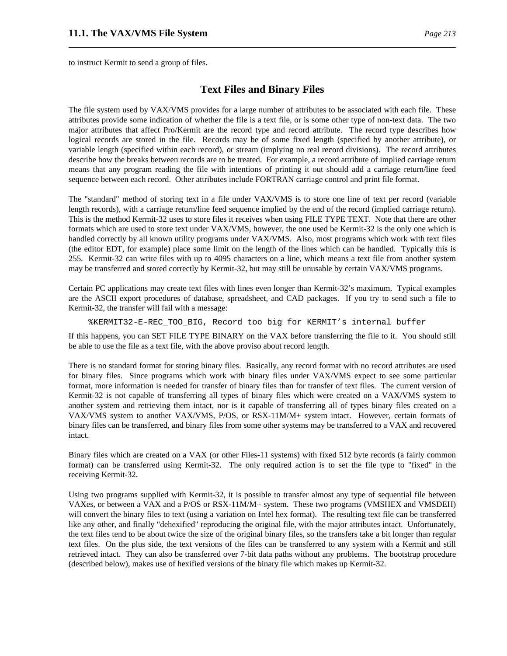to instruct Kermit to send a group of files.

#### **Text Files and Binary Files**

The file system used by VAX/VMS provides for a large number of attributes to be associated with each file. These attributes provide some indication of whether the file is a text file, or is some other type of non-text data. The two major attributes that affect Pro/Kermit are the record type and record attribute. The record type describes how logical records are stored in the file. Records may be of some fixed length (specified by another attribute), or variable length (specified within each record), or stream (implying no real record divisions). The record attributes describe how the breaks between records are to be treated. For example, a record attribute of implied carriage return means that any program reading the file with intentions of printing it out should add a carriage return/line feed sequence between each record. Other attributes include FORTRAN carriage control and print file format.

The "standard" method of storing text in a file under VAX/VMS is to store one line of text per record (variable length records), with a carriage return/line feed sequence implied by the end of the record (implied carriage return). This is the method Kermit-32 uses to store files it receives when using FILE TYPE TEXT. Note that there are other formats which are used to store text under VAX/VMS, however, the one used be Kermit-32 is the only one which is handled correctly by all known utility programs under VAX/VMS. Also, most programs which work with text files (the editor EDT, for example) place some limit on the length of the lines which can be handled. Typically this is 255. Kermit-32 can write files with up to 4095 characters on a line, which means a text file from another system may be transferred and stored correctly by Kermit-32, but may still be unusable by certain VAX/VMS programs.

Certain PC applications may create text files with lines even longer than Kermit-32's maximum. Typical examples are the ASCII export procedures of database, spreadsheet, and CAD packages. If you try to send such a file to Kermit-32, the transfer will fail with a message:

%KERMIT32-E-REC\_TOO\_BIG, Record too big for KERMIT's internal buffer

If this happens, you can SET FILE TYPE BINARY on the VAX before transferring the file to it. You should still be able to use the file as a text file, with the above proviso about record length.

There is no standard format for storing binary files. Basically, any record format with no record attributes are used for binary files. Since programs which work with binary files under VAX/VMS expect to see some particular format, more information is needed for transfer of binary files than for transfer of text files. The current version of Kermit-32 is not capable of transferring all types of binary files which were created on a VAX/VMS system to another system and retrieving them intact, nor is it capable of transferring all of types binary files created on a VAX/VMS system to another VAX/VMS, P/OS, or RSX-11M/M+ system intact. However, certain formats of binary files can be transferred, and binary files from some other systems may be transferred to a VAX and recovered intact.

Binary files which are created on a VAX (or other Files-11 systems) with fixed 512 byte records (a fairly common format) can be transferred using Kermit-32. The only required action is to set the file type to "fixed" in the receiving Kermit-32.

Using two programs supplied with Kermit-32, it is possible to transfer almost any type of sequential file between VAXes, or between a VAX and a P/OS or RSX-11M/M+ system. These two programs (VMSHEX and VMSDEH) will convert the binary files to text (using a variation on Intel hex format). The resulting text file can be transferred like any other, and finally "dehexified" reproducing the original file, with the major attributes intact. Unfortunately, the text files tend to be about twice the size of the original binary files, so the transfers take a bit longer than regular text files. On the plus side, the text versions of the files can be transferred to any system with a Kermit and still retrieved intact. They can also be transferred over 7-bit data paths without any problems. The bootstrap procedure (described below), makes use of hexified versions of the binary file which makes up Kermit-32.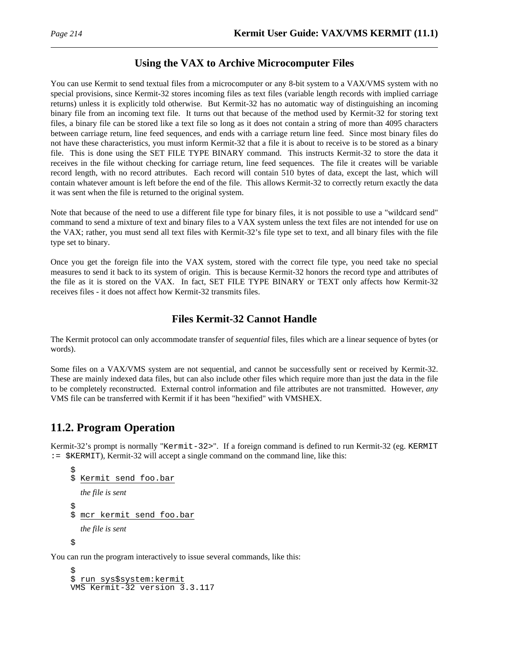# **Using the VAX to Archive Microcomputer Files**

You can use Kermit to send textual files from a microcomputer or any 8-bit system to a VAX/VMS system with no special provisions, since Kermit-32 stores incoming files as text files (variable length records with implied carriage returns) unless it is explicitly told otherwise. But Kermit-32 has no automatic way of distinguishing an incoming binary file from an incoming text file. It turns out that because of the method used by Kermit-32 for storing text files, a binary file can be stored like a text file so long as it does not contain a string of more than 4095 characters between carriage return, line feed sequences, and ends with a carriage return line feed. Since most binary files do not have these characteristics, you must inform Kermit-32 that a file it is about to receive is to be stored as a binary file. This is done using the SET FILE TYPE BINARY command. This instructs Kermit-32 to store the data it receives in the file without checking for carriage return, line feed sequences. The file it creates will be variable record length, with no record attributes. Each record will contain 510 bytes of data, except the last, which will contain whatever amount is left before the end of the file. This allows Kermit-32 to correctly return exactly the data it was sent when the file is returned to the original system.

Note that because of the need to use a different file type for binary files, it is not possible to use a "wildcard send" command to send a mixture of text and binary files to a VAX system unless the text files are not intended for use on the VAX; rather, you must send all text files with Kermit-32's file type set to text, and all binary files with the file type set to binary.

Once you get the foreign file into the VAX system, stored with the correct file type, you need take no special measures to send it back to its system of origin. This is because Kermit-32 honors the record type and attributes of the file as it is stored on the VAX. In fact, SET FILE TYPE BINARY or TEXT only affects how Kermit-32 receives files - it does not affect how Kermit-32 transmits files.

## **Files Kermit-32 Cannot Handle**

The Kermit protocol can only accommodate transfer of *sequential* files, files which are a linear sequence of bytes (or words).

Some files on a VAX/VMS system are not sequential, and cannot be successfully sent or received by Kermit-32. These are mainly indexed data files, but can also include other files which require more than just the data in the file to be completely reconstructed. External control information and file attributes are not transmitted. However, *any* VMS file can be transferred with Kermit if it has been "hexified" with VMSHEX.

# **11.2. Program Operation**

Kermit-32's prompt is normally "Kermit-32>". If a foreign command is defined to run Kermit-32 (eg. KERMIT := \$KERMIT), Kermit-32 will accept a single command on the command line, like this:

```
$
$ Kermit send foo.bar
  the file is sent
$
$ mcr kermit send foo.bar
  the file is sent
\ddot{\mathcal{L}}
```
You can run the program interactively to issue several commands, like this:

```
$
$ run sys$system:kermit
VMS Kermit-32 version 3.3.117
```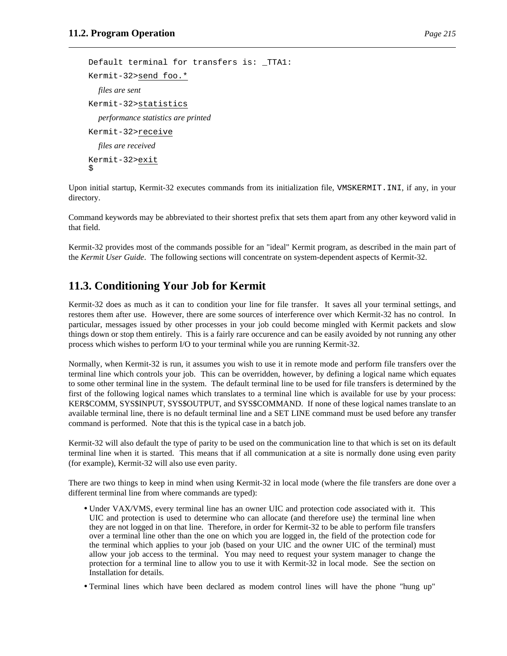```
Default terminal for transfers is: _TTA1:
Kermit-32>send foo.*
  files are sent
Kermit-32>statistics
  performance statistics are printed
Kermit-32>receive
  files are received
Kermit-32>exit
$
```
Upon initial startup, Kermit-32 executes commands from its initialization file, VMSKERMIT.INI, if any, in your directory.

Command keywords may be abbreviated to their shortest prefix that sets them apart from any other keyword valid in that field.

Kermit-32 provides most of the commands possible for an "ideal" Kermit program, as described in the main part of the *Kermit User Guide*. The following sections will concentrate on system-dependent aspects of Kermit-32.

# **11.3. Conditioning Your Job for Kermit**

Kermit-32 does as much as it can to condition your line for file transfer. It saves all your terminal settings, and restores them after use. However, there are some sources of interference over which Kermit-32 has no control. In particular, messages issued by other processes in your job could become mingled with Kermit packets and slow things down or stop them entirely. This is a fairly rare occurence and can be easily avoided by not running any other process which wishes to perform I/O to your terminal while you are running Kermit-32.

Normally, when Kermit-32 is run, it assumes you wish to use it in remote mode and perform file transfers over the terminal line which controls your job. This can be overridden, however, by defining a logical name which equates to some other terminal line in the system. The default terminal line to be used for file transfers is determined by the first of the following logical names which translates to a terminal line which is available for use by your process: KER\$COMM, SYS\$INPUT, SYS\$OUTPUT, and SYS\$COMMAND. If none of these logical names translate to an available terminal line, there is no default terminal line and a SET LINE command must be used before any transfer command is performed. Note that this is the typical case in a batch job.

Kermit-32 will also default the type of parity to be used on the communication line to that which is set on its default terminal line when it is started. This means that if all communication at a site is normally done using even parity (for example), Kermit-32 will also use even parity.

There are two things to keep in mind when using Kermit-32 in local mode (where the file transfers are done over a different terminal line from where commands are typed):

- Under VAX/VMS, every terminal line has an owner UIC and protection code associated with it. This UIC and protection is used to determine who can allocate (and therefore use) the terminal line when they are not logged in on that line. Therefore, in order for Kermit-32 to be able to perform file transfers over a terminal line other than the one on which you are logged in, the field of the protection code for the terminal which applies to your job (based on your UIC and the owner UIC of the terminal) must allow your job access to the terminal. You may need to request your system manager to change the protection for a terminal line to allow you to use it with Kermit-32 in local mode. See the section on Installation for details.
- Terminal lines which have been declared as modem control lines will have the phone "hung up"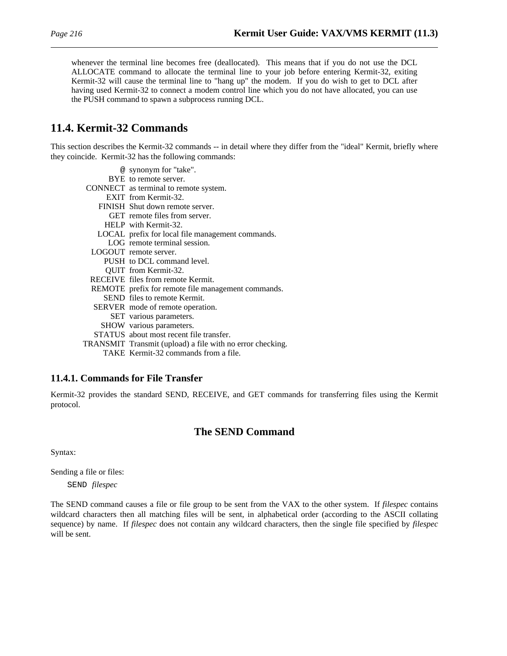whenever the terminal line becomes free (deallocated). This means that if you do not use the DCL ALLOCATE command to allocate the terminal line to your job before entering Kermit-32, exiting Kermit-32 will cause the terminal line to "hang up" the modem. If you do wish to get to DCL after having used Kermit-32 to connect a modem control line which you do not have allocated, you can use the PUSH command to spawn a subprocess running DCL.

# **11.4. Kermit-32 Commands**

This section describes the Kermit-32 commands -- in detail where they differ from the "ideal" Kermit, briefly where they coincide. Kermit-32 has the following commands:

| @ synonym for "take".                                    |
|----------------------------------------------------------|
| BYE to remote server.                                    |
| CONNECT as terminal to remote system.                    |
| EXIT from Kermit-32.                                     |
| FINISH Shut down remote server.                          |
| GET remote files from server.                            |
| HELP with Kermit-32.                                     |
| LOCAL prefix for local file management commands.         |
| LOG remote terminal session.                             |
| LOGOUT remote server.                                    |
| PUSH to DCL command level.                               |
| <b>OUIT</b> from Kermit-32.                              |
| RECEIVE files from remote Kermit.                        |
| REMOTE prefix for remote file management commands.       |
| SEND files to remote Kermit.                             |
| SERVER mode of remote operation.                         |
| SET various parameters.                                  |
| SHOW various parameters.                                 |
| STATUS about most recent file transfer.                  |
| TRANSMIT Transmit (upload) a file with no error checking |

TRANSMIT Transmit (upload) a file with no error checking. TAKE Kermit-32 commands from a file.

### **11.4.1. Commands for File Transfer**

Kermit-32 provides the standard SEND, RECEIVE, and GET commands for transferring files using the Kermit protocol.

# **The SEND Command**

Syntax:

Sending a file or files:

SEND *filespec*

The SEND command causes a file or file group to be sent from the VAX to the other system. If *filespec* contains wildcard characters then all matching files will be sent, in alphabetical order (according to the ASCII collating sequence) by name. If *filespec* does not contain any wildcard characters, then the single file specified by *filespec* will be sent.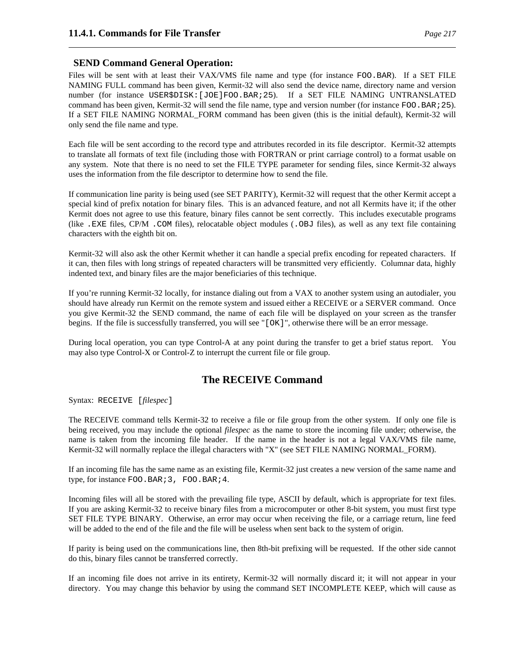### **SEND Command General Operation:**

Files will be sent with at least their VAX/VMS file name and type (for instance FOO.BAR). If a SET FILE NAMING FULL command has been given, Kermit-32 will also send the device name, directory name and version number (for instance USER\$DISK:[JOE]FOO.BAR;25). If a SET FILE NAMING UNTRANSLATED command has been given, Kermit-32 will send the file name, type and version number (for instance FOO.BAR;25). If a SET FILE NAMING NORMAL\_FORM command has been given (this is the initial default), Kermit-32 will only send the file name and type.

Each file will be sent according to the record type and attributes recorded in its file descriptor. Kermit-32 attempts to translate all formats of text file (including those with FORTRAN or print carriage control) to a format usable on any system. Note that there is no need to set the FILE TYPE parameter for sending files, since Kermit-32 always uses the information from the file descriptor to determine how to send the file.

If communication line parity is being used (see SET PARITY), Kermit-32 will request that the other Kermit accept a special kind of prefix notation for binary files. This is an advanced feature, and not all Kermits have it; if the other Kermit does not agree to use this feature, binary files cannot be sent correctly. This includes executable programs (like .EXE files, CP/M .COM files), relocatable object modules (.OBJ files), as well as any text file containing characters with the eighth bit on.

Kermit-32 will also ask the other Kermit whether it can handle a special prefix encoding for repeated characters. If it can, then files with long strings of repeated characters will be transmitted very efficiently. Columnar data, highly indented text, and binary files are the major beneficiaries of this technique.

If you're running Kermit-32 locally, for instance dialing out from a VAX to another system using an autodialer, you should have already run Kermit on the remote system and issued either a RECEIVE or a SERVER command. Once you give Kermit-32 the SEND command, the name of each file will be displayed on your screen as the transfer begins. If the file is successfully transferred, you will see "[OK]", otherwise there will be an error message.

During local operation, you can type Control-A at any point during the transfer to get a brief status report. You may also type Control-X or Control-Z to interrupt the current file or file group.

# **The RECEIVE Command**

Syntax: RECEIVE [*filespec*]

The RECEIVE command tells Kermit-32 to receive a file or file group from the other system. If only one file is being received, you may include the optional *filespec* as the name to store the incoming file under; otherwise, the name is taken from the incoming file header. If the name in the header is not a legal VAX/VMS file name, Kermit-32 will normally replace the illegal characters with "X" (see SET FILE NAMING NORMAL\_FORM).

If an incoming file has the same name as an existing file, Kermit-32 just creates a new version of the same name and type, for instance FOO.BAR; 3, FOO.BAR; 4.

Incoming files will all be stored with the prevailing file type, ASCII by default, which is appropriate for text files. If you are asking Kermit-32 to receive binary files from a microcomputer or other 8-bit system, you must first type SET FILE TYPE BINARY. Otherwise, an error may occur when receiving the file, or a carriage return, line feed will be added to the end of the file and the file will be useless when sent back to the system of origin.

If parity is being used on the communications line, then 8th-bit prefixing will be requested. If the other side cannot do this, binary files cannot be transferred correctly.

If an incoming file does not arrive in its entirety, Kermit-32 will normally discard it; it will not appear in your directory. You may change this behavior by using the command SET INCOMPLETE KEEP, which will cause as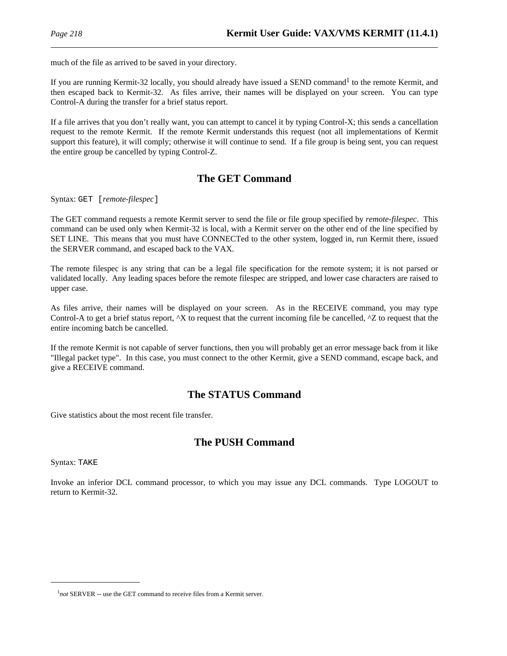much of the file as arrived to be saved in your directory.

If you are running Kermit-32 locally, you should already have issued a SEND command<sup>1</sup> to the remote Kermit, and then escaped back to Kermit-32. As files arrive, their names will be displayed on your screen. You can type Control-A during the transfer for a brief status report.

If a file arrives that you don't really want, you can attempt to cancel it by typing Control-X; this sends a cancellation request to the remote Kermit. If the remote Kermit understands this request (not all implementations of Kermit support this feature), it will comply; otherwise it will continue to send. If a file group is being sent, you can request the entire group be cancelled by typing Control-Z.

# **The GET Command**

Syntax: GET [*remote-filespec*]

The GET command requests a remote Kermit server to send the file or file group specified by *remote-filespec*. This command can be used only when Kermit-32 is local, with a Kermit server on the other end of the line specified by SET LINE. This means that you must have CONNECTed to the other system, logged in, run Kermit there, issued the SERVER command, and escaped back to the VAX.

The remote filespec is any string that can be a legal file specification for the remote system; it is not parsed or validated locally. Any leading spaces before the remote filespec are stripped, and lower case characters are raised to upper case.

As files arrive, their names will be displayed on your screen. As in the RECEIVE command, you may type Control-A to get a brief status report,  $^{\wedge}X$  to request that the current incoming file be cancelled,  $^{\wedge}Z$  to request that the entire incoming batch be cancelled.

If the remote Kermit is not capable of server functions, then you will probably get an error message back from it like "Illegal packet type". In this case, you must connect to the other Kermit, give a SEND command, escape back, and give a RECEIVE command.

# **The STATUS Command**

Give statistics about the most recent file transfer.

# **The PUSH Command**

Syntax: TAKE

Invoke an inferior DCL command processor, to which you may issue any DCL commands. Type LOGOUT to return to Kermit-32.

<sup>&</sup>lt;sup>1</sup>not SERVER -- use the GET command to receive files from a Kermit server.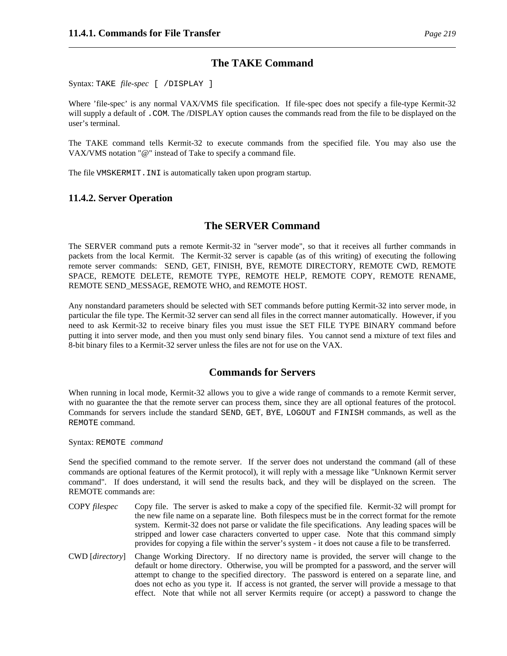### **The TAKE Command**

Syntax: TAKE *file-spec* [ /DISPLAY ]

Where 'file-spec' is any normal VAX/VMS file specification. If file-spec does not specify a file-type Kermit-32 will supply a default of . COM. The */DISPLAY* option causes the commands read from the file to be displayed on the user's terminal.

The TAKE command tells Kermit-32 to execute commands from the specified file. You may also use the VAX/VMS notation "@" instead of Take to specify a command file.

The file VMSKERMIT.INI is automatically taken upon program startup.

### **11.4.2. Server Operation**

## **The SERVER Command**

The SERVER command puts a remote Kermit-32 in "server mode", so that it receives all further commands in packets from the local Kermit. The Kermit-32 server is capable (as of this writing) of executing the following remote server commands: SEND, GET, FINISH, BYE, REMOTE DIRECTORY, REMOTE CWD, REMOTE SPACE, REMOTE DELETE, REMOTE TYPE, REMOTE HELP, REMOTE COPY, REMOTE RENAME, REMOTE SEND\_MESSAGE, REMOTE WHO, and REMOTE HOST.

Any nonstandard parameters should be selected with SET commands before putting Kermit-32 into server mode, in particular the file type. The Kermit-32 server can send all files in the correct manner automatically. However, if you need to ask Kermit-32 to receive binary files you must issue the SET FILE TYPE BINARY command before putting it into server mode, and then you must only send binary files. You cannot send a mixture of text files and 8-bit binary files to a Kermit-32 server unless the files are not for use on the VAX.

# **Commands for Servers**

When running in local mode, Kermit-32 allows you to give a wide range of commands to a remote Kermit server, with no guarantee the that the remote server can process them, since they are all optional features of the protocol. Commands for servers include the standard SEND, GET, BYE, LOGOUT and FINISH commands, as well as the REMOTE command.

Syntax: REMOTE *command*

Send the specified command to the remote server. If the server does not understand the command (all of these commands are optional features of the Kermit protocol), it will reply with a message like "Unknown Kermit server command". If does understand, it will send the results back, and they will be displayed on the screen. The REMOTE commands are:

- COPY *filespec* Copy file. The server is asked to make a copy of the specified file. Kermit-32 will prompt for the new file name on a separate line. Both filespecs must be in the correct format for the remote system. Kermit-32 does not parse or validate the file specifications. Any leading spaces will be stripped and lower case characters converted to upper case. Note that this command simply provides for copying a file within the server's system - it does not cause a file to be transferred.
- CWD [*directory*] Change Working Directory. If no directory name is provided, the server will change to the default or home directory. Otherwise, you will be prompted for a password, and the server will attempt to change to the specified directory. The password is entered on a separate line, and does not echo as you type it. If access is not granted, the server will provide a message to that effect. Note that while not all server Kermits require (or accept) a password to change the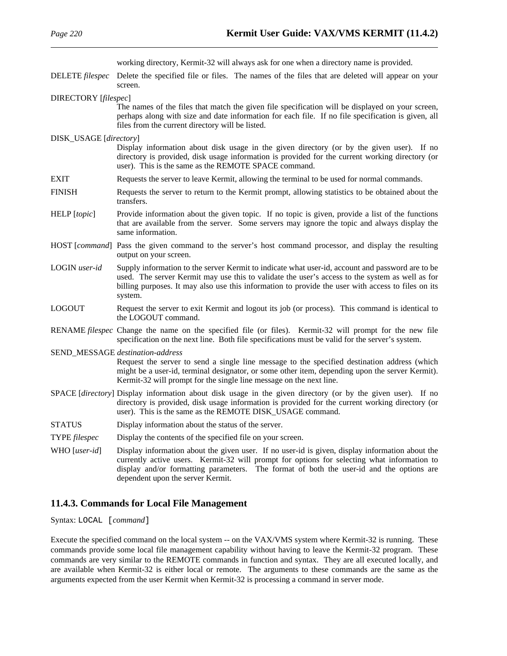|                        | working directory, Kermit-32 will always ask for one when a directory name is provided.                                                                                                                                                                                                                                         |
|------------------------|---------------------------------------------------------------------------------------------------------------------------------------------------------------------------------------------------------------------------------------------------------------------------------------------------------------------------------|
| DELETE filespec        | Delete the specified file or files. The names of the files that are deleted will appear on your<br>screen.                                                                                                                                                                                                                      |
| DIRECTORY [filespec]   |                                                                                                                                                                                                                                                                                                                                 |
|                        | The names of the files that match the given file specification will be displayed on your screen,<br>perhaps along with size and date information for each file. If no file specification is given, all<br>files from the current directory will be listed.                                                                      |
| DISK_USAGE [directory] |                                                                                                                                                                                                                                                                                                                                 |
|                        | Display information about disk usage in the given directory (or by the given user). If no<br>directory is provided, disk usage information is provided for the current working directory (or<br>user). This is the same as the REMOTE SPACE command.                                                                            |
| <b>EXIT</b>            | Requests the server to leave Kermit, allowing the terminal to be used for normal commands.                                                                                                                                                                                                                                      |
| <b>FINISH</b>          | Requests the server to return to the Kermit prompt, allowing statistics to be obtained about the<br>transfers.                                                                                                                                                                                                                  |
| HELP [topic]           | Provide information about the given topic. If no topic is given, provide a list of the functions<br>that are available from the server. Some servers may ignore the topic and always display the<br>same information.                                                                                                           |
|                        | HOST [ <i>command</i> ] Pass the given command to the server's host command processor, and display the resulting<br>output on your screen.                                                                                                                                                                                      |
| LOGIN user-id          | Supply information to the server Kermit to indicate what user-id, account and password are to be<br>used. The server Kermit may use this to validate the user's access to the system as well as for<br>billing purposes. It may also use this information to provide the user with access to files on its<br>system.            |
| <b>LOGOUT</b>          | Request the server to exit Kermit and logout its job (or process). This command is identical to<br>the LOGOUT command.                                                                                                                                                                                                          |
|                        | RENAME filespec Change the name on the specified file (or files). Kermit-32 will prompt for the new file<br>specification on the next line. Both file specifications must be valid for the server's system.                                                                                                                     |
|                        | SEND_MESSAGE destination-address                                                                                                                                                                                                                                                                                                |
|                        | Request the server to send a single line message to the specified destination address (which<br>might be a user-id, terminal designator, or some other item, depending upon the server Kermit).<br>Kermit-32 will prompt for the single line message on the next line.                                                          |
|                        | SPACE [directory] Display information about disk usage in the given directory (or by the given user). If no<br>directory is provided, disk usage information is provided for the current working directory (or<br>user). This is the same as the REMOTE DISK_USAGE command.                                                     |
| <b>STATUS</b>          | Display information about the status of the server.                                                                                                                                                                                                                                                                             |
| TYPE filespec          | Display the contents of the specified file on your screen.                                                                                                                                                                                                                                                                      |
| WHO [user-id]          | Display information about the given user. If no user-id is given, display information about the<br>currently active users. Kermit-32 will prompt for options for selecting what information to<br>display and/or formatting parameters. The format of both the user-id and the options are<br>dependent upon the server Kermit. |

### **11.4.3. Commands for Local File Management**

Syntax: LOCAL [*command*]

Execute the specified command on the local system -- on the VAX/VMS system where Kermit-32 is running. These commands provide some local file management capability without having to leave the Kermit-32 program. These commands are very similar to the REMOTE commands in function and syntax. They are all executed locally, and are available when Kermit-32 is either local or remote. The arguments to these commands are the same as the arguments expected from the user Kermit when Kermit-32 is processing a command in server mode.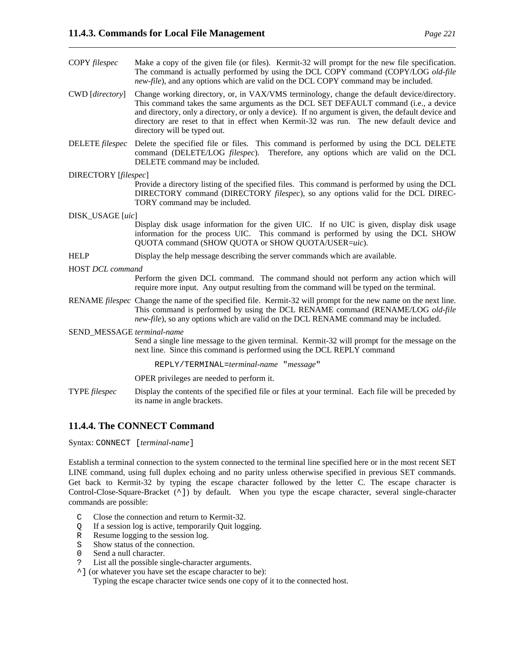- COPY *filespec* Make a copy of the given file (or files). Kermit-32 will prompt for the new file specification. The command is actually performed by using the DCL COPY command (COPY/LOG *old-file new-file*), and any options which are valid on the DCL COPY command may be included.
- CWD [*directory*] Change working directory, or, in VAX/VMS terminology, change the default device/directory. This command takes the same arguments as the DCL SET DEFAULT command (i.e., a device and directory, only a directory, or only a device). If no argument is given, the default device and directory are reset to that in effect when Kermit-32 was run. The new default device and directory will be typed out.
- DELETE *filespec* Delete the specified file or files. This command is performed by using the DCL DELETE command (DELETE/LOG *filespec*). Therefore, any options which are valid on the DCL DELETE command may be included.

#### DIRECTORY [*filespec*]

Provide a directory listing of the specified files. This command is performed by using the DCL DIRECTORY command (DIRECTORY *filespec*), so any options valid for the DCL DIREC-TORY command may be included.

### DISK\_USAGE [*uic*]

Display disk usage information for the given UIC. If no UIC is given, display disk usage information for the process UIC. This command is performed by using the DCL SHOW QUOTA command (SHOW QUOTA or SHOW QUOTA/USER=*uic*).

HELP Display the help message describing the server commands which are available.

#### HOST *DCL command*

Perform the given DCL command. The command should not perform any action which will require more input. Any output resulting from the command will be typed on the terminal.

RENAME *filespec* Change the name of the specified file. Kermit-32 will prompt for the new name on the next line. This command is performed by using the DCL RENAME command (RENAME/LOG *old-file new-file*), so any options which are valid on the DCL RENAME command may be included.

SEND\_MESSAGE *terminal-name*

Send a single line message to the given terminal. Kermit-32 will prompt for the message on the next line. Since this command is performed using the DCL REPLY command

#### REPLY/TERMINAL=*terminal-name* "*message*"

OPER privileges are needed to perform it.

TYPE *filespec* Display the contents of the specified file or files at your terminal. Each file will be preceded by its name in angle brackets.

### **11.4.4. The CONNECT Command**

Syntax: CONNECT [*terminal-name*]

Establish a terminal connection to the system connected to the terminal line specified here or in the most recent SET LINE command, using full duplex echoing and no parity unless otherwise specified in previous SET commands. Get back to Kermit-32 by typing the escape character followed by the letter C. The escape character is Control-Close-Square-Bracket (^]) by default. When you type the escape character, several single-character commands are possible:

- C Close the connection and return to Kermit-32.
- Q If a session log is active, temporarily Quit logging.
- R Resume logging to the session log.
- S Show status of the connection.
- 0 Send a null character.
- ? List all the possible single-character arguments.
- ^] (or whatever you have set the escape character to be):

Typing the escape character twice sends one copy of it to the connected host.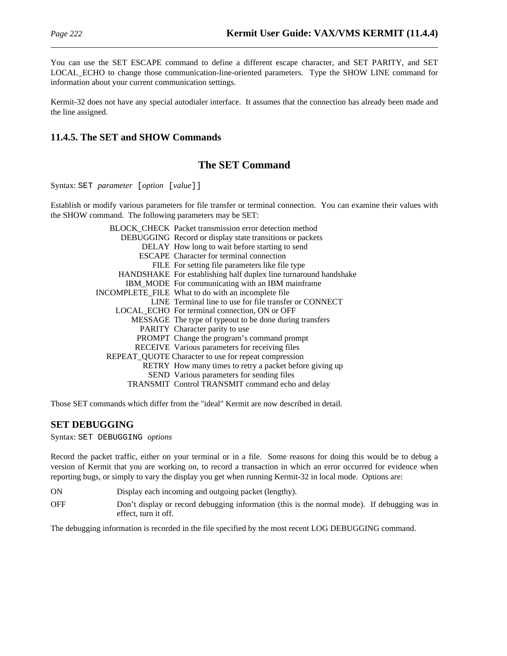You can use the SET ESCAPE command to define a different escape character, and SET PARITY, and SET LOCAL\_ECHO to change those communication-line-oriented parameters. Type the SHOW LINE command for information about your current communication settings.

Kermit-32 does not have any special autodialer interface. It assumes that the connection has already been made and the line assigned.

## **11.4.5. The SET and SHOW Commands**

## **The SET Command**

Syntax: SET *parameter* [*option* [*value*]]

Establish or modify various parameters for file transfer or terminal connection. You can examine their values with the SHOW command. The following parameters may be SET:

| <b>BLOCK CHECK Packet transmission error detection method</b>    |
|------------------------------------------------------------------|
| DEBUGGING Record or display state transitions or packets         |
| DELAY How long to wait before starting to send                   |
| <b>ESCAPE</b> Character for terminal connection                  |
| FILE For setting file parameters like file type                  |
| HANDSHAKE For establishing half duplex line turnaround handshake |
| IBM_MODE For communicating with an IBM mainframe                 |
| INCOMPLETE_FILE What to do with an incomplete file               |
| LINE Terminal line to use for file transfer or CONNECT           |
| LOCAL ECHO For terminal connection, ON or OFF                    |
| MESSAGE The type of typeout to be done during transfers          |
| PARITY Character parity to use                                   |
| PROMPT Change the program's command prompt                       |
| RECEIVE Various parameters for receiving files                   |
| REPEAT_QUOTE Character to use for repeat compression             |
| RETRY How many times to retry a packet before giving up          |
| SEND Various parameters for sending files                        |
| TRANSMIT Control TRANSMIT command echo and delay                 |
|                                                                  |

Those SET commands which differ from the "ideal" Kermit are now described in detail.

### **SET DEBUGGING**

Syntax: SET DEBUGGING *options*

Record the packet traffic, either on your terminal or in a file. Some reasons for doing this would be to debug a version of Kermit that you are working on, to record a transaction in which an error occurred for evidence when reporting bugs, or simply to vary the display you get when running Kermit-32 in local mode. Options are:

- ON Display each incoming and outgoing packet (lengthy).
- OFF Don't display or record debugging information (this is the normal mode). If debugging was in effect, turn it off.

The debugging information is recorded in the file specified by the most recent LOG DEBUGGING command.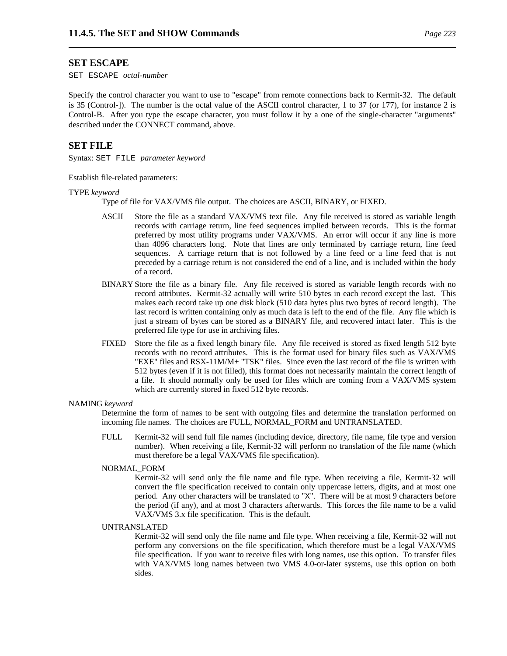#### **SET ESCAPE**

SET ESCAPE *octal-number*

Specify the control character you want to use to "escape" from remote connections back to Kermit-32. The default is 35 (Control-]). The number is the octal value of the ASCII control character, 1 to 37 (or 177), for instance 2 is Control-B. After you type the escape character, you must follow it by a one of the single-character "arguments" described under the CONNECT command, above.

#### **SET FILE**

Syntax: SET FILE *parameter keyword*

Establish file-related parameters:

#### TYPE *keyword*

Type of file for VAX/VMS file output. The choices are ASCII, BINARY, or FIXED.

- ASCII Store the file as a standard VAX/VMS text file. Any file received is stored as variable length records with carriage return, line feed sequences implied between records. This is the format preferred by most utility programs under VAX/VMS. An error will occur if any line is more than 4096 characters long. Note that lines are only terminated by carriage return, line feed sequences. A carriage return that is not followed by a line feed or a line feed that is not preceded by a carriage return is not considered the end of a line, and is included within the body of a record.
- BINARY Store the file as a binary file. Any file received is stored as variable length records with no record attributes. Kermit-32 actually will write 510 bytes in each record except the last. This makes each record take up one disk block (510 data bytes plus two bytes of record length). The last record is written containing only as much data is left to the end of the file. Any file which is just a stream of bytes can be stored as a BINARY file, and recovered intact later. This is the preferred file type for use in archiving files.
- FIXED Store the file as a fixed length binary file. Any file received is stored as fixed length 512 byte records with no record attributes. This is the format used for binary files such as VAX/VMS "EXE" files and RSX-11M/M+ "TSK" files. Since even the last record of the file is written with 512 bytes (even if it is not filled), this format does not necessarily maintain the correct length of a file. It should normally only be used for files which are coming from a VAX/VMS system which are currently stored in fixed 512 byte records.

#### NAMING *keyword*

Determine the form of names to be sent with outgoing files and determine the translation performed on incoming file names. The choices are FULL, NORMAL\_FORM and UNTRANSLATED.

FULL Kermit-32 will send full file names (including device, directory, file name, file type and version number). When receiving a file, Kermit-32 will perform no translation of the file name (which must therefore be a legal VAX/VMS file specification).

#### NORMAL\_FORM

Kermit-32 will send only the file name and file type. When receiving a file, Kermit-32 will convert the file specification received to contain only uppercase letters, digits, and at most one period. Any other characters will be translated to "X". There will be at most 9 characters before the period (if any), and at most 3 characters afterwards. This forces the file name to be a valid VAX/VMS 3.x file specification. This is the default.

#### UNTRANSLATED

Kermit-32 will send only the file name and file type. When receiving a file, Kermit-32 will not perform any conversions on the file specification, which therefore must be a legal VAX/VMS file specification. If you want to receive files with long names, use this option. To transfer files with VAX/VMS long names between two VMS 4.0-or-later systems, use this option on both sides.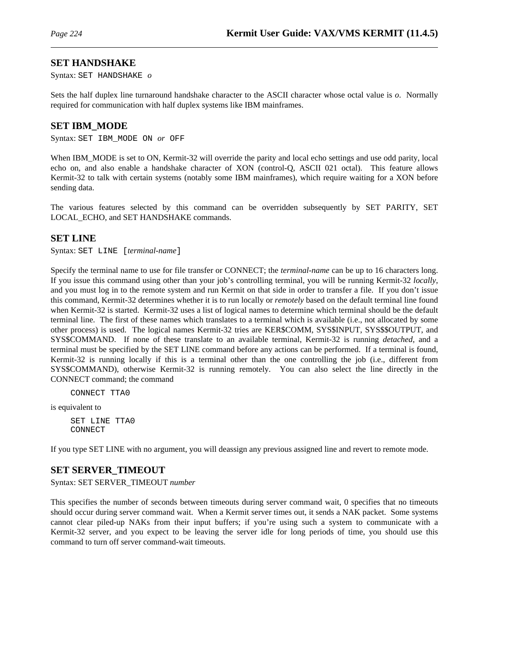### **SET HANDSHAKE**

Syntax: SET HANDSHAKE *o*

Sets the half duplex line turnaround handshake character to the ASCII character whose octal value is *o*. Normally required for communication with half duplex systems like IBM mainframes.

### **SET IBM\_MODE**

Syntax: SET IBM\_MODE ON *or* OFF

When IBM\_MODE is set to ON, Kermit-32 will override the parity and local echo settings and use odd parity, local echo on, and also enable a handshake character of XON (control-Q, ASCII 021 octal). This feature allows Kermit-32 to talk with certain systems (notably some IBM mainframes), which require waiting for a XON before sending data.

The various features selected by this command can be overridden subsequently by SET PARITY, SET LOCAL ECHO, and SET HANDSHAKE commands.

### **SET LINE**

Syntax: SET LINE [*terminal-name*]

Specify the terminal name to use for file transfer or CONNECT; the *terminal-name* can be up to 16 characters long. If you issue this command using other than your job's controlling terminal, you will be running Kermit-32 *locally*, and you must log in to the remote system and run Kermit on that side in order to transfer a file. If you don't issue this command, Kermit-32 determines whether it is to run locally or *remotely* based on the default terminal line found when Kermit-32 is started. Kermit-32 uses a list of logical names to determine which terminal should be the default terminal line. The first of these names which translates to a terminal which is available (i.e., not allocated by some other process) is used. The logical names Kermit-32 tries are KER\$COMM, SYS\$INPUT, SYS\$\$OUTPUT, and SYS\$COMMAND. If none of these translate to an available terminal, Kermit-32 is running *detached*, and a terminal must be specified by the SET LINE command before any actions can be performed. If a terminal is found, Kermit-32 is running locally if this is a terminal other than the one controlling the job (i.e., different from SYS\$COMMAND), otherwise Kermit-32 is running remotely. You can also select the line directly in the CONNECT command; the command

CONNECT TTA0

is equivalent to

SET LINE TTA0 CONNECT

If you type SET LINE with no argument, you will deassign any previous assigned line and revert to remote mode.

### **SET SERVER\_TIMEOUT**

Syntax: SET SERVER\_TIMEOUT *number*

This specifies the number of seconds between timeouts during server command wait, 0 specifies that no timeouts should occur during server command wait. When a Kermit server times out, it sends a NAK packet. Some systems cannot clear piled-up NAKs from their input buffers; if you're using such a system to communicate with a Kermit-32 server, and you expect to be leaving the server idle for long periods of time, you should use this command to turn off server command-wait timeouts.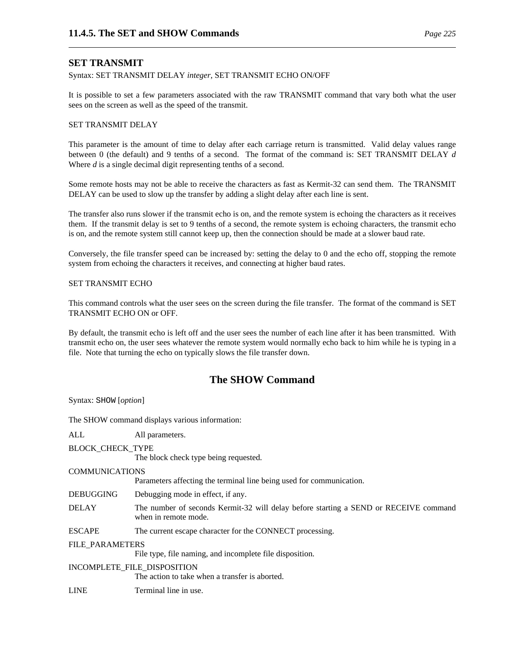### **SET TRANSMIT**

Syntax: SET TRANSMIT DELAY *integer*, SET TRANSMIT ECHO ON/OFF

It is possible to set a few parameters associated with the raw TRANSMIT command that vary both what the user sees on the screen as well as the speed of the transmit.

#### SET TRANSMIT DELAY

This parameter is the amount of time to delay after each carriage return is transmitted. Valid delay values range between 0 (the default) and 9 tenths of a second. The format of the command is: SET TRANSMIT DELAY *d* Where *d* is a single decimal digit representing tenths of a second.

Some remote hosts may not be able to receive the characters as fast as Kermit-32 can send them. The TRANSMIT DELAY can be used to slow up the transfer by adding a slight delay after each line is sent.

The transfer also runs slower if the transmit echo is on, and the remote system is echoing the characters as it receives them. If the transmit delay is set to 9 tenths of a second, the remote system is echoing characters, the transmit echo is on, and the remote system still cannot keep up, then the connection should be made at a slower baud rate.

Conversely, the file transfer speed can be increased by: setting the delay to 0 and the echo off, stopping the remote system from echoing the characters it receives, and connecting at higher baud rates.

#### SET TRANSMIT ECHO

This command controls what the user sees on the screen during the file transfer. The format of the command is SET TRANSMIT ECHO ON or OFF.

By default, the transmit echo is left off and the user sees the number of each line after it has been transmitted. With transmit echo on, the user sees whatever the remote system would normally echo back to him while he is typing in a file. Note that turning the echo on typically slows the file transfer down.

# **The SHOW Command**

Syntax: SHOW [*option*]

The SHOW command displays various information:

| ALL                    | All parameters.                                                                                              |
|------------------------|--------------------------------------------------------------------------------------------------------------|
| BLOCK_CHECK_TYPE       | The block check type being requested.                                                                        |
| COMMUNICATIONS         | Parameters affecting the terminal line being used for communication.                                         |
| DEBUGGING              | Debugging mode in effect, if any.                                                                            |
| DELAY                  | The number of seconds Kermit-32 will delay before starting a SEND or RECEIVE command<br>when in remote mode. |
| ESCAPE                 | The current escape character for the CONNECT processing.                                                     |
| <b>FILE PARAMETERS</b> | File type, file naming, and incomplete file disposition.                                                     |
|                        | INCOMPLETE_FILE_DISPOSITION<br>The action to take when a transfer is aborted.                                |
| LINE                   | Terminal line in use.                                                                                        |
|                        |                                                                                                              |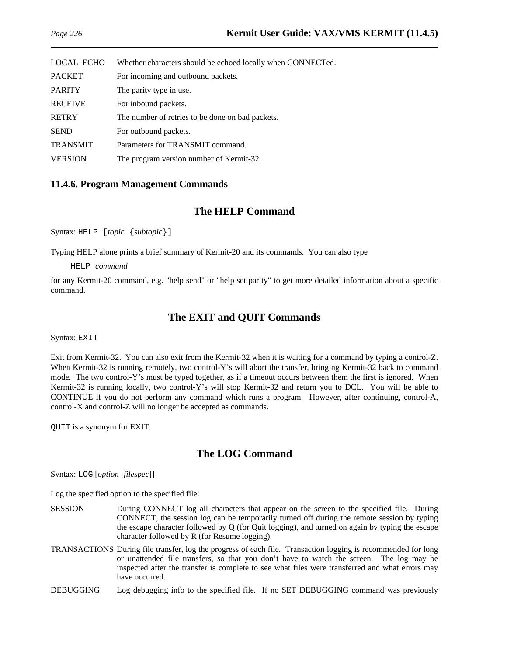| Whether characters should be echoed locally when CONNECTed. |
|-------------------------------------------------------------|
| For incoming and outbound packets.                          |
| The parity type in use.                                     |
| For inbound packets.                                        |
| The number of retries to be done on bad packets.            |
| For outbound packets.                                       |
| Parameters for TRANSMIT command.                            |
| The program version number of Kermit-32.                    |
|                                                             |

### **11.4.6. Program Management Commands**

### **The HELP Command**

Syntax: HELP [*topic* {*subtopic*}]

Typing HELP alone prints a brief summary of Kermit-20 and its commands. You can also type

HELP *command*

for any Kermit-20 command, e.g. "help send" or "help set parity" to get more detailed information about a specific command.

## **The EXIT and QUIT Commands**

Syntax: EXIT

Exit from Kermit-32. You can also exit from the Kermit-32 when it is waiting for a command by typing a control-Z. When Kermit-32 is running remotely, two control-Y's will abort the transfer, bringing Kermit-32 back to command mode. The two control-Y's must be typed together, as if a timeout occurs between them the first is ignored. When Kermit-32 is running locally, two control-Y's will stop Kermit-32 and return you to DCL. You will be able to CONTINUE if you do not perform any command which runs a program. However, after continuing, control-A, control-X and control-Z will no longer be accepted as commands.

QUIT is a synonym for EXIT.

# **The LOG Command**

Syntax: LOG [*option* [*filespec*]]

Log the specified option to the specified file:

- SESSION During CONNECT log all characters that appear on the screen to the specified file. During CONNECT, the session log can be temporarily turned off during the remote session by typing the escape character followed by Q (for Quit logging), and turned on again by typing the escape character followed by R (for Resume logging).
- TRANSACTIONS During file transfer, log the progress of each file. Transaction logging is recommended for long or unattended file transfers, so that you don't have to watch the screen. The log may be inspected after the transfer is complete to see what files were transferred and what errors may have occurred.
- DEBUGGING Log debugging info to the specified file. If no SET DEBUGGING command was previously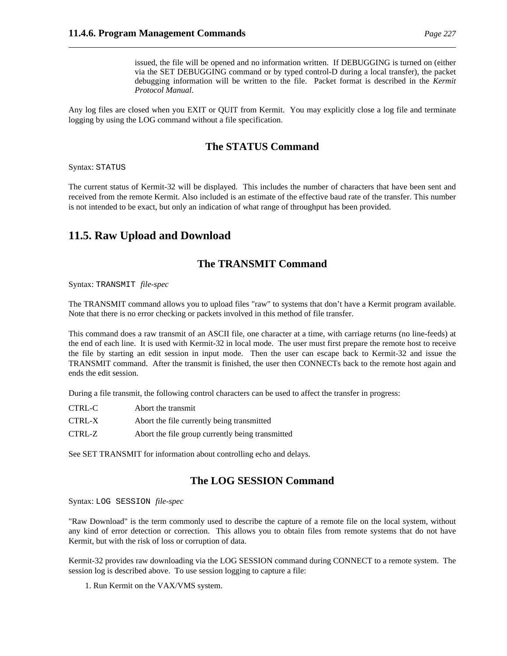issued, the file will be opened and no information written. If DEBUGGING is turned on (either via the SET DEBUGGING command or by typed control-D during a local transfer), the packet debugging information will be written to the file. Packet format is described in the *Kermit Protocol Manual*.

Any log files are closed when you EXIT or QUIT from Kermit. You may explicitly close a log file and terminate logging by using the LOG command without a file specification.

## **The STATUS Command**

Syntax: STATUS

The current status of Kermit-32 will be displayed. This includes the number of characters that have been sent and received from the remote Kermit. Also included is an estimate of the effective baud rate of the transfer. This number is not intended to be exact, but only an indication of what range of throughput has been provided.

# **11.5. Raw Upload and Download**

## **The TRANSMIT Command**

Syntax: TRANSMIT *file-spec*

The TRANSMIT command allows you to upload files "raw" to systems that don't have a Kermit program available. Note that there is no error checking or packets involved in this method of file transfer.

This command does a raw transmit of an ASCII file, one character at a time, with carriage returns (no line-feeds) at the end of each line. It is used with Kermit-32 in local mode. The user must first prepare the remote host to receive the file by starting an edit session in input mode. Then the user can escape back to Kermit-32 and issue the TRANSMIT command. After the transmit is finished, the user then CONNECTs back to the remote host again and ends the edit session.

During a file transmit, the following control characters can be used to affect the transfer in progress:

| CTRL-C | Abort the transmit                               |
|--------|--------------------------------------------------|
| CTRL-X | Abort the file currently being transmitted       |
| CTRL-Z | Abort the file group currently being transmitted |

See SET TRANSMIT for information about controlling echo and delays.

### **The LOG SESSION Command**

Syntax: LOG SESSION *file-spec*

"Raw Download" is the term commonly used to describe the capture of a remote file on the local system, without any kind of error detection or correction. This allows you to obtain files from remote systems that do not have Kermit, but with the risk of loss or corruption of data.

Kermit-32 provides raw downloading via the LOG SESSION command during CONNECT to a remote system. The session log is described above. To use session logging to capture a file:

1. Run Kermit on the VAX/VMS system.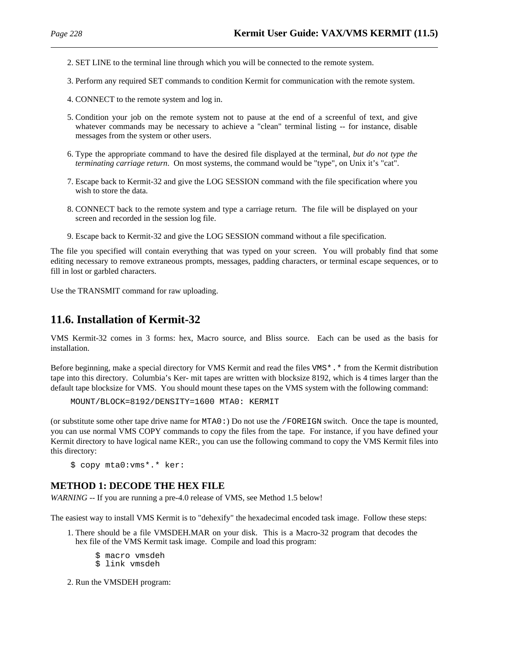- 2. SET LINE to the terminal line through which you will be connected to the remote system.
- 3. Perform any required SET commands to condition Kermit for communication with the remote system.
- 4. CONNECT to the remote system and log in.
- 5. Condition your job on the remote system not to pause at the end of a screenful of text, and give whatever commands may be necessary to achieve a "clean" terminal listing -- for instance, disable messages from the system or other users.
- 6. Type the appropriate command to have the desired file displayed at the terminal, *but do not type the terminating carriage return*. On most systems, the command would be "type", on Unix it's "cat".
- 7. Escape back to Kermit-32 and give the LOG SESSION command with the file specification where you wish to store the data.
- 8. CONNECT back to the remote system and type a carriage return. The file will be displayed on your screen and recorded in the session log file.
- 9. Escape back to Kermit-32 and give the LOG SESSION command without a file specification.

The file you specified will contain everything that was typed on your screen. You will probably find that some editing necessary to remove extraneous prompts, messages, padding characters, or terminal escape sequences, or to fill in lost or garbled characters.

Use the TRANSMIT command for raw uploading.

## **11.6. Installation of Kermit-32**

VMS Kermit-32 comes in 3 forms: hex, Macro source, and Bliss source. Each can be used as the basis for installation.

Before beginning, make a special directory for VMS Kermit and read the files VMS\*.\* from the Kermit distribution tape into this directory. Columbia's Ker- mit tapes are written with blocksize 8192, which is 4 times larger than the default tape blocksize for VMS. You should mount these tapes on the VMS system with the following command:

MOUNT/BLOCK=8192/DENSITY=1600 MTA0: KERMIT

(or substitute some other tape drive name for MTA0:) Do not use the /FOREIGN switch. Once the tape is mounted, you can use normal VMS COPY commands to copy the files from the tape. For instance, if you have defined your Kermit directory to have logical name KER:, you can use the following command to copy the VMS Kermit files into this directory:

\$ copy mta0:vms\*.\* ker:

#### **METHOD 1: DECODE THE HEX FILE**

*WARNING* -- If you are running a pre-4.0 release of VMS, see Method 1.5 below!

The easiest way to install VMS Kermit is to "dehexify" the hexadecimal encoded task image. Follow these steps:

- 1. There should be a file VMSDEH.MAR on your disk. This is a Macro-32 program that decodes the hex file of the VMS Kermit task image. Compile and load this program:
	- \$ macro vmsdeh
	- \$ link vmsdeh

2. Run the VMSDEH program: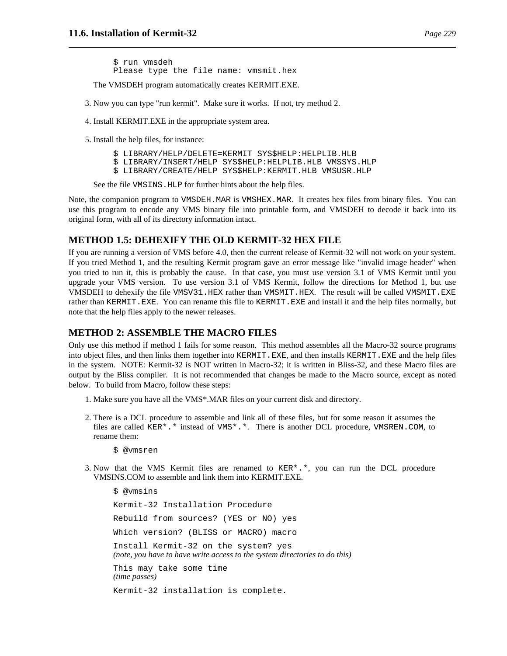\$ run vmsdeh Please type the file name: vmsmit.hex

The VMSDEH program automatically creates KERMIT.EXE.

- 3. Now you can type "run kermit". Make sure it works. If not, try method 2.
- 4. Install KERMIT.EXE in the appropriate system area.
- 5. Install the help files, for instance:

\$ LIBRARY/HELP/DELETE=KERMIT SYS\$HELP:HELPLIB.HLB

\$ LIBRARY/INSERT/HELP SYS\$HELP:HELPLIB.HLB VMSSYS.HLP

\$ LIBRARY/CREATE/HELP SYS\$HELP:KERMIT.HLB VMSUSR.HLP

See the file VMSINS.HLP for further hints about the help files.

Note, the companion program to VMSDEH.MAR is VMSHEX.MAR. It creates hex files from binary files. You can use this program to encode any VMS binary file into printable form, and VMSDEH to decode it back into its original form, with all of its directory information intact.

#### **METHOD 1.5: DEHEXIFY THE OLD KERMIT-32 HEX FILE**

If you are running a version of VMS before 4.0, then the current release of Kermit-32 will not work on your system. If you tried Method 1, and the resulting Kermit program gave an error message like "invalid image header" when you tried to run it, this is probably the cause. In that case, you must use version 3.1 of VMS Kermit until you upgrade your VMS version. To use version 3.1 of VMS Kermit, follow the directions for Method 1, but use VMSDEH to dehexify the file VMSV31.HEX rather than VMSMIT.HEX. The result will be called VMSMIT.EXE rather than KERMIT.EXE. You can rename this file to KERMIT.EXE and install it and the help files normally, but note that the help files apply to the newer releases.

#### **METHOD 2: ASSEMBLE THE MACRO FILES**

Only use this method if method 1 fails for some reason. This method assembles all the Macro-32 source programs into object files, and then links them together into KERMIT.EXE, and then installs KERMIT.EXE and the help files in the system. NOTE: Kermit-32 is NOT written in Macro-32; it is written in Bliss-32, and these Macro files are output by the Bliss compiler. It is not recommended that changes be made to the Macro source, except as noted below. To build from Macro, follow these steps:

- 1. Make sure you have all the VMS\*.MAR files on your current disk and directory.
- 2. There is a DCL procedure to assemble and link all of these files, but for some reason it assumes the files are called KER\*.\* instead of VMS\*.\*. There is another DCL procedure, VMSREN.COM, to rename them:
	- \$ @vmsren
- 3. Now that the VMS Kermit files are renamed to KER\*.\*, you can run the DCL procedure VMSINS.COM to assemble and link them into KERMIT.EXE.

\$ @vmsins Kermit-32 Installation Procedure Rebuild from sources? (YES or NO) yes Which version? (BLISS or MACRO) macro Install Kermit-32 on the system? yes *(note, you have to have write access to the system directories to do this)* This may take some time *(time passes)* Kermit-32 installation is complete.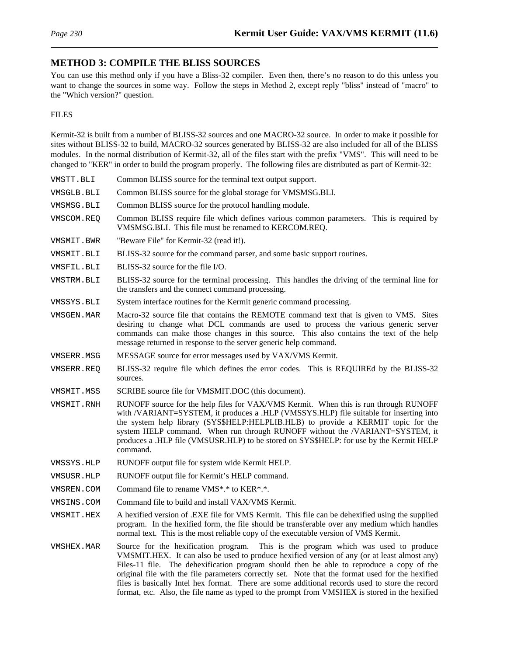### **METHOD 3: COMPILE THE BLISS SOURCES**

You can use this method only if you have a Bliss-32 compiler. Even then, there's no reason to do this unless you want to change the sources in some way. Follow the steps in Method 2, except reply "bliss" instead of "macro" to the "Which version?" question.

#### FILES

Kermit-32 is built from a number of BLISS-32 sources and one MACRO-32 source. In order to make it possible for sites without BLISS-32 to build, MACRO-32 sources generated by BLISS-32 are also included for all of the BLISS modules. In the normal distribution of Kermit-32, all of the files start with the prefix "VMS". This will need to be changed to "KER" in order to build the program properly. The following files are distributed as part of Kermit-32:

VMSTT.BLI Common BLISS source for the terminal text output support. VMSGLB.BLI Common BLISS source for the global storage for VMSMSG.BLI. VMSMSG.BLI Common BLISS source for the protocol handling module. VMSCOM.REQ Common BLISS require file which defines various common parameters. This is required by VMSMSG.BLI. This file must be renamed to KERCOM.REQ. VMSMIT.BWR "Beware File" for Kermit-32 (read it!). VMSMIT.BLI BLISS-32 source for the command parser, and some basic support routines. VMSFIL.BLI BLISS-32 source for the file I/O. VMSTRM.BLI BLISS-32 source for the terminal processing. This handles the driving of the terminal line for the transfers and the connect command processing. VMSSYS.BLI System interface routines for the Kermit generic command processing. VMSGEN.MAR Macro-32 source file that contains the REMOTE command text that is given to VMS. Sites desiring to change what DCL commands are used to process the various generic server commands can make those changes in this source. This also contains the text of the help message returned in response to the server generic help command. VMSERR.MSG MESSAGE source for error messages used by VAX/VMS Kermit. VMSERR.REQ BLISS-32 require file which defines the error codes. This is REQUIREd by the BLISS-32 sources. VMSMIT.MSS SCRIBE source file for VMSMIT.DOC (this document). VMSMIT.RNH RUNOFF source for the help files for VAX/VMS Kermit. When this is run through RUNOFF with /VARIANT=SYSTEM, it produces a .HLP (VMSSYS.HLP) file suitable for inserting into the system help library (SYS\$HELP:HELPLIB.HLB) to provide a KERMIT topic for the system HELP command. When run through RUNOFF without the /VARIANT=SYSTEM, it produces a .HLP file (VMSUSR.HLP) to be stored on SYS\$HELP: for use by the Kermit HELP command. VMSSYS.HLP RUNOFF output file for system wide Kermit HELP. VMSUSR.HLP RUNOFF output file for Kermit's HELP command. VMSREN.COM Command file to rename VMS\*.\* to KER\*.\*. VMSINS.COM Command file to build and install VAX/VMS Kermit. VMSMIT.HEX A hexified version of .EXE file for VMS Kermit. This file can be dehexified using the supplied program. In the hexified form, the file should be transferable over any medium which handles normal text. This is the most reliable copy of the executable version of VMS Kermit. VMSHEX.MAR Source for the hexification program. This is the program which was used to produce VMSMIT.HEX. It can also be used to produce hexified version of any (or at least almost any) Files-11 file. The dehexification program should then be able to reproduce a copy of the original file with the file parameters correctly set. Note that the format used for the hexified files is basically Intel hex format. There are some additional records used to store the record

format, etc. Also, the file name as typed to the prompt from VMSHEX is stored in the hexified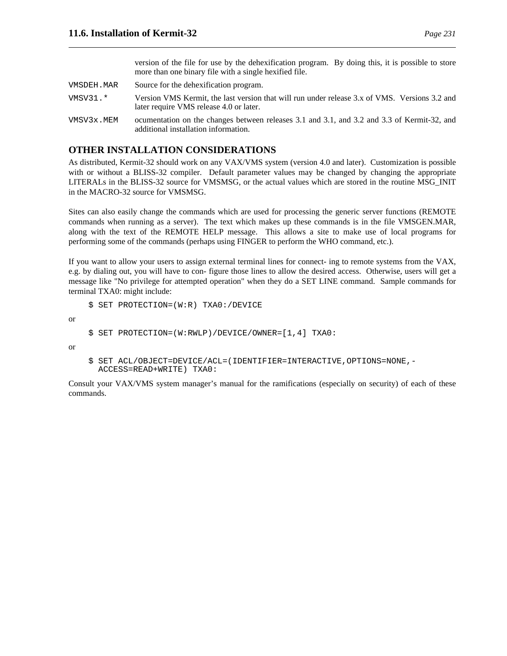version of the file for use by the dehexification program. By doing this, it is possible to store more than one binary file with a single hexified file.

- VMSDEH.MAR Source for the dehexification program.
- VMSV31.\* Version VMS Kermit, the last version that will run under release 3.x of VMS. Versions 3.2 and later require VMS release 4.0 or later.
- VMSV3x.MEM ocumentation on the changes between releases 3.1 and 3.1, and 3.2 and 3.3 of Kermit-32, and additional installation information.

### **OTHER INSTALLATION CONSIDERATIONS**

As distributed, Kermit-32 should work on any VAX/VMS system (version 4.0 and later). Customization is possible with or without a BLISS-32 compiler. Default parameter values may be changed by changing the appropriate LITERALs in the BLISS-32 source for VMSMSG, or the actual values which are stored in the routine MSG\_INIT in the MACRO-32 source for VMSMSG.

Sites can also easily change the commands which are used for processing the generic server functions (REMOTE commands when running as a server). The text which makes up these commands is in the file VMSGEN.MAR, along with the text of the REMOTE HELP message. This allows a site to make use of local programs for performing some of the commands (perhaps using FINGER to perform the WHO command, etc.).

If you want to allow your users to assign external terminal lines for connect- ing to remote systems from the VAX, e.g. by dialing out, you will have to con- figure those lines to allow the desired access. Otherwise, users will get a message like "No privilege for attempted operation" when they do a SET LINE command. Sample commands for terminal TXA0: might include:

```
$ SET PROTECTION=(W:R) TXA0:/DEVICE
```
or

```
$ SET PROTECTION=(W:RWLP)/DEVICE/OWNER=[1,4] TXA0:
```
or

```
$ SET ACL/OBJECT=DEVICE/ACL=(IDENTIFIER=INTERACTIVE,OPTIONS=NONE,-
  ACCESS=READ+WRITE) TXA0:
```
Consult your VAX/VMS system manager's manual for the ramifications (especially on security) of each of these commands.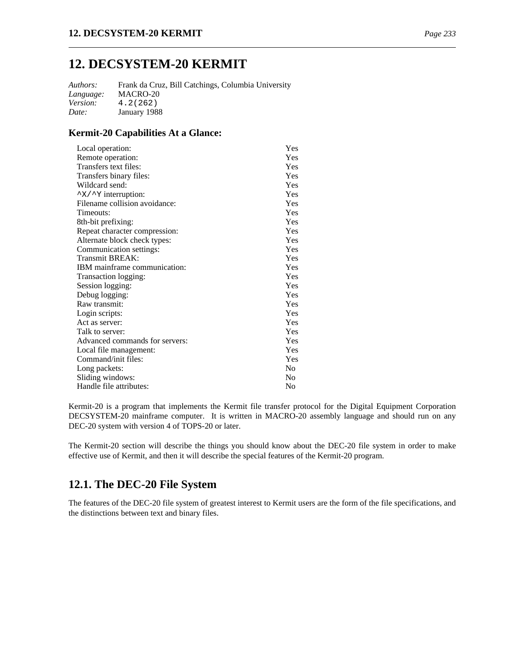# **12. DECSYSTEM-20 KERMIT**

*Authors:* Frank da Cruz, Bill Catchings, Columbia University *Language:* MACRO-20 *Version:* 4.2(262) *Date:* January 1988

### **Kermit-20 Capabilities At a Glance:**

| Local operation:                           | Yes            |
|--------------------------------------------|----------------|
| Remote operation:                          | Yes            |
| Transfers text files:                      | Yes            |
| Transfers binary files:                    | Yes            |
| Wildcard send:                             | Yes            |
| $\gamma$ $\times$ / $\gamma$ interruption: | Yes            |
| Filename collision avoidance:              | Yes            |
| Timeouts:                                  | Yes            |
| 8th-bit prefixing:                         | Yes            |
| Repeat character compression:              | Yes            |
| Alternate block check types:               | Yes            |
| Communication settings:                    | Yes            |
| Transmit BREAK:                            | Yes            |
| IBM mainframe communication:               | Yes            |
| Transaction logging:                       | Yes            |
| Session logging:                           | Yes            |
| Debug logging:                             | Yes            |
| Raw transmit:                              | Yes            |
| Login scripts:                             | Yes            |
| Act as server:                             | Yes            |
| Talk to server:                            | Yes            |
| Advanced commands for servers:             | Yes            |
| Local file management:                     | Yes            |
| Command/init files:                        | Yes            |
| Long packets:                              | N <sub>0</sub> |
| Sliding windows:                           | N <sub>0</sub> |
| Handle file attributes:                    | No             |

Kermit-20 is a program that implements the Kermit file transfer protocol for the Digital Equipment Corporation DECSYSTEM-20 mainframe computer. It is written in MACRO-20 assembly language and should run on any DEC-20 system with version 4 of TOPS-20 or later.

The Kermit-20 section will describe the things you should know about the DEC-20 file system in order to make effective use of Kermit, and then it will describe the special features of the Kermit-20 program.

# **12.1. The DEC-20 File System**

The features of the DEC-20 file system of greatest interest to Kermit users are the form of the file specifications, and the distinctions between text and binary files.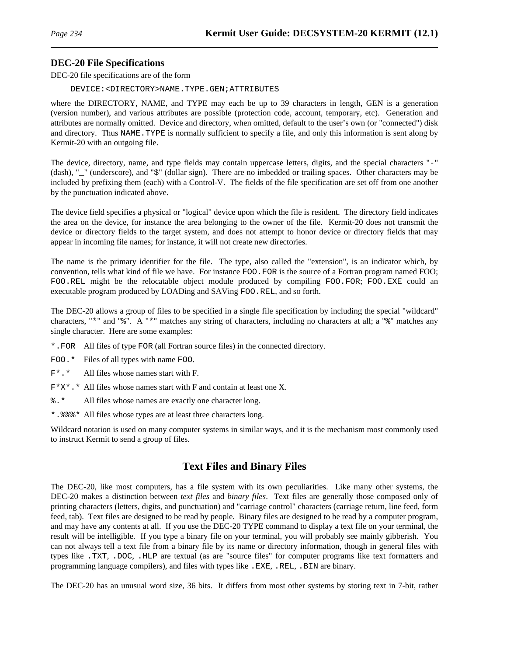### **DEC-20 File Specifications**

DEC-20 file specifications are of the form

DEVICE:<DIRECTORY>NAME.TYPE.GEN;ATTRIBUTES

where the DIRECTORY, NAME, and TYPE may each be up to 39 characters in length, GEN is a generation (version number), and various attributes are possible (protection code, account, temporary, etc). Generation and attributes are normally omitted. Device and directory, when omitted, default to the user's own (or "connected") disk and directory. Thus NAME.TYPE is normally sufficient to specify a file, and only this information is sent along by Kermit-20 with an outgoing file.

The device, directory, name, and type fields may contain uppercase letters, digits, and the special characters "-" (dash), "\_" (underscore), and "\$" (dollar sign). There are no imbedded or trailing spaces. Other characters may be included by prefixing them (each) with a Control-V. The fields of the file specification are set off from one another by the punctuation indicated above.

The device field specifies a physical or "logical" device upon which the file is resident. The directory field indicates the area on the device, for instance the area belonging to the owner of the file. Kermit-20 does not transmit the device or directory fields to the target system, and does not attempt to honor device or directory fields that may appear in incoming file names; for instance, it will not create new directories.

The name is the primary identifier for the file. The type, also called the "extension", is an indicator which, by convention, tells what kind of file we have. For instance FOO.FOR is the source of a Fortran program named FOO; FOO.REL might be the relocatable object module produced by compiling FOO.FOR; FOO.EXE could an executable program produced by LOADing and SAVing FOO.REL, and so forth.

The DEC-20 allows a group of files to be specified in a single file specification by including the special "wildcard" characters, "\*" and "%". A "\*" matches any string of characters, including no characters at all; a "%" matches any single character. Here are some examples:

\*.FOR All files of type FOR (all Fortran source files) in the connected directory.

FOO.\* Files of all types with name FOO.

- F\*.\* All files whose names start with F.
- $F^*X^*$ . \* All files whose names start with F and contain at least one X.
- %.\* All files whose names are exactly one character long.
- \*.%%%\* All files whose types are at least three characters long.

Wildcard notation is used on many computer systems in similar ways, and it is the mechanism most commonly used to instruct Kermit to send a group of files.

# **Text Files and Binary Files**

The DEC-20, like most computers, has a file system with its own peculiarities. Like many other systems, the DEC-20 makes a distinction between *text files* and *binary files*. Text files are generally those composed only of printing characters (letters, digits, and punctuation) and "carriage control" characters (carriage return, line feed, form feed, tab). Text files are designed to be read by people. Binary files are designed to be read by a computer program, and may have any contents at all. If you use the DEC-20 TYPE command to display a text file on your terminal, the result will be intelligible. If you type a binary file on your terminal, you will probably see mainly gibberish. You can not always tell a text file from a binary file by its name or directory information, though in general files with types like .TXT, .DOC, .HLP are textual (as are "source files" for computer programs like text formatters and programming language compilers), and files with types like .EXE, .REL, .BIN are binary.

The DEC-20 has an unusual word size, 36 bits. It differs from most other systems by storing text in 7-bit, rather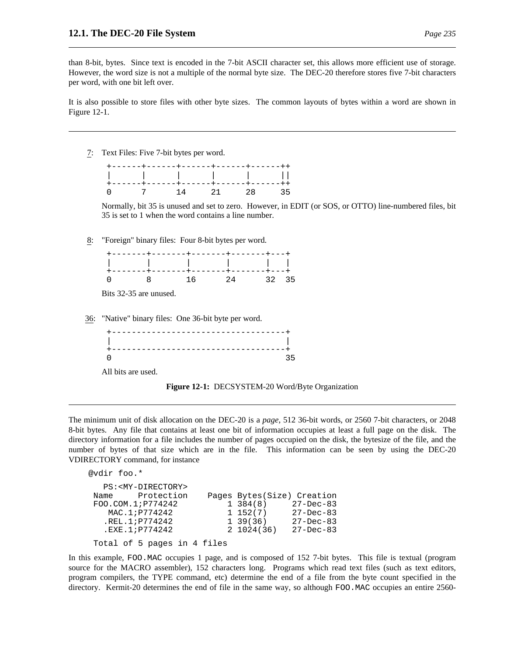#### **12.1. The DEC-20 File System** *Page 235*

than 8-bit, bytes. Since text is encoded in the 7-bit ASCII character set, this allows more efficient use of storage. However, the word size is not a multiple of the normal byte size. The DEC-20 therefore stores five 7-bit characters per word, with one bit left over.

It is also possible to store files with other byte sizes. The common layouts of bytes within a word are shown in Figure 12-1.

7: Text Files: Five 7-bit bytes per word.

+------+------+------+------+------++ | | | | | || +------+------+------+------+------++ 0 7 14 21 28 35

Normally, bit 35 is unused and set to zero. However, in EDIT (or SOS, or OTTO) line-numbered files, bit 35 is set to 1 when the word contains a line number.

8: "Foreign" binary files: Four 8-bit bytes per word.

|  | +-------+-------+-------+------+----+  |       |  |
|--|----------------------------------------|-------|--|
|  |                                        |       |  |
|  | +-------+-------+-------+------+----+- |       |  |
|  | 8 16 24                                | 32 35 |  |

Bits 32-35 are unused.

36: "Native" binary files: One 36-bit byte per word.

|  |  | --------------------------------- |  |
|--|--|-----------------------------------|--|
|  |  |                                   |  |

All bits are used.



The minimum unit of disk allocation on the DEC-20 is a *page*, 512 36-bit words, or 2560 7-bit characters, or 2048 8-bit bytes. Any file that contains at least one bit of information occupies at least a full page on the disk. The directory information for a file includes the number of pages occupied on the disk, the bytesize of the file, and the number of bytes of that size which are in the file. This information can be seen by using the DEC-20 VDIRECTORY command, for instance

```
@vdir foo.*
  PS:<MY-DIRECTORY>
Name Protection Pages Bytes(Size) Creation
FOO.COM.1;P774242 1 384(8) 27-Dec-83
   MAC.1; P774242 1 152(7) 27-Dec-83
  .REL.1;P774242 1 39(36) 27-Dec-83
  .EXE.1;P774242 2 1024(36) 27-Dec-83
Total of 5 pages in 4 files
```
In this example, FOO.MAC occupies 1 page, and is composed of 152 7-bit bytes. This file is textual (program source for the MACRO assembler), 152 characters long. Programs which read text files (such as text editors, program compilers, the TYPE command, etc) determine the end of a file from the byte count specified in the directory. Kermit-20 determines the end of file in the same way, so although FOO.MAC occupies an entire 2560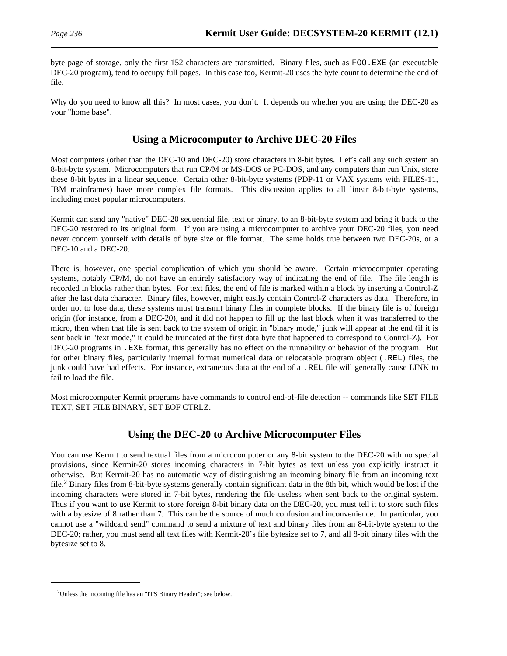byte page of storage, only the first 152 characters are transmitted. Binary files, such as FOO.EXE (an executable DEC-20 program), tend to occupy full pages. In this case too, Kermit-20 uses the byte count to determine the end of file.

Why do you need to know all this? In most cases, you don't. It depends on whether you are using the DEC-20 as your "home base".

# **Using a Microcomputer to Archive DEC-20 Files**

Most computers (other than the DEC-10 and DEC-20) store characters in 8-bit bytes. Let's call any such system an 8-bit-byte system. Microcomputers that run CP/M or MS-DOS or PC-DOS, and any computers than run Unix, store these 8-bit bytes in a linear sequence. Certain other 8-bit-byte systems (PDP-11 or VAX systems with FILES-11, IBM mainframes) have more complex file formats. This discussion applies to all linear 8-bit-byte systems, including most popular microcomputers.

Kermit can send any "native" DEC-20 sequential file, text or binary, to an 8-bit-byte system and bring it back to the DEC-20 restored to its original form. If you are using a microcomputer to archive your DEC-20 files, you need never concern yourself with details of byte size or file format. The same holds true between two DEC-20s, or a DEC-10 and a DEC-20.

There is, however, one special complication of which you should be aware. Certain microcomputer operating systems, notably CP/M, do not have an entirely satisfactory way of indicating the end of file. The file length is recorded in blocks rather than bytes. For text files, the end of file is marked within a block by inserting a Control-Z after the last data character. Binary files, however, might easily contain Control-Z characters as data. Therefore, in order not to lose data, these systems must transmit binary files in complete blocks. If the binary file is of foreign origin (for instance, from a DEC-20), and it did not happen to fill up the last block when it was transferred to the micro, then when that file is sent back to the system of origin in "binary mode," junk will appear at the end (if it is sent back in "text mode," it could be truncated at the first data byte that happened to correspond to Control-Z). For DEC-20 programs in .EXE format, this generally has no effect on the runnability or behavior of the program. But for other binary files, particularly internal format numerical data or relocatable program object (.REL) files, the junk could have bad effects. For instance, extraneous data at the end of a .REL file will generally cause LINK to fail to load the file.

Most microcomputer Kermit programs have commands to control end-of-file detection -- commands like SET FILE TEXT, SET FILE BINARY, SET EOF CTRLZ.

# **Using the DEC-20 to Archive Microcomputer Files**

You can use Kermit to send textual files from a microcomputer or any 8-bit system to the DEC-20 with no special provisions, since Kermit-20 stores incoming characters in 7-bit bytes as text unless you explicitly instruct it otherwise. But Kermit-20 has no automatic way of distinguishing an incoming binary file from an incoming text file.<sup>2</sup> Binary files from 8-bit-byte systems generally contain significant data in the 8th bit, which would be lost if the incoming characters were stored in 7-bit bytes, rendering the file useless when sent back to the original system. Thus if you want to use Kermit to store foreign 8-bit binary data on the DEC-20, you must tell it to store such files with a bytesize of 8 rather than 7. This can be the source of much confusion and inconvenience. In particular, you cannot use a "wildcard send" command to send a mixture of text and binary files from an 8-bit-byte system to the DEC-20; rather, you must send all text files with Kermit-20's file bytesize set to 7, and all 8-bit binary files with the bytesize set to 8.

<sup>&</sup>lt;sup>2</sup>Unless the incoming file has an "ITS Binary Header"; see below.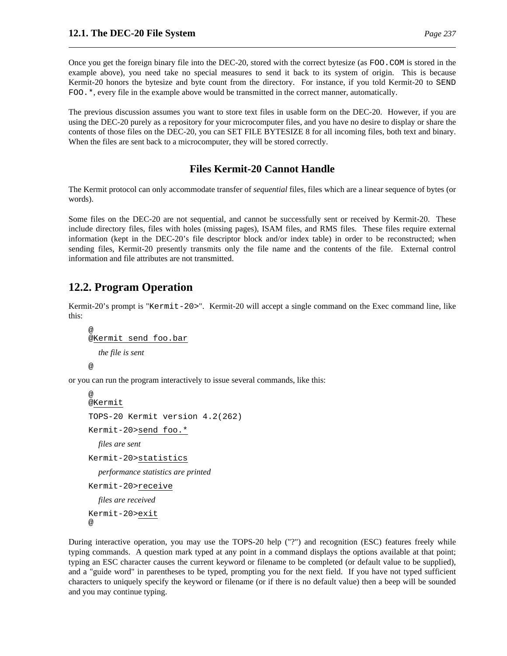Once you get the foreign binary file into the DEC-20, stored with the correct bytesize (as FOO.COM is stored in the example above), you need take no special measures to send it back to its system of origin. This is because Kermit-20 honors the bytesize and byte count from the directory. For instance, if you told Kermit-20 to SEND FOO.\*, every file in the example above would be transmitted in the correct manner, automatically.

The previous discussion assumes you want to store text files in usable form on the DEC-20. However, if you are using the DEC-20 purely as a repository for your microcomputer files, and you have no desire to display or share the contents of those files on the DEC-20, you can SET FILE BYTESIZE 8 for all incoming files, both text and binary. When the files are sent back to a microcomputer, they will be stored correctly.

# **Files Kermit-20 Cannot Handle**

The Kermit protocol can only accommodate transfer of *sequential* files, files which are a linear sequence of bytes (or words).

Some files on the DEC-20 are not sequential, and cannot be successfully sent or received by Kermit-20. These include directory files, files with holes (missing pages), ISAM files, and RMS files. These files require external information (kept in the DEC-20's file descriptor block and/or index table) in order to be reconstructed; when sending files, Kermit-20 presently transmits only the file name and the contents of the file. External control information and file attributes are not transmitted.

# **12.2. Program Operation**

Kermit-20's prompt is "Kermit-20>". Kermit-20 will accept a single command on the Exec command line, like this:

```
@
@Kermit send foo.bar
  the file is sent
@
```
or you can run the program interactively to issue several commands, like this:

```
@
@Kermit
TOPS-20 Kermit version 4.2(262)
Kermit-20>send foo.*
  files are sent
Kermit-20>statistics
  performance statistics are printed
Kermit-20>receive
  files are received
Kermit-20>exit
@
```
During interactive operation, you may use the TOPS-20 help ("?") and recognition (ESC) features freely while typing commands. A question mark typed at any point in a command displays the options available at that point; typing an ESC character causes the current keyword or filename to be completed (or default value to be supplied), and a "guide word" in parentheses to be typed, prompting you for the next field. If you have not typed sufficient characters to uniquely specify the keyword or filename (or if there is no default value) then a beep will be sounded and you may continue typing.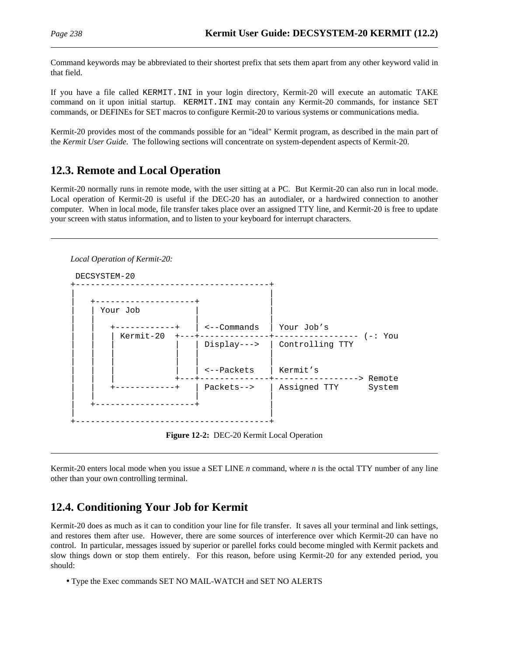Command keywords may be abbreviated to their shortest prefix that sets them apart from any other keyword valid in that field.

If you have a file called KERMIT.INI in your login directory, Kermit-20 will execute an automatic TAKE command on it upon initial startup. KERMIT.INI may contain any Kermit-20 commands, for instance SET commands, or DEFINEs for SET macros to configure Kermit-20 to various systems or communications media.

Kermit-20 provides most of the commands possible for an "ideal" Kermit program, as described in the main part of the *Kermit User Guide*. The following sections will concentrate on system-dependent aspects of Kermit-20.

# **12.3. Remote and Local Operation**

Kermit-20 normally runs in remote mode, with the user sitting at a PC. But Kermit-20 can also run in local mode. Local operation of Kermit-20 is useful if the DEC-20 has an autodialer, or a hardwired connection to another computer. When in local mode, file transfer takes place over an assigned TTY line, and Kermit-20 is free to update your screen with status information, and to listen to your keyboard for interrupt characters.



**Figure 12-2:** DEC-20 Kermit Local Operation

Kermit-20 enters local mode when you issue a SET LINE *n* command, where *n* is the octal TTY number of any line other than your own controlling terminal.

# **12.4. Conditioning Your Job for Kermit**

Kermit-20 does as much as it can to condition your line for file transfer. It saves all your terminal and link settings, and restores them after use. However, there are some sources of interference over which Kermit-20 can have no control. In particular, messages issued by superior or parellel forks could become mingled with Kermit packets and slow things down or stop them entirely. For this reason, before using Kermit-20 for any extended period, you should:

• Type the Exec commands SET NO MAIL-WATCH and SET NO ALERTS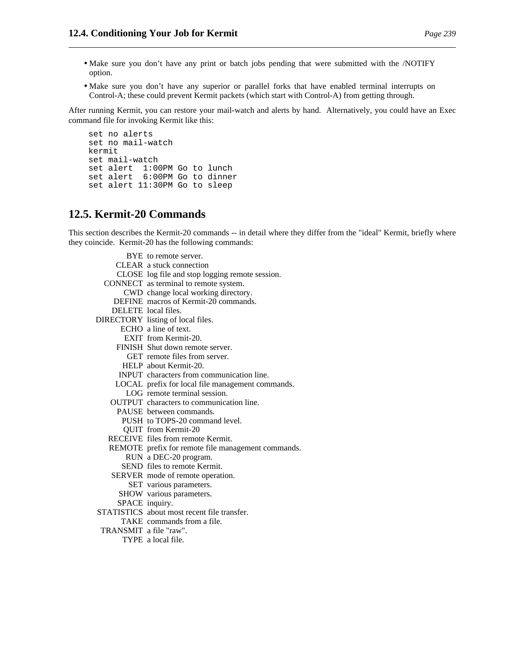- Make sure you don't have any print or batch jobs pending that were submitted with the /NOTIFY option.
- Make sure you don't have any superior or parallel forks that have enabled terminal interrupts on Control-A; these could prevent Kermit packets (which start with Control-A) from getting through.

After running Kermit, you can restore your mail-watch and alerts by hand. Alternatively, you could have an Exec command file for invoking Kermit like this:

```
set no alerts
set no mail-watch
kermit
set mail-watch
set alert 1:00PM Go to lunch
set alert 6:00PM Go to dinner
set alert 11:30PM Go to sleep
```
## **12.5. Kermit-20 Commands**

This section describes the Kermit-20 commands -- in detail where they differ from the "ideal" Kermit, briefly where they coincide. Kermit-20 has the following commands:

|                        | BYE to remote server.                              |
|------------------------|----------------------------------------------------|
|                        | CLEAR a stuck connection                           |
|                        | CLOSE log file and stop logging remote session.    |
|                        | CONNECT as terminal to remote system.              |
|                        | CWD change local working directory.                |
|                        | DEFINE macros of Kermit-20 commands.               |
|                        | DELETE local files.                                |
|                        | DIRECTORY listing of local files.                  |
|                        | ECHO a line of text.                               |
|                        | EXIT from Kermit-20.                               |
|                        | FINISH Shut down remote server.                    |
|                        | GET remote files from server.                      |
|                        | HELP about Kermit-20.                              |
|                        | <b>INPUT</b> characters from communication line.   |
|                        | LOCAL prefix for local file management commands.   |
|                        | LOG remote terminal session.                       |
|                        | OUTPUT characters to communication line.           |
|                        | PAUSE between commands.                            |
|                        | PUSH to TOPS-20 command level.                     |
|                        | <b>QUIT</b> from Kermit-20                         |
|                        | RECEIVE files from remote Kermit.                  |
|                        | REMOTE prefix for remote file management commands. |
|                        | RUN a DEC-20 program.                              |
|                        | SEND files to remote Kermit.                       |
|                        | SERVER mode of remote operation.                   |
|                        | SET various parameters.                            |
|                        | SHOW various parameters.                           |
|                        | SPACE inquiry.                                     |
|                        | STATISTICS about most recent file transfer.        |
|                        | TAKE commands from a file.                         |
| TRANSMIT a file "raw". |                                                    |
|                        | TYPE a local file.                                 |
|                        |                                                    |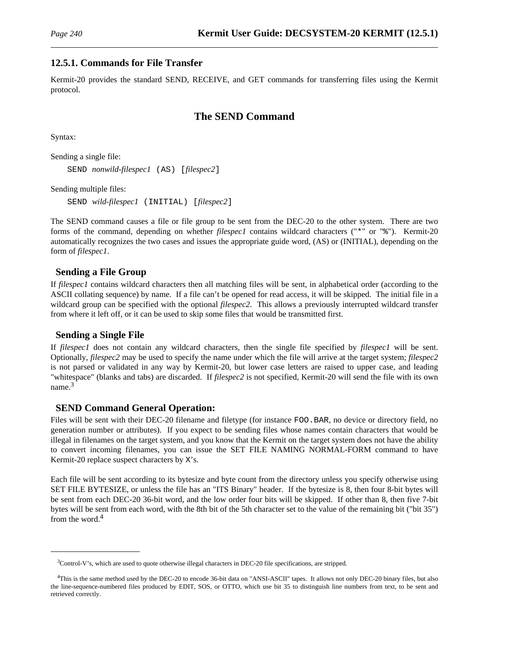### **12.5.1. Commands for File Transfer**

Kermit-20 provides the standard SEND, RECEIVE, and GET commands for transferring files using the Kermit protocol.

### **The SEND Command**

Syntax:

Sending a single file: SEND *nonwild-filespec1* (AS) [*filespec2*]

Sending multiple files:

SEND *wild-filespec1* (INITIAL) [*filespec2*]

The SEND command causes a file or file group to be sent from the DEC-20 to the other system. There are two forms of the command, depending on whether *filespec1* contains wildcard characters ("\*" or "%"). Kermit-20 automatically recognizes the two cases and issues the appropriate guide word, (AS) or (INITIAL), depending on the form of *filespec1*.

### **Sending a File Group**

If *filespec1* contains wildcard characters then all matching files will be sent, in alphabetical order (according to the ASCII collating sequence) by name. If a file can't be opened for read access, it will be skipped. The initial file in a wildcard group can be specified with the optional *filespec2*. This allows a previously interrupted wildcard transfer from where it left off, or it can be used to skip some files that would be transmitted first.

#### **Sending a Single File**

If *filespec1* does not contain any wildcard characters, then the single file specified by *filespec1* will be sent. Optionally, *filespec2* may be used to specify the name under which the file will arrive at the target system; *filespec2* is not parsed or validated in any way by Kermit-20, but lower case letters are raised to upper case, and leading "whitespace" (blanks and tabs) are discarded. If *filespec2* is not specified, Kermit-20 will send the file with its own  $name<sup>3</sup>$ 

### **SEND Command General Operation:**

Files will be sent with their DEC-20 filename and filetype (for instance FOO.BAR, no device or directory field, no generation number or attributes). If you expect to be sending files whose names contain characters that would be illegal in filenames on the target system, and you know that the Kermit on the target system does not have the ability to convert incoming filenames, you can issue the SET FILE NAMING NORMAL-FORM command to have Kermit-20 replace suspect characters by X's.

Each file will be sent according to its bytesize and byte count from the directory unless you specify otherwise using SET FILE BYTESIZE, or unless the file has an "ITS Binary" header. If the bytesize is 8, then four 8-bit bytes will be sent from each DEC-20 36-bit word, and the low order four bits will be skipped. If other than 8, then five 7-bit bytes will be sent from each word, with the 8th bit of the 5th character set to the value of the remaining bit ("bit 35") from the word.<sup>4</sup>

<sup>3</sup>Control-V's, which are used to quote otherwise illegal characters in DEC-20 file specifications, are stripped.

<sup>4</sup>This is the same method used by the DEC-20 to encode 36-bit data on "ANSI-ASCII" tapes. It allows not only DEC-20 binary files, but also the line-sequence-numbered files produced by EDIT, SOS, or OTTO, which use bit 35 to distinguish line numbers from text, to be sent and retrieved correctly.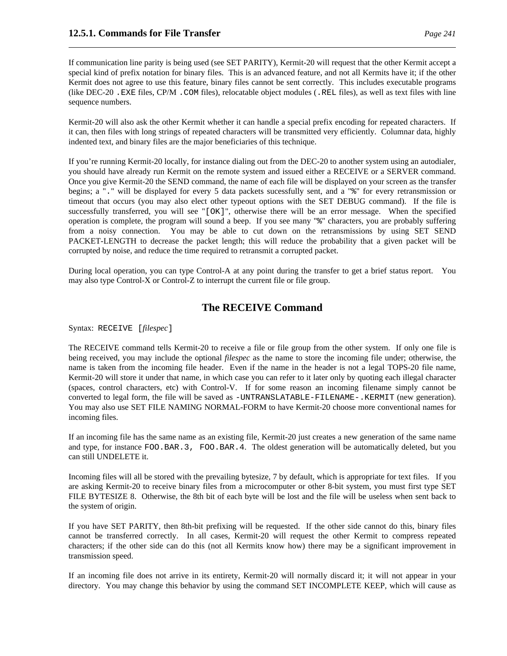If communication line parity is being used (see SET PARITY), Kermit-20 will request that the other Kermit accept a special kind of prefix notation for binary files. This is an advanced feature, and not all Kermits have it; if the other Kermit does not agree to use this feature, binary files cannot be sent correctly. This includes executable programs (like DEC-20 .EXE files, CP/M .COM files), relocatable object modules (.REL files), as well as text files with line sequence numbers.

Kermit-20 will also ask the other Kermit whether it can handle a special prefix encoding for repeated characters. If it can, then files with long strings of repeated characters will be transmitted very efficiently. Columnar data, highly indented text, and binary files are the major beneficiaries of this technique.

If you're running Kermit-20 locally, for instance dialing out from the DEC-20 to another system using an autodialer, you should have already run Kermit on the remote system and issued either a RECEIVE or a SERVER command. Once you give Kermit-20 the SEND command, the name of each file will be displayed on your screen as the transfer begins; a "." will be displayed for every 5 data packets sucessfully sent, and a "%" for every retransmission or timeout that occurs (you may also elect other typeout options with the SET DEBUG command). If the file is successfully transferred, you will see "[OK]", otherwise there will be an error message. When the specified operation is complete, the program will sound a beep. If you see many "%" characters, you are probably suffering from a noisy connection. You may be able to cut down on the retransmissions by using SET SEND PACKET-LENGTH to decrease the packet length; this will reduce the probability that a given packet will be corrupted by noise, and reduce the time required to retransmit a corrupted packet.

During local operation, you can type Control-A at any point during the transfer to get a brief status report. You may also type Control-X or Control-Z to interrupt the current file or file group.

## **The RECEIVE Command**

Syntax: RECEIVE [*filespec*]

The RECEIVE command tells Kermit-20 to receive a file or file group from the other system. If only one file is being received, you may include the optional *filespec* as the name to store the incoming file under; otherwise, the name is taken from the incoming file header. Even if the name in the header is not a legal TOPS-20 file name, Kermit-20 will store it under that name, in which case you can refer to it later only by quoting each illegal character (spaces, control characters, etc) with Control-V. If for some reason an incoming filename simply cannot be converted to legal form, the file will be saved as -UNTRANSLATABLE-FILENAME-.KERMIT (new generation). You may also use SET FILE NAMING NORMAL-FORM to have Kermit-20 choose more conventional names for incoming files.

If an incoming file has the same name as an existing file, Kermit-20 just creates a new generation of the same name and type, for instance FOO.BAR.3, FOO.BAR.4. The oldest generation will be automatically deleted, but you can still UNDELETE it.

Incoming files will all be stored with the prevailing bytesize, 7 by default, which is appropriate for text files. If you are asking Kermit-20 to receive binary files from a microcomputer or other 8-bit system, you must first type SET FILE BYTESIZE 8. Otherwise, the 8th bit of each byte will be lost and the file will be useless when sent back to the system of origin.

If you have SET PARITY, then 8th-bit prefixing will be requested. If the other side cannot do this, binary files cannot be transferred correctly. In all cases, Kermit-20 will request the other Kermit to compress repeated characters; if the other side can do this (not all Kermits know how) there may be a significant improvement in transmission speed.

If an incoming file does not arrive in its entirety, Kermit-20 will normally discard it; it will not appear in your directory. You may change this behavior by using the command SET INCOMPLETE KEEP, which will cause as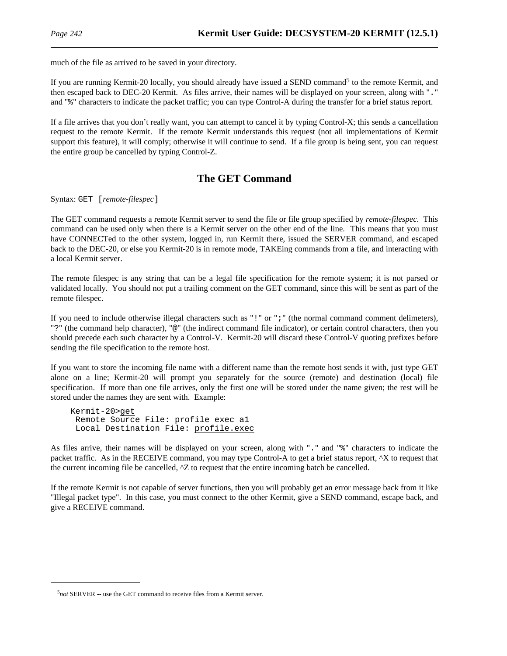much of the file as arrived to be saved in your directory.

If you are running Kermit-20 locally, you should already have issued a SEND command<sup>5</sup> to the remote Kermit, and then escaped back to DEC-20 Kermit. As files arrive, their names will be displayed on your screen, along with "." and "%" characters to indicate the packet traffic; you can type Control-A during the transfer for a brief status report.

If a file arrives that you don't really want, you can attempt to cancel it by typing Control-X; this sends a cancellation request to the remote Kermit. If the remote Kermit understands this request (not all implementations of Kermit support this feature), it will comply; otherwise it will continue to send. If a file group is being sent, you can request the entire group be cancelled by typing Control-Z.

# **The GET Command**

Syntax: GET [*remote-filespec*]

The GET command requests a remote Kermit server to send the file or file group specified by *remote-filespec*. This command can be used only when there is a Kermit server on the other end of the line. This means that you must have CONNECTed to the other system, logged in, run Kermit there, issued the SERVER command, and escaped back to the DEC-20, or else you Kermit-20 is in remote mode, TAKEing commands from a file, and interacting with a local Kermit server.

The remote filespec is any string that can be a legal file specification for the remote system; it is not parsed or validated locally. You should not put a trailing comment on the GET command, since this will be sent as part of the remote filespec.

If you need to include otherwise illegal characters such as "!" or ";" (the normal command comment delimeters), "?" (the command help character), "@" (the indirect command file indicator), or certain control characters, then you should precede each such character by a Control-V. Kermit-20 will discard these Control-V quoting prefixes before sending the file specification to the remote host.

If you want to store the incoming file name with a different name than the remote host sends it with, just type GET alone on a line; Kermit-20 will prompt you separately for the source (remote) and destination (local) file specification. If more than one file arrives, only the first one will be stored under the name given; the rest will be stored under the names they are sent with. Example:

Kermit-20>get Remote Source File: profile exec a1 Local Destination File: profile.exec

As files arrive, their names will be displayed on your screen, along with "." and "%" characters to indicate the packet traffic. As in the RECEIVE command, you may type Control-A to get a brief status report, ^X to request that the current incoming file be cancelled,  $\Delta Z$  to request that the entire incoming batch be cancelled.

If the remote Kermit is not capable of server functions, then you will probably get an error message back from it like "Illegal packet type". In this case, you must connect to the other Kermit, give a SEND command, escape back, and give a RECEIVE command.

<sup>5</sup> *not* SERVER -- use the GET command to receive files from a Kermit server.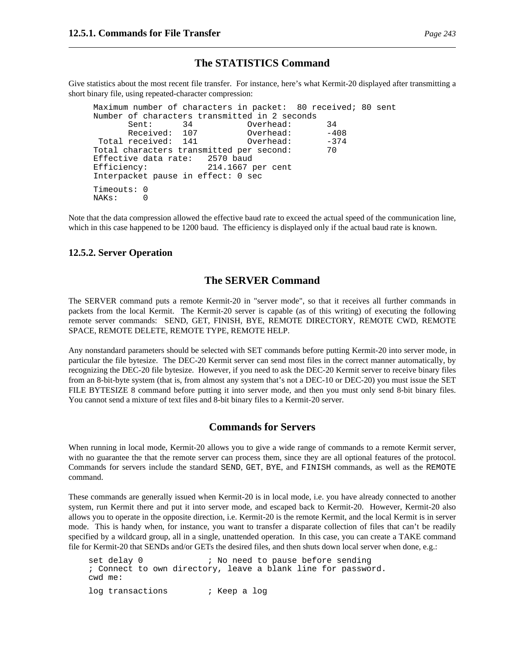### **The STATISTICS Command**

Give statistics about the most recent file transfer. For instance, here's what Kermit-20 displayed after transmitting a short binary file, using repeated-character compression:

```
Maximum number of characters in packet: 80 received; 80 sent
Number of characters transmitted in 2 seconds
     Sent: 34 Overhead: 34
     Received: 107 Overhead: -408
Total received: 141 Overhead: -374
Total characters transmitted per second: 70
Effective data rate: 2570 baud
Efficiency: 214.1667 per cent
Interpacket pause in effect: 0 sec
Timeouts: 0
NAKs: 0
```
Note that the data compression allowed the effective baud rate to exceed the actual speed of the communication line, which in this case happened to be 1200 baud. The efficiency is displayed only if the actual baud rate is known.

#### **12.5.2. Server Operation**

### **The SERVER Command**

The SERVER command puts a remote Kermit-20 in "server mode", so that it receives all further commands in packets from the local Kermit. The Kermit-20 server is capable (as of this writing) of executing the following remote server commands: SEND, GET, FINISH, BYE, REMOTE DIRECTORY, REMOTE CWD, REMOTE SPACE, REMOTE DELETE, REMOTE TYPE, REMOTE HELP.

Any nonstandard parameters should be selected with SET commands before putting Kermit-20 into server mode, in particular the file bytesize. The DEC-20 Kermit server can send most files in the correct manner automatically, by recognizing the DEC-20 file bytesize. However, if you need to ask the DEC-20 Kermit server to receive binary files from an 8-bit-byte system (that is, from almost any system that's not a DEC-10 or DEC-20) you must issue the SET FILE BYTESIZE 8 command before putting it into server mode, and then you must only send 8-bit binary files. You cannot send a mixture of text files and 8-bit binary files to a Kermit-20 server.

#### **Commands for Servers**

When running in local mode, Kermit-20 allows you to give a wide range of commands to a remote Kermit server, with no guarantee the that the remote server can process them, since they are all optional features of the protocol. Commands for servers include the standard SEND, GET, BYE, and FINISH commands, as well as the REMOTE command.

These commands are generally issued when Kermit-20 is in local mode, i.e. you have already connected to another system, run Kermit there and put it into server mode, and escaped back to Kermit-20. However, Kermit-20 also allows you to operate in the opposite direction, i.e. Kermit-20 is the remote Kermit, and the local Kermit is in server mode. This is handy when, for instance, you want to transfer a disparate collection of files that can't be readily specified by a wildcard group, all in a single, unattended operation. In this case, you can create a TAKE command file for Kermit-20 that SENDs and/or GETs the desired files, and then shuts down local server when done, e.g.:

```
set delay 0 \cdot ; No need to pause before sending
; Connect to own directory, leave a blank line for password.
cwd me:
log transactions \qquad ; Keep a log
```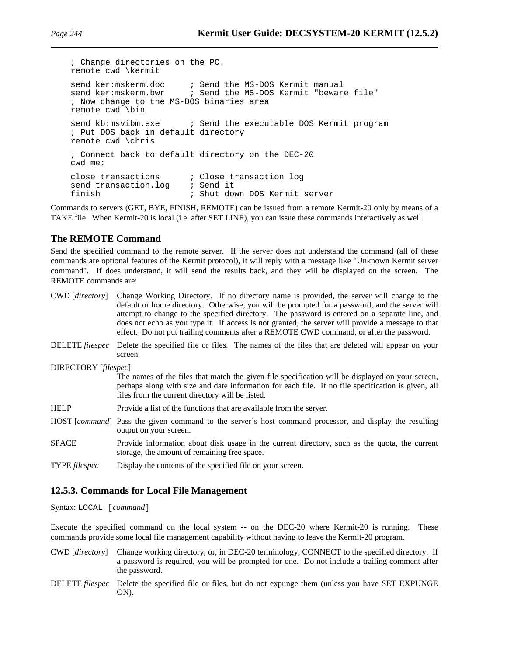; Change directories on the PC. remote cwd \kermit send ker:mskerm.doc ; Send the MS-DOS Kermit manual<br>send ker:mskerm.bwr ; Send the MS-DOS Kermit "beware ; Send the MS-DOS Kermit "beware file" ; Now change to the MS-DOS binaries area remote cwd \bin send kb:msvibm.exe  $\qquad$ ; Send the executable DOS Kermit program ; Put DOS back in default directory remote cwd \chris ; Connect back to default directory on the DEC-20 cwd me: close transactions ; Close transaction log send transaction.log *;* Send it finish ; Shut down DOS Kermit server

Commands to servers (GET, BYE, FINISH, REMOTE) can be issued from a remote Kermit-20 only by means of a TAKE file. When Kermit-20 is local (i.e. after SET LINE), you can issue these commands interactively as well.

### **The REMOTE Command**

Send the specified command to the remote server. If the server does not understand the command (all of these commands are optional features of the Kermit protocol), it will reply with a message like "Unknown Kermit server command". If does understand, it will send the results back, and they will be displayed on the screen. The REMOTE commands are:

| CWD [directory]      | Change Working Directory. If no directory name is provided, the server will change to the<br>default or home directory. Otherwise, you will be prompted for a password, and the server will<br>attempt to change to the specified directory. The password is entered on a separate line, and<br>does not echo as you type it. If access is not granted, the server will provide a message to that<br>effect. Do not put trailing comments after a REMOTE CWD command, or after the password. |
|----------------------|----------------------------------------------------------------------------------------------------------------------------------------------------------------------------------------------------------------------------------------------------------------------------------------------------------------------------------------------------------------------------------------------------------------------------------------------------------------------------------------------|
| DELETE filespec      | Delete the specified file or files. The names of the files that are deleted will appear on your<br>screen.                                                                                                                                                                                                                                                                                                                                                                                   |
| DIRECTORY [filespec] |                                                                                                                                                                                                                                                                                                                                                                                                                                                                                              |
|                      | The names of the files that match the given file specification will be displayed on your screen,<br>perhaps along with size and date information for each file. If no file specification is given, all<br>files from the current directory will be listed.                                                                                                                                                                                                                                   |
| <b>HELP</b>          | Provide a list of the functions that are available from the server.                                                                                                                                                                                                                                                                                                                                                                                                                          |
|                      | HOST [ <i>command</i> ] Pass the given command to the server's host command processor, and display the resulting<br>output on your screen.                                                                                                                                                                                                                                                                                                                                                   |
| <b>SPACE</b>         | Provide information about disk usage in the current directory, such as the quota, the current<br>storage, the amount of remaining free space.                                                                                                                                                                                                                                                                                                                                                |
| <b>TYPE</b> filespec | Display the contents of the specified file on your screen.                                                                                                                                                                                                                                                                                                                                                                                                                                   |

### **12.5.3. Commands for Local File Management**

Syntax: LOCAL [*command*]

Execute the specified command on the local system -- on the DEC-20 where Kermit-20 is running. These commands provide some local file management capability without having to leave the Kermit-20 program.

- CWD [*directory*] Change working directory, or, in DEC-20 terminology, CONNECT to the specified directory. If a password is required, you will be prompted for one. Do not include a trailing comment after the password.
- DELETE *filespec* Delete the specified file or files, but do not expunge them (unless you have SET EXPUNGE ON).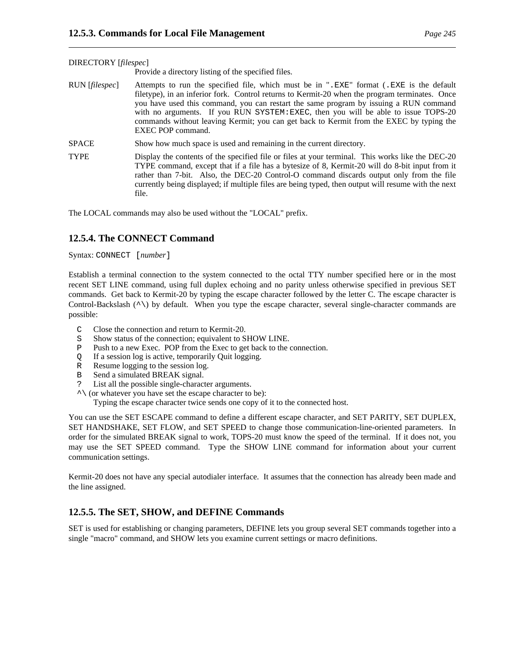|                | Provide a directory listing of the specified files.                                                                                                                                                                                                                                                                                                                                                                                                                                      |
|----------------|------------------------------------------------------------------------------------------------------------------------------------------------------------------------------------------------------------------------------------------------------------------------------------------------------------------------------------------------------------------------------------------------------------------------------------------------------------------------------------------|
| RUN [filespec] | Attempts to run the specified file, which must be in ".EXE" format (.EXE is the default<br>filetype), in an inferior fork. Control returns to Kermit-20 when the program terminates. Once<br>you have used this command, you can restart the same program by issuing a RUN command<br>with no arguments. If you RUN SYSTEM: EXEC, then you will be able to issue TOPS-20<br>commands without leaving Kermit; you can get back to Kermit from the EXEC by typing the<br>EXEC POP command. |
| <b>SPACE</b>   | Show how much space is used and remaining in the current directory.                                                                                                                                                                                                                                                                                                                                                                                                                      |
| <b>TYPE</b>    | Display the contents of the specified file or files at your terminal. This works like the DEC-20<br>TYPE command, except that if a file has a bytesize of 8, Kermit-20 will do 8-bit input from it<br>rather than 7-bit. Also, the DEC-20 Control-O command discards output only from the file<br>currently being displayed; if multiple files are being typed, then output will resume with the next<br>file.                                                                           |

The LOCAL commands may also be used without the "LOCAL" prefix.

### **12.5.4. The CONNECT Command**

Syntax: CONNECT [*number*]

DIRECTORY [*filespec*]

Establish a terminal connection to the system connected to the octal TTY number specified here or in the most recent SET LINE command, using full duplex echoing and no parity unless otherwise specified in previous SET commands. Get back to Kermit-20 by typing the escape character followed by the letter C. The escape character is Control-Backslash (^\) by default. When you type the escape character, several single-character commands are possible:

- C Close the connection and return to Kermit-20.
- S Show status of the connection; equivalent to SHOW LINE.
- P Push to a new Exec. POP from the Exec to get back to the connection.
- Q If a session log is active, temporarily Quit logging.
- R Resume logging to the session log.<br>B Send a simulated BREAK signal.
- Send a simulated BREAK signal.
- ? List all the possible single-character arguments.
- $\land$  (or whatever you have set the escape character to be):

Typing the escape character twice sends one copy of it to the connected host.

You can use the SET ESCAPE command to define a different escape character, and SET PARITY, SET DUPLEX, SET HANDSHAKE, SET FLOW, and SET SPEED to change those communication-line-oriented parameters. In order for the simulated BREAK signal to work, TOPS-20 must know the speed of the terminal. If it does not, you may use the SET SPEED command. Type the SHOW LINE command for information about your current communication settings.

Kermit-20 does not have any special autodialer interface. It assumes that the connection has already been made and the line assigned.

### **12.5.5. The SET, SHOW, and DEFINE Commands**

SET is used for establishing or changing parameters, DEFINE lets you group several SET commands together into a single "macro" command, and SHOW lets you examine current settings or macro definitions.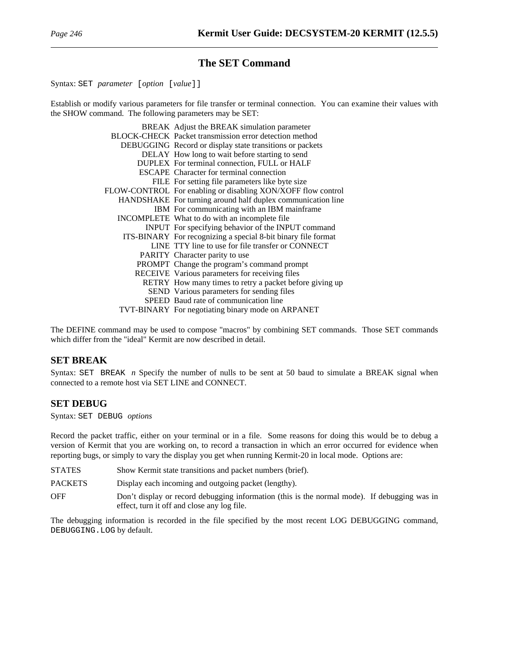# **The SET Command**

Syntax: SET *parameter* [*option* [*value*]]

Establish or modify various parameters for file transfer or terminal connection. You can examine their values with the SHOW command. The following parameters may be SET:

| BREAK Adjust the BREAK simulation parameter                   |
|---------------------------------------------------------------|
| BLOCK-CHECK Packet transmission error detection method        |
| DEBUGGING Record or display state transitions or packets      |
| DELAY How long to wait before starting to send                |
| DUPLEX For terminal connection, FULL or HALF                  |
| <b>ESCAPE</b> Character for terminal connection               |
| FILE For setting file parameters like byte size               |
| FLOW-CONTROL For enabling or disabling XON/XOFF flow control  |
| HANDSHAKE For turning around half duplex communication line   |
| IBM For communicating with an IBM mainframe                   |
| INCOMPLETE What to do with an incomplete file                 |
| INPUT For specifying behavior of the INPUT command            |
| ITS-BINARY For recognizing a special 8-bit binary file format |
| LINE TTY line to use for file transfer or CONNECT             |
| PARITY Character parity to use                                |
| PROMPT Change the program's command prompt                    |
| RECEIVE Various parameters for receiving files                |
| RETRY How many times to retry a packet before giving up       |
| SEND Various parameters for sending files                     |
| SPEED Baud rate of communication line                         |
| TVT-BINARY For negotiating binary mode on ARPANET             |

The DEFINE command may be used to compose "macros" by combining SET commands. Those SET commands which differ from the "ideal" Kermit are now described in detail.

### **SET BREAK**

Syntax: SET BREAK *n* Specify the number of nulls to be sent at 50 baud to simulate a BREAK signal when connected to a remote host via SET LINE and CONNECT.

### **SET DEBUG**

Syntax: SET DEBUG *options*

Record the packet traffic, either on your terminal or in a file. Some reasons for doing this would be to debug a version of Kermit that you are working on, to record a transaction in which an error occurred for evidence when reporting bugs, or simply to vary the display you get when running Kermit-20 in local mode. Options are:

| <b>STATES</b>  | Show Kermit state transitions and packet numbers (brief).                                                                                   |
|----------------|---------------------------------------------------------------------------------------------------------------------------------------------|
| <b>PACKETS</b> | Display each incoming and outgoing packet (lengthy).                                                                                        |
| <b>OFF</b>     | Don't display or record debugging information (this is the normal mode). If debugging was in<br>effect, turn it off and close any log file. |

The debugging information is recorded in the file specified by the most recent LOG DEBUGGING command, DEBUGGING.LOG by default.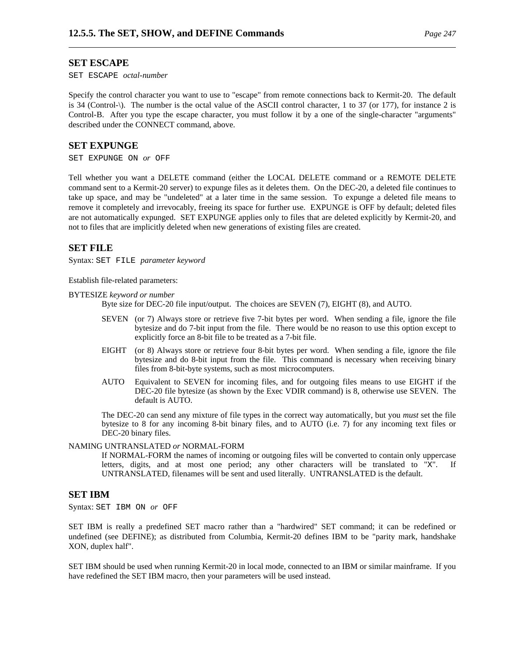#### **SET ESCAPE**

SET ESCAPE *octal-number*

Specify the control character you want to use to "escape" from remote connections back to Kermit-20. The default is 34 (Control-\). The number is the octal value of the ASCII control character, 1 to 37 (or 177), for instance 2 is Control-B. After you type the escape character, you must follow it by a one of the single-character "arguments" described under the CONNECT command, above.

#### **SET EXPUNGE**

SET EXPUNGE ON *or* OFF

Tell whether you want a DELETE command (either the LOCAL DELETE command or a REMOTE DELETE command sent to a Kermit-20 server) to expunge files as it deletes them. On the DEC-20, a deleted file continues to take up space, and may be "undeleted" at a later time in the same session. To expunge a deleted file means to remove it completely and irrevocably, freeing its space for further use. EXPUNGE is OFF by default; deleted files are not automatically expunged. SET EXPUNGE applies only to files that are deleted explicitly by Kermit-20, and not to files that are implicitly deleted when new generations of existing files are created.

#### **SET FILE**

Syntax: SET FILE *parameter keyword*

Establish file-related parameters:

BYTESIZE *keyword or number*

Byte size for DEC-20 file input/output. The choices are SEVEN (7), EIGHT (8), and AUTO.

- SEVEN (or 7) Always store or retrieve five 7-bit bytes per word. When sending a file, ignore the file bytesize and do 7-bit input from the file. There would be no reason to use this option except to explicitly force an 8-bit file to be treated as a 7-bit file.
- EIGHT (or 8) Always store or retrieve four 8-bit bytes per word. When sending a file, ignore the file bytesize and do 8-bit input from the file. This command is necessary when receiving binary files from 8-bit-byte systems, such as most microcomputers.
- AUTO Equivalent to SEVEN for incoming files, and for outgoing files means to use EIGHT if the DEC-20 file bytesize (as shown by the Exec VDIR command) is 8, otherwise use SEVEN. The default is AUTO.

The DEC-20 can send any mixture of file types in the correct way automatically, but you *must* set the file bytesize to 8 for any incoming 8-bit binary files, and to AUTO (i.e. 7) for any incoming text files or DEC-20 binary files.

#### NAMING UNTRANSLATED *or* NORMAL-FORM

If NORMAL-FORM the names of incoming or outgoing files will be converted to contain only uppercase letters, digits, and at most one period; any other characters will be translated to "X". If UNTRANSLATED, filenames will be sent and used literally. UNTRANSLATED is the default.

#### **SET IBM**

Syntax: SET IBM ON *or* OFF

SET IBM is really a predefined SET macro rather than a "hardwired" SET command; it can be redefined or undefined (see DEFINE); as distributed from Columbia, Kermit-20 defines IBM to be "parity mark, handshake XON, duplex half".

SET IBM should be used when running Kermit-20 in local mode, connected to an IBM or similar mainframe. If you have redefined the SET IBM macro, then your parameters will be used instead.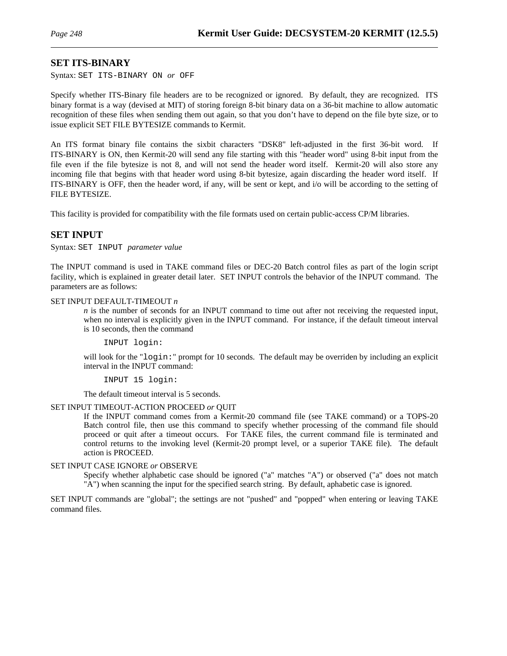#### **SET ITS-BINARY**

Syntax: SET ITS-BINARY ON *or* OFF

Specify whether ITS-Binary file headers are to be recognized or ignored. By default, they are recognized. ITS binary format is a way (devised at MIT) of storing foreign 8-bit binary data on a 36-bit machine to allow automatic recognition of these files when sending them out again, so that you don't have to depend on the file byte size, or to issue explicit SET FILE BYTESIZE commands to Kermit.

An ITS format binary file contains the sixbit characters "DSK8" left-adjusted in the first 36-bit word. If ITS-BINARY is ON, then Kermit-20 will send any file starting with this "header word" using 8-bit input from the file even if the file bytesize is not 8, and will not send the header word itself. Kermit-20 will also store any incoming file that begins with that header word using 8-bit bytesize, again discarding the header word itself. If ITS-BINARY is OFF, then the header word, if any, will be sent or kept, and i/o will be according to the setting of FILE BYTESIZE.

This facility is provided for compatibility with the file formats used on certain public-access CP/M libraries.

### **SET INPUT**

Syntax: SET INPUT *parameter value*

The INPUT command is used in TAKE command files or DEC-20 Batch control files as part of the login script facility, which is explained in greater detail later. SET INPUT controls the behavior of the INPUT command. The parameters are as follows:

#### SET INPUT DEFAULT-TIMEOUT *n*

*n* is the number of seconds for an INPUT command to time out after not receiving the requested input, when no interval is explicitly given in the INPUT command. For instance, if the default timeout interval is 10 seconds, then the command

INPUT login:

will look for the "login:" prompt for 10 seconds. The default may be overriden by including an explicit interval in the INPUT command:

INPUT 15 login:

The default timeout interval is 5 seconds.

#### SET INPUT TIMEOUT-ACTION PROCEED *or* QUIT

If the INPUT command comes from a Kermit-20 command file (see TAKE command) or a TOPS-20 Batch control file, then use this command to specify whether processing of the command file should proceed or quit after a timeout occurs. For TAKE files, the current command file is terminated and control returns to the invoking level (Kermit-20 prompt level, or a superior TAKE file). The default action is PROCEED.

#### SET INPUT CASE IGNORE *or* OBSERVE

Specify whether alphabetic case should be ignored ("a" matches "A") or observed ("a" does not match "A") when scanning the input for the specified search string. By default, aphabetic case is ignored.

SET INPUT commands are "global"; the settings are not "pushed" and "popped" when entering or leaving TAKE command files.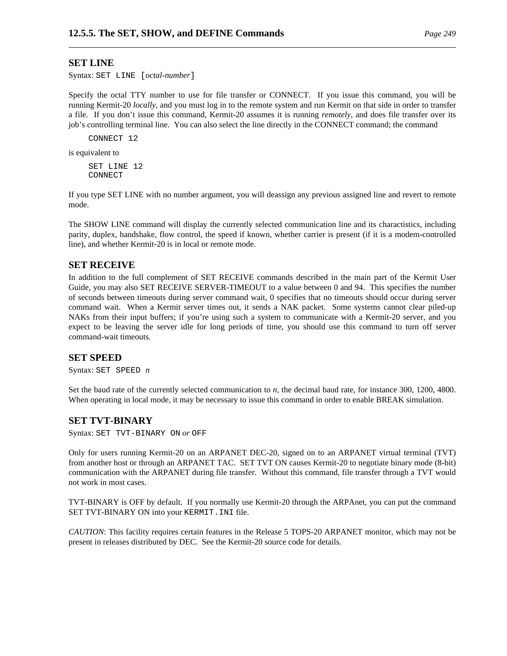#### **SET LINE**

Syntax: SET LINE [*octal-number*]

Specify the octal TTY number to use for file transfer or CONNECT. If you issue this command, you will be running Kermit-20 *locally*, and you must log in to the remote system and run Kermit on that side in order to transfer a file. If you don't issue this command, Kermit-20 assumes it is running *remotely*, and does file transfer over its job's controlling terminal line. You can also select the line directly in the CONNECT command; the command

CONNECT 12

is equivalent to

SET LINE 12 CONNECT

If you type SET LINE with no number argument, you will deassign any previous assigned line and revert to remote mode.

The SHOW LINE command will display the currently selected communication line and its charactistics, including parity, duplex, handshake, flow control, the speed if known, whether carrier is present (if it is a modem-controlled line), and whether Kermit-20 is in local or remote mode.

#### **SET RECEIVE**

In addition to the full complement of SET RECEIVE commands described in the main part of the Kermit User Guide, you may also SET RECEIVE SERVER-TIMEOUT to a value between 0 and 94. This specifies the number of seconds between timeouts during server command wait, 0 specifies that no timeouts should occur during server command wait. When a Kermit server times out, it sends a NAK packet. Some systems cannot clear piled-up NAKs from their input buffers; if you're using such a system to communicate with a Kermit-20 server, and you expect to be leaving the server idle for long periods of time, you should use this command to turn off server command-wait timeouts.

#### **SET SPEED**

Syntax: SET SPEED *n*

Set the baud rate of the currently selected communication to *n*, the decimal baud rate, for instance 300, 1200, 4800. When operating in local mode, it may be necessary to issue this command in order to enable BREAK simulation.

#### **SET TVT-BINARY**

Syntax: SET TVT-BINARY ON *or* OFF

Only for users running Kermit-20 on an ARPANET DEC-20, signed on to an ARPANET virtual terminal (TVT) from another host or through an ARPANET TAC. SET TVT ON causes Kermit-20 to negotiate binary mode (8-bit) communication with the ARPANET during file transfer. Without this command, file transfer through a TVT would not work in most cases.

TVT-BINARY is OFF by default. If you normally use Kermit-20 through the ARPAnet, you can put the command SET TVT-BINARY ON into your KERMIT.INI file.

*CAUTION*: This facility requires certain features in the Release 5 TOPS-20 ARPANET monitor, which may not be present in releases distributed by DEC. See the Kermit-20 source code for details.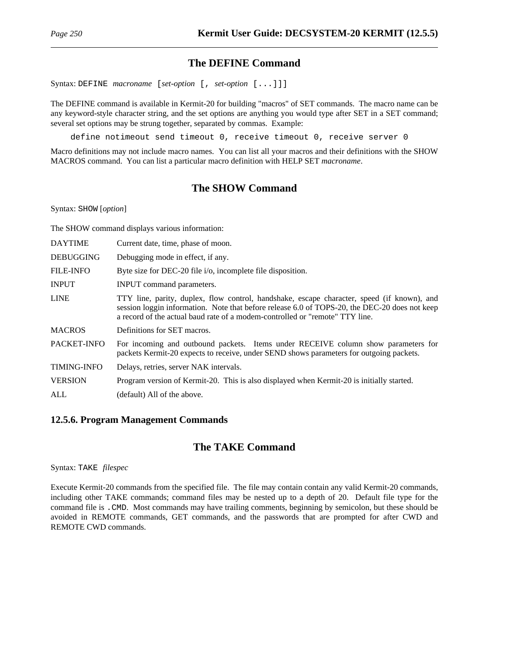# **The DEFINE Command**

Syntax: DEFINE *macroname* [*set-option* [, *set-option* [...]]]

The DEFINE command is available in Kermit-20 for building "macros" of SET commands. The macro name can be any keyword-style character string, and the set options are anything you would type after SET in a SET command; several set options may be strung together, separated by commas. Example:

define notimeout send timeout 0, receive timeout 0, receive server 0

Macro definitions may not include macro names. You can list all your macros and their definitions with the SHOW MACROS command. You can list a particular macro definition with HELP SET *macroname*.

# **The SHOW Command**

Syntax: SHOW [*option*]

The SHOW command displays various information:

| <b>DAYTIME</b>     | Current date, time, phase of moon.                                                                                                                                                                                                                                          |
|--------------------|-----------------------------------------------------------------------------------------------------------------------------------------------------------------------------------------------------------------------------------------------------------------------------|
| <b>DEBUGGING</b>   | Debugging mode in effect, if any.                                                                                                                                                                                                                                           |
| <b>FILE-INFO</b>   | Byte size for DEC-20 file i/o, incomplete file disposition.                                                                                                                                                                                                                 |
| <b>INPUT</b>       | <b>INPUT</b> command parameters.                                                                                                                                                                                                                                            |
| <b>LINE</b>        | TTY line, parity, duplex, flow control, handshake, escape character, speed (if known), and<br>session loggin information. Note that before release 6.0 of TOPS-20, the DEC-20 does not keep<br>a record of the actual baud rate of a modem-controlled or "remote" TTY line. |
| <b>MACROS</b>      | Definitions for SET macros.                                                                                                                                                                                                                                                 |
| PACKET-INFO        | For incoming and outbound packets. Items under RECEIVE column show parameters for<br>packets Kermit-20 expects to receive, under SEND shows parameters for outgoing packets.                                                                                                |
| <b>TIMING-INFO</b> | Delays, retries, server NAK intervals.                                                                                                                                                                                                                                      |
| <b>VERSION</b>     | Program version of Kermit-20. This is also displayed when Kermit-20 is initially started.                                                                                                                                                                                   |
| ALL                | (default) All of the above.                                                                                                                                                                                                                                                 |

### **12.5.6. Program Management Commands**

# **The TAKE Command**

Syntax: TAKE *filespec*

Execute Kermit-20 commands from the specified file. The file may contain contain any valid Kermit-20 commands, including other TAKE commands; command files may be nested up to a depth of 20. Default file type for the command file is .CMD. Most commands may have trailing comments, beginning by semicolon, but these should be avoided in REMOTE commands, GET commands, and the passwords that are prompted for after CWD and REMOTE CWD commands.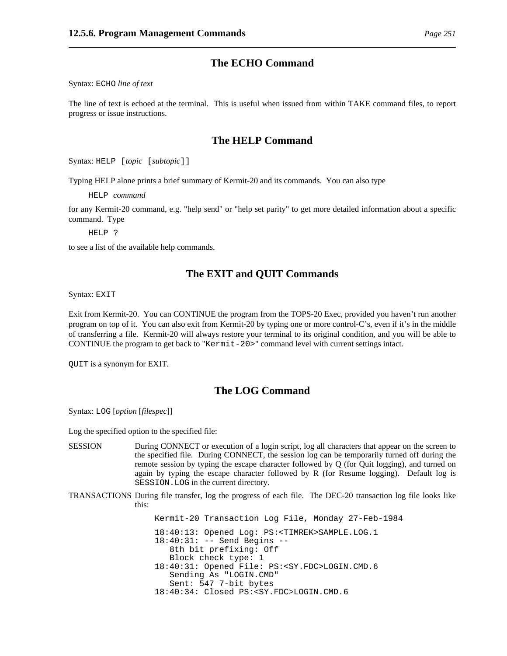### **The ECHO Command**

Syntax: ECHO *line of text*

The line of text is echoed at the terminal. This is useful when issued from within TAKE command files, to report progress or issue instructions.

### **The HELP Command**

Syntax: HELP [*topic* [*subtopic*]]

Typing HELP alone prints a brief summary of Kermit-20 and its commands. You can also type

HELP *command*

for any Kermit-20 command, e.g. "help send" or "help set parity" to get more detailed information about a specific command. Type

HELP ?

to see a list of the available help commands.

### **The EXIT and QUIT Commands**

Syntax: EXIT

Exit from Kermit-20. You can CONTINUE the program from the TOPS-20 Exec, provided you haven't run another program on top of it. You can also exit from Kermit-20 by typing one or more control-C's, even if it's in the middle of transferring a file. Kermit-20 will always restore your terminal to its original condition, and you will be able to CONTINUE the program to get back to "Kermit-20>" command level with current settings intact.

QUIT is a synonym for EXIT.

### **The LOG Command**

Syntax: LOG [*option* [*filespec*]]

Log the specified option to the specified file:

- SESSION During CONNECT or execution of a login script, log all characters that appear on the screen to the specified file. During CONNECT, the session log can be temporarily turned off during the remote session by typing the escape character followed by Q (for Quit logging), and turned on again by typing the escape character followed by R (for Resume logging). Default log is SESSION.LOG in the current directory.
- TRANSACTIONS During file transfer, log the progress of each file. The DEC-20 transaction log file looks like this:

Kermit-20 Transaction Log File, Monday 27-Feb-1984 18:40:13: Opened Log: PS:<TIMREK>SAMPLE.LOG.1 18:40:31: -- Send Begins -- 8th bit prefixing: Off Block check type: 1 18:40:31: Opened File: PS:<SY.FDC>LOGIN.CMD.6 Sending As "LOGIN.CMD" Sent: 547 7-bit bytes 18:40:34: Closed PS:<SY.FDC>LOGIN.CMD.6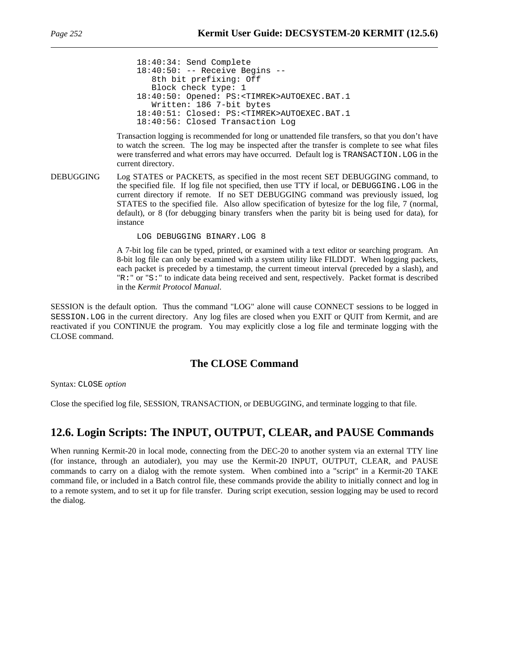```
18:40:34: Send Complete
18:40:50: -- Receive Begins --
   8th bit prefixing: Off
   Block check type: 1
18:40:50: Opened: PS:<TIMREK>AUTOEXEC.BAT.1
  Written: 186 7-bit bytes
18:40:51: Closed: PS:<TIMREK>AUTOEXEC.BAT.1
18:40:56: Closed Transaction Log
```
Transaction logging is recommended for long or unattended file transfers, so that you don't have to watch the screen. The log may be inspected after the transfer is complete to see what files were transferred and what errors may have occurred. Default log is TRANSACTION.LOG in the current directory.

DEBUGGING Log STATES or PACKETS, as specified in the most recent SET DEBUGGING command, to the specified file. If log file not specified, then use TTY if local, or DEBUGGING.LOG in the current directory if remote. If no SET DEBUGGING command was previously issued, log STATES to the specified file. Also allow specification of bytesize for the log file, 7 (normal, default), or 8 (for debugging binary transfers when the parity bit is being used for data), for instance

LOG DEBUGGING BINARY.LOG 8

A 7-bit log file can be typed, printed, or examined with a text editor or searching program. An 8-bit log file can only be examined with a system utility like FILDDT. When logging packets, each packet is preceded by a timestamp, the current timeout interval (preceded by a slash), and "R:" or "S:" to indicate data being received and sent, respectively. Packet format is described in the *Kermit Protocol Manual*.

SESSION is the default option. Thus the command "LOG" alone will cause CONNECT sessions to be logged in SESSION.LOG in the current directory. Any log files are closed when you EXIT or QUIT from Kermit, and are reactivated if you CONTINUE the program. You may explicitly close a log file and terminate logging with the CLOSE command.

## **The CLOSE Command**

Syntax: CLOSE *option*

Close the specified log file, SESSION, TRANSACTION, or DEBUGGING, and terminate logging to that file.

## **12.6. Login Scripts: The INPUT, OUTPUT, CLEAR, and PAUSE Commands**

When running Kermit-20 in local mode, connecting from the DEC-20 to another system via an external TTY line (for instance, through an autodialer), you may use the Kermit-20 INPUT, OUTPUT, CLEAR, and PAUSE commands to carry on a dialog with the remote system. When combined into a "script" in a Kermit-20 TAKE command file, or included in a Batch control file, these commands provide the ability to initially connect and log in to a remote system, and to set it up for file transfer. During script execution, session logging may be used to record the dialog.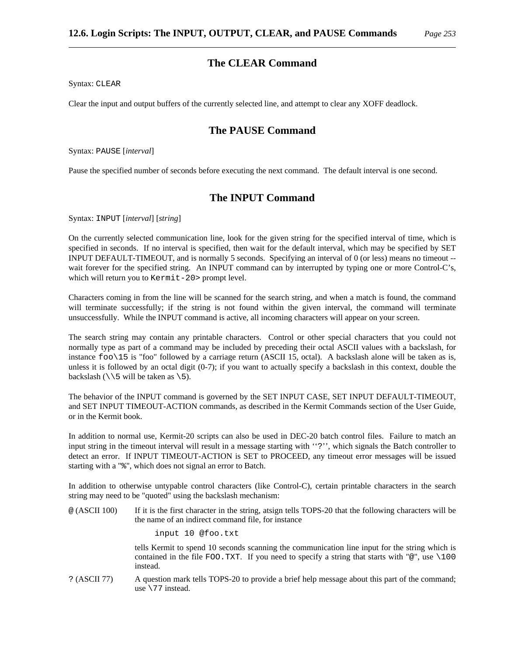Syntax: CLEAR

Clear the input and output buffers of the currently selected line, and attempt to clear any XOFF deadlock.

## **The PAUSE Command**

Syntax: PAUSE [*interval*]

Pause the specified number of seconds before executing the next command. The default interval is one second.

## **The INPUT Command**

Syntax: INPUT [*interval*] [*string*]

On the currently selected communication line, look for the given string for the specified interval of time, which is specified in seconds. If no interval is specified, then wait for the default interval, which may be specified by SET INPUT DEFAULT-TIMEOUT, and is normally 5 seconds. Specifying an interval of 0 (or less) means no timeout - wait forever for the specified string. An INPUT command can by interrupted by typing one or more Control-C's, which will return you to Kermit-20> prompt level.

Characters coming in from the line will be scanned for the search string, and when a match is found, the command will terminate successfully; if the string is not found within the given interval, the command will terminate unsuccessfully. While the INPUT command is active, all incoming characters will appear on your screen.

The search string may contain any printable characters. Control or other special characters that you could not normally type as part of a command may be included by preceding their octal ASCII values with a backslash, for instance foo\15 is "foo" followed by a carriage return (ASCII 15, octal). A backslash alone will be taken as is, unless it is followed by an octal digit (0-7); if you want to actually specify a backslash in this context, double the backslash  $(\15 \text{ will be taken as } 5)$ .

The behavior of the INPUT command is governed by the SET INPUT CASE, SET INPUT DEFAULT-TIMEOUT, and SET INPUT TIMEOUT-ACTION commands, as described in the Kermit Commands section of the User Guide, or in the Kermit book.

In addition to normal use, Kermit-20 scripts can also be used in DEC-20 batch control files. Failure to match an input string in the timeout interval will result in a message starting with ''?'', which signals the Batch controller to detect an error. If INPUT TIMEOUT-ACTION is SET to PROCEED, any timeout error messages will be issued starting with a "%", which does not signal an error to Batch.

In addition to otherwise untypable control characters (like Control-C), certain printable characters in the search string may need to be "quoted" using the backslash mechanism:

@ (ASCII 100) If it is the first character in the string, atsign tells TOPS-20 that the following characters will be the name of an indirect command file, for instance

input 10 @foo.txt

tells Kermit to spend 10 seconds scanning the communication line input for the string which is contained in the file FOO.TXT. If you need to specify a string that starts with " $@$ ", use \100 instead.

? (ASCII 77) A question mark tells TOPS-20 to provide a brief help message about this part of the command; use \77 instead.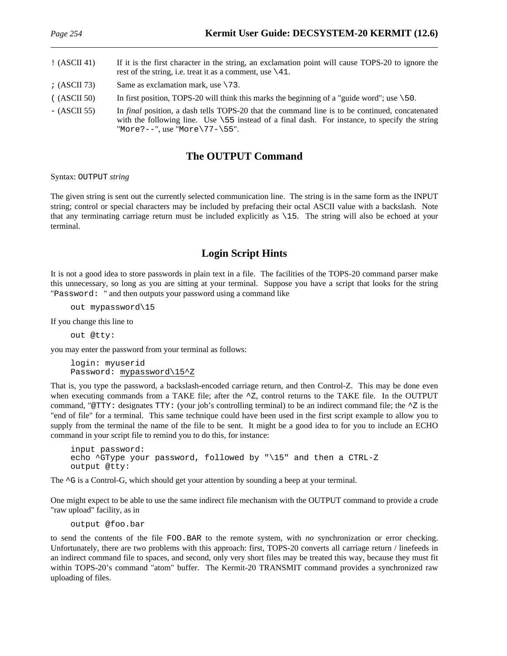## ! (ASCII 41) If it is the first character in the string, an exclamation point will cause TOPS-20 to ignore the rest of the string, i.e. treat it as a comment, use  $\setminus$  41.  $\chi$  (ASCII 73) Same as exclamation mark, use \73.  $($  (ASCII 50) In first position, TOPS-20 will think this marks the beginning of a "guide word"; use  $\setminus$  50.

- (ASCII 55) In *final* position, a dash tells TOPS-20 that the command line is to be continued, concatenated with the following line. Use  $\sqrt{55}$  instead of a final dash. For instance, to specify the string "More?--", use "More\77-\55".

## **The OUTPUT Command**

Syntax: OUTPUT *string*

The given string is sent out the currently selected communication line. The string is in the same form as the INPUT string; control or special characters may be included by prefacing their octal ASCII value with a backslash. Note that any terminating carriage return must be included explicitly as \15. The string will also be echoed at your terminal.

## **Login Script Hints**

It is not a good idea to store passwords in plain text in a file. The facilities of the TOPS-20 command parser make this unnecessary, so long as you are sitting at your terminal. Suppose you have a script that looks for the string "Password: " and then outputs your password using a command like

out mypassword\15

If you change this line to

out @tty:

you may enter the password from your terminal as follows:

```
login: myuserid
Password: mypassword\15^Z
```
That is, you type the password, a backslash-encoded carriage return, and then Control-Z. This may be done even when executing commands from a TAKE file; after the  $^{\circ}Z$ , control returns to the TAKE file. In the OUTPUT command, "@TTY: designates TTY: (your job's controlling terminal) to be an indirect command file; the  $\sim$ Z is the "end of file" for a terminal. This same technique could have been used in the first script example to allow you to supply from the terminal the name of the file to be sent. It might be a good idea to for you to include an ECHO command in your script file to remind you to do this, for instance:

```
input password:
echo ^GType your password, followed by "\15" and then a CTRL-Z
output @tty:
```
The  $\sim$ G is a Control-G, which should get your attention by sounding a beep at your terminal.

One might expect to be able to use the same indirect file mechanism with the OUTPUT command to provide a crude "raw upload" facility, as in

output @foo.bar

to send the contents of the file FOO.BAR to the remote system, with *no* synchronization or error checking. Unfortunately, there are two problems with this approach: first, TOPS-20 converts all carriage return / linefeeds in an indirect command file to spaces, and second, only very short files may be treated this way, because they must fit within TOPS-20's command "atom" buffer. The Kermit-20 TRANSMIT command provides a synchronized raw uploading of files.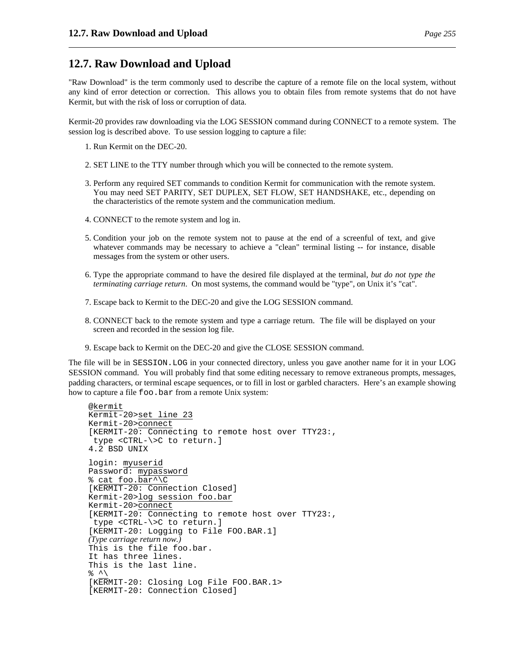## **12.7. Raw Download and Upload**

"Raw Download" is the term commonly used to describe the capture of a remote file on the local system, without any kind of error detection or correction. This allows you to obtain files from remote systems that do not have Kermit, but with the risk of loss or corruption of data.

Kermit-20 provides raw downloading via the LOG SESSION command during CONNECT to a remote system. The session log is described above. To use session logging to capture a file:

- 1. Run Kermit on the DEC-20.
- 2. SET LINE to the TTY number through which you will be connected to the remote system.
- 3. Perform any required SET commands to condition Kermit for communication with the remote system. You may need SET PARITY, SET DUPLEX, SET FLOW, SET HANDSHAKE, etc., depending on the characteristics of the remote system and the communication medium.
- 4. CONNECT to the remote system and log in.
- 5. Condition your job on the remote system not to pause at the end of a screenful of text, and give whatever commands may be necessary to achieve a "clean" terminal listing -- for instance, disable messages from the system or other users.
- 6. Type the appropriate command to have the desired file displayed at the terminal, *but do not type the terminating carriage return*. On most systems, the command would be "type", on Unix it's "cat".
- 7. Escape back to Kermit to the DEC-20 and give the LOG SESSION command.
- 8. CONNECT back to the remote system and type a carriage return. The file will be displayed on your screen and recorded in the session log file.
- 9. Escape back to Kermit on the DEC-20 and give the CLOSE SESSION command.

The file will be in SESSION.LOG in your connected directory, unless you gave another name for it in your LOG SESSION command. You will probably find that some editing necessary to remove extraneous prompts, messages, padding characters, or terminal escape sequences, or to fill in lost or garbled characters. Here's an example showing how to capture a file foo.bar from a remote Unix system:

```
@kermit
Kermit-20>set line 23
Kermit-20>connect
[KERMIT-20: Connecting to remote host over TTY23:,
 type <CTRL-\>C to return.]
4.2 BSD UNIX
login: myuserid
Password: mypassword
% cat foo.bar^\C
[KERMIT-20: Connection Closed]
Kermit-20>log session foo.bar
Kermit-20>connect
[KERMIT-20: Connecting to remote host over TTY23:,
 type <CTRL-\>C to return.]
[KERMIT-20: Logging to File FOO.BAR.1]
(Type carriage return now.)
This is the file foo.bar.
It has three lines.
This is the last line.
\frac{8}{6} ^\
[KERMIT-20: Closing Log File FOO.BAR.1>
[KERMIT-20: Connection Closed]
```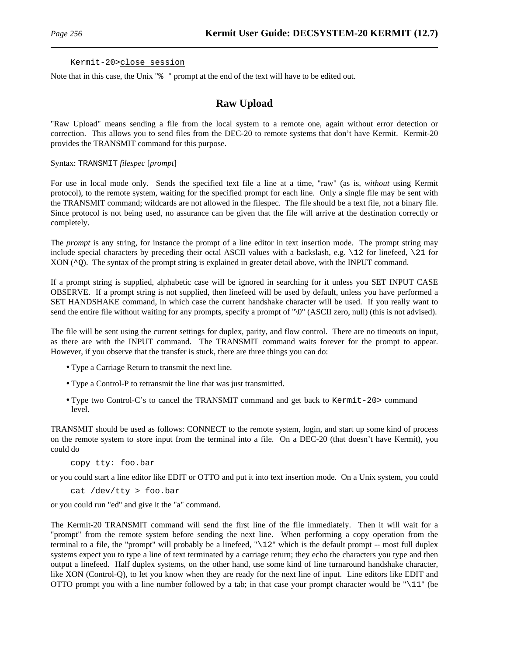#### Kermit-20>close session

Note that in this case, the Unix "% " prompt at the end of the text will have to be edited out.

## **Raw Upload**

"Raw Upload" means sending a file from the local system to a remote one, again without error detection or correction. This allows you to send files from the DEC-20 to remote systems that don't have Kermit. Kermit-20 provides the TRANSMIT command for this purpose.

#### Syntax: TRANSMIT *filespec* [*prompt*]

For use in local mode only. Sends the specified text file a line at a time, "raw" (as is, *without* using Kermit protocol), to the remote system, waiting for the specified prompt for each line. Only a single file may be sent with the TRANSMIT command; wildcards are not allowed in the filespec. The file should be a text file, not a binary file. Since protocol is not being used, no assurance can be given that the file will arrive at the destination correctly or completely.

The *prompt* is any string, for instance the prompt of a line editor in text insertion mode. The prompt string may include special characters by preceding their octal ASCII values with a backslash, e.g. \12 for linefeed, \21 for  $XON (^{\circ}Q)$ . The syntax of the prompt string is explained in greater detail above, with the INPUT command.

If a prompt string is supplied, alphabetic case will be ignored in searching for it unless you SET INPUT CASE OBSERVE. If a prompt string is not supplied, then linefeed will be used by default, unless you have performed a SET HANDSHAKE command, in which case the current handshake character will be used. If you really want to send the entire file without waiting for any prompts, specify a prompt of "\0" (ASCII zero, null) (this is not advised).

The file will be sent using the current settings for duplex, parity, and flow control. There are no timeouts on input, as there are with the INPUT command. The TRANSMIT command waits forever for the prompt to appear. However, if you observe that the transfer is stuck, there are three things you can do:

- Type a Carriage Return to transmit the next line.
- Type a Control-P to retransmit the line that was just transmitted.
- Type two Control-C's to cancel the TRANSMIT command and get back to Kermit-20> command level.

TRANSMIT should be used as follows: CONNECT to the remote system, login, and start up some kind of process on the remote system to store input from the terminal into a file. On a DEC-20 (that doesn't have Kermit), you could do

copy tty: foo.bar

or you could start a line editor like EDIT or OTTO and put it into text insertion mode. On a Unix system, you could

cat /dev/tty > foo.bar

or you could run "ed" and give it the "a" command.

The Kermit-20 TRANSMIT command will send the first line of the file immediately. Then it will wait for a "prompt" from the remote system before sending the next line. When performing a copy operation from the terminal to a file, the "prompt" will probably be a linefeed, "\12" which is the default prompt -- most full duplex systems expect you to type a line of text terminated by a carriage return; they echo the characters you type and then output a linefeed. Half duplex systems, on the other hand, use some kind of line turnaround handshake character, like XON (Control-Q), to let you know when they are ready for the next line of input. Line editors like EDIT and OTTO prompt you with a line number followed by a tab; in that case your prompt character would be " $\setminus$ 11" (be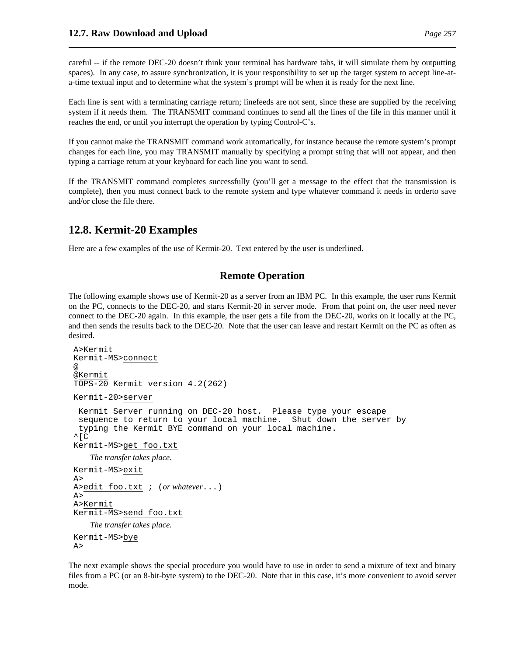careful -- if the remote DEC-20 doesn't think your terminal has hardware tabs, it will simulate them by outputting spaces). In any case, to assure synchronization, it is your responsibility to set up the target system to accept line-ata-time textual input and to determine what the system's prompt will be when it is ready for the next line.

Each line is sent with a terminating carriage return; linefeeds are not sent, since these are supplied by the receiving system if it needs them. The TRANSMIT command continues to send all the lines of the file in this manner until it reaches the end, or until you interrupt the operation by typing Control-C's.

If you cannot make the TRANSMIT command work automatically, for instance because the remote system's prompt changes for each line, you may TRANSMIT manually by specifying a prompt string that will not appear, and then typing a carriage return at your keyboard for each line you want to send.

If the TRANSMIT command completes successfully (you'll get a message to the effect that the transmission is complete), then you must connect back to the remote system and type whatever command it needs in orderto save and/or close the file there.

## **12.8. Kermit-20 Examples**

Here are a few examples of the use of Kermit-20. Text entered by the user is underlined.

## **Remote Operation**

The following example shows use of Kermit-20 as a server from an IBM PC. In this example, the user runs Kermit on the PC, connects to the DEC-20, and starts Kermit-20 in server mode. From that point on, the user need never connect to the DEC-20 again. In this example, the user gets a file from the DEC-20, works on it locally at the PC, and then sends the results back to the DEC-20. Note that the user can leave and restart Kermit on the PC as often as desired.

```
A>Kermit
Kermit-MS>connect
@
@Kermit
TOPS-20 Kermit version 4.2(262)
Kermit-20>server
 Kermit Server running on DEC-20 host. Please type your escape
 sequence to return to your local machine. Shut down the server by
 typing the Kermit BYE command on your local machine.
\overline{\overline{C}}Kermit-MS>get foo.txt
   The transfer takes place.
Kermit-MS>exit
A >A>edit foo.txt ; (or whatever...)
A>
A>Kermit
Kermit-MS>send foo.txt
   The transfer takes place.
Kermit-MS>bye
A>
```
The next example shows the special procedure you would have to use in order to send a mixture of text and binary files from a PC (or an 8-bit-byte system) to the DEC-20. Note that in this case, it's more convenient to avoid server mode.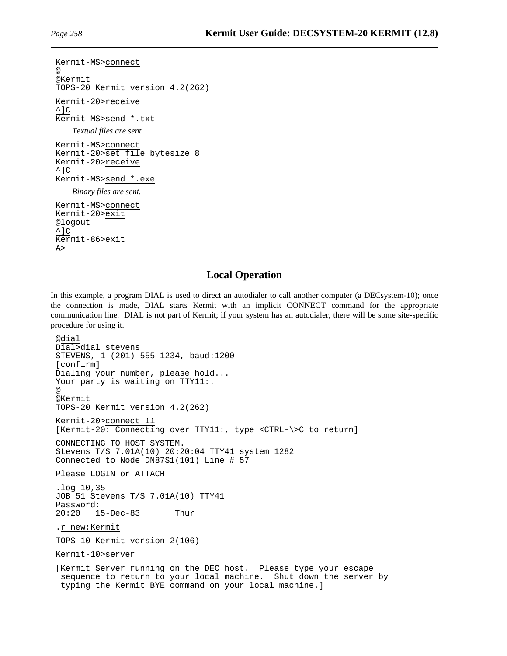```
Kermit-MS>connect
@
@Kermit
TOPS-20 Kermit version 4.2(262)
Kermit-20>receive
^{\wedge}]C
Kermit-MS>send *.txt
    Textual files are sent.
Kermit-MS>connect
Kermit-20>set file bytesize 8
Kermit-20>receive
^{\wedge}]C
Kermit-MS>send *.exe
    Binary files are sent.
Kermit-MS>connect
Kermit-20>exit
@logout
\overline{C}Kermit-86>exit
A >
```
## **Local Operation**

In this example, a program DIAL is used to direct an autodialer to call another computer (a DECsystem-10); once the connection is made, DIAL starts Kermit with an implicit CONNECT command for the appropriate communication line. DIAL is not part of Kermit; if your system has an autodialer, there will be some site-specific procedure for using it.

```
@dial
Dial>dial stevens
STEVENS, 1-(201) 555-1234, baud:1200
[confirm]
Dialing your number, please hold...
Your party is waiting on TTY11:.
@
@Kermit
TOPS-20 Kermit version 4.2(262)
Kermit-20>connect 11
[Kermit-20: Connecting over TTY11:, type <CTRL-\>C to return]
CONNECTING TO HOST SYSTEM.
Stevens T/S 7.01A(10) 20:20:04 TTY41 system 1282
Connected to Node DN87S1(101) Line # 57
Please LOGIN or ATTACH
.log 10,35
JOB 51 Stevens T/S 7.01A(10) TTY41
Password:
20:20 15-Dec-83 Thur
.r new:Kermit
TOPS-10 Kermit version 2(106)
Kermit-10>server
[Kermit Server running on the DEC host. Please type your escape
 sequence to return to your local machine. Shut down the server by
 typing the Kermit BYE command on your local machine.]
```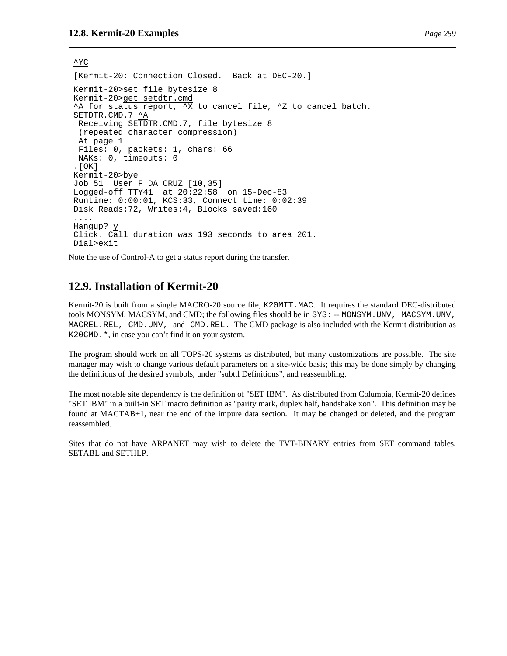$\mathsf{\uparrow} \mathsf{YC}$ 

```
[Kermit-20: Connection Closed. Back at DEC-20.]
Kermit-20>set file bytesize 8
Kermit-20>get setdtr.cmd
^A for status report, ^X to cancel file, ^Z to cancel batch.
SETDTR.CMD.7 ^A
Receiving SETDTR.CMD.7, file bytesize 8
 (repeated character compression)
At page 1
Files: 0, packets: 1, chars: 66
NAKs: 0, timeouts: 0
.[OK]
Kermit-20>bye
Job 51 User F DA CRUZ [10,35]
Logged-off TTY41 at 20:22:58 on 15-Dec-83
Runtime: 0:00:01, KCS:33, Connect time: 0:02:39
Disk Reads:72, Writes:4, Blocks saved:160
....
Hangup? y
Click. Call duration was 193 seconds to area 201.
Dial>exit
```
Note the use of Control-A to get a status report during the transfer.

## **12.9. Installation of Kermit-20**

Kermit-20 is built from a single MACRO-20 source file, K20MIT.MAC. It requires the standard DEC-distributed tools MONSYM, MACSYM, and CMD; the following files should be in SYS: -- MONSYM.UNV, MACSYM.UNV, MACREL.REL, CMD.UNV, and CMD.REL. The CMD package is also included with the Kermit distribution as K20CMD.\*, in case you can't find it on your system.

The program should work on all TOPS-20 systems as distributed, but many customizations are possible. The site manager may wish to change various default parameters on a site-wide basis; this may be done simply by changing the definitions of the desired symbols, under "subttl Definitions", and reassembling.

The most notable site dependency is the definition of "SET IBM". As distributed from Columbia, Kermit-20 defines "SET IBM" in a built-in SET macro definition as "parity mark, duplex half, handshake xon". This definition may be found at MACTAB+1, near the end of the impure data section. It may be changed or deleted, and the program reassembled.

Sites that do not have ARPANET may wish to delete the TVT-BINARY entries from SET command tables, SETABL and SETHLP.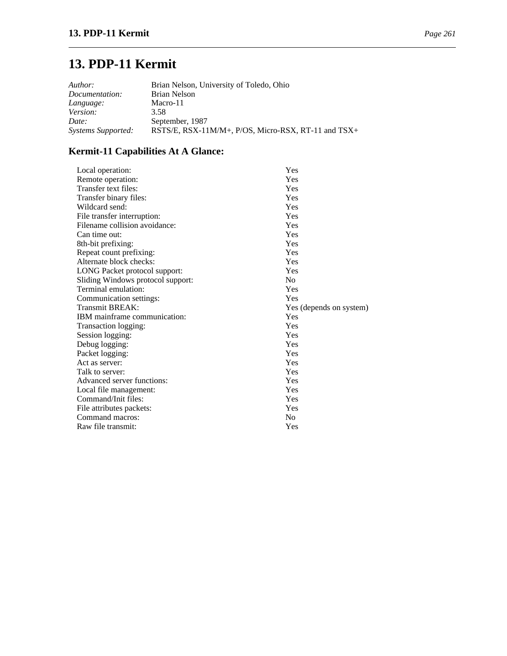# **13. PDP-11 Kermit**

| Author:            | Brian Nelson, University of Toledo, Ohio            |
|--------------------|-----------------------------------------------------|
| Documentation:     | Brian Nelson                                        |
| Language:          | Macro-11                                            |
| Version:           | 3.58                                                |
| Date:              | September, 1987                                     |
| Systems Supported: | RSTS/E, RSX-11M/M+, P/OS, Micro-RSX, RT-11 and TSX+ |

## **Kermit-11 Capabilities At A Glance:**

| Local operation:                  | Yes                     |
|-----------------------------------|-------------------------|
| Remote operation:                 | Yes                     |
| Transfer text files:              | Yes                     |
| Transfer binary files:            | Yes                     |
| Wildcard send:                    | Yes                     |
| File transfer interruption:       | Yes                     |
| Filename collision avoidance:     | Yes                     |
| Can time out:                     | Yes                     |
| 8th-bit prefixing:                | Yes                     |
| Repeat count prefixing:           | Yes                     |
| Alternate block checks:           | Yes                     |
| LONG Packet protocol support:     | Yes                     |
| Sliding Windows protocol support: | N <sub>0</sub>          |
| Terminal emulation:               | Yes                     |
| Communication settings:           | Yes                     |
| <b>Transmit BREAK:</b>            | Yes (depends on system) |
| IBM mainframe communication:      | Yes                     |
| Transaction logging:              | Yes                     |
| Session logging:                  | Yes                     |
| Debug logging:                    | Yes                     |
| Packet logging:                   | Yes                     |
| Act as server:                    | Yes                     |
| Talk to server:                   | Yes                     |
| Advanced server functions:        | Yes                     |
| Local file management:            | Yes                     |
| Command/Init files:               | Yes                     |
| File attributes packets:          | Yes                     |
| Command macros:                   | No                      |
| Raw file transmit:                | Yes                     |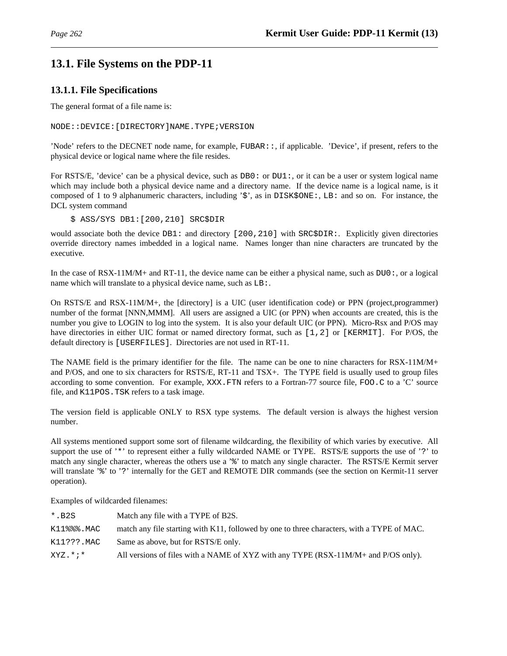## **13.1. File Systems on the PDP-11**

## **13.1.1. File Specifications**

The general format of a file name is:

NODE::DEVICE:[DIRECTORY]NAME.TYPE;VERSION

'Node' refers to the DECNET node name, for example, FUBAR::, if applicable. 'Device', if present, refers to the physical device or logical name where the file resides.

For RSTS/E, 'device' can be a physical device, such as DB0: or DU1:, or it can be a user or system logical name which may include both a physical device name and a directory name. If the device name is a logical name, is it composed of 1 to 9 alphanumeric characters, including '\$', as in DISK\$ONE:, LB: and so on. For instance, the DCL system command

\$ ASS/SYS DB1:[200,210] SRC\$DIR

would associate both the device DB1: and directory [200,210] with SRC\$DIR: Explicitly given directories override directory names imbedded in a logical name. Names longer than nine characters are truncated by the executive.

In the case of RSX-11M/M+ and RT-11, the device name can be either a physical name, such as DU0:, or a logical name which will translate to a physical device name, such as LB:.

On RSTS/E and RSX-11M/M+, the [directory] is a UIC (user identification code) or PPN (project,programmer) number of the format [NNN,MMM]. All users are assigned a UIC (or PPN) when accounts are created, this is the number you give to LOGIN to log into the system. It is also your default UIC (or PPN). Micro-Rsx and P/OS may have directories in either UIC format or named directory format, such as [1,2] or [KERMIT]. For P/OS, the default directory is [USERFILES]. Directories are not used in RT-11.

The NAME field is the primary identifier for the file. The name can be one to nine characters for RSX-11M/M+ and P/OS, and one to six characters for RSTS/E, RT-11 and TSX+. The TYPE field is usually used to group files according to some convention. For example, XXX.FTN refers to a Fortran-77 source file, FOO.C to a 'C' source file, and K11POS.TSK refers to a task image.

The version field is applicable ONLY to RSX type systems. The default version is always the highest version number.

All systems mentioned support some sort of filename wildcarding, the flexibility of which varies by executive. All support the use of '\*' to represent either a fully wildcarded NAME or TYPE. RSTS/E supports the use of '?' to match any single character, whereas the others use a '%' to match any single character. The RSTS/E Kermit server will translate '%' to '?' internally for the GET and REMOTE DIR commands (see the section on Kermit-11 server operation).

Examples of wildcarded filenames:

| $*$ . B2S        | Match any file with a TYPE of B2S.                                                         |
|------------------|--------------------------------------------------------------------------------------------|
| $K11$ %%%. $MAC$ | match any file starting with K11, followed by one to three characters, with a TYPE of MAC. |
| K11???.MAC       | Same as above, but for RSTS/E only.                                                        |
| $XYZ.*$          | All versions of files with a NAME of XYZ with any TYPE (RSX-11M/M+ and P/OS only).         |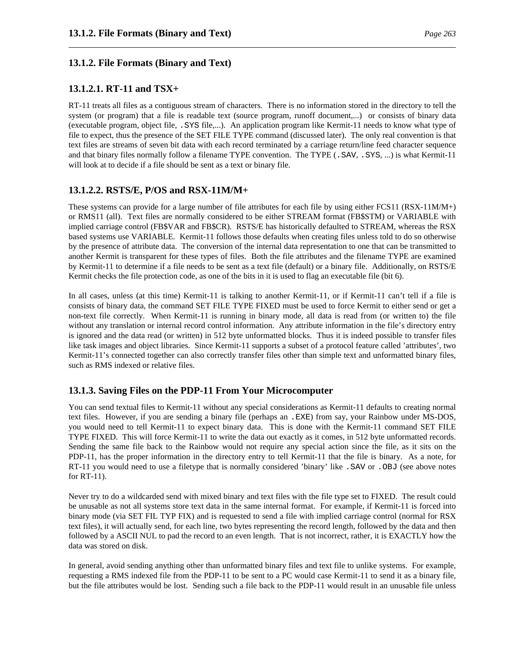## **13.1.2. File Formats (Binary and Text)**

## **13.1.2.1. RT-11 and TSX+**

RT-11 treats all files as a contiguous stream of characters. There is no information stored in the directory to tell the system (or program) that a file is readable text (source program, runoff document,...) or consists of binary data (executable program, object file, .SYS file,...). An application program like Kermit-11 needs to know what type of file to expect, thus the presence of the SET FILE TYPE command (discussed later). The only real convention is that text files are streams of seven bit data with each record terminated by a carriage return/line feed character sequence and that binary files normally follow a filename TYPE convention. The TYPE (. SAV, . SYS, ...) is what Kermit-11 will look at to decide if a file should be sent as a text or binary file.

## **13.1.2.2. RSTS/E, P/OS and RSX-11M/M+**

These systems can provide for a large number of file attributes for each file by using either FCS11 (RSX-11M/M+) or RMS11 (all). Text files are normally considered to be either STREAM format (FB\$STM) or VARIABLE with implied carriage control (FB\$VAR and FB\$CR). RSTS/E has historically defaulted to STREAM, whereas the RSX based systems use VARIABLE. Kermit-11 follows those defaults when creating files unless told to do so otherwise by the presence of attribute data. The conversion of the internal data representation to one that can be transmitted to another Kermit is transparent for these types of files. Both the file attributes and the filename TYPE are examined by Kermit-11 to determine if a file needs to be sent as a text file (default) or a binary file. Additionally, on RSTS/E Kermit checks the file protection code, as one of the bits in it is used to flag an executable file (bit 6).

In all cases, unless (at this time) Kermit-11 is talking to another Kermit-11, or if Kermit-11 can't tell if a file is consists of binary data, the command SET FILE TYPE FIXED must be used to force Kermit to either send or get a non-text file correctly. When Kermit-11 is running in binary mode, all data is read from (or written to) the file without any translation or internal record control information. Any attribute information in the file's directory entry is ignored and the data read (or written) in 512 byte unformatted blocks. Thus it is indeed possible to transfer files like task images and object libraries. Since Kermit-11 supports a subset of a protocol feature called 'attributes', two Kermit-11's connected together can also correctly transfer files other than simple text and unformatted binary files, such as RMS indexed or relative files.

## **13.1.3. Saving Files on the PDP-11 From Your Microcomputer**

You can send textual files to Kermit-11 without any special considerations as Kermit-11 defaults to creating normal text files. However, if you are sending a binary file (perhaps an .EXE) from say, your Rainbow under MS-DOS, you would need to tell Kermit-11 to expect binary data. This is done with the Kermit-11 command SET FILE TYPE FIXED. This will force Kermit-11 to write the data out exactly as it comes, in 512 byte unformatted records. Sending the same file back to the Rainbow would not require any special action since the file, as it sits on the PDP-11, has the proper information in the directory entry to tell Kermit-11 that the file is binary. As a note, for RT-11 you would need to use a filetype that is normally considered 'binary' like .SAV or .OBJ (see above notes for RT-11).

Never try to do a wildcarded send with mixed binary and text files with the file type set to FIXED. The result could be unusable as not all systems store text data in the same internal format. For example, if Kermit-11 is forced into binary mode (via SET FIL TYP FIX) and is requested to send a file with implied carriage control (normal for RSX text files), it will actually send, for each line, two bytes representing the record length, followed by the data and then followed by a ASCII NUL to pad the record to an even length. That is not incorrect, rather, it is EXACTLY how the data was stored on disk.

In general, avoid sending anything other than unformatted binary files and text file to unlike systems. For example, requesting a RMS indexed file from the PDP-11 to be sent to a PC would case Kermit-11 to send it as a binary file, but the file attributes would be lost. Sending such a file back to the PDP-11 would result in an unusable file unless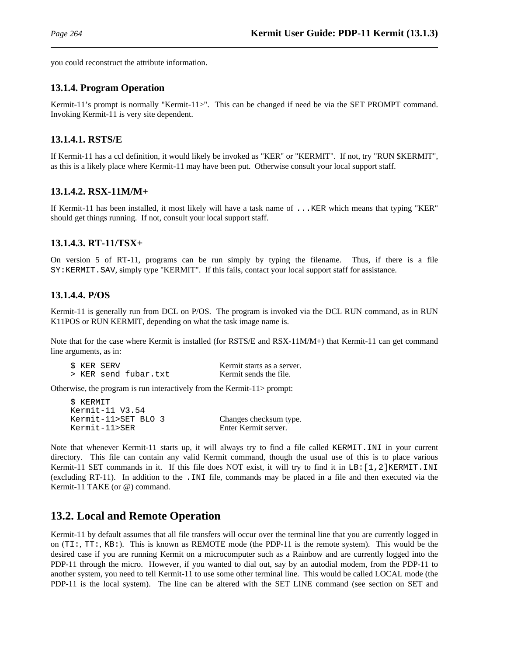you could reconstruct the attribute information.

## **13.1.4. Program Operation**

Kermit-11's prompt is normally "Kermit-11>". This can be changed if need be via the SET PROMPT command. Invoking Kermit-11 is very site dependent.

## **13.1.4.1. RSTS/E**

If Kermit-11 has a ccl definition, it would likely be invoked as "KER" or "KERMIT". If not, try "RUN \$KERMIT", as this is a likely place where Kermit-11 may have been put. Otherwise consult your local support staff.

## **13.1.4.2. RSX-11M/M+**

If Kermit-11 has been installed, it most likely will have a task name of ...KER which means that typing "KER" should get things running. If not, consult your local support staff.

## **13.1.4.3. RT-11/TSX+**

On version 5 of RT-11, programs can be run simply by typing the filename. Thus, if there is a file SY:KERMIT.SAV, simply type "KERMIT". If this fails, contact your local support staff for assistance.

## **13.1.4.4. P/OS**

Kermit-11 is generally run from DCL on P/OS. The program is invoked via the DCL RUN command, as in RUN K11POS or RUN KERMIT, depending on what the task image name is.

Note that for the case where Kermit is installed (for RSTS/E and RSX-11M/M+) that Kermit-11 can get command line arguments, as in:

|  | \$ KER SERV |                      | Kermit starts as a server. |
|--|-------------|----------------------|----------------------------|
|  |             | > KER send fubar.txt | Kermit sends the file.     |

Otherwise, the program is run interactively from the Kermit-11> prompt:

```
$ KERMIT
Kermit-11 V3.54
Kermit-11>SET BLO 3 Changes checksum type.
Kermit-11>SER Enter Kermit server.
```
Note that whenever Kermit-11 starts up, it will always try to find a file called KERMIT.INI in your current directory. This file can contain any valid Kermit command, though the usual use of this is to place various Kermit-11 SET commands in it. If this file does NOT exist, it will try to find it in LB: [1,2]KERMIT.INI (excluding RT-11). In addition to the .INI file, commands may be placed in a file and then executed via the Kermit-11 TAKE (or @) command.

## **13.2. Local and Remote Operation**

Kermit-11 by default assumes that all file transfers will occur over the terminal line that you are currently logged in on (TI:, TT:, KB:). This is known as REMOTE mode (the PDP-11 is the remote system). This would be the desired case if you are running Kermit on a microcomputer such as a Rainbow and are currently logged into the PDP-11 through the micro. However, if you wanted to dial out, say by an autodial modem, from the PDP-11 to another system, you need to tell Kermit-11 to use some other terminal line. This would be called LOCAL mode (the PDP-11 is the local system). The line can be altered with the SET LINE command (see section on SET and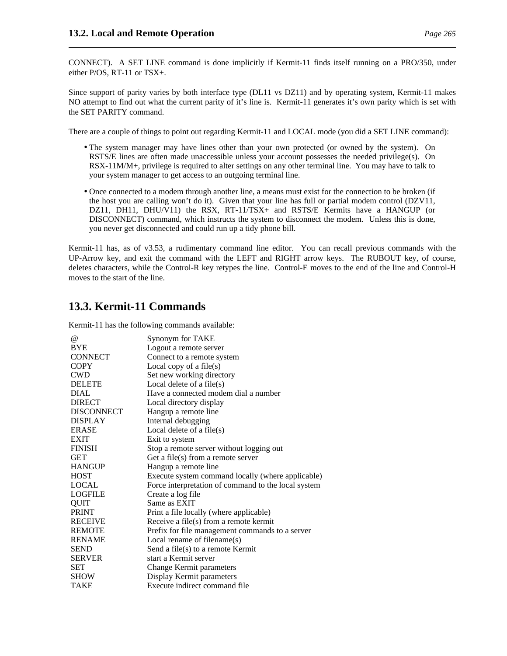CONNECT). A SET LINE command is done implicitly if Kermit-11 finds itself running on a PRO/350, under either P/OS, RT-11 or TSX+.

Since support of parity varies by both interface type (DL11 vs DZ11) and by operating system, Kermit-11 makes NO attempt to find out what the current parity of it's line is. Kermit-11 generates it's own parity which is set with the SET PARITY command.

There are a couple of things to point out regarding Kermit-11 and LOCAL mode (you did a SET LINE command):

- The system manager may have lines other than your own protected (or owned by the system). On RSTS/E lines are often made unaccessible unless your account possesses the needed privilege(s). On RSX-11M/M+, privilege is required to alter settings on any other terminal line. You may have to talk to your system manager to get access to an outgoing terminal line.
- Once connected to a modem through another line, a means must exist for the connection to be broken (if the host you are calling won't do it). Given that your line has full or partial modem control (DZV11, DZ11, DH11, DHU/V11) the RSX, RT-11/TSX+ and RSTS/E Kermits have a HANGUP (or DISCONNECT) command, which instructs the system to disconnect the modem. Unless this is done, you never get disconnected and could run up a tidy phone bill.

Kermit-11 has, as of v3.53, a rudimentary command line editor. You can recall previous commands with the UP-Arrow key, and exit the command with the LEFT and RIGHT arrow keys. The RUBOUT key, of course, deletes characters, while the Control-R key retypes the line. Control-E moves to the end of the line and Control-H moves to the start of the line.

## **13.3. Kermit-11 Commands**

Kermit-11 has the following commands available:

| $\omega$       | Synonym for TAKE                                    |
|----------------|-----------------------------------------------------|
| <b>BYE</b>     | Logout a remote server                              |
| <b>CONNECT</b> | Connect to a remote system                          |
| <b>COPY</b>    | Local copy of a file(s)                             |
| <b>CWD</b>     | Set new working directory                           |
| <b>DELETE</b>  | Local delete of a file $(s)$                        |
| <b>DIAL</b>    | Have a connected modem dial a number                |
| <b>DIRECT</b>  | Local directory display                             |
| DISCONNECT     | Hangup a remote line                                |
| <b>DISPLAY</b> | Internal debugging                                  |
| <b>ERASE</b>   | Local delete of a file $(s)$                        |
| <b>EXIT</b>    | Exit to system                                      |
| <b>FINISH</b>  | Stop a remote server without logging out            |
| <b>GET</b>     | Get a file(s) from a remote server                  |
| <b>HANGUP</b>  | Hangup a remote line                                |
| <b>HOST</b>    | Execute system command locally (where applicable)   |
| <b>LOCAL</b>   | Force interpretation of command to the local system |
| <b>LOGFILE</b> | Create a log file                                   |
| QUIT           | Same as EXIT                                        |
| <b>PRINT</b>   | Print a file locally (where applicable)             |
| <b>RECEIVE</b> | Receive a file(s) from a remote kermit              |
| <b>REMOTE</b>  | Prefix for file management commands to a server     |
| <b>RENAME</b>  | Local rename of filename(s)                         |
| <b>SEND</b>    | Send a file(s) to a remote Kermit                   |
| <b>SERVER</b>  | start a Kermit server                               |
| <b>SET</b>     | <b>Change Kermit parameters</b>                     |
| <b>SHOW</b>    | Display Kermit parameters                           |
| TAKE           | Execute indirect command file                       |
|                |                                                     |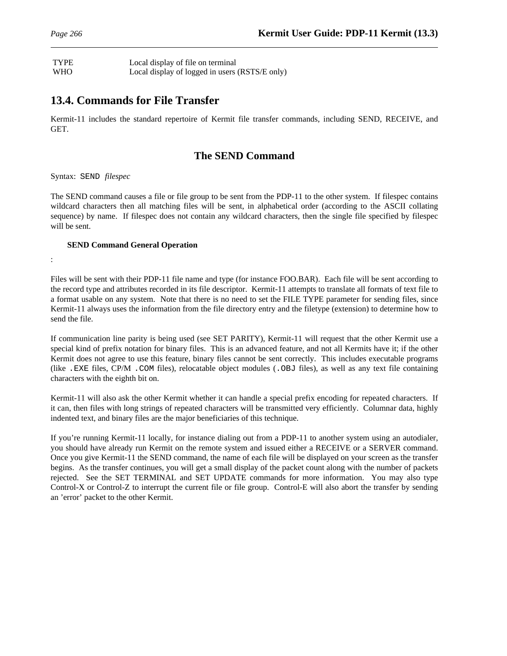## TYPE Local display of file on terminal WHO Local display of logged in users (RSTS/E only)

## **13.4. Commands for File Transfer**

Kermit-11 includes the standard repertoire of Kermit file transfer commands, including SEND, RECEIVE, and GET.

## **The SEND Command**

Syntax: SEND *filespec*

The SEND command causes a file or file group to be sent from the PDP-11 to the other system. If filespec contains wildcard characters then all matching files will be sent, in alphabetical order (according to the ASCII collating sequence) by name. If filespec does not contain any wildcard characters, then the single file specified by filespec will be sent.

### **SEND Command General Operation**

:

Files will be sent with their PDP-11 file name and type (for instance FOO.BAR). Each file will be sent according to the record type and attributes recorded in its file descriptor. Kermit-11 attempts to translate all formats of text file to a format usable on any system. Note that there is no need to set the FILE TYPE parameter for sending files, since Kermit-11 always uses the information from the file directory entry and the filetype (extension) to determine how to send the file.

If communication line parity is being used (see SET PARITY), Kermit-11 will request that the other Kermit use a special kind of prefix notation for binary files. This is an advanced feature, and not all Kermits have it; if the other Kermit does not agree to use this feature, binary files cannot be sent correctly. This includes executable programs (like .EXE files, CP/M .COM files), relocatable object modules (.OBJ files), as well as any text file containing characters with the eighth bit on.

Kermit-11 will also ask the other Kermit whether it can handle a special prefix encoding for repeated characters. If it can, then files with long strings of repeated characters will be transmitted very efficiently. Columnar data, highly indented text, and binary files are the major beneficiaries of this technique.

If you're running Kermit-11 locally, for instance dialing out from a PDP-11 to another system using an autodialer, you should have already run Kermit on the remote system and issued either a RECEIVE or a SERVER command. Once you give Kermit-11 the SEND command, the name of each file will be displayed on your screen as the transfer begins. As the transfer continues, you will get a small display of the packet count along with the number of packets rejected. See the SET TERMINAL and SET UPDATE commands for more information. You may also type Control-X or Control-Z to interrupt the current file or file group. Control-E will also abort the transfer by sending an 'error' packet to the other Kermit.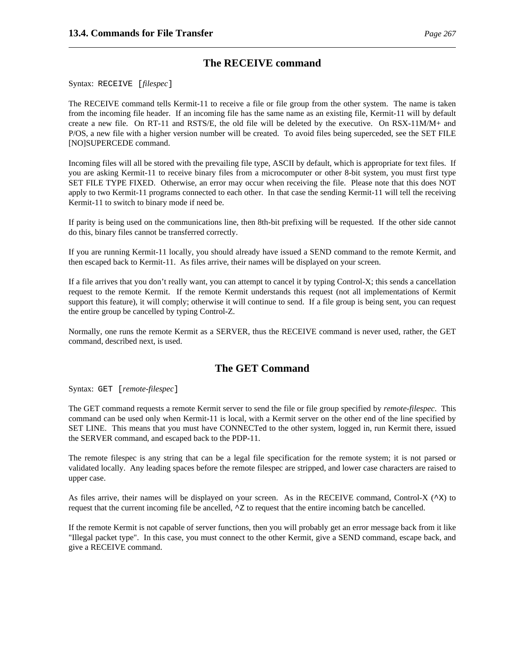## **The RECEIVE command**

Syntax: RECEIVE [*filespec*]

The RECEIVE command tells Kermit-11 to receive a file or file group from the other system. The name is taken from the incoming file header. If an incoming file has the same name as an existing file, Kermit-11 will by default create a new file. On RT-11 and RSTS/E, the old file will be deleted by the executive. On RSX-11M/M+ and P/OS, a new file with a higher version number will be created. To avoid files being superceded, see the SET FILE [NO]SUPERCEDE command.

Incoming files will all be stored with the prevailing file type, ASCII by default, which is appropriate for text files. If you are asking Kermit-11 to receive binary files from a microcomputer or other 8-bit system, you must first type SET FILE TYPE FIXED. Otherwise, an error may occur when receiving the file. Please note that this does NOT apply to two Kermit-11 programs connected to each other. In that case the sending Kermit-11 will tell the receiving Kermit-11 to switch to binary mode if need be.

If parity is being used on the communications line, then 8th-bit prefixing will be requested. If the other side cannot do this, binary files cannot be transferred correctly.

If you are running Kermit-11 locally, you should already have issued a SEND command to the remote Kermit, and then escaped back to Kermit-11. As files arrive, their names will be displayed on your screen.

If a file arrives that you don't really want, you can attempt to cancel it by typing Control-X; this sends a cancellation request to the remote Kermit. If the remote Kermit understands this request (not all implementations of Kermit support this feature), it will comply; otherwise it will continue to send. If a file group is being sent, you can request the entire group be cancelled by typing Control-Z.

Normally, one runs the remote Kermit as a SERVER, thus the RECEIVE command is never used, rather, the GET command, described next, is used.

## **The GET Command**

Syntax: GET [*remote-filespec*]

The GET command requests a remote Kermit server to send the file or file group specified by *remote-filespec*. This command can be used only when Kermit-11 is local, with a Kermit server on the other end of the line specified by SET LINE. This means that you must have CONNECTed to the other system, logged in, run Kermit there, issued the SERVER command, and escaped back to the PDP-11.

The remote filespec is any string that can be a legal file specification for the remote system; it is not parsed or validated locally. Any leading spaces before the remote filespec are stripped, and lower case characters are raised to upper case.

As files arrive, their names will be displayed on your screen. As in the RECEIVE command, Control-X ( $\infty$ ) to request that the current incoming file be ancelled,  $\sim$  z to request that the entire incoming batch be cancelled.

If the remote Kermit is not capable of server functions, then you will probably get an error message back from it like "Illegal packet type". In this case, you must connect to the other Kermit, give a SEND command, escape back, and give a RECEIVE command.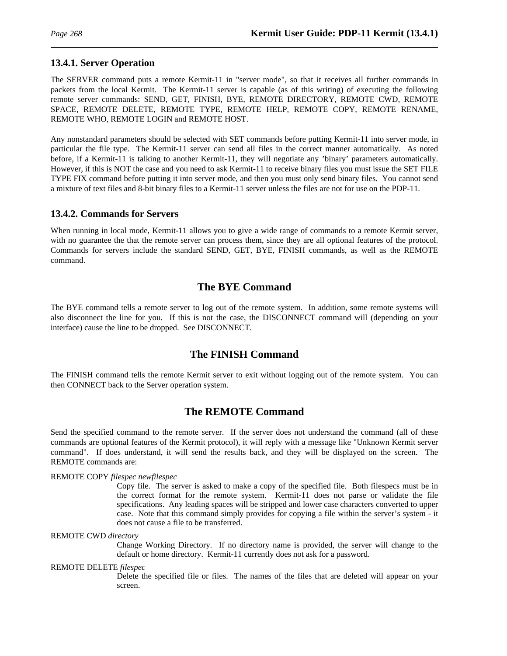## **13.4.1. Server Operation**

The SERVER command puts a remote Kermit-11 in "server mode", so that it receives all further commands in packets from the local Kermit. The Kermit-11 server is capable (as of this writing) of executing the following remote server commands: SEND, GET, FINISH, BYE, REMOTE DIRECTORY, REMOTE CWD, REMOTE SPACE, REMOTE DELETE, REMOTE TYPE, REMOTE HELP, REMOTE COPY, REMOTE RENAME, REMOTE WHO, REMOTE LOGIN and REMOTE HOST.

Any nonstandard parameters should be selected with SET commands before putting Kermit-11 into server mode, in particular the file type. The Kermit-11 server can send all files in the correct manner automatically. As noted before, if a Kermit-11 is talking to another Kermit-11, they will negotiate any 'binary' parameters automatically. However, if this is NOT the case and you need to ask Kermit-11 to receive binary files you must issue the SET FILE TYPE FIX command before putting it into server mode, and then you must only send binary files. You cannot send a mixture of text files and 8-bit binary files to a Kermit-11 server unless the files are not for use on the PDP-11.

### **13.4.2. Commands for Servers**

When running in local mode, Kermit-11 allows you to give a wide range of commands to a remote Kermit server, with no guarantee the that the remote server can process them, since they are all optional features of the protocol. Commands for servers include the standard SEND, GET, BYE, FINISH commands, as well as the REMOTE command.

## **The BYE Command**

The BYE command tells a remote server to log out of the remote system. In addition, some remote systems will also disconnect the line for you. If this is not the case, the DISCONNECT command will (depending on your interface) cause the line to be dropped. See DISCONNECT.

## **The FINISH Command**

The FINISH command tells the remote Kermit server to exit without logging out of the remote system. You can then CONNECT back to the Server operation system.

## **The REMOTE Command**

Send the specified command to the remote server. If the server does not understand the command (all of these commands are optional features of the Kermit protocol), it will reply with a message like "Unknown Kermit server command". If does understand, it will send the results back, and they will be displayed on the screen. The REMOTE commands are:

#### REMOTE COPY *filespec newfilespec*

Copy file. The server is asked to make a copy of the specified file. Both filespecs must be in the correct format for the remote system. Kermit-11 does not parse or validate the file specifications. Any leading spaces will be stripped and lower case characters converted to upper case. Note that this command simply provides for copying a file within the server's system - it does not cause a file to be transferred.

#### REMOTE CWD *directory*

Change Working Directory. If no directory name is provided, the server will change to the default or home directory. Kermit-11 currently does not ask for a password.

#### REMOTE DELETE *filespec*

Delete the specified file or files. The names of the files that are deleted will appear on your screen.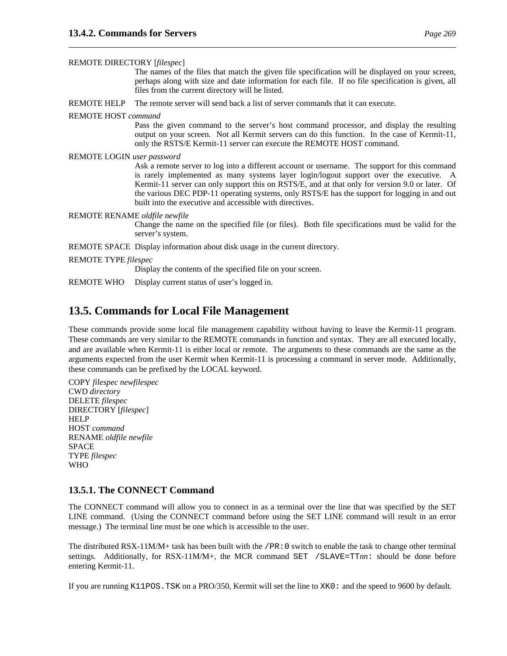REMOTE DIRECTORY [*filespec*]

The names of the files that match the given file specification will be displayed on your screen, perhaps along with size and date information for each file. If no file specification is given, all files from the current directory will be listed.

REMOTE HELP The remote server will send back a list of server commands that it can execute.

#### REMOTE HOST *command*

Pass the given command to the server's host command processor, and display the resulting output on your screen. Not all Kermit servers can do this function. In the case of Kermit-11, only the RSTS/E Kermit-11 server can execute the REMOTE HOST command.

#### REMOTE LOGIN *user password*

Ask a remote server to log into a different account or username. The support for this command is rarely implemented as many systems layer login/logout support over the executive. A Kermit-11 server can only support this on RSTS/E, and at that only for version 9.0 or later. Of the various DEC PDP-11 operating systems, only RSTS/E has the support for logging in and out built into the executive and accessible with directives.

#### REMOTE RENAME *oldfile newfile*

Change the name on the specified file (or files). Both file specifications must be valid for the server's system.

REMOTE SPACE Display information about disk usage in the current directory.

#### REMOTE TYPE *filespec*

Display the contents of the specified file on your screen.

REMOTE WHO Display current status of user's logged in.

## **13.5. Commands for Local File Management**

These commands provide some local file management capability without having to leave the Kermit-11 program. These commands are very similar to the REMOTE commands in function and syntax. They are all executed locally, and are available when Kermit-11 is either local or remote. The arguments to these commands are the same as the arguments expected from the user Kermit when Kermit-11 is processing a command in server mode. Additionally, these commands can be prefixed by the LOCAL keyword.

COPY *filespec newfilespec* CWD *directory* DELETE *filespec* DIRECTORY [*filespec*] **HELP** HOST *command* RENAME *oldfile newfile* SPACE TYPE *filespec* WHO

#### **13.5.1. The CONNECT Command**

The CONNECT command will allow you to connect in as a terminal over the line that was specified by the SET LINE command. (Using the CONNECT command before using the SET LINE command will result in an error message.) The terminal line must be one which is accessible to the user.

The distributed RSX-11M/M+ task has been built with the /PR:0 switch to enable the task to change other terminal settings. Additionally, for RSX-11M/M+, the MCR command SET /SLAVE=TT*nn*: should be done before entering Kermit-11.

If you are running K11POS.TSK on a PRO/350, Kermit will set the line to XK0: and the speed to 9600 by default.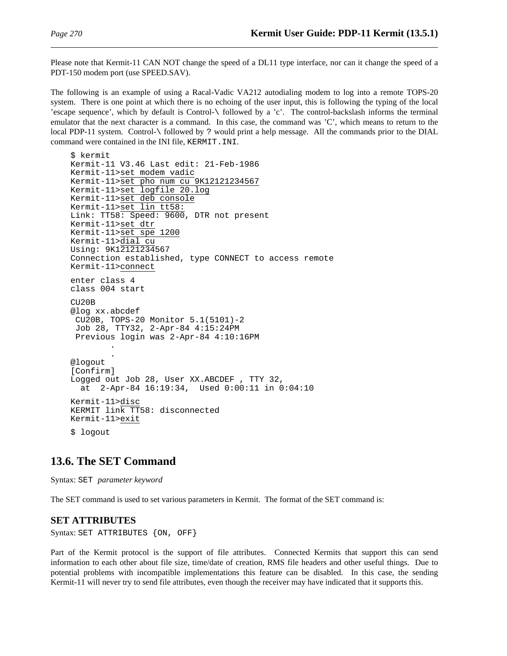Please note that Kermit-11 CAN NOT change the speed of a DL11 type interface, nor can it change the speed of a PDT-150 modem port (use SPEED.SAV).

The following is an example of using a Racal-Vadic VA212 autodialing modem to log into a remote TOPS-20 system. There is one point at which there is no echoing of the user input, this is following the typing of the local 'escape sequence', which by default is Control-\ followed by a 'c'. The control-backslash informs the terminal emulator that the next character is a command. In this case, the command was 'C', which means to return to the local PDP-11 system. Control-\ followed by ? would print a help message. All the commands prior to the DIAL command were contained in the INI file, KERMIT.INI.

```
$ kermit
Kermit-11 V3.46 Last edit: 21-Feb-1986
Kermit-11>set modem vadic
Kermit-11>set pho num cu 9K12121234567
Kermit-11>set logfile 20.log
Kermit-11>set deb console
Kermit-11>set lin tt58:
Link: TT58: Speed: 9600, DTR not present
Kermit-11>set dtr
Kermit-11>set spe 1200
Kermit-11>dial cu
Using: 9K12121234567
Connection established, type CONNECT to access remote
Kermit-11>connect
enter class 4
class 004 start
CU20B
@log xx.abcdef
 CU20B, TOPS-20 Monitor 5.1(5101)-2
 Job 28, TTY32, 2-Apr-84 4:15:24PM
 Previous login was 2-Apr-84 4:10:16PM
        .
        .
@logout
[Confirm]
Logged out Job 28, User XX.ABCDEF , TTY 32,
  at 2-Apr-84 16:19:34, Used 0:00:11 in 0:04:10
Kermit-11>disc
KERMIT link TT58: disconnected
Kermit-11>exit
$ logout
```
## **13.6. The SET Command**

Syntax: SET *parameter keyword*

The SET command is used to set various parameters in Kermit. The format of the SET command is:

#### **SET ATTRIBUTES**

Syntax: SET ATTRIBUTES {ON, OFF}

Part of the Kermit protocol is the support of file attributes. Connected Kermits that support this can send information to each other about file size, time/date of creation, RMS file headers and other useful things. Due to potential problems with incompatible implementations this feature can be disabled. In this case, the sending Kermit-11 will never try to send file attributes, even though the receiver may have indicated that it supports this.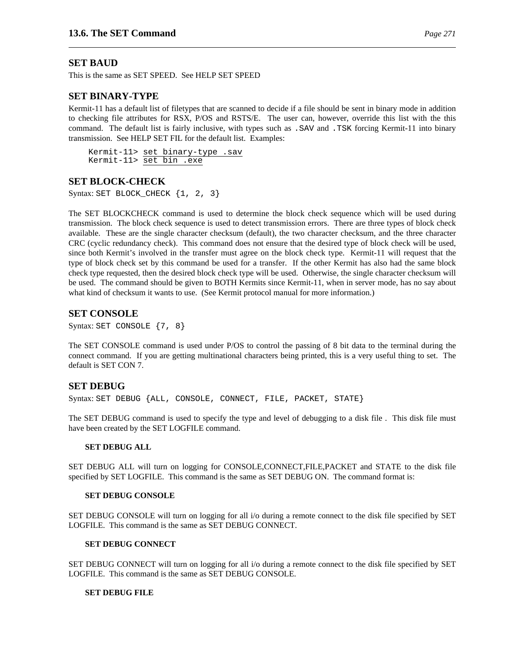## **SET BAUD**

This is the same as SET SPEED. See HELP SET SPEED

### **SET BINARY-TYPE**

Kermit-11 has a default list of filetypes that are scanned to decide if a file should be sent in binary mode in addition to checking file attributes for RSX, P/OS and RSTS/E. The user can, however, override this list with the this command. The default list is fairly inclusive, with types such as .SAV and .TSK forcing Kermit-11 into binary transmission. See HELP SET FIL for the default list. Examples:

Kermit-11> set binary-type .sav Kermit-11> set bin .exe

### **SET BLOCK-CHECK**

Syntax: SET BLOCK\_CHECK  $\{1, 2, 3\}$ 

The SET BLOCKCHECK command is used to determine the block check sequence which will be used during transmission. The block check sequence is used to detect transmission errors. There are three types of block check available. These are the single character checksum (default), the two character checksum, and the three character CRC (cyclic redundancy check). This command does not ensure that the desired type of block check will be used, since both Kermit's involved in the transfer must agree on the block check type. Kermit-11 will request that the type of block check set by this command be used for a transfer. If the other Kermit has also had the same block check type requested, then the desired block check type will be used. Otherwise, the single character checksum will be used. The command should be given to BOTH Kermits since Kermit-11, when in server mode, has no say about what kind of checksum it wants to use. (See Kermit protocol manual for more information.)

## **SET CONSOLE**

Syntax: SET CONSOLE {7, 8}

The SET CONSOLE command is used under P/OS to control the passing of 8 bit data to the terminal during the connect command. If you are getting multinational characters being printed, this is a very useful thing to set. The default is SET CON 7.

## **SET DEBUG**

Syntax: SET DEBUG {ALL, CONSOLE, CONNECT, FILE, PACKET, STATE}

The SET DEBUG command is used to specify the type and level of debugging to a disk file . This disk file must have been created by the SET LOGFILE command.

#### **SET DEBUG ALL**

SET DEBUG ALL will turn on logging for CONSOLE,CONNECT,FILE,PACKET and STATE to the disk file specified by SET LOGFILE. This command is the same as SET DEBUG ON. The command format is:

#### **SET DEBUG CONSOLE**

SET DEBUG CONSOLE will turn on logging for all i/o during a remote connect to the disk file specified by SET LOGFILE. This command is the same as SET DEBUG CONNECT.

#### **SET DEBUG CONNECT**

SET DEBUG CONNECT will turn on logging for all i/o during a remote connect to the disk file specified by SET LOGFILE. This command is the same as SET DEBUG CONSOLE.

#### **SET DEBUG FILE**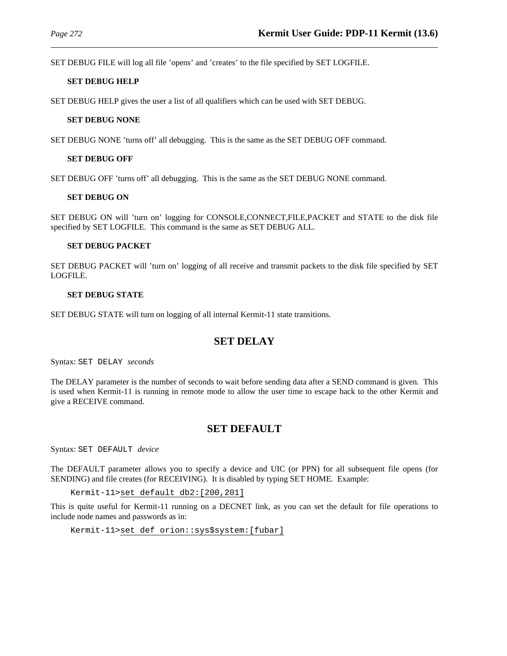SET DEBUG FILE will log all file 'opens' and 'creates' to the file specified by SET LOGFILE.

#### **SET DEBUG HELP**

SET DEBUG HELP gives the user a list of all qualifiers which can be used with SET DEBUG.

#### **SET DEBUG NONE**

SET DEBUG NONE 'turns off' all debugging. This is the same as the SET DEBUG OFF command.

#### **SET DEBUG OFF**

SET DEBUG OFF 'turns off' all debugging. This is the same as the SET DEBUG NONE command.

#### **SET DEBUG ON**

SET DEBUG ON will 'turn on' logging for CONSOLE,CONNECT,FILE,PACKET and STATE to the disk file specified by SET LOGFILE. This command is the same as SET DEBUG ALL.

#### **SET DEBUG PACKET**

SET DEBUG PACKET will 'turn on' logging of all receive and transmit packets to the disk file specified by SET LOGFILE.

#### **SET DEBUG STATE**

SET DEBUG STATE will turn on logging of all internal Kermit-11 state transitions.

## **SET DELAY**

Syntax: SET DELAY *seconds*

The DELAY parameter is the number of seconds to wait before sending data after a SEND command is given. This is used when Kermit-11 is running in remote mode to allow the user time to escape back to the other Kermit and give a RECEIVE command.

## **SET DEFAULT**

Syntax: SET DEFAULT *device*

The DEFAULT parameter allows you to specify a device and UIC (or PPN) for all subsequent file opens (for SENDING) and file creates (for RECEIVING). It is disabled by typing SET HOME. Example:

Kermit-11>set default db2:[200,201]

This is quite useful for Kermit-11 running on a DECNET link, as you can set the default for file operations to include node names and passwords as in:

```
Kermit-11>set def orion::sys$system:[fubar]
```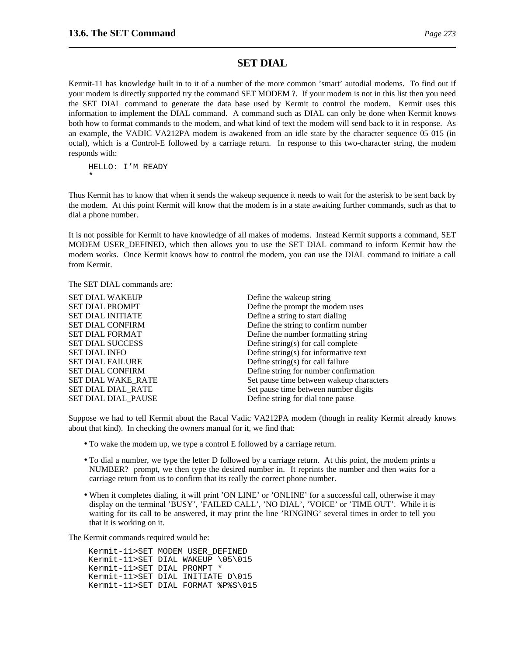## **SET DIAL**

Kermit-11 has knowledge built in to it of a number of the more common 'smart' autodial modems. To find out if your modem is directly supported try the command SET MODEM ?. If your modem is not in this list then you need the SET DIAL command to generate the data base used by Kermit to control the modem. Kermit uses this information to implement the DIAL command. A command such as DIAL can only be done when Kermit knows both how to format commands to the modem, and what kind of text the modem will send back to it in response. As an example, the VADIC VA212PA modem is awakened from an idle state by the character sequence 05 015 (in octal), which is a Control-E followed by a carriage return. In response to this two-character string, the modem responds with:

HELLO: I'M READY \*

Thus Kermit has to know that when it sends the wakeup sequence it needs to wait for the asterisk to be sent back by the modem. At this point Kermit will know that the modem is in a state awaiting further commands, such as that to dial a phone number.

It is not possible for Kermit to have knowledge of all makes of modems. Instead Kermit supports a command, SET MODEM USER DEFINED, which then allows you to use the SET DIAL command to inform Kermit how the modem works. Once Kermit knows how to control the modem, you can use the DIAL command to initiate a call from Kermit.

The SET DIAL commands are:

| Define the wakeup string                 |
|------------------------------------------|
| Define the prompt the modem uses         |
| Define a string to start dialing         |
| Define the string to confirm number      |
| Define the number formatting string      |
| Define string(s) for call complete       |
| Define string(s) for informative text    |
| Define string(s) for call failure        |
| Define string for number confirmation    |
| Set pause time between wakeup characters |
| Set pause time between number digits     |
| Define string for dial tone pause        |
|                                          |

Suppose we had to tell Kermit about the Racal Vadic VA212PA modem (though in reality Kermit already knows about that kind). In checking the owners manual for it, we find that:

- To wake the modem up, we type a control E followed by a carriage return.
- To dial a number, we type the letter D followed by a carriage return. At this point, the modem prints a NUMBER? prompt, we then type the desired number in. It reprints the number and then waits for a carriage return from us to confirm that its really the correct phone number.
- When it completes dialing, it will print 'ON LINE' or 'ONLINE' for a successful call, otherwise it may display on the terminal 'BUSY', 'FAILED CALL', 'NO DIAL', 'VOICE' or 'TIME OUT'. While it is waiting for its call to be answered, it may print the line 'RINGING' several times in order to tell you that it is working on it.

The Kermit commands required would be:

Kermit-11>SET MODEM USER\_DEFINED Kermit-11>SET DIAL WAKEUP \05\015 Kermit-11>SET DIAL PROMPT \* Kermit-11>SET DIAL INITIATE D\015 Kermit-11>SET DIAL FORMAT %P%S\015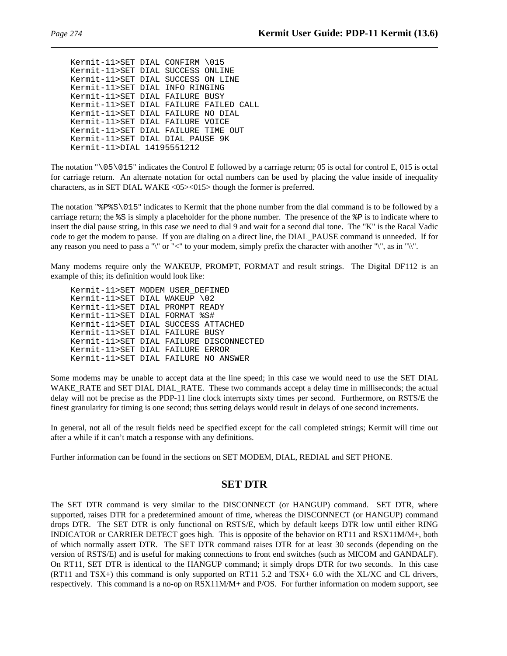Kermit-11>SET DIAL CONFIRM \015 Kermit-11>SET DIAL SUCCESS ONLINE Kermit-11>SET DIAL SUCCESS ON LINE Kermit-11>SET DIAL INFO RINGING Kermit-11>SET DIAL FAILURE BUSY Kermit-11>SET DIAL FAILURE FAILED CALL Kermit-11>SET DIAL FAILURE NO DIAL Kermit-11>SET DIAL FAILURE VOICE Kermit-11>SET DIAL FAILURE TIME OUT Kermit-11>SET DIAL DIAL\_PAUSE 9K Kermit-11>DIAL 14195551212

The notation "\05\015" indicates the Control E followed by a carriage return; 05 is octal for control E, 015 is octal for carriage return. An alternate notation for octal numbers can be used by placing the value inside of inequality characters, as in SET DIAL WAKE <05><015> though the former is preferred.

The notation "%P%S\015" indicates to Kermit that the phone number from the dial command is to be followed by a carriage return; the %S is simply a placeholder for the phone number. The presence of the %P is to indicate where to insert the dial pause string, in this case we need to dial 9 and wait for a second dial tone. The "K" is the Racal Vadic code to get the modem to pause. If you are dialing on a direct line, the DIAL\_PAUSE command is unneeded. If for any reason you need to pass a " $\mathbf{v}$ " or "<" to your modem, simply prefix the character with another " $\mathbf{v}$ ", as in " $\mathbf{v}$ ".

Many modems require only the WAKEUP, PROMPT, FORMAT and result strings. The Digital DF112 is an example of this; its definition would look like:

Kermit-11>SET MODEM USER\_DEFINED Kermit-11>SET DIAL WAKEUP \02 Kermit-11>SET DIAL PROMPT READY Kermit-11>SET DIAL FORMAT %S# Kermit-11>SET DIAL SUCCESS ATTACHED Kermit-11>SET DIAL FAILURE BUSY Kermit-11>SET DIAL FAILURE DISCONNECTED Kermit-11>SET DIAL FAILURE ERROR Kermit-11>SET DIAL FAILURE NO ANSWER

Some modems may be unable to accept data at the line speed; in this case we would need to use the SET DIAL WAKE\_RATE and SET DIAL\_DIAL\_RATE. These two commands accept a delay time in milliseconds; the actual delay will not be precise as the PDP-11 line clock interrupts sixty times per second. Furthermore, on RSTS/E the finest granularity for timing is one second; thus setting delays would result in delays of one second increments.

In general, not all of the result fields need be specified except for the call completed strings; Kermit will time out after a while if it can't match a response with any definitions.

Further information can be found in the sections on SET MODEM, DIAL, REDIAL and SET PHONE.

## **SET DTR**

The SET DTR command is very similar to the DISCONNECT (or HANGUP) command. SET DTR, where supported, raises DTR for a predetermined amount of time, whereas the DISCONNECT (or HANGUP) command drops DTR. The SET DTR is only functional on RSTS/E, which by default keeps DTR low until either RING INDICATOR or CARRIER DETECT goes high. This is opposite of the behavior on RT11 and RSX11M/M+, both of which normally assert DTR. The SET DTR command raises DTR for at least 30 seconds (depending on the version of RSTS/E) and is useful for making connections to front end switches (such as MICOM and GANDALF). On RT11, SET DTR is identical to the HANGUP command; it simply drops DTR for two seconds. In this case (RT11 and TSX+) this command is only supported on RT11 5.2 and TSX+ 6.0 with the XL/XC and CL drivers, respectively. This command is a no-op on RSX11M/M+ and P/OS. For further information on modem support, see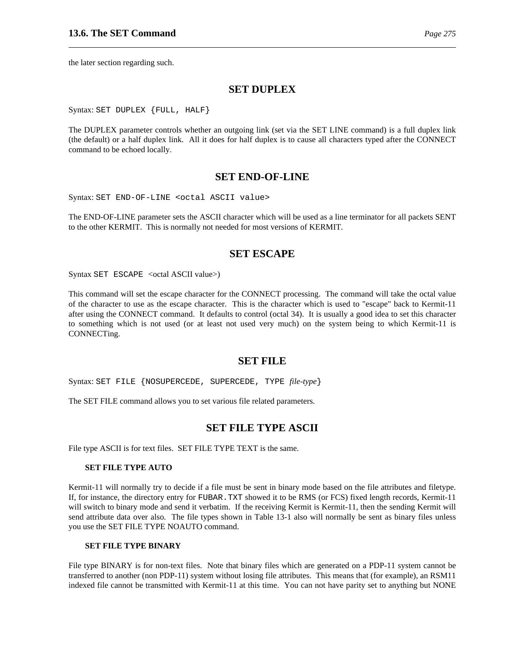the later section regarding such.

### **SET DUPLEX**

Syntax: SET DUPLEX {FULL, HALF}

The DUPLEX parameter controls whether an outgoing link (set via the SET LINE command) is a full duplex link (the default) or a half duplex link. All it does for half duplex is to cause all characters typed after the CONNECT command to be echoed locally.

## **SET END-OF-LINE**

Syntax: SET END-OF-LINE <octal ASCII value>

The END-OF-LINE parameter sets the ASCII character which will be used as a line terminator for all packets SENT to the other KERMIT. This is normally not needed for most versions of KERMIT.

### **SET ESCAPE**

Syntax SET ESCAPE <octal ASCII value>)

This command will set the escape character for the CONNECT processing. The command will take the octal value of the character to use as the escape character. This is the character which is used to "escape" back to Kermit-11 after using the CONNECT command. It defaults to control (octal 34). It is usually a good idea to set this character to something which is not used (or at least not used very much) on the system being to which Kermit-11 is CONNECTing.

#### **SET FILE**

Syntax: SET FILE {NOSUPERCEDE, SUPERCEDE, TYPE *file-type*}

The SET FILE command allows you to set various file related parameters.

## **SET FILE TYPE ASCII**

File type ASCII is for text files. SET FILE TYPE TEXT is the same.

#### **SET FILE TYPE AUTO**

Kermit-11 will normally try to decide if a file must be sent in binary mode based on the file attributes and filetype. If, for instance, the directory entry for FUBAR.TXT showed it to be RMS (or FCS) fixed length records, Kermit-11 will switch to binary mode and send it verbatim. If the receiving Kermit is Kermit-11, then the sending Kermit will send attribute data over also. The file types shown in Table 13-1 also will normally be sent as binary files unless you use the SET FILE TYPE NOAUTO command.

#### **SET FILE TYPE BINARY**

File type BINARY is for non-text files. Note that binary files which are generated on a PDP-11 system cannot be transferred to another (non PDP-11) system without losing file attributes. This means that (for example), an RSM11 indexed file cannot be transmitted with Kermit-11 at this time. You can not have parity set to anything but NONE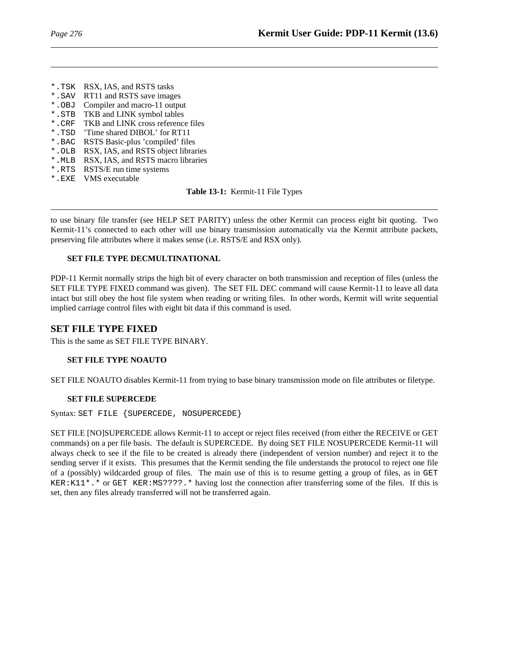- \*.TSK RSX, IAS, and RSTS tasks
- \*. SAV RT11 and RSTS save images<br>\*. OBJ Compiler and macro-11 output
- Compiler and macro-11 output
- \*.STB TKB and LINK symbol tables
- \*.CRF TKB and LINK cross reference files
- \*.TSD 'Time shared DIBOL' for RT11
- \*.BAC RSTS Basic-plus 'compiled' files
- \*.OLB RSX, IAS, and RSTS object libraries
- \*.MLB RSX, IAS, and RSTS macro libraries
- \*.RTS RSTS/E run time systems
- \*.EXE VMS executable

**Table 13-1:** Kermit-11 File Types

to use binary file transfer (see HELP SET PARITY) unless the other Kermit can process eight bit quoting. Two Kermit-11's connected to each other will use binary transmission automatically via the Kermit attribute packets, preserving file attributes where it makes sense (i.e. RSTS/E and RSX only).

### **SET FILE TYPE DECMULTINATIONAL**

PDP-11 Kermit normally strips the high bit of every character on both transmission and reception of files (unless the SET FILE TYPE FIXED command was given). The SET FIL DEC command will cause Kermit-11 to leave all data intact but still obey the host file system when reading or writing files. In other words, Kermit will write sequential implied carriage control files with eight bit data if this command is used.

## **SET FILE TYPE FIXED**

This is the same as SET FILE TYPE BINARY.

## **SET FILE TYPE NOAUTO**

SET FILE NOAUTO disables Kermit-11 from trying to base binary transmission mode on file attributes or filetype.

## **SET FILE SUPERCEDE**

Syntax: SET FILE {SUPERCEDE, NOSUPERCEDE}

SET FILE [NO]SUPERCEDE allows Kermit-11 to accept or reject files received (from either the RECEIVE or GET commands) on a per file basis. The default is SUPERCEDE. By doing SET FILE NOSUPERCEDE Kermit-11 will always check to see if the file to be created is already there (independent of version number) and reject it to the sending server if it exists. This presumes that the Kermit sending the file understands the protocol to reject one file of a (possibly) wildcarded group of files. The main use of this is to resume getting a group of files, as in GET KER:K11\*.\* or GET KER:MS????.\* having lost the connection after transferring some of the files. If this is set, then any files already transferred will not be transferred again.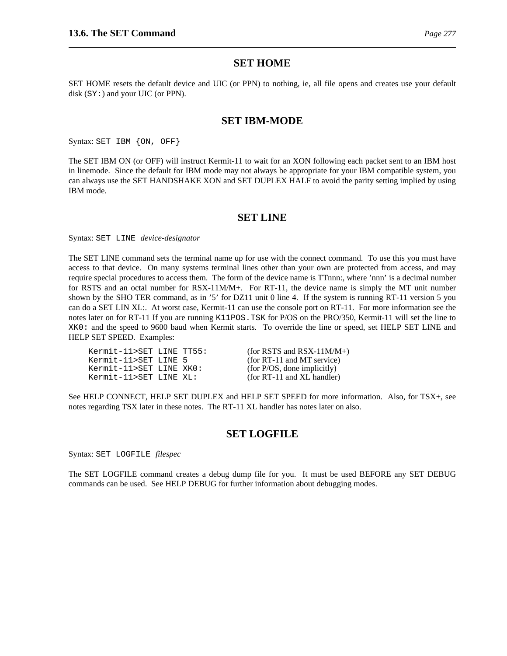### **SET HOME**

SET HOME resets the default device and UIC (or PPN) to nothing, ie, all file opens and creates use your default disk (SY:) and your UIC (or PPN).

#### **SET IBM-MODE**

Syntax: SET IBM {ON, OFF}

The SET IBM ON (or OFF) will instruct Kermit-11 to wait for an XON following each packet sent to an IBM host in linemode. Since the default for IBM mode may not always be appropriate for your IBM compatible system, you can always use the SET HANDSHAKE XON and SET DUPLEX HALF to avoid the parity setting implied by using IBM mode.

#### **SET LINE**

Syntax: SET LINE *device-designator*

The SET LINE command sets the terminal name up for use with the connect command. To use this you must have access to that device. On many systems terminal lines other than your own are protected from access, and may require special procedures to access them. The form of the device name is TTnnn:, where 'nnn' is a decimal number for RSTS and an octal number for RSX-11M/M+. For RT-11, the device name is simply the MT unit number shown by the SHO TER command, as in '5' for DZ11 unit 0 line 4. If the system is running RT-11 version 5 you can do a SET LIN XL:. At worst case, Kermit-11 can use the console port on RT-11. For more information see the notes later on for RT-11 If you are running K11POS.TSK for P/OS on the PRO/350, Kermit-11 will set the line to XK0: and the speed to 9600 baud when Kermit starts. To override the line or speed, set HELP SET LINE and HELP SET SPEED. Examples:

| Kermit-11>SET LINE TT55: |  |
|--------------------------|--|
| Kermit-11>SET LINE 5     |  |
| Kermit-11>SET LINE XKO:  |  |
| Kermit-11>SET LINE XL:   |  |

 $(for RSTS and RSX-11M/M+)$  $(for RT-11 and MT service)$  $(for P/OS, done implicitly)$  $(for RT-11 and XL handler)$ 

See HELP CONNECT, HELP SET DUPLEX and HELP SET SPEED for more information. Also, for TSX+, see notes regarding TSX later in these notes. The RT-11 XL handler has notes later on also.

## **SET LOGFILE**

Syntax: SET LOGFILE *filespec*

The SET LOGFILE command creates a debug dump file for you. It must be used BEFORE any SET DEBUG commands can be used. See HELP DEBUG for further information about debugging modes.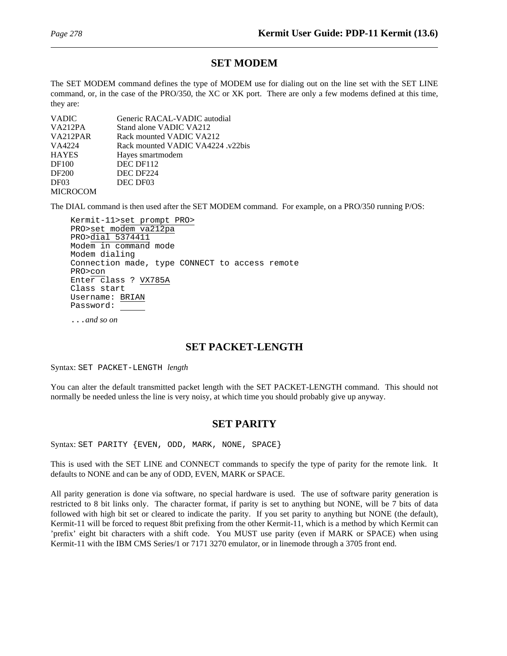## **SET MODEM**

The SET MODEM command defines the type of MODEM use for dialing out on the line set with the SET LINE command, or, in the case of the PRO/350, the XC or XK port. There are only a few modems defined at this time, they are:

| <b>VADIC</b>    | Generic RACAL-VADIC autodial      |
|-----------------|-----------------------------------|
| VA212PA         | Stand alone VADIC VA212           |
| VA212PAR        | Rack mounted VADIC VA212          |
| VA4224          | Rack mounted VADIC VA4224 .v22bis |
| <b>HAYES</b>    | Hayes smartmodem                  |
| DF100           | DEC DF112                         |
| DF200           | DEC DF224                         |
| DF03            | DEC DF03                          |
| <b>MICROCOM</b> |                                   |

The DIAL command is then used after the SET MODEM command. For example, on a PRO/350 running P/OS:

Kermit-11>set prompt PRO> PRO>set modem va212pa PRO>dial 5374411 Modem in command mode Modem dialing Connection made, type CONNECT to access remote PRO>con Enter class ? VX785A Class start Username: BRIAN Password:

...*and so on*

## **SET PACKET-LENGTH**

Syntax: SET PACKET-LENGTH *length*

You can alter the default transmitted packet length with the SET PACKET-LENGTH command. This should not normally be needed unless the line is very noisy, at which time you should probably give up anyway.

## **SET PARITY**

Syntax: SET PARITY {EVEN, ODD, MARK, NONE, SPACE}

This is used with the SET LINE and CONNECT commands to specify the type of parity for the remote link. It defaults to NONE and can be any of ODD, EVEN, MARK or SPACE.

All parity generation is done via software, no special hardware is used. The use of software parity generation is restricted to 8 bit links only. The character format, if parity is set to anything but NONE, will be 7 bits of data followed with high bit set or cleared to indicate the parity. If you set parity to anything but NONE (the default), Kermit-11 will be forced to request 8bit prefixing from the other Kermit-11, which is a method by which Kermit can 'prefix' eight bit characters with a shift code. You MUST use parity (even if MARK or SPACE) when using Kermit-11 with the IBM CMS Series/1 or 7171 3270 emulator, or in linemode through a 3705 front end.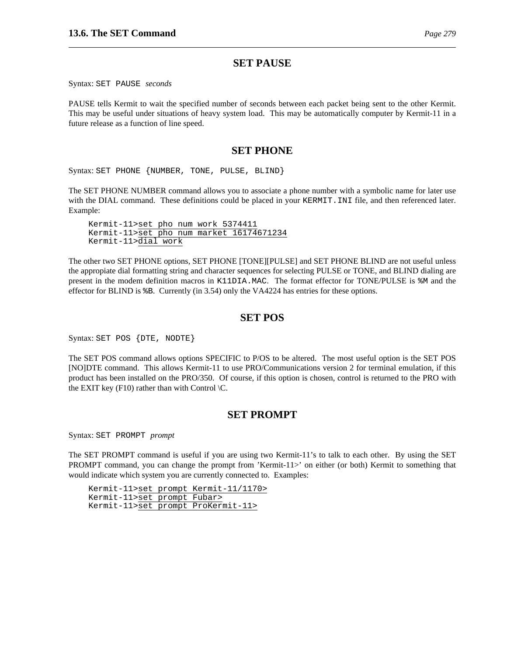## **SET PAUSE**

Syntax: SET PAUSE *seconds*

PAUSE tells Kermit to wait the specified number of seconds between each packet being sent to the other Kermit. This may be useful under situations of heavy system load. This may be automatically computer by Kermit-11 in a future release as a function of line speed.

## **SET PHONE**

Syntax: SET PHONE {NUMBER, TONE, PULSE, BLIND}

The SET PHONE NUMBER command allows you to associate a phone number with a symbolic name for later use with the DIAL command. These definitions could be placed in your KERMIT. INI file, and then referenced later. Example:

Kermit-11>set pho num work 5374411 Kermit-11>set pho num market 16174671234 Kermit-11>dial work

The other two SET PHONE options, SET PHONE [TONE][PULSE] and SET PHONE BLIND are not useful unless the appropiate dial formatting string and character sequences for selecting PULSE or TONE, and BLIND dialing are present in the modem definition macros in K11DIA.MAC. The format effector for TONE/PULSE is %M and the effector for BLIND is %B. Currently (in 3.54) only the VA4224 has entries for these options.

## **SET POS**

Syntax: SET POS {DTE, NODTE}

The SET POS command allows options SPECIFIC to P/OS to be altered. The most useful option is the SET POS [NO]DTE command. This allows Kermit-11 to use PRO/Communications version 2 for terminal emulation, if this product has been installed on the PRO/350. Of course, if this option is chosen, control is returned to the PRO with the EXIT key (F10) rather than with Control  $\mathcal{C}$ .

## **SET PROMPT**

Syntax: SET PROMPT *prompt*

The SET PROMPT command is useful if you are using two Kermit-11's to talk to each other. By using the SET PROMPT command, you can change the prompt from 'Kermit-11>' on either (or both) Kermit to something that would indicate which system you are currently connected to. Examples:

Kermit-11>set prompt Kermit-11/1170> Kermit-11>set prompt Fubar> Kermit-11>set prompt ProKermit-11>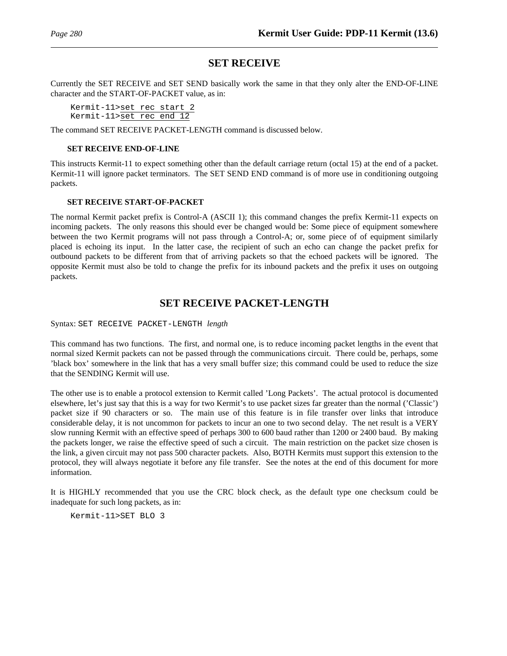## **SET RECEIVE**

Currently the SET RECEIVE and SET SEND basically work the same in that they only alter the END-OF-LINE character and the START-OF-PACKET value, as in:

Kermit-11>set rec start 2 Kermit-11>set rec end 12

The command SET RECEIVE PACKET-LENGTH command is discussed below.

#### **SET RECEIVE END-OF-LINE**

This instructs Kermit-11 to expect something other than the default carriage return (octal 15) at the end of a packet. Kermit-11 will ignore packet terminators. The SET SEND END command is of more use in conditioning outgoing packets.

#### **SET RECEIVE START-OF-PACKET**

The normal Kermit packet prefix is Control-A (ASCII 1); this command changes the prefix Kermit-11 expects on incoming packets. The only reasons this should ever be changed would be: Some piece of equipment somewhere between the two Kermit programs will not pass through a Control-A; or, some piece of of equipment similarly placed is echoing its input. In the latter case, the recipient of such an echo can change the packet prefix for outbound packets to be different from that of arriving packets so that the echoed packets will be ignored. The opposite Kermit must also be told to change the prefix for its inbound packets and the prefix it uses on outgoing packets.

## **SET RECEIVE PACKET-LENGTH**

Syntax: SET RECEIVE PACKET-LENGTH *length*

This command has two functions. The first, and normal one, is to reduce incoming packet lengths in the event that normal sized Kermit packets can not be passed through the communications circuit. There could be, perhaps, some 'black box' somewhere in the link that has a very small buffer size; this command could be used to reduce the size that the SENDING Kermit will use.

The other use is to enable a protocol extension to Kermit called 'Long Packets'. The actual protocol is documented elsewhere, let's just say that this is a way for two Kermit's to use packet sizes far greater than the normal ('Classic') packet size if 90 characters or so. The main use of this feature is in file transfer over links that introduce considerable delay, it is not uncommon for packets to incur an one to two second delay. The net result is a VERY slow running Kermit with an effective speed of perhaps 300 to 600 baud rather than 1200 or 2400 baud. By making the packets longer, we raise the effective speed of such a circuit. The main restriction on the packet size chosen is the link, a given circuit may not pass 500 character packets. Also, BOTH Kermits must support this extension to the protocol, they will always negotiate it before any file transfer. See the notes at the end of this document for more information.

It is HIGHLY recommended that you use the CRC block check, as the default type one checksum could be inadequate for such long packets, as in:

Kermit-11>SET BLO 3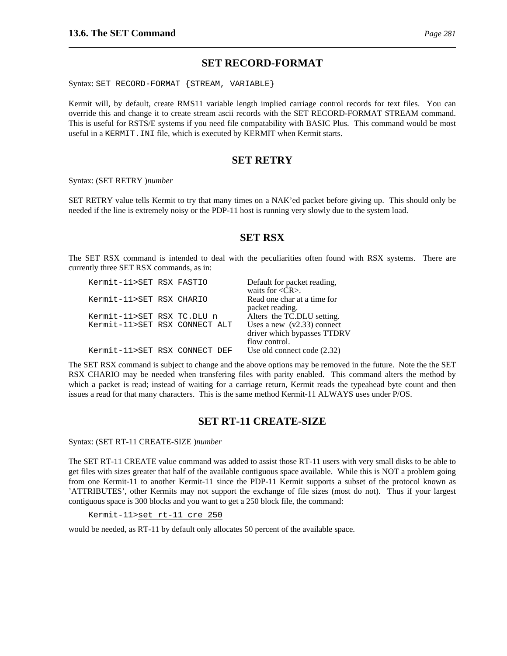Syntax: SET RECORD-FORMAT {STREAM, VARIABLE}

Kermit will, by default, create RMS11 variable length implied carriage control records for text files. You can override this and change it to create stream ascii records with the SET RECORD-FORMAT STREAM command. This is useful for RSTS/E systems if you need file compatability with BASIC Plus. This command would be most useful in a KERMIT.INI file, which is executed by KERMIT when Kermit starts.

## **SET RETRY**

Syntax: (SET RETRY )*number*

SET RETRY value tells Kermit to try that many times on a NAK'ed packet before giving up. This should only be needed if the line is extremely noisy or the PDP-11 host is running very slowly due to the system load.

## **SET RSX**

The SET RSX command is intended to deal with the peculiarities often found with RSX systems. There are currently three SET RSX commands, as in:

| Kermit-11>SET RSX FASTIO      |  | Default for packet reading,      |
|-------------------------------|--|----------------------------------|
|                               |  | waits for $\langle CR \rangle$ . |
| Kermit-11>SET RSX CHARIO      |  | Read one char at a time for      |
|                               |  | packet reading.                  |
| Kermit-11>SET RSX TC.DLU n    |  | Alters the TC.DLU setting.       |
| Kermit-11>SET RSX CONNECT ALT |  | Uses a new $(v2.33)$ connect     |
|                               |  | driver which bypasses TTDRV      |
|                               |  | flow control.                    |
| Kermit-11>SET RSX CONNECT DEF |  | Use old connect code (2.32)      |

The SET RSX command is subject to change and the above options may be removed in the future. Note the the SET RSX CHARIO may be needed when transfering files with parity enabled. This command alters the method by which a packet is read; instead of waiting for a carriage return, Kermit reads the typeahead byte count and then issues a read for that many characters. This is the same method Kermit-11 ALWAYS uses under P/OS.

## **SET RT-11 CREATE-SIZE**

Syntax: (SET RT-11 CREATE-SIZE )*number*

The SET RT-11 CREATE value command was added to assist those RT-11 users with very small disks to be able to get files with sizes greater that half of the available contiguous space available. While this is NOT a problem going from one Kermit-11 to another Kermit-11 since the PDP-11 Kermit supports a subset of the protocol known as 'ATTRIBUTES', other Kermits may not support the exchange of file sizes (most do not). Thus if your largest contiguous space is 300 blocks and you want to get a 250 block file, the command:

Kermit-11>set rt-11 cre 250

would be needed, as RT-11 by default only allocates 50 percent of the available space.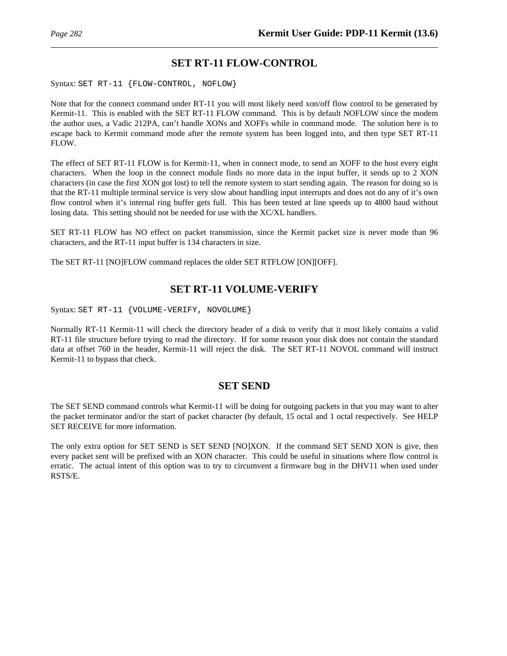## **SET RT-11 FLOW-CONTROL**

Syntax: SET RT-11 {FLOW-CONTROL, NOFLOW}

Note that for the connect command under RT-11 you will most likely need xon/off flow control to be generated by Kermit-11. This is enabled with the SET RT-11 FLOW command. This is by default NOFLOW since the modem the author uses, a Vadic 212PA, can't handle XONs and XOFFs while in command mode. The solution here is to escape back to Kermit command mode after the remote system has been logged into, and then type SET RT-11 FLOW.

The effect of SET RT-11 FLOW is for Kermit-11, when in connect mode, to send an XOFF to the host every eight characters. When the loop in the connect module finds no more data in the input buffer, it sends up to 2 XON characters (in case the first XON got lost) to tell the remote system to start sending again. The reason for doing so is that the RT-11 multiple terminal service is very slow about handling input interrupts and does not do any of it's own flow control when it's internal ring buffer gets full. This has been tested at line speeds up to 4800 baud without losing data. This setting should not be needed for use with the XC/XL handlers.

SET RT-11 FLOW has NO effect on packet transmission, since the Kermit packet size is never mode than 96 characters, and the RT-11 input buffer is 134 characters in size.

The SET RT-11 [NO]FLOW command replaces the older SET RTFLOW [ON][OFF].

## **SET RT-11 VOLUME-VERIFY**

Syntax: SET RT-11 {VOLUME-VERIFY, NOVOLUME}

Normally RT-11 Kermit-11 will check the directory header of a disk to verify that it most likely contains a valid RT-11 file structure before trying to read the directory. If for some reason your disk does not contain the standard data at offset 760 in the header, Kermit-11 will reject the disk. The SET RT-11 NOVOL command will instruct Kermit-11 to bypass that check.

## **SET SEND**

The SET SEND command controls what Kermit-11 will be doing for outgoing packets in that you may want to alter the packet terminator and/or the start of packet character (by default, 15 octal and 1 octal respectively. See HELP SET RECEIVE for more information.

The only extra option for SET SEND is SET SEND [NO]XON. If the command SET SEND XON is give, then every packet sent will be prefixed with an XON character. This could be useful in situations where flow control is erratic. The actual intent of this option was to try to circumvent a firmware bug in the DHV11 when used under RSTS/E.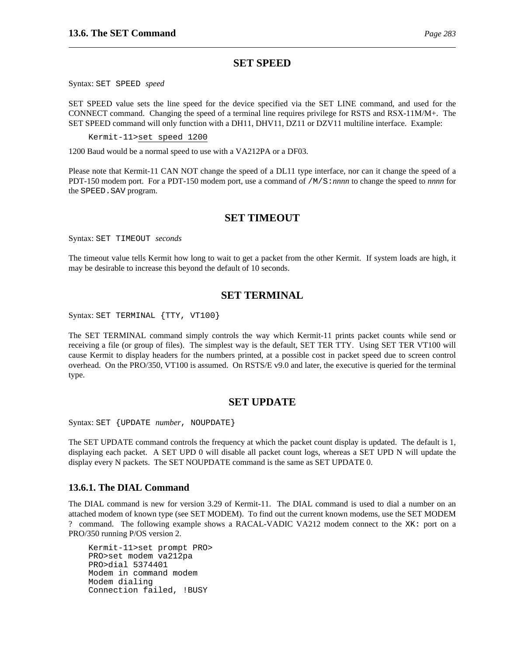## **SET SPEED**

Syntax: SET SPEED *speed*

SET SPEED value sets the line speed for the device specified via the SET LINE command, and used for the CONNECT command. Changing the speed of a terminal line requires privilege for RSTS and RSX-11M/M+. The SET SPEED command will only function with a DH11, DHV11, DZ11 or DZV11 multiline interface. Example:

Kermit-11>set speed 1200

1200 Baud would be a normal speed to use with a VA212PA or a DF03.

Please note that Kermit-11 CAN NOT change the speed of a DL11 type interface, nor can it change the speed of a PDT-150 modem port. For a PDT-150 modem port, use a command of /M/S:*nnnn* to change the speed to *nnnn* for the SPEED.SAV program.

## **SET TIMEOUT**

Syntax: SET TIMEOUT *seconds*

The timeout value tells Kermit how long to wait to get a packet from the other Kermit. If system loads are high, it may be desirable to increase this beyond the default of 10 seconds.

## **SET TERMINAL**

Syntax: SET TERMINAL {TTY, VT100}

The SET TERMINAL command simply controls the way which Kermit-11 prints packet counts while send or receiving a file (or group of files). The simplest way is the default, SET TER TTY. Using SET TER VT100 will cause Kermit to display headers for the numbers printed, at a possible cost in packet speed due to screen control overhead. On the PRO/350, VT100 is assumed. On RSTS/E v9.0 and later, the executive is queried for the terminal type.

## **SET UPDATE**

Syntax: SET {UPDATE *number*, NOUPDATE}

The SET UPDATE command controls the frequency at which the packet count display is updated. The default is 1, displaying each packet. A SET UPD 0 will disable all packet count logs, whereas a SET UPD N will update the display every N packets. The SET NOUPDATE command is the same as SET UPDATE 0.

#### **13.6.1. The DIAL Command**

The DIAL command is new for version 3.29 of Kermit-11. The DIAL command is used to dial a number on an attached modem of known type (see SET MODEM). To find out the current known modems, use the SET MODEM ? command. The following example shows a RACAL-VADIC VA212 modem connect to the XK: port on a PRO/350 running P/OS version 2.

Kermit-11>set prompt PRO> PRO>set modem va212pa PRO>dial 5374401 Modem in command modem Modem dialing Connection failed, !BUSY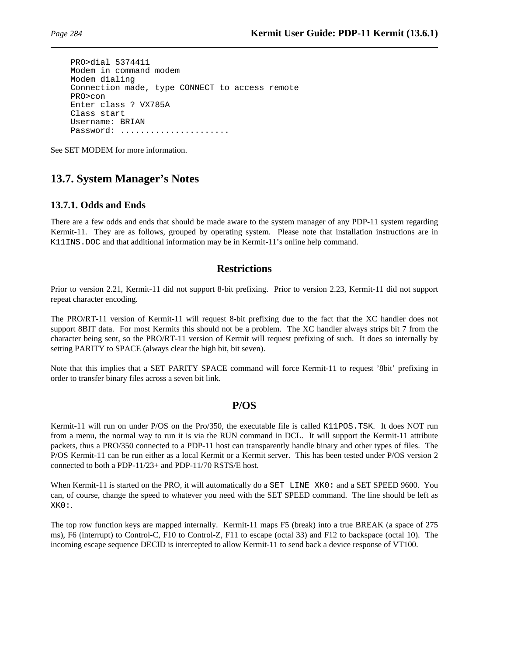```
PRO>dial 5374411
Modem in command modem
Modem dialing
Connection made, type CONNECT to access remote
PRO>con
Enter class ? VX785A
Class start
Username: BRIAN
Password: .....................
```
See SET MODEM for more information.

## **13.7. System Manager's Notes**

## **13.7.1. Odds and Ends**

There are a few odds and ends that should be made aware to the system manager of any PDP-11 system regarding Kermit-11. They are as follows, grouped by operating system. Please note that installation instructions are in K11INS.DOC and that additional information may be in Kermit-11's online help command.

## **Restrictions**

Prior to version 2.21, Kermit-11 did not support 8-bit prefixing. Prior to version 2.23, Kermit-11 did not support repeat character encoding.

The PRO/RT-11 version of Kermit-11 will request 8-bit prefixing due to the fact that the XC handler does not support 8BIT data. For most Kermits this should not be a problem. The XC handler always strips bit 7 from the character being sent, so the PRO/RT-11 version of Kermit will request prefixing of such. It does so internally by setting PARITY to SPACE (always clear the high bit, bit seven).

Note that this implies that a SET PARITY SPACE command will force Kermit-11 to request '8bit' prefixing in order to transfer binary files across a seven bit link.

## **P/OS**

Kermit-11 will run on under P/OS on the Pro/350, the executable file is called K11POS.TSK. It does NOT run from a menu, the normal way to run it is via the RUN command in DCL. It will support the Kermit-11 attribute packets, thus a PRO/350 connected to a PDP-11 host can transparently handle binary and other types of files. The P/OS Kermit-11 can be run either as a local Kermit or a Kermit server. This has been tested under P/OS version 2 connected to both a PDP-11/23+ and PDP-11/70 RSTS/E host.

When Kermit-11 is started on the PRO, it will automatically do a SET LINE XK0: and a SET SPEED 9600. You can, of course, change the speed to whatever you need with the SET SPEED command. The line should be left as XK0:.

The top row function keys are mapped internally. Kermit-11 maps F5 (break) into a true BREAK (a space of 275 ms), F6 (interrupt) to Control-C, F10 to Control-Z, F11 to escape (octal 33) and F12 to backspace (octal 10). The incoming escape sequence DECID is intercepted to allow Kermit-11 to send back a device response of VT100.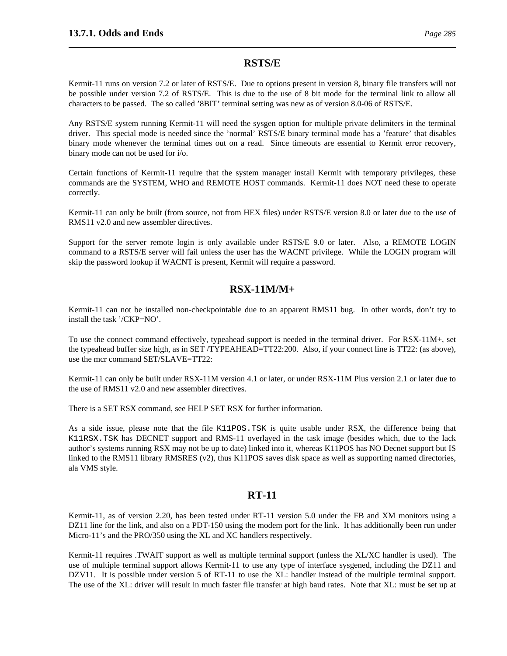## **RSTS/E**

Kermit-11 runs on version 7.2 or later of RSTS/E. Due to options present in version 8, binary file transfers will not be possible under version 7.2 of RSTS/E. This is due to the use of 8 bit mode for the terminal link to allow all characters to be passed. The so called '8BIT' terminal setting was new as of version 8.0-06 of RSTS/E.

Any RSTS/E system running Kermit-11 will need the sysgen option for multiple private delimiters in the terminal driver. This special mode is needed since the 'normal' RSTS/E binary terminal mode has a 'feature' that disables binary mode whenever the terminal times out on a read. Since timeouts are essential to Kermit error recovery, binary mode can not be used for i/o.

Certain functions of Kermit-11 require that the system manager install Kermit with temporary privileges, these commands are the SYSTEM, WHO and REMOTE HOST commands. Kermit-11 does NOT need these to operate correctly.

Kermit-11 can only be built (from source, not from HEX files) under RSTS/E version 8.0 or later due to the use of RMS11 v2.0 and new assembler directives.

Support for the server remote login is only available under RSTS/E 9.0 or later. Also, a REMOTE LOGIN command to a RSTS/E server will fail unless the user has the WACNT privilege. While the LOGIN program will skip the password lookup if WACNT is present, Kermit will require a password.

## **RSX-11M/M+**

Kermit-11 can not be installed non-checkpointable due to an apparent RMS11 bug. In other words, don't try to install the task '/CKP=NO'.

To use the connect command effectively, typeahead support is needed in the terminal driver. For RSX-11M+, set the typeahead buffer size high, as in SET /TYPEAHEAD=TT22:200. Also, if your connect line is TT22: (as above), use the mcr command SET/SLAVE=TT22:

Kermit-11 can only be built under RSX-11M version 4.1 or later, or under RSX-11M Plus version 2.1 or later due to the use of RMS11 v2.0 and new assembler directives.

There is a SET RSX command, see HELP SET RSX for further information.

As a side issue, please note that the file K11POS.TSK is quite usable under RSX, the difference being that K11RSX.TSK has DECNET support and RMS-11 overlayed in the task image (besides which, due to the lack author's systems running RSX may not be up to date) linked into it, whereas K11POS has NO Decnet support but IS linked to the RMS11 library RMSRES (v2), thus K11POS saves disk space as well as supporting named directories, ala VMS style.

## **RT-11**

Kermit-11, as of version 2.20, has been tested under RT-11 version 5.0 under the FB and XM monitors using a DZ11 line for the link, and also on a PDT-150 using the modem port for the link. It has additionally been run under Micro-11's and the PRO/350 using the XL and XC handlers respectively.

Kermit-11 requires .TWAIT support as well as multiple terminal support (unless the XL/XC handler is used). The use of multiple terminal support allows Kermit-11 to use any type of interface sysgened, including the DZ11 and DZV11. It is possible under version 5 of RT-11 to use the XL: handler instead of the multiple terminal support. The use of the XL: driver will result in much faster file transfer at high baud rates. Note that XL: must be set up at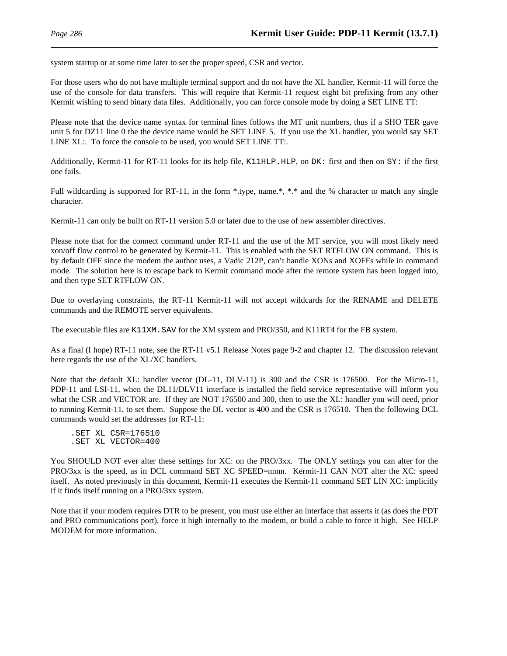system startup or at some time later to set the proper speed, CSR and vector.

For those users who do not have multiple terminal support and do not have the XL handler, Kermit-11 will force the use of the console for data transfers. This will require that Kermit-11 request eight bit prefixing from any other Kermit wishing to send binary data files. Additionally, you can force console mode by doing a SET LINE TT:

Please note that the device name syntax for terminal lines follows the MT unit numbers, thus if a SHO TER gave unit 5 for DZ11 line 0 the the device name would be SET LINE 5. If you use the XL handler, you would say SET LINE XL:. To force the console to be used, you would SET LINE TT:.

Additionally, Kermit-11 for RT-11 looks for its help file, K11HLP. HLP, on  $DK:$  first and then on  $SY:$  if the first one fails.

Full wildcarding is supported for RT-11, in the form \*.type, name.\*, \*.\* and the % character to match any single character.

Kermit-11 can only be built on RT-11 version 5.0 or later due to the use of new assembler directives.

Please note that for the connect command under RT-11 and the use of the MT service, you will most likely need xon/off flow control to be generated by Kermit-11. This is enabled with the SET RTFLOW ON command. This is by default OFF since the modem the author uses, a Vadic 212P, can't handle XONs and XOFFs while in command mode. The solution here is to escape back to Kermit command mode after the remote system has been logged into, and then type SET RTFLOW ON.

Due to overlaying constraints, the RT-11 Kermit-11 will not accept wildcards for the RENAME and DELETE commands and the REMOTE server equivalents.

The executable files are K11XM.SAV for the XM system and PRO/350, and K11RT4 for the FB system.

As a final (I hope) RT-11 note, see the RT-11 v5.1 Release Notes page 9-2 and chapter 12. The discussion relevant here regards the use of the XL/XC handlers.

Note that the default XL: handler vector (DL-11, DLV-11) is 300 and the CSR is 176500. For the Micro-11, PDP-11 and LSI-11, when the DL11/DLV11 interface is installed the field service representative will inform you what the CSR and VECTOR are. If they are NOT 176500 and 300, then to use the XL: handler you will need, prior to running Kermit-11, to set them. Suppose the DL vector is 400 and the CSR is 176510. Then the following DCL commands would set the addresses for RT-11:

.SET XL CSR=176510 .SET XL VECTOR=400

You SHOULD NOT ever alter these settings for XC: on the PRO/3xx. The ONLY settings you can alter for the PRO/3xx is the speed, as in DCL command SET XC SPEED=nnnn. Kermit-11 CAN NOT alter the XC: speed itself. As noted previously in this document, Kermit-11 executes the Kermit-11 command SET LIN XC: implicitly if it finds itself running on a PRO/3xx system.

Note that if your modem requires DTR to be present, you must use either an interface that asserts it (as does the PDT and PRO communications port), force it high internally to the modem, or build a cable to force it high. See HELP MODEM for more information.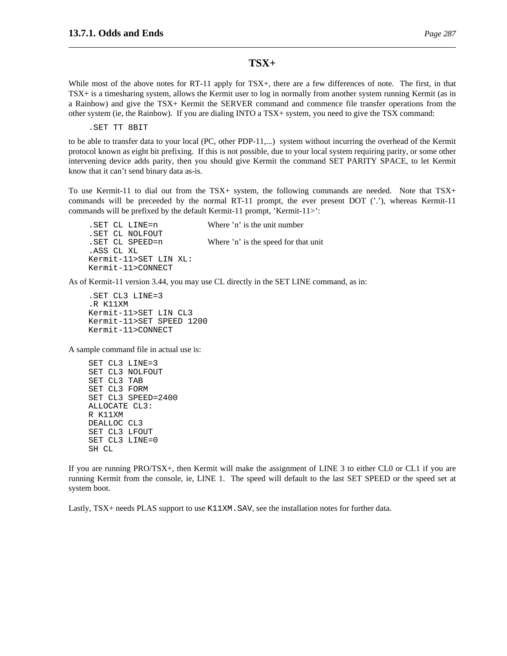### **TSX+**

While most of the above notes for RT-11 apply for TSX+, there are a few differences of note. The first, in that TSX+ is a timesharing system, allows the Kermit user to log in normally from another system running Kermit (as in a Rainbow) and give the TSX+ Kermit the SERVER command and commence file transfer operations from the other system (ie, the Rainbow). If you are dialing INTO a TSX+ system, you need to give the TSX command:

.SET TT 8BIT

to be able to transfer data to your local (PC, other PDP-11,...) system without incurring the overhead of the Kermit protocol known as eight bit prefixing. If this is not possible, due to your local system requiring parity, or some other intervening device adds parity, then you should give Kermit the command SET PARITY SPACE, to let Kermit know that it can't send binary data as-is.

To use Kermit-11 to dial out from the TSX+ system, the following commands are needed. Note that TSX+ commands will be preceeded by the normal RT-11 prompt, the ever present DOT  $('')$ , whereas Kermit-11 commands will be prefixed by the default Kermit-11 prompt, 'Kermit-11>':

.SET CL LINE=n Where 'n' is the unit number .SET CL NOLFOUT .SET CL SPEED=n Where 'n' is the speed for that unit .ASS CL XL Kermit-11>SET LIN XL: Kermit-11>CONNECT

As of Kermit-11 version 3.44, you may use CL directly in the SET LINE command, as in:

.SET CL3 LINE=3 .R K11XM Kermit-11>SET LIN CL3 Kermit-11>SET SPEED 1200 Kermit-11>CONNECT

A sample command file in actual use is:

SET CL3 LINE=3 SET CL3 NOLFOUT SET CL3 TAB SET CL3 FORM SET CL3 SPEED=2400 ALLOCATE CL3: R K11XM DEALLOC CL3 SET CL3 LFOUT SET CL3 LINE=0 SH CL

If you are running PRO/TSX+, then Kermit will make the assignment of LINE 3 to either CL0 or CL1 if you are running Kermit from the console, ie, LINE 1. The speed will default to the last SET SPEED or the speed set at system boot.

Lastly, TSX+ needs PLAS support to use K11XM. SAV, see the installation notes for further data.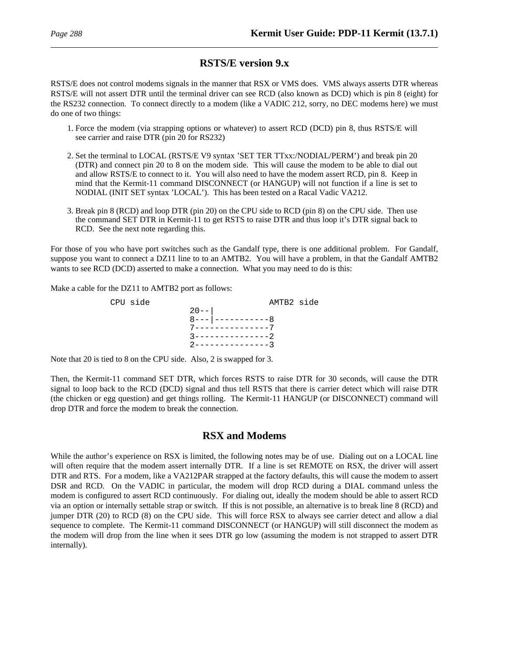# **RSTS/E version 9.x**

RSTS/E does not control modems signals in the manner that RSX or VMS does. VMS always asserts DTR whereas RSTS/E will not assert DTR until the terminal driver can see RCD (also known as DCD) which is pin 8 (eight) for the RS232 connection. To connect directly to a modem (like a VADIC 212, sorry, no DEC modems here) we must do one of two things:

- 1. Force the modem (via strapping options or whatever) to assert RCD (DCD) pin 8, thus RSTS/E will see carrier and raise DTR (pin 20 for RS232)
- 2. Set the terminal to LOCAL (RSTS/E V9 syntax 'SET TER TTxx:/NODIAL/PERM') and break pin 20 (DTR) and connect pin 20 to 8 on the modem side. This will cause the modem to be able to dial out and allow RSTS/E to connect to it. You will also need to have the modem assert RCD, pin 8. Keep in mind that the Kermit-11 command DISCONNECT (or HANGUP) will not function if a line is set to NODIAL (INIT SET syntax 'LOCAL'). This has been tested on a Racal Vadic VA212.
- 3. Break pin 8 (RCD) and loop DTR (pin 20) on the CPU side to RCD (pin 8) on the CPU side. Then use the command SET DTR in Kermit-11 to get RSTS to raise DTR and thus loop it's DTR signal back to RCD. See the next note regarding this.

For those of you who have port switches such as the Gandalf type, there is one additional problem. For Gandalf, suppose you want to connect a DZ11 line to to an AMTB2. You will have a problem, in that the Gandalf AMTB2 wants to see RCD (DCD) asserted to make a connection. What you may need to do is this:

Make a cable for the DZ11 to AMTB2 port as follows:



Note that 20 is tied to 8 on the CPU side. Also, 2 is swapped for 3.

Then, the Kermit-11 command SET DTR, which forces RSTS to raise DTR for 30 seconds, will cause the DTR signal to loop back to the RCD (DCD) signal and thus tell RSTS that there is carrier detect which will raise DTR (the chicken or egg question) and get things rolling. The Kermit-11 HANGUP (or DISCONNECT) command will drop DTR and force the modem to break the connection.

# **RSX and Modems**

While the author's experience on RSX is limited, the following notes may be of use. Dialing out on a LOCAL line will often require that the modem assert internally DTR. If a line is set REMOTE on RSX, the driver will assert DTR and RTS. For a modem, like a VA212PAR strapped at the factory defaults, this will cause the modem to assert DSR and RCD. On the VADIC in particular, the modem will drop RCD during a DIAL command unless the modem is configured to assert RCD continuously. For dialing out, ideally the modem should be able to assert RCD via an option or internally settable strap or switch. If this is not possible, an alternative is to break line 8 (RCD) and jumper DTR (20) to RCD (8) on the CPU side. This will force RSX to always see carrier detect and allow a dial sequence to complete. The Kermit-11 command DISCONNECT (or HANGUP) will still disconnect the modem as the modem will drop from the line when it sees DTR go low (assuming the modem is not strapped to assert DTR internally).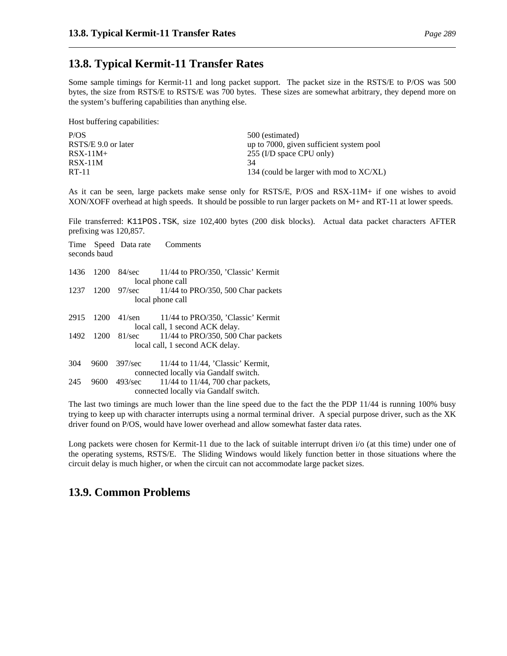# **13.8. Typical Kermit-11 Transfer Rates**

Some sample timings for Kermit-11 and long packet support. The packet size in the RSTS/E to P/OS was 500 bytes, the size from RSTS/E to RSTS/E was 700 bytes. These sizes are somewhat arbitrary, they depend more on the system's buffering capabilities than anything else.

Host buffering capabilities:

| P/OS                | 500 (estimated)                            |
|---------------------|--------------------------------------------|
| RSTS/E 9.0 or later | up to 7000, given sufficient system pool   |
| $RSX-11M+$          | 255 (I/D space CPU only)                   |
| $RSX-11M$           | 34                                         |
| RT-11               | 134 (could be larger with mod to $XC/XL$ ) |
|                     |                                            |

As it can be seen, large packets make sense only for RSTS/E, P/OS and RSX-11M+ if one wishes to avoid XON/XOFF overhead at high speeds. It should be possible to run larger packets on M+ and RT-11 at lower speeds.

File transferred: K11POS.TSK, size 102,400 bytes (200 disk blocks). Actual data packet characters AFTER prefixing was 120,857.

|      | seconds baud | Time Speed Data rate | Comments                                                                        |
|------|--------------|----------------------|---------------------------------------------------------------------------------|
| 1436 | 1200         | 84/sec               | 11/44 to PRO/350, 'Classic' Kermit<br>local phone call                          |
| 1237 | 1200         | $97/\text{sec}$      | 11/44 to PRO/350, 500 Char packets<br>local phone call                          |
|      |              |                      |                                                                                 |
| 2915 | 1200         | $41$ /sen            | 11/44 to PRO/350, 'Classic' Kermit                                              |
|      |              |                      | local call, 1 second ACK delay.                                                 |
| 1492 | 1200         | 81/sec               | $11/44$ to PRO/350, 500 Char packets                                            |
|      |              |                      | local call, 1 second ACK delay.                                                 |
| 304  | 9600         | 397/sec              | $11/44$ to $11/44$ , 'Classic' Kermit,<br>connected locally via Gandalf switch. |
| 245  | 9600         | 493/sec              | 11/44 to 11/44, 700 char packets,<br>connected locally via Gandalf switch.      |
|      |              |                      |                                                                                 |

The last two timings are much lower than the line speed due to the fact the the PDP 11/44 is running 100% busy trying to keep up with character interrupts using a normal terminal driver. A special purpose driver, such as the XK driver found on P/OS, would have lower overhead and allow somewhat faster data rates.

Long packets were chosen for Kermit-11 due to the lack of suitable interrupt driven i/o (at this time) under one of the operating systems, RSTS/E. The Sliding Windows would likely function better in those situations where the circuit delay is much higher, or when the circuit can not accommodate large packet sizes.

# **13.9. Common Problems**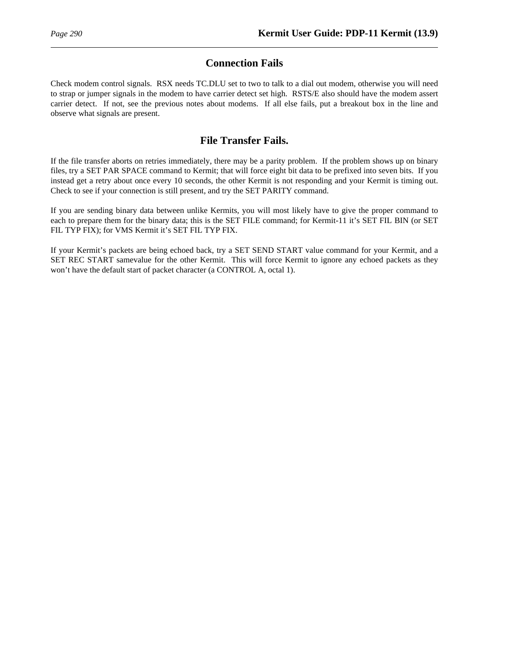# **Connection Fails**

Check modem control signals. RSX needs TC.DLU set to two to talk to a dial out modem, otherwise you will need to strap or jumper signals in the modem to have carrier detect set high. RSTS/E also should have the modem assert carrier detect. If not, see the previous notes about modems. If all else fails, put a breakout box in the line and observe what signals are present.

# **File Transfer Fails.**

If the file transfer aborts on retries immediately, there may be a parity problem. If the problem shows up on binary files, try a SET PAR SPACE command to Kermit; that will force eight bit data to be prefixed into seven bits. If you instead get a retry about once every 10 seconds, the other Kermit is not responding and your Kermit is timing out. Check to see if your connection is still present, and try the SET PARITY command.

If you are sending binary data between unlike Kermits, you will most likely have to give the proper command to each to prepare them for the binary data; this is the SET FILE command; for Kermit-11 it's SET FIL BIN (or SET FIL TYP FIX); for VMS Kermit it's SET FIL TYP FIX.

If your Kermit's packets are being echoed back, try a SET SEND START value command for your Kermit, and a SET REC START samevalue for the other Kermit. This will force Kermit to ignore any echoed packets as they won't have the default start of packet character (a CONTROL A, octal 1).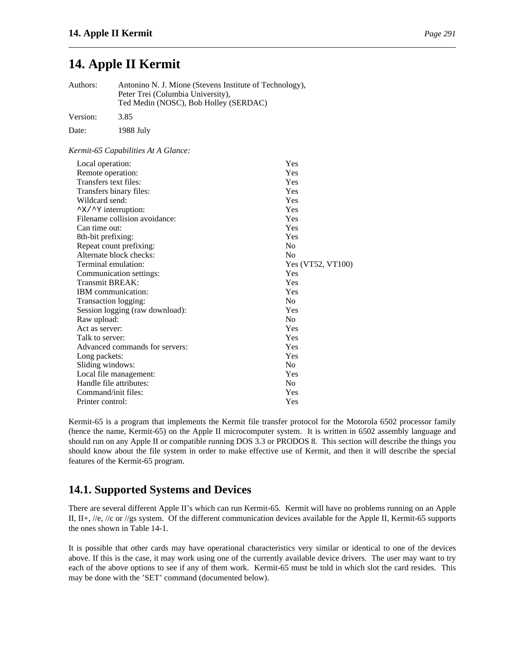# **14. Apple II Kermit**

| Authors:         | Antonino N. J. Mione (Stevens Institute of Technology),<br>Peter Trei (Columbia University),<br>Ted Medin (NOSC), Bob Holley (SERDAC) |     |
|------------------|---------------------------------------------------------------------------------------------------------------------------------------|-----|
| Version:         | 3.85                                                                                                                                  |     |
| Date:            | 1988 July                                                                                                                             |     |
|                  | Kermit-65 Capabilities At A Glance:                                                                                                   |     |
| Local operation: |                                                                                                                                       | Yes |
|                  | Remote operation:                                                                                                                     | Yes |
|                  |                                                                                                                                       |     |

| Remote operation:                          | r es              |
|--------------------------------------------|-------------------|
| Transfers text files:                      | Yes               |
| Transfers binary files:                    | Yes               |
| Wildcard send:                             | Yes               |
| $\gamma$ $\times$ / $\gamma$ interruption: | Yes               |
| Filename collision avoidance:              | Yes               |
| Can time out:                              | Yes               |
| 8th-bit prefixing:                         | Yes               |
| Repeat count prefixing:                    | N <sub>0</sub>    |
| Alternate block checks:                    | N <sub>0</sub>    |
| Terminal emulation:                        | Yes (VT52, VT100) |
| Communication settings:                    | Yes               |
| <b>Transmit BREAK:</b>                     | Yes               |
| <b>IBM</b> communication:                  | Yes               |
| Transaction logging:                       | N <sub>0</sub>    |
| Session logging (raw download):            | Yes               |
| Raw upload:                                | N <sub>0</sub>    |
| Act as server:                             | Yes               |
| Talk to server:                            | Yes               |
| Advanced commands for servers:             | Yes               |
| Long packets:                              | Yes               |
| Sliding windows:                           | N <sub>0</sub>    |
| Local file management:                     | Yes               |
| Handle file attributes:                    | N <sub>0</sub>    |
| Command/init files:                        | Yes               |
| Printer control:                           | Yes               |

Kermit-65 is a program that implements the Kermit file transfer protocol for the Motorola 6502 processor family (hence the name, Kermit-65) on the Apple II microcomputer system. It is written in 6502 assembly language and should run on any Apple II or compatible running DOS 3.3 or PRODOS 8. This section will describe the things you should know about the file system in order to make effective use of Kermit, and then it will describe the special features of the Kermit-65 program.

# **14.1. Supported Systems and Devices**

There are several different Apple II's which can run Kermit-65. Kermit will have no problems running on an Apple II, II+, //e, //c or //gs system. Of the different communication devices available for the Apple II, Kermit-65 supports the ones shown in Table 14-1.

It is possible that other cards may have operational characteristics very similar or identical to one of the devices above. If this is the case, it may work using one of the currently available device drivers. The user may want to try each of the above options to see if any of them work. Kermit-65 must be told in which slot the card resides. This may be done with the 'SET' command (documented below).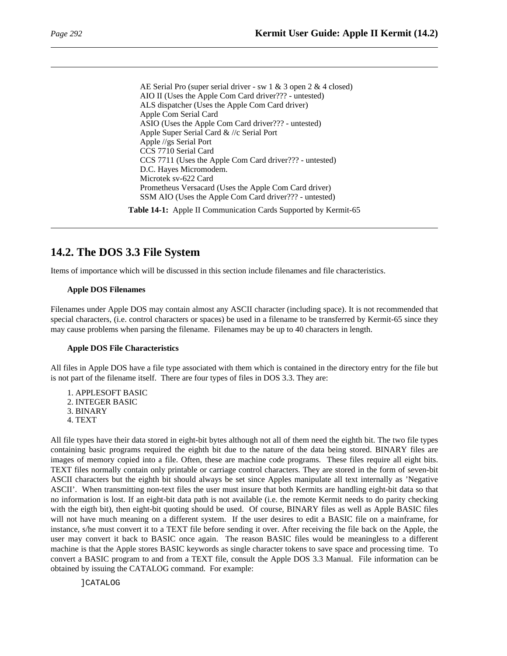AE Serial Pro (super serial driver - sw 1 & 3 open 2 & 4 closed) AIO II (Uses the Apple Com Card driver??? - untested) ALS dispatcher (Uses the Apple Com Card driver) Apple Com Serial Card ASIO (Uses the Apple Com Card driver??? - untested) Apple Super Serial Card & //c Serial Port Apple //gs Serial Port CCS 7710 Serial Card CCS 7711 (Uses the Apple Com Card driver??? - untested) D.C. Hayes Micromodem. Microtek sv-622 Card Prometheus Versacard (Uses the Apple Com Card driver) SSM AIO (Uses the Apple Com Card driver??? - untested)

**Table 14-1:** Apple II Communication Cards Supported by Kermit-65

# **14.2. The DOS 3.3 File System**

Items of importance which will be discussed in this section include filenames and file characteristics.

## **Apple DOS Filenames**

Filenames under Apple DOS may contain almost any ASCII character (including space). It is not recommended that special characters, (i.e. control characters or spaces) be used in a filename to be transferred by Kermit-65 since they may cause problems when parsing the filename. Filenames may be up to 40 characters in length.

## **Apple DOS File Characteristics**

All files in Apple DOS have a file type associated with them which is contained in the directory entry for the file but is not part of the filename itself. There are four types of files in DOS 3.3. They are:

1. APPLESOFT BASIC 2. INTEGER BASIC 3. BINARY 4. TEXT

All file types have their data stored in eight-bit bytes although not all of them need the eighth bit. The two file types containing basic programs required the eighth bit due to the nature of the data being stored. BINARY files are images of memory copied into a file. Often, these are machine code programs. These files require all eight bits. TEXT files normally contain only printable or carriage control characters. They are stored in the form of seven-bit ASCII characters but the eighth bit should always be set since Apples manipulate all text internally as 'Negative ASCII'. When transmitting non-text files the user must insure that both Kermits are handling eight-bit data so that no information is lost. If an eight-bit data path is not available (i.e. the remote Kermit needs to do parity checking with the eigth bit), then eight-bit quoting should be used. Of course, BINARY files as well as Apple BASIC files will not have much meaning on a different system. If the user desires to edit a BASIC file on a mainframe, for instance, s/he must convert it to a TEXT file before sending it over. After receiving the file back on the Apple, the user may convert it back to BASIC once again. The reason BASIC files would be meaningless to a different machine is that the Apple stores BASIC keywords as single character tokens to save space and processing time. To convert a BASIC program to and from a TEXT file, consult the Apple DOS 3.3 Manual. File information can be obtained by issuing the CATALOG command. For example:

]CATALOG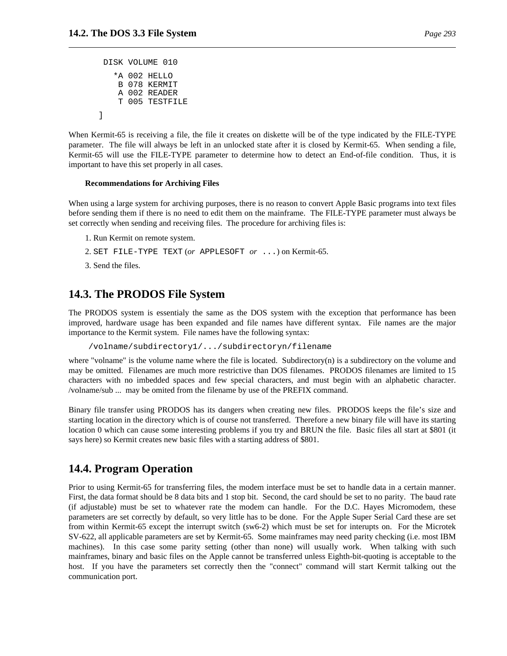```
DISK VOLUME 010
  *A 002 HELLO
  B 078 KERMIT
   A 002 READER
   T 005 TESTFILE
```
When Kermit-65 is receiving a file, the file it creates on diskette will be of the type indicated by the FILE-TYPE parameter. The file will always be left in an unlocked state after it is closed by Kermit-65. When sending a file, Kermit-65 will use the FILE-TYPE parameter to determine how to detect an End-of-file condition. Thus, it is important to have this set properly in all cases.

#### **Recommendations for Archiving Files**

When using a large system for archiving purposes, there is no reason to convert Apple Basic programs into text files before sending them if there is no need to edit them on the mainframe. The FILE-TYPE parameter must always be set correctly when sending and receiving files. The procedure for archiving files is:

- 1. Run Kermit on remote system.
- 2. SET FILE-TYPE TEXT (*or* APPLESOFT *or* ...) on Kermit-65.
- 3. Send the files.

]

## **14.3. The PRODOS File System**

The PRODOS system is essentialy the same as the DOS system with the exception that performance has been improved, hardware usage has been expanded and file names have different syntax. File names are the major importance to the Kermit system. File names have the following syntax:

/volname/subdirectory1/.../subdirectoryn/filename

where "volname" is the volume name where the file is located. Subdirectory(n) is a subdirectory on the volume and may be omitted. Filenames are much more restrictive than DOS filenames. PRODOS filenames are limited to 15 characters with no imbedded spaces and few special characters, and must begin with an alphabetic character. /volname/sub ... may be omited from the filename by use of the PREFIX command.

Binary file transfer using PRODOS has its dangers when creating new files. PRODOS keeps the file's size and starting location in the directory which is of course not transferred. Therefore a new binary file will have its starting location 0 which can cause some interesting problems if you try and BRUN the file. Basic files all start at \$801 (it says here) so Kermit creates new basic files with a starting address of \$801.

# **14.4. Program Operation**

Prior to using Kermit-65 for transferring files, the modem interface must be set to handle data in a certain manner. First, the data format should be 8 data bits and 1 stop bit. Second, the card should be set to no parity. The baud rate (if adjustable) must be set to whatever rate the modem can handle. For the D.C. Hayes Micromodem, these parameters are set correctly by default, so very little has to be done. For the Apple Super Serial Card these are set from within Kermit-65 except the interrupt switch (sw6-2) which must be set for interupts on. For the Microtek SV-622, all applicable parameters are set by Kermit-65. Some mainframes may need parity checking (i.e. most IBM machines). In this case some parity setting (other than none) will usually work. When talking with such mainframes, binary and basic files on the Apple cannot be transferred unless Eighth-bit-quoting is acceptable to the host. If you have the parameters set correctly then the "connect" command will start Kermit talking out the communication port.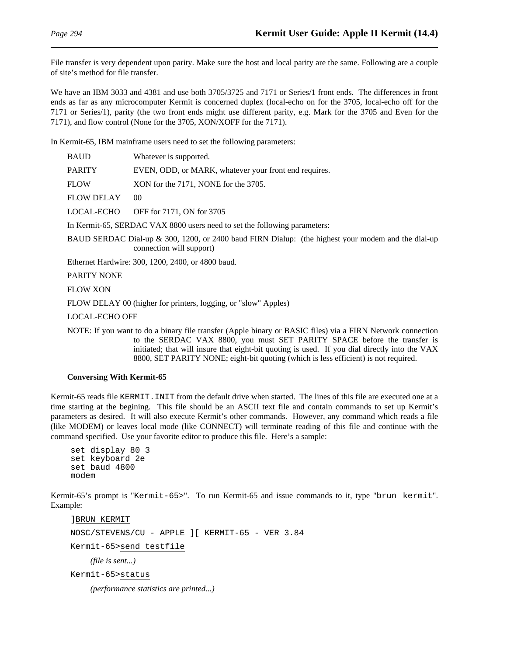File transfer is very dependent upon parity. Make sure the host and local parity are the same. Following are a couple of site's method for file transfer.

We have an IBM 3033 and 4381 and use both 3705/3725 and 7171 or Series/1 front ends. The differences in front ends as far as any microcomputer Kermit is concerned duplex (local-echo on for the 3705, local-echo off for the 7171 or Series/1), parity (the two front ends might use different parity, e.g. Mark for the 3705 and Even for the 7171), and flow control (None for the 3705, XON/XOFF for the 7171).

In Kermit-65, IBM mainframe users need to set the following parameters:

| <b>BAUD</b>           | Whatever is supported.                                                                                                         |
|-----------------------|--------------------------------------------------------------------------------------------------------------------------------|
| <b>PARITY</b>         | EVEN, ODD, or MARK, whatever your front end requires.                                                                          |
| <b>FLOW</b>           | XON for the 7171, NONE for the 3705.                                                                                           |
| <b>FLOW DELAY</b>     | $00\,$                                                                                                                         |
| LOCAL-ECHO            | OFF for 7171, ON for 3705                                                                                                      |
|                       | In Kermit-65, SERDAC VAX 8800 users need to set the following parameters:                                                      |
|                       | BAUD SERDAC Dial-up & 300, 1200, or 2400 baud FIRN Dialup: (the highest your modem and the dial-up<br>connection will support) |
|                       | Ethernet Hardwire: 300, 1200, 2400, or 4800 baud.                                                                              |
| <b>PARITY NONE</b>    |                                                                                                                                |
| <b>FLOW XON</b>       |                                                                                                                                |
|                       | FLOW DELAY 00 (higher for printers, logging, or "slow" Apples)                                                                 |
| <b>LOCAL-ECHO OFF</b> |                                                                                                                                |
|                       |                                                                                                                                |

NOTE: If you want to do a binary file transfer (Apple binary or BASIC files) via a FIRN Network connection to the SERDAC VAX 8800, you must SET PARITY SPACE before the transfer is initiated; that will insure that eight-bit quoting is used. If you dial directly into the VAX 8800, SET PARITY NONE; eight-bit quoting (which is less efficient) is not required.

### **Conversing With Kermit-65**

Kermit-65 reads file KERMIT.INIT from the default drive when started. The lines of this file are executed one at a time starting at the begining. This file should be an ASCII text file and contain commands to set up Kermit's parameters as desired. It will also execute Kermit's other commands. However, any command which reads a file (like MODEM) or leaves local mode (like CONNECT) will terminate reading of this file and continue with the command specified. Use your favorite editor to produce this file. Here's a sample:

```
set display 80 3
set keyboard 2e
set baud 4800
modem
```
Kermit-65's prompt is "Kermit-65>". To run Kermit-65 and issue commands to it, type "brun kermit". Example:

]BRUN KERMIT NOSC/STEVENS/CU - APPLE ][ KERMIT-65 - VER 3.84 Kermit-65>send testfile *(file is sent...)* Kermit-65>status *(performance statistics are printed...)*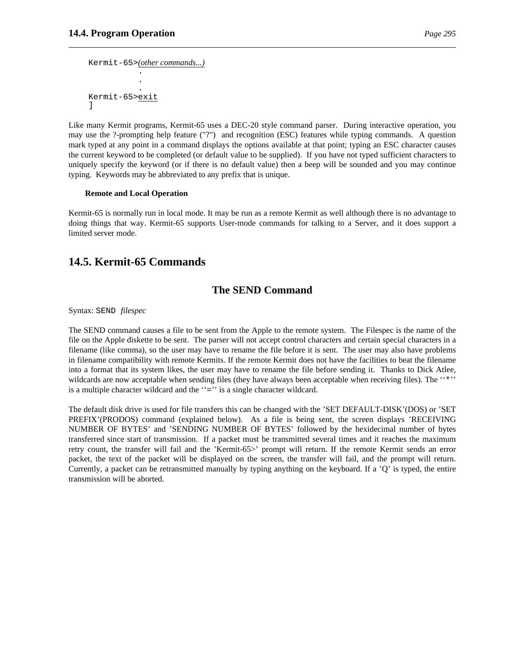```
Kermit-65>(other commands...)
            .
            .
            .
Kermit-65>exit
]
```
Like many Kermit programs, Kermit-65 uses a DEC-20 style command parser. During interactive operation, you may use the ?-prompting help feature ("?") and recognition (ESC) features while typing commands. A question mark typed at any point in a command displays the options available at that point; typing an ESC character causes the current keyword to be completed (or default value to be supplied). If you have not typed sufficient characters to uniquely specify the keyword (or if there is no default value) then a beep will be sounded and you may continue typing. Keywords may be abbreviated to any prefix that is unique.

### **Remote and Local Operation**

Kermit-65 is normally run in local mode. It may be run as a remote Kermit as well although there is no advantage to doing things that way. Kermit-65 supports User-mode commands for talking to a Server, and it does support a limited server mode.

# **14.5. Kermit-65 Commands**

## **The SEND Command**

Syntax: SEND *filespec*

The SEND command causes a file to be sent from the Apple to the remote system. The Filespec is the name of the file on the Apple diskette to be sent. The parser will not accept control characters and certain special characters in a filename (like comma), so the user may have to rename the file before it is sent. The user may also have problems in filename compatibility with remote Kermits. If the remote Kermit does not have the facilities to beat the filename into a format that its system likes, the user may have to rename the file before sending it. Thanks to Dick Atlee, wildcards are now acceptable when sending files (they have always been acceptable when receiving files). The "\*'' is a multiple character wildcard and the ''='' is a single character wildcard.

The default disk drive is used for file transfers this can be changed with the 'SET DEFAULT-DISK'(DOS) or 'SET PREFIX'(PRODOS) command (explained below). As a file is being sent, the screen displays 'RECEIVING NUMBER OF BYTES' and 'SENDING NUMBER OF BYTES' followed by the hexidecimal number of bytes transferred since start of transmission. If a packet must be transmitted several times and it reaches the maximum retry count, the transfer will fail and the 'Kermit-65>' prompt will return. If the remote Kermit sends an error packet, the text of the packet will be displayed on the screen, the transfer will fail, and the prompt will return. Currently, a packet can be retransmitted manually by typing anything on the keyboard. If a 'Q' is typed, the entire transmission will be aborted.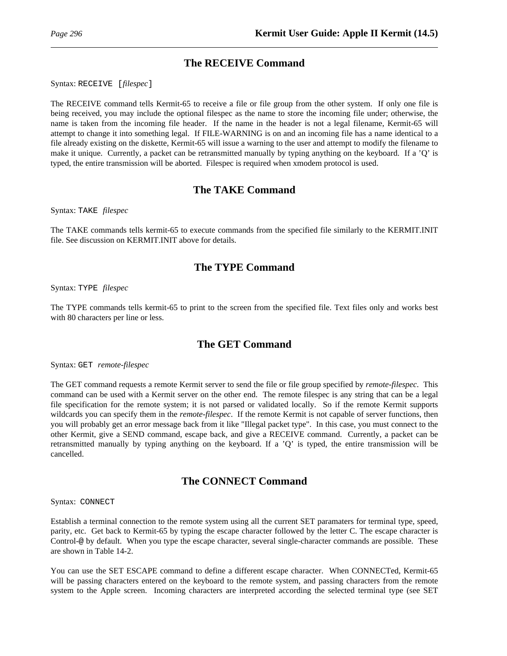# **The RECEIVE Command**

Syntax: RECEIVE [*filespec*]

The RECEIVE command tells Kermit-65 to receive a file or file group from the other system. If only one file is being received, you may include the optional filespec as the name to store the incoming file under; otherwise, the name is taken from the incoming file header. If the name in the header is not a legal filename, Kermit-65 will attempt to change it into something legal. If FILE-WARNING is on and an incoming file has a name identical to a file already existing on the diskette, Kermit-65 will issue a warning to the user and attempt to modify the filename to make it unique. Currently, a packet can be retransmitted manually by typing anything on the keyboard. If a 'Q' is typed, the entire transmission will be aborted. Filespec is required when xmodem protocol is used.

# **The TAKE Command**

Syntax: TAKE *filespec*

The TAKE commands tells kermit-65 to execute commands from the specified file similarly to the KERMIT.INIT file. See discussion on KERMIT.INIT above for details.

# **The TYPE Command**

Syntax: TYPE *filespec*

The TYPE commands tells kermit-65 to print to the screen from the specified file. Text files only and works best with 80 characters per line or less.

# **The GET Command**

Syntax: GET *remote-filespec*

The GET command requests a remote Kermit server to send the file or file group specified by *remote-filespec*. This command can be used with a Kermit server on the other end. The remote filespec is any string that can be a legal file specification for the remote system; it is not parsed or validated locally. So if the remote Kermit supports wildcards you can specify them in the *remote-filespec*. If the remote Kermit is not capable of server functions, then you will probably get an error message back from it like "Illegal packet type". In this case, you must connect to the other Kermit, give a SEND command, escape back, and give a RECEIVE command. Currently, a packet can be retransmitted manually by typing anything on the keyboard. If a 'Q' is typed, the entire transmission will be cancelled.

# **The CONNECT Command**

Syntax: CONNECT

Establish a terminal connection to the remote system using all the current SET paramaters for terminal type, speed, parity, etc. Get back to Kermit-65 by typing the escape character followed by the letter C. The escape character is Control-@ by default. When you type the escape character, several single-character commands are possible. These are shown in Table 14-2.

You can use the SET ESCAPE command to define a different escape character. When CONNECTed, Kermit-65 will be passing characters entered on the keyboard to the remote system, and passing characters from the remote system to the Apple screen. Incoming characters are interpreted according the selected terminal type (see SET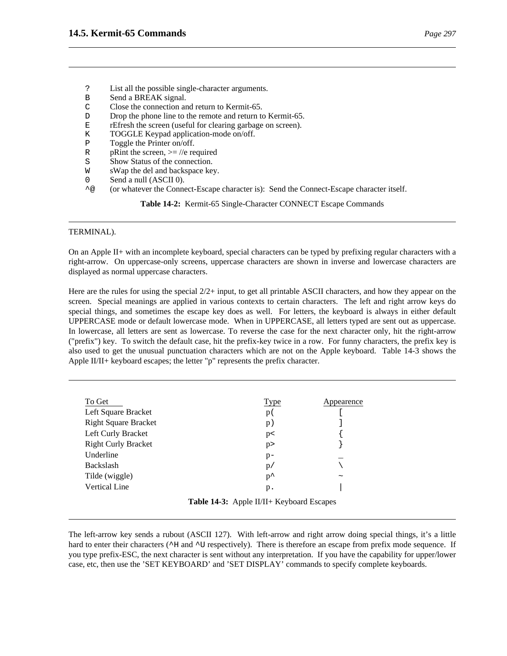- ? List all the possible single-character arguments.
- B Send a BREAK signal.
- C Close the connection and return to Kermit-65.
- D Drop the phone line to the remote and return to Kermit-65.
- E rEfresh the screen (useful for clearing garbage on screen).
- K TOGGLE Keypad application-mode on/off.
- P Toggle the Printer on/off.
- R pRint the screen,  $>=$  //e required
- S Show Status of the connection.
- W sWap the del and backspace key.
- 0 Send a null (ASCII 0).
- ^@ (or whatever the Connect-Escape character is): Send the Connect-Escape character itself.

**Table 14-2:** Kermit-65 Single-Character CONNECT Escape Commands

### TERMINAL).

On an Apple II+ with an incomplete keyboard, special characters can be typed by prefixing regular characters with a right-arrow. On uppercase-only screens, uppercase characters are shown in inverse and lowercase characters are displayed as normal uppercase characters.

Here are the rules for using the special  $2/2+$  input, to get all printable ASCII characters, and how they appear on the screen. Special meanings are applied in various contexts to certain characters. The left and right arrow keys do special things, and sometimes the escape key does as well. For letters, the keyboard is always in either default UPPERCASE mode or default lowercase mode. When in UPPERCASE, all letters typed are sent out as uppercase. In lowercase, all letters are sent as lowercase. To reverse the case for the next character only, hit the right-arrow ("prefix") key. To switch the default case, hit the prefix-key twice in a row. For funny characters, the prefix key is also used to get the unusual punctuation characters which are not on the Apple keyboard. Table 14-3 shows the Apple II/II+ keyboard escapes; the letter "p" represents the prefix character.

| Type          | Appearence            |
|---------------|-----------------------|
| p(            |                       |
| p)            |                       |
| p<            |                       |
| p             |                       |
| $p-$          |                       |
| p/            |                       |
| $p^{\lambda}$ | $\tilde{\phantom{a}}$ |
| $p$ .         |                       |
|               |                       |

**Table 14-3:** Apple II/II+ Keyboard Escapes

The left-arrow key sends a rubout (ASCII 127). With left-arrow and right arrow doing special things, it's a little hard to enter their characters ( $\sim$ H and  $\sim$ U respectively). There is therefore an escape from prefix mode sequence. If you type prefix-ESC, the next character is sent without any interpretation. If you have the capability for upper/lower case, etc, then use the 'SET KEYBOARD' and 'SET DISPLAY' commands to specify complete keyboards.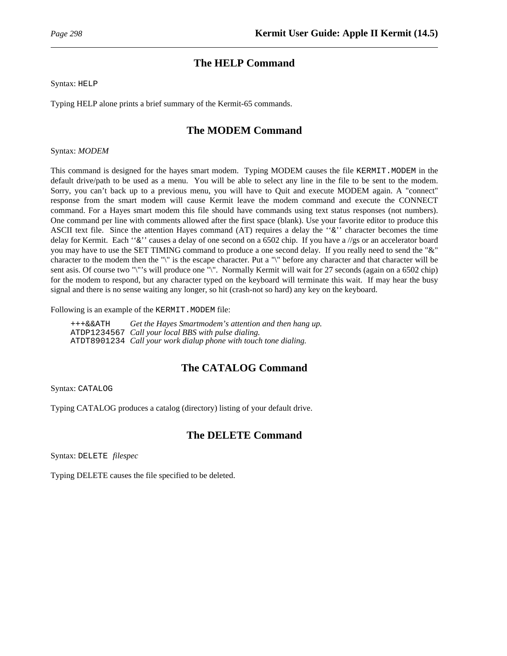# **The HELP Command**

Syntax: HELP

Typing HELP alone prints a brief summary of the Kermit-65 commands.

# **The MODEM Command**

Syntax: *MODEM*

This command is designed for the hayes smart modem. Typing MODEM causes the file KERMIT. MODEM in the default drive/path to be used as a menu. You will be able to select any line in the file to be sent to the modem. Sorry, you can't back up to a previous menu, you will have to Quit and execute MODEM again. A "connect" response from the smart modem will cause Kermit leave the modem command and execute the CONNECT command. For a Hayes smart modem this file should have commands using text status responses (not numbers). One command per line with comments allowed after the first space (blank). Use your favorite editor to produce this ASCII text file. Since the attention Hayes command (AT) requires a delay the ''&'' character becomes the time delay for Kermit. Each ''&'' causes a delay of one second on a 6502 chip. If you have a //gs or an accelerator board you may have to use the SET TIMING command to produce a one second delay. If you really need to send the "&" character to the modem then the "\" is the escape character. Put a "\" before any character and that character will be sent asis. Of course two "\"'s will produce one "\". Normally Kermit will wait for 27 seconds (again on a 6502 chip) for the modem to respond, but any character typed on the keyboard will terminate this wait. If may hear the busy signal and there is no sense waiting any longer, so hit (crash-not so hard) any key on the keyboard.

Following is an example of the KERMIT. MODEM file:

+++&&ATH *Get the Hayes Smartmodem's attention and then hang up.* ATDP1234567 *Call your local BBS with pulse dialing.* ATDT8901234 *Call your work dialup phone with touch tone dialing.*

# **The CATALOG Command**

Syntax: CATALOG

Typing CATALOG produces a catalog (directory) listing of your default drive.

# **The DELETE Command**

Syntax: DELETE *filespec*

Typing DELETE causes the file specified to be deleted.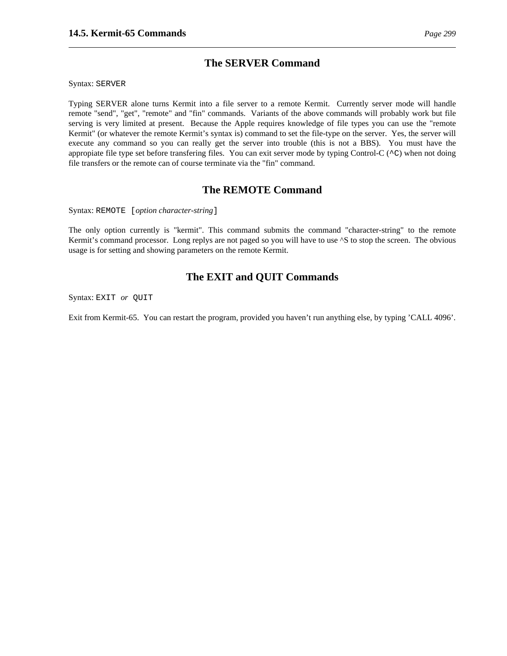Syntax: SERVER

Typing SERVER alone turns Kermit into a file server to a remote Kermit. Currently server mode will handle remote "send", "get", "remote" and "fin" commands. Variants of the above commands will probably work but file serving is very limited at present. Because the Apple requires knowledge of file types you can use the "remote Kermit" (or whatever the remote Kermit's syntax is) command to set the file-type on the server. Yes, the server will execute any command so you can really get the server into trouble (this is not a BBS). You must have the appropiate file type set before transfering files. You can exit server mode by typing Control-C ( $\sim$ C) when not doing file transfers or the remote can of course terminate via the "fin" command.

# **The REMOTE Command**

Syntax: REMOTE [*option character-string*]

The only option currently is "kermit". This command submits the command "character-string" to the remote Kermit's command processor. Long replys are not paged so you will have to use  $\Delta S$  to stop the screen. The obvious usage is for setting and showing parameters on the remote Kermit.

# **The EXIT and QUIT Commands**

Syntax: EXIT *or* QUIT

Exit from Kermit-65. You can restart the program, provided you haven't run anything else, by typing 'CALL 4096'.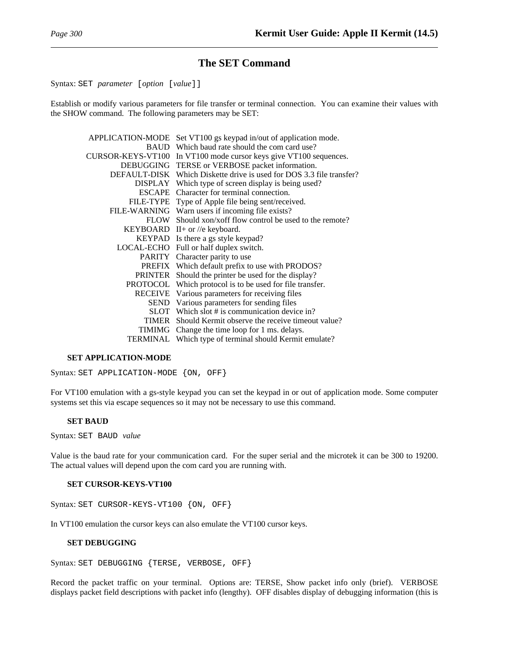## **The SET Command**

Syntax: SET *parameter* [*option* [*value*]]

Establish or modify various parameters for file transfer or terminal connection. You can examine their values with the SHOW command. The following parameters may be SET:

| APPLICATION-MODE  | Set VT100 gs keypad in/out of application mode.         |
|-------------------|---------------------------------------------------------|
| <b>BAUD</b>       | Which baud rate should the com card use?                |
| CURSOR-KEYS-VT100 | In VT100 mode cursor keys give VT100 sequences.         |
| <b>DEBUGGING</b>  | TERSE or VERBOSE packet information.                    |
| DEFAULT-DISK      | Which Diskette drive is used for DOS 3.3 file transfer? |
| <b>DISPLAY</b>    | Which type of screen display is being used?             |
| ESCAPE            | Character for terminal connection.                      |
| <b>FILE-TYPE</b>  | Type of Apple file being sent/received.                 |
|                   | FILE-WARNING Warn users if incoming file exists?        |
| <b>FLOW</b>       | Should xon/xoff flow control be used to the remote?     |
|                   | KEYBOARD II+ or //e keyboard.                           |
| KEYPAD            | Is there a gs style keypad?                             |
|                   | LOCAL-ECHO Full or half duplex switch.                  |
| PARITY            | Character parity to use                                 |
| <b>PREFIX</b>     | Which default prefix to use with PRODOS?                |
| <b>PRINTER</b>    | Should the printer be used for the display?             |
| PROTOCOL          | Which protocol is to be used for file transfer.         |
| RECEIVE           | Various parameters for receiving files                  |
|                   | SEND Various parameters for sending files               |
|                   | SLOT Which slot # is communication device in?           |
| <b>TIMER</b>      | Should Kermit observe the receive timeout value?        |
| <b>TIMIMG</b>     | Change the time loop for 1 ms. delays.                  |
| TERMINAL          | Which type of terminal should Kermit emulate?           |

### **SET APPLICATION-MODE**

Syntax: SET APPLICATION-MODE {ON, OFF}

For VT100 emulation with a gs-style keypad you can set the keypad in or out of application mode. Some computer systems set this via escape sequences so it may not be necessary to use this command.

### **SET BAUD**

Syntax: SET BAUD *value*

Value is the baud rate for your communication card. For the super serial and the microtek it can be 300 to 19200. The actual values will depend upon the com card you are running with.

### **SET CURSOR-KEYS-VT100**

Syntax: SET CURSOR-KEYS-VT100 {ON, OFF}

In VT100 emulation the cursor keys can also emulate the VT100 cursor keys.

### **SET DEBUGGING**

Syntax: SET DEBUGGING {TERSE, VERBOSE, OFF}

Record the packet traffic on your terminal. Options are: TERSE, Show packet info only (brief). VERBOSE displays packet field descriptions with packet info (lengthy). OFF disables display of debugging information (this is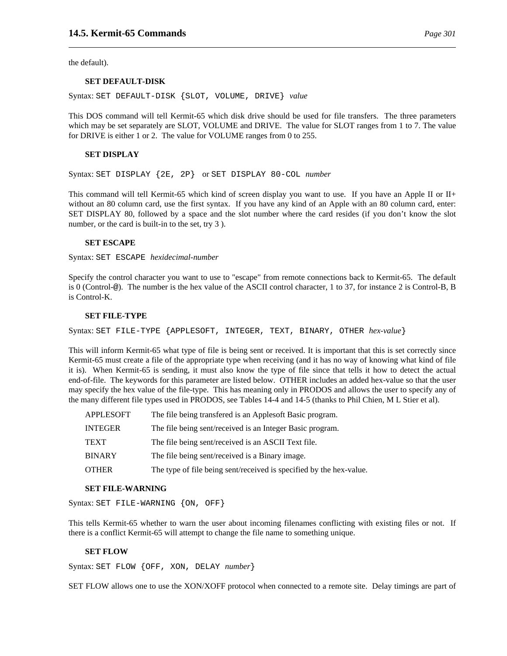the default).

### **SET DEFAULT-DISK**

Syntax: SET DEFAULT-DISK {SLOT, VOLUME, DRIVE} *value*

This DOS command will tell Kermit-65 which disk drive should be used for file transfers. The three parameters which may be set separately are SLOT, VOLUME and DRIVE. The value for SLOT ranges from 1 to 7. The value for DRIVE is either 1 or 2. The value for VOLUME ranges from 0 to 255.

### **SET DISPLAY**

Syntax: SET DISPLAY {2E, 2P} or SET DISPLAY 80-COL *number*

This command will tell Kermit-65 which kind of screen display you want to use. If you have an Apple II or II+ without an 80 column card, use the first syntax. If you have any kind of an Apple with an 80 column card, enter: SET DISPLAY 80, followed by a space and the slot number where the card resides (if you don't know the slot number, or the card is built-in to the set, try 3 ).

### **SET ESCAPE**

Syntax: SET ESCAPE *hexidecimal-number*

Specify the control character you want to use to "escape" from remote connections back to Kermit-65. The default is 0 (Control-@). The number is the hex value of the ASCII control character, 1 to 37, for instance 2 is Control-B, B is Control-K.

#### **SET FILE-TYPE**

Syntax: SET FILE-TYPE {APPLESOFT, INTEGER, TEXT, BINARY, OTHER *hex-value*}

This will inform Kermit-65 what type of file is being sent or received. It is important that this is set correctly since Kermit-65 must create a file of the appropriate type when receiving (and it has no way of knowing what kind of file it is). When Kermit-65 is sending, it must also know the type of file since that tells it how to detect the actual end-of-file. The keywords for this parameter are listed below. OTHER includes an added hex-value so that the user may specify the hex value of the file-type. This has meaning only in PRODOS and allows the user to specify any of the many different file types used in PRODOS, see Tables 14-4 and 14-5 (thanks to Phil Chien, M L Stier et al).

| <b>APPLESOFT</b> | The file being transfered is an Applesoft Basic program.            |
|------------------|---------------------------------------------------------------------|
| <b>INTEGER</b>   | The file being sent/received is an Integer Basic program.           |
| <b>TEXT</b>      | The file being sent/received is an ASCII Text file.                 |
| <b>BINARY</b>    | The file being sent/received is a Binary image.                     |
| <b>OTHER</b>     | The type of file being sent/received is specified by the hex-value. |

#### **SET FILE-WARNING**

Syntax: SET FILE-WARNING {ON, OFF}

This tells Kermit-65 whether to warn the user about incoming filenames conflicting with existing files or not. If there is a conflict Kermit-65 will attempt to change the file name to something unique.

#### **SET FLOW**

Syntax: SET FLOW {OFF, XON, DELAY *number*}

SET FLOW allows one to use the XON/XOFF protocol when connected to a remote site. Delay timings are part of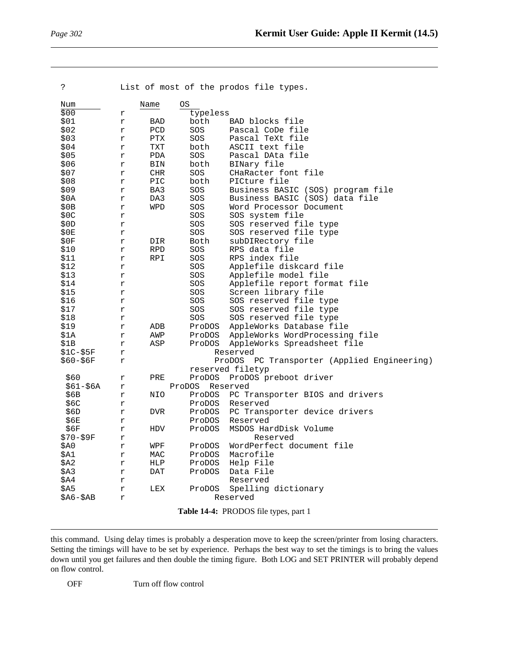| د:           |                                       |            |          | List of most of the prodos file types.                              |
|--------------|---------------------------------------|------------|----------|---------------------------------------------------------------------|
| Num          |                                       | Name       | ОS       |                                                                     |
| \$00         | r                                     |            | typeless |                                                                     |
| \$01         | r                                     | BAD        | both     | BAD blocks file                                                     |
| \$02         | r                                     | PCD        | SOS      | Pascal CoDe file                                                    |
| \$03         | r                                     | $\rm PTX$  | SOS      | Pascal TeXt file                                                    |
| \$04         | r                                     | TXT        | both     | ASCII text file                                                     |
| \$05         |                                       | PDA        | SOS      | Pascal DAta file                                                    |
| \$06         | r                                     |            | both     |                                                                     |
| \$07         | r                                     | BIN<br>CHR | SOS      | BINary file<br>CHaRacter font file                                  |
| \$08         | r<br>r                                | PIC        | both     | PICture file                                                        |
| \$09         |                                       | BA3        | SOS      |                                                                     |
| \$0A         | r<br>r                                | DA3        | SOS      | Business BASIC (SOS) program file<br>Business BASIC (SOS) data file |
| \$0B         | r                                     | WPD        | SOS      | Word Processor Document                                             |
|              |                                       |            | SOS      | SOS system file                                                     |
| \$0C<br>\$0D | r                                     |            | SOS      |                                                                     |
| \$0E         | r                                     |            | SOS      | SOS reserved file type                                              |
|              | r                                     |            |          | SOS reserved file type                                              |
| \$0F         | r                                     | DIR        | Both     | subDIRectory file<br>RPS data file                                  |
| \$10         | r                                     | RPD        | SOS      |                                                                     |
| \$11         | r                                     | RPI        | SOS      | RPS index file                                                      |
| \$12         | r                                     |            | SOS      | Applefile diskcard file                                             |
| \$13         | r                                     |            | SOS      | Applefile model file                                                |
| \$14         | r                                     |            | SOS      | Applefile report format file                                        |
| \$15         | r                                     |            | SOS      | Screen library file                                                 |
| \$16         | r                                     |            | SOS      | SOS reserved file type                                              |
| \$17         | r                                     |            | SOS      | SOS reserved file type                                              |
| \$18         | r                                     |            | SOS      | SOS reserved file type                                              |
| \$19         | r                                     | ADB        | ProDOS   | AppleWorks Database file                                            |
| \$1A         | r                                     | AWP        | ProDOS   | AppleWorks WordProcessing file                                      |
| \$1B         | r                                     | ASP        | ProDOS   | AppleWorks Spreadsheet file                                         |
| $$1C-$5F$    | r                                     |            |          | Reserved                                                            |
| $$60 - $6F$  | r                                     |            |          | ProDOS PC Transporter (Applied Engineering)                         |
|              |                                       |            |          | reserved filetyp                                                    |
| \$60         | r                                     | PRE        | ProDOS   | ProDOS preboot driver                                               |
| $$61 - $6A$  | r                                     |            | ProDOS   | Reserved                                                            |
| \$6B         | r                                     | NIO        | ProDOS   | PC Transporter BIOS and drivers                                     |
| \$6C         | r                                     |            | ProDOS   | Reserved                                                            |
| \$6D         | $\Upsilon$                            | DVR.       | ProDOS   | PC Transporter device drivers                                       |
| \$6E         | r                                     |            | ProDOS   | Reserved                                                            |
| \$6F         | r                                     | HDV        | ProDOS   | MSDOS HardDisk Volume                                               |
| \$70-\$9F    | r                                     |            |          | Reserved                                                            |
| \$A0         | r                                     | WPF        | ProDOS   | WordPerfect document file                                           |
| \$A1         | r                                     | MAC        | ProDOS   | Macrofile                                                           |
| \$A2         | r                                     | HLP        | ProDOS   | Help File                                                           |
| \$A3         | r                                     | DAT        | ProDOS   | Data File                                                           |
| \$A4         | r                                     |            |          | Reserved                                                            |
| \$A5         | r                                     | LEX        | ProDOS   | Spelling dictionary                                                 |
| $$A6-\$AB$   | r                                     |            |          | Reserved                                                            |
|              | Table 14-4: PRODOS file types, part 1 |            |          |                                                                     |

this command. Using delay times is probably a desperation move to keep the screen/printer from losing characters. Setting the timings will have to be set by experience. Perhaps the best way to set the timings is to bring the values down until you get failures and then double the timing figure. Both LOG and SET PRINTER will probably depend on flow control.

OFF Turn off flow control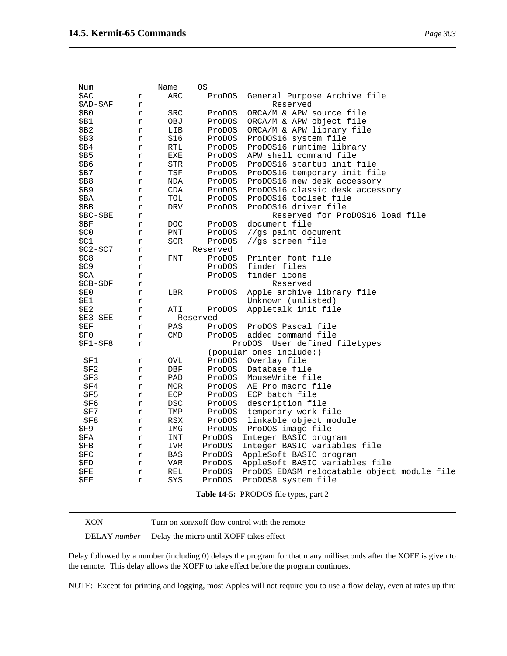| age 303 <sup>-</sup> |  |
|----------------------|--|
|                      |  |

| Num        |              | Name       | ОS       |                                             |
|------------|--------------|------------|----------|---------------------------------------------|
| \$AC       | r            | ARC        | ProDOS   | General Purpose Archive file                |
| \$AD-\$AF  | r            |            |          | Reserved                                    |
| \$В0       | r            | SRC        | ProDOS   | ORCA/M & APW source file                    |
| \$B1       | r            | OBJ        | ProDOS   | ORCA/M & APW object file                    |
| \$B2       | r            | LIB        | ProDOS   | ORCA/M & APW library file                   |
| \$В3       | r            | S16        | ProDOS   | ProDOS16 system file                        |
| \$B4       | r            | RTL        | ProDOS   | ProDOS16 runtime library                    |
| \$B5       | r            | EXE        | ProDOS   | APW shell command file                      |
| \$В6       | r            | STR        | ProDOS   | ProDOS16 startup init file                  |
| \$В7       | r            | TSF        | ProDOS   | ProDOS16 temporary init file                |
| \$B8       | r            | NDA        | ProDOS   | ProDOS16 new desk accessory                 |
| \$B9       | r            | CDA        | ProDOS   | ProDOS16 classic desk accessory             |
| \$BA       | r            | TOL        | ProDOS   | ProDOS16 toolset file                       |
| \$BB       | r            | DRV        | ProDOS   | ProDOS16 driver file                        |
| $$BC-$BE$  | r            |            |          | Reserved for ProDOS16 load file             |
| \$BF       | r            | <b>DOC</b> | ProDOS   | document file                               |
| \$CO       | r            | PNT        | ProDOS   | //gs paint document                         |
| \$C1       | r            | SCR        | ProDOS   | //gs screen file                            |
| $$C2-\$C7$ | r            |            | Reserved |                                             |
| \$C8       | r            | FNT        | ProDOS   | Printer font file                           |
| \$C9       | r            |            | ProDOS   | finder files                                |
| \$CA       | r            |            | ProDOS   | finder icons                                |
| \$CB-\$DF  | r            |            |          | Reserved                                    |
| \$E0       | r            | LBR        | ProDOS   | Apple archive library file                  |
| \$E1       | r            |            |          | Unknown (unlisted)                          |
| \$E2       | r            | ATI        | ProDOS   | Appletalk init file                         |
| \$E3-\$EE  | r            |            | Reserved |                                             |
| \$EF       | r            | PAS        | ProDOS   | ProDOS Pascal file                          |
| \$F0       | r            | <b>CMD</b> | ProDOS   | added command file                          |
| \$F1-\$F8  | r            |            |          | ProDOS User defined filetypes               |
|            |              |            |          | (popular ones include:)                     |
| \$F1       | r            | OVL        |          | ProDOS Overlay file                         |
| \$F2       | r            | DBF        | ProDOS   | Database file                               |
| \$F3       | r            | PAD        | ProDOS   | MouseWrite file                             |
| \$F4       | $\Upsilon$   | MCR        | ProDOS   | AE Pro macro file                           |
| \$F5       | r            | ECP        |          | ProDOS ECP batch file                       |
| \$F6       | $\Upsilon$   | DSC        | ProDOS   | description file                            |
| \$F7       | r            | TMP        | ProDOS   | temporary work file                         |
| \$F8       | $\Upsilon$   | RSX        | ProDOS   | linkable object module                      |
| \$F9       | r            | IMG        |          | ProDOS ProDOS image file                    |
| \$FA       | $\Upsilon$   | INT        | ProDOS   | Integer BASIC program                       |
| \$FB.      | r            | IVR        | ProDOS   | Integer BASIC variables file                |
| \$FC       | $\Upsilon$   | BAS        | ProDOS   | AppleSoft BASIC program                     |
| \$FD       | r            | VAR        | ProDOS   | AppleSoft BASIC variables file              |
| \$FE       | $\Upsilon$   | REL        | ProDOS   | ProDOS EDASM relocatable object module file |
| \$FF       | $\mathtt{r}$ | SYS        | ProDOS   | ProDOS8 system file                         |
|            |              |            |          | Table 14-5: PRODOS file types, part 2       |

XON Turn on xon/xoff flow control with the remote

DELAY *number* Delay the micro until XOFF takes effect

Delay followed by a number (including 0) delays the program for that many milliseconds after the XOFF is given to the remote. This delay allows the XOFF to take effect before the program continues.

NOTE: Except for printing and logging, most Apples will not require you to use a flow delay, even at rates up thru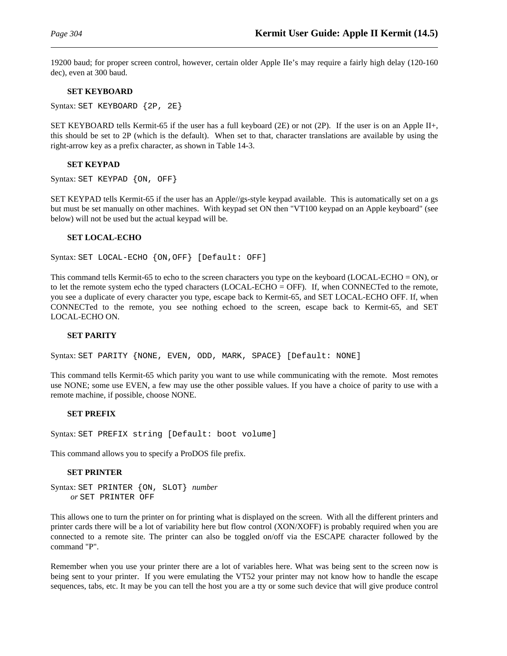19200 baud; for proper screen control, however, certain older Apple IIe's may require a fairly high delay (120-160 dec), even at 300 baud.

### **SET KEYBOARD**

Syntax: SET KEYBOARD {2P, 2E}

SET KEYBOARD tells Kermit-65 if the user has a full keyboard (2E) or not (2P). If the user is on an Apple II+, this should be set to 2P (which is the default). When set to that, character translations are available by using the right-arrow key as a prefix character, as shown in Table 14-3.

### **SET KEYPAD**

Syntax: SET KEYPAD {ON, OFF}

SET KEYPAD tells Kermit-65 if the user has an Apple//gs-style keypad available. This is automatically set on a gs but must be set manually on other machines. With keypad set ON then "VT100 keypad on an Apple keyboard" (see below) will not be used but the actual keypad will be.

### **SET LOCAL-ECHO**

Syntax: SET LOCAL-ECHO {ON,OFF} [Default: OFF]

This command tells Kermit-65 to echo to the screen characters you type on the keyboard (LOCAL-ECHO = ON), or to let the remote system echo the typed characters (LOCAL-ECHO = OFF). If, when CONNECTed to the remote, you see a duplicate of every character you type, escape back to Kermit-65, and SET LOCAL-ECHO OFF. If, when CONNECTed to the remote, you see nothing echoed to the screen, escape back to Kermit-65, and SET LOCAL-ECHO ON.

#### **SET PARITY**

Syntax: SET PARITY {NONE, EVEN, ODD, MARK, SPACE} [Default: NONE]

This command tells Kermit-65 which parity you want to use while communicating with the remote. Most remotes use NONE; some use EVEN, a few may use the other possible values. If you have a choice of parity to use with a remote machine, if possible, choose NONE.

### **SET PREFIX**

Syntax: SET PREFIX string [Default: boot volume]

This command allows you to specify a ProDOS file prefix.

### **SET PRINTER**

Syntax: SET PRINTER {ON, SLOT} *number or* SET PRINTER OFF

This allows one to turn the printer on for printing what is displayed on the screen. With all the different printers and printer cards there will be a lot of variability here but flow control (XON/XOFF) is probably required when you are connected to a remote site. The printer can also be toggled on/off via the ESCAPE character followed by the command "P".

Remember when you use your printer there are a lot of variables here. What was being sent to the screen now is being sent to your printer. If you were emulating the VT52 your printer may not know how to handle the escape sequences, tabs, etc. It may be you can tell the host you are a tty or some such device that will give produce control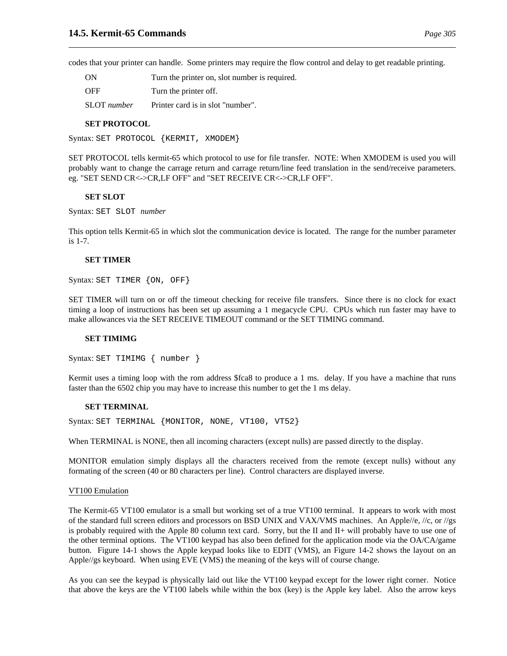codes that your printer can handle. Some printers may require the flow control and delay to get readable printing.

ON Turn the printer on, slot number is required.

OFF Turn the printer off.

SLOT *number* Printer card is in slot "number".

### **SET PROTOCOL**

Syntax: SET PROTOCOL {KERMIT, XMODEM}

SET PROTOCOL tells kermit-65 which protocol to use for file transfer. NOTE: When XMODEM is used you will probably want to change the carrage return and carrage return/line feed translation in the send/receive parameters. eg. "SET SEND CR<->CR,LF OFF" and "SET RECEIVE CR<->CR,LF OFF".

### **SET SLOT**

Syntax: SET SLOT *number*

This option tells Kermit-65 in which slot the communication device is located. The range for the number parameter is 1-7.

### **SET TIMER**

Syntax: SET TIMER {ON, OFF}

SET TIMER will turn on or off the timeout checking for receive file transfers. Since there is no clock for exact timing a loop of instructions has been set up assuming a 1 megacycle CPU. CPUs which run faster may have to make allowances via the SET RECEIVE TIMEOUT command or the SET TIMING command.

#### **SET TIMIMG**

Syntax: SET TIMIMG { number }

Kermit uses a timing loop with the rom address \$fca8 to produce a 1 ms. delay. If you have a machine that runs faster than the 6502 chip you may have to increase this number to get the 1 ms delay.

#### **SET TERMINAL**

Syntax: SET TERMINAL {MONITOR, NONE, VT100, VT52}

When TERMINAL is NONE, then all incoming characters (except nulls) are passed directly to the display.

MONITOR emulation simply displays all the characters received from the remote (except nulls) without any formating of the screen (40 or 80 characters per line). Control characters are displayed inverse.

#### VT100 Emulation

The Kermit-65 VT100 emulator is a small but working set of a true VT100 terminal. It appears to work with most of the standard full screen editors and processors on BSD UNIX and VAX/VMS machines. An Apple//e, //c, or //gs is probably required with the Apple 80 column text card. Sorry, but the II and II+ will probably have to use one of the other terminal options. The VT100 keypad has also been defined for the application mode via the OA/CA/game button. Figure 14-1 shows the Apple keypad looks like to EDIT (VMS), an Figure 14-2 shows the layout on an Apple//gs keyboard. When using EVE (VMS) the meaning of the keys will of course change.

As you can see the keypad is physically laid out like the VT100 keypad except for the lower right corner. Notice that above the keys are the VT100 labels while within the box (key) is the Apple key label. Also the arrow keys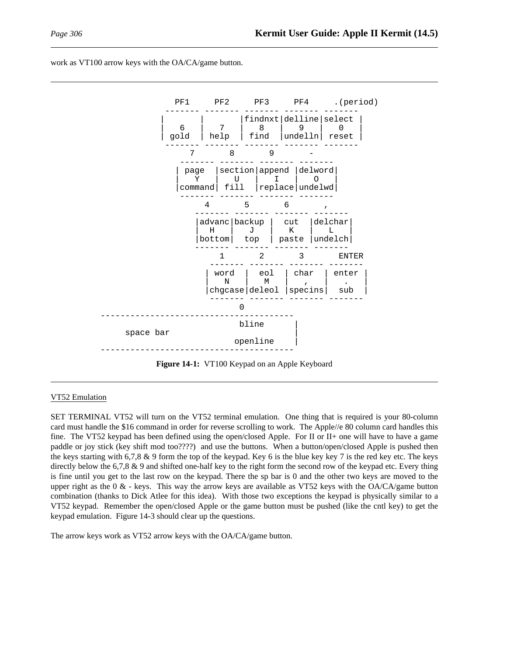



**Figure 14-1:** VT100 Keypad on an Apple Keyboard

#### VT52 Emulation

SET TERMINAL VT52 will turn on the VT52 terminal emulation. One thing that is required is your 80-column card must handle the \$16 command in order for reverse scrolling to work. The Apple//e 80 column card handles this fine. The VT52 keypad has been defined using the open/closed Apple. For II or II+ one will have to have a game paddle or joy stick (key shift mod too????) and use the buttons. When a button/open/closed Apple is pushed then the keys starting with 6,7,8  $\&$  9 form the top of the keypad. Key 6 is the blue key key 7 is the red key etc. The keys directly below the 6,7,8 & 9 and shifted one-half key to the right form the second row of the keypad etc. Every thing is fine until you get to the last row on the keypad. There the sp bar is 0 and the other two keys are moved to the upper right as the  $0 \& -$  keys. This way the arrow keys are available as VT52 keys with the OA/CA/game button combination (thanks to Dick Atlee for this idea). With those two exceptions the keypad is physically similar to a VT52 keypad. Remember the open/closed Apple or the game button must be pushed (like the cntl key) to get the keypad emulation. Figure 14-3 should clear up the questions.

The arrow keys work as VT52 arrow keys with the OA/CA/game button.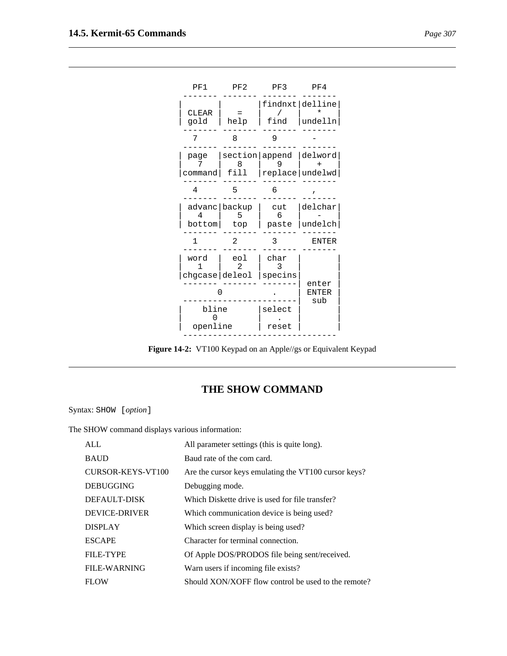

**Figure 14-2:** VT100 Keypad on an Apple//gs or Equivalent Keypad

## **THE SHOW COMMAND**

Syntax: SHOW [*option*]

The SHOW command displays various information:

| AI.                  | All parameter settings (this is quite long).         |
|----------------------|------------------------------------------------------|
| <b>BAUD</b>          | Baud rate of the com card.                           |
| CURSOR-KEYS-VT100    | Are the cursor keys emulating the VT100 cursor keys? |
| <b>DEBUGGING</b>     | Debugging mode.                                      |
| DEFAULT-DISK         | Which Diskette drive is used for file transfer?      |
| <b>DEVICE-DRIVER</b> | Which communication device is being used?            |
| <b>DISPLAY</b>       | Which screen display is being used?                  |
| <b>ESCAPE</b>        | Character for terminal connection.                   |
| <b>FILE-TYPE</b>     | Of Apple DOS/PRODOS file being sent/received.        |
| <b>FILE-WARNING</b>  | Warn users if incoming file exists?                  |
| <b>FLOW</b>          | Should XON/XOFF flow control be used to the remote?  |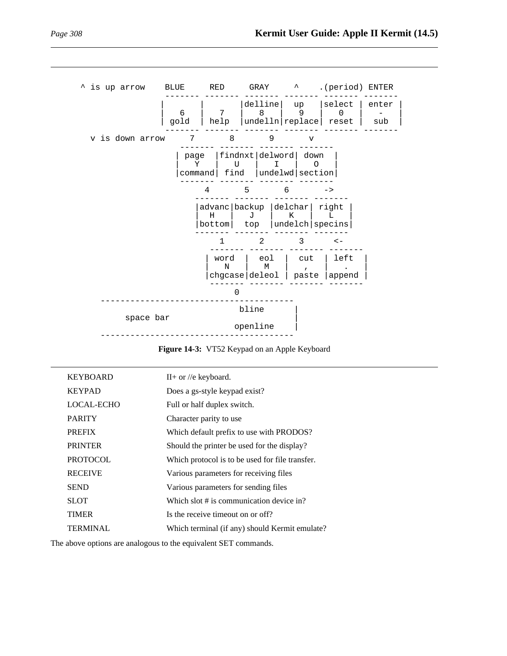

**Figure 14-3:** VT52 Keypad on an Apple Keyboard

| <b>KEYBOARD</b> | $II+$ or //e keyboard.                          |
|-----------------|-------------------------------------------------|
| <b>KEYPAD</b>   | Does a gs-style keypad exist?                   |
| LOCAL-ECHO      | Full or half duplex switch.                     |
| <b>PARITY</b>   | Character parity to use                         |
| <b>PREFIX</b>   | Which default prefix to use with PRODOS?        |
| <b>PRINTER</b>  | Should the printer be used for the display?     |
| <b>PROTOCOL</b> | Which protocol is to be used for file transfer. |
| <b>RECEIVE</b>  | Various parameters for receiving files          |
| <b>SEND</b>     | Various parameters for sending files            |
| <b>SLOT</b>     | Which slot # is communication device in?        |
| <b>TIMER</b>    | Is the receive timeout on or off?               |
| <b>TERMINAL</b> | Which terminal (if any) should Kermit emulate?  |

The above options are analogous to the equivalent SET commands.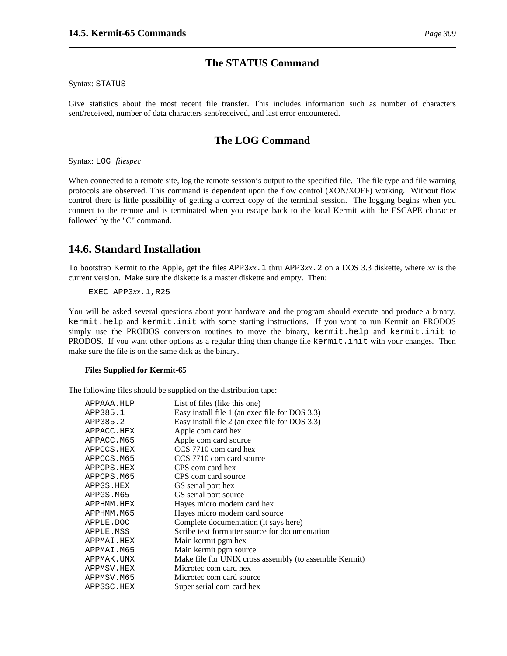## **The STATUS Command**

Syntax: STATUS

Give statistics about the most recent file transfer. This includes information such as number of characters sent/received, number of data characters sent/received, and last error encountered.

## **The LOG Command**

Syntax: LOG *filespec*

When connected to a remote site, log the remote session's output to the specified file. The file type and file warning protocols are observed. This command is dependent upon the flow control (XON/XOFF) working. Without flow control there is little possibility of getting a correct copy of the terminal session. The logging begins when you connect to the remote and is terminated when you escape back to the local Kermit with the ESCAPE character followed by the "C" command.

# **14.6. Standard Installation**

To bootstrap Kermit to the Apple, get the files APP3*xx*.1 thru APP3*xx*.2 on a DOS 3.3 diskette, where *xx* is the current version. Make sure the diskette is a master diskette and empty. Then:

EXEC APP3*xx*.1,R25

You will be asked several questions about your hardware and the program should execute and produce a binary, kermit.help and kermit.init with some starting instructions. If you want to run Kermit on PRODOS simply use the PRODOS conversion routines to move the binary, kermit.help and kermit.init to PRODOS. If you want other options as a regular thing then change file kermit.init with your changes. Then make sure the file is on the same disk as the binary.

#### **Files Supplied for Kermit-65**

The following files should be supplied on the distribution tape:

| APPAAA.HLP | List of files (like this one)                          |
|------------|--------------------------------------------------------|
| APP385.1   | Easy install file 1 (an exec file for DOS 3.3)         |
| APP385.2   | Easy install file 2 (an exec file for DOS 3.3)         |
| APPACC.HEX | Apple com card hex                                     |
| APPACC.M65 | Apple com card source                                  |
| APPCCS.HEX | CCS 7710 com card hex                                  |
| APPCCS.M65 | CCS 7710 com card source                               |
| APPCPS.HEX | CPS com card hex                                       |
| APPCPS.M65 | CPS com card source                                    |
| APPGS.HEX  | GS serial port hex                                     |
| APPGS.M65  | GS serial port source                                  |
| APPHMM.HEX | Hayes micro modem card hex                             |
| APPHMM.M65 | Hayes micro modem card source                          |
| APPLE.DOC  | Complete documentation (it says here)                  |
| APPLE.MSS  | Scribe text formatter source for documentation         |
| APPMAI.HEX | Main kermit pgm hex                                    |
| APPMAI.M65 | Main kermit pgm source                                 |
| APPMAK.UNX | Make file for UNIX cross assembly (to assemble Kermit) |
| APPMSV.HEX | Microtec com card hex                                  |
| APPMSV.M65 | Microtec com card source                               |
| APPSSC.HEX | Super serial com card hex                              |
|            |                                                        |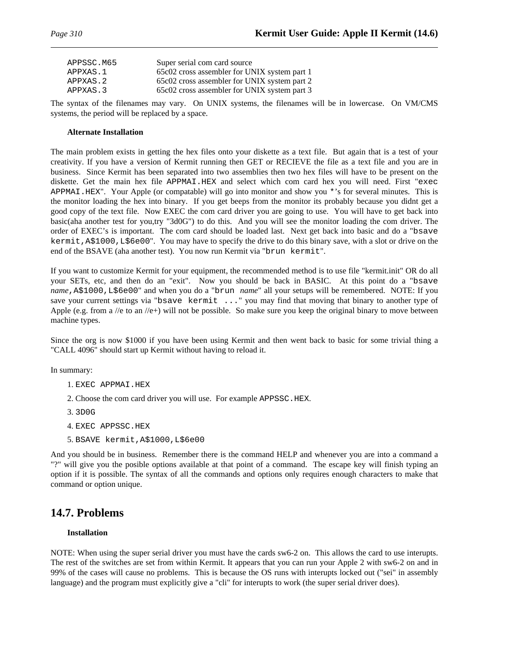| APPSSC.M65 | Super serial com card source                 |
|------------|----------------------------------------------|
| APPXAS.1   | 65c02 cross assembler for UNIX system part 1 |
| APPXAS.2   | 65c02 cross assembler for UNIX system part 2 |
| APPXAS.3   | 65c02 cross assembler for UNIX system part 3 |
|            |                                              |

The syntax of the filenames may vary. On UNIX systems, the filenames will be in lowercase. On VM/CMS systems, the period will be replaced by a space.

### **Alternate Installation**

The main problem exists in getting the hex files onto your diskette as a text file. But again that is a test of your creativity. If you have a version of Kermit running then GET or RECIEVE the file as a text file and you are in business. Since Kermit has been separated into two assemblies then two hex files will have to be present on the diskette. Get the main hex file APPMAI.HEX and select which com card hex you will need. First "exec APPMAI.HEX". Your Apple (or compatable) will go into monitor and show you \*'s for several minutes. This is the monitor loading the hex into binary. If you get beeps from the monitor its probably because you didnt get a good copy of the text file. Now EXEC the com card driver you are going to use. You will have to get back into basic(aha another test for you,try "3d0G") to do this. And you will see the monitor loading the com driver. The order of EXEC's is important. The com card should be loaded last. Next get back into basic and do a "bsave kermit,A\$1000,L\$6e00". You may have to specify the drive to do this binary save, with a slot or drive on the end of the BSAVE (aha another test). You now run Kermit via "brun kermit".

If you want to customize Kermit for your equipment, the recommended method is to use file "kermit.init" OR do all your SETs, etc, and then do an "exit". Now you should be back in BASIC. At this point do a "bsave *name*,A\$1000,L\$6e00" and when you do a "brun *name*" all your setups will be remembered. NOTE: If you save your current settings via "bsave kermit ..." you may find that moving that binary to another type of Apple (e.g. from a //e to an //e+) will not be possible. So make sure you keep the original binary to move between machine types.

Since the org is now \$1000 if you have been using Kermit and then went back to basic for some trivial thing a "CALL 4096" should start up Kermit without having to reload it.

In summary:

1. EXEC APPMAI.HEX

- 2. Choose the com card driver you will use. For example APPSSC.HEX.
- 3. 3D0G
- 4. EXEC APPSSC.HEX
- 5. BSAVE kermit,A\$1000,L\$6e00

And you should be in business. Remember there is the command HELP and whenever you are into a command a "?" will give you the posible options available at that point of a command. The escape key will finish typing an option if it is possible. The syntax of all the commands and options only requires enough characters to make that command or option unique.

## **14.7. Problems**

### **Installation**

NOTE: When using the super serial driver you must have the cards sw6-2 on. This allows the card to use interupts. The rest of the switches are set from within Kermit. It appears that you can run your Apple 2 with sw6-2 on and in 99% of the cases will cause no problems. This is because the OS runs with interupts locked out ("sei" in assembly language) and the program must explicitly give a "cli" for interupts to work (the super serial driver does).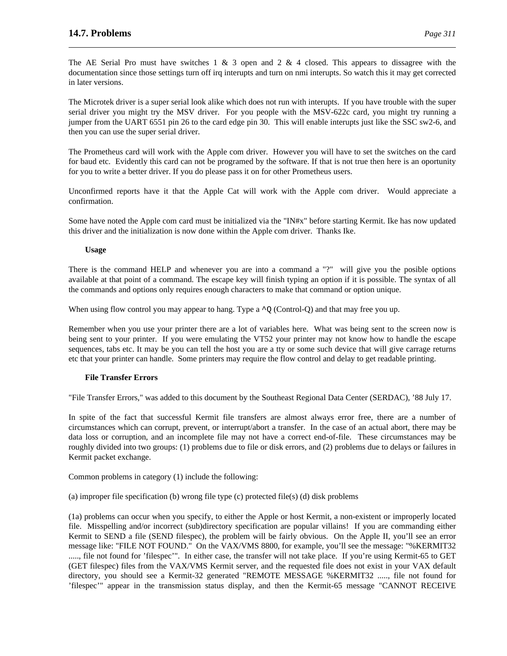The AE Serial Pro must have switches  $1 \& 3$  open and  $2 \& 4$  closed. This appears to dissagree with the documentation since those settings turn off irq interupts and turn on nmi interupts. So watch this it may get corrected in later versions.

The Microtek driver is a super serial look alike which does not run with interupts. If you have trouble with the super serial driver you might try the MSV driver. For you people with the MSV-622c card, you might try running a jumper from the UART 6551 pin 26 to the card edge pin 30. This will enable interupts just like the SSC sw2-6, and then you can use the super serial driver.

The Prometheus card will work with the Apple com driver. However you will have to set the switches on the card for baud etc. Evidently this card can not be programed by the software. If that is not true then here is an oportunity for you to write a better driver. If you do please pass it on for other Prometheus users.

Unconfirmed reports have it that the Apple Cat will work with the Apple com driver. Would appreciate a confirmation.

Some have noted the Apple com card must be initialized via the "IN#x" before starting Kermit. Ike has now updated this driver and the initialization is now done within the Apple com driver. Thanks Ike.

### **Usage**

There is the command HELP and whenever you are into a command a "?" will give you the posible options available at that point of a command. The escape key will finish typing an option if it is possible. The syntax of all the commands and options only requires enough characters to make that command or option unique.

When using flow control you may appear to hang. Type a  $\gamma$  (Control-Q) and that may free you up.

Remember when you use your printer there are a lot of variables here. What was being sent to the screen now is being sent to your printer. If you were emulating the VT52 your printer may not know how to handle the escape sequences, tabs etc. It may be you can tell the host you are a tty or some such device that will give carrage returns etc that your printer can handle. Some printers may require the flow control and delay to get readable printing.

## **File Transfer Errors**

"File Transfer Errors," was added to this document by the Southeast Regional Data Center (SERDAC), '88 July 17.

In spite of the fact that successful Kermit file transfers are almost always error free, there are a number of circumstances which can corrupt, prevent, or interrupt/abort a transfer. In the case of an actual abort, there may be data loss or corruption, and an incomplete file may not have a correct end-of-file. These circumstances may be roughly divided into two groups: (1) problems due to file or disk errors, and (2) problems due to delays or failures in Kermit packet exchange.

Common problems in category (1) include the following:

(a) improper file specification (b) wrong file type (c) protected file(s) (d) disk problems

(1a) problems can occur when you specify, to either the Apple or host Kermit, a non-existent or improperly located file. Misspelling and/or incorrect (sub)directory specification are popular villains! If you are commanding either Kermit to SEND a file (SEND filespec), the problem will be fairly obvious. On the Apple II, you'll see an error message like: "FILE NOT FOUND." On the VAX/VMS 8800, for example, you'll see the message: "%KERMIT32 ....., file not found for 'filespec'". In either case, the transfer will not take place. If you're using Kermit-65 to GET (GET filespec) files from the VAX/VMS Kermit server, and the requested file does not exist in your VAX default directory, you should see a Kermit-32 generated "REMOTE MESSAGE %KERMIT32 ....., file not found for 'filespec'" appear in the transmission status display, and then the Kermit-65 message "CANNOT RECEIVE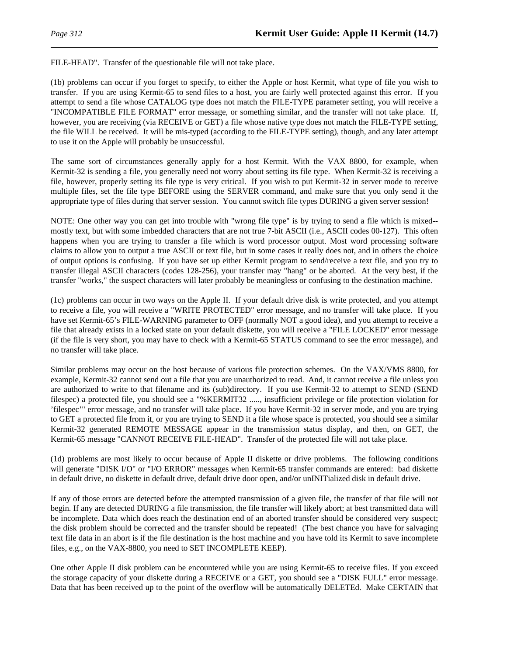FILE-HEAD". Transfer of the questionable file will not take place.

(1b) problems can occur if you forget to specify, to either the Apple or host Kermit, what type of file you wish to transfer. If you are using Kermit-65 to send files to a host, you are fairly well protected against this error. If you attempt to send a file whose CATALOG type does not match the FILE-TYPE parameter setting, you will receive a "INCOMPATIBLE FILE FORMAT" error message, or something similar, and the transfer will not take place. If, however, you are receiving (via RECEIVE or GET) a file whose native type does not match the FILE-TYPE setting, the file WILL be received. It will be mis-typed (according to the FILE-TYPE setting), though, and any later attempt to use it on the Apple will probably be unsuccessful.

The same sort of circumstances generally apply for a host Kermit. With the VAX 8800, for example, when Kermit-32 is sending a file, you generally need not worry about setting its file type. When Kermit-32 is receiving a file, however, properly setting its file type is very critical. If you wish to put Kermit-32 in server mode to receive multiple files, set the file type BEFORE using the SERVER command, and make sure that you only send it the appropriate type of files during that server session. You cannot switch file types DURING a given server session!

NOTE: One other way you can get into trouble with "wrong file type" is by trying to send a file which is mixed- mostly text, but with some imbedded characters that are not true 7-bit ASCII (i.e., ASCII codes 00-127). This often happens when you are trying to transfer a file which is word processor output. Most word processing software claims to allow you to output a true ASCII or text file, but in some cases it really does not, and in others the choice of output options is confusing. If you have set up either Kermit program to send/receive a text file, and you try to transfer illegal ASCII characters (codes 128-256), your transfer may "hang" or be aborted. At the very best, if the transfer "works," the suspect characters will later probably be meaningless or confusing to the destination machine.

(1c) problems can occur in two ways on the Apple II. If your default drive disk is write protected, and you attempt to receive a file, you will receive a "WRITE PROTECTED" error message, and no transfer will take place. If you have set Kermit-65's FILE-WARNING parameter to OFF (normally NOT a good idea), and you attempt to receive a file that already exists in a locked state on your default diskette, you will receive a "FILE LOCKED" error message (if the file is very short, you may have to check with a Kermit-65 STATUS command to see the error message), and no transfer will take place.

Similar problems may occur on the host because of various file protection schemes. On the VAX/VMS 8800, for example, Kermit-32 cannot send out a file that you are unauthorized to read. And, it cannot receive a file unless you are authorized to write to that filename and its (sub)directory. If you use Kermit-32 to attempt to SEND (SEND filespec) a protected file, you should see a "%KERMIT32 ....., insufficient privilege or file protection violation for 'filespec'" error message, and no transfer will take place. If you have Kermit-32 in server mode, and you are trying to GET a protected file from it, or you are trying to SEND it a file whose space is protected, you should see a similar Kermit-32 generated REMOTE MESSAGE appear in the transmission status display, and then, on GET, the Kermit-65 message "CANNOT RECEIVE FILE-HEAD". Transfer of the protected file will not take place.

(1d) problems are most likely to occur because of Apple II diskette or drive problems. The following conditions will generate "DISK I/O" or "I/O ERROR" messages when Kermit-65 transfer commands are entered: bad diskette in default drive, no diskette in default drive, default drive door open, and/or unINITialized disk in default drive.

If any of those errors are detected before the attempted transmission of a given file, the transfer of that file will not begin. If any are detected DURING a file transmission, the file transfer will likely abort; at best transmitted data will be incomplete. Data which does reach the destination end of an aborted transfer should be considered very suspect; the disk problem should be corrected and the transfer should be repeated! (The best chance you have for salvaging text file data in an abort is if the file destination is the host machine and you have told its Kermit to save incomplete files, e.g., on the VAX-8800, you need to SET INCOMPLETE KEEP).

One other Apple II disk problem can be encountered while you are using Kermit-65 to receive files. If you exceed the storage capacity of your diskette during a RECEIVE or a GET, you should see a "DISK FULL" error message. Data that has been received up to the point of the overflow will be automatically DELETEd. Make CERTAIN that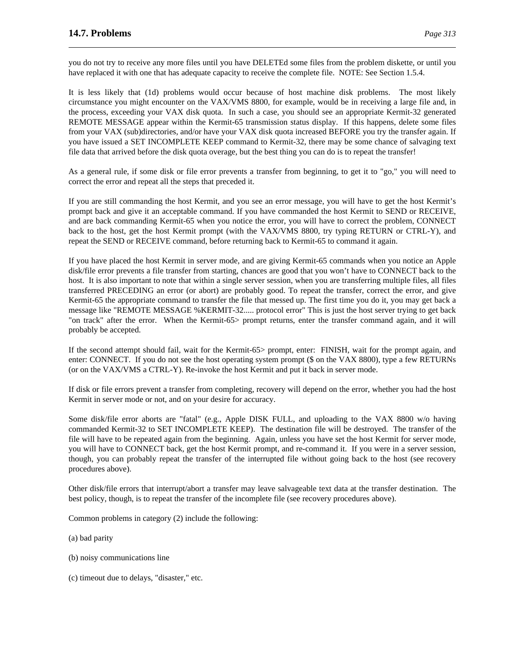you do not try to receive any more files until you have DELETEd some files from the problem diskette, or until you have replaced it with one that has adequate capacity to receive the complete file. NOTE: See Section 1.5.4.

It is less likely that (1d) problems would occur because of host machine disk problems. The most likely circumstance you might encounter on the VAX/VMS 8800, for example, would be in receiving a large file and, in the process, exceeding your VAX disk quota. In such a case, you should see an appropriate Kermit-32 generated REMOTE MESSAGE appear within the Kermit-65 transmission status display. If this happens, delete some files from your VAX (sub)directories, and/or have your VAX disk quota increased BEFORE you try the transfer again. If you have issued a SET INCOMPLETE KEEP command to Kermit-32, there may be some chance of salvaging text file data that arrived before the disk quota overage, but the best thing you can do is to repeat the transfer!

As a general rule, if some disk or file error prevents a transfer from beginning, to get it to "go," you will need to correct the error and repeat all the steps that preceded it.

If you are still commanding the host Kermit, and you see an error message, you will have to get the host Kermit's prompt back and give it an acceptable command. If you have commanded the host Kermit to SEND or RECEIVE, and are back commanding Kermit-65 when you notice the error, you will have to correct the problem, CONNECT back to the host, get the host Kermit prompt (with the VAX/VMS 8800, try typing RETURN or CTRL-Y), and repeat the SEND or RECEIVE command, before returning back to Kermit-65 to command it again.

If you have placed the host Kermit in server mode, and are giving Kermit-65 commands when you notice an Apple disk/file error prevents a file transfer from starting, chances are good that you won't have to CONNECT back to the host. It is also important to note that within a single server session, when you are transferring multiple files, all files transferred PRECEDING an error (or abort) are probably good. To repeat the transfer, correct the error, and give Kermit-65 the appropriate command to transfer the file that messed up. The first time you do it, you may get back a message like "REMOTE MESSAGE %KERMIT-32..... protocol error" This is just the host server trying to get back "on track" after the error. When the Kermit-65> prompt returns, enter the transfer command again, and it will probably be accepted.

If the second attempt should fail, wait for the Kermit-65> prompt, enter: FINISH, wait for the prompt again, and enter: CONNECT. If you do not see the host operating system prompt (\$ on the VAX 8800), type a few RETURNs (or on the VAX/VMS a CTRL-Y). Re-invoke the host Kermit and put it back in server mode.

If disk or file errors prevent a transfer from completing, recovery will depend on the error, whether you had the host Kermit in server mode or not, and on your desire for accuracy.

Some disk/file error aborts are "fatal" (e.g., Apple DISK FULL, and uploading to the VAX 8800 w/o having commanded Kermit-32 to SET INCOMPLETE KEEP). The destination file will be destroyed. The transfer of the file will have to be repeated again from the beginning. Again, unless you have set the host Kermit for server mode, you will have to CONNECT back, get the host Kermit prompt, and re-command it. If you were in a server session, though, you can probably repeat the transfer of the interrupted file without going back to the host (see recovery procedures above).

Other disk/file errors that interrupt/abort a transfer may leave salvageable text data at the transfer destination. The best policy, though, is to repeat the transfer of the incomplete file (see recovery procedures above).

Common problems in category (2) include the following:

(a) bad parity

- (b) noisy communications line
- (c) timeout due to delays, "disaster," etc.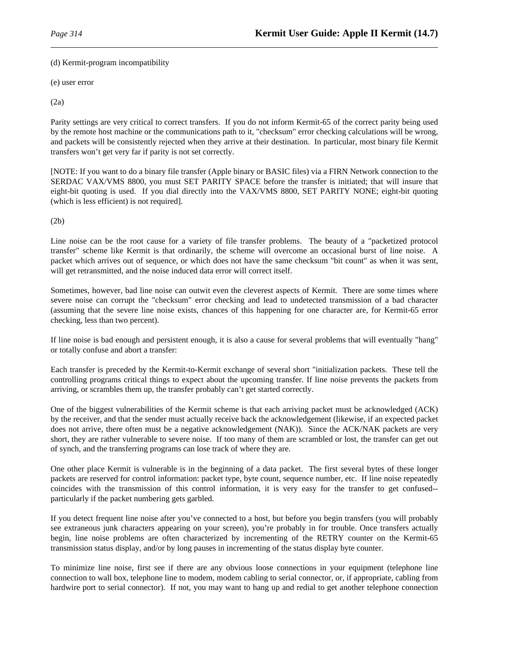(d) Kermit-program incompatibility

(e) user error

(2a)

Parity settings are very critical to correct transfers. If you do not inform Kermit-65 of the correct parity being used by the remote host machine or the communications path to it, "checksum" error checking calculations will be wrong, and packets will be consistently rejected when they arrive at their destination. In particular, most binary file Kermit transfers won't get very far if parity is not set correctly.

[NOTE: If you want to do a binary file transfer (Apple binary or BASIC files) via a FIRN Network connection to the SERDAC VAX/VMS 8800, you must SET PARITY SPACE before the transfer is initiated; that will insure that eight-bit quoting is used. If you dial directly into the VAX/VMS 8800, SET PARITY NONE; eight-bit quoting (which is less efficient) is not required].

(2b)

Line noise can be the root cause for a variety of file transfer problems. The beauty of a "packetized protocol transfer" scheme like Kermit is that ordinarily, the scheme will overcome an occasional burst of line noise. A packet which arrives out of sequence, or which does not have the same checksum "bit count" as when it was sent, will get retransmitted, and the noise induced data error will correct itself.

Sometimes, however, bad line noise can outwit even the cleverest aspects of Kermit. There are some times where severe noise can corrupt the "checksum" error checking and lead to undetected transmission of a bad character (assuming that the severe line noise exists, chances of this happening for one character are, for Kermit-65 error checking, less than two percent).

If line noise is bad enough and persistent enough, it is also a cause for several problems that will eventually "hang" or totally confuse and abort a transfer:

Each transfer is preceded by the Kermit-to-Kermit exchange of several short "initialization packets. These tell the controlling programs critical things to expect about the upcoming transfer. If line noise prevents the packets from arriving, or scrambles them up, the transfer probably can't get started correctly.

One of the biggest vulnerabilities of the Kermit scheme is that each arriving packet must be acknowledged (ACK) by the receiver, and that the sender must actually receive back the acknowledgement (likewise, if an expected packet does not arrive, there often must be a negative acknowledgement (NAK)). Since the ACK/NAK packets are very short, they are rather vulnerable to severe noise. If too many of them are scrambled or lost, the transfer can get out of synch, and the transferring programs can lose track of where they are.

One other place Kermit is vulnerable is in the beginning of a data packet. The first several bytes of these longer packets are reserved for control information: packet type, byte count, sequence number, etc. If line noise repeatedly coincides with the transmission of this control information, it is very easy for the transfer to get confused- particularly if the packet numbering gets garbled.

If you detect frequent line noise after you've connected to a host, but before you begin transfers (you will probably see extraneous junk characters appearing on your screen), you're probably in for trouble. Once transfers actually begin, line noise problems are often characterized by incrementing of the RETRY counter on the Kermit-65 transmission status display, and/or by long pauses in incrementing of the status display byte counter.

To minimize line noise, first see if there are any obvious loose connections in your equipment (telephone line connection to wall box, telephone line to modem, modem cabling to serial connector, or, if appropriate, cabling from hardwire port to serial connector). If not, you may want to hang up and redial to get another telephone connection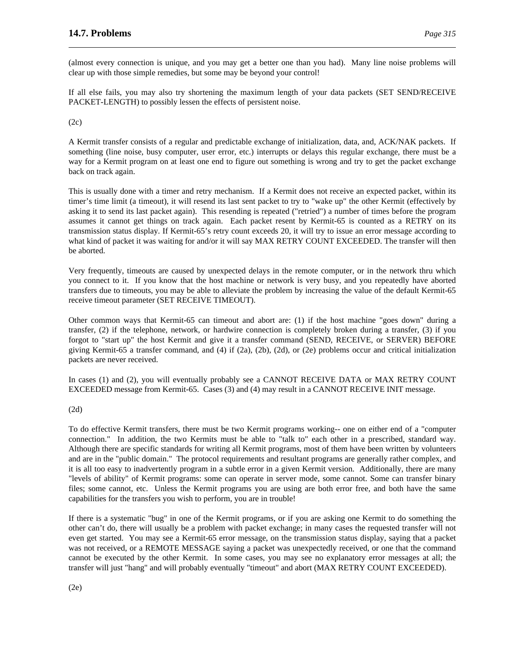(almost every connection is unique, and you may get a better one than you had). Many line noise problems will clear up with those simple remedies, but some may be beyond your control!

If all else fails, you may also try shortening the maximum length of your data packets (SET SEND/RECEIVE PACKET-LENGTH) to possibly lessen the effects of persistent noise.

(2c)

A Kermit transfer consists of a regular and predictable exchange of initialization, data, and, ACK/NAK packets. If something (line noise, busy computer, user error, etc.) interrupts or delays this regular exchange, there must be a way for a Kermit program on at least one end to figure out something is wrong and try to get the packet exchange back on track again.

This is usually done with a timer and retry mechanism. If a Kermit does not receive an expected packet, within its timer's time limit (a timeout), it will resend its last sent packet to try to "wake up" the other Kermit (effectively by asking it to send its last packet again). This resending is repeated ("retried") a number of times before the program assumes it cannot get things on track again. Each packet resent by Kermit-65 is counted as a RETRY on its transmission status display. If Kermit-65's retry count exceeds 20, it will try to issue an error message according to what kind of packet it was waiting for and/or it will say MAX RETRY COUNT EXCEEDED. The transfer will then be aborted.

Very frequently, timeouts are caused by unexpected delays in the remote computer, or in the network thru which you connect to it. If you know that the host machine or network is very busy, and you repeatedly have aborted transfers due to timeouts, you may be able to alleviate the problem by increasing the value of the default Kermit-65 receive timeout parameter (SET RECEIVE TIMEOUT).

Other common ways that Kermit-65 can timeout and abort are: (1) if the host machine "goes down" during a transfer, (2) if the telephone, network, or hardwire connection is completely broken during a transfer, (3) if you forgot to "start up" the host Kermit and give it a transfer command (SEND, RECEIVE, or SERVER) BEFORE giving Kermit-65 a transfer command, and (4) if (2a), (2b), (2d), or (2e) problems occur and critical initialization packets are never received.

In cases (1) and (2), you will eventually probably see a CANNOT RECEIVE DATA or MAX RETRY COUNT EXCEEDED message from Kermit-65. Cases (3) and (4) may result in a CANNOT RECEIVE INIT message.

(2d)

To do effective Kermit transfers, there must be two Kermit programs working-- one on either end of a "computer connection." In addition, the two Kermits must be able to "talk to" each other in a prescribed, standard way. Although there are specific standards for writing all Kermit programs, most of them have been written by volunteers and are in the "public domain." The protocol requirements and resultant programs are generally rather complex, and it is all too easy to inadvertently program in a subtle error in a given Kermit version. Additionally, there are many "levels of ability" of Kermit programs: some can operate in server mode, some cannot. Some can transfer binary files; some cannot, etc. Unless the Kermit programs you are using are both error free, and both have the same capabilities for the transfers you wish to perform, you are in trouble!

If there is a systematic "bug" in one of the Kermit programs, or if you are asking one Kermit to do something the other can't do, there will usually be a problem with packet exchange; in many cases the requested transfer will not even get started. You may see a Kermit-65 error message, on the transmission status display, saying that a packet was not received, or a REMOTE MESSAGE saying a packet was unexpectedly received, or one that the command cannot be executed by the other Kermit. In some cases, you may see no explanatory error messages at all; the transfer will just "hang" and will probably eventually "timeout" and abort (MAX RETRY COUNT EXCEEDED).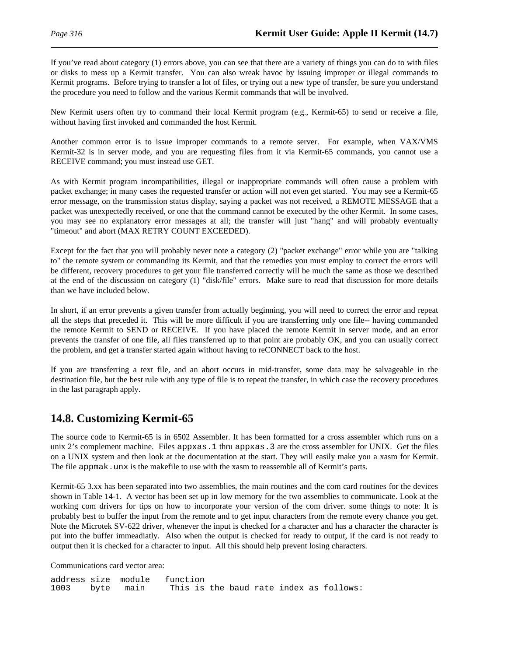If you've read about category (1) errors above, you can see that there are a variety of things you can do to with files or disks to mess up a Kermit transfer. You can also wreak havoc by issuing improper or illegal commands to Kermit programs. Before trying to transfer a lot of files, or trying out a new type of transfer, be sure you understand the procedure you need to follow and the various Kermit commands that will be involved.

New Kermit users often try to command their local Kermit program (e.g., Kermit-65) to send or receive a file, without having first invoked and commanded the host Kermit.

Another common error is to issue improper commands to a remote server. For example, when VAX/VMS Kermit-32 is in server mode, and you are requesting files from it via Kermit-65 commands, you cannot use a RECEIVE command; you must instead use GET.

As with Kermit program incompatibilities, illegal or inappropriate commands will often cause a problem with packet exchange; in many cases the requested transfer or action will not even get started. You may see a Kermit-65 error message, on the transmission status display, saying a packet was not received, a REMOTE MESSAGE that a packet was unexpectedly received, or one that the command cannot be executed by the other Kermit. In some cases, you may see no explanatory error messages at all; the transfer will just "hang" and will probably eventually "timeout" and abort (MAX RETRY COUNT EXCEEDED).

Except for the fact that you will probably never note a category (2) "packet exchange" error while you are "talking to" the remote system or commanding its Kermit, and that the remedies you must employ to correct the errors will be different, recovery procedures to get your file transferred correctly will be much the same as those we described at the end of the discussion on category (1) "disk/file" errors. Make sure to read that discussion for more details than we have included below.

In short, if an error prevents a given transfer from actually beginning, you will need to correct the error and repeat all the steps that preceded it. This will be more difficult if you are transferring only one file-- having commanded the remote Kermit to SEND or RECEIVE. If you have placed the remote Kermit in server mode, and an error prevents the transfer of one file, all files transferred up to that point are probably OK, and you can usually correct the problem, and get a transfer started again without having to reCONNECT back to the host.

If you are transferring a text file, and an abort occurs in mid-transfer, some data may be salvageable in the destination file, but the best rule with any type of file is to repeat the transfer, in which case the recovery procedures in the last paragraph apply.

# **14.8. Customizing Kermit-65**

The source code to Kermit-65 is in 6502 Assembler. It has been formatted for a cross assembler which runs on a unix 2's complement machine. Files appxas.1 thru appxas.3 are the cross assembler for UNIX. Get the files on a UNIX system and then look at the documentation at the start. They will easily make you a xasm for Kermit. The file appmak. unx is the makefile to use with the xasm to reassemble all of Kermit's parts.

Kermit-65 3.xx has been separated into two assemblies, the main routines and the com card routines for the devices shown in Table 14-1. A vector has been set up in low memory for the two assemblies to communicate. Look at the working com drivers for tips on how to incorporate your version of the com driver. some things to note: It is probably best to buffer the input from the remote and to get input characters from the remote every chance you get. Note the Microtek SV-622 driver, whenever the input is checked for a character and has a character the character is put into the buffer immeadiatly. Also when the output is checked for ready to output, if the card is not ready to output then it is checked for a character to input. All this should help prevent losing characters.

Communications card vector area:

|      |           | address size module function            |  |  |  |
|------|-----------|-----------------------------------------|--|--|--|
| 1003 | byte main | This is the baud rate index as follows: |  |  |  |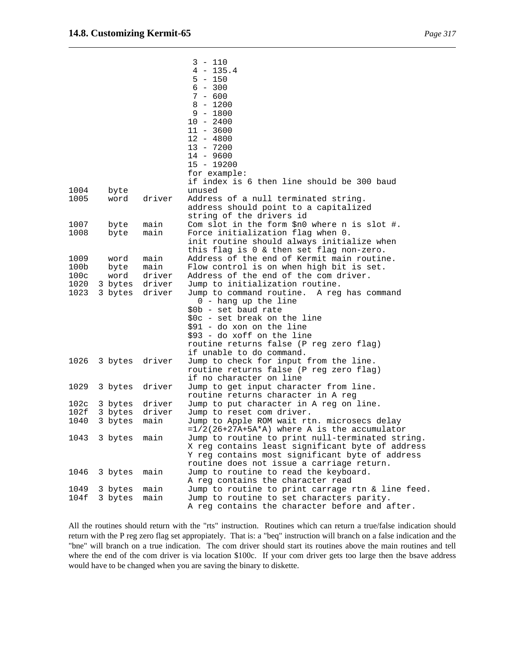|                          |              |                | 3 - 110<br>$4 - 135.4$<br>$5 - 150$<br>$6 - 300$<br>$7 - 600$<br>$8 - 1200$<br>$9 - 1800$<br>$10 - 2400$<br>$11 - 3600$<br>$12 - 4800$<br>$13 - 7200$<br>$14 - 9600$ |
|--------------------------|--------------|----------------|----------------------------------------------------------------------------------------------------------------------------------------------------------------------|
|                          |              |                | $15 - 19200$                                                                                                                                                         |
|                          |              |                | for example:<br>if index is 6 then line should be 300 baud                                                                                                           |
| 1004                     | byte         |                | unused                                                                                                                                                               |
| 1005                     | word         | driver         | Address of a null terminated string.                                                                                                                                 |
|                          |              |                | address should point to a capitalized                                                                                                                                |
| 1007                     | byte         | main           | string of the drivers id<br>Com slot in the form $$n0$ where n is slot #.                                                                                            |
| 1008                     | byte         | main           | Force initialization flag when 0.                                                                                                                                    |
|                          |              |                | init routine should always initialize when                                                                                                                           |
|                          |              |                | this flag is 0 & then set flag non-zero.                                                                                                                             |
| 1009<br>100 <sub>b</sub> | word         | main           | Address of the end of Kermit main routine.                                                                                                                           |
| 100c                     | byte<br>word | main<br>driver | Flow control is on when high bit is set.<br>Address of the end of the com driver.                                                                                    |
| 1020                     |              | 3 bytes driver | Jump to initialization routine.                                                                                                                                      |
| 1023                     | 3 bytes      | driver         | Jump to command routine. A reg has command                                                                                                                           |
|                          |              |                | 0 - hang up the line                                                                                                                                                 |
|                          |              |                | \$0b - set baud rate                                                                                                                                                 |
|                          |              |                | $$0c - set break on the line$                                                                                                                                        |
|                          |              |                | $$91 - do xon on the line$<br>\$93 - do xoff on the line                                                                                                             |
|                          |              |                | routine returns false (P reg zero flag)                                                                                                                              |
|                          |              |                | if unable to do command.                                                                                                                                             |
| 1026                     | 3 bytes      | driver         | Jump to check for input from the line.                                                                                                                               |
|                          |              |                | routine returns false (P reg zero flag)                                                                                                                              |
|                          |              |                | if no character on line                                                                                                                                              |
| 1029                     | 3 bytes      | driver         | Jump to get input character from line.<br>routine returns character in A reg                                                                                         |
| 102c                     | 3 bytes      | driver         | Jump to put character in A reg on line.                                                                                                                              |
| 102f                     | 3 bytes      | driver         | Jump to reset com driver.                                                                                                                                            |
| 1040                     | 3 bytes      | main           | Jump to Apple ROM wait rtn. microsecs delay                                                                                                                          |
|                          |              |                | $=1/2(26+27A+5A*A)$ where A is the accumulator                                                                                                                       |
| 1043                     | 3 bytes      | main           | Jump to routine to print null-terminated string.<br>X reg contains least significant byte of address                                                                 |
|                          |              |                | Y reg contains most significant byte of address                                                                                                                      |
|                          |              |                | routine does not issue a carriage return.                                                                                                                            |
| 1046                     | 3 bytes      | main           | Jump to routine to read the keyboard.                                                                                                                                |
| 1049                     | 3 bytes      | main           | A reg contains the character read<br>Jump to routine to print carrage rtn & line feed.                                                                               |
| 104f                     | 3 bytes      | main           | Jump to routine to set characters parity.                                                                                                                            |
|                          |              |                | A reg contains the character before and after.                                                                                                                       |

All the routines should return with the "rts" instruction. Routines which can return a true/false indication should return with the P reg zero flag set appropiately. That is: a "beq" instruction will branch on a false indication and the "bne" will branch on a true indication. The com driver should start its routines above the main routines and tell where the end of the com driver is via location \$100c. If your com driver gets too large then the bsave address would have to be changed when you are saving the binary to diskette.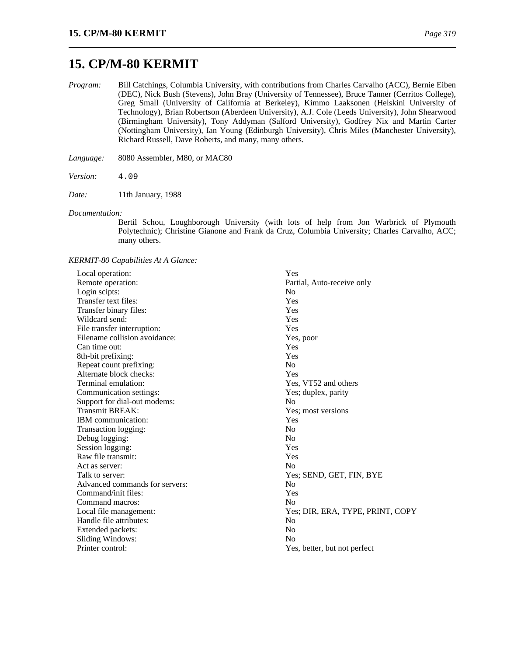# **15. CP/M-80 KERMIT**

*Program:* Bill Catchings, Columbia University, with contributions from Charles Carvalho (ACC), Bernie Eiben (DEC), Nick Bush (Stevens), John Bray (University of Tennessee), Bruce Tanner (Cerritos College), Greg Small (University of California at Berkeley), Kimmo Laaksonen (Helskini University of Technology), Brian Robertson (Aberdeen University), A.J. Cole (Leeds University), John Shearwood (Birmingham University), Tony Addyman (Salford University), Godfrey Nix and Martin Carter (Nottingham University), Ian Young (Edinburgh University), Chris Miles (Manchester University), Richard Russell, Dave Roberts, and many, many others.

*Language:* 8080 Assembler, M80, or MAC80

*Version:* 4.09

*Date:* 11th January, 1988

#### *Documentation:*

Bertil Schou, Loughborough University (with lots of help from Jon Warbrick of Plymouth Polytechnic); Christine Gianone and Frank da Cruz, Columbia University; Charles Carvalho, ACC; many others.

*KERMIT-80 Capabilities At A Glance:*

| Local operation:               | Yes                              |
|--------------------------------|----------------------------------|
| Remote operation:              | Partial, Auto-receive only       |
| Login scipts:                  | N <sub>0</sub>                   |
| Transfer text files:           | Yes                              |
| Transfer binary files:         | Yes                              |
| Wildcard send:                 | Yes                              |
| File transfer interruption:    | Yes                              |
| Filename collision avoidance:  | Yes, poor                        |
| Can time out:                  | Yes                              |
| 8th-bit prefixing:             | Yes                              |
| Repeat count prefixing:        | N <sub>0</sub>                   |
| Alternate block checks:        | Yes                              |
| Terminal emulation:            | Yes, VT52 and others             |
| Communication settings:        | Yes; duplex, parity              |
| Support for dial-out modems:   | N <sub>0</sub>                   |
| Transmit BREAK:                | Yes; most versions               |
| IBM communication:             | Yes                              |
| Transaction logging:           | No                               |
| Debug logging:                 | N <sub>0</sub>                   |
| Session logging:               | Yes                              |
| Raw file transmit:             | Yes                              |
| Act as server:                 | N <sub>o</sub>                   |
| Talk to server:                | Yes; SEND, GET, FIN, BYE         |
| Advanced commands for servers: | N <sub>o</sub>                   |
| Command/init files:            | Yes                              |
| Command macros:                | N <sub>o</sub>                   |
| Local file management:         | Yes; DIR, ERA, TYPE, PRINT, COPY |
| Handle file attributes:        | N <sub>o</sub>                   |
| Extended packets:              | N <sub>o</sub>                   |
| Sliding Windows:               | N <sub>0</sub>                   |
| Printer control:               | Yes, better, but not perfect     |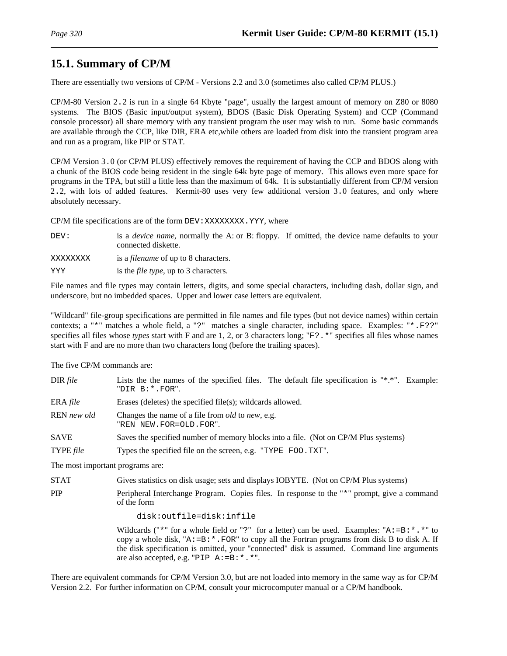# **15.1. Summary of CP/M**

There are essentially two versions of CP/M - Versions 2.2 and 3.0 (sometimes also called CP/M PLUS.)

CP/M-80 Version 2.2 is run in a single 64 Kbyte "page", usually the largest amount of memory on Z80 or 8080 systems. The BIOS (Basic input/output system), BDOS (Basic Disk Operating System) and CCP (Command console processor) all share memory with any transient program the user may wish to run. Some basic commands are available through the CCP, like DIR, ERA etc,while others are loaded from disk into the transient program area and run as a program, like PIP or STAT.

CP/M Version 3.0 (or CP/M PLUS) effectively removes the requirement of having the CCP and BDOS along with a chunk of the BIOS code being resident in the single 64k byte page of memory. This allows even more space for programs in the TPA, but still a little less than the maximum of 64k. It is substantially different from CP/M version 2.2, with lots of added features. Kermit-80 uses very few additional version 3.0 features, and only where absolutely necessary.

CP/M file specifications are of the form DEV: XXXXXXXX. YYY, where

DEV: is a *device name*, normally the A: or B: floppy. If omitted, the device name defaults to your connected diskette.

XXXXXXXX is a *filename* of up to 8 characters.

YYY is the *file type*, up to 3 characters.

File names and file types may contain letters, digits, and some special characters, including dash, dollar sign, and underscore, but no imbedded spaces. Upper and lower case letters are equivalent.

"Wildcard" file-group specifications are permitted in file names and file types (but not device names) within certain contexts; a "\*" matches a whole field, a "?" matches a single character, including space. Examples: "\*.F??" specifies all files whose *types* start with F and are 1, 2, or 3 characters long; "F?.\*" specifies all files whose names start with F and are no more than two characters long (before the trailing spaces).

The five CP/M commands are:

| DIR file    | Lists the the names of the specified files. The default file specification is "*.*". Example:<br>"DIR B: *. FOR". |
|-------------|-------------------------------------------------------------------------------------------------------------------|
| ERA $file$  | Erases (deletes) the specified file(s); wildcards allowed.                                                        |
| REN new old | Changes the name of a file from <i>old</i> to <i>new</i> , e.g.<br>"REN NEW.FOR=OLD.FOR".                         |
| <b>SAVE</b> | Saves the specified number of memory blocks into a file. (Not on CP/M Plus systems)                               |
| TYPE file   | Types the specified file on the screen, e.g. "TYPE FOO.TXT".                                                      |

The most important programs are:

STAT Gives statistics on disk usage; sets and displays IOBYTE. (Not on CP/M Plus systems)

PIP Peripheral Interchange Program. Copies files. In response to the "\*" prompt, give a command of the form

disk:outfile=disk:infile

Wildcards ("\*" for a whole field or "?" for a letter) can be used. Examples: " $A := B : *$ . \*" to copy a whole disk, " $A := B: *$ . FOR" to copy all the Fortran programs from disk B to disk A. If the disk specification is omitted, your "connected" disk is assumed. Command line arguments are also accepted, e.g. "PIP  $A := B : *$ . \*".

There are equivalent commands for CP/M Version 3.0, but are not loaded into memory in the same way as for CP/M Version 2.2. For further information on CP/M, consult your microcomputer manual or a CP/M handbook.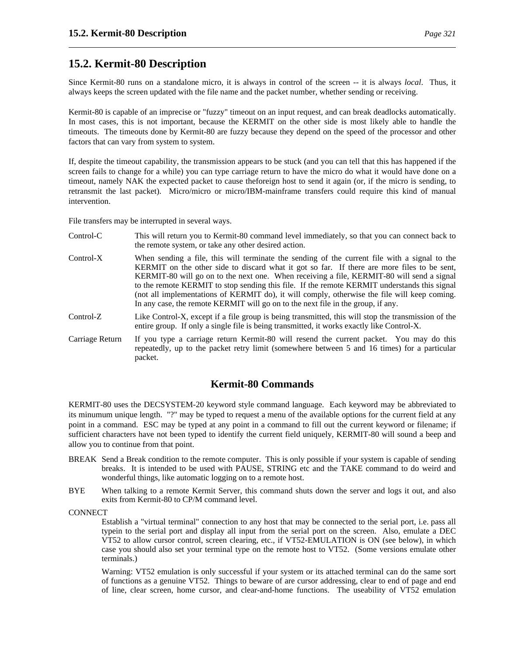# **15.2. Kermit-80 Description**

Since Kermit-80 runs on a standalone micro, it is always in control of the screen -- it is always *local*. Thus, it always keeps the screen updated with the file name and the packet number, whether sending or receiving.

Kermit-80 is capable of an imprecise or "fuzzy" timeout on an input request, and can break deadlocks automatically. In most cases, this is not important, because the KERMIT on the other side is most likely able to handle the timeouts. The timeouts done by Kermit-80 are fuzzy because they depend on the speed of the processor and other factors that can vary from system to system.

If, despite the timeout capability, the transmission appears to be stuck (and you can tell that this has happened if the screen fails to change for a while) you can type carriage return to have the micro do what it would have done on a timeout, namely NAK the expected packet to cause theforeign host to send it again (or, if the micro is sending, to retransmit the last packet). Micro/micro or micro/IBM-mainframe transfers could require this kind of manual intervention.

File transfers may be interrupted in several ways.

- Control-C This will return you to Kermit-80 command level immediately, so that you can connect back to the remote system, or take any other desired action.
- Control-X When sending a file, this will terminate the sending of the current file with a signal to the KERMIT on the other side to discard what it got so far. If there are more files to be sent, KERMIT-80 will go on to the next one. When receiving a file, KERMIT-80 will send a signal to the remote KERMIT to stop sending this file. If the remote KERMIT understands this signal (not all implementations of KERMIT do), it will comply, otherwise the file will keep coming. In any case, the remote KERMIT will go on to the next file in the group, if any.
- Control-Z Like Control-X, except if a file group is being transmitted, this will stop the transmission of the entire group. If only a single file is being transmitted, it works exactly like Control-X.
- Carriage Return If you type a carriage return Kermit-80 will resend the current packet. You may do this repeatedly, up to the packet retry limit (somewhere between 5 and 16 times) for a particular packet.

## **Kermit-80 Commands**

KERMIT-80 uses the DECSYSTEM-20 keyword style command language. Each keyword may be abbreviated to its minumum unique length. "?" may be typed to request a menu of the available options for the current field at any point in a command. ESC may be typed at any point in a command to fill out the current keyword or filename; if sufficient characters have not been typed to identify the current field uniquely, KERMIT-80 will sound a beep and allow you to continue from that point.

- BREAK Send a Break condition to the remote computer. This is only possible if your system is capable of sending breaks. It is intended to be used with PAUSE, STRING etc and the TAKE command to do weird and wonderful things, like automatic logging on to a remote host.
- BYE When talking to a remote Kermit Server, this command shuts down the server and logs it out, and also exits from Kermit-80 to CP/M command level.

**CONNECT** 

Establish a "virtual terminal" connection to any host that may be connected to the serial port, i.e. pass all typein to the serial port and display all input from the serial port on the screen. Also, emulate a DEC VT52 to allow cursor control, screen clearing, etc., if VT52-EMULATION is ON (see below), in which case you should also set your terminal type on the remote host to VT52. (Some versions emulate other terminals.)

Warning: VT52 emulation is only successful if your system or its attached terminal can do the same sort of functions as a genuine VT52. Things to beware of are cursor addressing, clear to end of page and end of line, clear screen, home cursor, and clear-and-home functions. The useability of VT52 emulation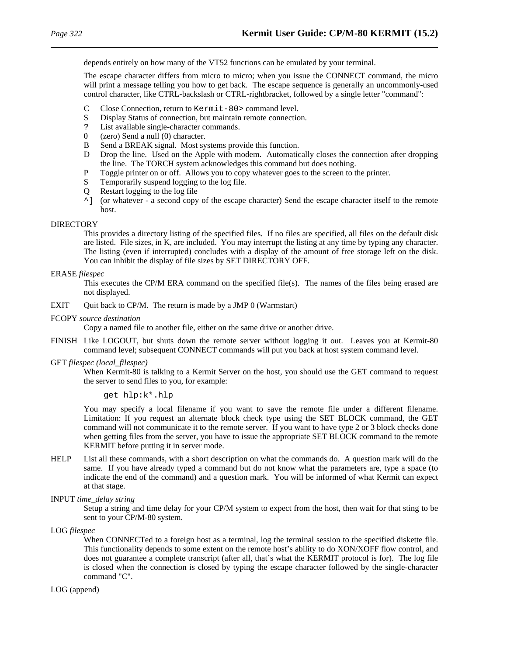depends entirely on how many of the VT52 functions can be emulated by your terminal.

The escape character differs from micro to micro; when you issue the CONNECT command, the micro will print a message telling you how to get back. The escape sequence is generally an uncommonly-used control character, like CTRL-backslash or CTRL-rightbracket, followed by a single letter "command":

- C Close Connection, return to Kermit-80> command level.<br>S Display Status of connection, but maintain remote connection
- Display Status of connection, but maintain remote connection.
- ? List available single-character commands.<br>0  $(zero)$  Send a null  $(0)$  character.
- (zero) Send a null (0) character.
- B Send a BREAK signal. Most systems provide this function.
- D Drop the line. Used on the Apple with modem. Automatically closes the connection after dropping the line. The TORCH system acknowledges this command but does nothing.
- P Toggle printer on or off. Allows you to copy whatever goes to the screen to the printer.
- S Temporarily suspend logging to the log file.
- Q Restart logging to the log file
- ^] (or whatever a second copy of the escape character) Send the escape character itself to the remote host.

### **DIRECTORY**

This provides a directory listing of the specified files. If no files are specified, all files on the default disk are listed. File sizes, in K, are included. You may interrupt the listing at any time by typing any character. The listing (even if interrupted) concludes with a display of the amount of free storage left on the disk. You can inhibit the display of file sizes by SET DIRECTORY OFF.

### ERASE *filespec*

This executes the CP/M ERA command on the specified file(s). The names of the files being erased are not displayed.

- EXIT Quit back to CP/M. The return is made by a JMP 0 (Warmstart)
- FCOPY *source destination*

Copy a named file to another file, either on the same drive or another drive.

FINISH Like LOGOUT, but shuts down the remote server without logging it out. Leaves you at Kermit-80 command level; subsequent CONNECT commands will put you back at host system command level.

#### GET *filespec (local\_filespec)*

When Kermit-80 is talking to a Kermit Server on the host, you should use the GET command to request the server to send files to you, for example:

get hlp:k\*.hlp

You may specify a local filename if you want to save the remote file under a different filename. Limitation: If you request an alternate block check type using the SET BLOCK command, the GET command will not communicate it to the remote server. If you want to have type 2 or 3 block checks done when getting files from the server, you have to issue the appropriate SET BLOCK command to the remote KERMIT before putting it in server mode.

HELP List all these commands, with a short description on what the commands do. A question mark will do the same. If you have already typed a command but do not know what the parameters are, type a space (to indicate the end of the command) and a question mark. You will be informed of what Kermit can expect at that stage.

INPUT *time\_delay string*

Setup a string and time delay for your CP/M system to expect from the host, then wait for that sting to be sent to your CP/M-80 system.

LOG *filespec*

When CONNECTed to a foreign host as a terminal, log the terminal session to the specified diskette file. This functionality depends to some extent on the remote host's ability to do XON/XOFF flow control, and does not guarantee a complete transcript (after all, that's what the KERMIT protocol is for). The log file is closed when the connection is closed by typing the escape character followed by the single-character command "C".

### LOG (append)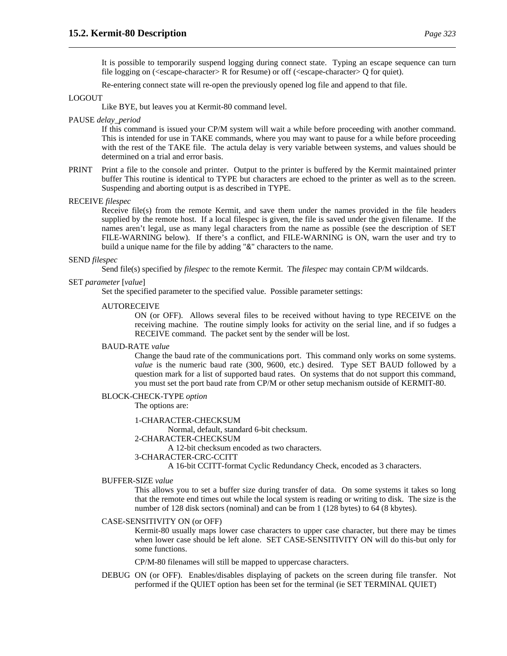It is possible to temporarily suspend logging during connect state. Typing an escape sequence can turn file logging on (<escape-character> R for Resume) or off (<escape-character> Q for quiet).

Re-entering connect state will re-open the previously opened log file and append to that file.

### LOGOUT

Like BYE, but leaves you at Kermit-80 command level.

#### PAUSE *delay\_period*

If this command is issued your CP/M system will wait a while before proceeding with another command. This is intended for use in TAKE commands, where you may want to pause for a while before proceeding with the rest of the TAKE file. The actula delay is very variable between systems, and values should be determined on a trial and error basis.

- PRINT Print a file to the console and printer. Output to the printer is buffered by the Kermit maintained printer buffer This routine is identical to TYPE but characters are echoed to the printer as well as to the screen. Suspending and aborting output is as described in TYPE.
- RECEIVE *filespec*

Receive file(s) from the remote Kermit, and save them under the names provided in the file headers supplied by the remote host. If a local filespec is given, the file is saved under the given filename. If the names aren't legal, use as many legal characters from the name as possible (see the description of SET FILE-WARNING below). If there's a conflict, and FILE-WARNING is ON, warn the user and try to build a unique name for the file by adding "&" characters to the name.

#### SEND *filespec*

Send file(s) specified by *filespec* to the remote Kermit. The *filespec* may contain CP/M wildcards.

#### SET *parameter* [*value*]

Set the specified parameter to the specified value. Possible parameter settings:

#### AUTORECEIVE

ON (or OFF). Allows several files to be received without having to type RECEIVE on the receiving machine. The routine simply looks for activity on the serial line, and if so fudges a RECEIVE command. The packet sent by the sender will be lost.

### BAUD-RATE *value*

Change the baud rate of the communications port. This command only works on some systems. *value* is the numeric baud rate (300, 9600, etc.) desired. Type SET BAUD followed by a question mark for a list of supported baud rates. On systems that do not support this command, you must set the port baud rate from CP/M or other setup mechanism outside of KERMIT-80.

### BLOCK-CHECK-TYPE *option*

The options are:

#### 1-CHARACTER-CHECKSUM

Normal, default, standard 6-bit checksum.

### 2-CHARACTER-CHECKSUM

A 12-bit checksum encoded as two characters.

#### 3-CHARACTER-CRC-CCITT

A 16-bit CCITT-format Cyclic Redundancy Check, encoded as 3 characters.

#### BUFFER-SIZE *value*

This allows you to set a buffer size during transfer of data. On some systems it takes so long that the remote end times out while the local system is reading or writing to disk. The size is the number of 128 disk sectors (nominal) and can be from 1 (128 bytes) to 64 (8 kbytes).

### CASE-SENSITIVITY ON (or OFF)

Kermit-80 usually maps lower case characters to upper case character, but there may be times when lower case should be left alone. SET CASE-SENSITIVITY ON will do this-but only for some functions.

CP/M-80 filenames will still be mapped to uppercase characters.

DEBUG ON (or OFF). Enables/disables displaying of packets on the screen during file transfer. Not performed if the QUIET option has been set for the terminal (ie SET TERMINAL QUIET)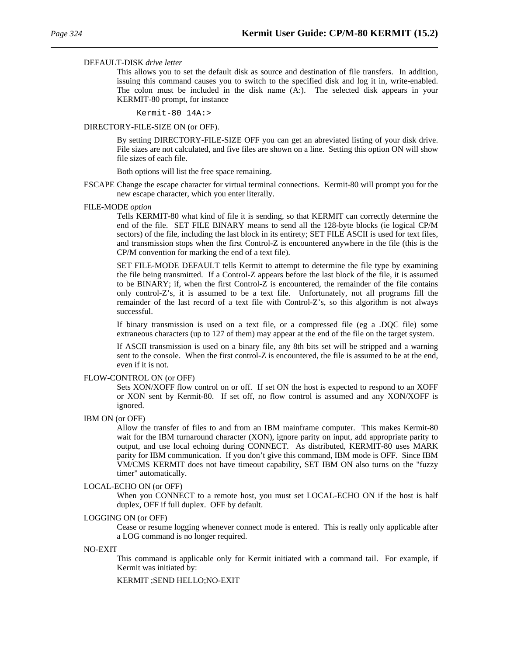#### DEFAULT-DISK *drive letter*

This allows you to set the default disk as source and destination of file transfers. In addition, issuing this command causes you to switch to the specified disk and log it in, write-enabled. The colon must be included in the disk name (A:). The selected disk appears in your KERMIT-80 prompt, for instance

Kermit-80 14A:>

#### DIRECTORY-FILE-SIZE ON (or OFF).

By setting DIRECTORY-FILE-SIZE OFF you can get an abreviated listing of your disk drive. File sizes are not calculated, and five files are shown on a line. Setting this option ON will show file sizes of each file.

Both options will list the free space remaining.

ESCAPE Change the escape character for virtual terminal connections. Kermit-80 will prompt you for the new escape character, which you enter literally.

#### FILE-MODE *option*

Tells KERMIT-80 what kind of file it is sending, so that KERMIT can correctly determine the end of the file. SET FILE BINARY means to send all the 128-byte blocks (ie logical CP/M sectors) of the file, including the last block in its entirety; SET FILE ASCII is used for text files, and transmission stops when the first Control-Z is encountered anywhere in the file (this is the CP/M convention for marking the end of a text file).

SET FILE-MODE DEFAULT tells Kermit to attempt to determine the file type by examining the file being transmitted. If a Control-Z appears before the last block of the file, it is assumed to be BINARY; if, when the first Control-Z is encountered, the remainder of the file contains only control-Z's, it is assumed to be a text file. Unfortunately, not all programs fill the remainder of the last record of a text file with Control-Z's, so this algorithm is not always successful.

If binary transmission is used on a text file, or a compressed file (eg a .DQC file) some extraneous characters (up to 127 of them) may appear at the end of the file on the target system.

If ASCII transmission is used on a binary file, any 8th bits set will be stripped and a warning sent to the console. When the first control-Z is encountered, the file is assumed to be at the end, even if it is not.

#### FLOW-CONTROL ON (or OFF)

Sets XON/XOFF flow control on or off. If set ON the host is expected to respond to an XOFF or XON sent by Kermit-80. If set off, no flow control is assumed and any XON/XOFF is ignored.

IBM ON (or OFF)

Allow the transfer of files to and from an IBM mainframe computer. This makes Kermit-80 wait for the IBM turnaround character (XON), ignore parity on input, add appropriate parity to output, and use local echoing during CONNECT. As distributed, KERMIT-80 uses MARK parity for IBM communication. If you don't give this command, IBM mode is OFF. Since IBM VM/CMS KERMIT does not have timeout capability, SET IBM ON also turns on the "fuzzy timer" automatically.

#### LOCAL-ECHO ON (or OFF)

When you CONNECT to a remote host, you must set LOCAL-ECHO ON if the host is half duplex, OFF if full duplex. OFF by default.

#### LOGGING ON (or OFF)

Cease or resume logging whenever connect mode is entered. This is really only applicable after a LOG command is no longer required.

#### NO-EXIT

This command is applicable only for Kermit initiated with a command tail. For example, if Kermit was initiated by:

KERMIT ;SEND HELLO;NO-EXIT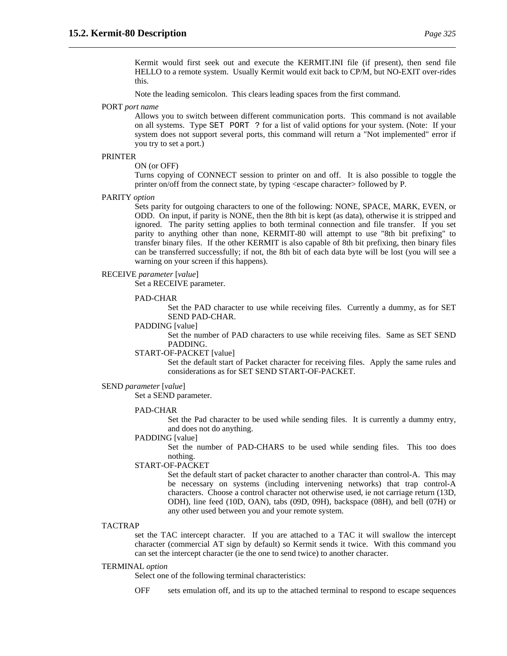Kermit would first seek out and execute the KERMIT.INI file (if present), then send file HELLO to a remote system. Usually Kermit would exit back to CP/M, but NO-EXIT over-rides this.

Note the leading semicolon. This clears leading spaces from the first command.

### PORT *port name*

Allows you to switch between different communication ports. This command is not available on all systems. Type SET PORT ? for a list of valid options for your system. (Note: If your system does not support several ports, this command will return a "Not implemented" error if you try to set a port.)

#### PRINTER

ON (or OFF)

Turns copying of CONNECT session to printer on and off. It is also possible to toggle the printer on/off from the connect state, by typing <escape character> followed by P.

PARITY *option*

Sets parity for outgoing characters to one of the following: NONE, SPACE, MARK, EVEN, or ODD. On input, if parity is NONE, then the 8th bit is kept (as data), otherwise it is stripped and ignored. The parity setting applies to both terminal connection and file transfer. If you set parity to anything other than none, KERMIT-80 will attempt to use "8th bit prefixing" to transfer binary files. If the other KERMIT is also capable of 8th bit prefixing, then binary files can be transferred successfully; if not, the 8th bit of each data byte will be lost (you will see a warning on your screen if this happens).

#### RECEIVE *parameter* [*value*]

Set a RECEIVE parameter.

#### PAD-CHAR

Set the PAD character to use while receiving files. Currently a dummy, as for SET SEND PAD-CHAR.

# PADDING [value]

Set the number of PAD characters to use while receiving files. Same as SET SEND PADDING.

#### START-OF-PACKET [value]

Set the default start of Packet character for receiving files. Apply the same rules and considerations as for SET SEND START-OF-PACKET.

#### SEND *parameter* [*value*]

Set a SEND parameter.

#### PAD-CHAR

Set the Pad character to be used while sending files. It is currently a dummy entry, and does not do anything.

# PADDING [value]

Set the number of PAD-CHARS to be used while sending files. This too does nothing.

### START-OF-PACKET

Set the default start of packet character to another character than control-A. This may be necessary on systems (including intervening networks) that trap control-A characters. Choose a control character not otherwise used, ie not carriage return (13D, ODH), line feed (10D, OAN), tabs (09D, 09H), backspace (08H), and bell (07H) or any other used between you and your remote system.

#### **TACTRAP**

set the TAC intercept character. If you are attached to a TAC it will swallow the intercept character (commercial AT sign by default) so Kermit sends it twice. With this command you can set the intercept character (ie the one to send twice) to another character.

#### TERMINAL *option*

Select one of the following terminal characteristics:

OFF sets emulation off, and its up to the attached terminal to respond to escape sequences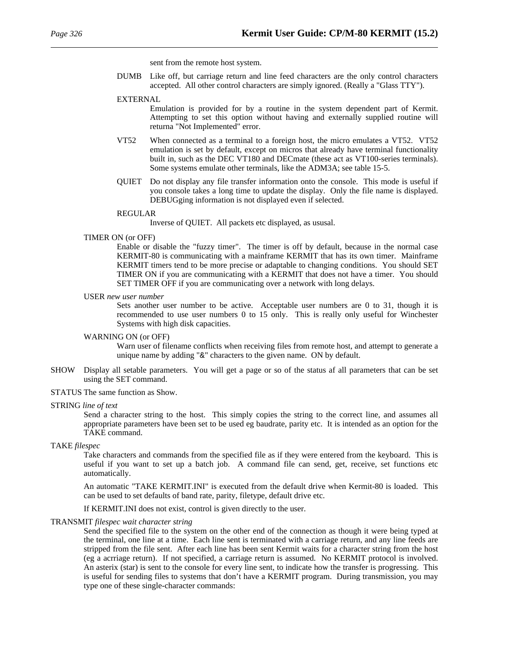sent from the remote host system.

DUMB Like off, but carriage return and line feed characters are the only control characters accepted. All other control characters are simply ignored. (Really a "Glass TTY").

#### EXTERNAL

Emulation is provided for by a routine in the system dependent part of Kermit. Attempting to set this option without having and externally supplied routine will returna "Not Implemented" error.

- VT52 When connected as a terminal to a foreign host, the micro emulates a VT52. VT52 emulation is set by default, except on micros that already have terminal functionality built in, such as the DEC VT180 and DECmate (these act as VT100-series terminals). Some systems emulate other terminals, like the ADM3A; see table 15-5.
- QUIET Do not display any file transfer information onto the console. This mode is useful if you console takes a long time to update the display. Only the file name is displayed. DEBUGging information is not displayed even if selected.

#### REGULAR

Inverse of QUIET. All packets etc displayed, as ususal.

## TIMER ON (or OFF)

Enable or disable the "fuzzy timer". The timer is off by default, because in the normal case KERMIT-80 is communicating with a mainframe KERMIT that has its own timer. Mainframe KERMIT timers tend to be more precise or adaptable to changing conditions. You should SET TIMER ON if you are communicating with a KERMIT that does not have a timer. You should SET TIMER OFF if you are communicating over a network with long delays.

USER *new user number*

Sets another user number to be active. Acceptable user numbers are 0 to 31, though it is recommended to use user numbers 0 to 15 only. This is really only useful for Winchester Systems with high disk capacities.

#### WARNING ON (or OFF)

Warn user of filename conflicts when receiving files from remote host, and attempt to generate a unique name by adding "&" characters to the given name. ON by default.

SHOW Display all setable parameters. You will get a page or so of the status af all parameters that can be set using the SET command.

#### STATUS The same function as Show.

#### STRING *line of text*

Send a character string to the host. This simply copies the string to the correct line, and assumes all appropriate parameters have been set to be used eg baudrate, parity etc. It is intended as an option for the TAKE command.

#### TAKE *filespec*

Take characters and commands from the specified file as if they were entered from the keyboard. This is useful if you want to set up a batch job. A command file can send, get, receive, set functions etc automatically.

An automatic "TAKE KERMIT.INI" is executed from the default drive when Kermit-80 is loaded. This can be used to set defaults of band rate, parity, filetype, default drive etc.

If KERMIT.INI does not exist, control is given directly to the user.

#### TRANSMIT *filespec wait character string*

Send the specified file to the system on the other end of the connection as though it were being typed at the terminal, one line at a time. Each line sent is terminated with a carriage return, and any line feeds are stripped from the file sent. After each line has been sent Kermit waits for a character string from the host (eg a acrriage return). If not specified, a carriage return is assumed. No KERMIT protocol is involved. An asterix (star) is sent to the console for every line sent, to indicate how the transfer is progressing. This is useful for sending files to systems that don't have a KERMIT program. During transmission, you may type one of these single-character commands: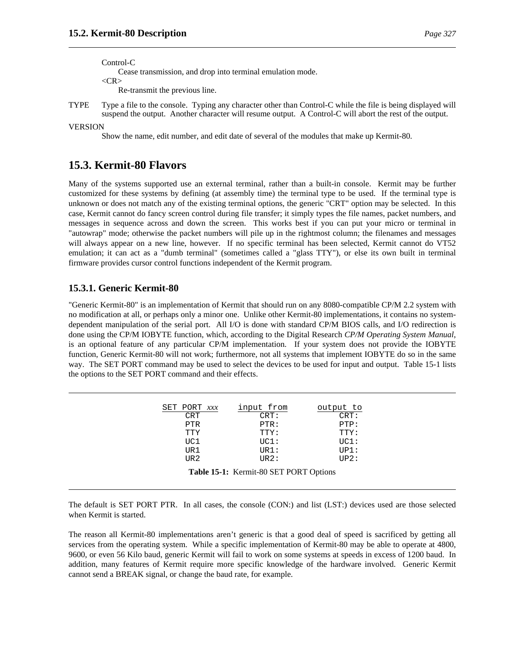Control-C

Cease transmission, and drop into terminal emulation mode.

 $<$ CR $>$ 

Re-transmit the previous line.

TYPE Type a file to the console. Typing any character other than Control-C while the file is being displayed will suspend the output. Another character will resume output. A Control-C will abort the rest of the output.

### VERSION

Show the name, edit number, and edit date of several of the modules that make up Kermit-80.

# **15.3. Kermit-80 Flavors**

Many of the systems supported use an external terminal, rather than a built-in console. Kermit may be further customized for these systems by defining (at assembly time) the terminal type to be used. If the terminal type is unknown or does not match any of the existing terminal options, the generic "CRT" option may be selected. In this case, Kermit cannot do fancy screen control during file transfer; it simply types the file names, packet numbers, and messages in sequence across and down the screen. This works best if you can put your micro or terminal in "autowrap" mode; otherwise the packet numbers will pile up in the rightmost column; the filenames and messages will always appear on a new line, however. If no specific terminal has been selected, Kermit cannot do VT52 emulation; it can act as a "dumb terminal" (sometimes called a "glass TTY"), or else its own built in terminal firmware provides cursor control functions independent of the Kermit program.

# **15.3.1. Generic Kermit-80**

"Generic Kermit-80" is an implementation of Kermit that should run on any 8080-compatible CP/M 2.2 system with no modification at all, or perhaps only a minor one. Unlike other Kermit-80 implementations, it contains no systemdependent manipulation of the serial port. All I/O is done with standard CP/M BIOS calls, and I/O redirection is done using the CP/M IOBYTE function, which, according to the Digital Research *CP/M Operating System Manual*, is an optional feature of any particular CP/M implementation. If your system does not provide the IOBYTE function, Generic Kermit-80 will not work; furthermore, not all systems that implement IOBYTE do so in the same way. The SET PORT command may be used to select the devices to be used for input and output. Table 15-1 lists the options to the SET PORT command and their effects.

| SET PORT XXX | input from | output to |
|--------------|------------|-----------|
| <b>CRT</b>   | CRT:       | CRT:      |
| PTR          | PTR:       | PTP:      |
| TTY          | TTY:       | TTY:      |
| UC1          | UCI:       | UCI:      |
| TJR 1        | URI:       | UP1:      |
| TJR 2.       | TIR2:      | IIP2:     |

**Table 15-1:** Kermit-80 SET PORT Options

The default is SET PORT PTR. In all cases, the console (CON:) and list (LST:) devices used are those selected when Kermit is started.

The reason all Kermit-80 implementations aren't generic is that a good deal of speed is sacrificed by getting all services from the operating system. While a specific implementation of Kermit-80 may be able to operate at 4800, 9600, or even 56 Kilo baud, generic Kermit will fail to work on some systems at speeds in excess of 1200 baud. In addition, many features of Kermit require more specific knowledge of the hardware involved. Generic Kermit cannot send a BREAK signal, or change the baud rate, for example.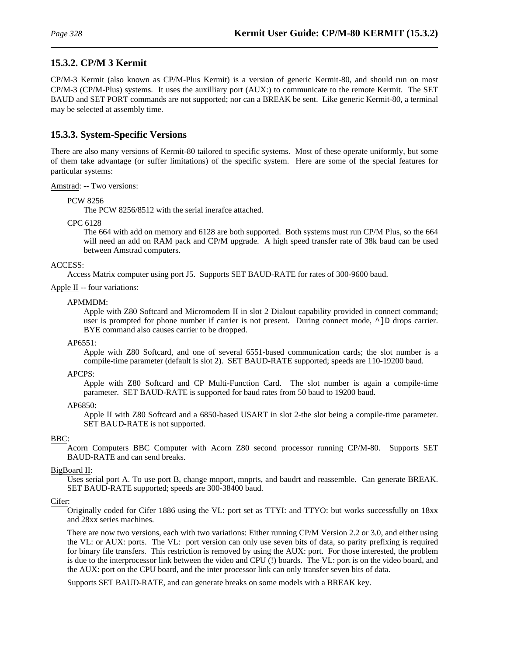# **15.3.2. CP/M 3 Kermit**

CP/M-3 Kermit (also known as CP/M-Plus Kermit) is a version of generic Kermit-80, and should run on most CP/M-3 (CP/M-Plus) systems. It uses the auxilliary port (AUX:) to communicate to the remote Kermit. The SET BAUD and SET PORT commands are not supported; nor can a BREAK be sent. Like generic Kermit-80, a terminal may be selected at assembly time.

# **15.3.3. System-Specific Versions**

There are also many versions of Kermit-80 tailored to specific systems. Most of these operate uniformly, but some of them take advantage (or suffer limitations) of the specific system. Here are some of the special features for particular systems:

Amstrad: -- Two versions:

PCW 8256

The PCW 8256/8512 with the serial inerafce attached.

CPC 6128

The 664 with add on memory and 6128 are both supported. Both systems must run CP/M Plus, so the 664 will need an add on RAM pack and CP/M upgrade. A high speed transfer rate of 38k baud can be used between Amstrad computers.

# ACCESS:

Access Matrix computer using port J5. Supports SET BAUD-RATE for rates of 300-9600 baud.

# Apple II -- four variations:

# APMMDM:

Apple with Z80 Softcard and Micromodem II in slot 2 Dialout capability provided in connect command; user is prompted for phone number if carrier is not present. During connect mode,  $\land$  ]D drops carrier. BYE command also causes carrier to be dropped.

### AP6551:

Apple with Z80 Softcard, and one of several 6551-based communication cards; the slot number is a compile-time parameter (default is slot 2). SET BAUD-RATE supported; speeds are 110-19200 baud.

### APCPS:

Apple with Z80 Softcard and CP Multi-Function Card. The slot number is again a compile-time parameter. SET BAUD-RATE is supported for baud rates from 50 baud to 19200 baud.

### AP6850:

Apple II with Z80 Softcard and a 6850-based USART in slot 2-the slot being a compile-time parameter. SET BAUD-RATE is not supported.

### BBC:

Acorn Computers BBC Computer with Acorn Z80 second processor running CP/M-80. Supports SET BAUD-RATE and can send breaks.

### BigBoard II:

Uses serial port A. To use port B, change mnport, mnprts, and baudrt and reassemble. Can generate BREAK. SET BAUD-RATE supported; speeds are 300-38400 baud.

### Cifer:

Originally coded for Cifer 1886 using the VL: port set as TTYI: and TTYO: but works successfully on 18xx and 28xx series machines.

There are now two versions, each with two variations: Either running CP/M Version 2.2 or 3.0, and either using the VL: or AUX: ports. The VL: port version can only use seven bits of data, so parity prefixing is required for binary file transfers. This restriction is removed by using the AUX: port. For those interested, the problem is due to the interprocessor link between the video and CPU (!) boards. The VL: port is on the video board, and the AUX: port on the CPU board, and the inter processor link can only transfer seven bits of data.

Supports SET BAUD-RATE, and can generate breaks on some models with a BREAK key.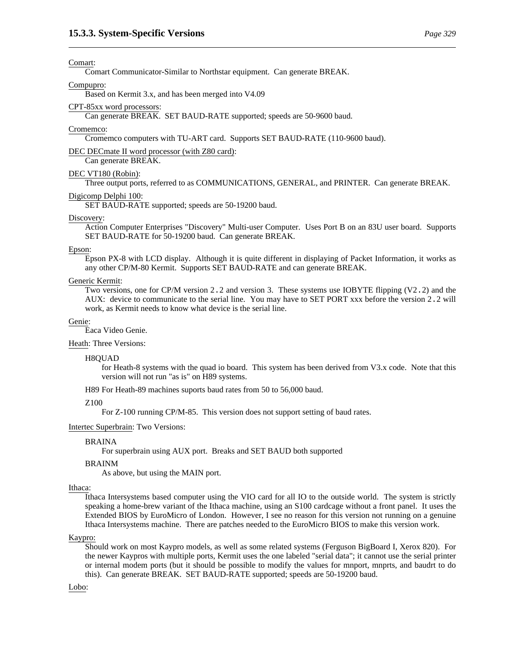Comart Communicator-Similar to Northstar equipment. Can generate BREAK.

#### Compupro:

Based on Kermit 3.x, and has been merged into V4.09

#### CPT-85xx word processors:

Can generate BREAK. SET BAUD-RATE supported; speeds are 50-9600 baud.

#### Cromemco:

Cromemco computers with TU-ART card. Supports SET BAUD-RATE (110-9600 baud).

DEC DECmate II word processor (with Z80 card):

# Can generate BREAK. DEC VT180 (Robin):

Three output ports, referred to as COMMUNICATIONS, GENERAL, and PRINTER. Can generate BREAK.

#### Digicomp Delphi 100:

SET BAUD-RATE supported; speeds are 50-19200 baud.

#### Discovery:

Action Computer Enterprises "Discovery" Multi-user Computer. Uses Port B on an 83U user board. Supports SET BAUD-RATE for 50-19200 baud. Can generate BREAK.

#### Epson:

Epson PX-8 with LCD display. Although it is quite different in displaying of Packet Information, it works as any other CP/M-80 Kermit. Supports SET BAUD-RATE and can generate BREAK.

#### Generic Kermit:

Two versions, one for CP/M version 2.2 and version 3. These systems use IOBYTE flipping (V2.2) and the AUX: device to communicate to the serial line. You may have to SET PORT xxx before the version 2.2 will work, as Kermit needs to know what device is the serial line.

#### Genie:

Eaca Video Genie.

### Heath: Three Versions:

#### H8QUAD

for Heath-8 systems with the quad io board. This system has been derived from V3.x code. Note that this version will not run "as is" on H89 systems.

H89 For Heath-89 machines suports baud rates from 50 to 56,000 baud.

#### Z100

For Z-100 running CP/M-85. This version does not support setting of baud rates.

#### Intertec Superbrain: Two Versions:

#### BRAINA

For superbrain using AUX port. Breaks and SET BAUD both supported

#### BRAINM

As above, but using the MAIN port.

#### Ithaca:

Ithaca Intersystems based computer using the VIO card for all IO to the outside world. The system is strictly speaking a home-brew variant of the Ithaca machine, using an S100 cardcage without a front panel. It uses the Extended BIOS by EuroMicro of London. However, I see no reason for this version not running on a genuine Ithaca Intersystems machine. There are patches needed to the EuroMicro BIOS to make this version work.

#### Kaypro:

Should work on most Kaypro models, as well as some related systems (Ferguson BigBoard I, Xerox 820). For the newer Kaypros with multiple ports, Kermit uses the one labeled "serial data"; it cannot use the serial printer or internal modem ports (but it should be possible to modify the values for mnport, mnprts, and baudrt to do this). Can generate BREAK. SET BAUD-RATE supported; speeds are 50-19200 baud.

#### Lobo: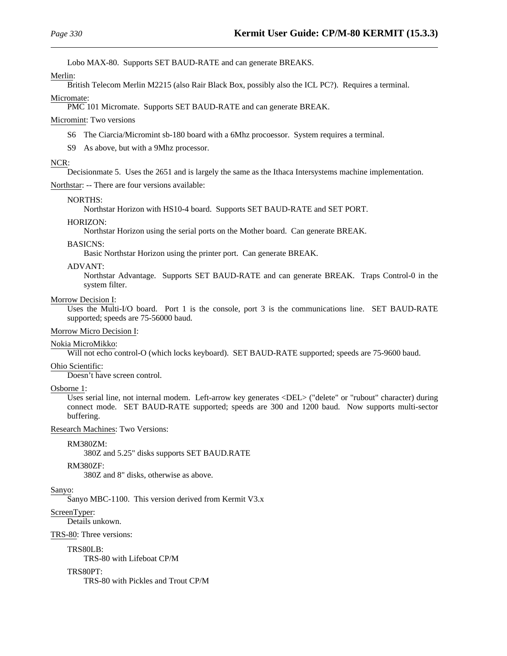Lobo MAX-80. Supports SET BAUD-RATE and can generate BREAKS.

## Merlin:

British Telecom Merlin M2215 (also Rair Black Box, possibly also the ICL PC?). Requires a terminal. Micromate:

PMC 101 Micromate. Supports SET BAUD-RATE and can generate BREAK.

# Micromint: Two versions

S6 The Ciarcia/Micromint sb-180 board with a 6Mhz procoessor. System requires a terminal.

S9 As above, but with a 9Mhz processor.

# NCR:

Decisionmate 5. Uses the 2651 and is largely the same as the Ithaca Intersystems machine implementation.

Northstar: -- There are four versions available:

# NORTHS:

Northstar Horizon with HS10-4 board. Supports SET BAUD-RATE and SET PORT.

# HORIZON:

Northstar Horizon using the serial ports on the Mother board. Can generate BREAK.

# BASICNS:

Basic Northstar Horizon using the printer port. Can generate BREAK.

# ADVANT:

Northstar Advantage. Supports SET BAUD-RATE and can generate BREAK. Traps Control-0 in the system filter.

# Morrow Decision I:

Uses the Multi-I/O board. Port 1 is the console, port 3 is the communications line. SET BAUD-RATE supported; speeds are 75-56000 baud.

### Morrow Micro Decision I:

# Nokia MicroMikko:

Will not echo control-O (which locks keyboard). SET BAUD-RATE supported; speeds are 75-9600 baud.

# Ohio Scientific:

Doesn't have screen control.

### Osborne 1:

Uses serial line, not internal modem. Left-arrow key generates <DEL> ("delete" or "rubout" character) during connect mode. SET BAUD-RATE supported; speeds are 300 and 1200 baud. Now supports multi-sector buffering.

Research Machines: Two Versions:

### RM380ZM:

380Z and 5.25" disks supports SET BAUD.RATE

# RM380ZF:

380Z and 8" disks, otherwise as above.

# Sanyo:

Sanyo MBC-1100. This version derived from Kermit V3.x

# ScreenTyper:

Details unkown.

# TRS-80: Three versions:

TRS80LB:

TRS-80 with Lifeboat CP/M

# TRS80PT:

TRS-80 with Pickles and Trout CP/M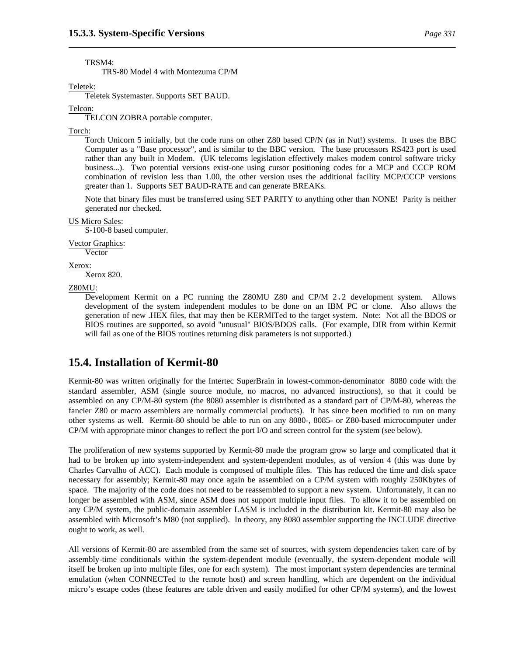TRSM4:

TRS-80 Model 4 with Montezuma CP/M

Teletek:

Teletek Systemaster. Supports SET BAUD.

Telcon:

TELCON ZOBRA portable computer.

Torch:

Torch Unicorn 5 initially, but the code runs on other Z80 based CP/N (as in Nut!) systems. It uses the BBC Computer as a "Base processor", and is similar to the BBC version. The base processors RS423 port is used rather than any built in Modem. (UK telecoms legislation effectively makes modem control software tricky business...). Two potential versions exist-one using cursor positioning codes for a MCP and CCCP ROM combination of revision less than 1.00, the other version uses the additional facility MCP/CCCP versions greater than 1. Supports SET BAUD-RATE and can generate BREAKs.

Note that binary files must be transferred using SET PARITY to anything other than NONE! Parity is neither generated nor checked.

#### US Micro Sales:

S-100-8 based computer.

Vector Graphics:

Vector

Xerox:

Xerox 820.

Z80MU:

Development Kermit on a PC running the Z80MU Z80 and CP/M 2.2 development system. Allows development of the system independent modules to be done on an IBM PC or clone. Also allows the generation of new .HEX files, that may then be KERMITed to the target system. Note: Not all the BDOS or BIOS routines are supported, so avoid "unusual" BIOS/BDOS calls. (For example, DIR from within Kermit will fail as one of the BIOS routines returning disk parameters is not supported.)

# **15.4. Installation of Kermit-80**

Kermit-80 was written originally for the Intertec SuperBrain in lowest-common-denominator 8080 code with the standard assembler, ASM (single source module, no macros, no advanced instructions), so that it could be assembled on any CP/M-80 system (the 8080 assembler is distributed as a standard part of CP/M-80, whereas the fancier Z80 or macro assemblers are normally commercial products). It has since been modified to run on many other systems as well. Kermit-80 should be able to run on any 8080-, 8085- or Z80-based microcomputer under CP/M with appropriate minor changes to reflect the port I/O and screen control for the system (see below).

The proliferation of new systems supported by Kermit-80 made the program grow so large and complicated that it had to be broken up into system-independent and system-dependent modules, as of version 4 (this was done by Charles Carvalho of ACC). Each module is composed of multiple files. This has reduced the time and disk space necessary for assembly; Kermit-80 may once again be assembled on a CP/M system with roughly 250Kbytes of space. The majority of the code does not need to be reassembled to support a new system. Unfortunately, it can no longer be assembled with ASM, since ASM does not support multiple input files. To allow it to be assembled on any CP/M system, the public-domain assembler LASM is included in the distribution kit. Kermit-80 may also be assembled with Microsoft's M80 (not supplied). In theory, any 8080 assembler supporting the INCLUDE directive ought to work, as well.

All versions of Kermit-80 are assembled from the same set of sources, with system dependencies taken care of by assembly-time conditionals within the system-dependent module (eventually, the system-dependent module will itself be broken up into multiple files, one for each system). The most important system dependencies are terminal emulation (when CONNECTed to the remote host) and screen handling, which are dependent on the individual micro's escape codes (these features are table driven and easily modified for other CP/M systems), and the lowest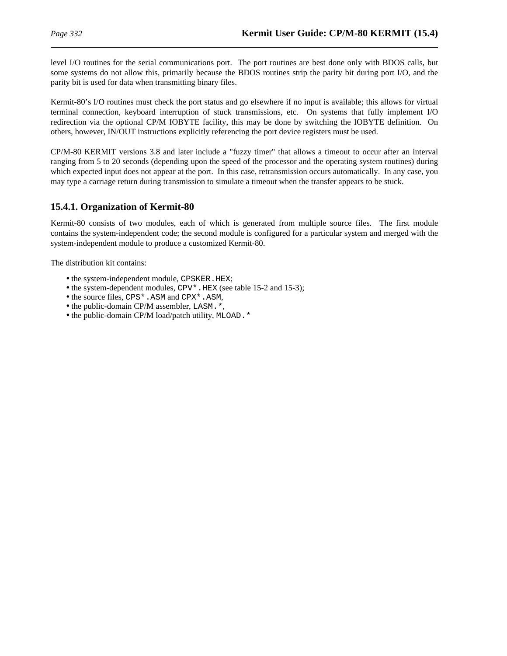level I/O routines for the serial communications port. The port routines are best done only with BDOS calls, but some systems do not allow this, primarily because the BDOS routines strip the parity bit during port I/O, and the parity bit is used for data when transmitting binary files.

Kermit-80's I/O routines must check the port status and go elsewhere if no input is available; this allows for virtual terminal connection, keyboard interruption of stuck transmissions, etc. On systems that fully implement I/O redirection via the optional CP/M IOBYTE facility, this may be done by switching the IOBYTE definition. On others, however, IN/OUT instructions explicitly referencing the port device registers must be used.

CP/M-80 KERMIT versions 3.8 and later include a "fuzzy timer" that allows a timeout to occur after an interval ranging from 5 to 20 seconds (depending upon the speed of the processor and the operating system routines) during which expected input does not appear at the port. In this case, retransmission occurs automatically. In any case, you may type a carriage return during transmission to simulate a timeout when the transfer appears to be stuck.

# **15.4.1. Organization of Kermit-80**

Kermit-80 consists of two modules, each of which is generated from multiple source files. The first module contains the system-independent code; the second module is configured for a particular system and merged with the system-independent module to produce a customized Kermit-80.

The distribution kit contains:

- the system-independent module, CPSKER. HEX;
- the system-dependent modules, CPV<sup>\*</sup>. HEX (see table 15-2 and 15-3);
- the source files, CPS\*.ASM and CPX\*.ASM,
- the public-domain CP/M assembler, LASM. \*,
- the public-domain CP/M load/patch utility, MLOAD.\*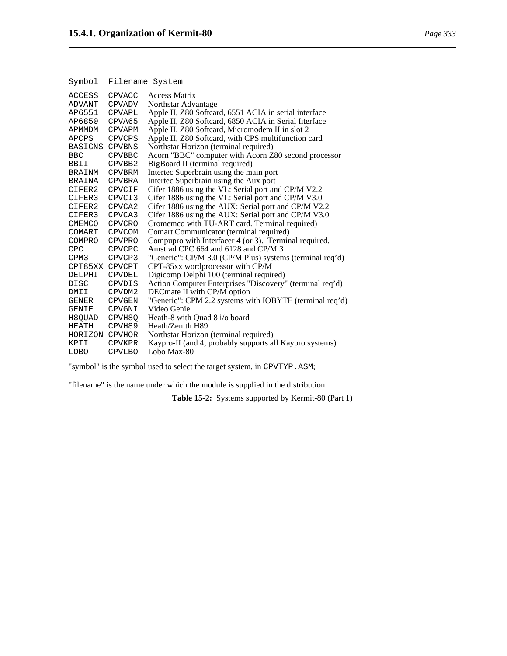| Symbol                | Filename System |                                                          |
|-----------------------|-----------------|----------------------------------------------------------|
| ACCESS                | CPVACC          | <b>Access Matrix</b>                                     |
| ADVANT                | CPVADV          | Northstar Advantage                                      |
| AP6551                | CPVAPL          | Apple II, Z80 Softcard, 6551 ACIA in serial interface    |
| AP6850                | CPVA65          | Apple II, Z80 Softcard, 6850 ACIA in Serial Iiterface    |
| APMMDM                | CPVAPM          | Apple II, Z80 Softcard, Micromodem II in slot 2          |
| APCPS                 | <b>CPVCPS</b>   | Apple II, Z80 Softcard, with CPS multifunction card      |
| <b>BASICNS CPVBNS</b> |                 | Northstar Horizon (terminal required)                    |
| <b>BBC</b>            | <b>CPVBBC</b>   | Acorn "BBC" computer with Acorn Z80 second processor     |
| BBII                  | CPVBB2          | BigBoard II (terminal required)                          |
| BRAINM                | <b>CPVBRM</b>   | Intertec Superbrain using the main port                  |
| BRAINA                | CPVBRA          | Intertec Superbrain using the Aux port                   |
| CIFER2 CPVCIF         |                 | Cifer 1886 using the VL: Serial port and CP/M V2.2       |
| CIFER3 CPVCI3         |                 | Cifer 1886 using the VL: Serial port and CP/M V3.0       |
| CIFER2                | CPVCA2          | Cifer 1886 using the AUX: Serial port and CP/M V2.2      |
| CIFER3                | CPVCA3          | Cifer 1886 using the AUX: Serial port and CP/M V3.0      |
| CMEMCO CPVCRO         |                 | Cromemco with TU-ART card. Terminal required)            |
| COMART                | <b>CPVCOM</b>   | Comart Communicator (terminal required)                  |
| COMPRO                | CPVPRO          | Compupro with Interfacer 4 (or 3). Terminal required.    |
| <b>CPC</b>            | CPVCPC          | Amstrad CPC 664 and 6128 and CP/M 3                      |
| CPM3                  | CPVCP3          | "Generic": CP/M 3.0 (CP/M Plus) systems (terminal req'd) |
| CPT85XX CPVCPT        |                 | CPT-85xx wordprocessor with CP/M                         |
| DELPHI                | <b>CPVDEL</b>   | Digicomp Delphi 100 (terminal required)                  |
| <b>DISC</b>           | CPVDIS          | Action Computer Enterprises "Discovery" (terminal req'd) |
| DMII                  | CPVDM2          | DECmate II with CP/M option                              |
| GENER                 | <b>CPVGEN</b>   | "Generic": CPM 2.2 systems with IOBYTE (terminal req'd)  |
| <b>GENIE</b>          | CPVGNI          | Video Genie                                              |
| H8QUAD CPVH8Q         |                 | Heath-8 with Quad 8 i/o board                            |
| HEATH                 | CPVH89          | Heath/Zenith H89                                         |
| HORIZON CPVHOR        |                 | Northstar Horizon (terminal required)                    |
| KPII                  | <b>CPVKPR</b>   | Kaypro-II (and 4; probably supports all Kaypro systems)  |
| LOBO                  | <b>CPVLBO</b>   | Lobo Max-80                                              |

"symbol" is the symbol used to select the target system, in CPVTYP.ASM;

"filename" is the name under which the module is supplied in the distribution.

**Table 15-2:** Systems supported by Kermit-80 (Part 1)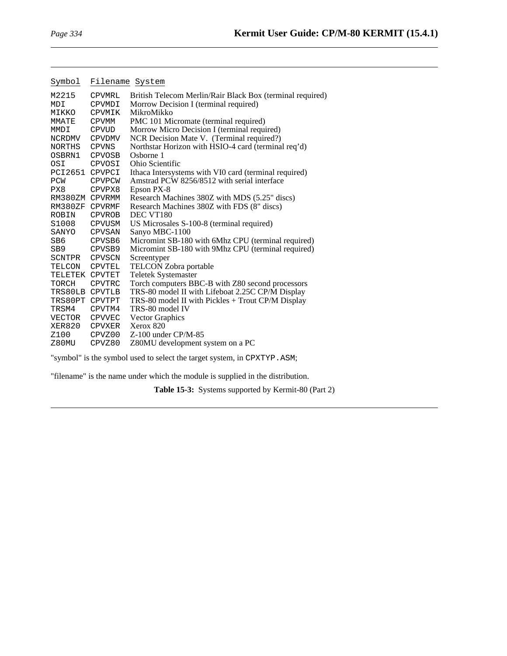| Symbol          |               | Filename System                                           |
|-----------------|---------------|-----------------------------------------------------------|
| M2215           | CPVMRL        | British Telecom Merlin/Rair Black Box (terminal required) |
| MDI             | CPVMDI        | Morrow Decision I (terminal required)                     |
| MIKKO           | CPVMIK        | MikroMikko                                                |
| MMATE           | <b>CPVMM</b>  | PMC 101 Micromate (terminal required)                     |
| MMDI            | CPVUD         | Morrow Micro Decision I (terminal required)               |
| NCRDMV          | <b>CPVDMV</b> | NCR Decision Mate V. (Terminal required?)                 |
| NORTHS          | <b>CPVNS</b>  | Northstar Horizon with HSIO-4 card (terminal req'd)       |
| OSBRN1          | CPVOSB        | Osborne 1                                                 |
| OSI             | CPVOSI        | Ohio Scientific                                           |
| PCI2651 CPVPCI  |               | Ithaca Intersystems with VI0 card (terminal required)     |
| PCW             | <b>CPVPCW</b> | Amstrad PCW 8256/8512 with serial interface               |
| PX8             | CPVPX8        | Epson PX-8                                                |
| RM380ZM CPVRMM  |               | Research Machines 380Z with MDS (5.25" discs)             |
| RM380ZF CPVRMF  |               | Research Machines 380Z with FDS (8" discs)                |
| ROBIN           | <b>CPVROB</b> | DEC VT180                                                 |
| S1008           | <b>CPVUSM</b> | US Microsales S-100-8 (terminal required)                 |
| SANYO           | CPVSAN        | Sanyo MBC-1100                                            |
| SB <sub>6</sub> | CPVSB6        | Micromint SB-180 with 6Mhz CPU (terminal required)        |
| SB <sub>9</sub> | CPVSB9        | Micromint SB-180 with 9Mhz CPU (terminal required)        |
| SCNTPR CPVSCN   |               | Screentyper                                               |
| TELCON          | CPVTEL        | TELCON Zobra portable                                     |
| TELETEK CPVTET  |               | <b>Teletek Systemaster</b>                                |
| TORCH           | CPVTRC        | Torch computers BBC-B with Z80 second processors          |
| TRS80LB CPVTLB  |               | TRS-80 model II with Lifeboat 2.25C CP/M Display          |
| TRS80PT CPVTPT  |               | TRS-80 model II with Pickles + Trout CP/M Display         |
| TRSM4           | CPVTM4        | TRS-80 model IV                                           |
| VECTOR          | <b>CPVVEC</b> | <b>Vector Graphics</b>                                    |
| XER820          | CPVXER        | Xerox 820                                                 |
| Z100            | CPVZ00        | $Z-100$ under CP/M-85                                     |
| Z80MU           | CPVZ80        | Z80MU development system on a PC                          |

"symbol" is the symbol used to select the target system, in CPXTYP.ASM;

"filename" is the name under which the module is supplied in the distribution.

**Table 15-3:** Systems supported by Kermit-80 (Part 2)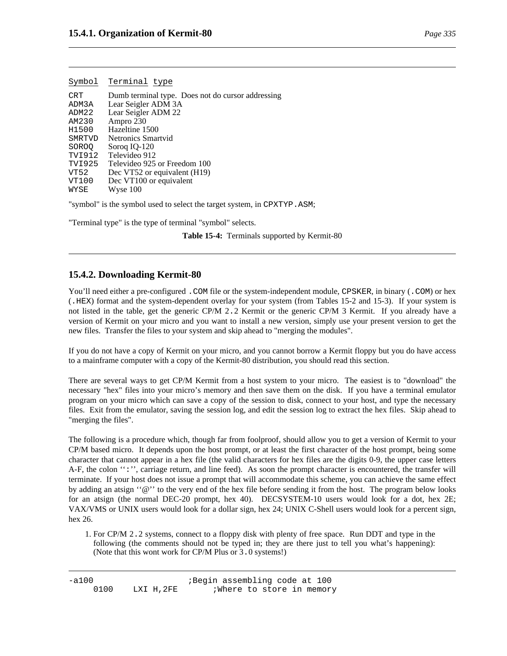|            | Symbol Terminal type                              |
|------------|---------------------------------------------------|
| <b>CRT</b> | Dumb terminal type. Does not do cursor addressing |
| ADM3A      | Lear Seigler ADM 3A                               |
| ADM22      | Lear Seigler ADM 22                               |
| AM230      | Ampro 230                                         |
| H1500      | Hazeltine 1500                                    |
| SMRTVD     | Netronics Smartvid                                |
| SOROO      | Sorog IQ-120                                      |
| TVI912     | Televideo 912                                     |
| TVI925     | Televideo 925 or Freedom 100                      |
| VT52       | Dec VT52 or equivalent (H19)                      |
| VT100      | Dec VT100 or equivalent                           |
| WYSE       | Wyse 100                                          |

"symbol" is the symbol used to select the target system, in CPXTYP.ASM;

"Terminal type" is the type of terminal "symbol" selects.

**Table 15-4:** Terminals supported by Kermit-80

# **15.4.2. Downloading Kermit-80**

You'll need either a pre-configured . COM file or the system-independent module, CPSKER, in binary (. COM) or hex (.HEX) format and the system-dependent overlay for your system (from Tables 15-2 and 15-3). If your system is not listed in the table, get the generic CP/M 2.2 Kermit or the generic CP/M 3 Kermit. If you already have a version of Kermit on your micro and you want to install a new version, simply use your present version to get the new files. Transfer the files to your system and skip ahead to "merging the modules".

If you do not have a copy of Kermit on your micro, and you cannot borrow a Kermit floppy but you do have access to a mainframe computer with a copy of the Kermit-80 distribution, you should read this section.

There are several ways to get CP/M Kermit from a host system to your micro. The easiest is to "download" the necessary "hex" files into your micro's memory and then save them on the disk. If you have a terminal emulator program on your micro which can save a copy of the session to disk, connect to your host, and type the necessary files. Exit from the emulator, saving the session log, and edit the session log to extract the hex files. Skip ahead to "merging the files".

The following is a procedure which, though far from foolproof, should allow you to get a version of Kermit to your CP/M based micro. It depends upon the host prompt, or at least the first character of the host prompt, being some character that cannot appear in a hex file (the valid characters for hex files are the digits 0-9, the upper case letters A-F, the colon '':'', carriage return, and line feed). As soon the prompt character is encountered, the transfer will terminate. If your host does not issue a prompt that will accommodate this scheme, you can achieve the same effect by adding an atsign ''@'' to the very end of the hex file before sending it from the host. The program below looks for an atsign (the normal DEC-20 prompt, hex 40). DECSYSTEM-10 users would look for a dot, hex 2E; VAX/VMS or UNIX users would look for a dollar sign, hex 24; UNIX C-Shell users would look for a percent sign, hex 26.

1. For CP/M 2.2 systems, connect to a floppy disk with plenty of free space. Run DDT and type in the following (the comments should not be typed in; they are there just to tell you what's happening): (Note that this wont work for CP/M Plus or 3.0 systems!)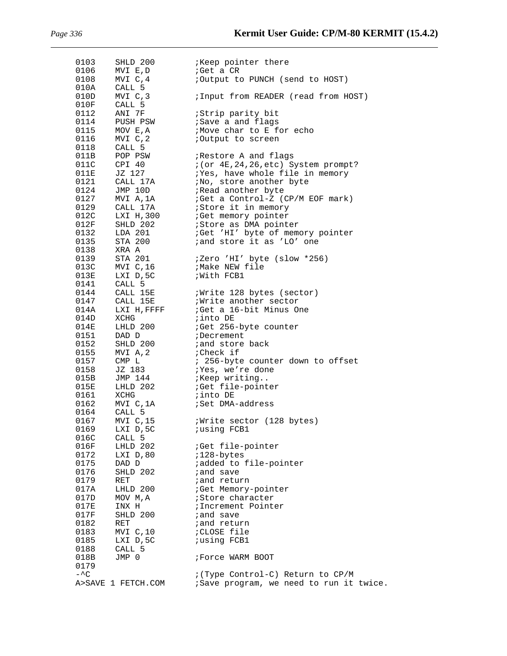| 0103         | SHLD 200            | <i>Keep</i> pointer there                                      |
|--------------|---------------------|----------------------------------------------------------------|
| 0106<br>0108 | MVI E,D<br>MVI C, 4 | ;Get a CR                                                      |
| 010A         | CALL 5              | ;Output to PUNCH (send to HOST)                                |
| 010D         | MVI C, 3            | ; Input from READER (read from HOST)                           |
| 010F         | CALL 5              |                                                                |
| 0112         | ANI 7F              | ;Strip parity bit                                              |
| 0114         | PUSH PSW            | ; Save a and flags                                             |
| 0115         | MOV E,A             | ;Move char to E for echo                                       |
| 0116         | MVI C,2             | ;Output to screen                                              |
| 0118<br>011B | CALL 5<br>POP PSW   | ; Restore A and flags                                          |
| 011C         | CPI 40              | $i$ (or $4E$ , 24, 26, etc) System prompt?                     |
| 011E         | JZ 127              | ;Yes, have whole file in memory                                |
| 0121         | CALL 17A            | ;No, store another byte                                        |
| 0124         | JMP 10D             | Read another byte                                              |
| 0127         | MVI A,1A            | ;Get a Control-Z (CP/M EOF mark)                               |
| 0129         | CALL 17A            | ;Store it in memory                                            |
| 012C         | LXI H,300           | <i>Get</i> memory pointer                                      |
| 012F         | SHLD 202            | <i>i</i> Store as DMA pointer                                  |
| 0132<br>0135 | LDA 201<br>STA 200  | ;Get 'HI' byte of memory pointer<br>; and store it as 'LO' one |
| 0138         | XRA A               |                                                                |
| 0139         | STA 201             | ;Zero 'HI' byte (slow *256)                                    |
| 013C         | MVI C,16            | ;Make NEW file                                                 |
| 013E         | LXI D, 5C           | With FCB1                                                      |
| 0141         | CALL 5              |                                                                |
| 0144         | CALL 15E            | <i>i</i> Write 128 bytes (sector)                              |
| 0147         | CALL 15E            | Write another sector                                           |
| 014A<br>014D | LXI H, FFFF<br>XCHG | ; Get a 16-bit Minus One<br><i>i</i> into DE                   |
| 014E         | LHLD 200            | ;Get 256-byte counter                                          |
| 0151         | DAD D               | <i>;Decrement</i>                                              |
| 0152         | SHLD 200            | ; and store back                                               |
| 0155         | MVI A, 2            | ;Check if                                                      |
| 0157         | CMP L               | ; 256-byte counter down to offset                              |
| 0158         | JZ 183              | iYes, we're done                                               |
| 015B         | JMP 144             | ;Keep writing                                                  |
| 015E<br>0161 | LHLD 202<br>XCHG    | <i>Get</i> file-pointer<br>;into DE                            |
| 0162         | MVI C, 1A           | ;Set DMA-address                                               |
| 0164         | CALL <sub>5</sub>   |                                                                |
| 0167         | MVI C, 15           | <i>Write</i> sector (128 bytes)                                |
| 0169         | LXI D, 5C           | ;using FCB1                                                    |
| 016C         | CALL 5              |                                                                |
| 016F         | LHLD 202            | ;Get file-pointer                                              |
| 0172         | LXI D,80            | i128-bytes                                                     |
| 0175<br>0176 | DAD D<br>SHLD 202   | <i>i</i> added to file-pointer<br>; and save                   |
| 0179         | RET                 | <i>i</i> and return                                            |
| 017A         | LHLD 200            | <i>i</i> Get Memory-pointer                                    |
| 017D         | MOV M,A             | <i>i</i> Store character                                       |
| 017E         | INX H               | ; Increment Pointer                                            |
| 017F         | SHLD 200            | and save                                                       |
| 0182         | RET                 | <i>i</i> and return                                            |
| 0183         | MVI C, 10           | ;CLOSE file                                                    |
| 0185         | LXI D, 5C<br>CALL 5 | <i>i</i> using FCB1                                            |
| 0188<br>018B | JMP 0               | Force WARM BOOT                                                |
| 0179         |                     |                                                                |
| $-\wedge$ C  |                     | : (Type Control-C) Return to CP/M                              |
|              | A>SAVE 1 FETCH.COM  | ;Save program, we need to run it twice.                        |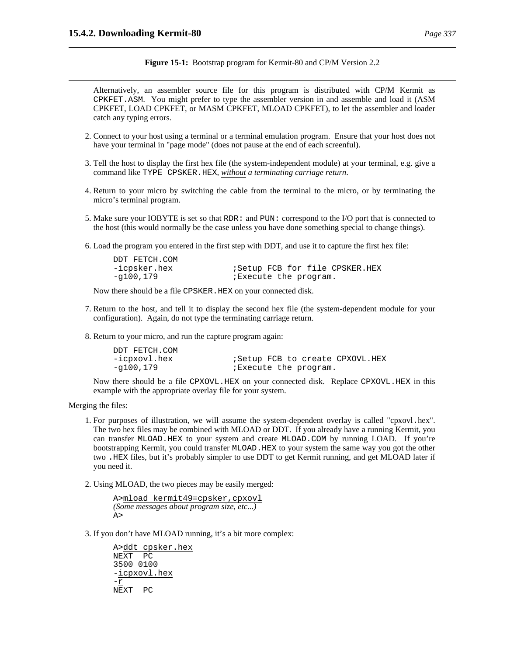DDT FETCH.COM

**Figure 15-1:** Bootstrap program for Kermit-80 and CP/M Version 2.2

Alternatively, an assembler source file for this program is distributed with CP/M Kermit as CPKFET.ASM. You might prefer to type the assembler version in and assemble and load it (ASM CPKFET, LOAD CPKFET, or MASM CPKFET, MLOAD CPKFET), to let the assembler and loader catch any typing errors.

- 2. Connect to your host using a terminal or a terminal emulation program. Ensure that your host does not have your terminal in "page mode" (does not pause at the end of each screenful).
- 3. Tell the host to display the first hex file (the system-independent module) at your terminal, e.g. give a command like TYPE CPSKER.HEX, *without a terminating carriage return*.
- 4. Return to your micro by switching the cable from the terminal to the micro, or by terminating the micro's terminal program.
- 5. Make sure your IOBYTE is set so that RDR: and PUN: correspond to the I/O port that is connected to the host (this would normally be the case unless you have done something special to change things).
- 6. Load the program you entered in the first step with DDT, and use it to capture the first hex file:

| DDT FEICH.COM |                      |  |                                        |
|---------------|----------------------|--|----------------------------------------|
| -icpsker.hex  |                      |  | <i>i</i> Setup FCB for file CPSKER.HEX |
| -g100,179     | Execute the program. |  |                                        |

Now there should be a file CPSKER.HEX on your connected disk.

- 7. Return to the host, and tell it to display the second hex file (the system-dependent module for your configuration). Again, do not type the terminating carriage return.
- 8. Return to your micro, and run the capture program again:

| DDT FETCH.COM |  |                                   |  |
|---------------|--|-----------------------------------|--|
| -icpxovl.hex  |  | ; Setup FCB to create CPXOVL. HEX |  |
| -g100,179     |  | Execute the program.              |  |

Now there should be a file CPXOVL.HEX on your connected disk. Replace CPXOVL.HEX in this example with the appropriate overlay file for your system.

Merging the files:

- 1. For purposes of illustration, we will assume the system-dependent overlay is called "cpxovl.hex". The two hex files may be combined with MLOAD or DDT. If you already have a running Kermit, you can transfer MLOAD.HEX to your system and create MLOAD.COM by running LOAD. If you're bootstrapping Kermit, you could transfer MLOAD.HEX to your system the same way you got the other two .HEX files, but it's probably simpler to use DDT to get Kermit running, and get MLOAD later if you need it.
- 2. Using MLOAD, the two pieces may be easily merged:

A>mload kermit49=cpsker,cpxovl *(Some messages about program size, etc...)* A>

3. If you don't have MLOAD running, it's a bit more complex:

A>ddt cpsker.hex NEXT PC 3500 0100 -icpxovl.hex -r NEXT PC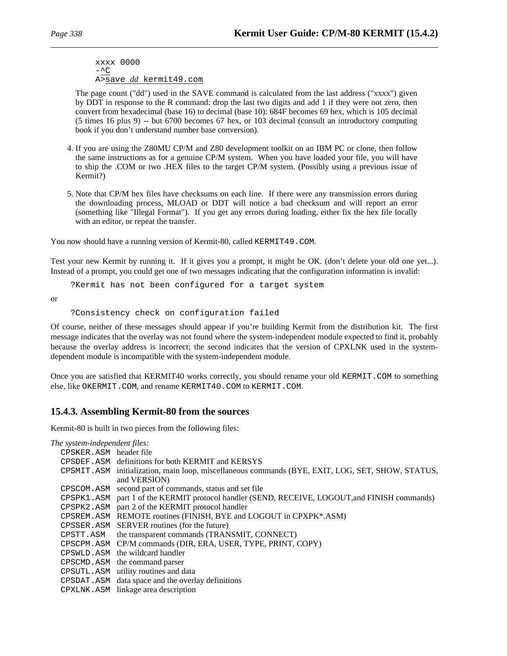xxxx 0000  $-\Delta$ C A>save *dd* kermit49.com

The page count ("dd") used in the SAVE command is calculated from the last address ("xxxx") given by DDT in response to the R command: drop the last two digits and add 1 if they were not zero, then convert from hexadecimal (base 16) to decimal (base 10): 684F becomes 69 hex, which is 105 decimal (5 times 16 plus 9) -- but 6700 becomes 67 hex, or 103 decimal (consult an introductory computing book if you don't understand number base conversion).

- 4. If you are using the Z80MU CP/M and Z80 development toolkit on an IBM PC or clone, then follow the same instructions as for a genuine CP/M system. When you have loaded your file, you will have to ship the .COM or two .HEX files to the target CP/M system. (Possibly using a previous issue of Kermit?)
- 5. Note that CP/M hex files have checksums on each line. If there were any transmission errors during the downloading process, MLOAD or DDT will notice a bad checksum and will report an error (something like "Illegal Format"). If you get any errors during loading, either fix the hex file locally with an editor, or repeat the transfer.

You now should have a running version of Kermit-80, called KERMIT49.COM.

Test your new Kermit by running it. If it gives you a prompt, it might be OK. (don't delete your old one yet...). Instead of a prompt, you could get one of two messages indicating that the configuration information is invalid:

?Kermit has not been configured for a target system

or

?Consistency check on configuration failed

Of course, neither of these messages should appear if you're building Kermit from the distribution kit. The first message indicates that the overlay was not found where the system-independent module expected to find it, probably because the overlay address is incorrect; the second indicates that the version of CPXLNK used in the systemdependent module is incompatible with the system-independent module.

Once you are satisfied that KERMIT40 works correctly, you should rename your old KERMIT. COM to something else, like OKERMIT.COM, and rename KERMIT40.COM to KERMIT.COM.

# **15.4.3. Assembling Kermit-80 from the sources**

Kermit-80 is built in two pieces from the following files:

*The system-independent files:*

| CPSKER.ASM header file |  |
|------------------------|--|
|------------------------|--|

- CPSDEF.ASM definitions for both KERMIT and KERSYS
- CPSMIT.ASM initialization, main loop, miscellaneous commands (BYE, EXIT, LOG, SET, SHOW, STATUS, and VERSION)
- CPSCOM.ASM second part of commands, status and set file
- CPSPK1.ASM part 1 of the KERMIT protocol handler (SEND, RECEIVE, LOGOUT,and FINISH commands)
- CPSPK2.ASM part 2 of the KERMIT protocol handler
- CPSREM.ASM REMOTE routines (FINISH, BYE and LOGOUT in CPXPK\*.ASM)
- CPSSER.ASM SERVER routines (for the future)
- CPSTT.ASM the transparent commands (TRANSMIT, CONNECT)
- CPSCPM.ASM CP/M commands (DIR, ERA, USER, TYPE, PRINT, COPY)
- CPSWLD.ASM the wildcard handler
- CPSCMD.ASM the command parser
- CPSUTL.ASM utility routines and data
- CPSDAT.ASM data space and the overlay definitions
- CPXLNK.ASM linkage area description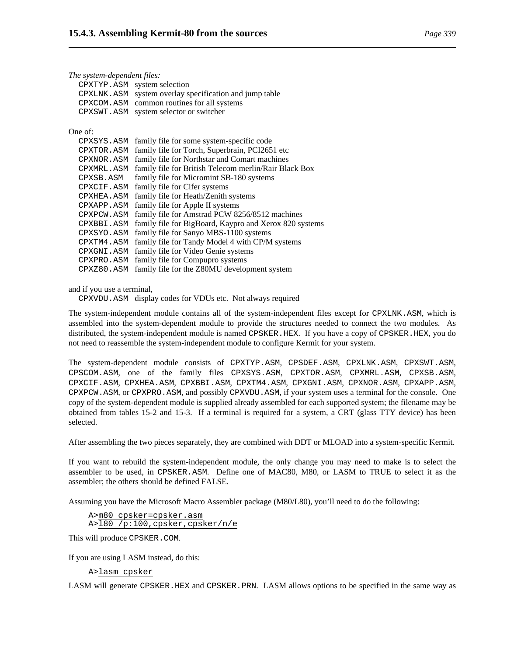| The system-dependent files: |                                                        |  |  |
|-----------------------------|--------------------------------------------------------|--|--|
|                             | CPXTYP.ASM system selection                            |  |  |
|                             | CPXLNK.ASM system overlay specification and jump table |  |  |
|                             | CPXCOM. ASM common routines for all systems            |  |  |
|                             | CPXSWT.ASM system selector or switcher                 |  |  |
|                             |                                                        |  |  |

One of:

| CPXSYS.ASM | family file for some system-specific code              |
|------------|--------------------------------------------------------|
| CPXTOR.ASM | family file for Torch, Superbrain, PCI2651 etc         |
| CPXNOR.ASM | family file for Northstar and Comart machines          |
| CPXMRL.ASM | family file for British Telecom merlin/Rair Black Box  |
| CPXSB.ASM  | family file for Micromint SB-180 systems               |
| CPXCIF.ASM | family file for Cifer systems                          |
| CPXHEA.ASM | family file for Heath/Zenith systems                   |
| CPXAPP.ASM | family file for Apple II systems                       |
| CPXPCW.ASM | family file for Amstrad PCW 8256/8512 machines         |
| CPXBBI.ASM | family file for BigBoard, Kaypro and Xerox 820 systems |
| CPXSYO.ASM | family file for Sanyo MBS-1100 systems                 |
| CPXTM4.ASM | family file for Tandy Model 4 with CP/M systems        |
| CPXGNI.ASM | family file for Video Genie systems                    |
| CPXPRO.ASM | family file for Compupro systems                       |
| CPXZ80.ASM | family file for the Z80MU development system           |
|            |                                                        |

and if you use a terminal,

CPXVDU.ASM display codes for VDUs etc. Not always required

The system-independent module contains all of the system-independent files except for CPXLNK.ASM, which is assembled into the system-dependent module to provide the structures needed to connect the two modules. As distributed, the system-independent module is named CPSKER.HEX. If you have a copy of CPSKER.HEX, you do not need to reassemble the system-independent module to configure Kermit for your system.

The system-dependent module consists of CPXTYP.ASM, CPSDEF.ASM, CPXLNK.ASM, CPXSWT.ASM, CPSCOM.ASM, one of the family files CPXSYS.ASM, CPXTOR.ASM, CPXMRL.ASM, CPXSB.ASM, CPXCIF.ASM, CPXHEA.ASM, CPXBBI.ASM, CPXTM4.ASM, CPXGNI.ASM, CPXNOR.ASM, CPXAPP.ASM, CPXPCW.ASM, or CPXPRO.ASM, and possibly CPXVDU.ASM, if your system uses a terminal for the console. One copy of the system-dependent module is supplied already assembled for each supported system; the filename may be obtained from tables 15-2 and 15-3. If a terminal is required for a system, a CRT (glass TTY device) has been selected.

After assembling the two pieces separately, they are combined with DDT or MLOAD into a system-specific Kermit.

If you want to rebuild the system-independent module, the only change you may need to make is to select the assembler to be used, in CPSKER.ASM. Define one of MAC80, M80, or LASM to TRUE to select it as the assembler; the others should be defined FALSE.

Assuming you have the Microsoft Macro Assembler package (M80/L80), you'll need to do the following:

A>m80 cpsker=cpsker.asm A>l80 /p:100,cpsker,cpsker/n/e

This will produce CPSKER.COM.

If you are using LASM instead, do this:

A>lasm cpsker

LASM will generate CPSKER.HEX and CPSKER.PRN. LASM allows options to be specified in the same way as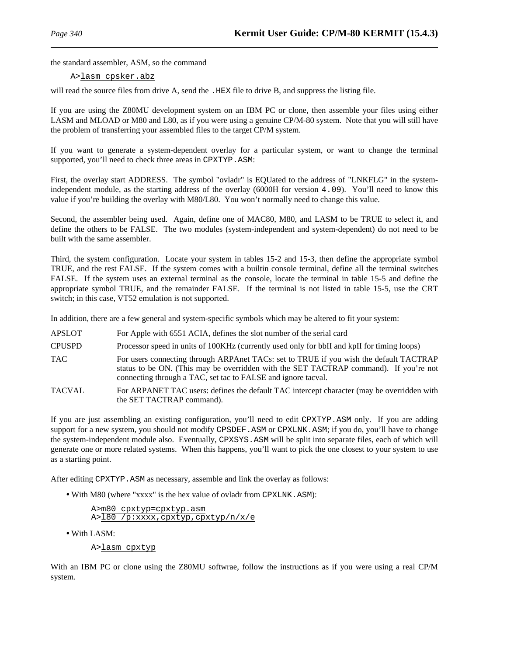the standard assembler, ASM, so the command

A>lasm cpsker.abz

will read the source files from drive A, send the . HEX file to drive B, and suppress the listing file.

If you are using the Z80MU development system on an IBM PC or clone, then assemble your files using either LASM and MLOAD or M80 and L80, as if you were using a genuine CP/M-80 system. Note that you will still have the problem of transferring your assembled files to the target CP/M system.

If you want to generate a system-dependent overlay for a particular system, or want to change the terminal supported, you'll need to check three areas in CPXTYP.ASM:

First, the overlay start ADDRESS. The symbol "ovladr" is EQUated to the address of "LNKFLG" in the systemindependent module, as the starting address of the overlay (6000H for version 4.09). You'll need to know this value if you're building the overlay with M80/L80. You won't normally need to change this value.

Second, the assembler being used. Again, define one of MAC80, M80, and LASM to be TRUE to select it, and define the others to be FALSE. The two modules (system-independent and system-dependent) do not need to be built with the same assembler.

Third, the system configuration. Locate your system in tables 15-2 and 15-3, then define the appropriate symbol TRUE, and the rest FALSE. If the system comes with a builtin console terminal, define all the terminal switches FALSE. If the system uses an external terminal as the console, locate the terminal in table 15-5 and define the appropriate symbol TRUE, and the remainder FALSE. If the terminal is not listed in table 15-5, use the CRT switch; in this case, VT52 emulation is not supported.

In addition, there are a few general and system-specific symbols which may be altered to fit your system:

- APSLOT For Apple with 6551 ACIA, defines the slot number of the serial card
- CPUSPD Processor speed in units of 100KHz (currently used only for bbII and kpII for timing loops)
- TAC For users connecting through ARPAnet TACs: set to TRUE if you wish the default TACTRAP status to be ON. (This may be overridden with the SET TACTRAP command). If you're not connecting through a TAC, set tac to FALSE and ignore tacval.
- TACVAL For ARPANET TAC users: defines the default TAC intercept character (may be overridden with the SET TACTRAP command).

If you are just assembling an existing configuration, you'll need to edit CPXTYP.ASM only. If you are adding support for a new system, you should not modify CPSDEF. ASM or CPXLNK. ASM; if you do, you'll have to change the system-independent module also. Eventually, CPXSYS.ASM will be split into separate files, each of which will generate one or more related systems. When this happens, you'll want to pick the one closest to your system to use as a starting point.

After editing CPXTYP.ASM as necessary, assemble and link the overlay as follows:

• With M80 (where "xxxx" is the hex value of ovladr from CPXLNK.ASM):

| A>m80 cpxtyp=cpxtyp.asm             |
|-------------------------------------|
| A>180 /p:xxxx, cpxtyp, cpxtyp/n/x/e |

• With LASM:

A>lasm cpxtyp

With an IBM PC or clone using the Z80MU softwrae, follow the instructions as if you were using a real CP/M system.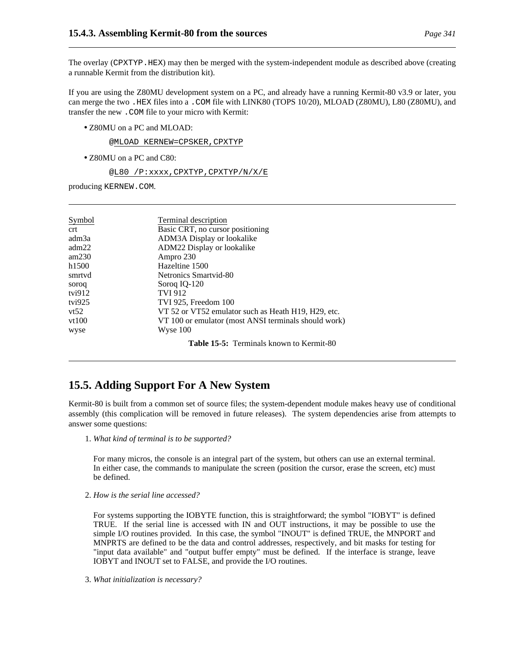The overlay (CPXTYP.HEX) may then be merged with the system-independent module as described above (creating a runnable Kermit from the distribution kit).

If you are using the Z80MU development system on a PC, and already have a running Kermit-80 v3.9 or later, you can merge the two .HEX files into a .COM file with LINK80 (TOPS 10/20), MLOAD (Z80MU), L80 (Z80MU), and transfer the new .COM file to your micro with Kermit:

• Z80MU on a PC and MLOAD:

@MLOAD KERNEW=CPSKER,CPXTYP

• Z80MU on a PC and C80:

@L80 /P:xxxx,CPXTYP,CPXTYP/N/X/E

producing KERNEW.COM.

| Symbol         | Terminal description                                 |
|----------------|------------------------------------------------------|
| <sub>crt</sub> | Basic CRT, no cursor positioning                     |
| adm3a          | ADM3A Display or lookalike                           |
| adm22          | ADM22 Display or lookalike                           |
| am230          | Ampro 230                                            |
| h1500          | Hazeltine 1500                                       |
| smrtvd         | Netronics Smartvid-80                                |
| soroq          | Soroq IQ-120                                         |
| tvi $912$      | TVI 912                                              |
| tvi $925$      | TVI 925, Freedom 100                                 |
| vt52           | VT 52 or VT52 emulator such as Heath H19, H29, etc.  |
| vt100          | VT 100 or emulator (most ANSI terminals should work) |
| wyse           | Wyse 100                                             |
|                | <b>Table 15-5:</b> Terminals known to Kermit-80      |

# **15.5. Adding Support For A New System**

Kermit-80 is built from a common set of source files; the system-dependent module makes heavy use of conditional assembly (this complication will be removed in future releases). The system dependencies arise from attempts to answer some questions:

1. *What kind of terminal is to be supported?*

For many micros, the console is an integral part of the system, but others can use an external terminal. In either case, the commands to manipulate the screen (position the cursor, erase the screen, etc) must be defined.

2. *How is the serial line accessed?*

For systems supporting the IOBYTE function, this is straightforward; the symbol "IOBYT" is defined TRUE. If the serial line is accessed with IN and OUT instructions, it may be possible to use the simple I/O routines provided. In this case, the symbol "INOUT" is defined TRUE, the MNPORT and MNPRTS are defined to be the data and control addresses, respectively, and bit masks for testing for "input data available" and "output buffer empty" must be defined. If the interface is strange, leave IOBYT and INOUT set to FALSE, and provide the I/O routines.

3. *What initialization is necessary?*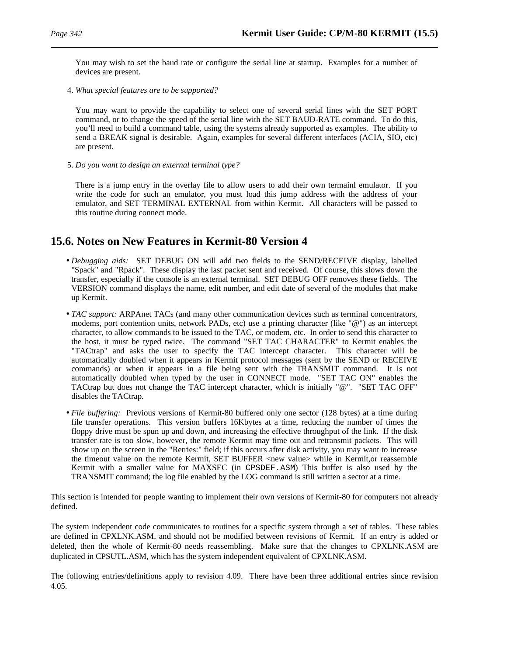You may wish to set the baud rate or configure the serial line at startup. Examples for a number of devices are present.

4. *What special features are to be supported?*

You may want to provide the capability to select one of several serial lines with the SET PORT command, or to change the speed of the serial line with the SET BAUD-RATE command. To do this, you'll need to build a command table, using the systems already supported as examples. The ability to send a BREAK signal is desirable. Again, examples for several different interfaces (ACIA, SIO, etc) are present.

5. *Do you want to design an external terminal type?*

There is a jump entry in the overlay file to allow users to add their own termainl emulator. If you write the code for such an emulator, you must load this jump address with the address of your emulator, and SET TERMINAL EXTERNAL from within Kermit. All characters will be passed to this routine during connect mode.

# **15.6. Notes on New Features in Kermit-80 Version 4**

- *Debugging aids:* SET DEBUG ON will add two fields to the SEND/RECEIVE display, labelled "Spack" and "Rpack". These display the last packet sent and received. Of course, this slows down the transfer, especially if the console is an external terminal. SET DEBUG OFF removes these fields. The VERSION command displays the name, edit number, and edit date of several of the modules that make up Kermit.
- *TAC support:* ARPAnet TACs (and many other communication devices such as terminal concentrators, modems, port contention units, network PADs, etc) use a printing character (like "@") as an intercept character, to allow commands to be issued to the TAC, or modem, etc. In order to send this character to the host, it must be typed twice. The command "SET TAC CHARACTER" to Kermit enables the "TACtrap" and asks the user to specify the TAC intercept character. This character will be automatically doubled when it appears in Kermit protocol messages (sent by the SEND or RECEIVE commands) or when it appears in a file being sent with the TRANSMIT command. It is not automatically doubled when typed by the user in CONNECT mode. "SET TAC ON" enables the TACtrap but does not change the TAC intercept character, which is initially "@". "SET TAC OFF" disables the TACtrap.
- *File buffering:* Previous versions of Kermit-80 buffered only one sector (128 bytes) at a time during file transfer operations. This version buffers 16Kbytes at a time, reducing the number of times the floppy drive must be spun up and down, and increasing the effective throughput of the link. If the disk transfer rate is too slow, however, the remote Kermit may time out and retransmit packets. This will show up on the screen in the "Retries:" field; if this occurs after disk activity, you may want to increase the timeout value on the remote Kermit, SET BUFFER <new value> while in Kermit,or reassemble Kermit with a smaller value for MAXSEC (in CPSDEF.ASM) This buffer is also used by the TRANSMIT command; the log file enabled by the LOG command is still written a sector at a time.

This section is intended for people wanting to implement their own versions of Kermit-80 for computers not already defined.

The system independent code communicates to routines for a specific system through a set of tables. These tables are defined in CPXLNK.ASM, and should not be modified between revisions of Kermit. If an entry is added or deleted, then the whole of Kermit-80 needs reassembling. Make sure that the changes to CPXLNK.ASM are duplicated in CPSUTL.ASM, which has the system independent equivalent of CPXLNK.ASM.

The following entries/definitions apply to revision 4.09. There have been three additional entries since revision 4.05.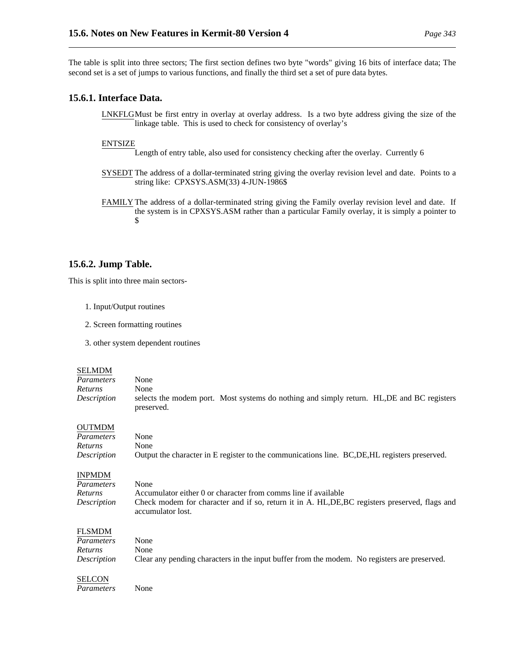The table is split into three sectors; The first section defines two byte "words" giving 16 bits of interface data; The second set is a set of jumps to various functions, and finally the third set a set of pure data bytes.

# **15.6.1. Interface Data.**

LNKFLGMust be first entry in overlay at overlay address. Is a two byte address giving the size of the linkage table. This is used to check for consistency of overlay's

# ENTSIZE

Length of entry table, also used for consistency checking after the overlay. Currently 6

- SYSEDT The address of a dollar-terminated string giving the overlay revision level and date. Points to a string like: CPXSYS.ASM(33) 4-JUN-1986\$
- FAMILY The address of a dollar-terminated string giving the Family overlay revision level and date. If the system is in CPXSYS.ASM rather than a particular Family overlay, it is simply a pointer to  $$$

# **15.6.2. Jump Table.**

This is split into three main sectors-

- 1. Input/Output routines
- 2. Screen formatting routines
- 3. other system dependent routines

#### SELMDM

| Parameters         | None       |                                                                                            |  |
|--------------------|------------|--------------------------------------------------------------------------------------------|--|
| <i>Returns</i>     | None       |                                                                                            |  |
| <i>Description</i> | preserved. | selects the modem port. Most systems do nothing and simply return. HL, DE and BC registers |  |

## OUTMDM

| Parameters     | None                                                                                           |
|----------------|------------------------------------------------------------------------------------------------|
| Returns        | None                                                                                           |
| Description    | Output the character in E register to the communications line. BC, DE, HL registers preserved. |
| INPMDM         |                                                                                                |
| Parameters     | None                                                                                           |
|                |                                                                                                |
| <i>Returns</i> | Accumulator either 0 or character from comms line if available                                 |

| .           | , iterationistical pittitul con piintenpert ilgiil poiiiiil ille il nomincip                   |
|-------------|------------------------------------------------------------------------------------------------|
| Description | Check modem for character and if so, return it in A. HL, DE, BC registers preserved, flags and |
|             | accumulator lost.                                                                              |

# FLSMDM

| Parameters  | None                                                                                         |
|-------------|----------------------------------------------------------------------------------------------|
| Returns     | None                                                                                         |
| Description | Clear any pending characters in the input buffer from the modem. No registers are preserved. |

# SELCON

*Parameters* None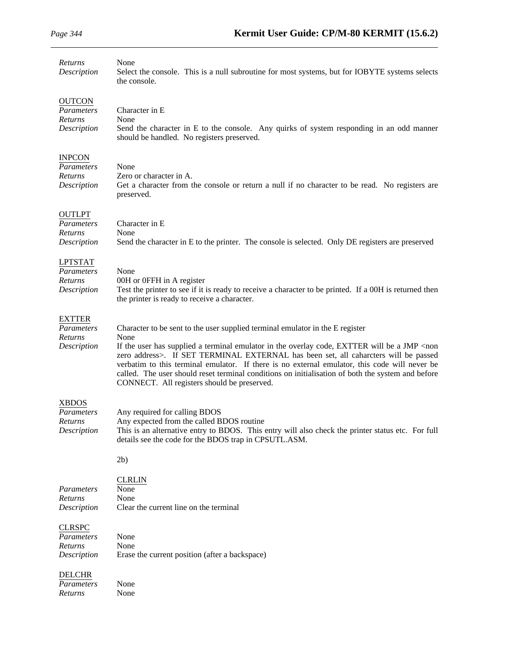| Returns<br>Description                                 | None<br>Select the console. This is a null subroutine for most systems, but for IOBYTE systems selects<br>the console.                                                                                                                                                                                                                                                                                                                                                                                                                          |
|--------------------------------------------------------|-------------------------------------------------------------------------------------------------------------------------------------------------------------------------------------------------------------------------------------------------------------------------------------------------------------------------------------------------------------------------------------------------------------------------------------------------------------------------------------------------------------------------------------------------|
| <b>OUTCON</b><br>Parameters<br>Returns<br>Description  | Character in E<br>None<br>Send the character in E to the console. Any quirks of system responding in an odd manner<br>should be handled. No registers preserved.                                                                                                                                                                                                                                                                                                                                                                                |
| <b>INPCON</b><br>Parameters<br>Returns<br>Description  | None<br>Zero or character in A.<br>Get a character from the console or return a null if no character to be read. No registers are<br>preserved.                                                                                                                                                                                                                                                                                                                                                                                                 |
| <b>OUTLPT</b><br>Parameters<br>Returns<br>Description  | Character in E<br>None<br>Send the character in E to the printer. The console is selected. Only DE registers are preserved                                                                                                                                                                                                                                                                                                                                                                                                                      |
| <b>LPTSTAT</b><br>Parameters<br>Returns<br>Description | None<br>00H or 0FFH in A register<br>Test the printer to see if it is ready to receive a character to be printed. If a 00H is returned then<br>the printer is ready to receive a character.                                                                                                                                                                                                                                                                                                                                                     |
| <b>EXTTER</b><br>Parameters<br>Returns<br>Description  | Character to be sent to the user supplied terminal emulator in the E register<br>None<br>If the user has supplied a terminal emulator in the overlay code, EXTTER will be a JMP <non<br>zero address&gt;. If SET TERMINAL EXTERNAL has been set, all caharcters will be passed<br/>verbatim to this terminal emulator. If there is no external emulator, this code will never be<br/>called. The user should reset terminal conditions on initialisation of both the system and before<br/>CONNECT. All registers should be preserved.</non<br> |
| <b>XBDOS</b><br>Parameters<br>Returns<br>Description   | Any required for calling BDOS<br>Any expected from the called BDOS routine<br>This is an alternative entry to BDOS. This entry will also check the printer status etc. For full<br>details see the code for the BDOS trap in CPSUTL.ASM.                                                                                                                                                                                                                                                                                                        |
|                                                        | 2b)                                                                                                                                                                                                                                                                                                                                                                                                                                                                                                                                             |
| Parameters<br>Returns<br>Description                   | <b>CLRLIN</b><br>None<br>None<br>Clear the current line on the terminal                                                                                                                                                                                                                                                                                                                                                                                                                                                                         |
| <b>CLRSPC</b><br>Parameters<br>Returns<br>Description  | None<br>None<br>Erase the current position (after a backspace)                                                                                                                                                                                                                                                                                                                                                                                                                                                                                  |
| <b>DELCHR</b><br>Parameters<br>Returns                 | None<br>None                                                                                                                                                                                                                                                                                                                                                                                                                                                                                                                                    |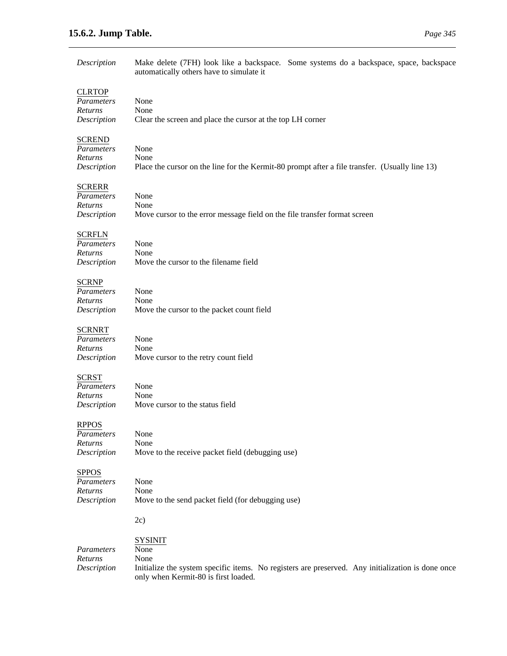# **15.6.2. Jump Table.** *Page 345*

| Description       | Make delete (7FH) look like a backspace. Some systems do a backspace, space, backspace<br>automatically others have to simulate it |
|-------------------|------------------------------------------------------------------------------------------------------------------------------------|
| <b>CLRTOP</b>     |                                                                                                                                    |
| Parameters        | None                                                                                                                               |
| Returns           | None                                                                                                                               |
| Description       | Clear the screen and place the cursor at the top LH corner                                                                         |
| <b>SCREND</b>     |                                                                                                                                    |
| Parameters        | None                                                                                                                               |
| Returns           | None                                                                                                                               |
| Description       | Place the cursor on the line for the Kermit-80 prompt after a file transfer. (Usually line 13)                                     |
| <b>SCRERR</b>     |                                                                                                                                    |
| <b>Parameters</b> | None                                                                                                                               |
| Returns           | None                                                                                                                               |
| Description       | Move cursor to the error message field on the file transfer format screen                                                          |
| <b>SCRFLN</b>     |                                                                                                                                    |
| Parameters        | None                                                                                                                               |
| Returns           | None                                                                                                                               |
| Description       | Move the cursor to the filename field                                                                                              |
| <b>SCRNP</b>      |                                                                                                                                    |
| Parameters        | None                                                                                                                               |
| Returns           | None                                                                                                                               |
| Description       | Move the cursor to the packet count field                                                                                          |
| <b>SCRNRT</b>     |                                                                                                                                    |
| Parameters        | None                                                                                                                               |
| Returns           | None                                                                                                                               |
| Description       | Move cursor to the retry count field                                                                                               |
| <b>SCRST</b>      |                                                                                                                                    |
| Parameters        | None                                                                                                                               |
| Returns           | None                                                                                                                               |
| Description       | Move cursor to the status field                                                                                                    |
| <b>RPPOS</b>      |                                                                                                                                    |
| Parameters        | None                                                                                                                               |
| Returns           | None                                                                                                                               |
| Description       | Move to the receive packet field (debugging use)                                                                                   |
| <b>SPPOS</b>      |                                                                                                                                    |
| Parameters        | None                                                                                                                               |
| Returns           | None                                                                                                                               |
| Description       | Move to the send packet field (for debugging use)                                                                                  |
|                   | 2c)                                                                                                                                |
|                   | <b>SYSINIT</b>                                                                                                                     |
| Parameters        | None                                                                                                                               |
| Returns           | None                                                                                                                               |
| Description       | Initialize the system specific items. No registers are preserved. Any initialization is done once                                  |
|                   | only when Kermit-80 is first loaded.                                                                                               |
|                   |                                                                                                                                    |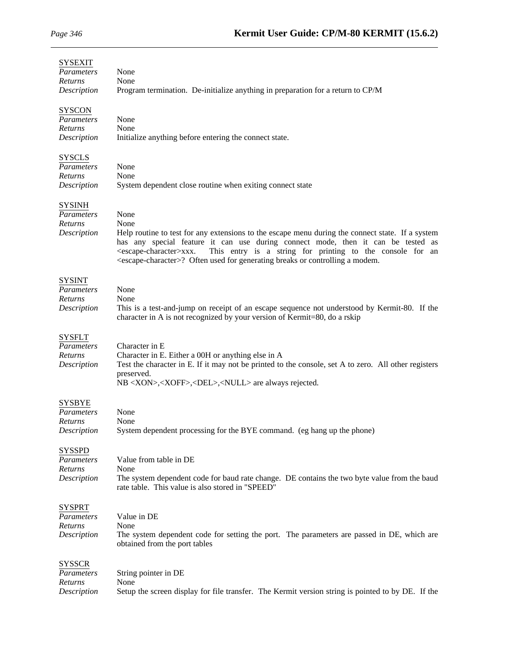## SYSEXIT

| דועזמיו מ<br>Parameters<br>Returns<br>Description            | None<br>None<br>Program termination. De-initialize anything in preparation for a return to CP/M                                                                                                                                                                                                                                                                                                                    |
|--------------------------------------------------------------|--------------------------------------------------------------------------------------------------------------------------------------------------------------------------------------------------------------------------------------------------------------------------------------------------------------------------------------------------------------------------------------------------------------------|
| <b>SYSCON</b><br>Parameters<br>Returns<br>Description        | None<br>None<br>Initialize anything before entering the connect state.                                                                                                                                                                                                                                                                                                                                             |
| <b>SYSCLS</b><br>Parameters<br>Returns<br>Description        | None<br>None<br>System dependent close routine when exiting connect state                                                                                                                                                                                                                                                                                                                                          |
| <b>SYSINH</b><br>Parameters<br>Returns<br>Description        | None<br>None<br>Help routine to test for any extensions to the escape menu during the connect state. If a system<br>has any special feature it can use during connect mode, then it can be tested as<br>This entry is a string for printing to the console for an<br><escape-character>xxx.<br/><escape-character>? Often used for generating breaks or controlling a modem.</escape-character></escape-character> |
| SYSINT<br><b>Parameters</b><br>Returns<br>Description        | None<br>None<br>This is a test-and-jump on receipt of an escape sequence not understood by Kermit-80. If the<br>character in A is not recognized by your version of Kermit=80, do a rskip                                                                                                                                                                                                                          |
| SYSFLT<br>Parameters<br>Returns<br>Description               | Character in E<br>Character in E. Either a 00H or anything else in A<br>Test the character in E. If it may not be printed to the console, set A to zero. All other registers<br>preserved.<br>NB <xon>,<xoff>,<del>,<null> are always rejected.</null></del></xoff></xon>                                                                                                                                          |
| SYSBYE<br>Parameters<br>Returns<br>Description               | None<br>None<br>System dependent processing for the BYE command. (eg hang up the phone)                                                                                                                                                                                                                                                                                                                            |
| <b>SYSSPD</b><br>Parameters<br>Returns<br>Description        | Value from table in DE<br>None<br>The system dependent code for baud rate change. DE contains the two byte value from the baud<br>rate table. This value is also stored in "SPEED"                                                                                                                                                                                                                                 |
| SYSPRT<br><b>Parameters</b><br><i>Returns</i><br>Description | Value in DE<br>None<br>The system dependent code for setting the port. The parameters are passed in DE, which are<br>obtained from the port tables                                                                                                                                                                                                                                                                 |
| SYSSCR<br>Parameters<br><i>Returns</i><br>Description        | String pointer in DE<br>None<br>Setup the screen display for file transfer. The Kermit version string is pointed to by DE. If the                                                                                                                                                                                                                                                                                  |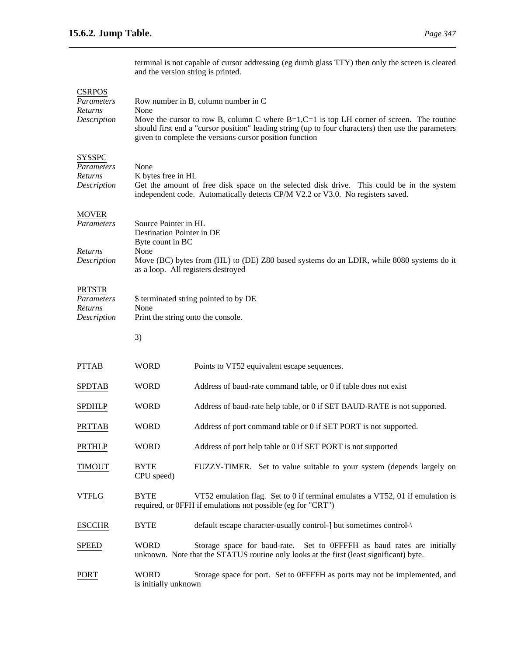terminal is not capable of cursor addressing (eg dumb glass TTY) then only the screen is cleared and the version string is printed.

# **CSRPOS**

| Parameters<br>Returns<br>Description                  | Row number in B, column number in C<br>None<br>Move the cursor to row B, column C where $B=1, C=1$ is top LH corner of screen. The routine<br>should first end a "cursor position" leading string (up to four characters) then use the parameters<br>given to complete the versions cursor position function |                                                                                                                                                                   |  |
|-------------------------------------------------------|--------------------------------------------------------------------------------------------------------------------------------------------------------------------------------------------------------------------------------------------------------------------------------------------------------------|-------------------------------------------------------------------------------------------------------------------------------------------------------------------|--|
| <b>SYSSPC</b><br>Parameters<br>Returns<br>Description | None<br>K bytes free in HL<br>Get the amount of free disk space on the selected disk drive. This could be in the system<br>independent code. Automatically detects CP/M V2.2 or V3.0. No registers saved.                                                                                                    |                                                                                                                                                                   |  |
| <b>MOVER</b><br>Parameters<br>Returns<br>Description  | Source Pointer in HL<br>Destination Pointer in DE<br>Byte count in BC<br>None<br>Move (BC) bytes from (HL) to (DE) Z80 based systems do an LDIR, while 8080 systems do it<br>as a loop. All registers destroyed                                                                                              |                                                                                                                                                                   |  |
| <b>PRTSTR</b><br>Parameters<br>Returns<br>Description | \$ terminated string pointed to by DE<br>None<br>Print the string onto the console.                                                                                                                                                                                                                          |                                                                                                                                                                   |  |
|                                                       | 3)                                                                                                                                                                                                                                                                                                           |                                                                                                                                                                   |  |
| <b>PTTAB</b>                                          | <b>WORD</b>                                                                                                                                                                                                                                                                                                  | Points to VT52 equivalent escape sequences.                                                                                                                       |  |
| <b>SPDTAB</b>                                         | <b>WORD</b>                                                                                                                                                                                                                                                                                                  | Address of baud-rate command table, or 0 if table does not exist                                                                                                  |  |
| <b>SPDHLP</b>                                         | <b>WORD</b>                                                                                                                                                                                                                                                                                                  | Address of baud-rate help table, or 0 if SET BAUD-RATE is not supported.                                                                                          |  |
| <b>PRTTAB</b>                                         | <b>WORD</b>                                                                                                                                                                                                                                                                                                  | Address of port command table or 0 if SET PORT is not supported.                                                                                                  |  |
| <b>PRTHLP</b>                                         | <b>WORD</b>                                                                                                                                                                                                                                                                                                  | Address of port help table or 0 if SET PORT is not supported                                                                                                      |  |
| <b>TIMOUT</b>                                         | <b>BYTE</b><br>CPU speed)                                                                                                                                                                                                                                                                                    | FUZZY-TIMER. Set to value suitable to your system (depends largely on                                                                                             |  |
| <b>VTFLG</b>                                          | <b>BYTE</b>                                                                                                                                                                                                                                                                                                  | VT52 emulation flag. Set to 0 if terminal emulates a VT52, 01 if emulation is<br>required, or 0FFH if emulations not possible (eg for "CRT")                      |  |
| <b>ESCCHR</b>                                         | <b>BYTE</b>                                                                                                                                                                                                                                                                                                  | default escape character-usually control-] but sometimes control-\                                                                                                |  |
| <b>SPEED</b>                                          | <b>WORD</b>                                                                                                                                                                                                                                                                                                  | Storage space for baud-rate. Set to 0FFFFH as baud rates are initially<br>unknown. Note that the STATUS routine only looks at the first (least significant) byte. |  |
| PORT                                                  | <b>WORD</b><br>is initially unknown                                                                                                                                                                                                                                                                          | Storage space for port. Set to 0FFFFH as ports may not be implemented, and                                                                                        |  |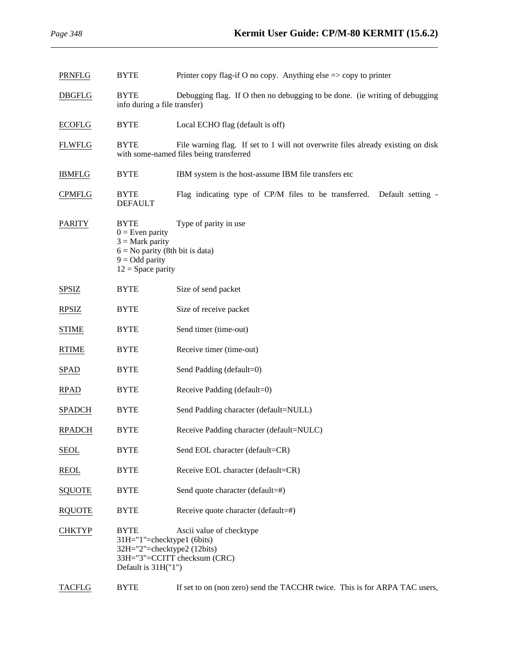| <b>PRNFLG</b> | <b>BYTE</b>                                                                                                                           | Printer copy flag-if O no copy. Anything else $\Rightarrow$ copy to printer                                                 |
|---------------|---------------------------------------------------------------------------------------------------------------------------------------|-----------------------------------------------------------------------------------------------------------------------------|
| <b>DBGFLG</b> | <b>BYTE</b><br>info during a file transfer)                                                                                           | Debugging flag. If O then no debugging to be done. (ie writing of debugging                                                 |
| <b>ECOFLG</b> | <b>BYTE</b>                                                                                                                           | Local ECHO flag (default is off)                                                                                            |
| <b>FLWFLG</b> | <b>BYTE</b>                                                                                                                           | File warning flag. If set to 1 will not overwrite files already existing on disk<br>with some-named files being transferred |
| <b>IBMFLG</b> | <b>BYTE</b>                                                                                                                           | IBM system is the host-assume IBM file transfers etc                                                                        |
| <b>CPMFLG</b> | <b>BYTE</b><br><b>DEFAULT</b>                                                                                                         | Flag indicating type of CP/M files to be transferred. Default setting -                                                     |
| <b>PARITY</b> | <b>BYTE</b><br>$0 =$ Even parity<br>$3 =$ Mark parity<br>$6 = No$ parity (8th bit is data)<br>$9 = Odd$ parity<br>$12 =$ Space parity | Type of parity in use                                                                                                       |
| <b>SPSIZ</b>  | <b>BYTE</b>                                                                                                                           | Size of send packet                                                                                                         |
| <b>RPSIZ</b>  | <b>BYTE</b>                                                                                                                           | Size of receive packet                                                                                                      |
| <b>STIME</b>  | <b>BYTE</b>                                                                                                                           | Send timer (time-out)                                                                                                       |
| <b>RTIME</b>  | <b>BYTE</b>                                                                                                                           | Receive timer (time-out)                                                                                                    |
| <b>SPAD</b>   | <b>BYTE</b>                                                                                                                           | Send Padding (default=0)                                                                                                    |
| RPAD          | <b>BYTE</b>                                                                                                                           | Receive Padding (default=0)                                                                                                 |
| <b>SPADCH</b> | <b>BYTE</b>                                                                                                                           | Send Padding character (default=NULL)                                                                                       |
| <b>RPADCH</b> | <b>BYTE</b>                                                                                                                           | Receive Padding character (default=NULC)                                                                                    |
| <b>SEOL</b>   | <b>BYTE</b>                                                                                                                           | Send EOL character (default=CR)                                                                                             |
| <b>REOL</b>   | <b>BYTE</b>                                                                                                                           | Receive EOL character (default=CR)                                                                                          |
| <b>SQUOTE</b> | <b>BYTE</b>                                                                                                                           | Send quote character (default=#)                                                                                            |
| <b>RQUOTE</b> | <b>BYTE</b>                                                                                                                           | Receive quote character (default=#)                                                                                         |
| <b>CHKTYP</b> | <b>BYTE</b><br>31H="1"=checktype1 (6bits)<br>32H="2"=checktype2 (12bits)<br>Default is $31H("1")$                                     | Ascii value of checktype<br>33H="3"=CCITT checksum (CRC)                                                                    |
| <b>TACFLG</b> | <b>BYTE</b>                                                                                                                           | If set to on (non zero) send the TACCHR twice. This is for ARPA TAC users,                                                  |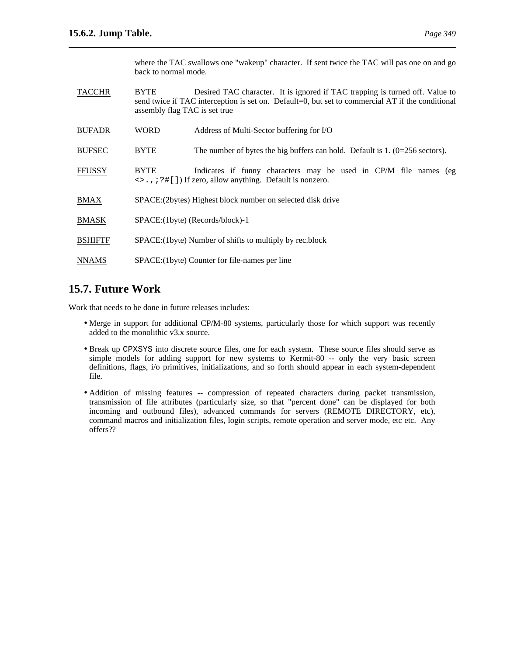where the TAC swallows one "wakeup" character. If sent twice the TAC will pas one on and go back to normal mode.

| <b>TACCHR</b>  | <b>BYTE</b><br>assembly flag TAC is set true                | Desired TAC character. It is ignored if TAC trapping is turned off. Value to<br>send twice if TAC interception is set on. Default=0, but set to commercial AT if the conditional |
|----------------|-------------------------------------------------------------|----------------------------------------------------------------------------------------------------------------------------------------------------------------------------------|
| <b>BUFADR</b>  | <b>WORD</b>                                                 | Address of Multi-Sector buffering for I/O                                                                                                                                        |
| <b>BUFSEC</b>  | <b>BYTE</b>                                                 | The number of bytes the big buffers can hold. Default is $1. (0=256$ sectors).                                                                                                   |
| <b>FFUSSY</b>  | <b>BYTE</b>                                                 | Indicates if funny characters may be used in CP/M file names (eg<br>$\langle \rangle$ , ; ?#[]) If zero, allow anything. Default is nonzero.                                     |
| <b>BMAX</b>    | SPACE: (2bytes) Highest block number on selected disk drive |                                                                                                                                                                                  |
| <b>BMASK</b>   | SPACE:(1byte) (Records/block)-1                             |                                                                                                                                                                                  |
| <b>BSHIFTF</b> | SPACE: (1byte) Number of shifts to multiply by rec.block    |                                                                                                                                                                                  |
| <b>NNAMS</b>   | SPACE: (1byte) Counter for file-names per line              |                                                                                                                                                                                  |

# **15.7. Future Work**

Work that needs to be done in future releases includes:

- Merge in support for additional CP/M-80 systems, particularly those for which support was recently added to the monolithic v3.x source.
- Break up CPXSYS into discrete source files, one for each system. These source files should serve as simple models for adding support for new systems to Kermit-80 -- only the very basic screen definitions, flags, i/o primitives, initializations, and so forth should appear in each system-dependent file.
- Addition of missing features -- compression of repeated characters during packet transmission, transmission of file attributes (particularly size, so that "percent done" can be displayed for both incoming and outbound files), advanced commands for servers (REMOTE DIRECTORY, etc), command macros and initialization files, login scripts, remote operation and server mode, etc etc. Any offers??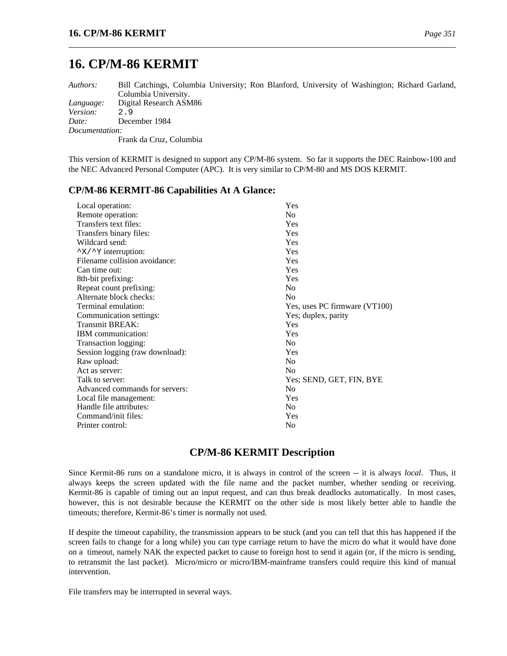# **16. CP/M-86 KERMIT**

*Authors:* Bill Catchings, Columbia University; Ron Blanford, University of Washington; Richard Garland, Columbia University. *Language:* Digital Research ASM86 *Version:* 2.9 *Date:* December 1984 *Documentation:* Frank da Cruz, Columbia

This version of KERMIT is designed to support any CP/M-86 system. So far it supports the DEC Rainbow-100 and the NEC Advanced Personal Computer (APC). It is very similar to CP/M-80 and MS DOS KERMIT.

# **CP/M-86 KERMIT-86 Capabilities At A Glance:**

| Yes                           |
|-------------------------------|
| N <sub>0</sub>                |
| Yes                           |
| Yes                           |
| Yes                           |
| Yes                           |
| Yes                           |
| Yes                           |
| Yes                           |
| N <sub>0</sub>                |
| N <sub>0</sub>                |
| Yes, uses PC firmware (VT100) |
| Yes; duplex, parity           |
| Yes                           |
| Yes                           |
| N <sub>0</sub>                |
| Yes                           |
| N <sub>0</sub>                |
| N <sub>0</sub>                |
| Yes; SEND, GET, FIN, BYE      |
| No.                           |
| Yes                           |
| N <sub>0</sub>                |
| Yes                           |
| No                            |
|                               |

# **CP/M-86 KERMIT Description**

Since Kermit-86 runs on a standalone micro, it is always in control of the screen -- it is always *local*. Thus, it always keeps the screen updated with the file name and the packet number, whether sending or receiving. Kermit-86 is capable of timing out an input request, and can thus break deadlocks automatically. In most cases, however, this is not desirable because the KERMIT on the other side is most likely better able to handle the timeouts; therefore, Kermit-86's timer is normally not used.

If despite the timeout capability, the transmission appears to be stuck (and you can tell that this has happened if the screen fails to change for a long while) you can type carriage return to have the micro do what it would have done on a timeout, namely NAK the expected packet to cause to foreign host to send it again (or, if the micro is sending, to retransmit the last packet). Micro/micro or micro/IBM-mainframe transfers could require this kind of manual intervention.

File transfers may be interrupted in several ways.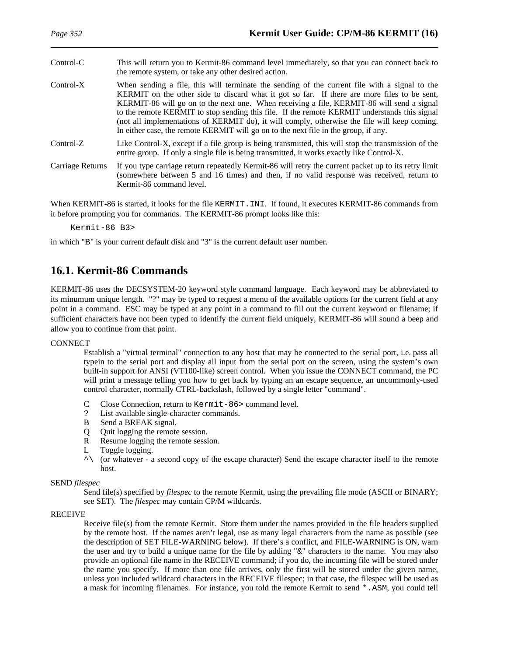| Control-C        | This will return you to Kermit-86 command level immediately, so that you can connect back to<br>the remote system, or take any other desired action.                                                                                                                                                                                                                                                                                                                                                                                                                             |
|------------------|----------------------------------------------------------------------------------------------------------------------------------------------------------------------------------------------------------------------------------------------------------------------------------------------------------------------------------------------------------------------------------------------------------------------------------------------------------------------------------------------------------------------------------------------------------------------------------|
| $Control-X$      | When sending a file, this will terminate the sending of the current file with a signal to the<br>KERMIT on the other side to discard what it got so far. If there are more files to be sent,<br>KERMIT-86 will go on to the next one. When receiving a file, KERMIT-86 will send a signal<br>to the remote KERMIT to stop sending this file. If the remote KERMIT understands this signal<br>(not all implementations of KERMIT do), it will comply, otherwise the file will keep coming.<br>In either case, the remote KERMIT will go on to the next file in the group, if any. |
| $Control-Z$      | Like Control-X, except if a file group is being transmitted, this will stop the transmission of the<br>entire group. If only a single file is being transmitted, it works exactly like Control-X.                                                                                                                                                                                                                                                                                                                                                                                |
| Carriage Returns | If you type carriage return repeatedly Kermit-86 will retry the current packet up to its retry limit<br>(somewhere between 5 and 16 times) and then, if no valid response was received, return to<br>Kermit-86 command level.                                                                                                                                                                                                                                                                                                                                                    |

When KERMIT-86 is started, it looks for the file KERMIT. INI. If found, it executes KERMIT-86 commands from it before prompting you for commands. The KERMIT-86 prompt looks like this:

Kermit-86 B3>

in which "B" is your current default disk and "3" is the current default user number.

# **16.1. Kermit-86 Commands**

KERMIT-86 uses the DECSYSTEM-20 keyword style command language. Each keyword may be abbreviated to its minumum unique length. "?" may be typed to request a menu of the available options for the current field at any point in a command. ESC may be typed at any point in a command to fill out the current keyword or filename; if sufficient characters have not been typed to identify the current field uniquely, KERMIT-86 will sound a beep and allow you to continue from that point.

### **CONNECT**

Establish a "virtual terminal" connection to any host that may be connected to the serial port, i.e. pass all typein to the serial port and display all input from the serial port on the screen, using the system's own built-in support for ANSI (VT100-like) screen control. When you issue the CONNECT command, the PC will print a message telling you how to get back by typing an an escape sequence, an uncommonly-used control character, normally CTRL-backslash, followed by a single letter "command".

- C Close Connection, return to Kermit-86> command level.
- ? List available single-character commands.
- B Send a BREAK signal.
- Q Quit logging the remote session.
- R Resume logging the remote session.
- L Toggle logging.
- ^\ (or whatever a second copy of the escape character) Send the escape character itself to the remote host.

# SEND *filespec*

Send file(s) specified by *filespec* to the remote Kermit, using the prevailing file mode (ASCII or BINARY; see SET). The *filespec* may contain CP/M wildcards.

### RECEIVE

Receive file(s) from the remote Kermit. Store them under the names provided in the file headers supplied by the remote host. If the names aren't legal, use as many legal characters from the name as possible (see the description of SET FILE-WARNING below). If there's a conflict, and FILE-WARNING is ON, warn the user and try to build a unique name for the file by adding "&" characters to the name. You may also provide an optional file name in the RECEIVE command; if you do, the incoming file will be stored under the name you specify. If more than one file arrives, only the first will be stored under the given name, unless you included wildcard characters in the RECEIVE filespec; in that case, the filespec will be used as a mask for incoming filenames. For instance, you told the remote Kermit to send \*.ASM, you could tell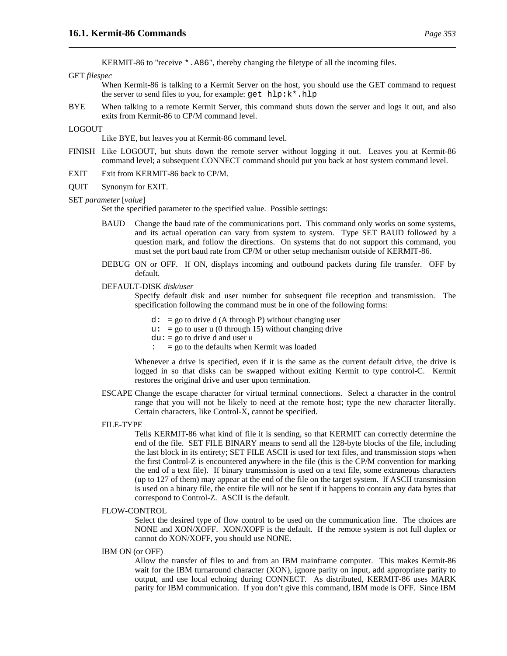KERMIT-86 to "receive \*.A86", thereby changing the filetype of all the incoming files.

#### GET *filespec*

When Kermit-86 is talking to a Kermit Server on the host, you should use the GET command to request the server to send files to you, for example: get hlp:k\*.hlp

BYE When talking to a remote Kermit Server, this command shuts down the server and logs it out, and also exits from Kermit-86 to CP/M command level.

#### LOGOUT

Like BYE, but leaves you at Kermit-86 command level.

- FINISH Like LOGOUT, but shuts down the remote server without logging it out. Leaves you at Kermit-86 command level; a subsequent CONNECT command should put you back at host system command level.
- EXIT Exit from KERMIT-86 back to CP/M.
- QUIT Synonym for EXIT.

#### SET *parameter* [*value*]

Set the specified parameter to the specified value. Possible settings:

- BAUD Change the baud rate of the communications port. This command only works on some systems, and its actual operation can vary from system to system. Type SET BAUD followed by a question mark, and follow the directions. On systems that do not support this command, you must set the port baud rate from CP/M or other setup mechanism outside of KERMIT-86.
- DEBUG ON or OFF. If ON, displays incoming and outbound packets during file transfer. OFF by default.

#### DEFAULT-DISK *disk/user*

Specify default disk and user number for subsequent file reception and transmission. The specification following the command must be in one of the following forms:

- $d: = go to drive d (A through P) without changing user$
- $u: = go to user u (0 through 15) without changing drive$
- $du = go to drive d and user u$ 
	- $=$  go to the defaults when Kermit was loaded

Whenever a drive is specified, even if it is the same as the current default drive, the drive is logged in so that disks can be swapped without exiting Kermit to type control-C. Kermit restores the original drive and user upon termination.

ESCAPE Change the escape character for virtual terminal connections. Select a character in the control range that you will not be likely to need at the remote host; type the new character literally. Certain characters, like Control-X, cannot be specified.

#### FILE-TYPE

Tells KERMIT-86 what kind of file it is sending, so that KERMIT can correctly determine the end of the file. SET FILE BINARY means to send all the 128-byte blocks of the file, including the last block in its entirety; SET FILE ASCII is used for text files, and transmission stops when the first Control-Z is encountered anywhere in the file (this is the CP/M convention for marking the end of a text file). If binary transmission is used on a text file, some extraneous characters (up to 127 of them) may appear at the end of the file on the target system. If ASCII transmission is used on a binary file, the entire file will not be sent if it happens to contain any data bytes that correspond to Control-Z. ASCII is the default.

#### FLOW-CONTROL

Select the desired type of flow control to be used on the communication line. The choices are NONE and XON/XOFF. XON/XOFF is the default. If the remote system is not full duplex or cannot do XON/XOFF, you should use NONE.

IBM ON (or OFF)

Allow the transfer of files to and from an IBM mainframe computer. This makes Kermit-86 wait for the IBM turnaround character (XON), ignore parity on input, add appropriate parity to output, and use local echoing during CONNECT. As distributed, KERMIT-86 uses MARK parity for IBM communication. If you don't give this command, IBM mode is OFF. Since IBM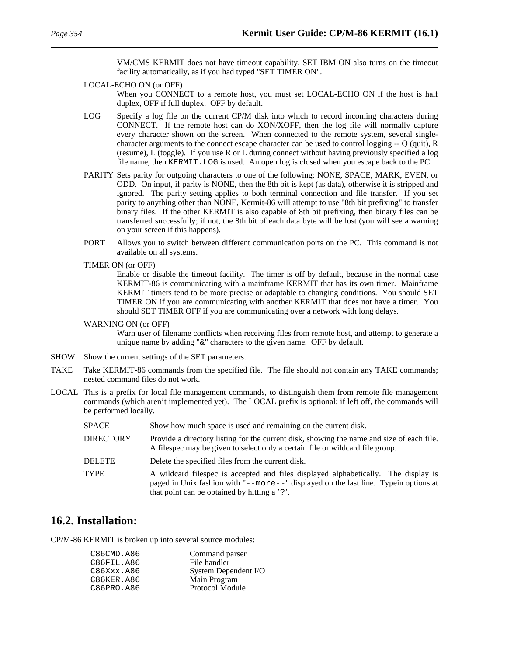VM/CMS KERMIT does not have timeout capability, SET IBM ON also turns on the timeout facility automatically, as if you had typed "SET TIMER ON".

LOCAL-ECHO ON (or OFF)

When you CONNECT to a remote host, you must set LOCAL-ECHO ON if the host is half duplex, OFF if full duplex. OFF by default.

- LOG Specify a log file on the current CP/M disk into which to record incoming characters during CONNECT. If the remote host can do XON/XOFF, then the log file will normally capture every character shown on the screen. When connected to the remote system, several singlecharacter arguments to the connect escape character can be used to control logging -- Q (quit), R (resume), L (toggle). If you use R or L during connect without having previously specified a log file name, then KERMIT.LOG is used. An open log is closed when you escape back to the PC.
- PARITY Sets parity for outgoing characters to one of the following: NONE, SPACE, MARK, EVEN, or ODD. On input, if parity is NONE, then the 8th bit is kept (as data), otherwise it is stripped and ignored. The parity setting applies to both terminal connection and file transfer. If you set parity to anything other than NONE, Kermit-86 will attempt to use "8th bit prefixing" to transfer binary files. If the other KERMIT is also capable of 8th bit prefixing, then binary files can be transferred successfully; if not, the 8th bit of each data byte will be lost (you will see a warning on your screen if this happens).
- PORT Allows you to switch between different communication ports on the PC. This command is not available on all systems.
- TIMER ON (or OFF)

Enable or disable the timeout facility. The timer is off by default, because in the normal case KERMIT-86 is communicating with a mainframe KERMIT that has its own timer. Mainframe KERMIT timers tend to be more precise or adaptable to changing conditions. You should SET TIMER ON if you are communicating with another KERMIT that does not have a timer. You should SET TIMER OFF if you are communicating over a network with long delays.

#### WARNING ON (or OFF)

Warn user of filename conflicts when receiving files from remote host, and attempt to generate a unique name by adding "&" characters to the given name. OFF by default.

- SHOW Show the current settings of the SET parameters.
- TAKE Take KERMIT-86 commands from the specified file. The file should not contain any TAKE commands; nested command files do not work.
- LOCAL This is a prefix for local file management commands, to distinguish them from remote file management commands (which aren't implemented yet). The LOCAL prefix is optional; if left off, the commands will be performed locally.

| SPACE            | Show how much space is used and remaining on the current disk.                                                                                                                                                                    |
|------------------|-----------------------------------------------------------------------------------------------------------------------------------------------------------------------------------------------------------------------------------|
| <b>DIRECTORY</b> | Provide a directory listing for the current disk, showing the name and size of each file.<br>A filespec may be given to select only a certain file or wildcard file group.                                                        |
| <b>DELETE</b>    | Delete the specified files from the current disk.                                                                                                                                                                                 |
| TYPE             | A wildcard filespec is accepted and files displayed alphabetically. The display is<br>paged in Unix fashion with " $-$ -more- $-$ " displayed on the last line. Typein options at<br>that point can be obtained by hitting a '?'. |

# **16.2. Installation:**

CP/M-86 KERMIT is broken up into several source modules:

| Command parser         |
|------------------------|
| File handler           |
| System Dependent I/O   |
| Main Program           |
| <b>Protocol Module</b> |
|                        |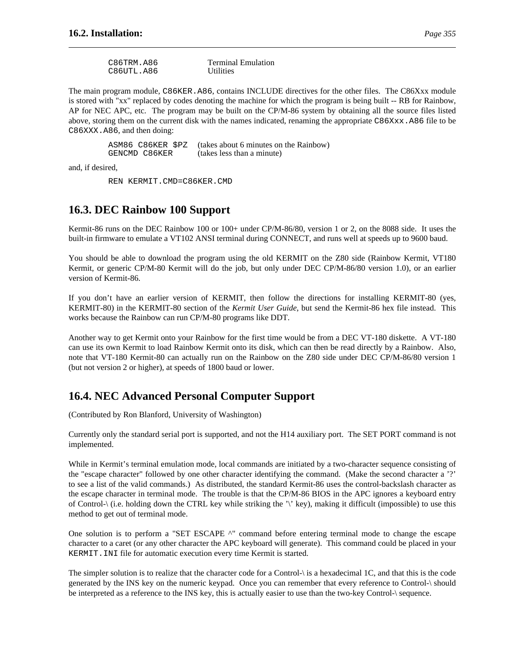| C86TRM.A86 | <b>Terminal Emulation</b> |
|------------|---------------------------|
| C86UTL.A86 | <b>Utilities</b>          |

The main program module, C86KER.A86, contains INCLUDE directives for the other files. The C86Xxx module is stored with "xx" replaced by codes denoting the machine for which the program is being built -- RB for Rainbow, AP for NEC APC, etc. The program may be built on the CP/M-86 system by obtaining all the source files listed above, storing them on the current disk with the names indicated, renaming the appropriate C86Xxx.A86 file to be C86XXX.A86, and then doing:

| ASM86 C86KER \$PZ | (takes about 6 minutes on the Rainbow) |
|-------------------|----------------------------------------|
| GENCMD C86KER     | (takes less than a minute)             |

and, if desired,

REN KERMIT.CMD=C86KER.CMD

# **16.3. DEC Rainbow 100 Support**

Kermit-86 runs on the DEC Rainbow 100 or 100+ under CP/M-86/80, version 1 or 2, on the 8088 side. It uses the built-in firmware to emulate a VT102 ANSI terminal during CONNECT, and runs well at speeds up to 9600 baud.

You should be able to download the program using the old KERMIT on the Z80 side (Rainbow Kermit, VT180 Kermit, or generic CP/M-80 Kermit will do the job, but only under DEC CP/M-86/80 version 1.0), or an earlier version of Kermit-86.

If you don't have an earlier version of KERMIT, then follow the directions for installing KERMIT-80 (yes, KERMIT-80) in the KERMIT-80 section of the *Kermit User Guide*, but send the Kermit-86 hex file instead. This works because the Rainbow can run CP/M-80 programs like DDT.

Another way to get Kermit onto your Rainbow for the first time would be from a DEC VT-180 diskette. A VT-180 can use its own Kermit to load Rainbow Kermit onto its disk, which can then be read directly by a Rainbow. Also, note that VT-180 Kermit-80 can actually run on the Rainbow on the Z80 side under DEC CP/M-86/80 version 1 (but not version 2 or higher), at speeds of 1800 baud or lower.

# **16.4. NEC Advanced Personal Computer Support**

(Contributed by Ron Blanford, University of Washington)

Currently only the standard serial port is supported, and not the H14 auxiliary port. The SET PORT command is not implemented.

While in Kermit's terminal emulation mode, local commands are initiated by a two-character sequence consisting of the "escape character" followed by one other character identifying the command. (Make the second character a '?' to see a list of the valid commands.) As distributed, the standard Kermit-86 uses the control-backslash character as the escape character in terminal mode. The trouble is that the CP/M-86 BIOS in the APC ignores a keyboard entry of Control- $\setminus$  (i.e. holding down the CTRL key while striking the ' $\setminus$ ' key), making it difficult (impossible) to use this method to get out of terminal mode.

One solution is to perform a "SET ESCAPE ^" command before entering terminal mode to change the escape character to a caret (or any other character the APC keyboard will generate). This command could be placed in your KERMIT.INI file for automatic execution every time Kermit is started.

The simpler solution is to realize that the character code for a Control-\ is a hexadecimal 1C, and that this is the code generated by the INS key on the numeric keypad. Once you can remember that every reference to Control-\ should be interpreted as a reference to the INS key, this is actually easier to use than the two-key Control-\ sequence.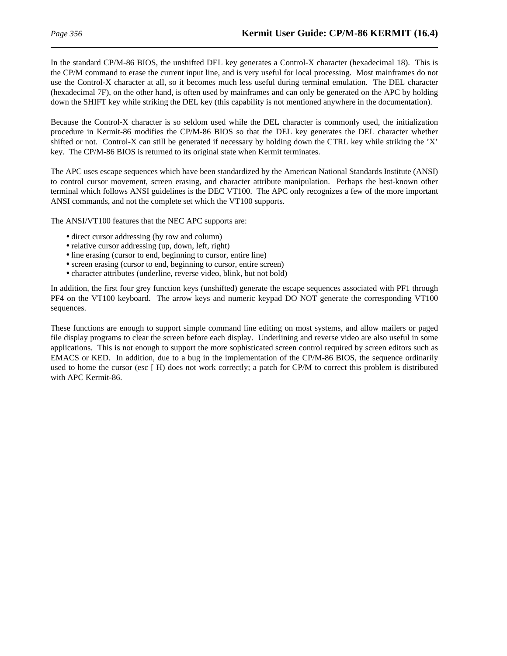In the standard CP/M-86 BIOS, the unshifted DEL key generates a Control-X character (hexadecimal 18). This is the CP/M command to erase the current input line, and is very useful for local processing. Most mainframes do not use the Control-X character at all, so it becomes much less useful during terminal emulation. The DEL character (hexadecimal 7F), on the other hand, is often used by mainframes and can only be generated on the APC by holding down the SHIFT key while striking the DEL key (this capability is not mentioned anywhere in the documentation).

Because the Control-X character is so seldom used while the DEL character is commonly used, the initialization procedure in Kermit-86 modifies the CP/M-86 BIOS so that the DEL key generates the DEL character whether shifted or not. Control-X can still be generated if necessary by holding down the CTRL key while striking the 'X' key. The CP/M-86 BIOS is returned to its original state when Kermit terminates.

The APC uses escape sequences which have been standardized by the American National Standards Institute (ANSI) to control cursor movement, screen erasing, and character attribute manipulation. Perhaps the best-known other terminal which follows ANSI guidelines is the DEC VT100. The APC only recognizes a few of the more important ANSI commands, and not the complete set which the VT100 supports.

The ANSI/VT100 features that the NEC APC supports are:

- direct cursor addressing (by row and column)
- relative cursor addressing (up, down, left, right)
- line erasing (cursor to end, beginning to cursor, entire line)
- screen erasing (cursor to end, beginning to cursor, entire screen)
- character attributes (underline, reverse video, blink, but not bold)

In addition, the first four grey function keys (unshifted) generate the escape sequences associated with PF1 through PF4 on the VT100 keyboard. The arrow keys and numeric keypad DO NOT generate the corresponding VT100 sequences.

These functions are enough to support simple command line editing on most systems, and allow mailers or paged file display programs to clear the screen before each display. Underlining and reverse video are also useful in some applications. This is not enough to support the more sophisticated screen control required by screen editors such as EMACS or KED. In addition, due to a bug in the implementation of the CP/M-86 BIOS, the sequence ordinarily used to home the cursor (esc [ H) does not work correctly; a patch for CP/M to correct this problem is distributed with APC Kermit-86.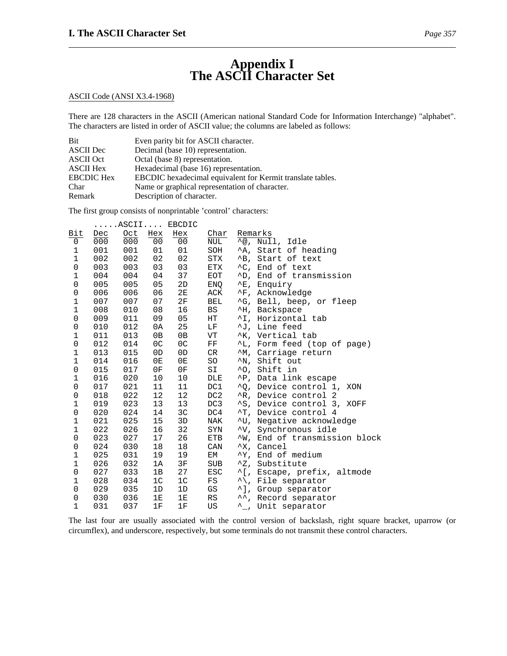# **Appendix I The ASCII Character Set**

# ASCII Code (ANSI X3.4-1968)

There are 128 characters in the ASCII (American national Standard Code for Information Interchange) "alphabet". The characters are listed in order of ASCII value; the columns are labeled as follows:

| <b>Bit</b>        | Even parity bit for ASCII character.                       |
|-------------------|------------------------------------------------------------|
| <b>ASCII</b> Dec  | Decimal (base 10) representation.                          |
| <b>ASCII</b> Oct  | Octal (base 8) representation.                             |
| <b>ASCII Hex</b>  | Hexadecimal (base 16) representation.                      |
| <b>EBCDIC</b> Hex | EBCDIC hexadecimal equivalent for Kermit translate tables. |
| Char              | Name or graphical representation of character.             |
| Remark            | Description of character.                                  |

The first group consists of nonprintable 'control' characters:

|                     |     |     |                | ASCII EBCDIC   |            |                      |                               |
|---------------------|-----|-----|----------------|----------------|------------|----------------------|-------------------------------|
| Bit                 | Dec | Oct | Hex            | Hex            | Char       | Remarks              |                               |
| 0                   | 000 | 000 | 0 <sub>0</sub> | 00             | NUL        |                      | $\sqrt{\alpha}$ , Null, Idle  |
| 1                   | 001 | 001 | 01             | 01             | SOH        |                      | ^A, Start of heading          |
| $\mathbf 1$         | 002 | 002 | 02             | 02             | STX        |                      | ^B, Start of text             |
| $\mathsf{O}\xspace$ | 003 | 003 | 03             | 03             | ETX        |                      | ^C, End of text               |
| $\mathbf 1$         | 004 | 004 | 04             | 37             | EOT        |                      | ^D, End of transmission       |
| $\mathsf 0$         | 005 | 005 | 05             | 2D             | ENQ        |                      | ^E, Enquiry                   |
| $\mathsf{O}\xspace$ | 006 | 006 | 06             | 2E             | ACK        |                      | ^F, Acknowledge               |
| $\mathbf 1$         | 007 | 007 | 07             | 2F             | BEL        |                      | ^G, Bell, beep, or fleep      |
| $1\,$               | 008 | 010 | 08             | 16             | BS         |                      | ^H, Backspace                 |
| $\mathsf 0$         | 009 | 011 | 09             | 05             | HT         |                      | ^I, Horizontal tab            |
| 0                   | 010 | 012 | 0A             | 25             | LF         |                      | ^J, Line feed                 |
| $\mathbf 1$         | 011 | 013 | 0B             | 0B             | VT         |                      | ^K, Vertical tab              |
| $\mathsf{O}\xspace$ | 012 | 014 | 0 <sup>C</sup> | 0 <sup>C</sup> | $\rm FF$   |                      | ^L, Form feed (top of page)   |
| $\mathbf 1$         | 013 | 015 | 0 <sub>D</sub> | 0 <sub>D</sub> | CR         |                      | ^M, Carriage return           |
| $\mathbf{1}$        | 014 | 016 | 0E             | 0E             | SO         | $^{\wedge}{\rm N}$ , | Shift out                     |
| $\mathsf 0$         | 015 | 017 | 0F             | 0F             | SI         |                      | ^0, Shift in                  |
| $\mathbf 1$         | 016 | 020 | 10             | 10             | DLE        |                      | ^P, Data link escape          |
| $\mathsf{O}\xspace$ | 017 | 021 | 11             | 11             | DC1        |                      | ^0, Device control 1, XON     |
| $\mathsf 0$         | 018 | 022 | 12             | 12             | DC2        |                      | ^R, Device control 2          |
| $\mathbf 1$         | 019 | 023 | 13             | 13             | DC3        |                      | ^S, Device control 3, XOFF    |
| $\mathsf{O}\xspace$ | 020 | 024 | 14             | 3C             | DC4        |                      | ^T, Device control 4          |
| $\mathbf 1$         | 021 | 025 | 15             | 3D             | NAK        |                      | ^U, Negative acknowledge      |
| $\mathbf{1}$        | 022 | 026 | 16             | 32             | SYN        |                      | ^V, Synchronous idle          |
| $\mathsf{O}\xspace$ | 023 | 027 | 17             | 26             | ETB        |                      | NV, End of transmission block |
| 0                   | 024 | 030 | 18             | 18             | CAN        |                      | "X, Cancel                    |
| $\mathbf 1$         | 025 | 031 | 19             | 19             | EM         |                      | "Y, End of medium             |
| $\mathbf 1$         | 026 | 032 | 1A             | $3F$           | <b>SUB</b> |                      | ^Z, Substitute                |
| $\mathsf{O}\xspace$ | 027 | 033 | 1B             | 27             | <b>ESC</b> |                      | ^[, Escape, prefix, altmode   |
| $\mathbf 1$         | 028 | 034 | 1 <sup>c</sup> | 1 <sup>C</sup> | FS         |                      | "\, File separator            |
| 0                   | 029 | 035 | 1D             | 1D             | GS         |                      | ^], Group separator           |
| 0                   | 030 | 036 | 1E             | 1E             | RS         |                      | ", Record separator           |
| $\mathbf{1}$        | 031 | 037 | 1F             | 1F             | US         | ᄉ                    | L. Unit separator             |

The last four are usually associated with the control version of backslash, right square bracket, uparrow (or circumflex), and underscore, respectively, but some terminals do not transmit these control characters.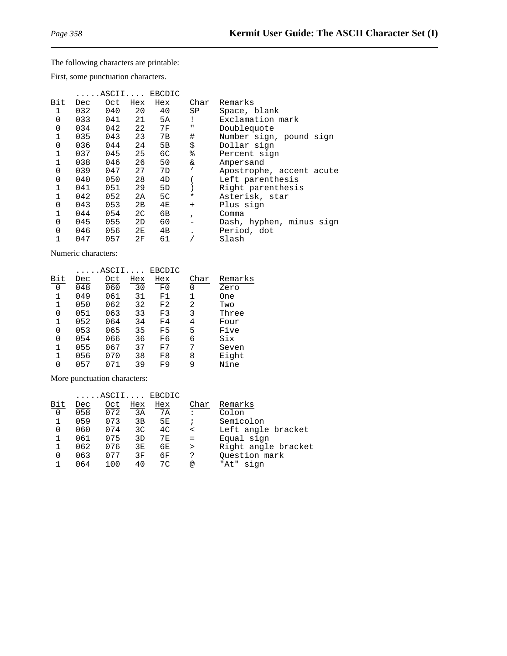# The following characters are printable:

First, some punctuation characters.

|                |     | ASCII |                | EBCDIC         |              |                          |
|----------------|-----|-------|----------------|----------------|--------------|--------------------------|
| Bit            | Dec | Oct   | Hex            | Hex            | Char         | Remarks                  |
| $\overline{1}$ | 032 | 040   | 20             | 40             | SP           | Space, blank             |
| $\mathbf{0}$   | 033 | 041   | 21             | 5A             | Ţ            | Exclamation mark         |
| $\mathbf 0$    | 034 | 042   | 22             | 7F             | п            | Doublequote              |
| 1              | 035 | 043   | 23             | 7B             | $\#$         | Number sign, pound sign  |
| 0              | 036 | 044   | 24             | 5 <sub>B</sub> | \$           | Dollar sign              |
| $\mathbf{1}$   | 037 | 045   | 25             | 6C             | ್ಠಿ          | Percent sign             |
|                | 038 | 046   | 26             | 50             | &            | Ampersand                |
| 0              | 039 | 047   | 27             | 7D             | $\mathbf{r}$ | Apostrophe, accent acute |
| 0              | 040 | 050   | 28             | 4D             |              | Left parenthesis         |
|                | 041 | 051   | 29             | 5D             |              | Right parenthesis        |
| 1              | 042 | 052   | 2A             | 5C             | $^\star$     | Asterisk, star           |
| 0              | 043 | 053   | 2B             | 4E             | $+$          | Plus sign                |
| $\mathbf{1}$   | 044 | 054   | 2 <sup>c</sup> | 6В             | $\mathbf{r}$ | Comma                    |
| $\Omega$       | 045 | 055   | 2D             | 60             |              | Dash, hyphen, minus sign |
| $\Omega$       | 046 | 056   | 2E             | 4B             |              | Period, dot              |
|                | 047 | 057   | 2F             | 61             |              | Slash                    |

Numeric characters:

|     |     | .ASCII. |     | EBCDIC |      |         |
|-----|-----|---------|-----|--------|------|---------|
| Bit | Dec | Oct     | Hex | Hex    | Char | Remarks |
| 0   | 048 | 060     | 30  | F0     | 0    | Zero    |
| 1   | 049 | 061     | 31  | F1     | 1    | One     |
| 1   | 050 | 062     | 32  | F2     | 2    | Two     |
| 0   | 051 | 063     | 33  | F3     | 3    | Three   |
| 1   | 052 | 064     | 34  | F4     | 4    | Four    |
| 0   | 053 | 065     | 35  | F5     | 5    | Five    |
| 0   | 054 | 066     | 36  | F6     | 6    | Six     |
| 1   | 055 | 067     | 37  | F7     | 7    | Seven   |
| 1   | 056 | 070     | 38  | F8     | 8    | Eight   |
| O   | 057 |         | 39  | F9     | 9    | Nine    |

More punctuation characters:

| Dec | Oct   | Hex | Hex | Char                     | Remarks             |
|-----|-------|-----|-----|--------------------------|---------------------|
| 058 | 072   | 3A  | 7A  | $\cdot$ :                | Colon               |
| 059 | 073   | 3B  | 5E. | $\ddot{i}$               | Semicolon           |
| 060 | 074   | 3C  | 4C  | $\overline{\phantom{a}}$ | Left angle bracket  |
| 061 | 075   | 3D  | 7 E | $=$                      | Equal sign          |
| 062 | 076   | 3E  | 6E  | $\geq$                   | Right angle bracket |
| 063 | 077   | 3F  | 6F  | ?                        | Ouestion mark       |
| በ64 | 1 በ በ | 40  | 70  | $^{\circledR}$           | sian<br>"At"        |
|     |       |     |     | $\ldots$ . ASCII EBCDIC  |                     |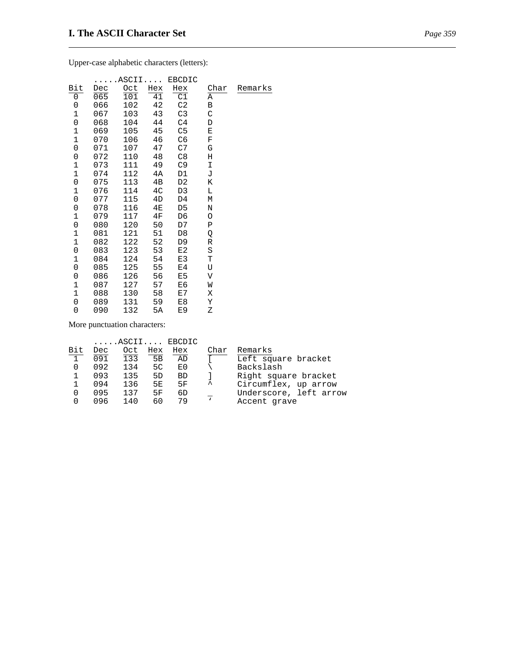Upper-case alphabetic characters (letters):

|                |     | ASCII |                | EBCDIC          |         |         |
|----------------|-----|-------|----------------|-----------------|---------|---------|
| Bit            | Dec | Oct   | Hex            | Hex             | Char    | Remarks |
| 0              | 065 | 101   | 41             | $\overline{c1}$ | Α       |         |
| 0              | 066 | 102   | 42             | C <sub>2</sub>  | В       |         |
| $\mathbf 1$    | 067 | 103   | 43             | C <sub>3</sub>  | C       |         |
| 0              | 068 | 104   | 44             | C <sub>4</sub>  | D       |         |
| $\mathbf 1$    | 069 | 105   | 45             | C <sub>5</sub>  | Ε       |         |
| $\mathbf 1$    | 070 | 106   | 46             | C <sub>6</sub>  | F       |         |
| $\overline{0}$ | 071 | 107   | 47             | C7              | G       |         |
| $\mathbf 0$    | 072 | 110   | 48             | C8              | Η       |         |
| $\mathbf{1}$   | 073 | 111   | 49             | C9              | Ι       |         |
| $\mathbf{1}$   | 074 | 112   | 4A             | D1              | J       |         |
| $\mathbf 0$    | 075 | 113   | 4B             | D2              | Κ       |         |
| $\mathbf 1$    | 076 | 114   | 4 <sub>C</sub> | D <sub>3</sub>  | L       |         |
| 0              | 077 | 115   | 4D             | D4              | М       |         |
| 0              | 078 | 116   | 4E             | D5              | N       |         |
| $\mathbf 1$    | 079 | 117   | 4F             | D6              | O       |         |
| 0              | 080 | 120   | 50             | D7              | Ρ       |         |
| $\mathbf 1$    | 081 | 121   | 51             | D8              | Q       |         |
| $\mathbf 1$    | 082 | 122   | 52             | D <sub>9</sub>  | R       |         |
| $\mathbf 0$    | 083 | 123   | 53             | E2              | $\rm S$ |         |
| $\mathbf 1$    | 084 | 124   | 54             | E3              | Т       |         |
| 0              | 085 | 125   | 55             | E4              | U       |         |
| 0              | 086 | 126   | 56             | E5              | V       |         |
| $\mathbf 1$    | 087 | 127   | 57             | E6              | W       |         |
| $\mathbf 1$    | 088 | 130   | 58             | E7              | Χ       |         |
| 0              | 089 | 131   | 59             | E8              | Υ       |         |
| 0              | 090 | 132   | 5A             | E9              | Ζ       |         |

More punctuation characters:

|            |     |     |     | $\ldots$ . ASCII EBCDIC |              |                        |
|------------|-----|-----|-----|-------------------------|--------------|------------------------|
| Bit        | Dec | Oct | Hex | Hex                     | Char         | Remarks                |
| $\sqrt{1}$ | 091 | 133 | 5B  | AD                      |              | Left square bracket    |
|            | 092 | 134 | 5C  | E0                      |              | Backslash              |
|            | 093 | 135 | 5D  | <b>BD</b>               |              | Right square bracket   |
|            | 094 | 136 | 5E. | 5F                      | ㅅ            | Circumflex, up arrow   |
| 0          | 095 | 137 | 5F  | 6D.                     |              | Underscore, left arrow |
|            | 096 | 140 | 60  | 79                      | $\mathbf{v}$ | Accent grave           |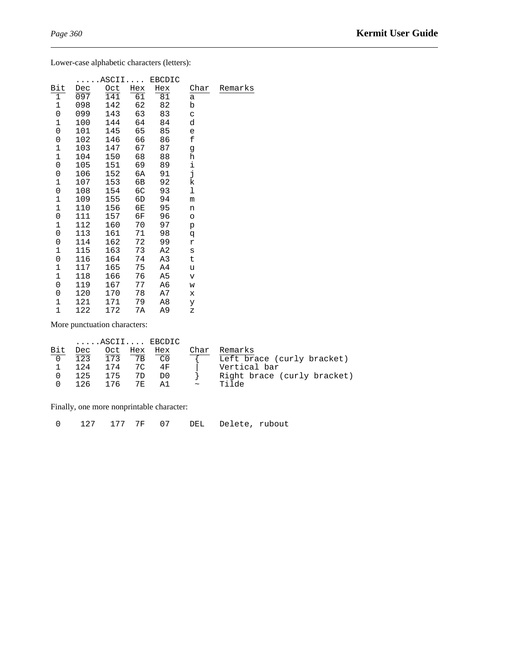Lower-case alphabetic characters (letters):

|                |     | ASCII |                 | EBCDIC |                         |         |
|----------------|-----|-------|-----------------|--------|-------------------------|---------|
| Bit            | Dec | Oct   | Hex             | Hex    | Char                    | Remarks |
| $\overline{1}$ | 097 | 141   | $\overline{61}$ | 81     | a                       |         |
| $\mathbf 1$    | 098 | 142   | 62              | 82     | b                       |         |
| 0              | 099 | 143   | 63              | 83     | C                       |         |
| $\mathbf 1$    | 100 | 144   | 64              | 84     | d                       |         |
| 0              | 101 | 145   | 65              | 85     | e                       |         |
| 0              | 102 | 146   | 66              | 86     | £                       |         |
| $\mathbf 1$    | 103 | 147   | 67              | 87     | g                       |         |
| $\mathbf 1$    | 104 | 150   | 68              | 88     | h                       |         |
| 0              | 105 | 151   | 69              | 89     | i                       |         |
| 0              | 106 | 152   | 6A              | 91     | j                       |         |
| 1              | 107 | 153   | 6В              | 92     | k                       |         |
| 0              | 108 | 154   | 6C              | 93     | ı                       |         |
| $\mathbf 1$    | 109 | 155   | 6D              | 94     | m                       |         |
| $\mathbf 1$    | 110 | 156   | 6Е              | 95     | n                       |         |
| 0              | 111 | 157   | 6F              | 96     | $\circ$                 |         |
| $\mathbf 1$    | 112 | 160   | 70              | 97     | p                       |         |
| 0              | 113 | 161   | 71              | 98     | đ                       |         |
| 0              | 114 | 162   | 72              | 99     | r                       |         |
| $\mathbf 1$    | 115 | 163   | 73              | A2     | S                       |         |
| 0              | 116 | 164   | 74              | A3     | t                       |         |
| $\mathbf 1$    | 117 | 165   | 75              | A4     | u                       |         |
| $\mathbf{1}$   | 118 | 166   | 76              | A5     | $\overline{\mathbf{V}}$ |         |
| 0              | 119 | 167   | 77              | A6     | W                       |         |
| 0              | 120 | 170   | 78              | A7     | X                       |         |
| $\mathbf 1$    | 121 | 171   | 79              | A8     | У                       |         |
| $\mathbf{1}$   | 122 | 172   | 7А              | A9     | Ζ                       |         |
|                |     |       |                 |        |                         |         |

More punctuation characters:

|     |      |            |                | $\ldots$ . ASCII EBCDIC |                       |                             |
|-----|------|------------|----------------|-------------------------|-----------------------|-----------------------------|
| Bit | Dec  |            |                | Oct Hex Hex             | Char                  | Remarks                     |
|     | 123  | 173        | 7 <sub>B</sub> | o۵                      |                       | Left brace (curly bracket)  |
|     | 124  | 174 70     |                | 4 F                     |                       | Vertical bar                |
|     |      | 125 175 7D |                | D0                      |                       | Right brace (curly bracket) |
|     | 126. | 176        | 7 F.           | A 1                     | $\tilde{\phantom{a}}$ | م∂ان⊤                       |

Finally, one more nonprintable character:

0 127 177 7F 07 DEL Delete, rubout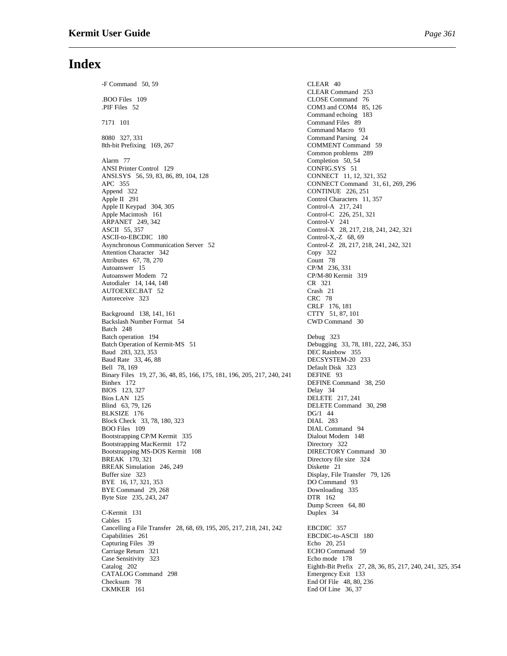## **Index**

.BOO Files 109 CLOSE Command 76<br>
PIF Files 52 COM3 and COM4 85. 7171 101 Command Files 89 8080 327, 331 Command Parsing 24 8th-bit Prefixing 169, 267 COMMENT Command 59 Alarm 77 Completion 50, 54<br>ANSI Printer Control 129 CONFIG.SYS 51 ANSI Printer Control 129 ANSLSYS 56, 59, 83, 86, 89, 104, 128 CONNECT 11, 12, 321, 352<br>APC 355 CONNECT Command 31, 61 Append 322 CONTINUE 226, 251 Apple II 291 Control Characters 11, 357 Apple II Keypad 304, 305<br>Apple Macintosh 161 ARPANET 249, 342<br>ASCII 55, 357 ASCII-to-EBCDIC 180<br>Asynchronous Communication Server 52 Attention Character 342 Copy 322<br>Attributes 67, 78, 270 Count 78 Attributes 67, 78, 270 Autoanswer 15 CP/M 236, 331 Autoanswer Modem 72 CP/M-80<br>
Autodialer 14. 144. 148 CR 321 Autodialer 14, 144, 148 CR 321<br>AUTOEXEC.BAT 52 Crash 21 AUTOEXEC.BAT 52 Crash 21<br>Autoreceive 323 CRC 78 Autoreceive 323 Background 138, 141, 161<br>Backslash Number Format 54 CWD Command 30 Backslash Number Format 54 Batch 248 Batch operation 194<br>Batch Operation of Kermit-MS 51 Debugging Debugging Baud 283, 323, 353 Baud Rate 33, 46, 88 DECSYSTEM-20 233 Bell 78, 169 Default Disk 323<br>Binary Files 19, 27, 36, 48, 85, 166, 175, 181, 196, 205, 217, 240, 241 DEFINE 93 Binary Files 19, 27, 36, 48, 85, 166, 175, 181, 196, 205, 217, 240, 241 Binhex 172 DEFINE Command 38, 250 BIOS 123, 327 Delay 34<br>Bios LAN 125 DELETE Bios LAN 125 DELETE 217, 241<br>Blind 63, 79, 126 DELETE Command BLKSIZE 176 DG/1 44<br>Block Check 33, 78, 180, 323 DIAL 283 Block Check 33, 78, 180, 323<br>BOO Files 109 Bootstrapping CP/M Kermit 335 Dialout Modem 148 Dialout Modem 148 Dialout Modem 148 Bootstrapping MacKermit 172<br>
Bootstrapping MS-DOS Kermit 108<br>
DIRECTORY Command 30 Bootstrapping MS-DOS Kermit 108<br>BREAK 170, 321 BREAK Simulation 246, 249<br>Buffer size 323 BYE 16, 17, 321, 353<br>BYE Command 29, 268<br>Downloading 335 BYE Command 29, 268 Downloading 335, 243, 247 DTR 162 Byte Size 235, 243, 247 C-Kermit 131 Duplex 34 Cables 15 Cancelling a File Transfer 28, 68, 69, 195, 205, 217, 218, 241, 242 EBCDIC 357 Capabilities 261 EBCDIC-to-ASCII 180<br>Capturing Files 39 Echo 20, 251 Capturing Files 39<br>Carriage Return 321 Case Sensitivity 323<br>
Catalog 202 Eighth-Bit Prefix CATALOG Command 298 Emergency Exit 133 Checksum 78 End Of File 48, 80, 236<br>CKMKER 161 End Of Line 36, 37

-F Command 50, 59 CLEAR 40 CLEAR Command 253 COM3 and COM4 85, 126 Command echoing 183 Command Macro 93 Common problems 289 CONNECT Command 31, 61, 269, 296 Control-A 217, 241<br>
Control-C 226, 251, 321<br>
Control-V 241 Control-X 28, 217, 218, 241, 242, 321<br>Control-X,-Z 68, 69 Control-Z 28, 217, 218, 241, 242, 321<br>Copy 322 CRLF 176, 181<br>CTTY 51, 87, 101 Debugging 33, 78, 181, 222, 246, 353<br>DEC Rainbow 355 DELETE Command 30, 298 DIAL Command 94 Directory file size 324<br>Diskette 21 Display, File Transfer 79, 126<br>DO Command 93 Dump Screen 64, 80 ECHO Command 59 Eighth-Bit Prefix 27, 28, 36, 85, 217, 240, 241, 325, 354 End Of Line  $36, 37$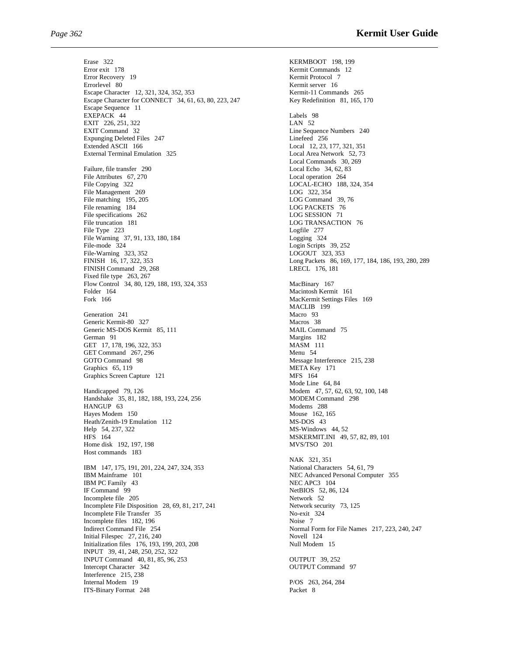Erase 322 KERMBOOT 198, 199 Error exit 178 Kermit Commands 12<br>
Error Recovery 19 Kermit Protocol 7 Error Recovery 19 Errorlevel 80 Kermit server 16<br>
Escape Character 12, 321, 324, 352, 353 Kermit-11 Commands 265 Escape Character 12, 321, 324, 352, 353 Escape Character for CONNECT 34, 61, 63, 80, 223, 247 Key Redefinition 81, 165, 170 Escape Sequence 11 EXEPACK 44 Labels 98<br>
EXIT 226, 251, 322 LAN 52 EXIT 226, 251, 322<br>EXIT Command 32 Expunging Deleted Files 247 Extended ASCII 166<br>
External Terminal Emulation 325<br>
Local Area Network 52, 73 External Terminal Emulation 325 Failure, file transfer 290 Local Echo 34, 62, 8<br>File Attributes 67, 270 Local operation 264 File Attributes  $67, 270$ <br>File Copying 322 File Management 269 LOG 322, 354<br>File matching 195, 205 LOG Command 39, 76 File matching 195, 205 File renaming 184 LOG PACKETS 76<br>File specifications 262 LOG SESSION 71 File specifications 262<br>File truncation 181 File Type 223 File Warning 37, 91, 133, 180, 184<br>
File-mode 324<br>
Login Scripts File-Warning 323, 352<br>FINISH 16, 17, 322, 353 FINISH Command 29, 268 LRECL 176, 181 Fixed file type 263, 267 Flow Control 34, 80, 129, 188, 193, 324, 353 MacBinary 167 Folder 164 Macintosh Kermit 161 Generation 241 Macro 93<br>
Generic Kermit-80 327 Macros 38 Generic Kermit-80 327 Generic MS-DOS Kermit 85, 111 MAIL Command 75 German 91<br>GET 17, 178, 196, 322, 353<br>MASM 111 GET 17, 178, 196, 322, 353<br>GET Command 267, 296 Menu 54 GET Command  $267, 296$ GOTO Command 98 Message Interference 215, 238<br>
Graphics 65, 119 META Key 171 Graphics 65, 119<br>
Graphics Screen Capture 121<br>
MES 164 Graphics Screen Capture 121 Handicapped 79, 126<br>
Handshake 35, 81, 182, 188, 193, 224, 256<br>
MODEM Command 298 Handshake 35, 81, 182, 188, 193, 224, 256 HANGUP 63 Modems 288 Hayes Modem 150 Mouse 162, 1<br>
Heath/Zenith-19 Emulation 112 MS-DOS 43 Heath/Zenith-19 Emulation 112<br>Help 54, 237, 322<br>HFS 164 Home disk 192, 197, 198 Host commands 183 IBM 147, 175, 191, 201, 224, 247, 324, 353<br>IBM Mainframe 101<br>NEC Advanced Personal Comp IBM PC Family 43<br>IF Command 99<br>NetBIOS 52, 86 Incomplete file 205 Network 52<br>Incomplete File Disposition 28, 69, 81, 217, 241 Network security 73, 125 Incomplete File Disposition 28, 69, 81, 217, 241 Network securition Premier 35<br>Incomplete File Transfer 35 Incomplete File Transfer 35 Incomplete files 182, 196 Noise 7 Indirect Command File 254 Normal Form for File Names 217, 223, 240, 247<br>Initial Filespec 27, 216, 240 Novell 124 Initial Filespec  $27, 216, 240$ Initialization files 176, 193, 199, 203, 208 Null Modem 15 INPUT 39, 41, 248, 250, 252, 322 INPUT Command 40, 81, 85, 96, 253<br>Intercent Character 342 OUTPUT Comman Interference 215, 238<br>Internal Modem 19 ITS-Binary Format 248 Packet 8

Line Sequence Numbers 240<br>Line feed 256 Local Commands 30, 269<br>Local Echo 34, 62, 83 LOCAL-ECHO 188, 324, 354 LOG TRANSACTION 76<br>Logfile 277 Login Scripts 39, 252<br>LOGOUT 323, 353 Long Packets 86, 169, 177, 184, 186, 193, 280, 289 MacKermit Settings Files 169 MACLIB 199 Mode Line 64, 84 MS-Windows 44, 52 MSKERMIT.INI 49, 57, 82, 89, 101<br>MVS/TSO 201 NAK 321, 351 NEC Advanced Personal Computer 355 NetBIOS 52, 86, 124 **OUTPUT Command 97** P/OS 263, 264, 284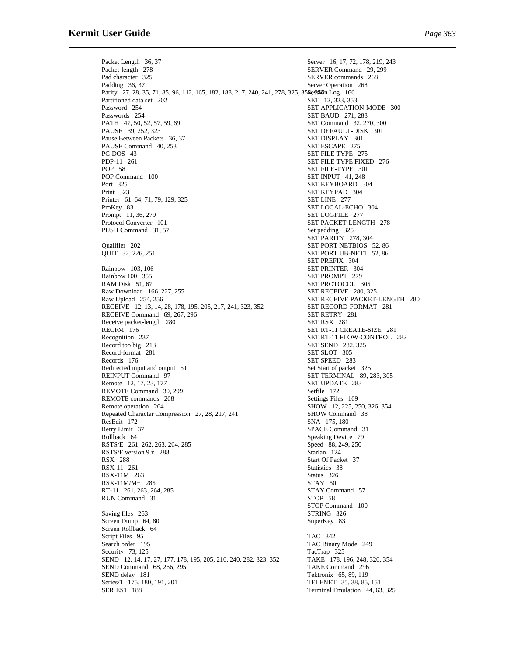Packet Length 36, 37 Server 16, 17, 72, 178, 219, 243 Packet-length 278 SERVER Command 29, 299<br>Pad character 325 SERVER commands 268 SERVER commands 268 Padding 36, 37 Server Operation 268 Parity 27, 28, 35, 71, 85, 96, 112, 165, 182, 188, 217, 240, 241, 278, 325, 358ess57 on Log 166 Partitioned data set 202 SET 12, 323, 353<br>Password 254 SET APPLICATIC SET APPLICATION-MODE 300 Passwords 254 SET BAUD 271, 283<br>
PATH 47, 50, 52, 57, 59, 69 SET Command 32, 270, 300 PATH 47, 50, 52, 57, 59, 69<br>PAUSE 39, 252, 323 SET DEFAULT-DISK 301<br>SET DISPLAY 301 Pause Between Packets 36, 37 PAUSE Command 40, 253 SET ESCAPE 275<br>PC-DOS 43 SET FILE TYPE 2<br>PDP-11 261 SET FILE TYPE FI SET FILE TYPE 275 PDP-11 261 SET FILE TYPE FIXED 276 POP 58 SET FILE-TYPE 301<br>SET INPUT 41, 248 POP Command 100<br>Port 325 SET KEYBOARD 304 Print 323<br>
Printer 61, 64, 71, 79, 129, 325<br>
SET LINE 277<br>
SET LINE 277 Printer 61, 64, 71, 79, 129, 325 ProKey 83 SET LOCAL-ECHO 304 SET LOCAL-ECHO 304 SET LOCAL-ECHO 304 Prompt 11, 36, 279<br>Protocol Converter 101 SET PACKET-LENGTH 278<br>Set padding 325 PUSH Command 31, 57 SET PARITY 278, 304 Qualifier 202 SET PORT NETBIOS 52, 86<br>
OUIT 32, 226, 251 SET PORT UB-NET1 52, 86 SET PORT UB-NET1 52, 86 SET PREFIX 304 Rainbow 103, 106<br>
Rainbow 100 355<br>
SET PROMPT 279 **SET PROMPT** 279 RAM Disk 51, 67<br>
Raw Download 166. 227. 255<br>
SET RECEIVE 280. 325 Raw Download 166, 227, 255<br>Raw Upload 254, 256 SET RECEIVE PACKET-LENGTH 280 RECEIVE 12, 13, 14, 28, 178, 195, 205, 217, 241, 323, 352 SET RECORD-FORMAT 281 RECEIVE Command 69, 267, 296<br>
Receive packet-length 280<br>
SET RSX 281<br>
SET RSX 281 Receive packet-length 280 RECFM 176 SET RT-11 CREATE-SIZE 281 Recognition 237 SET RT-11 FLOW-CONTROL SET RT-11 FLOW-CONTROL 282<br>SET SEND 282, 325 Record too big 213<br>Record-format 281 SET SEND 282<br>SET SLOT 305 Record-format 281 Records 176 SET SPEED 283<br>Redirected input and output 51 Set Start of packet 325 Redirected input and output 51 REINPUT Command 97 SET TERMINAL 89, 283, 305<br>
Remote 12, 17, 23, 177 SET UPDATE 283 Remote 12, 17, 23, 177<br>REMOTE Command 30, 299<br>Setfile 172 REMOTE Command 30, 299<br>REMOTE commands 268 Settings Files 169 REMOTE commands 268 Remote operation 264 SHOW 12, 225, 250, 326, 354<br>Repeated Character Compression 27, 28, 217, 241 SHOW Command 38 Repeated Character Compression 27, 28, 217, 241 ResEdit 172<br>Retry Limit 37 SPACE Comma Retry Limit 37 SPACE Command 31<br>Rollback 64 Speaking Device 79 Speaking Device 79<br>Speed 88, 249, 250 RSTS/E 261, 262, 263, 264, 285 RSTS/E version 9.x 288 Starlan 124<br>RSX 288 Start Of Pack Start Of Packet 37 RSX-11 261 Statistics 38<br>
RSX-11M 263 Status 326 RSX-11M 263 RSX-11M/M+ 285<br>RT-11 261.263.264.285 STAY Command 57 RT-11 261, 263, 264, 285<br>
RUN Command 31 STOP 58 RUN Command 31 STOP Command 100<br>STRING 326 Saving files 263 Screen Dump 64, 80 SuperKey 83 Screen Rollback 64 Script Files 95 TAC 342 Search order 195 TAC Binary Mode 249<br>Security 73, 125 TacTrap 325 Security 73, 125<br>
SEND 12, 14, 17, 27, 177, 178, 195, 205, 216, 240, 282, 323, 352<br>
TAKE 178, 196, 248, 326, 354 SEND 12, 14, 17, 27, 177, 178, 195, 205, 216, 240, 282, 323, 352 TAKE 178, 196, 248, 3<br>SEND Command 68, 266, 295 TAKE Command 296 SEND Command 68, 266, 295 SEND delay 181<br>Series/1 175, 180, 191, 201<br>TELENET 35, 38, 85, 151<br>TELENET 35, 38, 85, 151 Series/1 175, 180, 191, 201 SERIES1 188 Terminal Emulation 44, 63, 325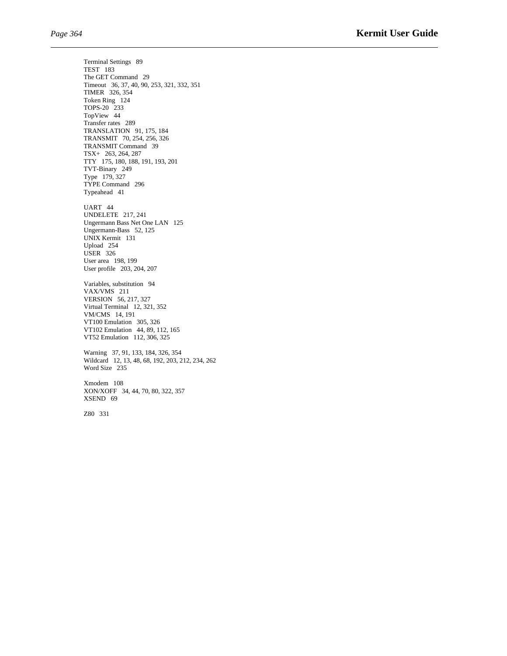Terminal Settings 89 TEST 183 The GET Command 29 Timeout 36, 37, 40, 90, 253, 321, 332, 351 TIMER 326, 354 Token Ring 124 TOPS-20 233 TopView 44 Transfer rates 289 TRANSLATION 91, 175, 184 TRANSMIT 70, 254, 256, 326 TRANSMIT Command 39 TSX+ 263, 264, 287 TTY 175, 180, 188, 191, 193, 201 TVT-Binary 249 Type 179, 327 TYPE Command 296 Typeahead 41 UART 44 UNDELETE 217, 241 Ungermann Bass Net One LAN 125 Ungermann-Bass 52, 125 UNIX Kermit 131 Upload 254 USER 326 User area 198, 199 User profile 203, 204, 207 Variables, substitution 94 VAX/VMS 211 VERSION 56, 217, 327 Virtual Terminal 12, 321, 352 VM/CMS 14, 191 VT100 Emulation 305, 326 VT102 Emulation 44, 89, 112, 165 VT52 Emulation 112, 306, 325 Warning 37, 91, 133, 184, 326, 354 Wildcard 12, 13, 48, 68, 192, 203, 212, 234, 262 Word Size 235

Xmodem 108 XON/XOFF 34, 44, 70, 80, 322, 357 XSEND 69

Z80 331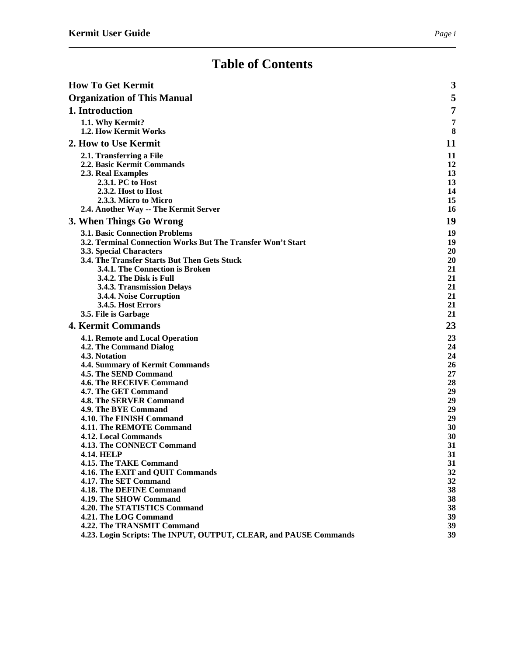## **Table of Contents**

| <b>How To Get Kermit</b>                                          | 3        |
|-------------------------------------------------------------------|----------|
| <b>Organization of This Manual</b>                                | 5        |
| 1. Introduction                                                   | 7        |
| 1.1. Why Kermit?                                                  | 7        |
| 1.2. How Kermit Works                                             | 8        |
| 2. How to Use Kermit                                              | 11       |
| 2.1. Transferring a File                                          | 11       |
| 2.2. Basic Kermit Commands                                        | 12       |
| 2.3. Real Examples                                                | 13       |
| 2.3.1. PC to Host                                                 | 13       |
| 2.3.2. Host to Host                                               | 14       |
| 2.3.3. Micro to Micro                                             | 15       |
| 2.4. Another Way -- The Kermit Server                             | 16       |
| 3. When Things Go Wrong                                           | 19       |
| <b>3.1. Basic Connection Problems</b>                             | 19       |
| 3.2. Terminal Connection Works But The Transfer Won't Start       | 19       |
| <b>3.3. Special Characters</b>                                    | 20       |
| 3.4. The Transfer Starts But Then Gets Stuck                      | 20       |
| 3.4.1. The Connection is Broken                                   | 21       |
| 3.4.2. The Disk is Full<br>3.4.3. Transmission Delays             | 21<br>21 |
| 3.4.4. Noise Corruption                                           | 21       |
| 3.4.5. Host Errors                                                | 21       |
| 3.5. File is Garbage                                              | 21       |
| <b>4. Kermit Commands</b>                                         | 23       |
| 4.1. Remote and Local Operation                                   | 23       |
| <b>4.2. The Command Dialog</b>                                    | 24       |
| 4.3. Notation                                                     | 24       |
| 4.4. Summary of Kermit Commands                                   | 26       |
| 4.5. The SEND Command                                             | 27       |
| 4.6. The RECEIVE Command                                          | 28       |
| 4.7. The GET Command                                              | 29       |
| 4.8. The SERVER Command<br>4.9. The BYE Command                   | 29<br>29 |
| 4.10. The FINISH Command                                          | 29       |
| 4.11. The REMOTE Command                                          | 30       |
| 4.12. Local Commands                                              | 30       |
| 4.13. The CONNECT Command                                         | 31       |
| <b>4.14. HELP</b>                                                 | 31       |
| 4.15. The TAKE Command                                            | 31       |
| 4.16. The EXIT and QUIT Commands                                  | 32       |
| 4.17. The SET Command                                             | 32       |
| 4.18. The DEFINE Command                                          | 38       |
| 4.19. The SHOW Command<br>4.20. The STATISTICS Command            | 38<br>38 |
| 4.21. The LOG Command                                             | 39       |
| 4.22. The TRANSMIT Command                                        | 39       |
| 4.23. Login Scripts: The INPUT, OUTPUT, CLEAR, and PAUSE Commands | 39       |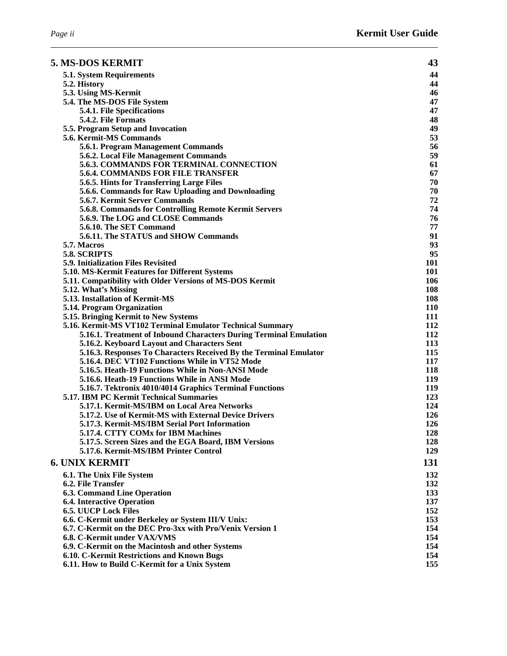| <b>5. MS-DOS KERMIT</b>                                                                       | 43         |
|-----------------------------------------------------------------------------------------------|------------|
| 5.1. System Requirements                                                                      | 44         |
| 5.2. History                                                                                  | 44         |
| 5.3. Using MS-Kermit                                                                          | 46         |
| 5.4. The MS-DOS File System                                                                   | 47         |
| 5.4.1. File Specifications                                                                    | 47         |
| 5.4.2. File Formats                                                                           | 48         |
| 5.5. Program Setup and Invocation                                                             | 49         |
| <b>5.6. Kermit-MS Commands</b>                                                                | 53         |
| 5.6.1. Program Management Commands                                                            | 56         |
| 5.6.2. Local File Management Commands                                                         | 59         |
| 5.6.3. COMMANDS FOR TERMINAL CONNECTION                                                       | 61         |
| <b>5.6.4. COMMANDS FOR FILE TRANSFER</b>                                                      | 67         |
| 5.6.5. Hints for Transferring Large Files                                                     | 70         |
| 5.6.6. Commands for Raw Uploading and Downloading                                             | 70         |
| 5.6.7. Kermit Server Commands                                                                 | 72         |
| 5.6.8. Commands for Controlling Remote Kermit Servers<br>5.6.9. The LOG and CLOSE Commands    | 74<br>76   |
| 5.6.10. The SET Command                                                                       | 77         |
| 5.6.11. The STATUS and SHOW Commands                                                          | 91         |
| 5.7. Macros                                                                                   | 93         |
| 5.8. SCRIPTS                                                                                  | 95         |
| 5.9. Initialization Files Revisited                                                           | 101        |
| 5.10. MS-Kermit Features for Different Systems                                                | 101        |
| 5.11. Compatibility with Older Versions of MS-DOS Kermit                                      | 106        |
| 5.12. What's Missing                                                                          | 108        |
| 5.13. Installation of Kermit-MS                                                               | 108        |
| 5.14. Program Organization                                                                    | <b>110</b> |
| 5.15. Bringing Kermit to New Systems                                                          | 111        |
| 5.16. Kermit-MS VT102 Terminal Emulator Technical Summary                                     | 112        |
| 5.16.1. Treatment of Inbound Characters During Terminal Emulation                             | 112        |
| 5.16.2. Keyboard Layout and Characters Sent                                                   | 113        |
| 5.16.3. Responses To Characters Received By the Terminal Emulator                             | 115        |
| 5.16.4. DEC VT102 Functions While in VT52 Mode                                                | 117        |
| 5.16.5. Heath-19 Functions While in Non-ANSI Mode                                             | 118        |
| 5.16.6. Heath-19 Functions While in ANSI Mode                                                 | <b>119</b> |
| 5.16.7. Tektronix 4010/4014 Graphics Terminal Functions                                       | <b>119</b> |
| <b>5.17. IBM PC Kermit Technical Summaries</b>                                                | 123        |
| 5.17.1. Kermit-MS/IBM on Local Area Networks                                                  | 124        |
| 5.17.2. Use of Kermit-MS with External Device Drivers                                         | 126        |
| 5.17.3. Kermit-MS/IBM Serial Port Information                                                 | 126        |
| 5.17.4. CTTY COMx for IBM Machines                                                            | 128        |
| 5.17.5. Screen Sizes and the EGA Board, IBM Versions<br>5.17.6. Kermit-MS/IBM Printer Control | 128<br>129 |
|                                                                                               |            |
| <b>6. UNIX KERMIT</b>                                                                         | 131        |
| 6.1. The Unix File System                                                                     | 132        |
| 6.2. File Transfer                                                                            | 132        |
| <b>6.3. Command Line Operation</b>                                                            | 133        |
| <b>6.4. Interactive Operation</b>                                                             | 137        |
| <b>6.5. UUCP Lock Files</b>                                                                   | 152        |
| 6.6. C-Kermit under Berkeley or System III/V Unix:                                            | 153        |
| 6.7. C-Kermit on the DEC Pro-3xx with Pro/Venix Version 1                                     | 154        |
| 6.8. C-Kermit under VAX/VMS                                                                   | 154        |
| 6.9. C-Kermit on the Macintosh and other Systems                                              | 154        |
| 6.10. C-Kermit Restrictions and Known Bugs                                                    | 154        |
| 6.11. How to Build C-Kermit for a Unix System                                                 | 155        |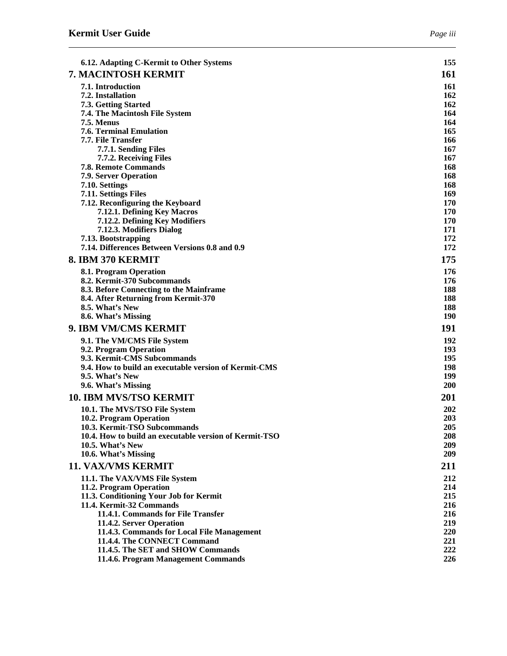| 6.12. Adapting C-Kermit to Other Systems                                               | 155        |
|----------------------------------------------------------------------------------------|------------|
| 7. MACINTOSH KERMIT                                                                    | 161        |
| 7.1. Introduction                                                                      | <b>161</b> |
| 7.2. Installation                                                                      | 162        |
| 7.3. Getting Started                                                                   | 162        |
| 7.4. The Macintosh File System                                                         | 164        |
| <b>7.5. Menus</b>                                                                      | 164        |
| <b>7.6. Terminal Emulation</b><br>7.7. File Transfer                                   | 165<br>166 |
| 7.7.1. Sending Files                                                                   | 167        |
| 7.7.2. Receiving Files                                                                 | 167        |
| <b>7.8. Remote Commands</b>                                                            | 168        |
| 7.9. Server Operation                                                                  | 168        |
| 7.10. Settings                                                                         | 168        |
| 7.11. Settings Files                                                                   | 169        |
| 7.12. Reconfiguring the Keyboard                                                       | 170        |
| 7.12.1. Defining Key Macros                                                            | 170        |
| 7.12.2. Defining Key Modifiers<br>7.12.3. Modifiers Dialog                             | 170<br>171 |
| 7.13. Bootstrapping                                                                    | 172        |
| 7.14. Differences Between Versions 0.8 and 0.9                                         | 172        |
| 8. IBM 370 KERMIT                                                                      | 175        |
| 8.1. Program Operation                                                                 | 176        |
| 8.2. Kermit-370 Subcommands                                                            | 176        |
| 8.3. Before Connecting to the Mainframe                                                | 188        |
| 8.4. After Returning from Kermit-370                                                   | 188        |
| 8.5. What's New                                                                        | 188        |
| 8.6. What's Missing                                                                    | <b>190</b> |
| 9. IBM VM/CMS KERMIT                                                                   | 191        |
| 9.1. The VM/CMS File System                                                            | 192        |
| 9.2. Program Operation                                                                 | 193        |
| 9.3. Kermit-CMS Subcommands                                                            | 195        |
| 9.4. How to build an executable version of Kermit-CMS                                  | 198        |
| 9.5. What's New                                                                        | 199        |
| 9.6. What's Missing                                                                    | <b>200</b> |
| <b>10. IBM MVS/TSO KERMIT</b>                                                          | 201        |
| 10.1. The MVS/TSO File System                                                          | 202        |
| 10.2. Program Operation                                                                | 203        |
| 10.3. Kermit-TSO Subcommands<br>10.4. How to build an executable version of Kermit-TSO | 205<br>208 |
| 10.5. What's New                                                                       | 209        |
| 10.6. What's Missing                                                                   | 209        |
| <b>11. VAX/VMS KERMIT</b>                                                              | 211        |
| 11.1. The VAX/VMS File System                                                          | 212        |
| 11.2. Program Operation                                                                | 214        |
| 11.3. Conditioning Your Job for Kermit                                                 | 215        |
| 11.4. Kermit-32 Commands                                                               | 216        |
| 11.4.1. Commands for File Transfer                                                     | 216        |
| 11.4.2. Server Operation                                                               | 219        |
| 11.4.3. Commands for Local File Management                                             | 220        |
| 11.4.4. The CONNECT Command                                                            | 221        |
| 11.4.5. The SET and SHOW Commands                                                      | 222        |
| 11.4.6. Program Management Commands                                                    | 226        |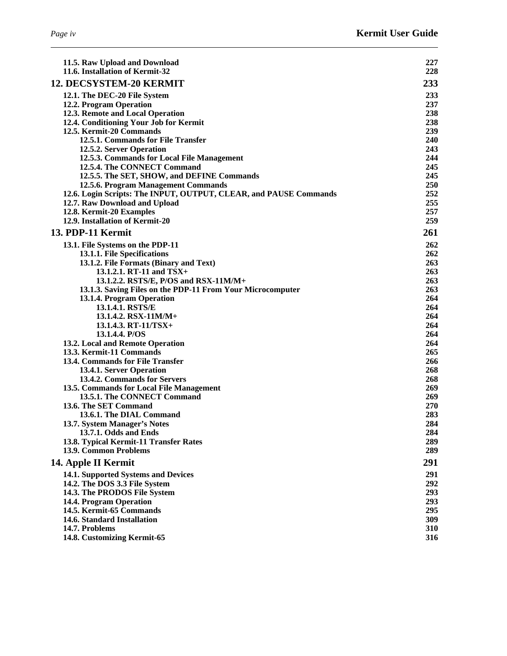| ₽<br>αρ |  |
|---------|--|
|         |  |

| 11.5. Raw Upload and Download                                          | 227               |
|------------------------------------------------------------------------|-------------------|
| 11.6. Installation of Kermit-32                                        | 228               |
| 12. DECSYSTEM-20 KERMIT                                                | 233               |
| 12.1. The DEC-20 File System                                           | 233               |
| 12.2. Program Operation                                                | 237               |
| 12.3. Remote and Local Operation                                       | 238               |
| 12.4. Conditioning Your Job for Kermit                                 | 238               |
| 12.5. Kermit-20 Commands                                               | 239               |
| 12.5.1. Commands for File Transfer                                     | <b>240</b><br>243 |
| 12.5.2. Server Operation<br>12.5.3. Commands for Local File Management | 244               |
| 12.5.4. The CONNECT Command                                            | 245               |
| 12.5.5. The SET, SHOW, and DEFINE Commands                             | 245               |
| 12.5.6. Program Management Commands                                    | 250               |
| 12.6. Login Scripts: The INPUT, OUTPUT, CLEAR, and PAUSE Commands      | 252               |
| 12.7. Raw Download and Upload                                          | 255               |
| 12.8. Kermit-20 Examples                                               | 257               |
| 12.9. Installation of Kermit-20                                        | 259               |
| 13. PDP-11 Kermit                                                      | 261               |
| 13.1. File Systems on the PDP-11                                       | 262               |
| 13.1.1. File Specifications                                            | 262               |
| 13.1.2. File Formats (Binary and Text)                                 | 263               |
| 13.1.2.1. RT-11 and TSX+                                               | 263               |
| 13.1.2.2. RSTS/E, P/OS and RSX-11M/M+                                  | 263               |
| 13.1.3. Saving Files on the PDP-11 From Your Microcomputer             | 263               |
| 13.1.4. Program Operation                                              | 264               |
| 13.1.4.1. RSTS/E                                                       | 264               |
| 13.1.4.2. RSX-11M/M+<br>$13.1.4.3. RT-11/TSX+$                         | 264<br>264        |
| 13.1.4.4. P/OS                                                         | 264               |
| 13.2. Local and Remote Operation                                       | 264               |
| 13.3. Kermit-11 Commands                                               | 265               |
| 13.4. Commands for File Transfer                                       | 266               |
| 13.4.1. Server Operation                                               | 268               |
| 13.4.2. Commands for Servers                                           | 268               |
| 13.5. Commands for Local File Management                               | 269               |
| 13.5.1. The CONNECT Command                                            | 269               |
| 13.6. The SET Command                                                  | 270               |
| 13.6.1. The DIAL Command                                               | 283               |
| 13.7. System Manager's Notes                                           | 284               |
| 13.7.1. Odds and Ends                                                  | 284               |
| 13.8. Typical Kermit-11 Transfer Rates<br>13.9. Common Problems        | 289               |
|                                                                        | 289               |
| 14. Apple II Kermit                                                    | 291               |
| 14.1. Supported Systems and Devices                                    | 291               |
| 14.2. The DOS 3.3 File System                                          | 292               |
| 14.3. The PRODOS File System                                           | 293               |
| 14.4. Program Operation                                                | 293               |
| 14.5. Kermit-65 Commands                                               | 295               |
| 14.6. Standard Installation<br>14.7. Problems                          | 309<br>310        |
| 14.8. Customizing Kermit-65                                            | 316               |
|                                                                        |                   |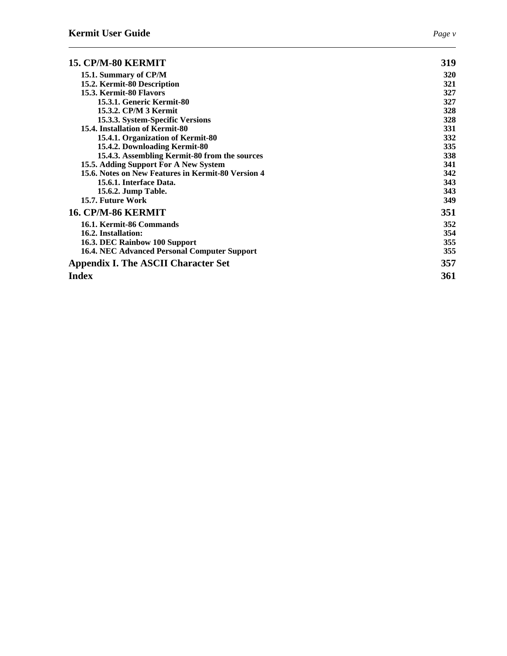| 15. CP/M-80 KERMIT                                  | 319        |
|-----------------------------------------------------|------------|
| 15.1. Summary of CP/M                               | <b>320</b> |
| 15.2. Kermit-80 Description                         | 321        |
| 15.3. Kermit-80 Flavors                             | 327        |
| 15.3.1. Generic Kermit-80                           | 327        |
| 15.3.2. CP/M 3 Kermit                               | 328        |
| 15.3.3. System-Specific Versions                    | 328        |
| 15.4. Installation of Kermit-80                     | 331        |
| 15.4.1. Organization of Kermit-80                   | 332        |
| 15.4.2. Downloading Kermit-80                       | 335        |
| 15.4.3. Assembling Kermit-80 from the sources       | 338        |
| 15.5. Adding Support For A New System               | 341        |
| 15.6. Notes on New Features in Kermit-80 Version 4  | 342        |
| 15.6.1. Interface Data.                             | 343        |
| 15.6.2. Jump Table.                                 | 343        |
| 15.7. Future Work                                   | 349        |
| 16. CP/M-86 KERMIT                                  | 351        |
| 16.1. Kermit-86 Commands                            | 352        |
| 16.2. Installation:                                 | 354        |
| 16.3. DEC Rainbow 100 Support                       | 355        |
| <b>16.4. NEC Advanced Personal Computer Support</b> | 355        |
| <b>Appendix I. The ASCII Character Set</b>          | 357        |
| <b>Index</b>                                        | 361        |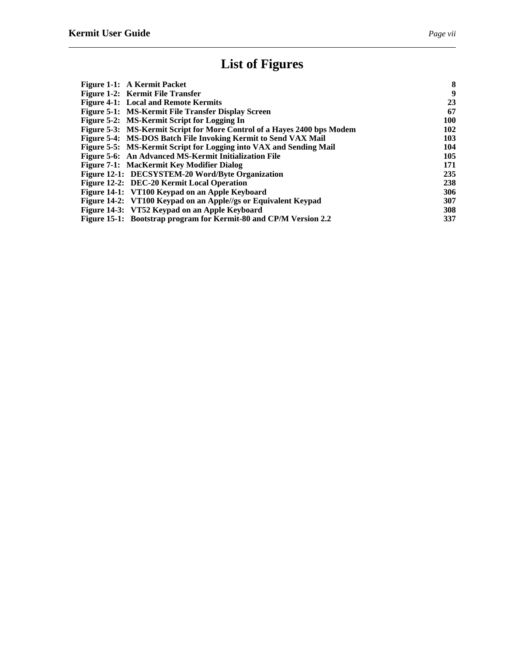## **List of Figures**

| Figure 1-1: A Kermit Packet                                             | 8   |
|-------------------------------------------------------------------------|-----|
| Figure 1-2: Kermit File Transfer                                        | 9   |
| <b>Figure 4-1: Local and Remote Kermits</b>                             | 23  |
| Figure 5-1: MS-Kermit File Transfer Display Screen                      | 67  |
| Figure 5-2: MS-Kermit Script for Logging In                             | 100 |
| Figure 5-3: MS-Kermit Script for More Control of a Hayes 2400 bps Modem | 102 |
| Figure 5-4: MS-DOS Batch File Invoking Kermit to Send VAX Mail          | 103 |
| Figure 5-5: MS-Kermit Script for Logging into VAX and Sending Mail      | 104 |
| Figure 5-6: An Advanced MS-Kermit Initialization File                   | 105 |
| Figure 7-1: MacKermit Key Modifier Dialog                               | 171 |
| Figure 12-1: DECSYSTEM-20 Word/Byte Organization                        | 235 |
| Figure 12-2: DEC-20 Kermit Local Operation                              | 238 |
| Figure 14-1: VT100 Keypad on an Apple Keyboard                          | 306 |
| Figure 14-2: VT100 Keypad on an Apple//gs or Equivalent Keypad          | 307 |
| Figure 14-3: VT52 Keypad on an Apple Keyboard                           | 308 |
| Figure 15-1: Bootstrap program for Kermit-80 and CP/M Version 2.2       | 337 |